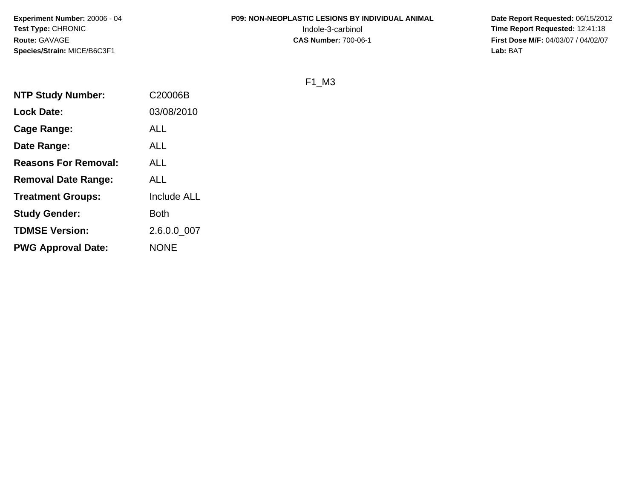# **P09: NON-NEOPLASTIC LESIONS BY INDIVIDUAL ANIMAL**

 **Date Report Requested:** 06/15/2012 Indole-3-carbinol **Time Report Requested:** 12:41:18 **First Dose M/F:** 04/03/07 / 04/02/07<br>**Lab:** BAT **Lab:** BAT

F1\_M3

| <b>NTP Study Number:</b>    | C20006B            |
|-----------------------------|--------------------|
| <b>Lock Date:</b>           | 03/08/2010         |
| Cage Range:                 | <b>ALL</b>         |
| Date Range:                 | <b>ALL</b>         |
| <b>Reasons For Removal:</b> | <b>ALL</b>         |
| <b>Removal Date Range:</b>  | <b>ALL</b>         |
| <b>Treatment Groups:</b>    | <b>Include ALL</b> |
| <b>Study Gender:</b>        | <b>Both</b>        |
| <b>TDMSE Version:</b>       | 2.6.0.0 007        |
| <b>PWG Approval Date:</b>   | <b>NONE</b>        |
|                             |                    |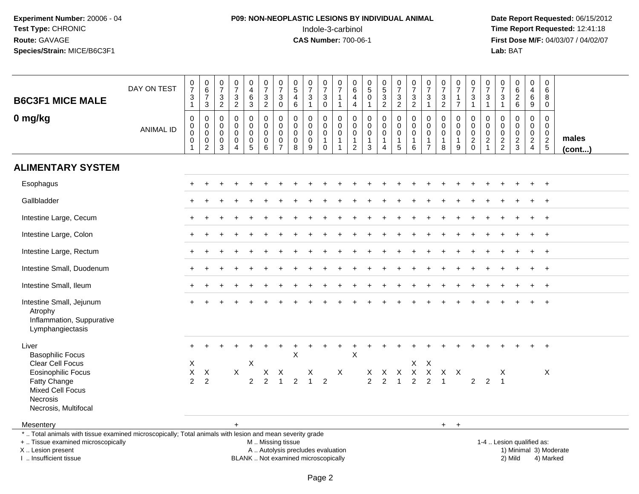# **P09: NON-NEOPLASTIC LESIONS BY INDIVIDUAL ANIMAL**Indole-3-carbinol **Time Report Requested:** 12:41:18

 **Date Report Requested:** 06/15/2012 **First Dose M/F:** 04/03/07 / 04/02/07<br>Lab: BAT **Lab:** BAT

| <b>B6C3F1 MICE MALE</b>                                                                                                                        | DAY ON TEST      | $\frac{0}{7}$<br>$\ensuremath{\mathsf{3}}$<br>$\mathbf{1}$                  | $\begin{array}{c} 0 \\ 6 \\ 7 \end{array}$<br>$\mathfrak{S}$                                         | $\frac{0}{7}$<br>$\ensuremath{\mathsf{3}}$<br>$\sqrt{2}$      | $\frac{0}{7}$<br>$\frac{3}{2}$                                             | 0<br>$\overline{4}$<br>$\,6\,$<br>$\mathbf{3}$               | $\frac{0}{7}$<br>$\frac{3}{2}$                              | $\begin{array}{c} 0 \\ 7 \end{array}$<br>$\ensuremath{\mathsf{3}}$<br>$\mathbf 0$ | $\begin{array}{c} 0 \\ 5 \end{array}$<br>$\overline{4}$<br>6                             | $\frac{0}{7}$<br>$\sqrt{3}$<br>$\mathbf{1}$                   | $\frac{0}{7}$<br>$_0^3$                                      | $\frac{0}{7}$<br>$\mathbf{1}$<br>$\mathbf{1}$                           | $\pmb{0}$<br>$\,6\,$<br>$\overline{4}$<br>$\overline{4}$ | $\begin{array}{c} 0 \\ 5 \end{array}$<br>$\pmb{0}$<br>$\overline{1}$ | $\begin{array}{c} 0 \\ 5 \\ 3 \\ 2 \end{array}$       | $\begin{smallmatrix}0\\7\end{smallmatrix}$<br>$\frac{3}{2}$         | $\frac{0}{7}$<br>3<br>$\overline{2}$             | $\frac{0}{7}$<br>$\mathbf{3}$<br>$\mathbf{1}$           | $\frac{0}{7}$<br>$\frac{3}{2}$                               | $\frac{0}{7}$<br>$\frac{1}{7}$                                 | $\frac{0}{7}$<br>$\frac{3}{1}$                             | 0<br>$\overline{7}$<br>$\ensuremath{\mathsf{3}}$<br>$\mathbf{1}$         | $\mathbf 0$<br>$\overline{7}$<br>3<br>$\mathbf{1}$      | $_{6}^{\rm 0}$<br>$\overline{2}$<br>6          | $\boldsymbol{0}$<br>$\overline{\mathbf{4}}$<br>$\,6\,$<br>9                 | $\pmb{0}$<br>6<br>8<br>$\mathbf 0$                         |                        |
|------------------------------------------------------------------------------------------------------------------------------------------------|------------------|-----------------------------------------------------------------------------|------------------------------------------------------------------------------------------------------|---------------------------------------------------------------|----------------------------------------------------------------------------|--------------------------------------------------------------|-------------------------------------------------------------|-----------------------------------------------------------------------------------|------------------------------------------------------------------------------------------|---------------------------------------------------------------|--------------------------------------------------------------|-------------------------------------------------------------------------|----------------------------------------------------------|----------------------------------------------------------------------|-------------------------------------------------------|---------------------------------------------------------------------|--------------------------------------------------|---------------------------------------------------------|--------------------------------------------------------------|----------------------------------------------------------------|------------------------------------------------------------|--------------------------------------------------------------------------|---------------------------------------------------------|------------------------------------------------|-----------------------------------------------------------------------------|------------------------------------------------------------|------------------------|
| 0 mg/kg                                                                                                                                        | <b>ANIMAL ID</b> | $\pmb{0}$<br>$\boldsymbol{0}$<br>$\bar{0}$<br>$\mathbf 0$<br>$\overline{1}$ | $\mathbf 0$<br>$\mathsf{O}\xspace$<br>$\overline{0}$<br>$\begin{smallmatrix} 0\\2 \end{smallmatrix}$ | $\mathbf 0$<br>$\mathbf 0$<br>$\mathbf 0$<br>$\mathbf 0$<br>3 | $\mathbf 0$<br>$\mathbf 0$<br>$\mathbf 0$<br>$\mathbf 0$<br>$\overline{4}$ | 0<br>$\mathbf 0$<br>$\mathbf 0$<br>$\mathbf 0$<br>$\sqrt{5}$ | $\pmb{0}$<br>$\mathbf 0$<br>$\mathbf 0$<br>$\mathbf 0$<br>6 | $\mathbf 0$<br>$\Omega$<br>0<br>$\mathbf 0$<br>$\overline{7}$                     | $\mathsf{O}\xspace$<br>$\mathbf 0$<br>$\mathsf{O}\xspace$<br>$\pmb{0}$<br>$\overline{8}$ | $\mathbf 0$<br>$\mathbf 0$<br>$\mathbf 0$<br>$\mathbf 0$<br>9 | 0<br>$\mathbf 0$<br>$\mathsf{O}\xspace$<br>$\mathbf{1}$<br>0 | $\mathbf 0$<br>$\mathbf 0$<br>$\pmb{0}$<br>$\mathbf{1}$<br>$\mathbf{1}$ | 0<br>$\mathbf 0$<br>$\mathbf 0$<br>$\frac{1}{2}$         | $\mathbf 0$<br>$\mathbf 0$<br>$\pmb{0}$<br>$\frac{1}{3}$             | 0<br>$\overline{0}$<br>$\pmb{0}$<br>$\mathbf{1}$<br>4 | $\pmb{0}$<br>$\overline{0}$<br>$\ddot{\mathbf{0}}$<br>$\frac{1}{5}$ | $\mathbf 0$<br>$\Omega$<br>0<br>$\mathbf 1$<br>6 | 0<br>$\mathbf 0$<br>0<br>$\mathbf{1}$<br>$\overline{7}$ | $\mathbf 0$<br>$\mathbf 0$<br>$\pmb{0}$<br>$\mathbf{1}$<br>8 | $\mathbf 0$<br>$\mathbf 0$<br>$\mathbf 0$<br>$\mathbf{1}$<br>9 | $\mathbf 0$<br>$\mathbf 0$<br>$\mathbf 0$<br>$\frac{2}{0}$ | $\mathbf 0$<br>$\Omega$<br>$\mathbf 0$<br>$\overline{2}$<br>$\mathbf{1}$ | $\mathbf 0$<br>$\Omega$<br>$\mathbf 0$<br>$\frac{2}{2}$ | 0<br>$\mathbf 0$<br>$\pmb{0}$<br>$\frac{2}{3}$ | 0<br>$\mathbf 0$<br>$\mathsf{O}\xspace$<br>$\overline{2}$<br>$\overline{4}$ | $\mathbf 0$<br>$\mathbf 0$<br>$\mathbf 0$<br>$\frac{2}{5}$ | males<br>$($ cont $)$  |
| <b>ALIMENTARY SYSTEM</b>                                                                                                                       |                  |                                                                             |                                                                                                      |                                                               |                                                                            |                                                              |                                                             |                                                                                   |                                                                                          |                                                               |                                                              |                                                                         |                                                          |                                                                      |                                                       |                                                                     |                                                  |                                                         |                                                              |                                                                |                                                            |                                                                          |                                                         |                                                |                                                                             |                                                            |                        |
| Esophagus                                                                                                                                      |                  |                                                                             |                                                                                                      |                                                               |                                                                            |                                                              |                                                             |                                                                                   |                                                                                          |                                                               |                                                              |                                                                         |                                                          |                                                                      |                                                       |                                                                     |                                                  |                                                         |                                                              |                                                                |                                                            |                                                                          |                                                         |                                                |                                                                             | $\ddot{}$                                                  |                        |
| Gallbladder                                                                                                                                    |                  |                                                                             |                                                                                                      |                                                               |                                                                            |                                                              |                                                             |                                                                                   |                                                                                          |                                                               |                                                              |                                                                         |                                                          |                                                                      |                                                       |                                                                     |                                                  |                                                         |                                                              |                                                                |                                                            |                                                                          |                                                         |                                                |                                                                             | $+$                                                        |                        |
| Intestine Large, Cecum                                                                                                                         |                  |                                                                             |                                                                                                      |                                                               |                                                                            |                                                              |                                                             |                                                                                   |                                                                                          |                                                               |                                                              |                                                                         |                                                          |                                                                      |                                                       |                                                                     |                                                  |                                                         |                                                              |                                                                |                                                            |                                                                          |                                                         |                                                |                                                                             | $\overline{+}$                                             |                        |
| Intestine Large, Colon                                                                                                                         |                  |                                                                             |                                                                                                      |                                                               |                                                                            |                                                              |                                                             |                                                                                   |                                                                                          |                                                               |                                                              |                                                                         |                                                          |                                                                      |                                                       |                                                                     |                                                  |                                                         |                                                              |                                                                |                                                            |                                                                          |                                                         |                                                |                                                                             | $\ddot{}$                                                  |                        |
| Intestine Large, Rectum                                                                                                                        |                  |                                                                             |                                                                                                      |                                                               |                                                                            |                                                              |                                                             |                                                                                   |                                                                                          |                                                               |                                                              |                                                                         |                                                          |                                                                      |                                                       |                                                                     |                                                  |                                                         |                                                              |                                                                |                                                            |                                                                          |                                                         |                                                |                                                                             | $+$                                                        |                        |
| Intestine Small, Duodenum                                                                                                                      |                  |                                                                             |                                                                                                      |                                                               |                                                                            |                                                              |                                                             |                                                                                   |                                                                                          |                                                               |                                                              |                                                                         |                                                          |                                                                      |                                                       |                                                                     |                                                  |                                                         |                                                              |                                                                |                                                            |                                                                          |                                                         |                                                |                                                                             | $\overline{+}$                                             |                        |
| Intestine Small, Ileum                                                                                                                         |                  |                                                                             |                                                                                                      |                                                               |                                                                            |                                                              |                                                             |                                                                                   |                                                                                          |                                                               |                                                              |                                                                         |                                                          |                                                                      |                                                       |                                                                     |                                                  |                                                         |                                                              |                                                                |                                                            |                                                                          |                                                         |                                                |                                                                             | $\overline{+}$                                             |                        |
| Intestine Small, Jejunum<br>Atrophy<br>Inflammation, Suppurative<br>Lymphangiectasis                                                           |                  |                                                                             |                                                                                                      |                                                               |                                                                            |                                                              |                                                             |                                                                                   |                                                                                          |                                                               |                                                              |                                                                         |                                                          |                                                                      |                                                       |                                                                     |                                                  |                                                         |                                                              |                                                                |                                                            |                                                                          |                                                         |                                                |                                                                             | $\overline{+}$                                             |                        |
| Liver                                                                                                                                          |                  | $+$                                                                         |                                                                                                      |                                                               |                                                                            |                                                              |                                                             |                                                                                   |                                                                                          | $\ddot{}$                                                     | $\ddot{}$                                                    | $\ddot{}$                                                               |                                                          |                                                                      |                                                       |                                                                     |                                                  |                                                         |                                                              |                                                                |                                                            |                                                                          |                                                         |                                                |                                                                             | $+$                                                        |                        |
| <b>Basophilic Focus</b><br>Clear Cell Focus                                                                                                    |                  | X                                                                           |                                                                                                      |                                                               |                                                                            | X                                                            |                                                             |                                                                                   | X                                                                                        |                                                               |                                                              |                                                                         | $\mathsf X$                                              |                                                                      |                                                       |                                                                     |                                                  | $X$ $X$                                                 |                                                              |                                                                |                                                            |                                                                          |                                                         |                                                |                                                                             |                                                            |                        |
| <b>Eosinophilic Focus</b>                                                                                                                      |                  | $\mathsf X$                                                                 | $\mathsf{X}$                                                                                         |                                                               | X                                                                          |                                                              | $\mathsf{X}$                                                | $\mathsf{X}$                                                                      |                                                                                          | X                                                             |                                                              | X                                                                       |                                                          |                                                                      |                                                       | X X X                                                               |                                                  |                                                         | X X X X                                                      |                                                                |                                                            |                                                                          | X                                                       |                                                |                                                                             | X                                                          |                        |
| Fatty Change<br><b>Mixed Cell Focus</b>                                                                                                        |                  | $\overline{2}$                                                              | $\overline{2}$                                                                                       |                                                               |                                                                            | $\overline{2}$                                               | $\overline{2}$                                              | $\overline{1}$                                                                    | 2                                                                                        | $\overline{1}$                                                | $\overline{2}$                                               |                                                                         |                                                          | $\overline{2}$                                                       | $\overline{2}$                                        | $\mathbf{1}$                                                        | $\overline{2}$                                   | $\overline{2}$                                          | $\overline{1}$                                               |                                                                | 2                                                          | $\overline{2}$                                                           | $\overline{1}$                                          |                                                |                                                                             |                                                            |                        |
| Necrosis                                                                                                                                       |                  |                                                                             |                                                                                                      |                                                               |                                                                            |                                                              |                                                             |                                                                                   |                                                                                          |                                                               |                                                              |                                                                         |                                                          |                                                                      |                                                       |                                                                     |                                                  |                                                         |                                                              |                                                                |                                                            |                                                                          |                                                         |                                                |                                                                             |                                                            |                        |
| Necrosis, Multifocal                                                                                                                           |                  |                                                                             |                                                                                                      |                                                               |                                                                            |                                                              |                                                             |                                                                                   |                                                                                          |                                                               |                                                              |                                                                         |                                                          |                                                                      |                                                       |                                                                     |                                                  |                                                         |                                                              |                                                                |                                                            |                                                                          |                                                         |                                                |                                                                             |                                                            |                        |
| Mesentery                                                                                                                                      |                  |                                                                             |                                                                                                      |                                                               | $+$                                                                        |                                                              |                                                             |                                                                                   |                                                                                          |                                                               |                                                              |                                                                         |                                                          |                                                                      |                                                       |                                                                     |                                                  |                                                         | $+$                                                          | $+$                                                            |                                                            |                                                                          |                                                         |                                                |                                                                             |                                                            |                        |
| *  Total animals with tissue examined microscopically; Total animals with lesion and mean severity grade<br>+  Tissue examined microscopically |                  |                                                                             |                                                                                                      |                                                               |                                                                            |                                                              | M  Missing tissue                                           |                                                                                   |                                                                                          |                                                               |                                                              |                                                                         |                                                          |                                                                      |                                                       |                                                                     |                                                  |                                                         |                                                              |                                                                |                                                            |                                                                          |                                                         | 1-4  Lesion qualified as:                      |                                                                             |                                                            |                        |
| X  Lesion present                                                                                                                              |                  |                                                                             |                                                                                                      |                                                               |                                                                            |                                                              |                                                             |                                                                                   |                                                                                          | A  Autolysis precludes evaluation                             |                                                              |                                                                         |                                                          |                                                                      |                                                       |                                                                     |                                                  |                                                         |                                                              |                                                                |                                                            |                                                                          |                                                         |                                                |                                                                             |                                                            | 1) Minimal 3) Moderate |

I .. Insufficient tissue

BLANK .. Not examined microscopically 2) Mild 4) Marked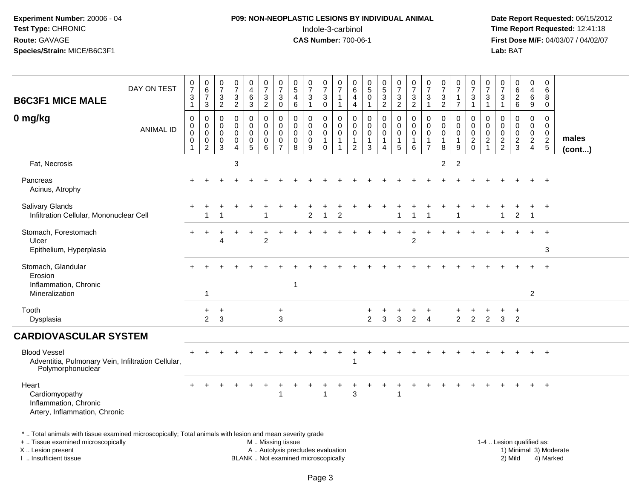# **P09: NON-NEOPLASTIC LESIONS BY INDIVIDUAL ANIMAL**Indole-3-carbinol **Time Report Requested:** 12:41:18

 **Date Report Requested:** 06/15/2012 **First Dose M/F:** 04/03/07 / 04/02/07<br>Lab: BAT **Lab:** BAT

| <b>B6C3F1 MICE MALE</b>                                                                                  | DAY ON TEST      | 0<br>$\overline{7}$<br>3<br>$\mathbf{1}$   | $\begin{array}{c} 0 \\ 6 \\ 7 \end{array}$<br>3                  | $\begin{smallmatrix}0\\7\end{smallmatrix}$<br>3<br>$\overline{2}$ | $\frac{0}{7}$<br>$\frac{3}{2}$            | $\boldsymbol{0}$<br>$\begin{array}{c} 4 \\ 6 \end{array}$<br>$\mathbf{3}$ | $\frac{0}{7}$<br>$\frac{3}{2}$                      | $\frac{0}{7}$<br>3<br>0                                | $\begin{matrix} 0 \\ 5 \end{matrix}$<br>$\overline{4}$<br>6 | $\frac{0}{7}$<br>3<br>$\mathbf{1}$ | $\begin{smallmatrix}0\\7\end{smallmatrix}$<br>$\sqrt{3}$<br>0 | $\frac{0}{7}$<br>$\overline{1}$<br>$\overline{1}$                | 0<br>6<br>$\overline{4}$<br>4                           | 0<br>$\sqrt{5}$<br>$\mathbf 0$<br>$\mathbf{1}$                 | $\begin{array}{c} 0 \\ 5 \end{array}$<br>$\mathbf{3}$<br>2 | $\frac{0}{7}$<br>$\sqrt{3}$<br>$\overline{2}$                 | $\frac{0}{7}$<br>$\frac{3}{2}$                               | $\frac{0}{7}$<br>$\mathbf{3}$                               | $\frac{0}{7}$<br>$\mathbf{3}$<br>$\overline{2}$                | $\frac{0}{7}$<br>$\mathbf{1}$<br>$\overline{7}$                | $\frac{0}{7}$<br>3<br>$\mathbf{1}$                                         | $\frac{0}{7}$<br>$\mathbf{3}$<br>$\mathbf{1}$           | $\frac{0}{7}$<br>$\mathsf 3$<br>$\mathbf{1}$           | $\begin{matrix} 0 \\ 6 \\ 2 \end{matrix}$<br>6                   | 0<br>$\overline{a}$<br>$\,6\,$<br>9                                           | 0<br>6<br>8<br>$\mathbf 0$                                |                 |
|----------------------------------------------------------------------------------------------------------|------------------|--------------------------------------------|------------------------------------------------------------------|-------------------------------------------------------------------|-------------------------------------------|---------------------------------------------------------------------------|-----------------------------------------------------|--------------------------------------------------------|-------------------------------------------------------------|------------------------------------|---------------------------------------------------------------|------------------------------------------------------------------|---------------------------------------------------------|----------------------------------------------------------------|------------------------------------------------------------|---------------------------------------------------------------|--------------------------------------------------------------|-------------------------------------------------------------|----------------------------------------------------------------|----------------------------------------------------------------|----------------------------------------------------------------------------|---------------------------------------------------------|--------------------------------------------------------|------------------------------------------------------------------|-------------------------------------------------------------------------------|-----------------------------------------------------------|-----------------|
| 0 mg/kg                                                                                                  | <b>ANIMAL ID</b> | $\mathbf 0$<br>0<br>0<br>0<br>$\mathbf{1}$ | $\mathbf 0$<br>$\mathbf 0$<br>0<br>$\mathbf 0$<br>$\overline{c}$ | $\mathbf 0$<br>0<br>0<br>0<br>3                                   | $\mathbf 0$<br>$\mathbf 0$<br>0<br>0<br>4 | $\mathbf 0$<br>$\mathbf 0$<br>$\mathbf 0$<br>0<br>$\sqrt{5}$              | $\mathbf 0$<br>$\mathbf 0$<br>$\mathbf 0$<br>0<br>6 | $\mathbf 0$<br>0<br>$\mathbf 0$<br>0<br>$\overline{7}$ | $\mathbf 0$<br>$\mathbf 0$<br>$\mathbf 0$<br>0<br>8         | 0<br>0<br>0<br>0<br>9              | 0<br>$\mathbf 0$<br>0<br>$\mathbf{1}$<br>$\mathbf 0$          | $\mathbf 0$<br>$\mathbf 0$<br>$\mathbf 0$<br>$\overline{1}$<br>1 | 0<br>0<br>$\mathbf 0$<br>$\mathbf{1}$<br>$\overline{2}$ | $\mathbf 0$<br>$\mathbf 0$<br>$\mathbf 0$<br>$\mathbf{1}$<br>3 | $\mathbf 0$<br>$\mathbf 0$<br>$\mathbf 0$<br>1<br>4        | $\mathbf 0$<br>$\mathbf 0$<br>0<br>$\mathbf{1}$<br>$\sqrt{5}$ | $\mathbf 0$<br>$\pmb{0}$<br>$\mathbf 0$<br>$\mathbf{1}$<br>6 | $\mathbf 0$<br>$\mathbf 0$<br>$\mathbf 0$<br>$\overline{7}$ | $\mathbf 0$<br>$\mathbf 0$<br>$\mathbf 0$<br>$\mathbf{1}$<br>8 | $\mathbf 0$<br>$\mathbf 0$<br>$\mathbf 0$<br>$\mathbf{1}$<br>9 | $\mathbf 0$<br>$\mathbf 0$<br>$\mathbf 0$<br>$\overline{c}$<br>$\mathbf 0$ | $\mathbf 0$<br>0<br>0<br>$\overline{c}$<br>$\mathbf{1}$ | $\mathbf 0$<br>0<br>$\mathbf 0$<br>$\overline{c}$<br>2 | $\mathbf 0$<br>$\mathbf 0$<br>$\mathbf 0$<br>$\overline{c}$<br>3 | $\mathbf 0$<br>$\mathbf 0$<br>$\mathbf 0$<br>$\overline{a}$<br>$\overline{4}$ | $\mathbf 0$<br>$\mathbf 0$<br>$\mathbf{0}$<br>$rac{2}{5}$ | males<br>(cont) |
| Fat, Necrosis                                                                                            |                  |                                            |                                                                  |                                                                   | 3                                         |                                                                           |                                                     |                                                        |                                                             |                                    |                                                               |                                                                  |                                                         |                                                                |                                                            |                                                               |                                                              |                                                             | $\overline{2}$                                                 | 2                                                              |                                                                            |                                                         |                                                        |                                                                  |                                                                               |                                                           |                 |
| Pancreas<br>Acinus, Atrophy                                                                              |                  |                                            |                                                                  |                                                                   |                                           |                                                                           |                                                     |                                                        |                                                             |                                    |                                                               |                                                                  |                                                         |                                                                |                                                            |                                                               |                                                              |                                                             |                                                                |                                                                |                                                                            |                                                         |                                                        |                                                                  |                                                                               |                                                           |                 |
| <b>Salivary Glands</b><br>Infiltration Cellular, Mononuclear Cell                                        |                  |                                            |                                                                  |                                                                   |                                           |                                                                           |                                                     |                                                        |                                                             | $\overline{2}$                     |                                                               | $\overline{2}$                                                   |                                                         |                                                                |                                                            |                                                               |                                                              |                                                             |                                                                |                                                                |                                                                            |                                                         |                                                        | $\overline{2}$                                                   | $\overline{1}$                                                                | $+$                                                       |                 |
| Stomach, Forestomach<br>Ulcer<br>Epithelium, Hyperplasia                                                 |                  |                                            |                                                                  | 4                                                                 |                                           |                                                                           | $\overline{2}$                                      |                                                        |                                                             |                                    |                                                               |                                                                  |                                                         |                                                                |                                                            |                                                               | $\overline{c}$                                               |                                                             |                                                                |                                                                |                                                                            |                                                         |                                                        |                                                                  |                                                                               | $\ddot{}$<br>3                                            |                 |
| Stomach, Glandular<br>Erosion<br>Inflammation, Chronic<br>Mineralization                                 |                  |                                            | -1                                                               |                                                                   |                                           |                                                                           |                                                     |                                                        | $\mathbf{1}$                                                |                                    |                                                               |                                                                  |                                                         |                                                                |                                                            |                                                               |                                                              |                                                             |                                                                |                                                                |                                                                            |                                                         |                                                        |                                                                  | 2                                                                             | $\ddot{}$                                                 |                 |
| Tooth<br>Dysplasia                                                                                       |                  |                                            | $\ddot{}$<br>2                                                   | $\ddot{}$<br>3                                                    |                                           |                                                                           |                                                     | $\ddot{}$<br>3                                         |                                                             |                                    |                                                               |                                                                  |                                                         | $\overline{2}$                                                 | 3                                                          | 3                                                             | $\overline{2}$                                               | $\overline{4}$                                              |                                                                | $\overline{2}$                                                 | $\overline{2}$                                                             | $\overline{2}$                                          | 3                                                      | $\div$<br>2                                                      |                                                                               |                                                           |                 |
| <b>CARDIOVASCULAR SYSTEM</b>                                                                             |                  |                                            |                                                                  |                                                                   |                                           |                                                                           |                                                     |                                                        |                                                             |                                    |                                                               |                                                                  |                                                         |                                                                |                                                            |                                                               |                                                              |                                                             |                                                                |                                                                |                                                                            |                                                         |                                                        |                                                                  |                                                                               |                                                           |                 |
| <b>Blood Vessel</b><br>Adventitia, Pulmonary Vein, Infiltration Cellular,<br>Polymorphonuclear           |                  |                                            |                                                                  |                                                                   |                                           |                                                                           |                                                     |                                                        |                                                             |                                    |                                                               |                                                                  |                                                         |                                                                |                                                            |                                                               |                                                              |                                                             |                                                                |                                                                |                                                                            |                                                         |                                                        |                                                                  |                                                                               | $+$                                                       |                 |
| Heart<br>Cardiomyopathy<br>Inflammation, Chronic<br>Artery, Inflammation, Chronic                        |                  |                                            |                                                                  |                                                                   |                                           |                                                                           |                                                     | 1                                                      |                                                             |                                    |                                                               |                                                                  | 3                                                       |                                                                |                                                            |                                                               |                                                              |                                                             |                                                                |                                                                |                                                                            |                                                         |                                                        |                                                                  |                                                                               | $+$                                                       |                 |
| *  Total animals with tissue examined microscopically; Total animals with lesion and mean severity grade |                  |                                            |                                                                  |                                                                   |                                           |                                                                           |                                                     |                                                        |                                                             |                                    |                                                               |                                                                  |                                                         |                                                                |                                                            |                                                               |                                                              |                                                             |                                                                |                                                                |                                                                            |                                                         |                                                        |                                                                  |                                                                               |                                                           |                 |

+ .. Tissue examined microscopically

X .. Lesion present

I .. Insufficient tissue

M .. Missing tissue

BLANK .. Not examined microscopically

 1-4 .. Lesion qualified as: A .. Autolysis precludes evaluation 19 and 10 minimal 3) Moderate 1 and 20 minimal 3) Moderate 19 minimal 3) Moderat<br>19 and 19 and 19 and 19 and 19 and 19 and 19 and 19 and 19 and 19 and 19 and 19 and 19 and 19 and 19 and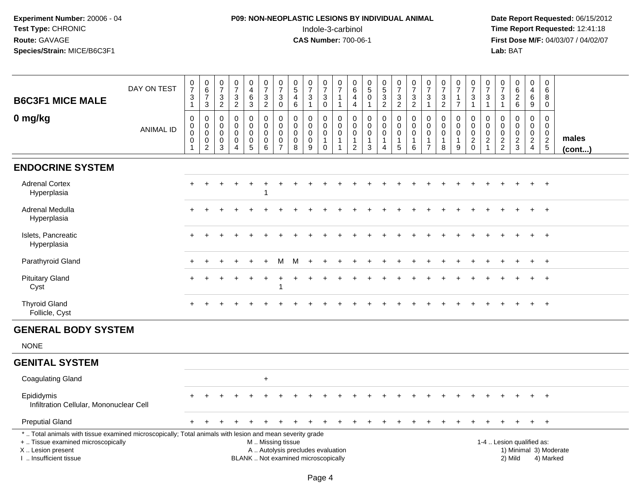# **P09: NON-NEOPLASTIC LESIONS BY INDIVIDUAL ANIMAL**Indole-3-carbinol **Time Report Requested:** 12:41:18

| <b>B6C3F1 MICE MALE</b>                                                                                                                                                                       | DAY ON TEST      | $\frac{0}{7}$<br>$\ensuremath{\mathsf{3}}$<br>$\mathbf{1}$                      | $\begin{array}{c} 0 \\ 6 \end{array}$<br>$\overline{7}$<br>3                       | $\frac{0}{7}$<br>$\mathbf{3}$<br>$\overline{2}$               | $\frac{0}{7}$<br>$\frac{3}{2}$                                                   | 0<br>$\overline{\mathbf{4}}$<br>$\,6\,$<br>3                   | $\begin{array}{c} 0 \\ 7 \end{array}$<br>$\frac{3}{2}$        | $\frac{0}{7}$<br>$\mathbf{3}$<br>$\mathbf 0$                            | $\begin{smallmatrix}0\0\5\end{smallmatrix}$<br>4<br>$\,6\,$                        | $\frac{0}{7}$<br>3<br>$\mathbf{1}$                                       | $\frac{0}{7}$<br>$\ensuremath{\mathsf{3}}$<br>0    | $\frac{0}{7}$<br>$\mathbf{1}$<br>$\mathbf{1}$                  | $\begin{array}{c} 0 \\ 6 \end{array}$<br>4<br>$\overline{4}$     | $\begin{array}{c} 0 \\ 5 \end{array}$<br>$\mathbf 0$<br>$\mathbf{1}$      | $\begin{array}{c} 0 \\ 5 \end{array}$<br>$\mathbf{3}$<br>$\overline{2}$ | $\begin{array}{c} 0 \\ 7 \end{array}$<br>$\frac{3}{2}$                             | $\frac{0}{7}$<br>$\ensuremath{\mathsf{3}}$<br>$\overline{2}$                 | $\frac{0}{7}$<br>$\mathbf{3}$<br>$\mathbf{1}$                 | $\frac{0}{7}$<br>$\frac{3}{2}$                               | $\frac{0}{7}$<br>$\overline{1}$<br>$\overline{7}$ | $\begin{array}{c} 0 \\ 7 \end{array}$<br>$\ensuremath{\mathsf{3}}$<br>$\mathbf{1}$ | $\frac{0}{7}$<br>3<br>$\mathbf{1}$                  | $\frac{0}{7}$<br>$\mathsf 3$<br>$\mathbf{1}$     | $\begin{matrix} 0 \\ 6 \\ 2 \end{matrix}$<br>6                 | $\pmb{0}$<br>$\overline{\mathbf{4}}$<br>6<br>9                                               | $\mathbf 0$<br>6<br>8<br>$\mathbf 0$        |                 |  |
|-----------------------------------------------------------------------------------------------------------------------------------------------------------------------------------------------|------------------|---------------------------------------------------------------------------------|------------------------------------------------------------------------------------|---------------------------------------------------------------|----------------------------------------------------------------------------------|----------------------------------------------------------------|---------------------------------------------------------------|-------------------------------------------------------------------------|------------------------------------------------------------------------------------|--------------------------------------------------------------------------|----------------------------------------------------|----------------------------------------------------------------|------------------------------------------------------------------|---------------------------------------------------------------------------|-------------------------------------------------------------------------|------------------------------------------------------------------------------------|------------------------------------------------------------------------------|---------------------------------------------------------------|--------------------------------------------------------------|---------------------------------------------------|------------------------------------------------------------------------------------|-----------------------------------------------------|--------------------------------------------------|----------------------------------------------------------------|----------------------------------------------------------------------------------------------|---------------------------------------------|-----------------|--|
| 0 mg/kg                                                                                                                                                                                       | <b>ANIMAL ID</b> | $\pmb{0}$<br>$\mathsf{O}$<br>$\ddot{\mathbf{0}}$<br>$\pmb{0}$<br>$\overline{1}$ | $\mathbf 0$<br>$\mathbf 0$<br>$\mathbf 0$<br>$\mathsf{O}\xspace$<br>$\overline{2}$ | 0<br>$\mathbf{0}$<br>$\mathbf 0$<br>$\pmb{0}$<br>$\mathbf{3}$ | $\mathbf 0$<br>$\mathbf 0$<br>$\mathbf 0$<br>$\pmb{0}$<br>$\boldsymbol{\Lambda}$ | 0<br>$\mathbf 0$<br>$\mathbf 0$<br>$\pmb{0}$<br>$\overline{5}$ | $\mathbf 0$<br>$\mathbf 0$<br>$\mathbf 0$<br>$\mathbf 0$<br>6 | $\mathbf 0$<br>$\Omega$<br>$\mathbf 0$<br>$\mathbf 0$<br>$\overline{7}$ | $\mathsf{O}\xspace$<br>$\mathbf 0$<br>$\mathbf 0$<br>$\mathbf 0$<br>$\overline{8}$ | 0<br>$\mathbf 0$<br>$\mathbf 0$<br>$\pmb{0}$<br>9                        | 0<br>0<br>$\mathsf{O}\xspace$<br>$\mathbf{1}$<br>0 | 0<br>$\Omega$<br>$\mathsf 0$<br>$\mathbf{1}$<br>$\overline{1}$ | 0<br>$\Omega$<br>$\mathbf 0$<br>$\overline{1}$<br>$\overline{c}$ | $\mathbf 0$<br>$\mathbf 0$<br>$\mathbf 0$<br>$\mathbf{1}$<br>$\mathbf{3}$ | 0<br>$\mathbf 0$<br>$\mathbf 0$<br>1<br>$\overline{4}$                  | $\pmb{0}$<br>$\mathbf 0$<br>$\ddot{\mathbf{0}}$<br>$\mathbf{1}$<br>$5\phantom{.0}$ | $\mathsf 0$<br>$\mathbf 0$<br>$\mathbf 0$<br>$\mathbf{1}$<br>$6\phantom{1}6$ | 0<br>$\Omega$<br>$\mathbf 0$<br>$\mathbf 1$<br>$\overline{7}$ | $\mathbf 0$<br>$\mathbf 0$<br>$\pmb{0}$<br>$\mathbf{1}$<br>8 | 0<br>$\Omega$<br>$\mathbf 0$<br>$\mathbf{1}$<br>9 | $\mathbf 0$<br>$\mathbf 0$<br>$\overline{0}$<br>$\frac{2}{0}$                      | 0<br>$\Omega$<br>$\mathbf 0$<br>$\overline{2}$<br>1 | 0<br>$\mathbf 0$<br>$\mathbf 0$<br>$\frac{2}{2}$ | $\mathsf{O}$<br>$\mathbf 0$<br>$\mathbf 0$<br>$\frac{2}{3}$    | $\mathbf 0$<br>$\mathbf 0$<br>$\begin{smallmatrix} 0\\2 \end{smallmatrix}$<br>$\overline{4}$ | $\mathbf 0$<br>$\mathbf 0$<br>$\frac{0}{2}$ | males<br>(cont) |  |
| <b>ENDOCRINE SYSTEM</b>                                                                                                                                                                       |                  |                                                                                 |                                                                                    |                                                               |                                                                                  |                                                                |                                                               |                                                                         |                                                                                    |                                                                          |                                                    |                                                                |                                                                  |                                                                           |                                                                         |                                                                                    |                                                                              |                                                               |                                                              |                                                   |                                                                                    |                                                     |                                                  |                                                                |                                                                                              |                                             |                 |  |
| <b>Adrenal Cortex</b><br>Hyperplasia                                                                                                                                                          |                  | $+$                                                                             |                                                                                    |                                                               |                                                                                  | $\ddot{}$                                                      |                                                               |                                                                         |                                                                                    |                                                                          |                                                    |                                                                |                                                                  |                                                                           |                                                                         |                                                                                    |                                                                              |                                                               |                                                              |                                                   |                                                                                    |                                                     |                                                  |                                                                |                                                                                              | $+$                                         |                 |  |
| Adrenal Medulla<br>Hyperplasia                                                                                                                                                                |                  |                                                                                 |                                                                                    |                                                               |                                                                                  |                                                                |                                                               |                                                                         |                                                                                    |                                                                          |                                                    |                                                                |                                                                  |                                                                           |                                                                         |                                                                                    |                                                                              |                                                               |                                                              |                                                   |                                                                                    |                                                     |                                                  |                                                                |                                                                                              | $\overline{1}$                              |                 |  |
| Islets, Pancreatic<br>Hyperplasia                                                                                                                                                             |                  |                                                                                 |                                                                                    |                                                               |                                                                                  |                                                                |                                                               |                                                                         |                                                                                    |                                                                          |                                                    |                                                                |                                                                  |                                                                           |                                                                         |                                                                                    |                                                                              |                                                               |                                                              |                                                   |                                                                                    |                                                     |                                                  |                                                                |                                                                                              | $\overline{1}$                              |                 |  |
| Parathyroid Gland                                                                                                                                                                             |                  |                                                                                 |                                                                                    |                                                               |                                                                                  |                                                                |                                                               | м                                                                       |                                                                                    |                                                                          |                                                    |                                                                |                                                                  |                                                                           |                                                                         |                                                                                    |                                                                              |                                                               |                                                              |                                                   |                                                                                    |                                                     |                                                  |                                                                |                                                                                              | $\overline{+}$                              |                 |  |
| <b>Pituitary Gland</b><br>Cyst                                                                                                                                                                |                  |                                                                                 |                                                                                    |                                                               |                                                                                  |                                                                |                                                               |                                                                         |                                                                                    |                                                                          |                                                    |                                                                |                                                                  |                                                                           |                                                                         |                                                                                    |                                                                              |                                                               |                                                              |                                                   |                                                                                    |                                                     |                                                  |                                                                |                                                                                              | $\overline{1}$                              |                 |  |
| <b>Thyroid Gland</b><br>Follicle, Cyst                                                                                                                                                        |                  |                                                                                 |                                                                                    |                                                               |                                                                                  |                                                                |                                                               |                                                                         |                                                                                    |                                                                          |                                                    |                                                                |                                                                  |                                                                           |                                                                         |                                                                                    |                                                                              |                                                               |                                                              |                                                   |                                                                                    |                                                     |                                                  |                                                                |                                                                                              |                                             |                 |  |
| <b>GENERAL BODY SYSTEM</b>                                                                                                                                                                    |                  |                                                                                 |                                                                                    |                                                               |                                                                                  |                                                                |                                                               |                                                                         |                                                                                    |                                                                          |                                                    |                                                                |                                                                  |                                                                           |                                                                         |                                                                                    |                                                                              |                                                               |                                                              |                                                   |                                                                                    |                                                     |                                                  |                                                                |                                                                                              |                                             |                 |  |
| <b>NONE</b>                                                                                                                                                                                   |                  |                                                                                 |                                                                                    |                                                               |                                                                                  |                                                                |                                                               |                                                                         |                                                                                    |                                                                          |                                                    |                                                                |                                                                  |                                                                           |                                                                         |                                                                                    |                                                                              |                                                               |                                                              |                                                   |                                                                                    |                                                     |                                                  |                                                                |                                                                                              |                                             |                 |  |
| <b>GENITAL SYSTEM</b>                                                                                                                                                                         |                  |                                                                                 |                                                                                    |                                                               |                                                                                  |                                                                |                                                               |                                                                         |                                                                                    |                                                                          |                                                    |                                                                |                                                                  |                                                                           |                                                                         |                                                                                    |                                                                              |                                                               |                                                              |                                                   |                                                                                    |                                                     |                                                  |                                                                |                                                                                              |                                             |                 |  |
| <b>Coagulating Gland</b>                                                                                                                                                                      |                  |                                                                                 |                                                                                    |                                                               |                                                                                  |                                                                | $+$                                                           |                                                                         |                                                                                    |                                                                          |                                                    |                                                                |                                                                  |                                                                           |                                                                         |                                                                                    |                                                                              |                                                               |                                                              |                                                   |                                                                                    |                                                     |                                                  |                                                                |                                                                                              |                                             |                 |  |
| Epididymis<br>Infiltration Cellular, Mononuclear Cell                                                                                                                                         |                  |                                                                                 |                                                                                    |                                                               |                                                                                  |                                                                |                                                               |                                                                         |                                                                                    |                                                                          |                                                    |                                                                |                                                                  |                                                                           |                                                                         |                                                                                    |                                                                              |                                                               |                                                              |                                                   |                                                                                    |                                                     |                                                  |                                                                |                                                                                              |                                             |                 |  |
| <b>Preputial Gland</b>                                                                                                                                                                        |                  |                                                                                 |                                                                                    |                                                               |                                                                                  |                                                                |                                                               |                                                                         |                                                                                    |                                                                          |                                                    |                                                                |                                                                  |                                                                           |                                                                         |                                                                                    |                                                                              |                                                               |                                                              |                                                   |                                                                                    |                                                     |                                                  |                                                                | $+$                                                                                          | $+$                                         |                 |  |
| *  Total animals with tissue examined microscopically; Total animals with lesion and mean severity grade<br>+  Tissue examined microscopically<br>X  Lesion present<br>I  Insufficient tissue |                  |                                                                                 |                                                                                    |                                                               |                                                                                  |                                                                | M  Missing tissue                                             |                                                                         |                                                                                    | A  Autolysis precludes evaluation<br>BLANK  Not examined microscopically |                                                    |                                                                |                                                                  |                                                                           |                                                                         |                                                                                    |                                                                              |                                                               |                                                              |                                                   |                                                                                    |                                                     |                                                  | 1-4  Lesion qualified as:<br>1) Minimal 3) Moderate<br>2) Mild |                                                                                              | 4) Marked                                   |                 |  |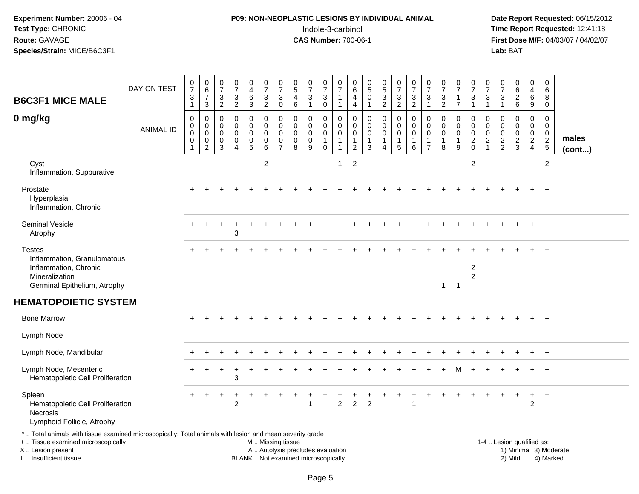# **P09: NON-NEOPLASTIC LESIONS BY INDIVIDUAL ANIMAL**Indole-3-carbinol **Time Report Requested:** 12:41:18

 **Date Report Requested:** 06/15/2012 **First Dose M/F:** 04/03/07 / 04/02/07<br>Lab: BAT **Lab:** BAT

| <b>B6C3F1 MICE MALE</b>                                                                                                                                             | DAY ON TEST      | $\frac{0}{7}$<br>$\ensuremath{\mathsf{3}}$<br>$\mathbf{1}$ | $_{6}^{\rm o}$<br>$\overline{7}$<br>3                  | 0<br>$\overline{7}$<br>$\ensuremath{\mathsf{3}}$<br>$\overline{2}$ | $\frac{0}{7}$<br>$\frac{3}{2}$                      | $\boldsymbol{0}$<br>$\overline{4}$<br>$\,6\,$<br>$\sqrt{3}$        | $\frac{0}{7}$<br>$\frac{3}{2}$                            | $\frac{0}{7}$<br>3<br>$\mathbf 0$                                          | $\begin{array}{c} 0 \\ 5 \end{array}$<br>$\overline{4}$<br>$\,6\,$ | $\frac{0}{7}$<br>3<br>$\mathbf{1}$                  | 0<br>$\boldsymbol{7}$<br>$_{0}^{3}$                                    | $\pmb{0}$<br>$\overline{7}$<br>$\mathbf{1}$                    | $\overline{0}$<br>$\,6\,$<br>$\overline{4}$<br>$\overline{a}$       | $\begin{array}{c} 0 \\ 5 \end{array}$<br>0<br>$\mathbf{1}$      | $\begin{smallmatrix} 0\\5 \end{smallmatrix}$<br>3<br>$\overline{c}$ | $\frac{0}{7}$<br>$\frac{3}{2}$                       | $\frac{0}{7}$<br>3<br>$\overline{2}$                 | 0<br>$\overline{7}$<br>$\mathbf{3}$<br>$\mathbf{1}$       | $\frac{0}{7}$<br>$\frac{3}{2}$                                 | $\frac{0}{7}$<br>$\overline{1}$<br>$\overline{7}$          | $\frac{0}{7}$<br>$\ensuremath{\mathsf{3}}$<br>$\mathbf{1}$             | 0<br>$\overline{7}$<br>3<br>$\mathbf{1}$               | 0<br>$\overline{7}$<br>3<br>$\mathbf{1}$                   | $\begin{array}{c} 0 \\ 6 \\ 2 \end{array}$<br>$6\phantom{a}$ | 0<br>$\overline{4}$<br>6<br>9                             | 0<br>$\,6\,$<br>8<br>0                                     |                        |
|---------------------------------------------------------------------------------------------------------------------------------------------------------------------|------------------|------------------------------------------------------------|--------------------------------------------------------|--------------------------------------------------------------------|-----------------------------------------------------|--------------------------------------------------------------------|-----------------------------------------------------------|----------------------------------------------------------------------------|--------------------------------------------------------------------|-----------------------------------------------------|------------------------------------------------------------------------|----------------------------------------------------------------|---------------------------------------------------------------------|-----------------------------------------------------------------|---------------------------------------------------------------------|------------------------------------------------------|------------------------------------------------------|-----------------------------------------------------------|----------------------------------------------------------------|------------------------------------------------------------|------------------------------------------------------------------------|--------------------------------------------------------|------------------------------------------------------------|--------------------------------------------------------------|-----------------------------------------------------------|------------------------------------------------------------|------------------------|
| 0 mg/kg                                                                                                                                                             | <b>ANIMAL ID</b> | $\mathbf 0$<br>0<br>0<br>$\mathsf 0$<br>1                  | $\mathbf 0$<br>$\mathbf 0$<br>0<br>0<br>$\overline{2}$ | 0<br>$\mathbf 0$<br>0<br>$\boldsymbol{0}$<br>3                     | $\mathbf 0$<br>$\mathbf 0$<br>0<br>$\mathbf 0$<br>4 | 0<br>$\mathsf{O}\xspace$<br>$\mathbf 0$<br>$\pmb{0}$<br>$\sqrt{5}$ | 0<br>$\mathbf 0$<br>$\mathbf 0$<br>$\mathbf 0$<br>$\,6\,$ | $\mathbf 0$<br>$\mathbf 0$<br>$\mathbf 0$<br>$\mathbf 0$<br>$\overline{7}$ | $\mathbf 0$<br>$\mathbf 0$<br>$\mathbf 0$<br>$\mathbf 0$<br>8      | 0<br>$\mathbf 0$<br>$\mathbf 0$<br>$\mathbf 0$<br>9 | 0<br>$\mathbf 0$<br>$\mathsf{O}\xspace$<br>$\mathbf{1}$<br>$\mathbf 0$ | $\mathbf 0$<br>$\mathbf 0$<br>$\mathsf 0$<br>$\mathbf{1}$<br>1 | 0<br>$\mathbf 0$<br>$\mathbf 0$<br>$\overline{1}$<br>$\overline{2}$ | $\mathbf 0$<br>$\mathbf 0$<br>0<br>$\mathbf{1}$<br>$\mathbf{3}$ | 0<br>$\mathbf 0$<br>0<br>$\mathbf{1}$<br>4                          | 0<br>$\mathbf 0$<br>$\mathbf 0$<br>$\mathbf{1}$<br>5 | $\mathbf 0$<br>$\mathbf 0$<br>0<br>$\mathbf{1}$<br>6 | 0<br>$\mathbf 0$<br>0<br>$\overline{1}$<br>$\overline{7}$ | $\mathbf 0$<br>$\mathbf 0$<br>$\mathbf 0$<br>$\mathbf{1}$<br>8 | 0<br>$\mathbf 0$<br>$\mathbf 0$<br>$\overline{1}$<br>$9\,$ | $\mathbf 0$<br>$\mathbf 0$<br>$\mathbf 0$<br>$\sqrt{2}$<br>$\mathbf 0$ | 0<br>$\mathbf 0$<br>$\mathbf 0$<br>$\overline{2}$<br>1 | $\mathbf 0$<br>$\mathbf 0$<br>$\mathbf 0$<br>$\frac{2}{2}$ | $\mathbf 0$<br>$\mathbf 0$<br>0<br>$\overline{a}$<br>3       | 0<br>0<br>$\mathbf 0$<br>$\overline{2}$<br>$\overline{4}$ | $\mathbf 0$<br>$\mathbf 0$<br>$\mathbf 0$<br>$\frac{2}{5}$ | males<br>$($ cont $)$  |
| Cyst<br>Inflammation, Suppurative                                                                                                                                   |                  |                                                            |                                                        |                                                                    |                                                     |                                                                    | $\overline{c}$                                            |                                                                            |                                                                    |                                                     |                                                                        | $\overline{1}$                                                 | $\overline{2}$                                                      |                                                                 |                                                                     |                                                      |                                                      |                                                           |                                                                |                                                            | 2                                                                      |                                                        |                                                            |                                                              |                                                           | $\overline{2}$                                             |                        |
| Prostate<br>Hyperplasia<br>Inflammation, Chronic                                                                                                                    |                  |                                                            |                                                        |                                                                    |                                                     |                                                                    |                                                           |                                                                            |                                                                    |                                                     |                                                                        |                                                                |                                                                     |                                                                 |                                                                     |                                                      |                                                      |                                                           |                                                                |                                                            |                                                                        |                                                        |                                                            |                                                              |                                                           | $\overline{+}$                                             |                        |
| <b>Seminal Vesicle</b><br>Atrophy                                                                                                                                   |                  |                                                            |                                                        | ÷                                                                  | 3                                                   |                                                                    |                                                           |                                                                            |                                                                    |                                                     |                                                                        |                                                                |                                                                     |                                                                 |                                                                     |                                                      |                                                      |                                                           |                                                                |                                                            |                                                                        |                                                        |                                                            |                                                              |                                                           | $+$                                                        |                        |
| <b>Testes</b><br>Inflammation, Granulomatous<br>Inflammation, Chronic<br>Mineralization<br>Germinal Epithelium, Atrophy                                             |                  |                                                            |                                                        |                                                                    |                                                     |                                                                    |                                                           |                                                                            |                                                                    |                                                     |                                                                        |                                                                |                                                                     |                                                                 |                                                                     |                                                      |                                                      |                                                           | $\mathbf{1}$                                                   | $\overline{1}$                                             | $\overline{2}$<br>$\overline{2}$                                       |                                                        |                                                            |                                                              |                                                           | $+$                                                        |                        |
| <b>HEMATOPOIETIC SYSTEM</b>                                                                                                                                         |                  |                                                            |                                                        |                                                                    |                                                     |                                                                    |                                                           |                                                                            |                                                                    |                                                     |                                                                        |                                                                |                                                                     |                                                                 |                                                                     |                                                      |                                                      |                                                           |                                                                |                                                            |                                                                        |                                                        |                                                            |                                                              |                                                           |                                                            |                        |
| <b>Bone Marrow</b>                                                                                                                                                  |                  |                                                            |                                                        |                                                                    |                                                     |                                                                    |                                                           |                                                                            |                                                                    |                                                     |                                                                        |                                                                |                                                                     |                                                                 |                                                                     |                                                      |                                                      |                                                           |                                                                |                                                            |                                                                        |                                                        |                                                            |                                                              |                                                           | $\overline{+}$                                             |                        |
| Lymph Node                                                                                                                                                          |                  |                                                            |                                                        |                                                                    |                                                     |                                                                    |                                                           |                                                                            |                                                                    |                                                     |                                                                        |                                                                |                                                                     |                                                                 |                                                                     |                                                      |                                                      |                                                           |                                                                |                                                            |                                                                        |                                                        |                                                            |                                                              |                                                           |                                                            |                        |
| Lymph Node, Mandibular                                                                                                                                              |                  |                                                            |                                                        |                                                                    |                                                     |                                                                    |                                                           |                                                                            |                                                                    |                                                     |                                                                        |                                                                |                                                                     |                                                                 |                                                                     |                                                      |                                                      |                                                           |                                                                |                                                            |                                                                        |                                                        |                                                            |                                                              |                                                           | $+$                                                        |                        |
| Lymph Node, Mesenteric<br>Hematopoietic Cell Proliferation                                                                                                          |                  |                                                            |                                                        |                                                                    | 3                                                   |                                                                    |                                                           |                                                                            |                                                                    |                                                     |                                                                        |                                                                |                                                                     |                                                                 |                                                                     |                                                      |                                                      |                                                           |                                                                |                                                            |                                                                        |                                                        |                                                            |                                                              |                                                           | $\overline{1}$                                             |                        |
| Spleen<br>Hematopoietic Cell Proliferation<br>Necrosis<br>Lymphoid Follicle, Atrophy                                                                                |                  |                                                            | $\ddot{}$                                              | $\ddot{}$                                                          | $\overline{1}$<br>$\overline{2}$                    |                                                                    |                                                           |                                                                            |                                                                    |                                                     | ÷                                                                      | $\overline{2}$                                                 | $\overline{2}$                                                      | $\overline{2}$                                                  |                                                                     |                                                      |                                                      |                                                           |                                                                |                                                            |                                                                        |                                                        |                                                            | $\ddot{}$                                                    | $+$<br>$\overline{c}$                                     | $+$                                                        |                        |
| *  Total animals with tissue examined microscopically; Total animals with lesion and mean severity grade<br>+  Tissue examined microscopically<br>X  Lesion present |                  |                                                            |                                                        |                                                                    |                                                     |                                                                    | M  Missing tissue<br>A  Autolysis precludes evaluation    |                                                                            |                                                                    |                                                     |                                                                        |                                                                |                                                                     |                                                                 |                                                                     |                                                      |                                                      |                                                           |                                                                |                                                            |                                                                        |                                                        |                                                            | 1-4  Lesion qualified as:                                    |                                                           |                                                            | 1) Minimal 3) Moderate |

X .. Lesion present I .. Insufficient tissue

BLANK .. Not examined microscopically 2) Mild 4) Marked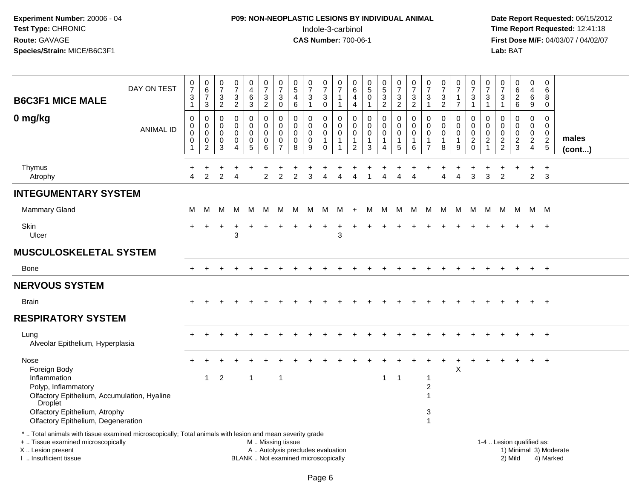# **P09: NON-NEOPLASTIC LESIONS BY INDIVIDUAL ANIMAL**Indole-3-carbinol **Time Report Requested:** 12:41:18

| <b>B6C3F1 MICE MALE</b>                                                                                                                                                                      | DAY ON TEST      | $\frac{0}{7}$<br>3<br>$\overline{1}$                                | $\pmb{0}$<br>$\,6\,$<br>$\overline{7}$<br>$\sqrt{3}$ | 0<br>$\overline{7}$<br>3<br>$\overline{2}$                    | $\frac{0}{7}$<br>$\sqrt{3}$<br>$\overline{2}$                  | $\pmb{0}$<br>$\overline{4}$<br>6<br>$\mathbf{3}$ | $\begin{array}{c} 0 \\ 7 \end{array}$<br>$\sqrt{3}$<br>$\overline{2}$                         | $\frac{0}{7}$<br>$\mathbf{3}$<br>$\overline{0}$                  | $\begin{array}{c} 0 \\ 5 \end{array}$<br>$\overline{a}$<br>$\,6\,$ | $\frac{0}{7}$<br>3<br>$\mathbf{1}$                          | $\pmb{0}$<br>$\overline{7}$<br>3<br>$\mathbf 0$                                  | 0<br>$\overline{7}$<br>$\mathbf{1}$<br>$\mathbf 1$ | 0<br>$\,6$<br>$\overline{\mathbf{4}}$<br>$\overline{4}$           | $\begin{array}{c} 0 \\ 5 \end{array}$<br>$\pmb{0}$<br>$\mathbf{1}$   | $\begin{array}{c} 0 \\ 5 \end{array}$<br>$\mathbf{3}$<br>$\overline{2}$ | $\frac{0}{7}$<br>$\mathbf{3}$<br>$\overline{2}$                | $\frac{0}{7}$<br>3<br>$\overline{c}$      | $\frac{0}{7}$<br>$\mathbf{3}$<br>$\overline{1}$                             | $\begin{array}{c} 0 \\ 7 \end{array}$<br>3<br>$\overline{2}$ | 0<br>$\overline{7}$<br>$\mathbf{1}$<br>$\overline{7}$ | $\frac{0}{7}$<br>$\sqrt{3}$<br>$\overline{1}$            | $\pmb{0}$<br>$\overline{7}$<br>3<br>$\mathbf{1}$                    | 0<br>$\overline{7}$<br>3<br>$\mathbf{1}$                                        | $_6^0$<br>$\overline{a}$<br>6          | $\pmb{0}$<br>$\overline{4}$<br>6<br>9                               | 0<br>6<br>8<br>$\mathbf 0$                                 |                        |
|----------------------------------------------------------------------------------------------------------------------------------------------------------------------------------------------|------------------|---------------------------------------------------------------------|------------------------------------------------------|---------------------------------------------------------------|----------------------------------------------------------------|--------------------------------------------------|-----------------------------------------------------------------------------------------------|------------------------------------------------------------------|--------------------------------------------------------------------|-------------------------------------------------------------|----------------------------------------------------------------------------------|----------------------------------------------------|-------------------------------------------------------------------|----------------------------------------------------------------------|-------------------------------------------------------------------------|----------------------------------------------------------------|-------------------------------------------|-----------------------------------------------------------------------------|--------------------------------------------------------------|-------------------------------------------------------|----------------------------------------------------------|---------------------------------------------------------------------|---------------------------------------------------------------------------------|----------------------------------------|---------------------------------------------------------------------|------------------------------------------------------------|------------------------|
| 0 mg/kg                                                                                                                                                                                      | <b>ANIMAL ID</b> | $\mathbf 0$<br>$\boldsymbol{0}$<br>$\mathbf 0$<br>$\mathbf 0$<br>-1 | 0<br>$\mathbf 0$<br>0<br>0<br>$\overline{c}$         | $\mathbf 0$<br>$\mathbf 0$<br>$\mathbf 0$<br>$\mathbf 0$<br>3 | 0<br>$\mathbf 0$<br>$\mathbf 0$<br>0<br>$\boldsymbol{\Lambda}$ | 0<br>$\overline{0}$<br>0<br>0<br>$5\phantom{.0}$ | $\mathbf 0$<br>$\mathbf 0$<br>0<br>0<br>6                                                     | $\mathbf 0$<br>$\mathbf 0$<br>$\mathbf 0$<br>0<br>$\overline{7}$ | $\mathbf 0$<br>$\mathbf 0$<br>$\mathbf 0$<br>0<br>8                | 0<br>$\mathsf{O}\xspace$<br>$\mathbf 0$<br>$\mathbf 0$<br>9 | $\mathbf 0$<br>$\mathsf{O}\xspace$<br>$\mathsf 0$<br>$\mathbf{1}$<br>$\mathbf 0$ | 0<br>0<br>0<br>$\mathbf 1$                         | 0<br>$\mathbf 0$<br>$\mathbf 0$<br>$\mathbf{1}$<br>$\overline{2}$ | $\mathbf 0$<br>$\mathsf{O}\xspace$<br>$\pmb{0}$<br>$\mathbf{1}$<br>3 | 0<br>$\mathbf 0$<br>$\pmb{0}$<br>$\mathbf{1}$<br>4                      | $\mathbf 0$<br>$\mathbf 0$<br>$\mathbf 0$<br>$\mathbf{1}$<br>5 | 0<br>$\mathbf 0$<br>$\mathbf 0$<br>1<br>6 | $\mathbf 0$<br>$\mathbf 0$<br>$\mathbf 0$<br>$\mathbf{1}$<br>$\overline{7}$ | $\mathbf 0$<br>$\mathbf 0$<br>$\pmb{0}$<br>$\mathbf{1}$<br>8 | 0<br>$\mathbf 0$<br>$\mathbf 0$<br>$\mathbf{1}$<br>9  | $\mathbf 0$<br>$\mathbf 0$<br>$\pmb{0}$<br>$\frac{2}{0}$ | 0<br>$\mathbf 0$<br>$\mathbf 0$<br>$\boldsymbol{2}$<br>$\mathbf{1}$ | $\mathbf 0$<br>$\mathbf 0$<br>$\mathbf 0$<br>$\boldsymbol{2}$<br>$\overline{2}$ | 0<br>$\mathbf 0$<br>0<br>$\frac{2}{3}$ | 0<br>$\mathbf 0$<br>$\mathbf 0$<br>$\overline{2}$<br>$\overline{4}$ | $\mathbf 0$<br>$\mathbf 0$<br>$\mathbf 0$<br>$\frac{2}{5}$ | males<br>$($ cont $)$  |
| Thymus<br>Atrophy                                                                                                                                                                            |                  | $\overline{\mathbf{4}}$                                             | $\overline{2}$                                       | 2                                                             | $\overline{4}$                                                 | +                                                | $\ddot{}$<br>$\overline{2}$                                                                   | $\overline{2}$                                                   | $\overline{2}$                                                     | 3                                                           | 4                                                                                | $\overline{4}$                                     | Δ                                                                 |                                                                      | 4                                                                       | 4                                                              | 4                                         |                                                                             | $\overline{4}$                                               | $\overline{4}$                                        | 3                                                        | 3                                                                   | $\overline{2}$                                                                  |                                        | $\overline{2}$                                                      | $+$<br>3                                                   |                        |
| <b>INTEGUMENTARY SYSTEM</b>                                                                                                                                                                  |                  |                                                                     |                                                      |                                                               |                                                                |                                                  |                                                                                               |                                                                  |                                                                    |                                                             |                                                                                  |                                                    |                                                                   |                                                                      |                                                                         |                                                                |                                           |                                                                             |                                                              |                                                       |                                                          |                                                                     |                                                                                 |                                        |                                                                     |                                                            |                        |
| <b>Mammary Gland</b>                                                                                                                                                                         |                  | м                                                                   | м                                                    | м                                                             | м                                                              | M                                                | M                                                                                             | M                                                                | M                                                                  | M                                                           | M                                                                                | M                                                  | $+$                                                               | M                                                                    | M                                                                       | M                                                              | M                                         | M                                                                           | M                                                            | M                                                     | M                                                        | M                                                                   | M                                                                               | - M                                    | M M                                                                 |                                                            |                        |
| Skin<br>Ulcer                                                                                                                                                                                |                  |                                                                     |                                                      |                                                               | $\overline{ }$<br>3                                            |                                                  |                                                                                               |                                                                  |                                                                    |                                                             |                                                                                  | 3                                                  |                                                                   |                                                                      |                                                                         |                                                                |                                           |                                                                             |                                                              |                                                       |                                                          |                                                                     |                                                                                 |                                        |                                                                     | $+$                                                        |                        |
| <b>MUSCULOSKELETAL SYSTEM</b>                                                                                                                                                                |                  |                                                                     |                                                      |                                                               |                                                                |                                                  |                                                                                               |                                                                  |                                                                    |                                                             |                                                                                  |                                                    |                                                                   |                                                                      |                                                                         |                                                                |                                           |                                                                             |                                                              |                                                       |                                                          |                                                                     |                                                                                 |                                        |                                                                     |                                                            |                        |
| <b>Bone</b>                                                                                                                                                                                  |                  | $+$                                                                 | $\ddot{}$                                            |                                                               |                                                                | $\pm$                                            |                                                                                               |                                                                  |                                                                    |                                                             |                                                                                  |                                                    |                                                                   |                                                                      |                                                                         |                                                                |                                           |                                                                             |                                                              | $\div$                                                |                                                          |                                                                     |                                                                                 | $+$                                    | $+$                                                                 | $+$                                                        |                        |
| <b>NERVOUS SYSTEM</b>                                                                                                                                                                        |                  |                                                                     |                                                      |                                                               |                                                                |                                                  |                                                                                               |                                                                  |                                                                    |                                                             |                                                                                  |                                                    |                                                                   |                                                                      |                                                                         |                                                                |                                           |                                                                             |                                                              |                                                       |                                                          |                                                                     |                                                                                 |                                        |                                                                     |                                                            |                        |
| <b>Brain</b>                                                                                                                                                                                 |                  | $\ddot{}$                                                           |                                                      |                                                               |                                                                |                                                  |                                                                                               |                                                                  |                                                                    |                                                             |                                                                                  |                                                    |                                                                   |                                                                      |                                                                         |                                                                |                                           |                                                                             |                                                              |                                                       |                                                          |                                                                     |                                                                                 | $\ddot{}$                              | $+$                                                                 | $+$                                                        |                        |
| <b>RESPIRATORY SYSTEM</b>                                                                                                                                                                    |                  |                                                                     |                                                      |                                                               |                                                                |                                                  |                                                                                               |                                                                  |                                                                    |                                                             |                                                                                  |                                                    |                                                                   |                                                                      |                                                                         |                                                                |                                           |                                                                             |                                                              |                                                       |                                                          |                                                                     |                                                                                 |                                        |                                                                     |                                                            |                        |
| Lung<br>Alveolar Epithelium, Hyperplasia                                                                                                                                                     |                  |                                                                     |                                                      |                                                               |                                                                |                                                  |                                                                                               |                                                                  |                                                                    |                                                             |                                                                                  |                                                    |                                                                   |                                                                      |                                                                         |                                                                |                                           |                                                                             |                                                              |                                                       |                                                          |                                                                     |                                                                                 |                                        |                                                                     | $\ddot{}$                                                  |                        |
| Nose<br>Foreign Body                                                                                                                                                                         |                  |                                                                     |                                                      |                                                               |                                                                |                                                  |                                                                                               |                                                                  |                                                                    |                                                             |                                                                                  |                                                    |                                                                   |                                                                      |                                                                         |                                                                |                                           |                                                                             |                                                              | $\mathsf X$                                           |                                                          |                                                                     |                                                                                 |                                        |                                                                     | $\ddot{}$                                                  |                        |
| Inflammation<br>Polyp, Inflammatory<br>Olfactory Epithelium, Accumulation, Hyaline<br>Droplet                                                                                                |                  |                                                                     | $\mathbf{1}$                                         | $\overline{c}$                                                |                                                                | $\overline{1}$                                   |                                                                                               | $\overline{1}$                                                   |                                                                    |                                                             |                                                                                  |                                                    |                                                                   |                                                                      | $\mathbf{1}$                                                            | $\overline{\mathbf{1}}$                                        |                                           | 1<br>$\overline{\mathbf{c}}$                                                |                                                              |                                                       |                                                          |                                                                     |                                                                                 |                                        |                                                                     |                                                            |                        |
| Olfactory Epithelium, Atrophy<br>Olfactory Epithelium, Degeneration                                                                                                                          |                  |                                                                     |                                                      |                                                               |                                                                |                                                  |                                                                                               |                                                                  |                                                                    |                                                             |                                                                                  |                                                    |                                                                   |                                                                      |                                                                         |                                                                |                                           | 3<br>$\mathbf{1}$                                                           |                                                              |                                                       |                                                          |                                                                     |                                                                                 |                                        |                                                                     |                                                            |                        |
| *  Total animals with tissue examined microscopically; Total animals with lesion and mean severity grade<br>+  Tissue examined microscopically<br>X Lesion present<br>I  Insufficient tissue |                  |                                                                     |                                                      |                                                               |                                                                |                                                  | M  Missing tissue<br>A  Autolysis precludes evaluation<br>BLANK  Not examined microscopically |                                                                  |                                                                    |                                                             |                                                                                  |                                                    |                                                                   |                                                                      |                                                                         |                                                                |                                           |                                                                             |                                                              |                                                       |                                                          |                                                                     |                                                                                 | 1-4  Lesion qualified as:<br>2) Mild   |                                                                     | 4) Marked                                                  | 1) Minimal 3) Moderate |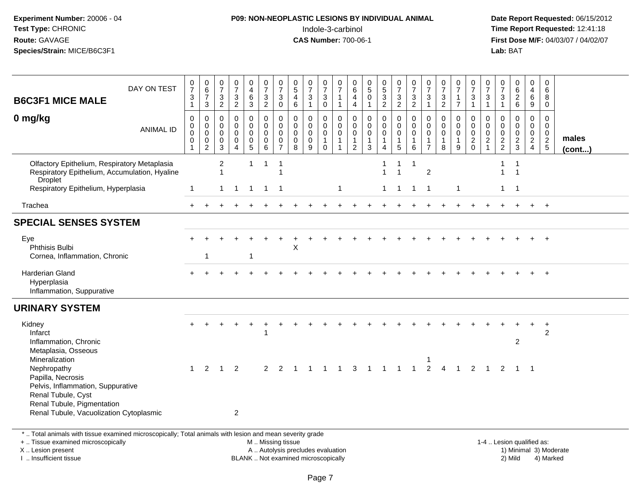# **P09: NON-NEOPLASTIC LESIONS BY INDIVIDUAL ANIMAL**Indole-3-carbinol **Time Report Requested:** 12:41:18

 **Date Report Requested:** 06/15/2012 **First Dose M/F:** 04/03/07 / 04/02/07<br>Lab: BAT **Lab:** BAT

| DAY ON TEST<br><b>B6C3F1 MICE MALE</b>                                                                                                                             | 0<br>$\overline{7}$<br>3<br>$\mathbf{1}$ | 0<br>$\,6\,$<br>$\overline{7}$<br>$\mathbf{3}$                       | 0<br>$\overline{7}$<br>3<br>$\overline{c}$          | $\frac{0}{7}$<br>$\frac{3}{2}$                                           | 0<br>$\overline{\mathbf{4}}$<br>$\,6\,$<br>3            | 0<br>$\overline{7}$<br>$\mathbf{3}$<br>$\boldsymbol{2}$       | $\frac{0}{7}$<br>$\mathbf{3}$<br>$\mathbf 0$                     | $\begin{smallmatrix}0\0\5\end{smallmatrix}$<br>$\overline{4}$<br>$\,6$ | $\frac{0}{7}$<br>$\mathbf{3}$<br>$\mathbf{1}$       | 0<br>$\overline{7}$<br>$\ensuremath{\mathsf{3}}$<br>$\mathsf 0$        | 0<br>$\overline{7}$<br>$\mathbf{1}$<br>$\mathbf{1}$       | 0<br>$\,6\,$<br>$\overline{\mathbf{4}}$<br>$\overline{4}$      | $\frac{0}{5}$<br>$\mathbf 0$<br>$\mathbf{1}$                   | $\begin{smallmatrix} 0\\5 \end{smallmatrix}$<br>$\mathbf{3}$<br>$\overline{c}$ | $\frac{0}{7}$<br>$\mathbf{3}$<br>$\overline{a}$                      | 0<br>$\overline{7}$<br>3<br>$\overline{a}$           | 0<br>$\overline{7}$<br>3<br>$\mathbf{1}$                | 0<br>$\overline{7}$<br>$\frac{3}{2}$         | 0<br>$\overline{7}$<br>$\mathbf{1}$<br>$\overline{7}$          | 0<br>$\overline{7}$<br>$\sqrt{3}$<br>$\mathbf{1}$                 | 0<br>$\overline{7}$<br>3<br>$\mathbf{1}$                          | 0<br>$\overline{7}$<br>$\mathbf{3}$<br>$\mathbf{1}$ | $\begin{matrix} 0 \\ 6 \end{matrix}$<br>$\frac{2}{6}$ | 0<br>$\overline{4}$<br>6<br>9                                                 | 0<br>6<br>8<br>0                                           |                 |
|--------------------------------------------------------------------------------------------------------------------------------------------------------------------|------------------------------------------|----------------------------------------------------------------------|-----------------------------------------------------|--------------------------------------------------------------------------|---------------------------------------------------------|---------------------------------------------------------------|------------------------------------------------------------------|------------------------------------------------------------------------|-----------------------------------------------------|------------------------------------------------------------------------|-----------------------------------------------------------|----------------------------------------------------------------|----------------------------------------------------------------|--------------------------------------------------------------------------------|----------------------------------------------------------------------|------------------------------------------------------|---------------------------------------------------------|----------------------------------------------|----------------------------------------------------------------|-------------------------------------------------------------------|-------------------------------------------------------------------|-----------------------------------------------------|-------------------------------------------------------|-------------------------------------------------------------------------------|------------------------------------------------------------|-----------------|
| 0 mg/kg<br><b>ANIMAL ID</b>                                                                                                                                        | $\mathbf 0$<br>0<br>$\pmb{0}$<br>0       | $\mathbf 0$<br>$\pmb{0}$<br>$\pmb{0}$<br>$\pmb{0}$<br>$\overline{2}$ | $\mathbf 0$<br>$\mathbf 0$<br>$\mathbf 0$<br>0<br>3 | $\mathbf 0$<br>$\mathbf 0$<br>$\mathbf 0$<br>0<br>$\boldsymbol{\Lambda}$ | 0<br>$\mathbf 0$<br>0<br>$\mathbf 0$<br>$5\phantom{.0}$ | $\mathbf 0$<br>$\mathbf 0$<br>$\mathbf 0$<br>$\mathbf 0$<br>6 | 0<br>$\mathbf 0$<br>$\mathbf 0$<br>$\mathbf 0$<br>$\overline{7}$ | $\mathbf 0$<br>$\mathbf 0$<br>$\pmb{0}$<br>0<br>8                      | $\mathbf 0$<br>$\mathbf 0$<br>$\mathbf 0$<br>0<br>9 | 0<br>$\mathsf 0$<br>$\mathsf{O}\xspace$<br>$\mathbf{1}$<br>$\mathbf 0$ | $\mathbf 0$<br>$\mathbf 0$<br>$\mathsf 0$<br>$\mathbf{1}$ | $\mathbf 0$<br>$\mathbf 0$<br>$\mathsf 0$<br>$\mathbf{1}$<br>2 | $\mathbf 0$<br>$\mathbf 0$<br>$\mathbf 0$<br>$\mathbf{1}$<br>3 | 0<br>$\mathbf 0$<br>$\pmb{0}$<br>$\mathbf{1}$<br>4                             | $\pmb{0}$<br>$\mathsf{O}\xspace$<br>$\mathbf 0$<br>$\mathbf{1}$<br>5 | $\mathbf 0$<br>$\mathbf 0$<br>0<br>$\mathbf{1}$<br>6 | 0<br>$\mathbf 0$<br>0<br>$\mathbf{1}$<br>$\overline{7}$ | $\mathbf 0$<br>$\mathbf 0$<br>$\pmb{0}$<br>8 | $\mathbf 0$<br>$\mathbf 0$<br>$\mathbf 0$<br>$\mathbf{1}$<br>9 | $\Omega$<br>$\mathbf 0$<br>$\mathsf{O}$<br>$\sqrt{2}$<br>$\Omega$ | 0<br>$\mathbf 0$<br>$\mathbf 0$<br>$\overline{2}$<br>$\mathbf{1}$ | 0<br>$\overline{0}$<br>$\mathbf 0$<br>$\frac{2}{2}$ | 0<br>$\mathbf 0$<br>$\mathbf 0$<br>$\frac{2}{3}$      | $\mathbf 0$<br>$\mathbf 0$<br>$\mathbf 0$<br>$\overline{2}$<br>$\overline{4}$ | $\mathbf 0$<br>$\mathbf 0$<br>$\mathbf 0$<br>$\frac{2}{5}$ | males<br>(cont) |
| Olfactory Epithelium, Respiratory Metaplasia<br>Respiratory Epithelium, Accumulation, Hyaline<br>Droplet                                                           |                                          |                                                                      | 2                                                   |                                                                          | $\mathbf{1}$                                            | 1                                                             | $\overline{1}$<br>1                                              |                                                                        |                                                     |                                                                        |                                                           |                                                                |                                                                | $\mathbf{1}$<br>$\mathbf{1}$                                                   | $\mathbf{1}$<br>$\mathbf 1$                                          | $\mathbf{1}$                                         | $\overline{c}$                                          |                                              |                                                                |                                                                   |                                                                   | $\mathbf{1}$<br>$\mathbf{1}$                        | $\mathbf{1}$<br>$\mathbf{1}$                          |                                                                               |                                                            |                 |
| Respiratory Epithelium, Hyperplasia                                                                                                                                | 1                                        |                                                                      | $\mathbf{1}$                                        | $\overline{1}$                                                           | $\overline{1}$                                          | $\overline{1}$                                                | $\overline{1}$                                                   |                                                                        |                                                     |                                                                        | $\overline{1}$                                            |                                                                |                                                                | $1 \quad$                                                                      | $\overline{1}$                                                       | $\overline{1}$                                       | $\overline{1}$                                          |                                              | $\overline{1}$                                                 |                                                                   |                                                                   | $\mathbf{1}$                                        | $\overline{1}$                                        |                                                                               |                                                            |                 |
| Trachea                                                                                                                                                            | $+$                                      |                                                                      |                                                     |                                                                          |                                                         |                                                               |                                                                  |                                                                        |                                                     |                                                                        |                                                           |                                                                |                                                                |                                                                                |                                                                      |                                                      |                                                         |                                              |                                                                |                                                                   |                                                                   |                                                     |                                                       | $+$                                                                           | $+$                                                        |                 |
| <b>SPECIAL SENSES SYSTEM</b>                                                                                                                                       |                                          |                                                                      |                                                     |                                                                          |                                                         |                                                               |                                                                  |                                                                        |                                                     |                                                                        |                                                           |                                                                |                                                                |                                                                                |                                                                      |                                                      |                                                         |                                              |                                                                |                                                                   |                                                                   |                                                     |                                                       |                                                                               |                                                            |                 |
| Eye<br>Phthisis Bulbi<br>Cornea, Inflammation, Chronic                                                                                                             |                                          | -1                                                                   |                                                     |                                                                          | $\mathbf{1}$                                            |                                                               |                                                                  | X                                                                      |                                                     |                                                                        |                                                           |                                                                |                                                                |                                                                                |                                                                      |                                                      |                                                         |                                              |                                                                |                                                                   |                                                                   |                                                     |                                                       |                                                                               |                                                            |                 |
| Harderian Gland<br>Hyperplasia<br>Inflammation, Suppurative                                                                                                        |                                          |                                                                      |                                                     |                                                                          |                                                         |                                                               |                                                                  |                                                                        |                                                     |                                                                        |                                                           |                                                                |                                                                |                                                                                |                                                                      |                                                      |                                                         |                                              |                                                                |                                                                   |                                                                   |                                                     |                                                       |                                                                               | $\ddot{}$                                                  |                 |
| <b>URINARY SYSTEM</b>                                                                                                                                              |                                          |                                                                      |                                                     |                                                                          |                                                         |                                                               |                                                                  |                                                                        |                                                     |                                                                        |                                                           |                                                                |                                                                |                                                                                |                                                                      |                                                      |                                                         |                                              |                                                                |                                                                   |                                                                   |                                                     |                                                       |                                                                               |                                                            |                 |
| Kidney<br>Infarct<br>Inflammation, Chronic                                                                                                                         |                                          |                                                                      |                                                     |                                                                          |                                                         |                                                               |                                                                  |                                                                        |                                                     |                                                                        |                                                           |                                                                |                                                                |                                                                                |                                                                      |                                                      |                                                         |                                              |                                                                |                                                                   |                                                                   |                                                     | $\overline{2}$                                        |                                                                               | $+$<br>2                                                   |                 |
| Metaplasia, Osseous<br>Mineralization<br>Nephropathy<br>Papilla, Necrosis<br>Pelvis, Inflammation, Suppurative<br>Renal Tubule, Cyst<br>Renal Tubule, Pigmentation | $\mathbf{1}$                             | 2                                                                    | $\overline{1}$                                      | 2<br>$\overline{2}$                                                      |                                                         | 2                                                             | $\overline{2}$                                                   |                                                                        |                                                     |                                                                        |                                                           | 3                                                              | $\overline{1}$                                                 | $\overline{1}$                                                                 | $\overline{1}$                                                       | 1                                                    | 1<br>$\overline{2}$                                     | $\overline{4}$                               | $\overline{1}$                                                 | 2                                                                 |                                                                   | 2                                                   | $\overline{1}$                                        | $\overline{\phantom{0}}$                                                      |                                                            |                 |

+ .. Tissue examined microscopically

X .. Lesion present

I .. Insufficient tissue

M .. Missing tissue

BLANK .. Not examined microscopically

 1-4 .. Lesion qualified as: A .. Autolysis precludes evaluation 19 and 10 minimal 3) Moderate 1 and 20 minimal 3) Moderate 19 minimal 3) Moderat<br>19 and 19 and 19 and 19 and 19 and 19 and 19 and 19 and 19 and 19 and 19 and 19 and 19 and 19 and 19 and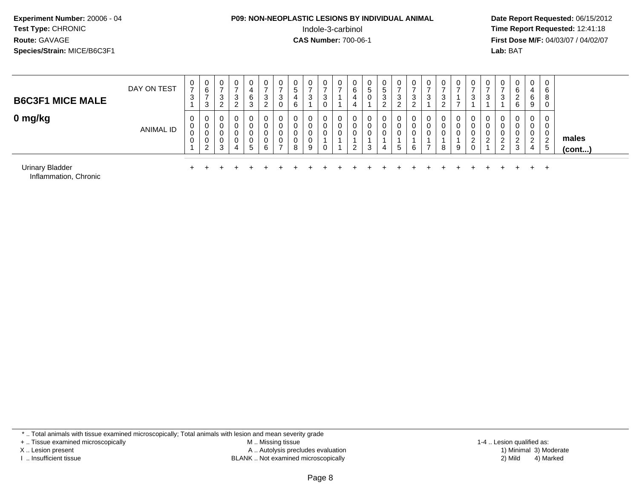### **P09: NON-NEOPLASTIC LESIONS BY INDIVIDUAL ANIMAL**<br>Indole-3-carbinol Indole-3-carbinol **Time Report Requested:** 12:41:18

 **Date Report Requested:** 06/15/2012 **First Dose M/F:** 04/03/07 / 04/02/07<br>**Lab:** BAT **Lab:** BAT

| <b>B6C3F1 MICE MALE</b>                                                           | DAY ON TEST      | $\mathbf{0}$<br>$\rightarrow$<br>3 | 0<br>6<br>3                       | $\mathbf{0}$<br>$\rightarrow$<br>3<br>ົ<br>$\epsilon$ | 0<br>$\rightarrow$<br>3<br>$\overline{2}$ | 0<br>6<br>3           | 0<br>$\overline{ }$<br>3<br>2 | v<br>$\rightarrow$<br>3 | 0<br>5<br>4<br>6      | 0<br>$\rightarrow$<br>3          | 0<br>$\overline{ }$<br>3<br>0 | 0<br>–      | 0<br>6<br>4<br>4            | $\overline{0}$<br>G<br>0 | 0<br>5<br>3<br>ົ<br>$\epsilon$ | 0<br>-<br>3<br>ົ<br>∠ | $\mathbf{0}$<br>$\overline{\phantom{0}}$<br>3<br>റ<br>$\epsilon$ | $\mathbf 0$<br>⇁<br>3 | 0<br>–<br>3<br>2 |   | $\rightarrow$<br>3 | 0<br>3                       | 0<br>3                    | 0<br>6<br>ົ<br>$\epsilon$<br>6 | $\overline{0}$<br>4<br>6<br>9   | $\overline{0}$<br>6<br>8<br>0       |                       |
|-----------------------------------------------------------------------------------|------------------|------------------------------------|-----------------------------------|-------------------------------------------------------|-------------------------------------------|-----------------------|-------------------------------|-------------------------|-----------------------|----------------------------------|-------------------------------|-------------|-----------------------------|--------------------------|--------------------------------|-----------------------|------------------------------------------------------------------|-----------------------|------------------|---|--------------------|------------------------------|---------------------------|--------------------------------|---------------------------------|-------------------------------------|-----------------------|
| 0 mg/kg                                                                           | <b>ANIMAL ID</b> | 0<br>U<br>0<br>0                   | 0<br>U<br>U<br>0<br>റ<br><u>_</u> | 0<br>0<br>0<br>0<br>3                                 | 0<br>0<br>0<br>4                          | 0<br>0<br>0<br>0<br>5 | 6                             | v<br>$\rightarrow$      | 0<br>0<br>0<br>0<br>8 | $\mathbf{0}$<br>0<br>0<br>0<br>9 | 0<br>0<br>$\mathbf 0$<br>0    | 0<br>0<br>0 | 0<br>U<br>0<br><sup>o</sup> | 0<br>3                   | 0<br>0<br>0                    | 0<br>5                | 0<br>0<br>0<br>6                                                 | 0<br>$\rightarrow$    | 0<br>0<br>0<br>8 | 9 | ∠                  | 0<br>0<br>0<br>ົ<br><u>.</u> | ◠<br>$\epsilon$<br>റ<br>L | 0<br>0<br>0<br>റ<br>3          | 0<br>0<br>0<br>ົ<br>$\sim$<br>4 | 0<br>0<br>0<br>$\overline{2}$<br>-5 | males<br>$($ cont $)$ |
| <b>Urinary Bladder</b><br>$\sim$ $\sim$ $\sim$ $\sim$ $\sim$ $\sim$ $\sim$ $\sim$ |                  |                                    |                                   |                                                       |                                           |                       |                               |                         |                       |                                  |                               |             |                             |                          |                                |                       |                                                                  |                       |                  |   |                    |                              |                           |                                |                                 | $^{+}$                              |                       |

Inflammation, Chronic

\* .. Total animals with tissue examined microscopically; Total animals with lesion and mean severity grade

+ .. Tissue examined microscopically

X .. Lesion present

I .. Insufficient tissue

 M .. Missing tissueLesion present A .. Autolysis precludes evaluation 1) Minimal 3) Moderate

BLANK .. Not examined microscopically 2) Mild 4) Marked

1-4 .. Lesion qualified as: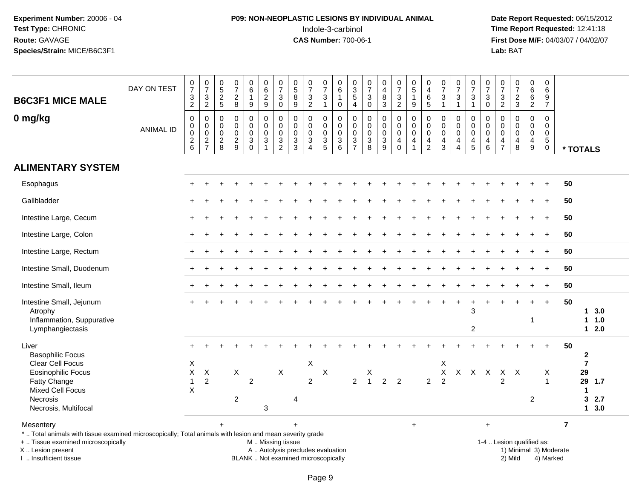# **P09: NON-NEOPLASTIC LESIONS BY INDIVIDUAL ANIMAL**Indole-3-carbinol **Time Report Requested:** 12:41:18

 **Date Report Requested:** 06/15/2012 **First Dose M/F:** 04/03/07 / 04/02/07<br>Lab: BAT **Lab:** BAT

| <b>B6C3F1 MICE MALE</b>                                                                                                                                             | DAY ON TEST      | $\begin{array}{c} 0 \\ 7 \end{array}$<br>$\frac{3}{2}$                                  | $\begin{array}{c} 0 \\ 7 \end{array}$<br>$\frac{3}{2}$ | $\begin{array}{c} 0 \\ 5 \end{array}$<br>$\frac{2}{5}$ | $\frac{0}{7}$<br>$\frac{2}{8}$                           | $0\over 6$<br>$\mathbf{1}$<br>$9\,$                                                        | $_{6}^{\rm 0}$<br>$\frac{2}{9}$      | $\frac{0}{7}$<br>$\ensuremath{\mathsf{3}}$<br>$\mathbf 0$ | 0<br>$\overline{5}$<br>$\,8\,$<br>$\boldsymbol{9}$   | $\frac{0}{7}$<br>$\ensuremath{\mathsf{3}}$<br>$\overline{2}$                      | $\frac{0}{7}$<br>$\ensuremath{\mathsf{3}}$<br>$\mathbf{1}$ | $_6^0$<br>$\overline{1}$<br>0                    | $\begin{array}{c} 0 \\ 3 \\ 5 \end{array}$<br>$\overline{4}$ | $\frac{0}{7}$<br>$\sqrt{3}$<br>$\mathbf 0$                                         | $\pmb{0}$<br>$\overline{4}$<br>$\bf 8$<br>3                               | $\frac{0}{7}$<br>3<br>$\overline{2}$           | $\begin{array}{c} 0 \\ 5 \\ 1 \end{array}$<br>9                         | $\begin{smallmatrix}0\0\4\end{smallmatrix}$<br>$\,6\,$<br>$\overline{5}$ | 0<br>$\overline{7}$<br>$\ensuremath{\mathsf{3}}$<br>$\overline{1}$ | $\frac{0}{7}$<br>$\frac{3}{1}$                                    | $\begin{array}{c} 0 \\ 7 \end{array}$<br>3<br>$\mathbf{1}$ | $\begin{array}{c} 0 \\ 7 \end{array}$<br>$\sqrt{3}$<br>$\mathbf 0$            | $\frac{0}{7}$<br>3<br>$\overline{2}$                | $\begin{array}{c} 0 \\ 7 \end{array}$<br>$\frac{2}{3}$ | $\begin{array}{c} 0 \\ 6 \end{array}$<br>$\overline{6}$<br>$\overline{2}$ | $\mathbf 0$<br>$6\overline{6}$<br>$\frac{9}{7}$                        |                                      |                                |
|---------------------------------------------------------------------------------------------------------------------------------------------------------------------|------------------|-----------------------------------------------------------------------------------------|--------------------------------------------------------|--------------------------------------------------------|----------------------------------------------------------|--------------------------------------------------------------------------------------------|--------------------------------------|-----------------------------------------------------------|------------------------------------------------------|-----------------------------------------------------------------------------------|------------------------------------------------------------|--------------------------------------------------|--------------------------------------------------------------|------------------------------------------------------------------------------------|---------------------------------------------------------------------------|------------------------------------------------|-------------------------------------------------------------------------|--------------------------------------------------------------------------|--------------------------------------------------------------------|-------------------------------------------------------------------|------------------------------------------------------------|-------------------------------------------------------------------------------|-----------------------------------------------------|--------------------------------------------------------|---------------------------------------------------------------------------|------------------------------------------------------------------------|--------------------------------------|--------------------------------|
| 0 mg/kg                                                                                                                                                             | <b>ANIMAL ID</b> | $\mathbf 0$<br>$\boldsymbol{0}$<br>$\mathbf 0$<br>$\begin{array}{c} 2 \\ 6 \end{array}$ | 0<br>$\mathbf 0$<br>$\mathbf 0$<br>$\frac{2}{7}$       | 0<br>$\mathbf 0$<br>$\mathbf 0$<br>$\frac{2}{8}$       | $\mathbf 0$<br>$\mathsf 0$<br>$\pmb{0}$<br>$\frac{2}{9}$ | $\mathbf 0$<br>$\ddot{\mathbf{0}}$<br>$\mathsf 0$<br>$\ensuremath{\mathsf{3}}$<br>$\Omega$ | 0<br>$\mathbf 0$<br>$\mathbf 0$<br>3 | $\pmb{0}$<br>$\pmb{0}$<br>$\pmb{0}$<br>$\frac{3}{2}$      | 0<br>$\mathbf 0$<br>$\mathbf 0$<br>$\mathbf{3}$<br>3 | $\mathbf 0$<br>$\mathbf 0$<br>$\mathbf 0$<br>$\sqrt{3}$<br>$\boldsymbol{\Lambda}$ | 0<br>$\mathbf 0$<br>0<br>$\sqrt{3}$<br>$\overline{5}$      | 0<br>$\mathbf 0$<br>$\mathbf 0$<br>$\frac{3}{6}$ | 0<br>$\mathsf 0$<br>$\mathsf 0$<br>$\frac{3}{7}$             | $\mathbf 0$<br>$\mathbf 0$<br>$\mathbf 0$<br>$\begin{array}{c} 3 \\ 8 \end{array}$ | $\mathbf 0$<br>$\mathbf 0$<br>$\pmb{0}$<br>$\ensuremath{\mathsf{3}}$<br>9 | 0<br>$\mathbf 0$<br>$\pmb{0}$<br>4<br>$\Omega$ | 0<br>$\ddot{\mathbf{0}}$<br>$\pmb{0}$<br>$\overline{4}$<br>$\mathbf{1}$ | 0<br>$\mathbf 0$<br>$\mathbf 0$<br>$\overline{4}$<br>$\overline{2}$      | $\mathbf 0$<br>$\mathbf 0$<br>0<br>4<br>$\mathbf{3}$               | 0<br>$\mathbf 0$<br>$\pmb{0}$<br>$\overline{4}$<br>$\overline{4}$ | 0<br>$\mathbf 0$<br>$\mathsf 0$<br>4<br>5                  | $\mathbf 0$<br>$\mathbf 0$<br>$\mathbf 0$<br>$\overline{4}$<br>$6\phantom{a}$ | $\mathbf 0$<br>$\Omega$<br>0<br>4<br>$\overline{7}$ | $\mathbf 0$<br>$\Omega$<br>$\mathbf 0$<br>4<br>8       | 0<br>$\mathbf 0$<br>$\pmb{0}$<br>4<br>$\boldsymbol{9}$                    | $\mathbf 0$<br>$\mathbf 0$<br>$\mathbf 0$<br>$\sqrt{5}$<br>$\mathbf 0$ | * TOTALS                             |                                |
| <b>ALIMENTARY SYSTEM</b>                                                                                                                                            |                  |                                                                                         |                                                        |                                                        |                                                          |                                                                                            |                                      |                                                           |                                                      |                                                                                   |                                                            |                                                  |                                                              |                                                                                    |                                                                           |                                                |                                                                         |                                                                          |                                                                    |                                                                   |                                                            |                                                                               |                                                     |                                                        |                                                                           |                                                                        |                                      |                                |
| Esophagus                                                                                                                                                           |                  |                                                                                         |                                                        |                                                        |                                                          |                                                                                            |                                      |                                                           |                                                      |                                                                                   |                                                            |                                                  |                                                              |                                                                                    |                                                                           |                                                |                                                                         |                                                                          |                                                                    |                                                                   |                                                            |                                                                               |                                                     |                                                        |                                                                           | $+$                                                                    | 50                                   |                                |
| Gallbladder                                                                                                                                                         |                  |                                                                                         |                                                        |                                                        |                                                          |                                                                                            |                                      |                                                           |                                                      |                                                                                   |                                                            |                                                  |                                                              |                                                                                    |                                                                           |                                                |                                                                         |                                                                          |                                                                    |                                                                   |                                                            |                                                                               |                                                     |                                                        |                                                                           | $\overline{ }$                                                         | 50                                   |                                |
| Intestine Large, Cecum                                                                                                                                              |                  |                                                                                         |                                                        |                                                        |                                                          |                                                                                            |                                      |                                                           |                                                      |                                                                                   |                                                            |                                                  |                                                              |                                                                                    |                                                                           |                                                |                                                                         |                                                                          |                                                                    |                                                                   |                                                            |                                                                               |                                                     |                                                        |                                                                           |                                                                        | 50                                   |                                |
| Intestine Large, Colon                                                                                                                                              |                  |                                                                                         |                                                        |                                                        |                                                          |                                                                                            |                                      |                                                           |                                                      |                                                                                   |                                                            |                                                  |                                                              |                                                                                    |                                                                           |                                                |                                                                         |                                                                          |                                                                    |                                                                   |                                                            |                                                                               |                                                     |                                                        |                                                                           |                                                                        | 50                                   |                                |
| Intestine Large, Rectum                                                                                                                                             |                  |                                                                                         |                                                        |                                                        |                                                          |                                                                                            |                                      |                                                           |                                                      |                                                                                   |                                                            |                                                  |                                                              |                                                                                    |                                                                           |                                                |                                                                         |                                                                          |                                                                    |                                                                   |                                                            |                                                                               |                                                     |                                                        |                                                                           | $\ddot{}$                                                              | 50                                   |                                |
| Intestine Small, Duodenum                                                                                                                                           |                  |                                                                                         |                                                        |                                                        |                                                          |                                                                                            |                                      |                                                           |                                                      |                                                                                   |                                                            |                                                  |                                                              |                                                                                    |                                                                           |                                                |                                                                         |                                                                          |                                                                    |                                                                   |                                                            |                                                                               |                                                     |                                                        |                                                                           | $\ddot{}$                                                              | 50                                   |                                |
| Intestine Small, Ileum                                                                                                                                              |                  |                                                                                         |                                                        |                                                        |                                                          |                                                                                            |                                      |                                                           |                                                      |                                                                                   |                                                            |                                                  |                                                              |                                                                                    |                                                                           |                                                |                                                                         |                                                                          |                                                                    |                                                                   |                                                            |                                                                               |                                                     |                                                        |                                                                           | $\ddot{}$                                                              | 50                                   |                                |
| Intestine Small, Jejunum<br>Atrophy<br>Inflammation, Suppurative<br>Lymphangiectasis                                                                                |                  |                                                                                         |                                                        |                                                        |                                                          |                                                                                            |                                      |                                                           |                                                      |                                                                                   |                                                            |                                                  |                                                              |                                                                                    |                                                                           |                                                |                                                                         |                                                                          |                                                                    |                                                                   | 3<br>2                                                     |                                                                               |                                                     |                                                        | -1                                                                        | $\ddot{}$                                                              | 50                                   | 3.0<br>1.0<br>$12.0$           |
| Liver<br><b>Basophilic Focus</b><br>Clear Cell Focus                                                                                                                |                  | X                                                                                       |                                                        |                                                        |                                                          |                                                                                            |                                      |                                                           |                                                      | X                                                                                 |                                                            |                                                  |                                                              |                                                                                    |                                                                           |                                                |                                                                         |                                                                          | $\pmb{\times}$                                                     |                                                                   |                                                            |                                                                               |                                                     |                                                        |                                                                           |                                                                        | 50<br>$\mathbf{2}$<br>$\overline{7}$ |                                |
| <b>Eosinophilic Focus</b><br>Fatty Change<br><b>Mixed Cell Focus</b><br>Necrosis<br>Necrosis, Multifocal                                                            |                  | $\mathsf{X}$<br>$\mathbf{1}$<br>X                                                       | $\mathsf{X}$<br>$\overline{2}$                         |                                                        | $\mathsf X$<br>$\overline{c}$                            | $\overline{c}$                                                                             | $\mathbf{3}$                         | $\pmb{\times}$                                            | 4                                                    | $\overline{2}$                                                                    | $\boldsymbol{\mathsf{X}}$                                  |                                                  | 2                                                            | X<br>$\overline{1}$                                                                | $\overline{2}$                                                            | $\overline{2}$                                 |                                                                         | $\overline{2}$                                                           | X<br>$\overline{2}$                                                |                                                                   | X X X                                                      |                                                                               | $\overline{2}$                                      | X X                                                    | $\overline{2}$                                                            | Χ<br>$\mathbf 1$                                                       | 29<br>-1<br>3                        | 29 1.7<br>2.7<br>$1 \quad 3.0$ |
| Mesentery                                                                                                                                                           |                  |                                                                                         |                                                        | $\ddot{}$                                              |                                                          |                                                                                            |                                      |                                                           | $\ddot{}$                                            |                                                                                   |                                                            |                                                  |                                                              |                                                                                    |                                                                           |                                                | $+$                                                                     |                                                                          |                                                                    |                                                                   |                                                            | $+$                                                                           |                                                     |                                                        |                                                                           |                                                                        | $\overline{7}$                       |                                |
| *  Total animals with tissue examined microscopically; Total animals with lesion and mean severity grade<br>+  Tissue examined microscopically<br>X  Lesion present |                  |                                                                                         |                                                        |                                                        |                                                          |                                                                                            | M  Missing tissue                    |                                                           |                                                      | A  Autolysis precludes evaluation                                                 |                                                            |                                                  |                                                              |                                                                                    |                                                                           |                                                |                                                                         |                                                                          |                                                                    |                                                                   |                                                            |                                                                               |                                                     | 1-4  Lesion qualified as:<br>1) Minimal 3) Moderate    |                                                                           |                                                                        |                                      |                                |

I .. Insufficient tissue

BLANK .. Not examined microscopically 2) Mild 4) Marked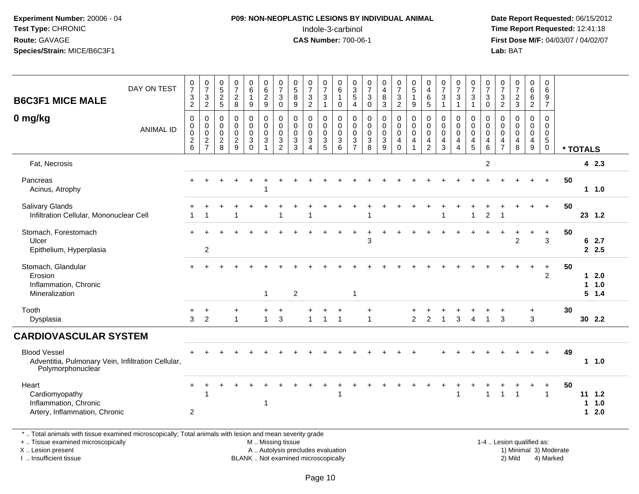# **P09: NON-NEOPLASTIC LESIONS BY INDIVIDUAL ANIMAL**Indole-3-carbinol **Time Report Requested:** 12:41:18

 **Date Report Requested:** 06/15/2012 **First Dose M/F:** 04/03/07 / 04/02/07<br>Lab: BAT **Lab:** BAT

| <b>B6C3F1 MICE MALE</b>                                                                                                                        | DAY ON TEST      | $\frac{0}{7}$<br>$\ensuremath{\mathsf{3}}$              | $\begin{array}{c} 0 \\ 7 \end{array}$<br>$\sqrt{3}$ | $\boldsymbol{0}$<br>$\overline{5}$<br>$\overline{c}$ | 0<br>$\overline{7}$<br>$\boldsymbol{2}$     | 0<br>6<br>$\mathbf{1}$                      | 0<br>$6\overline{6}$<br>$\overline{c}$                   | $\frac{0}{7}$<br>$\sqrt{3}$             | $\begin{array}{c} 0 \\ 5 \end{array}$<br>$\, 8$ | $\frac{0}{7}$<br>$\sqrt{3}$                                  | 0<br>$\overline{7}$<br>$\sqrt{3}$    | 0<br>$6\phantom{a}$<br>$\mathbf{1}$           | 0<br>$\overline{3}$<br>$\overline{5}$   | $\begin{array}{c} 0 \\ 7 \end{array}$<br>$\sqrt{3}$ | $\begin{smallmatrix} 0\\4 \end{smallmatrix}$<br>$\,8\,$                 | $\begin{array}{c} 0 \\ 7 \end{array}$<br>$\ensuremath{\mathsf{3}}$ | 0<br>$\overline{5}$<br>$\mathbf{1}$                          | 0<br>$\overline{4}$<br>$\,6\,$                                 | 0<br>$\overline{7}$<br>$\ensuremath{\mathsf{3}}$                      | $\frac{0}{7}$<br>3            | $\frac{0}{7}$<br>$\mathbf{3}$                                          | $\frac{0}{7}$<br>$\sqrt{3}$                                    | $\frac{0}{7}$<br>$\frac{3}{2}$              | $\begin{array}{c} 0 \\ 7 \end{array}$<br>$\frac{2}{3}$ | 0<br>$\,6$<br>$\,6\,$                                  | 0<br>6<br>$\boldsymbol{9}$                              |    |                   |                          |  |
|------------------------------------------------------------------------------------------------------------------------------------------------|------------------|---------------------------------------------------------|-----------------------------------------------------|------------------------------------------------------|---------------------------------------------|---------------------------------------------|----------------------------------------------------------|-----------------------------------------|-------------------------------------------------|--------------------------------------------------------------|--------------------------------------|-----------------------------------------------|-----------------------------------------|-----------------------------------------------------|-------------------------------------------------------------------------|--------------------------------------------------------------------|--------------------------------------------------------------|----------------------------------------------------------------|-----------------------------------------------------------------------|-------------------------------|------------------------------------------------------------------------|----------------------------------------------------------------|---------------------------------------------|--------------------------------------------------------|--------------------------------------------------------|---------------------------------------------------------|----|-------------------|--------------------------|--|
| 0 mg/kg                                                                                                                                        |                  | $\overline{c}$<br>$\,0\,$                               | $\overline{2}$<br>$\pmb{0}$                         | $\sqrt{5}$<br>0                                      | 8<br>$\mathbf 0$                            | $\boldsymbol{9}$<br>0                       | 9<br>0                                                   | $\pmb{0}$<br>$\pmb{0}$                  | $\boldsymbol{9}$<br>$\mathbf 0$                 | $\overline{2}$<br>$\mathbf 0$                                | $\mathbf{1}$<br>0                    | $\mathbf 0$<br>$\mathbf 0$                    | $\overline{4}$<br>$\mathbf 0$           | $\mathbf 0$<br>$\mathbf 0$                          | $\mathfrak{Z}$<br>$\pmb{0}$                                             | $\overline{2}$<br>$\mathbf 0$                                      | 9<br>$\mathbf 0$                                             | $\sqrt{5}$<br>$\mathbf 0$                                      | $\mathbf{1}$<br>$\mathbf 0$                                           | $\mathbf{1}$<br>0             | $\mathbf{1}$<br>0                                                      | $\mathsf 0$<br>$\mathbf 0$                                     | $\mathbf 0$                                 | $\mathbf 0$                                            | $\boldsymbol{2}$<br>$\mathbf 0$                        | $\overline{7}$<br>0                                     |    |                   |                          |  |
|                                                                                                                                                | <b>ANIMAL ID</b> | $\pmb{0}$<br>$\begin{array}{c} 0 \\ 2 \\ 6 \end{array}$ | 00027                                               | $\mathbf 0$<br>$\mathbf 0$<br>$\frac{2}{8}$          | $\mathbf 0$<br>$\mathbf 0$<br>$\frac{2}{9}$ | $\mathbf 0$<br>$\mathbf 0$<br>3<br>$\Omega$ | $\pmb{0}$<br>$\mathbf 0$<br>$\sqrt{3}$<br>$\overline{1}$ | $\pmb{0}$<br>$\pmb{0}$<br>$\frac{3}{2}$ | $\mathbf 0$<br>$\mathbf 0$<br>$\mathbf{3}$<br>3 | $\mathbf 0$<br>$\mathbf 0$<br>$\mathbf{3}$<br>$\overline{4}$ | $\mathbf 0$<br>$\mathbf 0$<br>3<br>5 | $\mathbf 0$<br>$\mathbf 0$<br>$\sqrt{3}$<br>6 | $\mathbf 0$<br>0<br>3<br>$\overline{7}$ | $\mathbf 0$<br>$\mathbf 0$<br>$\mathbf{3}$<br>8     | $\mathbf 0$<br>$\pmb{0}$<br>$\ensuremath{\mathsf{3}}$<br>$\overline{9}$ | $\mathbf 0$<br>$\mathbf 0$<br>$\overline{4}$<br>$\mathbf 0$        | $\mathbf 0$<br>$\mathbf 0$<br>$\overline{4}$<br>$\mathbf{1}$ | $\mathbf 0$<br>$\mathbf 0$<br>$\overline{4}$<br>$\overline{2}$ | $\mathbf 0$<br>$\mathbf 0$<br>$\overline{\mathbf{4}}$<br>$\mathbf{3}$ | 0<br>0<br>4<br>$\overline{4}$ | $\mathsf{O}\xspace$<br>$\mathbf 0$<br>$\overline{4}$<br>$\overline{5}$ | $\mathbf 0$<br>$\mathbf 0$<br>$\overline{4}$<br>$6\phantom{1}$ | $\mathbf 0$<br>$\mathbf 0$<br>$\frac{4}{7}$ | $\Omega$<br>$\mathbf 0$<br>4<br>8                      | $\mathbf 0$<br>0<br>$\overline{4}$<br>$\boldsymbol{9}$ | $\mathbf 0$<br>$\mathbf 0$<br>$\sqrt{5}$<br>$\mathbf 0$ |    | * TOTALS          |                          |  |
| Fat, Necrosis                                                                                                                                  |                  |                                                         |                                                     |                                                      |                                             |                                             |                                                          |                                         |                                                 |                                                              |                                      |                                               |                                         |                                                     |                                                                         |                                                                    |                                                              |                                                                |                                                                       |                               |                                                                        | $\overline{c}$                                                 |                                             |                                                        |                                                        |                                                         |    |                   | 42.3                     |  |
| Pancreas<br>Acinus, Atrophy                                                                                                                    |                  |                                                         |                                                     |                                                      |                                             |                                             |                                                          |                                         |                                                 |                                                              |                                      |                                               |                                         |                                                     |                                                                         |                                                                    |                                                              |                                                                |                                                                       |                               |                                                                        |                                                                |                                             |                                                        |                                                        | $\ddot{}$                                               | 50 |                   | $1 \t1.0$                |  |
| Salivary Glands<br>Infiltration Cellular, Mononuclear Cell                                                                                     |                  |                                                         | -1                                                  |                                                      |                                             |                                             |                                                          | -1                                      |                                                 |                                                              |                                      |                                               |                                         |                                                     |                                                                         |                                                                    |                                                              |                                                                |                                                                       |                               | 1                                                                      | $\overline{c}$                                                 | -1                                          |                                                        |                                                        | $+$                                                     | 50 |                   | 23 1.2                   |  |
| Stomach, Forestomach<br>Ulcer<br>Epithelium, Hyperplasia                                                                                       |                  |                                                         | $\overline{2}$                                      |                                                      |                                             |                                             |                                                          |                                         |                                                 |                                                              |                                      |                                               |                                         | 3                                                   |                                                                         |                                                                    |                                                              |                                                                |                                                                       |                               |                                                                        |                                                                |                                             | $\overline{c}$                                         |                                                        | $\ddot{}$<br>$\mathbf{3}$                               | 50 |                   | 62.7<br>2.5              |  |
| Stomach, Glandular<br>Erosion<br>Inflammation, Chronic<br>Mineralization                                                                       |                  |                                                         |                                                     |                                                      |                                             |                                             | 1                                                        |                                         | $\overline{2}$                                  |                                                              |                                      |                                               | $\mathbf{1}$                            |                                                     |                                                                         |                                                                    |                                                              |                                                                |                                                                       |                               |                                                                        |                                                                |                                             |                                                        |                                                        | $\ddot{}$<br>$\overline{2}$                             | 50 | $\mathbf 1$<br>1  | 2.0<br>1.0<br>5 1.4      |  |
| Tooth<br>Dysplasia                                                                                                                             |                  | +<br>3                                                  | $\ddot{}$<br>$\overline{2}$                         |                                                      | +<br>$\mathbf{1}$                           |                                             | $\ddot{}$<br>$\mathbf{1}$                                | $\ddot{}$<br>$\mathbf{3}$               |                                                 | $\mathbf{1}$                                                 | +<br>$\overline{1}$                  | $\ddot{}$<br>$\overline{1}$                   |                                         | ÷<br>$\mathbf{1}$                                   |                                                                         |                                                                    | $\overline{2}$                                               | $\overline{2}$                                                 | -1                                                                    | $\sqrt{3}$                    | $\overline{4}$                                                         | $\overline{1}$                                                 | $\ddot{}$<br>3                              |                                                        | $\ddot{}$<br>3                                         |                                                         | 30 |                   | 30 2.2                   |  |
| <b>CARDIOVASCULAR SYSTEM</b>                                                                                                                   |                  |                                                         |                                                     |                                                      |                                             |                                             |                                                          |                                         |                                                 |                                                              |                                      |                                               |                                         |                                                     |                                                                         |                                                                    |                                                              |                                                                |                                                                       |                               |                                                                        |                                                                |                                             |                                                        |                                                        |                                                         |    |                   |                          |  |
| <b>Blood Vessel</b><br>Adventitia, Pulmonary Vein, Infiltration Cellular,<br>Polymorphonuclear                                                 |                  |                                                         |                                                     |                                                      |                                             |                                             |                                                          |                                         |                                                 |                                                              |                                      |                                               |                                         |                                                     |                                                                         |                                                                    |                                                              |                                                                |                                                                       |                               |                                                                        |                                                                |                                             |                                                        |                                                        |                                                         | 49 |                   | 11.0                     |  |
| Heart<br>Cardiomyopathy<br>Inflammation, Chronic<br>Artery, Inflammation, Chronic                                                              |                  | $+$<br>$\mathbf{2}$                                     |                                                     |                                                      |                                             |                                             |                                                          |                                         |                                                 |                                                              |                                      |                                               |                                         |                                                     |                                                                         |                                                                    |                                                              |                                                                |                                                                       | -1                            |                                                                        |                                                                | 1                                           | -1                                                     |                                                        | $\ddot{}$<br>$\mathbf{1}$                               | 50 | 1<br>$\mathbf{1}$ | $11 \t1.2$<br>1.0<br>2.0 |  |
| *  Total animals with tissue examined microscopically; Total animals with lesion and mean severity grade<br>+  Tissue examined microscopically |                  |                                                         |                                                     |                                                      |                                             |                                             | M  Missing tissue                                        |                                         |                                                 |                                                              |                                      |                                               |                                         |                                                     |                                                                         |                                                                    |                                                              |                                                                |                                                                       |                               |                                                                        |                                                                |                                             | 1-4  Lesion qualified as:                              |                                                        |                                                         |    |                   |                          |  |

X .. Lesion present

I .. Insufficient tissue

 M .. Missing tissueA .. Autolysis precludes evaluation

BLANK .. Not examined microscopically 2) Mild 4) Marked

1-4 .. Lesion qualified as:<br>1) Minimal 3) Moderate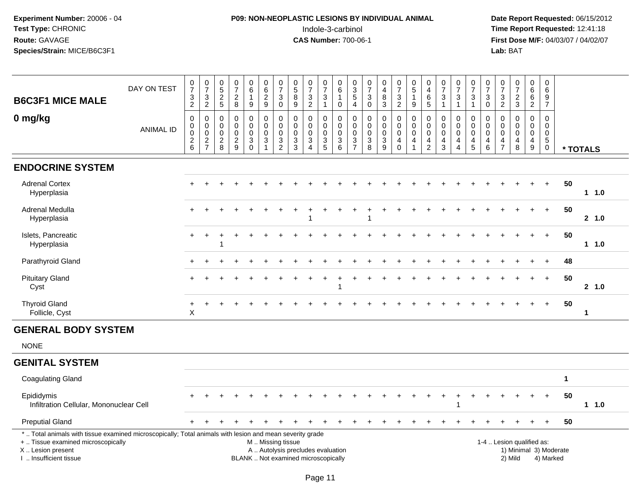# **P09: NON-NEOPLASTIC LESIONS BY INDIVIDUAL ANIMAL**Indole-3-carbinol **Time Report Requested:** 12:41:18

| <b>B6C3F1 MICE MALE</b>                                                                                                                                                                       | DAY ON TEST      | $\frac{0}{7}$<br>$\frac{3}{2}$                 | $\frac{0}{7}$<br>$\mathbf{3}$<br>$\overline{2}$          | $\begin{array}{c} 0 \\ 5 \end{array}$<br>$\frac{2}{5}$  | $\frac{0}{7}$<br>$\boldsymbol{2}$<br>$\overline{8}$    | $\begin{array}{c} 0 \\ 6 \end{array}$<br>$\mathbf{1}$<br>$\boldsymbol{9}$ | $\begin{array}{c} 0 \\ 6 \end{array}$<br>$\frac{2}{9}$    | $\begin{array}{c} 0 \\ 7 \end{array}$<br>$\sqrt{3}$<br>$\mathbf 0$ | $\begin{array}{c} 0 \\ 5 \end{array}$<br>8<br>9                           | $\frac{0}{7}$<br>$\sqrt{3}$<br>$\overline{2}$                                          | $\frac{0}{7}$<br>$\mathbf{3}$<br>$\mathbf{1}$            | $\,0\,$<br>$6\phantom{a}$<br>$\mathbf{1}$<br>$\mathsf{O}\xspace$               | $\begin{array}{c} 0 \\ 3 \\ 5 \end{array}$<br>$\overline{4}$       | $\begin{array}{c} 0 \\ 7 \end{array}$<br>$\mathbf{3}$<br>0 | $\begin{smallmatrix}0\\4\end{smallmatrix}$<br>$\bf 8$<br>$\overline{3}$ | $\begin{array}{c} 0 \\ 7 \end{array}$<br>3<br>$\overline{2}$ | $\begin{array}{c} 0 \\ 5 \end{array}$<br>$\mathbf{1}$<br>$\overline{9}$        | 0<br>$\overline{4}$<br>6<br>$\overline{5}$                          | $\frac{0}{7}$<br>$\ensuremath{\mathsf{3}}$<br>$\overline{1}$                | $\begin{array}{c} 0 \\ 7 \end{array}$<br>$\sqrt{3}$<br>$\mathbf{1}$                           | $\frac{0}{7}$<br>$\mathbf{3}$<br>$\overline{1}$ | $\frac{0}{7}$<br>$\mathbf{3}$<br>$\overline{0}$                                | $\frac{0}{7}$<br>$\mathbf{3}$<br>$\overline{2}$                            | $\begin{array}{c} 0 \\ 7 \end{array}$<br>$\frac{2}{3}$         | 0<br>$6\phantom{a}$<br>6<br>$\overline{2}$                       | $\pmb{0}$<br>$6\phantom{1}$<br>$\frac{9}{7}$                     |                      |              |
|-----------------------------------------------------------------------------------------------------------------------------------------------------------------------------------------------|------------------|------------------------------------------------|----------------------------------------------------------|---------------------------------------------------------|--------------------------------------------------------|---------------------------------------------------------------------------|-----------------------------------------------------------|--------------------------------------------------------------------|---------------------------------------------------------------------------|----------------------------------------------------------------------------------------|----------------------------------------------------------|--------------------------------------------------------------------------------|--------------------------------------------------------------------|------------------------------------------------------------|-------------------------------------------------------------------------|--------------------------------------------------------------|--------------------------------------------------------------------------------|---------------------------------------------------------------------|-----------------------------------------------------------------------------|-----------------------------------------------------------------------------------------------|-------------------------------------------------|--------------------------------------------------------------------------------|----------------------------------------------------------------------------|----------------------------------------------------------------|------------------------------------------------------------------|------------------------------------------------------------------|----------------------|--------------|
| 0 mg/kg                                                                                                                                                                                       | <b>ANIMAL ID</b> | $\mathbf 0$<br>0<br>$\pmb{0}$<br>$\frac{2}{6}$ | $\mathbf 0$<br>$\mathbf 0$<br>$\pmb{0}$<br>$\frac{2}{7}$ | $\mathbf 0$<br>0<br>$\mathsf{O}\xspace$<br>$^2_{\bf 8}$ | $\pmb{0}$<br>$\mathbf 0$<br>$\pmb{0}$<br>$\frac{2}{9}$ | $\pmb{0}$<br>$\pmb{0}$<br>$\pmb{0}$<br>$_{0}^{3}$                         | $\mathbf 0$<br>$\mathbf 0$<br>$\mathbf 0$<br>$\mathbf{3}$ | $\boldsymbol{0}$<br>$\overline{0}$<br>$\pmb{0}$<br>$\frac{3}{2}$   | $\mathbf 0$<br>$\mathbf 0$<br>$\mathbf 0$<br>$\mathbf{3}$<br>$\mathbf{3}$ | $\mathbf 0$<br>$\mathbf 0$<br>$\pmb{0}$<br>$\ensuremath{\mathsf{3}}$<br>$\overline{4}$ | $\mathbf 0$<br>$\mathbf 0$<br>$\pmb{0}$<br>$\frac{3}{5}$ | 0<br>$\mathbf 0$<br>$\mathbf 0$<br>$\ensuremath{\mathsf{3}}$<br>$6\phantom{1}$ | $\mathbf 0$<br>$\ddot{\mathbf{0}}$<br>$\mathbf 0$<br>$\frac{3}{7}$ | 0<br>$\mathbf 0$<br>$\pmb{0}$<br>3<br>8                    | $\mathbf 0$<br>$\ddot{\mathbf{0}}$<br>$\pmb{0}$<br>$\frac{3}{9}$        | 0<br>$\overline{0}$<br>$\mathbf 0$<br>4<br>$\mathbf 0$       | $\pmb{0}$<br>$\overline{0}$<br>$\mathbf 0$<br>$\overline{4}$<br>$\overline{1}$ | 0<br>$\mathbf 0$<br>$\mathbf 0$<br>$\overline{4}$<br>$\overline{2}$ | $\mathbf 0$<br>$\mathbf 0$<br>$\mathbf 0$<br>$\overline{4}$<br>$\mathbf{3}$ | $\mathbf 0$<br>$\mathbf 0$<br>$\mathsf{O}\xspace$<br>$\overline{4}$<br>$\boldsymbol{\Lambda}$ | 0<br>0<br>$\mathbf 0$<br>$\overline{4}$<br>5    | $\mathbf 0$<br>$\mathbf 0$<br>$\mathbf 0$<br>$\overline{4}$<br>$6\phantom{1}6$ | $\mathbf 0$<br>$\Omega$<br>$\mathbf 0$<br>$\overline{4}$<br>$\overline{7}$ | $\mathbf 0$<br>$\Omega$<br>$\mathbf 0$<br>$\overline{4}$<br>8  | $\mathbf 0$<br>$\mathbf 0$<br>$\mathbf 0$<br>$\overline{4}$<br>9 | 0<br>$\mathbf 0$<br>$\mathbf 0$<br>$\overline{5}$<br>$\mathbf 0$ |                      | * TOTALS     |
| <b>ENDOCRINE SYSTEM</b>                                                                                                                                                                       |                  |                                                |                                                          |                                                         |                                                        |                                                                           |                                                           |                                                                    |                                                                           |                                                                                        |                                                          |                                                                                |                                                                    |                                                            |                                                                         |                                                              |                                                                                |                                                                     |                                                                             |                                                                                               |                                                 |                                                                                |                                                                            |                                                                |                                                                  |                                                                  |                      |              |
| <b>Adrenal Cortex</b><br>Hyperplasia                                                                                                                                                          |                  |                                                |                                                          |                                                         |                                                        |                                                                           |                                                           |                                                                    |                                                                           |                                                                                        |                                                          |                                                                                |                                                                    |                                                            |                                                                         |                                                              |                                                                                |                                                                     |                                                                             |                                                                                               |                                                 |                                                                                |                                                                            |                                                                |                                                                  | $+$                                                              | 50                   | $1 1.0$      |
| <b>Adrenal Medulla</b><br>Hyperplasia                                                                                                                                                         |                  |                                                |                                                          |                                                         |                                                        |                                                                           |                                                           |                                                                    |                                                                           |                                                                                        |                                                          |                                                                                |                                                                    |                                                            |                                                                         |                                                              |                                                                                |                                                                     |                                                                             |                                                                                               |                                                 |                                                                                |                                                                            |                                                                |                                                                  | $+$                                                              | 50                   | 2 1.0        |
| Islets, Pancreatic<br>Hyperplasia                                                                                                                                                             |                  | $\pm$                                          | $\ddot{}$                                                | 1                                                       |                                                        |                                                                           |                                                           |                                                                    |                                                                           |                                                                                        |                                                          |                                                                                |                                                                    |                                                            |                                                                         |                                                              |                                                                                |                                                                     |                                                                             |                                                                                               |                                                 |                                                                                |                                                                            |                                                                |                                                                  | $\ddot{}$                                                        | 50                   | $1 \t1.0$    |
| Parathyroid Gland                                                                                                                                                                             |                  |                                                |                                                          |                                                         |                                                        |                                                                           |                                                           |                                                                    |                                                                           |                                                                                        |                                                          |                                                                                |                                                                    |                                                            |                                                                         |                                                              |                                                                                |                                                                     |                                                                             |                                                                                               |                                                 |                                                                                |                                                                            |                                                                |                                                                  |                                                                  | 48                   |              |
| <b>Pituitary Gland</b><br>Cyst                                                                                                                                                                |                  |                                                |                                                          |                                                         |                                                        |                                                                           |                                                           |                                                                    |                                                                           |                                                                                        |                                                          |                                                                                |                                                                    |                                                            |                                                                         |                                                              |                                                                                |                                                                     |                                                                             |                                                                                               |                                                 |                                                                                |                                                                            |                                                                |                                                                  | $+$                                                              | 50                   | 2, 1.0       |
| <b>Thyroid Gland</b><br>Follicle, Cyst                                                                                                                                                        |                  | +<br>$\boldsymbol{\mathsf{X}}$                 |                                                          |                                                         |                                                        |                                                                           |                                                           |                                                                    |                                                                           |                                                                                        |                                                          |                                                                                |                                                                    |                                                            |                                                                         |                                                              |                                                                                |                                                                     |                                                                             |                                                                                               |                                                 |                                                                                |                                                                            |                                                                |                                                                  |                                                                  | 50                   | $\mathbf{1}$ |
| <b>GENERAL BODY SYSTEM</b>                                                                                                                                                                    |                  |                                                |                                                          |                                                         |                                                        |                                                                           |                                                           |                                                                    |                                                                           |                                                                                        |                                                          |                                                                                |                                                                    |                                                            |                                                                         |                                                              |                                                                                |                                                                     |                                                                             |                                                                                               |                                                 |                                                                                |                                                                            |                                                                |                                                                  |                                                                  |                      |              |
| <b>NONE</b>                                                                                                                                                                                   |                  |                                                |                                                          |                                                         |                                                        |                                                                           |                                                           |                                                                    |                                                                           |                                                                                        |                                                          |                                                                                |                                                                    |                                                            |                                                                         |                                                              |                                                                                |                                                                     |                                                                             |                                                                                               |                                                 |                                                                                |                                                                            |                                                                |                                                                  |                                                                  |                      |              |
| <b>GENITAL SYSTEM</b>                                                                                                                                                                         |                  |                                                |                                                          |                                                         |                                                        |                                                                           |                                                           |                                                                    |                                                                           |                                                                                        |                                                          |                                                                                |                                                                    |                                                            |                                                                         |                                                              |                                                                                |                                                                     |                                                                             |                                                                                               |                                                 |                                                                                |                                                                            |                                                                |                                                                  |                                                                  |                      |              |
| <b>Coagulating Gland</b>                                                                                                                                                                      |                  |                                                |                                                          |                                                         |                                                        |                                                                           |                                                           |                                                                    |                                                                           |                                                                                        |                                                          |                                                                                |                                                                    |                                                            |                                                                         |                                                              |                                                                                |                                                                     |                                                                             |                                                                                               |                                                 |                                                                                |                                                                            |                                                                |                                                                  |                                                                  | $\blacktriangleleft$ |              |
| Epididymis<br>Infiltration Cellular, Mononuclear Cell                                                                                                                                         |                  |                                                |                                                          |                                                         |                                                        |                                                                           |                                                           |                                                                    |                                                                           |                                                                                        |                                                          |                                                                                |                                                                    |                                                            |                                                                         |                                                              |                                                                                |                                                                     |                                                                             |                                                                                               |                                                 |                                                                                |                                                                            |                                                                |                                                                  |                                                                  | 50                   | $1 \t1.0$    |
| <b>Preputial Gland</b>                                                                                                                                                                        |                  |                                                |                                                          |                                                         |                                                        |                                                                           |                                                           |                                                                    |                                                                           |                                                                                        |                                                          |                                                                                |                                                                    |                                                            |                                                                         |                                                              |                                                                                |                                                                     |                                                                             |                                                                                               |                                                 |                                                                                |                                                                            |                                                                |                                                                  |                                                                  | 50                   |              |
| *  Total animals with tissue examined microscopically; Total animals with lesion and mean severity grade<br>+  Tissue examined microscopically<br>X  Lesion present<br>I  Insufficient tissue |                  |                                                |                                                          |                                                         |                                                        |                                                                           | M  Missing tissue                                         |                                                                    | A  Autolysis precludes evaluation<br>BLANK  Not examined microscopically  |                                                                                        |                                                          |                                                                                |                                                                    |                                                            |                                                                         |                                                              |                                                                                |                                                                     |                                                                             |                                                                                               |                                                 |                                                                                |                                                                            | 1-4  Lesion qualified as:<br>1) Minimal 3) Moderate<br>2) Mild |                                                                  | 4) Marked                                                        |                      |              |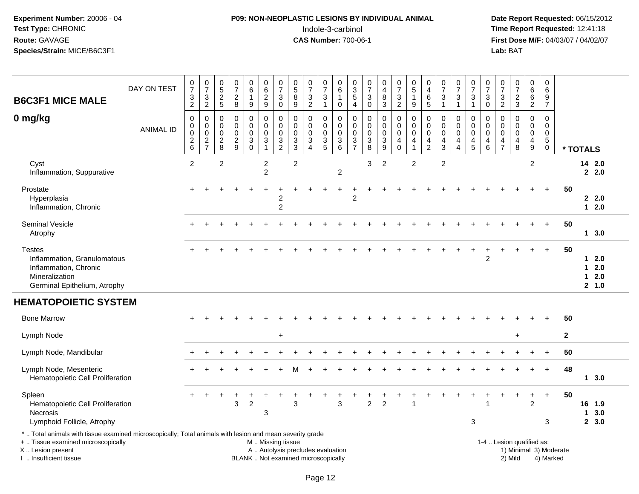# **P09: NON-NEOPLASTIC LESIONS BY INDIVIDUAL ANIMAL**Indole-3-carbinol **Time Report Requested:** 12:41:18

| <b>B6C3F1 MICE MALE</b>                                                                                                                                                                       | DAY ON TEST      | $\frac{0}{7}$<br>3<br>$\overline{a}$             | $\begin{smallmatrix}0\\7\end{smallmatrix}$<br>3<br>$\overline{2}$ | $0$<br>$5$<br>$2$<br>$5$                                | $\frac{0}{7}$<br>$\boldsymbol{2}$<br>$\bf 8$             | $\mathbf 0$<br>$\,6\,$<br>$\mathbf{1}$<br>9           | $\pmb{0}$<br>$\,6\,$<br>$\sqrt{2}$<br>$9\,$                               | 0<br>$\overline{7}$<br>3<br>$\pmb{0}$                            | $\pmb{0}$<br>$\sqrt{5}$<br>8<br>$\boldsymbol{9}$      | $\frac{0}{7}$<br>$\mathbf{3}$<br>$\overline{2}$                                           | $\mathbf 0$<br>$\overline{7}$<br>3<br>$\mathbf{1}$         | 0<br>$\,6\,$<br>$\mathbf{1}$<br>$\mathbf 0$                | 0<br>$\sqrt{3}$<br>$\overline{5}$<br>$\overline{4}$        | $\frac{0}{7}$<br>3<br>$\pmb{0}$                        | 0<br>$\overline{4}$<br>8<br>3                | $\begin{smallmatrix}0\\7\end{smallmatrix}$<br>$\mathbf{3}$<br>$\overline{2}$ | $\begin{array}{c} 0 \\ 5 \end{array}$<br>$\mathbf{1}$<br>$\boldsymbol{9}$ | 0<br>$\overline{4}$<br>$\,6\,$<br>$\sqrt{5}$                                          | $\begin{array}{c} 0 \\ 7 \end{array}$<br>3<br>$\mathbf{1}$                   | $\frac{0}{7}$<br>3<br>$\mathbf{1}$                              | $\frac{0}{7}$<br>$\mathbf{3}$<br>$\mathbf{1}$                                    | $\frac{0}{7}$<br>$\sqrt{3}$<br>$\mathbf 0$                    | 0<br>$\overline{7}$<br>3<br>$\overline{2}$             | $\begin{array}{c} 0 \\ 7 \end{array}$<br>$\sqrt{2}$<br>$\sqrt{3}$ | 0<br>$\,6\,$<br>$\,6\,$<br>$\overline{2}$                                      | 0<br>6<br>9<br>$\overline{7}$                                             |                        |                       |                             |  |
|-----------------------------------------------------------------------------------------------------------------------------------------------------------------------------------------------|------------------|--------------------------------------------------|-------------------------------------------------------------------|---------------------------------------------------------|----------------------------------------------------------|-------------------------------------------------------|---------------------------------------------------------------------------|------------------------------------------------------------------|-------------------------------------------------------|-------------------------------------------------------------------------------------------|------------------------------------------------------------|------------------------------------------------------------|------------------------------------------------------------|--------------------------------------------------------|----------------------------------------------|------------------------------------------------------------------------------|---------------------------------------------------------------------------|---------------------------------------------------------------------------------------|------------------------------------------------------------------------------|-----------------------------------------------------------------|----------------------------------------------------------------------------------|---------------------------------------------------------------|--------------------------------------------------------|-------------------------------------------------------------------|--------------------------------------------------------------------------------|---------------------------------------------------------------------------|------------------------|-----------------------|-----------------------------|--|
| 0 mg/kg                                                                                                                                                                                       | <b>ANIMAL ID</b> | $\mathbf 0$<br>0<br>$\mathbf 0$<br>$\frac{2}{6}$ | 0<br>$\mathbf 0$<br>$\pmb{0}$<br>$\frac{2}{7}$                    | $\mathbf 0$<br>0<br>$\mathsf{O}\xspace$<br>$_{\rm 8}^2$ | $\pmb{0}$<br>$\mathbf 0$<br>$\mathbf 0$<br>$\frac{2}{9}$ | $\pmb{0}$<br>$\mathbf 0$<br>$\pmb{0}$<br>$_{\rm 0}^3$ | $\mathbf 0$<br>$\mathbf 0$<br>$\mathbf 0$<br>$\sqrt{3}$<br>$\overline{1}$ | $\mathbf 0$<br>$\mathbf 0$<br>$\mathbf 0$<br>3<br>$\overline{2}$ | 0<br>$\Omega$<br>$\mathsf{O}\xspace$<br>$\frac{3}{3}$ | $\mathbf 0$<br>$\mathbf 0$<br>$\mathsf{O}\xspace$<br>$\sqrt{3}$<br>$\boldsymbol{\Lambda}$ | $\mathbf 0$<br>$\mathbf 0$<br>$\mathbf 0$<br>$\frac{3}{5}$ | $\mathbf 0$<br>$\mathbf 0$<br>$\mathbf 0$<br>$\frac{3}{6}$ | $\mathbf 0$<br>$\mathbf 0$<br>$\mathbf 0$<br>$\frac{3}{7}$ | 0<br>$\mathbf 0$<br>$\mathbf 0$<br>3<br>$\overline{8}$ | 0<br>$\mathbf 0$<br>0<br>3<br>$\overline{9}$ | $\mathbf 0$<br>0<br>$\mathsf 0$<br>$\begin{array}{c} 4 \\ 0 \end{array}$     | $\mathbf 0$<br>$\mathbf 0$<br>$\mathbf 0$<br>4<br>$\mathbf{1}$            | $\mathbf 0$<br>$\mathbf 0$<br>$\mathsf{O}\xspace$<br>$\overline{4}$<br>$\overline{2}$ | $\mathbf 0$<br>$\mathbf{0}$<br>$\mathbf 0$<br>$\overline{4}$<br>$\mathbf{3}$ | 0<br>$\mathbf 0$<br>$\mathbf 0$<br>4<br>$\overline{\mathbf{4}}$ | $\mathbf 0$<br>$\mathbf 0$<br>$\pmb{0}$<br>$\begin{array}{c} 4 \\ 5 \end{array}$ | $\pmb{0}$<br>$\mathbf 0$<br>$\mathsf{O}\xspace$<br>4<br>$\,6$ | $\mathbf 0$<br>0<br>$\mathbf 0$<br>4<br>$\overline{7}$ | $\mathbf 0$<br>$\mathbf{0}$<br>$\mathbf 0$<br>4<br>$\,8\,$        | 0<br>$\mathbf 0$<br>$\mathbf 0$<br>$\overline{\mathbf{4}}$<br>$\boldsymbol{9}$ | $\mathbf 0$<br>$\mathbf 0$<br>$\pmb{0}$<br>$5\phantom{.0}$<br>$\mathsf 0$ |                        | * TOTALS              |                             |  |
| Cyst<br>Inflammation, Suppurative                                                                                                                                                             |                  | 2                                                |                                                                   | $\overline{2}$                                          |                                                          |                                                       | $\overline{c}$<br>$\overline{c}$                                          |                                                                  | $\overline{2}$                                        |                                                                                           |                                                            | $\overline{c}$                                             |                                                            | 3                                                      | $\overline{2}$                               |                                                                              | 2                                                                         |                                                                                       | $\overline{2}$                                                               |                                                                 |                                                                                  |                                                               |                                                        |                                                                   | $\overline{2}$                                                                 |                                                                           |                        |                       | 14 2.0<br>2.0               |  |
| Prostate<br>Hyperplasia<br>Inflammation, Chronic                                                                                                                                              |                  |                                                  |                                                                   |                                                         |                                                          |                                                       |                                                                           | 2<br>$\overline{c}$                                              |                                                       |                                                                                           |                                                            |                                                            | $\mathfrak{p}$                                             |                                                        |                                              |                                                                              |                                                                           |                                                                                       |                                                                              |                                                                 |                                                                                  |                                                               |                                                        |                                                                   |                                                                                |                                                                           | 50                     |                       | 2.0<br>$12.0$               |  |
| <b>Seminal Vesicle</b><br>Atrophy                                                                                                                                                             |                  |                                                  |                                                                   |                                                         |                                                          |                                                       |                                                                           |                                                                  |                                                       |                                                                                           |                                                            |                                                            |                                                            |                                                        |                                              |                                                                              |                                                                           |                                                                                       |                                                                              |                                                                 |                                                                                  |                                                               |                                                        |                                                                   |                                                                                | $\ddot{\phantom{1}}$                                                      | 50                     |                       | 13.0                        |  |
| <b>Testes</b><br>Inflammation, Granulomatous<br>Inflammation, Chronic<br>Mineralization<br>Germinal Epithelium, Atrophy                                                                       |                  |                                                  |                                                                   |                                                         |                                                          |                                                       |                                                                           |                                                                  |                                                       |                                                                                           |                                                            |                                                            |                                                            |                                                        |                                              |                                                                              |                                                                           |                                                                                       |                                                                              |                                                                 |                                                                                  | $\overline{2}$                                                |                                                        |                                                                   |                                                                                |                                                                           | 50                     | $\mathbf 1$<br>1<br>1 | 2.0<br>2.0<br>2.0<br>2, 1.0 |  |
| <b>HEMATOPOIETIC SYSTEM</b>                                                                                                                                                                   |                  |                                                  |                                                                   |                                                         |                                                          |                                                       |                                                                           |                                                                  |                                                       |                                                                                           |                                                            |                                                            |                                                            |                                                        |                                              |                                                                              |                                                                           |                                                                                       |                                                                              |                                                                 |                                                                                  |                                                               |                                                        |                                                                   |                                                                                |                                                                           |                        |                       |                             |  |
| <b>Bone Marrow</b>                                                                                                                                                                            |                  |                                                  |                                                                   |                                                         |                                                          |                                                       |                                                                           |                                                                  |                                                       |                                                                                           |                                                            |                                                            |                                                            |                                                        |                                              |                                                                              |                                                                           |                                                                                       |                                                                              |                                                                 |                                                                                  |                                                               |                                                        |                                                                   |                                                                                |                                                                           | 50                     |                       |                             |  |
| Lymph Node                                                                                                                                                                                    |                  |                                                  |                                                                   |                                                         |                                                          |                                                       |                                                                           | $\ddot{}$                                                        |                                                       |                                                                                           |                                                            |                                                            |                                                            |                                                        |                                              |                                                                              |                                                                           |                                                                                       |                                                                              |                                                                 |                                                                                  |                                                               |                                                        | $\ddot{}$                                                         |                                                                                |                                                                           | $\mathbf{2}$           |                       |                             |  |
| Lymph Node, Mandibular                                                                                                                                                                        |                  |                                                  |                                                                   |                                                         |                                                          |                                                       |                                                                           |                                                                  |                                                       |                                                                                           |                                                            |                                                            |                                                            |                                                        |                                              |                                                                              |                                                                           |                                                                                       |                                                                              |                                                                 |                                                                                  |                                                               |                                                        |                                                                   |                                                                                | $\overline{+}$                                                            | 50                     |                       |                             |  |
| Lymph Node, Mesenteric<br>Hematopoietic Cell Proliferation                                                                                                                                    |                  |                                                  |                                                                   |                                                         |                                                          |                                                       |                                                                           |                                                                  |                                                       |                                                                                           |                                                            |                                                            |                                                            |                                                        |                                              |                                                                              |                                                                           |                                                                                       |                                                                              |                                                                 |                                                                                  |                                                               |                                                        |                                                                   |                                                                                | $\ddot{}$                                                                 | 48                     |                       | 1, 3.0                      |  |
| Spleen<br>Hematopoietic Cell Proliferation<br>Necrosis<br>Lymphoid Follicle, Atrophy                                                                                                          |                  |                                                  |                                                                   |                                                         | 3                                                        | $\overline{c}$                                        | 3                                                                         |                                                                  | 3                                                     |                                                                                           |                                                            | 3                                                          |                                                            | $\overline{2}$                                         | $\overline{2}$                               |                                                                              |                                                                           |                                                                                       |                                                                              |                                                                 | 3                                                                                | 1                                                             |                                                        |                                                                   | $\overline{2}$                                                                 | $\ddot{}$<br>3                                                            | 50                     | 1                     | 16 1.9<br>3.0<br>2, 3.0     |  |
| *  Total animals with tissue examined microscopically; Total animals with lesion and mean severity grade<br>+  Tissue examined microscopically<br>X  Lesion present<br>I. Insufficient tissue |                  |                                                  |                                                                   |                                                         |                                                          |                                                       | M  Missing tissue                                                         |                                                                  |                                                       | A  Autolysis precludes evaluation<br>BLANK  Not examined microscopically                  |                                                            |                                                            |                                                            |                                                        |                                              |                                                                              |                                                                           |                                                                                       |                                                                              |                                                                 |                                                                                  |                                                               |                                                        | 1-4  Lesion qualified as:<br>2) Mild                              |                                                                                | 4) Marked                                                                 | 1) Minimal 3) Moderate |                       |                             |  |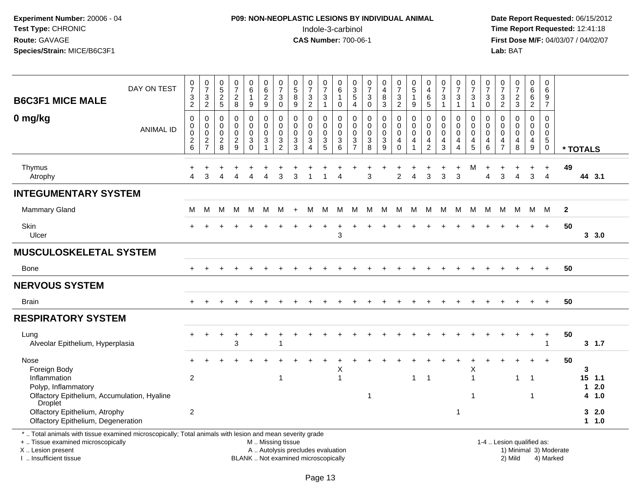# **P09: NON-NEOPLASTIC LESIONS BY INDIVIDUAL ANIMAL**Indole-3-carbinol **Time Report Requested:** 12:41:18

 **Date Report Requested:** 06/15/2012 **First Dose M/F:** 04/03/07 / 04/02/07<br>Lab: BAT **Lab:** BAT

| <b>B6C3F1 MICE MALE</b>                                                                                                                                             | DAY ON TEST      | $\mathbf 0$<br>$\overline{7}$<br>$\sqrt{3}$<br>$\overline{2}$ | $\boldsymbol{0}$<br>$\overline{7}$<br>$\mathbf{3}$<br>$\overline{2}$ | $\boldsymbol{0}$<br>$\sqrt{5}$<br>$\sqrt{2}$<br>5               | $\frac{0}{7}$<br>$\overline{c}$<br>8                       | $\pmb{0}$<br>$\,6\,$<br>$\mathbf{1}$<br>$9\,$     | $\begin{array}{c} 0 \\ 6 \end{array}$<br>$\overline{2}$<br>$\boldsymbol{9}$ | $\frac{0}{7}$<br>$\mathbf{3}$<br>$\overline{0}$          | $\begin{array}{c} 0 \\ 5 \\ 8 \end{array}$<br>9                              | $\frac{0}{7}$<br>$\sqrt{3}$<br>$\overline{2}$                                  | $\frac{0}{7}$<br>$\mathsf 3$<br>$\overline{1}$                  | 0<br>6<br>$\mathbf{1}$<br>$\Omega$  | $\begin{array}{c} 0 \\ 3 \\ 5 \end{array}$<br>$\overline{4}$ | $\begin{smallmatrix}0\\7\end{smallmatrix}$<br>$\sqrt{3}$<br>$\overline{0}$ | 0<br>$\overline{\mathbf{4}}$<br>$\bf 8$<br>$\mathfrak{Z}$ | $\frac{0}{7}$<br>$\mathbf{3}$<br>$\overline{2}$                         | 0<br>5<br>$\mathbf{1}$<br>$\boldsymbol{9}$  | 0<br>$\overline{4}$<br>6<br>$\overline{5}$                       | $\begin{array}{c} 0 \\ 7 \end{array}$<br>$\sqrt{3}$<br>$\overline{1}$ | $\frac{0}{7}$<br>$\mathbf{3}$<br>$\overline{1}$                     | $\frac{0}{7}$<br>$\sqrt{3}$<br>$\mathbf{1}$                                        | 0<br>$\overline{7}$<br>3<br>$\Omega$          | $\frac{0}{7}$<br>$\ensuremath{\mathsf{3}}$<br>$\overline{2}$ | $\frac{0}{7}$<br>$\frac{2}{3}$            | $\pmb{0}$<br>6<br>$6\phantom{1}$<br>$\overline{2}$               | 0<br>$\,6\,$<br>9<br>$\overline{7}$                     |                        |             |                          |
|---------------------------------------------------------------------------------------------------------------------------------------------------------------------|------------------|---------------------------------------------------------------|----------------------------------------------------------------------|-----------------------------------------------------------------|------------------------------------------------------------|---------------------------------------------------|-----------------------------------------------------------------------------|----------------------------------------------------------|------------------------------------------------------------------------------|--------------------------------------------------------------------------------|-----------------------------------------------------------------|-------------------------------------|--------------------------------------------------------------|----------------------------------------------------------------------------|-----------------------------------------------------------|-------------------------------------------------------------------------|---------------------------------------------|------------------------------------------------------------------|-----------------------------------------------------------------------|---------------------------------------------------------------------|------------------------------------------------------------------------------------|-----------------------------------------------|--------------------------------------------------------------|-------------------------------------------|------------------------------------------------------------------|---------------------------------------------------------|------------------------|-------------|--------------------------|
| 0 mg/kg                                                                                                                                                             | <b>ANIMAL ID</b> | $\mathbf 0$<br>$\mathbf 0$<br>$\mathbf 0$<br>$^2$ 6           | 0<br>$\mathbf 0$<br>$\mathbf 0$<br>$\frac{2}{7}$                     | $\mathbf 0$<br>$\Omega$<br>$\mathbf 0$<br>$\boldsymbol{2}$<br>8 | $\mathbf 0$<br>$\mathbf 0$<br>$\mathsf 0$<br>$\frac{2}{9}$ | 0<br>0<br>$\mathbf 0$<br>$\mathbf{3}$<br>$\Omega$ | $\mathbf 0$<br>$\mathbf 0$<br>$\mathbf 0$<br>$\sqrt{3}$                     | $\mathbf 0$<br>$\mathbf 0$<br>$\pmb{0}$<br>$\frac{3}{2}$ | $\mathbf 0$<br>$\mathbf{0}$<br>$\mathbf 0$<br>$\ensuremath{\mathsf{3}}$<br>3 | 0<br>$\mathbf 0$<br>$\mathbf 0$<br>$\ensuremath{\mathsf{3}}$<br>$\overline{4}$ | 0<br>$\mathbf 0$<br>$\pmb{0}$<br>$\ensuremath{\mathsf{3}}$<br>5 | 0<br>$\Omega$<br>$\Omega$<br>3<br>6 | $\mathbf 0$<br>0<br>$\mathbf 0$<br>$\frac{3}{7}$             | $\mathbf 0$<br>$\mathbf 0$<br>$\pmb{0}$<br>$\frac{3}{8}$                   | 0<br>$\mathbf 0$<br>$\pmb{0}$<br>$\frac{3}{9}$            | $\mathbf 0$<br>$\mathbf 0$<br>$\mathbf 0$<br>$\overline{4}$<br>$\Omega$ | $\mathbf 0$<br>$\Omega$<br>$\mathbf 0$<br>4 | 0<br>$\Omega$<br>$\mathbf 0$<br>$\overline{4}$<br>$\overline{2}$ | $\mathbf 0$<br>$\mathbf 0$<br>$\mathbf 0$<br>$\overline{4}$<br>3      | 0<br>$\mathbf 0$<br>$\mathbf 0$<br>$\overline{4}$<br>$\overline{4}$ | $\mathbf 0$<br>$\mathbf 0$<br>$\mathbf 0$<br>$\begin{array}{c} 4 \\ 5 \end{array}$ | $\mathbf 0$<br>$\Omega$<br>$\Omega$<br>4<br>6 | $\Omega$<br>$\Omega$<br>$\Omega$<br>4<br>$\overline{7}$      | $\mathbf 0$<br>$\mathbf 0$<br>0<br>4<br>8 | $\mathbf 0$<br>$\mathbf 0$<br>$\mathbf 0$<br>$\overline{4}$<br>9 | $\mathbf 0$<br>$\mathbf 0$<br>0<br>$5\phantom{.0}$<br>0 |                        | * TOTALS    |                          |
| Thymus<br>Atrophy                                                                                                                                                   |                  | Λ                                                             | З                                                                    |                                                                 | Δ                                                          | Δ                                                 | Δ                                                                           | 3                                                        | 3                                                                            | -1                                                                             | 1                                                               | Δ                                   |                                                              | $\mathbf{3}$                                                               |                                                           | 2                                                                       | 4                                           | 3                                                                | 3                                                                     | $\ddot{}$<br>3                                                      | м                                                                                  | ÷.<br>Δ                                       | 3                                                            | $\overline{4}$                            | +<br>3                                                           | $\ddot{}$<br>$\overline{4}$                             | 49                     |             | 44 3.1                   |
| <b>INTEGUMENTARY SYSTEM</b>                                                                                                                                         |                  |                                                               |                                                                      |                                                                 |                                                            |                                                   |                                                                             |                                                          |                                                                              |                                                                                |                                                                 |                                     |                                                              |                                                                            |                                                           |                                                                         |                                             |                                                                  |                                                                       |                                                                     |                                                                                    |                                               |                                                              |                                           |                                                                  |                                                         |                        |             |                          |
| <b>Mammary Gland</b>                                                                                                                                                |                  | м                                                             | м                                                                    | M                                                               | M                                                          | M                                                 | M                                                                           | м                                                        | $+$                                                                          | м                                                                              | M                                                               | м                                   | M                                                            | м                                                                          | M                                                         | M                                                                       | M                                           | M                                                                | M                                                                     | M                                                                   | M                                                                                  | M                                             | M                                                            | M                                         | M                                                                | M                                                       | $\mathbf{2}$           |             |                          |
| Skin<br>Ulcer                                                                                                                                                       |                  |                                                               |                                                                      |                                                                 |                                                            |                                                   |                                                                             |                                                          |                                                                              |                                                                                |                                                                 | 3                                   |                                                              |                                                                            |                                                           |                                                                         |                                             |                                                                  |                                                                       |                                                                     |                                                                                    |                                               |                                                              |                                           |                                                                  | $\ddot{}$                                               | 50                     |             | 3, 3.0                   |
| <b>MUSCULOSKELETAL SYSTEM</b>                                                                                                                                       |                  |                                                               |                                                                      |                                                                 |                                                            |                                                   |                                                                             |                                                          |                                                                              |                                                                                |                                                                 |                                     |                                                              |                                                                            |                                                           |                                                                         |                                             |                                                                  |                                                                       |                                                                     |                                                                                    |                                               |                                                              |                                           |                                                                  |                                                         |                        |             |                          |
| Bone                                                                                                                                                                |                  | $\ddot{}$                                                     |                                                                      |                                                                 |                                                            |                                                   |                                                                             |                                                          |                                                                              |                                                                                |                                                                 |                                     |                                                              |                                                                            |                                                           |                                                                         |                                             |                                                                  |                                                                       |                                                                     |                                                                                    |                                               |                                                              |                                           |                                                                  | $\div$                                                  | 50                     |             |                          |
| <b>NERVOUS SYSTEM</b>                                                                                                                                               |                  |                                                               |                                                                      |                                                                 |                                                            |                                                   |                                                                             |                                                          |                                                                              |                                                                                |                                                                 |                                     |                                                              |                                                                            |                                                           |                                                                         |                                             |                                                                  |                                                                       |                                                                     |                                                                                    |                                               |                                                              |                                           |                                                                  |                                                         |                        |             |                          |
| <b>Brain</b>                                                                                                                                                        |                  |                                                               |                                                                      |                                                                 |                                                            |                                                   |                                                                             |                                                          |                                                                              |                                                                                |                                                                 |                                     |                                                              |                                                                            |                                                           |                                                                         |                                             |                                                                  |                                                                       |                                                                     |                                                                                    |                                               |                                                              |                                           |                                                                  | $\ddot{}$                                               | 50                     |             |                          |
| <b>RESPIRATORY SYSTEM</b>                                                                                                                                           |                  |                                                               |                                                                      |                                                                 |                                                            |                                                   |                                                                             |                                                          |                                                                              |                                                                                |                                                                 |                                     |                                                              |                                                                            |                                                           |                                                                         |                                             |                                                                  |                                                                       |                                                                     |                                                                                    |                                               |                                                              |                                           |                                                                  |                                                         |                        |             |                          |
| Lung<br>Alveolar Epithelium, Hyperplasia                                                                                                                            |                  |                                                               |                                                                      |                                                                 | $\overline{ }$<br>3                                        | ÷                                                 |                                                                             |                                                          |                                                                              |                                                                                |                                                                 |                                     |                                                              |                                                                            |                                                           |                                                                         |                                             |                                                                  |                                                                       |                                                                     |                                                                                    |                                               |                                                              |                                           | $\ddot{}$                                                        | $\ddot{}$<br>1                                          | 50                     |             | 3, 1.7                   |
| Nose<br>Foreign Body                                                                                                                                                |                  |                                                               |                                                                      |                                                                 |                                                            |                                                   |                                                                             |                                                          |                                                                              |                                                                                |                                                                 | X                                   |                                                              |                                                                            |                                                           |                                                                         |                                             |                                                                  |                                                                       |                                                                     | X                                                                                  |                                               |                                                              |                                           |                                                                  |                                                         | 50                     | 3           |                          |
| Inflammation<br>Polyp, Inflammatory<br>Olfactory Epithelium, Accumulation, Hyaline                                                                                  |                  | $\overline{2}$                                                |                                                                      |                                                                 |                                                            |                                                   |                                                                             | 1                                                        |                                                                              |                                                                                |                                                                 | $\mathbf{1}$                        |                                                              | -1                                                                         |                                                           |                                                                         | $\mathbf 1$                                 | 1                                                                |                                                                       |                                                                     | $\overline{1}$<br>$\overline{\phantom{a}}$                                         |                                               |                                                              | $\mathbf{1}$                              | $\mathbf{1}$<br>1                                                |                                                         |                        | $\mathbf 1$ | $15$ 1.1<br>2.0<br>4 1.0 |
| Droplet<br>Olfactory Epithelium, Atrophy<br>Olfactory Epithelium, Degeneration                                                                                      |                  | $\overline{2}$                                                |                                                                      |                                                                 |                                                            |                                                   |                                                                             |                                                          |                                                                              |                                                                                |                                                                 |                                     |                                                              |                                                                            |                                                           |                                                                         |                                             |                                                                  |                                                                       | 1                                                                   |                                                                                    |                                               |                                                              |                                           |                                                                  |                                                         |                        |             | 32.0<br>11.0             |
| *  Total animals with tissue examined microscopically; Total animals with lesion and mean severity grade<br>+  Tissue examined microscopically<br>X  Lesion present |                  |                                                               |                                                                      |                                                                 |                                                            |                                                   | M  Missing tissue<br>A  Autolysis precludes evaluation                      |                                                          |                                                                              |                                                                                |                                                                 |                                     |                                                              |                                                                            |                                                           |                                                                         |                                             |                                                                  |                                                                       |                                                                     |                                                                                    |                                               | 1-4  Lesion qualified as:                                    |                                           |                                                                  |                                                         | 1) Minimal 3) Moderate |             |                          |

I .. Insufficient tissue

BLANK .. Not examined microscopically 2) Mild 4) Marked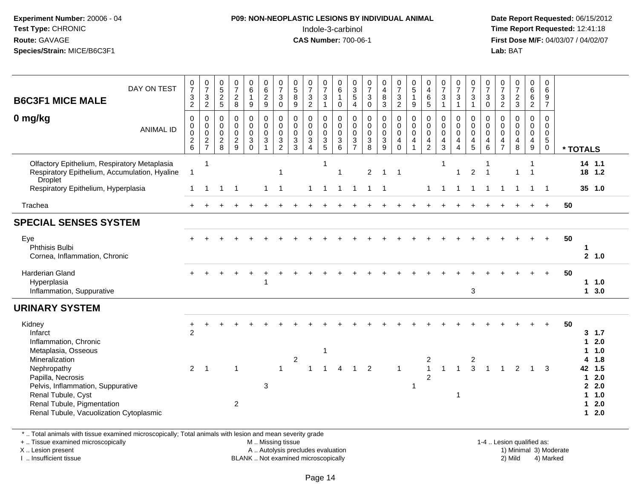#### **P09: NON-NEOPLASTIC LESIONS BY INDIVIDUAL ANIMAL**Indole-3-carbinol **Time Report Requested:** 12:41:18

 **Date Report Requested:** 06/15/2012 **First Dose M/F:** 04/03/07 / 04/02/07<br>Lab: BAT **Lab:** BAT

| DAY ON TEST<br><b>B6C3F1 MICE MALE</b>                                                                                                                                                 | 0<br>$\overline{7}$<br>$\ensuremath{\mathsf{3}}$<br>$\sqrt{2}$ | $\frac{0}{7}$<br>$\sqrt{3}$<br>$\overline{2}$                      | $\begin{matrix} 0 \\ 5 \end{matrix}$<br>$\boldsymbol{2}$<br>5 | $\frac{0}{7}$<br>$\overline{a}$<br>8                               | $\begin{matrix} 0 \\ 6 \end{matrix}$<br>$\mathbf{1}$<br>9   | $\begin{array}{c} 0 \\ 6 \end{array}$<br>$\sqrt{2}$<br>9 | $\frac{0}{7}$<br>$\sqrt{3}$<br>$\mathbf 0$                      | $\frac{0}{5}$<br>8<br>9                            | $\frac{0}{7}$<br>$\mathbf{3}$<br>$\overline{2}$                           | $\frac{0}{7}$<br>3<br>$\mathbf{1}$        | $_{6}^{\rm 0}$<br>$\mathbf{1}$<br>0      | 0<br>$\frac{3}{5}$<br>$\overline{4}$                            | $\frac{0}{7}$<br>$\sqrt{3}$<br>$\mathsf{O}\xspace$         | $\begin{smallmatrix}0\0\4\end{smallmatrix}$<br>$\,8\,$<br>$\mathbf{3}$ | $\frac{0}{7}$<br>$\mathbf{3}$<br>$\overline{2}$  | $\begin{matrix} 0 \\ 5 \end{matrix}$<br>$\mathbf{1}$<br>9                          | 0<br>$\overline{\mathbf{4}}$<br>6<br>5                                               | 0<br>$\overline{7}$<br>$\mathbf{3}$<br>$\mathbf{1}$   | $\frac{0}{7}$<br>$\sqrt{3}$<br>$\overline{1}$                                         | 0<br>$\overline{7}$<br>3<br>$\mathbf{1}$ | 0<br>$\overline{7}$<br>$\mathbf 3$<br>$\mathbf 0$              | 0<br>$\overline{7}$<br>$\ensuremath{\mathsf{3}}$<br>$\overline{2}$ | $\frac{0}{7}$<br>$\sqrt{2}$<br>$\mathbf{3}$                     | 0<br>$\overline{6}$<br>$\,6\,$<br>$\overline{2}$                               | 0<br>6<br>$\frac{9}{7}$                                                |    |                                                                                                                       |
|----------------------------------------------------------------------------------------------------------------------------------------------------------------------------------------|----------------------------------------------------------------|--------------------------------------------------------------------|---------------------------------------------------------------|--------------------------------------------------------------------|-------------------------------------------------------------|----------------------------------------------------------|-----------------------------------------------------------------|----------------------------------------------------|---------------------------------------------------------------------------|-------------------------------------------|------------------------------------------|-----------------------------------------------------------------|------------------------------------------------------------|------------------------------------------------------------------------|--------------------------------------------------|------------------------------------------------------------------------------------|--------------------------------------------------------------------------------------|-------------------------------------------------------|---------------------------------------------------------------------------------------|------------------------------------------|----------------------------------------------------------------|--------------------------------------------------------------------|-----------------------------------------------------------------|--------------------------------------------------------------------------------|------------------------------------------------------------------------|----|-----------------------------------------------------------------------------------------------------------------------|
| 0 mg/kg<br><b>ANIMAL ID</b>                                                                                                                                                            | 0<br>0<br>0<br>$\begin{array}{c} 2 \\ 6 \end{array}$           | $\mathbf 0$<br>$\mathsf{O}\xspace$<br>$\mathbf 0$<br>$\frac{2}{7}$ | 0<br>0<br>$\mathbf 0$<br>$\boldsymbol{2}$<br>8                | $\mathbf 0$<br>$\mathbf 0$<br>$\mathbf 0$<br>$\boldsymbol{2}$<br>9 | 0<br>$\mathsf 0$<br>$\mathbf 0$<br>$\mathbf{3}$<br>$\Omega$ | 0<br>$\mathbf 0$<br>$\mathbf{0}$<br>3                    | $\mathbf 0$<br>$\overline{0}$<br>$\mathbf 0$<br>$\sqrt{3}$<br>2 | 0<br>$\mathbf 0$<br>$\mathbf 0$<br>$\sqrt{3}$<br>3 | $\mathbf 0$<br>$\mathbf 0$<br>$\mathbf 0$<br>$\sqrt{3}$<br>$\overline{4}$ | 0<br>$\mathbf 0$<br>$\mathbf 0$<br>3<br>5 | 0<br>$\mathbf 0$<br>0<br>$\sqrt{3}$<br>6 | 0<br>$\mathsf 0$<br>$\mathbf 0$<br>$\sqrt{3}$<br>$\overline{7}$ | $\mathbf 0$<br>$\pmb{0}$<br>$\mathbf 0$<br>$\sqrt{3}$<br>8 | $\mathbf 0$<br>$\mathbf 0$<br>$\mathbf 0$<br>$\sqrt{3}$<br>9           | 0<br>$\mathbf 0$<br>$\mathbf 0$<br>4<br>$\Omega$ | $\begin{smallmatrix} 0\\0 \end{smallmatrix}$<br>$\mathbf 0$<br>$\overline{4}$<br>1 | 0<br>$\ddot{\mathbf{0}}$<br>$\mathbf 0$<br>$\overline{\mathbf{4}}$<br>$\overline{2}$ | 0<br>0<br>$\mathbf 0$<br>$\overline{\mathbf{4}}$<br>3 | $\mathbf 0$<br>$\mathbf 0$<br>$\mathbf 0$<br>$\overline{4}$<br>$\boldsymbol{\Lambda}$ | 0<br>0<br>$\mathbf 0$<br>4<br>5          | 0<br>$\mathsf{O}\xspace$<br>$\mathbf 0$<br>$\overline{a}$<br>6 | 0<br>0<br>$\mathbf 0$<br>4<br>$\overline{7}$                       | $\mathbf 0$<br>0<br>$\mathbf 0$<br>$\overline{\mathbf{4}}$<br>8 | 0<br>$\mathbf 0$<br>$\mathbf 0$<br>$\overline{\mathbf{4}}$<br>$\boldsymbol{9}$ | $\mathbf 0$<br>$\mathbf 0$<br>$\mathbf 0$<br>$\sqrt{5}$<br>$\mathbf 0$ |    | * TOTALS                                                                                                              |
| Olfactory Epithelium, Respiratory Metaplasia<br>Respiratory Epithelium, Accumulation, Hyaline<br><b>Droplet</b>                                                                        | $\overline{1}$                                                 | $\overline{1}$                                                     |                                                               |                                                                    |                                                             |                                                          | -1                                                              |                                                    |                                                                           | -1                                        | $\overline{1}$                           |                                                                 | $\overline{c}$                                             | 1                                                                      | -1                                               |                                                                                    |                                                                                      | -1                                                    | -1                                                                                    | $\overline{c}$                           |                                                                |                                                                    | $\mathbf 1$                                                     |                                                                                |                                                                        |    | $14$ 1.1<br>18 1.2                                                                                                    |
| Respiratory Epithelium, Hyperplasia                                                                                                                                                    | 1                                                              | 1                                                                  | 1                                                             | -1                                                                 |                                                             | $\mathbf{1}$                                             | $\overline{\mathbf{1}}$                                         |                                                    | 1                                                                         | $\overline{1}$                            | $\mathbf{1}$                             | $\mathbf{1}$                                                    | $\mathbf{1}$                                               | $\overline{1}$                                                         |                                                  |                                                                                    | $\mathbf{1}$                                                                         |                                                       | -1                                                                                    | $\mathbf{1}$                             | $\mathbf 1$                                                    | -1                                                                 |                                                                 | $\overline{1}$                                                                 | - 1                                                                    |    | $35$ 1.0                                                                                                              |
| Trachea                                                                                                                                                                                |                                                                |                                                                    |                                                               |                                                                    |                                                             |                                                          |                                                                 |                                                    |                                                                           |                                           |                                          |                                                                 |                                                            |                                                                        |                                                  |                                                                                    |                                                                                      |                                                       |                                                                                       |                                          |                                                                |                                                                    |                                                                 |                                                                                |                                                                        | 50 |                                                                                                                       |
| <b>SPECIAL SENSES SYSTEM</b>                                                                                                                                                           |                                                                |                                                                    |                                                               |                                                                    |                                                             |                                                          |                                                                 |                                                    |                                                                           |                                           |                                          |                                                                 |                                                            |                                                                        |                                                  |                                                                                    |                                                                                      |                                                       |                                                                                       |                                          |                                                                |                                                                    |                                                                 |                                                                                |                                                                        |    |                                                                                                                       |
| Eye<br>Phthisis Bulbi<br>Cornea, Inflammation, Chronic                                                                                                                                 |                                                                |                                                                    |                                                               |                                                                    |                                                             |                                                          |                                                                 |                                                    |                                                                           |                                           |                                          |                                                                 |                                                            |                                                                        |                                                  |                                                                                    |                                                                                      |                                                       |                                                                                       |                                          |                                                                |                                                                    |                                                                 |                                                                                |                                                                        | 50 | 2 1.0                                                                                                                 |
| <b>Harderian Gland</b><br>Hyperplasia<br>Inflammation, Suppurative                                                                                                                     |                                                                |                                                                    |                                                               |                                                                    |                                                             |                                                          |                                                                 |                                                    |                                                                           |                                           |                                          |                                                                 |                                                            |                                                                        |                                                  |                                                                                    |                                                                                      |                                                       |                                                                                       | 3                                        |                                                                |                                                                    |                                                                 |                                                                                |                                                                        | 50 | 11.0<br>13.0                                                                                                          |
| <b>URINARY SYSTEM</b>                                                                                                                                                                  |                                                                |                                                                    |                                                               |                                                                    |                                                             |                                                          |                                                                 |                                                    |                                                                           |                                           |                                          |                                                                 |                                                            |                                                                        |                                                  |                                                                                    |                                                                                      |                                                       |                                                                                       |                                          |                                                                |                                                                    |                                                                 |                                                                                |                                                                        |    |                                                                                                                       |
| Kidney<br>Infarct<br>Inflammation, Chronic<br>Metaplasia, Osseous                                                                                                                      | $\overline{2}$                                                 |                                                                    |                                                               |                                                                    |                                                             |                                                          |                                                                 |                                                    |                                                                           | $\mathbf 1$                               |                                          |                                                                 |                                                            |                                                                        |                                                  |                                                                                    |                                                                                      |                                                       |                                                                                       |                                          |                                                                |                                                                    |                                                                 |                                                                                |                                                                        | 50 | 3, 1.7<br>2.0<br>1<br>1.0                                                                                             |
| Mineralization<br>Nephropathy<br>Papilla, Necrosis<br>Pelvis, Inflammation, Suppurative<br>Renal Tubule, Cyst<br>Renal Tubule, Pigmentation<br>Renal Tubule, Vacuolization Cytoplasmic | 2                                                              | $\overline{1}$                                                     |                                                               | 1<br>$\overline{2}$                                                |                                                             | 3                                                        | $\overline{1}$                                                  | $\sqrt{2}$                                         | 1                                                                         | $\overline{1}$                            | $\overline{4}$                           | $\mathbf{1}$                                                    | $\overline{2}$                                             |                                                                        |                                                  | -1                                                                                 | 2<br>$\mathbf{1}$<br>2                                                               | 1                                                     | $\overline{1}$<br>-1                                                                  | 2<br>3                                   | $\mathbf{1}$                                                   | $\blacktriangleleft$                                               | 2                                                               | $\overline{1}$                                                                 | 3                                                                      |    | 1.8<br>1.5<br>42<br>2.0<br>$\blacktriangleleft$<br>2.0<br>$\mathbf{2}$<br>1.0<br>1<br>2.0<br>1<br>2.0<br>$\mathbf{1}$ |

\* .. Total animals with tissue examined microscopically; Total animals with lesion and mean severity grade

+ .. Tissue examined microscopically

X .. Lesion present

I .. Insufficient tissue

M .. Missing tissue

A .. Autolysis precludes evaluation

BLANK .. Not examined microscopically 2) Mild 4) Marked

1-4 .. Lesion qualified as: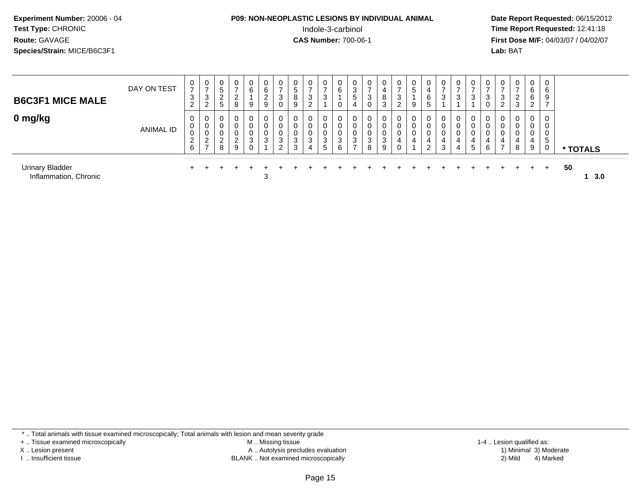# **P09: NON-NEOPLASTIC LESIONS BY INDIVIDUAL ANIMAL**Indole-3-carbinol **Time Report Requested:** 12:41:18

 **Date Report Requested:** 06/15/2012 **First Dose M/F:** 04/03/07 / 04/02/07<br>Lab: BAT **Lab:** BAT

| <b>B6C3F1 MICE MALE</b>                         | DAY ON TEST | 0<br>$\rightarrow$<br>3<br>$\sim$<br>$\epsilon$ | 0<br>3<br>ົ<br>$\epsilon$                     | 0<br>5<br>റ<br>Ζ.<br>5 | $\overline{0}$<br>ົ<br>8   | $\overline{0}$<br>6<br>9 | 0<br>6<br>2<br>9              | د                | 0<br>5<br>8<br>9 | $\mathbf{0}$<br>3<br>ົ<br><u>L</u> | 0<br>3      | 0<br>6<br>0      | 0<br>3<br>5<br>4                  | 0<br>3<br>0      | 4<br>8<br>◠<br>J | $\mathbf 0$<br>3<br>2 | U<br>ა<br>9 | 6<br>5         | $\mathbf{0}$<br>$\overline{ }$<br>3 | 0<br>3                | 0<br>3           |   | 0<br>3<br>2    | $\mathbf{0}$<br>ົ<br><u>L</u><br>3 | $\mathbf{0}$<br>6<br>6<br>$\sim$<br><u>.</u> | 0<br>6<br>9<br>$\rightarrow$ |           |
|-------------------------------------------------|-------------|-------------------------------------------------|-----------------------------------------------|------------------------|----------------------------|--------------------------|-------------------------------|------------------|------------------|------------------------------------|-------------|------------------|-----------------------------------|------------------|------------------|-----------------------|-------------|----------------|-------------------------------------|-----------------------|------------------|---|----------------|------------------------------------|----------------------------------------------|------------------------------|-----------|
| 0 mg/kg                                         | ANIMAL ID   | 0<br>U<br>$\overline{2}$<br>6                   | 0<br>0<br>U<br>$\Omega$<br>L<br>$\rightarrow$ | 0<br>υ<br>$\sim$<br>8  | 0<br>0<br>0<br>ົ<br>∼<br>9 | 0<br>0<br>0<br>3<br>0    | $\overline{0}$<br>0<br>0<br>3 | ົ<br>J<br>$\sim$ | 0<br>3<br>3      | 0<br>0<br>3<br>4                   | 0<br>3<br>5 | 0<br>0<br>3<br>6 | 0<br>0<br>0<br>3<br>$\rightarrow$ | 0<br>0<br>3<br>8 | $\sim$<br>9      |                       | 0<br>υ<br>0 | $\overline{2}$ | 0<br>0<br>4<br>3                    | 0<br>0<br>0<br>4<br>4 | 0<br>0<br>4<br>5 | 6 | $\overline{7}$ | 0<br>0<br>4<br>8                   | 0<br>0<br>9                                  | 0<br>0<br>.5<br>0            | * TOTALS  |
| <b>Urinary Bladder</b><br>Inflammation, Chronic |             |                                                 |                                               |                        |                            |                          | 3                             |                  |                  |                                    |             |                  |                                   |                  |                  |                       |             |                |                                     |                       |                  |   |                |                                    |                                              |                              | 50<br>3.0 |

\* .. Total animals with tissue examined microscopically; Total animals with lesion and mean severity grade

+ .. Tissue examined microscopically

X .. Lesion present

I .. Insufficient tissue

 M .. Missing tissueLesion present A .. Autolysis precludes evaluation 1) Minimal 3) Moderate

BLANK .. Not examined microscopically 2) Mild 4) Marked

1-4 .. Lesion qualified as: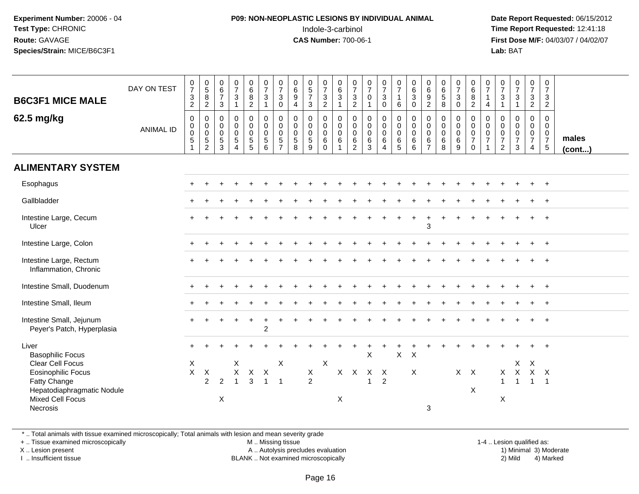### **P09: NON-NEOPLASTIC LESIONS BY INDIVIDUAL ANIMAL**Indole-3-carbinol **Time Report Requested:** 12:41:18

 **Date Report Requested:** 06/15/2012 **First Dose M/F:** 04/03/07 / 04/02/07<br>Lab: BAT **Lab:** BAT

| <b>B6C3F1 MICE MALE</b><br>62.5 mg/kg                                                                                                                                         | DAY ON TEST<br><b>ANIMAL ID</b> | $\frac{0}{7}$<br>$\frac{3}{2}$<br>$\pmb{0}$<br>$_{\rm 0}^{\rm 0}$<br>$5\,$<br>$\mathbf{1}$ | $\begin{array}{c} 0 \\ 5 \\ 8 \\ 2 \end{array}$<br>$\begin{matrix} 0 \\ 0 \\ 0 \\ 5 \end{matrix}$<br>$\sqrt{2}$ | $_{6}^{\rm 0}$<br>$\overline{7}$<br>3<br>0<br>$\mathbf 0$<br>$\mathbf 0$<br>$\sqrt{5}$<br>3 | $\frac{0}{7}$<br>$\mathbf{3}$<br>$\mathbf{1}$<br>$\mathsf 0$<br>$\mathbf 0$<br>$\mathbf 0$<br>$\sqrt{5}$<br>$\overline{4}$ | $\begin{matrix} 0 \\ 6 \end{matrix}$<br>8<br>$\overline{2}$<br>$\mathsf{O}$<br>$\overline{0}$<br>$\mathbf 0$<br>$\sqrt{5}$<br>5 | $\frac{0}{7}$<br>$\ensuremath{\mathsf{3}}$<br>$\overline{1}$<br>$\begin{smallmatrix}0\0\0\end{smallmatrix}$<br>$\mathbf 0$<br>$5\phantom{.0}$<br>6 | $\frac{0}{7}$<br>$\ensuremath{\mathsf{3}}$<br>$\pmb{0}$<br>$\pmb{0}$<br>$\ddot{\mathbf{0}}$<br>$\overline{0}$<br>$\sqrt{5}$<br>$\overline{7}$ | $\begin{array}{c} 0 \\ 6 \end{array}$<br>$\boldsymbol{9}$<br>$\overline{a}$<br>$\mathbf 0$<br>$\mathbf 0$<br>$\mathbf 0$<br>$\sqrt{5}$<br>8 | $\begin{array}{c} 0 \\ 5 \\ 7 \end{array}$<br>$\mathbf{3}$<br>$\pmb{0}$<br>$\mathbf 0$<br>$\mathbf 0$<br>$\sqrt{5}$<br>9 | $\frac{0}{7}$<br>$\mathsf 3$<br>$\overline{2}$<br>$\pmb{0}$<br>$\mathbf 0$<br>$\mathbf 0$<br>$\,6\,$<br>$\mathbf 0$ | 0<br>6<br>$\ensuremath{\mathsf{3}}$<br>$\mathbf{1}$<br>$\pmb{0}$<br>$\overline{0}$<br>$\mathbf 0$<br>$\,6\,$<br>$\mathbf{1}$ | $\frac{0}{7}$<br>$\frac{3}{2}$<br>$\mathbf 0$<br>$\mathsf{O}\xspace$<br>$\ddot{\mathbf{0}}$<br>6<br>$\overline{2}$ | $\frac{0}{7}$<br>$\mathsf 0$<br>$\mathbf{1}$<br>$\pmb{0}$<br>$\overline{0}$<br>0<br>$\,6\,$<br>3 | $\frac{0}{7}$<br>$\ensuremath{\mathsf{3}}$<br>$\mathsf{O}\xspace$<br>$\begin{matrix} 0 \\ 0 \\ 0 \\ 6 \end{matrix}$<br>$\overline{4}$ | $\frac{0}{7}$<br>$\overline{1}$<br>$\,6\,$<br>$\boldsymbol{0}$<br>$\overline{0}$<br>$\mathbf 0$<br>$\,6$<br>$\overline{5}$ | $\begin{matrix} 0 \\ 6 \\ 3 \end{matrix}$<br>$\mathbf 0$<br>$\begin{smallmatrix} 0\\0 \end{smallmatrix}$<br>$\overline{0}$<br>$\,6\,$<br>6 | $\begin{array}{c} 0 \\ 6 \end{array}$<br>$9\,$<br>$\overline{c}$<br>$\mathbf 0$<br>$\mathbf 0$<br>$\mathbf 0$<br>$\,6\,$<br>$\overline{7}$ | $_{6}^{\rm 0}$<br>$\sqrt{5}$<br>8<br>$\pmb{0}$<br>$\ddot{\mathbf{0}}$<br>$\mathbf 0$<br>$\,6\,$<br>8 | $\frac{0}{7}$<br>$\ensuremath{\mathsf{3}}$<br>$\pmb{0}$<br>$\pmb{0}$<br>$\ddot{\mathbf{0}}$<br>$\ddot{\mathbf{0}}$<br>$\,6\,$<br>9 | $_{6}^{\rm 0}$<br>8<br>$\overline{2}$<br>0<br>$\ddot{\mathbf{0}}$<br>$\mathbf 0$<br>$\overline{7}$<br>$\mathbf 0$ | $\frac{0}{7}$<br>$\mathbf{1}$<br>$\overline{4}$<br>$\mathbf 0$<br>$\overline{0}$ <sub>0</sub><br>$\overline{7}$<br>$\overline{1}$ | $\frac{0}{7}$<br>$\mathbf{3}$<br>$\mathbf{1}$<br>0<br>$\mathsf 0$<br>$\mathbf 0$<br>$\overline{7}$<br>$\overline{c}$ | $\frac{0}{7}$<br>$\mathbf{3}$<br>$\mathbf{1}$<br>$\pmb{0}$<br>$\mathbf 0$<br>$\mathbf 0$<br>$\overline{7}$<br>3 | $\frac{0}{7}$<br>$\mathbf{3}$<br>$\overline{2}$<br>$\mathsf{O}$<br>$\ddot{\mathbf{0}}$<br>$\frac{0}{7}$<br>$\overline{4}$ | $\begin{smallmatrix}0\\7\end{smallmatrix}$<br>$\frac{3}{2}$<br>$\mathsf{O}\xspace$<br>$\overline{0}$<br>$\mathbf 0$<br>$\overline{7}$<br>$5\phantom{.0}$ | males<br>$($ cont $)$ |
|-------------------------------------------------------------------------------------------------------------------------------------------------------------------------------|---------------------------------|--------------------------------------------------------------------------------------------|-----------------------------------------------------------------------------------------------------------------|---------------------------------------------------------------------------------------------|----------------------------------------------------------------------------------------------------------------------------|---------------------------------------------------------------------------------------------------------------------------------|----------------------------------------------------------------------------------------------------------------------------------------------------|-----------------------------------------------------------------------------------------------------------------------------------------------|---------------------------------------------------------------------------------------------------------------------------------------------|--------------------------------------------------------------------------------------------------------------------------|---------------------------------------------------------------------------------------------------------------------|------------------------------------------------------------------------------------------------------------------------------|--------------------------------------------------------------------------------------------------------------------|--------------------------------------------------------------------------------------------------|---------------------------------------------------------------------------------------------------------------------------------------|----------------------------------------------------------------------------------------------------------------------------|--------------------------------------------------------------------------------------------------------------------------------------------|--------------------------------------------------------------------------------------------------------------------------------------------|------------------------------------------------------------------------------------------------------|------------------------------------------------------------------------------------------------------------------------------------|-------------------------------------------------------------------------------------------------------------------|-----------------------------------------------------------------------------------------------------------------------------------|----------------------------------------------------------------------------------------------------------------------|-----------------------------------------------------------------------------------------------------------------|---------------------------------------------------------------------------------------------------------------------------|----------------------------------------------------------------------------------------------------------------------------------------------------------|-----------------------|
| <b>ALIMENTARY SYSTEM</b>                                                                                                                                                      |                                 |                                                                                            |                                                                                                                 |                                                                                             |                                                                                                                            |                                                                                                                                 |                                                                                                                                                    |                                                                                                                                               |                                                                                                                                             |                                                                                                                          |                                                                                                                     |                                                                                                                              |                                                                                                                    |                                                                                                  |                                                                                                                                       |                                                                                                                            |                                                                                                                                            |                                                                                                                                            |                                                                                                      |                                                                                                                                    |                                                                                                                   |                                                                                                                                   |                                                                                                                      |                                                                                                                 |                                                                                                                           |                                                                                                                                                          |                       |
| Esophagus                                                                                                                                                                     |                                 |                                                                                            |                                                                                                                 |                                                                                             |                                                                                                                            |                                                                                                                                 |                                                                                                                                                    |                                                                                                                                               |                                                                                                                                             |                                                                                                                          |                                                                                                                     |                                                                                                                              |                                                                                                                    |                                                                                                  |                                                                                                                                       |                                                                                                                            |                                                                                                                                            |                                                                                                                                            |                                                                                                      |                                                                                                                                    |                                                                                                                   |                                                                                                                                   |                                                                                                                      |                                                                                                                 |                                                                                                                           | $\overline{+}$                                                                                                                                           |                       |
| Gallbladder                                                                                                                                                                   |                                 |                                                                                            |                                                                                                                 |                                                                                             |                                                                                                                            |                                                                                                                                 |                                                                                                                                                    |                                                                                                                                               |                                                                                                                                             |                                                                                                                          |                                                                                                                     |                                                                                                                              |                                                                                                                    |                                                                                                  |                                                                                                                                       |                                                                                                                            |                                                                                                                                            |                                                                                                                                            |                                                                                                      |                                                                                                                                    |                                                                                                                   |                                                                                                                                   |                                                                                                                      |                                                                                                                 |                                                                                                                           | $\overline{+}$                                                                                                                                           |                       |
| Intestine Large, Cecum<br>Ulcer                                                                                                                                               |                                 |                                                                                            |                                                                                                                 |                                                                                             |                                                                                                                            |                                                                                                                                 |                                                                                                                                                    |                                                                                                                                               |                                                                                                                                             |                                                                                                                          |                                                                                                                     |                                                                                                                              |                                                                                                                    |                                                                                                  |                                                                                                                                       |                                                                                                                            |                                                                                                                                            | 3                                                                                                                                          |                                                                                                      |                                                                                                                                    |                                                                                                                   |                                                                                                                                   |                                                                                                                      |                                                                                                                 |                                                                                                                           |                                                                                                                                                          |                       |
| Intestine Large, Colon                                                                                                                                                        |                                 |                                                                                            |                                                                                                                 |                                                                                             |                                                                                                                            |                                                                                                                                 |                                                                                                                                                    |                                                                                                                                               |                                                                                                                                             |                                                                                                                          |                                                                                                                     |                                                                                                                              |                                                                                                                    |                                                                                                  |                                                                                                                                       |                                                                                                                            |                                                                                                                                            |                                                                                                                                            |                                                                                                      |                                                                                                                                    |                                                                                                                   |                                                                                                                                   |                                                                                                                      |                                                                                                                 |                                                                                                                           | $+$                                                                                                                                                      |                       |
| Intestine Large, Rectum<br>Inflammation, Chronic                                                                                                                              |                                 |                                                                                            |                                                                                                                 |                                                                                             |                                                                                                                            |                                                                                                                                 |                                                                                                                                                    |                                                                                                                                               |                                                                                                                                             |                                                                                                                          |                                                                                                                     |                                                                                                                              |                                                                                                                    |                                                                                                  |                                                                                                                                       |                                                                                                                            |                                                                                                                                            |                                                                                                                                            |                                                                                                      |                                                                                                                                    |                                                                                                                   |                                                                                                                                   |                                                                                                                      |                                                                                                                 |                                                                                                                           |                                                                                                                                                          |                       |
| Intestine Small, Duodenum                                                                                                                                                     |                                 |                                                                                            |                                                                                                                 |                                                                                             |                                                                                                                            |                                                                                                                                 |                                                                                                                                                    |                                                                                                                                               |                                                                                                                                             |                                                                                                                          |                                                                                                                     |                                                                                                                              |                                                                                                                    |                                                                                                  |                                                                                                                                       |                                                                                                                            |                                                                                                                                            |                                                                                                                                            |                                                                                                      |                                                                                                                                    |                                                                                                                   |                                                                                                                                   |                                                                                                                      |                                                                                                                 |                                                                                                                           | $\overline{+}$                                                                                                                                           |                       |
| Intestine Small, Ileum                                                                                                                                                        |                                 |                                                                                            |                                                                                                                 |                                                                                             |                                                                                                                            |                                                                                                                                 |                                                                                                                                                    |                                                                                                                                               |                                                                                                                                             |                                                                                                                          |                                                                                                                     |                                                                                                                              |                                                                                                                    |                                                                                                  |                                                                                                                                       |                                                                                                                            |                                                                                                                                            |                                                                                                                                            |                                                                                                      |                                                                                                                                    |                                                                                                                   |                                                                                                                                   |                                                                                                                      |                                                                                                                 |                                                                                                                           | $\overline{+}$                                                                                                                                           |                       |
| Intestine Small, Jejunum<br>Peyer's Patch, Hyperplasia                                                                                                                        |                                 |                                                                                            |                                                                                                                 |                                                                                             |                                                                                                                            |                                                                                                                                 | $\overline{2}$                                                                                                                                     |                                                                                                                                               |                                                                                                                                             |                                                                                                                          |                                                                                                                     |                                                                                                                              |                                                                                                                    |                                                                                                  |                                                                                                                                       |                                                                                                                            |                                                                                                                                            |                                                                                                                                            |                                                                                                      |                                                                                                                                    |                                                                                                                   |                                                                                                                                   |                                                                                                                      |                                                                                                                 |                                                                                                                           |                                                                                                                                                          |                       |
| Liver<br><b>Basophilic Focus</b><br>Clear Cell Focus<br><b>Eosinophilic Focus</b><br>Fatty Change<br>Hepatodiaphragmatic Nodule<br><b>Mixed Cell Focus</b><br><b>Necrosis</b> |                                 | $+$<br>X<br>$\mathsf{X}$                                                                   | X<br>$\overline{2}$                                                                                             | $\overline{2}$<br>$\times$                                                                  | X<br>$\mathsf X$<br>$\overline{1}$                                                                                         | $\frac{x}{3}$                                                                                                                   | $\boldsymbol{\mathsf{X}}$<br>$\mathbf{1}$                                                                                                          | X<br>$\overline{1}$                                                                                                                           |                                                                                                                                             | X<br>$\overline{2}$                                                                                                      | X                                                                                                                   | $\mathsf{X}$<br>X                                                                                                            | $\boldsymbol{X}$                                                                                                   | X<br>$\mathsf{X}$<br>$\mathbf{1}$                                                                | $\mathsf{X}$<br>$\overline{2}$                                                                                                        | $\mathsf{X}$                                                                                                               | $\times$<br>X                                                                                                                              | 3                                                                                                                                          |                                                                                                      |                                                                                                                                    | $X$ $X$<br>X                                                                                                      |                                                                                                                                   | X<br>$\mathbf{1}$<br>$\boldsymbol{\mathsf{X}}$                                                                       | X<br>$\mathsf X$<br>$\mathbf{1}$                                                                                | $\boldsymbol{\mathsf{X}}$<br>$\mathsf X$<br>$\mathbf{1}$                                                                  | $\mathsf{X}$<br>$\overline{1}$                                                                                                                           |                       |

\* .. Total animals with tissue examined microscopically; Total animals with lesion and mean severity grade

+ .. Tissue examined microscopically

X .. Lesion present

I .. Insufficient tissue

M .. Missing tissue

A .. Autolysis precludes evaluation

BLANK .. Not examined microscopically 2) Mild 4) Marked

1-4 .. Lesion qualified as:<br>1) Minimal 3) Moderate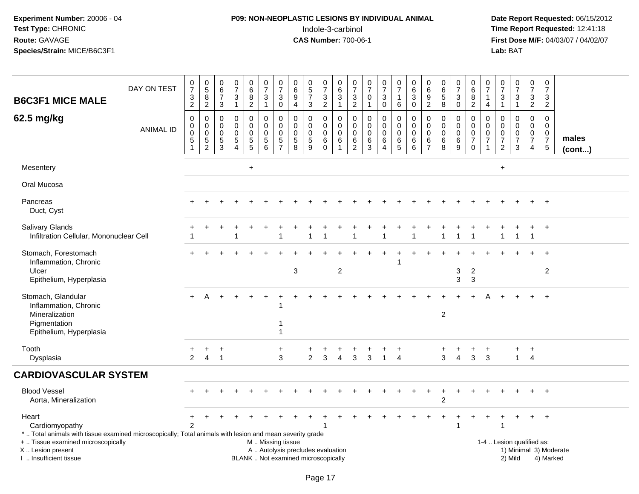# **P09: NON-NEOPLASTIC LESIONS BY INDIVIDUAL ANIMAL**Indole-3-carbinol **Time Report Requested:** 12:41:18

| <b>B6C3F1 MICE MALE</b>                                                                                                                                                                       | DAY ON TEST      | $\frac{0}{7}$<br>$\frac{3}{2}$                        | $\begin{array}{c} 0 \\ 5 \end{array}$<br>$\, 8$<br>$\overline{2}$ | $\begin{array}{c} 0 \\ 6 \end{array}$<br>$\overline{7}$<br>$\mathbf{3}$ | $\frac{0}{7}$<br>3<br>$\mathbf{1}$                                | $\begin{array}{c} 0 \\ 6 \end{array}$<br>$\frac{8}{2}$ | $\frac{0}{7}$<br>$\ensuremath{\mathsf{3}}$<br>$\mathbf{1}$   | $\pmb{0}$<br>$\overline{7}$<br>$\sqrt{3}$<br>$\mathbf 0$  | $\mathbf 0$<br>$\,6\,$<br>$9\,$<br>$\overline{4}$                        | $\begin{array}{c} 0 \\ 5 \end{array}$<br>$\overline{7}$<br>3    | $\begin{array}{c} 0 \\ 7 \end{array}$<br>$\frac{3}{2}$ | $\pmb{0}$<br>$\overline{6}$<br>$\ensuremath{\mathsf{3}}$<br>$\mathbf{1}$ | $\mathbf 0$<br>$\overline{7}$<br>$\frac{3}{2}$                   | $\frac{0}{7}$<br>$\mathbf 0$<br>$\overline{1}$                     | $\begin{smallmatrix} 0\\7 \end{smallmatrix}$<br>$\ensuremath{\mathsf{3}}$<br>$\mathbf 0$ | $\pmb{0}$<br>$\overline{7}$<br>$\mathbf{1}$<br>6           | $_6^0$<br>3<br>$\mathbf 0$                   | 0<br>6<br>$\boldsymbol{9}$<br>$\overline{2}$                  | $\begin{array}{c} 0 \\ 6 \end{array}$<br>$\frac{5}{8}$               | $\pmb{0}$<br>$\overline{7}$<br>$\ensuremath{\mathsf{3}}$<br>$\pmb{0}$ | $\mathbf 0$<br>6<br>$\, 8$<br>$\overline{2}$                                 | 0<br>$\overline{7}$<br>1<br>4                     | $\begin{smallmatrix}0\\7\end{smallmatrix}$<br>$\ensuremath{\mathsf{3}}$<br>$\mathbf{1}$ | $\frac{0}{7}$<br>$\ensuremath{\mathsf{3}}$<br>$\mathbf{1}$   | $\mathbf 0$<br>$\overline{7}$<br>$\frac{3}{2}$                              | $\mathbf 0$<br>$\overline{7}$<br>$\sqrt{3}$<br>$\overline{2}$              |                       |
|-----------------------------------------------------------------------------------------------------------------------------------------------------------------------------------------------|------------------|-------------------------------------------------------|-------------------------------------------------------------------|-------------------------------------------------------------------------|-------------------------------------------------------------------|--------------------------------------------------------|--------------------------------------------------------------|-----------------------------------------------------------|--------------------------------------------------------------------------|-----------------------------------------------------------------|--------------------------------------------------------|--------------------------------------------------------------------------|------------------------------------------------------------------|--------------------------------------------------------------------|------------------------------------------------------------------------------------------|------------------------------------------------------------|----------------------------------------------|---------------------------------------------------------------|----------------------------------------------------------------------|-----------------------------------------------------------------------|------------------------------------------------------------------------------|---------------------------------------------------|-----------------------------------------------------------------------------------------|--------------------------------------------------------------|-----------------------------------------------------------------------------|----------------------------------------------------------------------------|-----------------------|
| 62.5 mg/kg                                                                                                                                                                                    | <b>ANIMAL ID</b> | $\mathsf 0$<br>0<br>0<br>$\sqrt{5}$<br>$\overline{1}$ | $\pmb{0}$<br>0<br>$\pmb{0}$<br>$\frac{5}{2}$                      | $\mathbf 0$<br>$\mathbf 0$<br>$\mathbf 0$<br>$\frac{5}{3}$              | $\mathsf{O}$<br>$\mathbf 0$<br>$\mathbf 0$<br>5<br>$\overline{4}$ | $\mathbf 0$<br>0<br>$\pmb{0}$<br>$\frac{5}{5}$         | $\mathbf 0$<br>$\mathbf 0$<br>$\mathbf 0$<br>$\sqrt{5}$<br>6 | $\Omega$<br>$\Omega$<br>0<br>$\sqrt{5}$<br>$\overline{7}$ | $\Omega$<br>$\Omega$<br>$\mathbf 0$<br>$\overline{5}$<br>$\overline{8}$  | 0<br>$\mathbf 0$<br>$\mathbf 0$<br>$\sqrt{5}$<br>$\overline{9}$ | 0<br>$\mathbf 0$<br>$\pmb{0}$<br>$\,6$<br>$\mathbf 0$  | $\mathbf 0$<br>$\mathbf 0$<br>$\pmb{0}$<br>$\,6\,$<br>$\overline{1}$     | $\mathbf 0$<br>$\mathbf 0$<br>$\mathbf 0$<br>6<br>$\overline{2}$ | $\pmb{0}$<br>$\mathbf 0$<br>$\mathbf 0$<br>$\,6$<br>$\overline{3}$ | 0<br>$\mathbf 0$<br>$\mathbf 0$<br>$\,6\,$<br>$\overline{4}$                             | $\mathbf 0$<br>$\mathbf 0$<br>$\mathbf 0$<br>$\frac{6}{5}$ | 0<br>$\mathbf 0$<br>0<br>6<br>$\overline{6}$ | $\Omega$<br>$\mathbf 0$<br>$\mathbf 0$<br>6<br>$\overline{7}$ | $\pmb{0}$<br>$\mathbf 0$<br>$\mathbf 0$<br>$\,6\,$<br>$\overline{8}$ | 0<br>$\mathbf 0$<br>$\mathbf 0$<br>$\,6$<br>9                         | $\mathbf 0$<br>$\mathbf 0$<br>$\mathbf 0$<br>$\boldsymbol{7}$<br>$\mathbf 0$ | $\Omega$<br>$\mathbf 0$<br>0<br>7<br>$\mathbf{1}$ | $\Omega$<br>$\mathbf{0}$<br>0<br>$\overline{7}$<br>$\overline{2}$                       | $\pmb{0}$<br>$\mathbf 0$<br>$\pmb{0}$<br>$\overline{7}$<br>3 | $\Omega$<br>$\mathbf{0}$<br>$\mathbf 0$<br>$\overline{7}$<br>$\overline{4}$ | $\Omega$<br>$\mathbf 0$<br>$\mathbf 0$<br>$\overline{7}$<br>$\overline{5}$ | males<br>$($ cont $)$ |
| Mesentery                                                                                                                                                                                     |                  |                                                       |                                                                   |                                                                         |                                                                   | $+$                                                    |                                                              |                                                           |                                                                          |                                                                 |                                                        |                                                                          |                                                                  |                                                                    |                                                                                          |                                                            |                                              |                                                               |                                                                      |                                                                       |                                                                              |                                                   | $\ddot{}$                                                                               |                                                              |                                                                             |                                                                            |                       |
| Oral Mucosa                                                                                                                                                                                   |                  |                                                       |                                                                   |                                                                         |                                                                   |                                                        |                                                              |                                                           |                                                                          |                                                                 |                                                        |                                                                          |                                                                  |                                                                    |                                                                                          |                                                            |                                              |                                                               |                                                                      |                                                                       |                                                                              |                                                   |                                                                                         |                                                              |                                                                             |                                                                            |                       |
| Pancreas<br>Duct, Cyst                                                                                                                                                                        |                  |                                                       |                                                                   |                                                                         |                                                                   |                                                        |                                                              |                                                           |                                                                          |                                                                 |                                                        |                                                                          |                                                                  |                                                                    |                                                                                          |                                                            |                                              |                                                               |                                                                      |                                                                       |                                                                              |                                                   |                                                                                         |                                                              |                                                                             | $+$                                                                        |                       |
| Salivary Glands<br>Infiltration Cellular, Mononuclear Cell                                                                                                                                    |                  |                                                       |                                                                   |                                                                         |                                                                   |                                                        |                                                              |                                                           |                                                                          |                                                                 |                                                        |                                                                          |                                                                  |                                                                    |                                                                                          |                                                            |                                              |                                                               |                                                                      |                                                                       |                                                                              |                                                   |                                                                                         | 1                                                            | $\ddot{}$<br>$\overline{1}$                                                 | $+$                                                                        |                       |
| Stomach, Forestomach<br>Inflammation, Chronic<br>Ulcer<br>Epithelium, Hyperplasia                                                                                                             |                  |                                                       |                                                                   |                                                                         |                                                                   |                                                        |                                                              |                                                           | 3                                                                        |                                                                 |                                                        | $\overline{2}$                                                           |                                                                  |                                                                    |                                                                                          | -1                                                         |                                              |                                                               |                                                                      | 3<br>3                                                                | $\overline{2}$<br>3                                                          |                                                   |                                                                                         |                                                              |                                                                             | $\ddot{}$<br>$\overline{2}$                                                |                       |
| Stomach, Glandular<br>Inflammation, Chronic<br>Mineralization<br>Pigmentation<br>Epithelium, Hyperplasia                                                                                      |                  |                                                       | A                                                                 |                                                                         |                                                                   |                                                        |                                                              | 1                                                         |                                                                          |                                                                 |                                                        |                                                                          |                                                                  |                                                                    |                                                                                          |                                                            |                                              |                                                               | $\overline{2}$                                                       |                                                                       |                                                                              |                                                   |                                                                                         |                                                              |                                                                             | $+$                                                                        |                       |
| Tooth<br>Dysplasia                                                                                                                                                                            |                  | 2                                                     | $\overline{4}$                                                    | $\pm$<br>$\overline{1}$                                                 |                                                                   |                                                        |                                                              | $\ddot{}$<br>3                                            |                                                                          | $\overline{2}$                                                  | 3                                                      | $\overline{4}$                                                           | 3                                                                | 3                                                                  | $\overline{1}$                                                                           | $\overline{4}$                                             |                                              |                                                               | 3                                                                    | $\overline{4}$                                                        | 3                                                                            | $\overline{ }$<br>3                               |                                                                                         | $+$<br>$\mathbf{1}$                                          | $+$<br>$\overline{4}$                                                       |                                                                            |                       |
| <b>CARDIOVASCULAR SYSTEM</b>                                                                                                                                                                  |                  |                                                       |                                                                   |                                                                         |                                                                   |                                                        |                                                              |                                                           |                                                                          |                                                                 |                                                        |                                                                          |                                                                  |                                                                    |                                                                                          |                                                            |                                              |                                                               |                                                                      |                                                                       |                                                                              |                                                   |                                                                                         |                                                              |                                                                             |                                                                            |                       |
| <b>Blood Vessel</b><br>Aorta, Mineralization                                                                                                                                                  |                  |                                                       |                                                                   |                                                                         |                                                                   |                                                        |                                                              |                                                           |                                                                          |                                                                 |                                                        |                                                                          |                                                                  |                                                                    |                                                                                          |                                                            |                                              |                                                               | $\overline{c}$                                                       |                                                                       |                                                                              |                                                   |                                                                                         |                                                              |                                                                             | $+$                                                                        |                       |
| Heart<br>Cardiomyopathy                                                                                                                                                                       |                  |                                                       |                                                                   |                                                                         |                                                                   |                                                        |                                                              |                                                           |                                                                          |                                                                 |                                                        |                                                                          |                                                                  |                                                                    |                                                                                          |                                                            |                                              |                                                               |                                                                      |                                                                       |                                                                              |                                                   |                                                                                         |                                                              |                                                                             | $+$                                                                        |                       |
| *  Total animals with tissue examined microscopically; Total animals with lesion and mean severity grade<br>+  Tissue examined microscopically<br>X  Lesion present<br>I  Insufficient tissue |                  |                                                       |                                                                   |                                                                         |                                                                   |                                                        | M  Missing tissue                                            |                                                           | A  Autolysis precludes evaluation<br>BLANK  Not examined microscopically |                                                                 |                                                        |                                                                          |                                                                  |                                                                    |                                                                                          |                                                            |                                              |                                                               |                                                                      |                                                                       |                                                                              |                                                   |                                                                                         | 1-4  Lesion qualified as:<br>2) Mild                         |                                                                             | 1) Minimal 3) Moderate<br>4) Marked                                        |                       |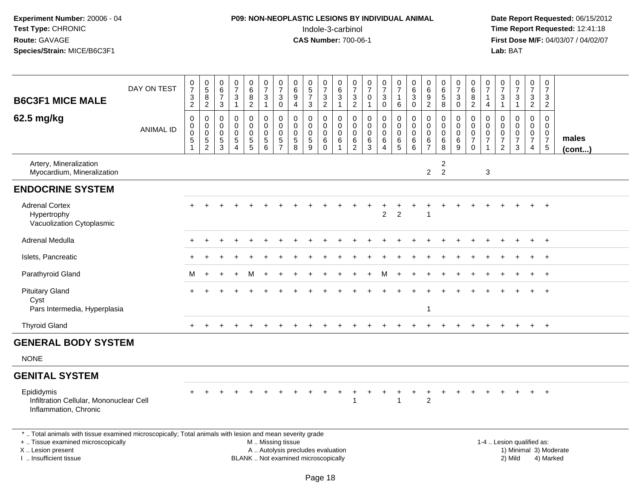# **P09: NON-NEOPLASTIC LESIONS BY INDIVIDUAL ANIMAL**Indole-3-carbinol **Time Report Requested:** 12:41:18

| <b>B6C3F1 MICE MALE</b>                                                                                                                                                                       | DAY ON TEST      | $\frac{0}{7}$<br>$\frac{3}{2}$                                 | $\begin{array}{c} 0 \\ 5 \end{array}$<br>8<br>$\overline{2}$     | $\pmb{0}$<br>$\,6\,$<br>$\overline{7}$<br>$\sqrt{3}$         | $\begin{array}{c} 0 \\ 7 \end{array}$<br>3<br>$\overline{1}$              | $_6^0$<br>$\frac{8}{2}$                                | $\frac{0}{7}$<br>$\mathbf{3}$<br>$\mathbf{1}$                 | $\frac{0}{7}$<br>$\mathbf{3}$<br>$\pmb{0}$                   | $\pmb{0}$<br>6<br>$9\,$<br>$\overline{4}$                    | $\begin{smallmatrix} 0\\5 \end{smallmatrix}$<br>$\overline{7}$<br>$\mathbf{3}$ | 0<br>$\overline{7}$<br>3<br>$\overline{2}$ | 0<br>$6\phantom{1}6$<br>3<br>$\mathbf{1}$              | $\pmb{0}$<br>$\overline{7}$<br>3<br>$\overline{2}$     | $\frac{0}{7}$<br>$\mathbf 0$<br>$\mathbf{1}$ | $\frac{0}{7}$<br>$\mathbf{3}$<br>$\overline{0}$ | $\frac{0}{7}$<br>$\mathbf{1}$<br>$\,6\,$                                 | $\begin{array}{c} 0 \\ 6 \end{array}$<br>$\sqrt{3}$<br>$\ddot{\mathbf{0}}$ | $\begin{array}{c} 0 \\ 6 \end{array}$<br>$\frac{9}{2}$ | $\pmb{0}$<br>$6\phantom{a}$<br>$\sqrt{5}$<br>$\overline{8}$ | $\frac{0}{7}$<br>$\sqrt{3}$<br>$\overline{0}$ | 0<br>6<br>8<br>$\overline{2}$                                    | 0<br>$\overline{7}$<br>$\mathbf{1}$<br>4 | $\pmb{0}$<br>$\overline{7}$<br>$\mathbf{3}$<br>$\mathbf{1}$      | $\begin{array}{c} 0 \\ 7 \end{array}$<br>$\ensuremath{\mathsf{3}}$<br>$\mathbf{1}$ | $\pmb{0}$<br>$\overline{7}$<br>$\mathbf{3}$<br>$\overline{2}$                       |     | 0<br>$\overline{7}$<br>3<br>$\overline{2}$                                  |                       |  |
|-----------------------------------------------------------------------------------------------------------------------------------------------------------------------------------------------|------------------|----------------------------------------------------------------|------------------------------------------------------------------|--------------------------------------------------------------|---------------------------------------------------------------------------|--------------------------------------------------------|---------------------------------------------------------------|--------------------------------------------------------------|--------------------------------------------------------------|--------------------------------------------------------------------------------|--------------------------------------------|--------------------------------------------------------|--------------------------------------------------------|----------------------------------------------|-------------------------------------------------|--------------------------------------------------------------------------|----------------------------------------------------------------------------|--------------------------------------------------------|-------------------------------------------------------------|-----------------------------------------------|------------------------------------------------------------------|------------------------------------------|------------------------------------------------------------------|------------------------------------------------------------------------------------|-------------------------------------------------------------------------------------|-----|-----------------------------------------------------------------------------|-----------------------|--|
| 62.5 mg/kg                                                                                                                                                                                    | <b>ANIMAL ID</b> | 0<br>$\mathbf 0$<br>$\pmb{0}$<br>$\,$ 5 $\,$<br>$\overline{ }$ | 0<br>$\mathbf 0$<br>$\mathbf 0$<br>$\,$ 5 $\,$<br>$\overline{2}$ | $\mathbf 0$<br>$\mathbf 0$<br>$\mathbf 0$<br>$\sqrt{5}$<br>3 | $\mathbf 0$<br>$\mathbf 0$<br>$\mathbf 0$<br>$\sqrt{5}$<br>$\overline{4}$ | 0<br>$\mathbf 0$<br>$\mathbf 0$<br>$\overline{5}$<br>5 | $\pmb{0}$<br>$\overline{0}$<br>$\mathbf 0$<br>$\sqrt{5}$<br>6 | 0<br>$\pmb{0}$<br>$\pmb{0}$<br>$\,$ 5 $\,$<br>$\overline{7}$ | $\mathbf 0$<br>$\mathbf 0$<br>$\mathbf 0$<br>$\sqrt{5}$<br>8 | $\mathbf 0$<br>$\mathbf 0$<br>$\mathbf 0$<br>$\sqrt{5}$<br>9                   | 0<br>$\mathbf 0$<br>0<br>6<br>$\Omega$     | 0<br>$\mathbf 0$<br>$\mathbf 0$<br>6<br>$\overline{1}$ | 0<br>$\mathbf 0$<br>$\mathbf 0$<br>6<br>$\overline{2}$ | 0<br>$\mathbf 0$<br>$\pmb{0}$<br>6<br>3      | 0<br>$\overline{0}$<br>0<br>6<br>$\overline{4}$ | 0<br>$\mathsf{O}\xspace$<br>$\mathsf{O}\xspace$<br>$\,6\,$<br>$\sqrt{5}$ | $\pmb{0}$<br>$\overline{0}$<br>$\mathsf 0$<br>$\,6\,$<br>6                 | 0<br>$\mathbf 0$<br>$\mathbf 0$<br>6<br>$\overline{7}$ | $\mathbf 0$<br>$\mathbf 0$<br>$\mathbf 0$<br>6<br>8         | 0<br>$\pmb{0}$<br>$\pmb{0}$<br>$\,6\,$<br>9   | 0<br>$\mathbf 0$<br>$\mathsf 0$<br>$\overline{7}$<br>$\mathbf 0$ | 0<br>$\mathbf 0$<br>0<br>$\overline{7}$  | $\mathbf 0$<br>$\Omega$<br>0<br>$\overline{7}$<br>$\overline{2}$ | 0<br>$\mathbf 0$<br>$\pmb{0}$<br>$\overline{7}$<br>$\mathbf{3}$                    | $\overline{0}$<br>$\overline{0}$<br>$\mathbf 0$<br>$\overline{7}$<br>$\overline{4}$ |     | $\mathbf 0$<br>$\mathbf 0$<br>$\mathbf 0$<br>$\boldsymbol{7}$<br>$\sqrt{5}$ | males<br>$($ cont $)$ |  |
| Artery, Mineralization<br>Myocardium, Mineralization                                                                                                                                          |                  |                                                                |                                                                  |                                                              |                                                                           |                                                        |                                                               |                                                              |                                                              |                                                                                |                                            |                                                        |                                                        |                                              |                                                 |                                                                          |                                                                            | $\overline{2}$                                         | 2<br>$\overline{2}$                                         |                                               |                                                                  | 3                                        |                                                                  |                                                                                    |                                                                                     |     |                                                                             |                       |  |
| <b>ENDOCRINE SYSTEM</b>                                                                                                                                                                       |                  |                                                                |                                                                  |                                                              |                                                                           |                                                        |                                                               |                                                              |                                                              |                                                                                |                                            |                                                        |                                                        |                                              |                                                 |                                                                          |                                                                            |                                                        |                                                             |                                               |                                                                  |                                          |                                                                  |                                                                                    |                                                                                     |     |                                                                             |                       |  |
| <b>Adrenal Cortex</b><br>Hypertrophy<br>Vacuolization Cytoplasmic                                                                                                                             |                  |                                                                |                                                                  |                                                              |                                                                           |                                                        |                                                               |                                                              |                                                              |                                                                                |                                            |                                                        |                                                        |                                              | $\ddot{}$<br>$\overline{c}$                     | ٠<br>$\overline{2}$                                                      |                                                                            |                                                        |                                                             |                                               |                                                                  |                                          |                                                                  |                                                                                    |                                                                                     |     |                                                                             |                       |  |
| Adrenal Medulla                                                                                                                                                                               |                  |                                                                |                                                                  |                                                              |                                                                           |                                                        |                                                               |                                                              |                                                              |                                                                                |                                            |                                                        |                                                        |                                              |                                                 |                                                                          |                                                                            |                                                        |                                                             |                                               |                                                                  |                                          |                                                                  |                                                                                    |                                                                                     |     | $\overline{+}$                                                              |                       |  |
| Islets, Pancreatic                                                                                                                                                                            |                  |                                                                |                                                                  |                                                              |                                                                           |                                                        |                                                               |                                                              |                                                              |                                                                                |                                            |                                                        |                                                        |                                              |                                                 |                                                                          |                                                                            |                                                        |                                                             |                                               |                                                                  |                                          |                                                                  |                                                                                    |                                                                                     |     |                                                                             |                       |  |
| Parathyroid Gland                                                                                                                                                                             |                  | М                                                              |                                                                  |                                                              |                                                                           |                                                        |                                                               |                                                              |                                                              |                                                                                |                                            |                                                        |                                                        |                                              | м                                               |                                                                          |                                                                            |                                                        |                                                             |                                               |                                                                  |                                          |                                                                  |                                                                                    | $+$                                                                                 |     | $+$                                                                         |                       |  |
| <b>Pituitary Gland</b><br>Cyst<br>Pars Intermedia, Hyperplasia                                                                                                                                |                  |                                                                |                                                                  |                                                              |                                                                           |                                                        |                                                               |                                                              |                                                              |                                                                                |                                            |                                                        |                                                        |                                              |                                                 |                                                                          |                                                                            | -1                                                     |                                                             |                                               |                                                                  |                                          |                                                                  |                                                                                    |                                                                                     |     | $+$                                                                         |                       |  |
| <b>Thyroid Gland</b>                                                                                                                                                                          |                  | $+$                                                            |                                                                  |                                                              |                                                                           |                                                        |                                                               |                                                              |                                                              |                                                                                |                                            |                                                        |                                                        |                                              |                                                 |                                                                          |                                                                            |                                                        |                                                             |                                               |                                                                  |                                          |                                                                  |                                                                                    | $+$                                                                                 | $+$ |                                                                             |                       |  |
| <b>GENERAL BODY SYSTEM</b>                                                                                                                                                                    |                  |                                                                |                                                                  |                                                              |                                                                           |                                                        |                                                               |                                                              |                                                              |                                                                                |                                            |                                                        |                                                        |                                              |                                                 |                                                                          |                                                                            |                                                        |                                                             |                                               |                                                                  |                                          |                                                                  |                                                                                    |                                                                                     |     |                                                                             |                       |  |
| <b>NONE</b>                                                                                                                                                                                   |                  |                                                                |                                                                  |                                                              |                                                                           |                                                        |                                                               |                                                              |                                                              |                                                                                |                                            |                                                        |                                                        |                                              |                                                 |                                                                          |                                                                            |                                                        |                                                             |                                               |                                                                  |                                          |                                                                  |                                                                                    |                                                                                     |     |                                                                             |                       |  |
| <b>GENITAL SYSTEM</b>                                                                                                                                                                         |                  |                                                                |                                                                  |                                                              |                                                                           |                                                        |                                                               |                                                              |                                                              |                                                                                |                                            |                                                        |                                                        |                                              |                                                 |                                                                          |                                                                            |                                                        |                                                             |                                               |                                                                  |                                          |                                                                  |                                                                                    |                                                                                     |     |                                                                             |                       |  |
| Epididymis<br>Infiltration Cellular, Mononuclear Cell<br>Inflammation, Chronic                                                                                                                |                  |                                                                |                                                                  |                                                              |                                                                           |                                                        |                                                               |                                                              |                                                              |                                                                                |                                            |                                                        |                                                        |                                              |                                                 |                                                                          |                                                                            | $\overline{2}$                                         |                                                             |                                               |                                                                  |                                          |                                                                  |                                                                                    |                                                                                     |     | $\div$                                                                      |                       |  |
| *  Total animals with tissue examined microscopically; Total animals with lesion and mean severity grade<br>+  Tissue examined microscopically<br>X  Lesion present<br>I  Insufficient tissue |                  |                                                                |                                                                  |                                                              |                                                                           | BLANK  Not examined microscopically                    | M  Missing tissue                                             |                                                              | A  Autolysis precludes evaluation                            |                                                                                |                                            |                                                        |                                                        |                                              |                                                 |                                                                          |                                                                            |                                                        |                                                             |                                               |                                                                  |                                          |                                                                  | 1-4  Lesion qualified as:<br>1) Minimal 3) Moderate<br>2) Mild                     |                                                                                     |     | 4) Marked                                                                   |                       |  |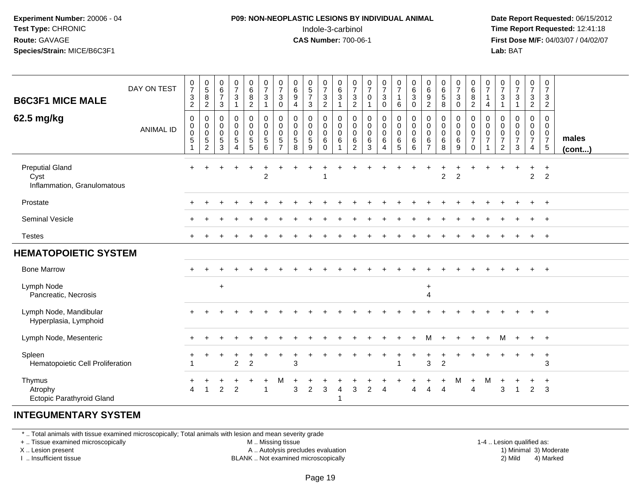#### **P09: NON-NEOPLASTIC LESIONS BY INDIVIDUAL ANIMAL**Indole-3-carbinol **Time Report Requested:** 12:41:18

 **Date Report Requested:** 06/15/2012 **First Dose M/F:** 04/03/07 / 04/02/07<br>**Lab:** BAT **Lab:** BAT

| DAY ON TEST                                                   |                  | $\frac{0}{7}$                                                    | $\begin{array}{c} 0 \\ 5 \end{array}$                                           | $_{6}^{\rm 0}$                                     | $\frac{0}{7}$              | $_{6}^{\rm 0}$                                                                   | $\frac{0}{7}$                                                            | $\frac{0}{7}$                                         | 0<br>$\,6$                                         | $\begin{array}{c} 0 \\ 5 \end{array}$ | $\begin{array}{c} 0 \\ 7 \end{array}$ | $\begin{array}{c} 0 \\ 6 \end{array}$       | $\frac{0}{7}$                                               | $\frac{0}{7}$                                           | $\frac{0}{7}$                             | $\frac{0}{7}$                                                  | $\begin{array}{c} 0 \\ 6 \end{array}$                      | $\begin{array}{c} 0 \\ 6 \end{array}$ | $\begin{array}{c} 0 \\ 6 \end{array}$     | $\frac{0}{7}$                                         | 0<br>$\,6\,$                                                               | $\frac{0}{7}$                           | $\frac{0}{7}$                                             | $\begin{smallmatrix}0\\7\end{smallmatrix}$ | $\frac{0}{7}$                               | $\mathbf 0$<br>$\overline{7}$                                             |                       |
|---------------------------------------------------------------|------------------|------------------------------------------------------------------|---------------------------------------------------------------------------------|----------------------------------------------------|----------------------------|----------------------------------------------------------------------------------|--------------------------------------------------------------------------|-------------------------------------------------------|----------------------------------------------------|---------------------------------------|---------------------------------------|---------------------------------------------|-------------------------------------------------------------|---------------------------------------------------------|-------------------------------------------|----------------------------------------------------------------|------------------------------------------------------------|---------------------------------------|-------------------------------------------|-------------------------------------------------------|----------------------------------------------------------------------------|-----------------------------------------|-----------------------------------------------------------|--------------------------------------------|---------------------------------------------|---------------------------------------------------------------------------|-----------------------|
| <b>B6C3F1 MICE MALE</b>                                       |                  | $\sqrt{3}$<br>$\overline{2}$                                     | $\bf 8$<br>$\overline{c}$                                                       | $\overline{7}$<br>3                                | 3<br>$\mathbf{1}$          | $^8_2$                                                                           | $\sqrt{3}$<br>$\mathbf{1}$                                               | $\mathbf{3}$<br>$\pmb{0}$                             | $\boldsymbol{9}$<br>4                              | $\overline{7}$<br>$\mathbf{3}$        | $\frac{3}{2}$                         | $\sqrt{3}$                                  | $\ensuremath{\mathsf{3}}$<br>$\overline{c}$                 | $\mathbf 0$<br>1                                        | 3<br>$\pmb{0}$                            | $\mathbf{1}$<br>$\,6\,$                                        | $\ensuremath{\mathsf{3}}$<br>$\pmb{0}$                     | $\boldsymbol{9}$<br>$\overline{c}$    | $\sqrt{5}$<br>8                           | $\ensuremath{\mathsf{3}}$<br>$\pmb{0}$                | $\bf 8$<br>$\overline{c}$                                                  | 1<br>4                                  | $\ensuremath{\mathsf{3}}$<br>$\mathbf{1}$                 | $\sqrt{3}$<br>$\mathbf{1}$                 | $\ensuremath{\mathsf{3}}$<br>$\overline{2}$ | $\sqrt{3}$<br>$\overline{c}$                                              |                       |
| 62.5 mg/kg                                                    | <b>ANIMAL ID</b> | $\mathbf 0$<br>$\boldsymbol{0}$<br>$\mathbf 0$<br>$\overline{5}$ | $\mathbf 0$<br>$\mathbf 0$<br>$\boldsymbol{0}$<br>$\,$ 5 $\,$<br>$\overline{c}$ | 0<br>$\mathbf 0$<br>$\mathbf 0$<br>$\sqrt{5}$<br>3 | 0<br>0<br>$\mathbf 0$<br>5 | $\mathbf 0$<br>$\mathbf 0$<br>$\pmb{0}$<br>$\begin{array}{c} 5 \\ 5 \end{array}$ | $\mathbf 0$<br>$\mathbf 0$<br>$\pmb{0}$<br>$\sqrt{5}$<br>$6\phantom{1}6$ | 0<br>$\mathbf 0$<br>0<br>$\sqrt{5}$<br>$\overline{7}$ | 0<br>$\mathbf 0$<br>$\mathbf 0$<br>$\sqrt{5}$<br>8 | 0<br>0<br>0<br>$\sqrt{5}$<br>9        | $\pmb{0}$<br>0<br>0<br>6<br>$\Omega$  | 0<br>$\pmb{0}$<br>$\boldsymbol{0}$<br>$\,6$ | 0<br>$\boldsymbol{0}$<br>$\mathbf 0$<br>6<br>$\overline{2}$ | $\mathbf 0$<br>$\mathbf 0$<br>$\mathbf 0$<br>$\,6$<br>3 | 0<br>$\mathbf 0$<br>$\mathbf 0$<br>6<br>4 | $\mathbf 0$<br>$\mathbf 0$<br>$\pmb{0}$<br>6<br>$\overline{5}$ | $\pmb{0}$<br>$\pmb{0}$<br>$\pmb{0}$<br>6<br>$6\phantom{a}$ | 0<br>0<br>$\mathbf 0$<br>$\,6$        | $\mathbf 0$<br>$\mathbf 0$<br>0<br>6<br>8 | 0<br>$\pmb{0}$<br>$\mathbf 0$<br>$6\phantom{1}6$<br>9 | $\mathbf 0$<br>$\mathbf 0$<br>$\pmb{0}$<br>$\boldsymbol{7}$<br>$\mathbf 0$ | 0<br>$\mathbf 0$<br>0<br>$\overline{7}$ | 0<br>0<br>$\pmb{0}$<br>$\boldsymbol{7}$<br>$\overline{2}$ | 0<br>$\mathbf 0$<br>$\frac{0}{7}$<br>3     | 0<br>$\mathbf 0$<br>0<br>$\tilde{7}$<br>4   | $\mathbf 0$<br>$\mathbf 0$<br>$\mathbf 0$<br>$\overline{7}$<br>$\sqrt{5}$ | males<br>$($ cont $)$ |
| <b>Preputial Gland</b><br>Cyst<br>Inflammation, Granulomatous |                  | $+$                                                              |                                                                                 |                                                    |                            | $\ddot{}$                                                                        | $\overline{2}$                                                           |                                                       |                                                    |                                       |                                       |                                             |                                                             |                                                         |                                           |                                                                |                                                            |                                       | $\overline{2}$                            | $\overline{2}$                                        |                                                                            |                                         |                                                           |                                            | $\ddot{}$<br>$\overline{2}$                 | $+$<br>2                                                                  |                       |
| Prostate                                                      |                  |                                                                  |                                                                                 |                                                    |                            |                                                                                  |                                                                          |                                                       |                                                    |                                       |                                       |                                             |                                                             |                                                         |                                           |                                                                |                                                            |                                       |                                           |                                                       |                                                                            |                                         |                                                           |                                            |                                             | $^{+}$                                                                    |                       |
| Seminal Vesicle                                               |                  |                                                                  |                                                                                 |                                                    |                            |                                                                                  |                                                                          |                                                       |                                                    |                                       |                                       |                                             |                                                             |                                                         |                                           |                                                                |                                                            |                                       |                                           |                                                       |                                                                            |                                         |                                                           |                                            |                                             | $+$                                                                       |                       |
| <b>Testes</b>                                                 |                  |                                                                  |                                                                                 |                                                    |                            |                                                                                  |                                                                          |                                                       |                                                    |                                       |                                       |                                             |                                                             |                                                         |                                           |                                                                |                                                            |                                       |                                           |                                                       |                                                                            |                                         |                                                           |                                            | $\pm$                                       | $^{+}$                                                                    |                       |
| <b>HEMATOPOIETIC SYSTEM</b>                                   |                  |                                                                  |                                                                                 |                                                    |                            |                                                                                  |                                                                          |                                                       |                                                    |                                       |                                       |                                             |                                                             |                                                         |                                           |                                                                |                                                            |                                       |                                           |                                                       |                                                                            |                                         |                                                           |                                            |                                             |                                                                           |                       |
| <b>Bone Marrow</b>                                            |                  |                                                                  |                                                                                 |                                                    |                            |                                                                                  |                                                                          |                                                       |                                                    |                                       |                                       |                                             |                                                             |                                                         |                                           |                                                                |                                                            |                                       |                                           |                                                       |                                                                            |                                         |                                                           |                                            |                                             | $+$                                                                       |                       |
| Lymph Node<br>Pancreatic, Necrosis                            |                  |                                                                  |                                                                                 | $\pm$                                              |                            |                                                                                  |                                                                          |                                                       |                                                    |                                       |                                       |                                             |                                                             |                                                         |                                           |                                                                |                                                            | $\ddot{}$<br>$\overline{4}$           |                                           |                                                       |                                                                            |                                         |                                                           |                                            |                                             |                                                                           |                       |
| Lymph Node, Mandibular<br>Hyperplasia, Lymphoid               |                  |                                                                  |                                                                                 |                                                    |                            |                                                                                  |                                                                          |                                                       |                                                    |                                       |                                       |                                             |                                                             |                                                         |                                           |                                                                |                                                            |                                       |                                           |                                                       |                                                                            |                                         |                                                           |                                            |                                             | $^{+}$                                                                    |                       |
| Lymph Node, Mesenteric                                        |                  |                                                                  |                                                                                 |                                                    |                            |                                                                                  |                                                                          |                                                       |                                                    |                                       |                                       |                                             |                                                             |                                                         |                                           |                                                                |                                                            |                                       |                                           |                                                       |                                                                            | $\ddot{}$                               | M                                                         |                                            | $+$                                         | $+$                                                                       |                       |
| Spleen<br>Hematopoietic Cell Proliferation                    |                  |                                                                  |                                                                                 |                                                    | $\overline{2}$             | $\overline{c}$                                                                   |                                                                          |                                                       | 3                                                  |                                       |                                       |                                             |                                                             |                                                         |                                           |                                                                |                                                            | 3                                     | $\overline{2}$                            |                                                       |                                                                            |                                         |                                                           |                                            | $\ddot{}$                                   | $+$<br>3                                                                  |                       |
| Thymus<br>Atrophy<br>Ectopic Parathyroid Gland                |                  | Δ                                                                |                                                                                 | $\mathcal{P}$                                      | $\mathcal{P}$              | ٠                                                                                | $\overline{ }$                                                           | M                                                     | ÷<br>3                                             | $\ddot{}$<br>$\overline{2}$           | ÷<br>3                                | $\boldsymbol{\Lambda}$                      | 3                                                           | $\mathcal{P}$                                           | $\lambda$                                 |                                                                |                                                            |                                       | ÷                                         | М                                                     | $\ddot{}$<br>Δ                                                             | M                                       | 3                                                         |                                            | +<br>$\overline{2}$                         | $\ddot{}$<br>3                                                            |                       |

#### **INTEGUMENTARY SYSTEM**

\* .. Total animals with tissue examined microscopically; Total animals with lesion and mean severity grade

+ .. Tissue examined microscopically

X .. Lesion present

I .. Insufficient tissue

M .. Missing tissue

A .. Autolysis precludes evaluation

BLANK .. Not examined microscopically 2) Mild 4) Marked

1-4 .. Lesion qualified as:<br>1) Minimal 3) Moderate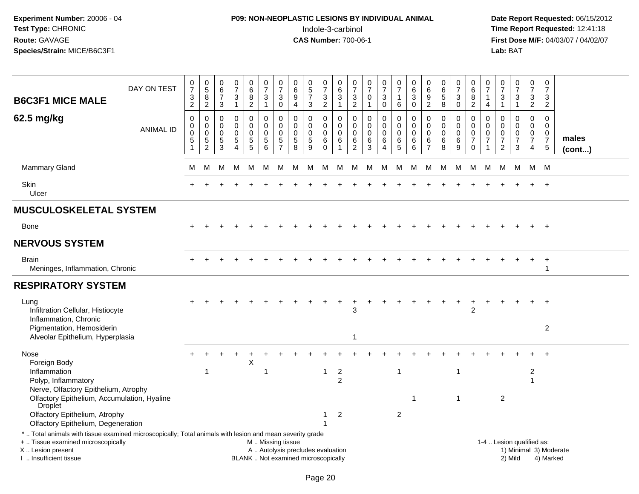# **P09: NON-NEOPLASTIC LESIONS BY INDIVIDUAL ANIMAL**Indole-3-carbinol **Time Report Requested:** 12:41:18

| <b>B6C3F1 MICE MALE</b>                                                                                                                                                                       | DAY ON TEST      | $\frac{0}{7}$<br>3<br>$\overline{2}$ | $\pmb{0}$<br>$\,$ 5 $\,$<br>8<br>$\overline{2}$               | $\begin{array}{c} 0 \\ 6 \end{array}$<br>$\overline{7}$<br>$\mathsf 3$ | $\mathbf 0$<br>$\overline{7}$<br>$\mathbf{3}$<br>$\overline{1}$ | 0<br>$\,6\,$<br>8<br>$\overline{2}$                          | $\pmb{0}$<br>$\overline{7}$<br>3<br>$\mathbf{1}$ | 0<br>$\overline{7}$<br>$\mathbf{3}$<br>$\mathbf 0$                        | $\pmb{0}$<br>$\,6$<br>9<br>$\overline{4}$ | 0<br>$\sqrt{5}$<br>$\overline{7}$<br>$\mathbf{3}$  | $\frac{0}{7}$<br>$\sqrt{3}$<br>$\overline{2}$                   | 0<br>$\,6\,$<br>3<br>$\overline{1}$         | 0<br>$\overline{7}$<br>$\sqrt{3}$<br>$\overline{2}$              | $\frac{0}{7}$<br>0<br>$\mathbf{1}$        | 0<br>$\overline{7}$<br>3<br>$\mathbf 0$                        | $\begin{array}{c} 0 \\ 7 \end{array}$<br>$\mathbf{1}$<br>$\,6\,$ | $\boldsymbol{0}$<br>$\,6\,$<br>$\mathbf{3}$<br>$\mathbf 0$ | 0<br>$\,6\,$<br>9<br>$\overline{2}$                              | 0<br>$\,6\,$<br>$\sqrt{5}$<br>$\,8\,$           | 0<br>$\overline{7}$<br>3<br>$\mathbf 0$   | 0<br>6<br>8<br>$\overline{c}$                       | 0<br>$\overline{7}$<br>$\mathbf{1}$<br>$\overline{4}$                      | $\begin{array}{c} 0 \\ 7 \end{array}$<br>$\mathbf{3}$<br>$\mathbf{1}$ | $\mathbf 0$<br>$\overline{7}$<br>3<br>$\mathbf{1}$     | $\pmb{0}$<br>$\overline{7}$<br>$\mathbf{3}$<br>$\overline{2}$                 | $\pmb{0}$<br>$\overline{7}$<br>3<br>$\overline{2}$             |                        |
|-----------------------------------------------------------------------------------------------------------------------------------------------------------------------------------------------|------------------|--------------------------------------|---------------------------------------------------------------|------------------------------------------------------------------------|-----------------------------------------------------------------|--------------------------------------------------------------|--------------------------------------------------|---------------------------------------------------------------------------|-------------------------------------------|----------------------------------------------------|-----------------------------------------------------------------|---------------------------------------------|------------------------------------------------------------------|-------------------------------------------|----------------------------------------------------------------|------------------------------------------------------------------|------------------------------------------------------------|------------------------------------------------------------------|-------------------------------------------------|-------------------------------------------|-----------------------------------------------------|----------------------------------------------------------------------------|-----------------------------------------------------------------------|--------------------------------------------------------|-------------------------------------------------------------------------------|----------------------------------------------------------------|------------------------|
| 62.5 mg/kg                                                                                                                                                                                    | <b>ANIMAL ID</b> | 0<br>0<br>$\mathbf 0$<br>5<br>1      | 0<br>0<br>$\mathsf{O}\xspace$<br>$\sqrt{5}$<br>$\overline{2}$ | $\mathbf 0$<br>$\mathbf 0$<br>$\mathbf 0$<br>$\sqrt{5}$<br>3           | 0<br>$\mathbf 0$<br>$\mathbf 0$<br>$\sqrt{5}$<br>4              | $\mathbf 0$<br>$\mathbf 0$<br>$\mathbf 0$<br>$\sqrt{5}$<br>5 | 0<br>$\mathbf 0$<br>$\mathbf 0$<br>5<br>6        | $\mathbf 0$<br>$\mathbf 0$<br>$\mathbf 0$<br>$\sqrt{5}$<br>$\overline{7}$ | 0<br>$\mathbf 0$<br>0<br>5<br>8           | 0<br>$\mathbf 0$<br>$\mathbf 0$<br>$\sqrt{5}$<br>9 | $\mathbf 0$<br>$\mathbf 0$<br>$\boldsymbol{0}$<br>6<br>$\Omega$ | $\mathbf 0$<br>$\Omega$<br>$\mathbf 0$<br>6 | $\mathbf 0$<br>$\mathbf 0$<br>$\mathbf 0$<br>6<br>$\overline{2}$ | 0<br>$\mathbf 0$<br>$\mathbf 0$<br>6<br>3 | 0<br>$\mathbf 0$<br>$\mathbf 0$<br>6<br>$\boldsymbol{\Lambda}$ | $\mathbf 0$<br>$\pmb{0}$<br>$\mathbf 0$<br>$\,6$<br>5            | $\mathbf 0$<br>$\mathbf 0$<br>$\mathbf 0$<br>6<br>6        | $\mathbf 0$<br>$\mathbf 0$<br>$\mathbf 0$<br>6<br>$\overline{7}$ | 0<br>$\mathbf 0$<br>$\mathbf 0$<br>$\,6\,$<br>8 | 0<br>$\mathbf 0$<br>$\mathbf 0$<br>6<br>9 | 0<br>$\mathbf 0$<br>0<br>$\overline{7}$<br>$\Omega$ | $\mathbf 0$<br>$\Omega$<br>$\mathbf 0$<br>$\overline{7}$<br>$\overline{1}$ | $\mathbf 0$<br>$\mathbf 0$<br>0<br>$\overline{7}$<br>2                | 0<br>$\mathbf 0$<br>$\mathbf 0$<br>$\overline{7}$<br>3 | $\mathbf 0$<br>$\mathbf 0$<br>$\mathbf 0$<br>$\overline{7}$<br>$\overline{4}$ | $\Omega$<br>$\Omega$<br>0<br>$\overline{7}$<br>$5\phantom{.0}$ | males<br>(cont)        |
| <b>Mammary Gland</b>                                                                                                                                                                          |                  | м                                    | м                                                             | М                                                                      | м                                                               | М                                                            | М                                                | M                                                                         | M                                         | M                                                  | м                                                               | M                                           | М                                                                | М                                         | M                                                              | M                                                                | М                                                          | M                                                                | М                                               | М                                         | M                                                   | M                                                                          | М                                                                     | M                                                      | M                                                                             | M                                                              |                        |
| <b>Skin</b><br>Ulcer                                                                                                                                                                          |                  |                                      |                                                               |                                                                        |                                                                 |                                                              |                                                  |                                                                           |                                           |                                                    |                                                                 |                                             |                                                                  |                                           |                                                                |                                                                  |                                                            |                                                                  |                                                 |                                           |                                                     |                                                                            |                                                                       |                                                        |                                                                               |                                                                |                        |
| <b>MUSCULOSKELETAL SYSTEM</b>                                                                                                                                                                 |                  |                                      |                                                               |                                                                        |                                                                 |                                                              |                                                  |                                                                           |                                           |                                                    |                                                                 |                                             |                                                                  |                                           |                                                                |                                                                  |                                                            |                                                                  |                                                 |                                           |                                                     |                                                                            |                                                                       |                                                        |                                                                               |                                                                |                        |
| Bone                                                                                                                                                                                          |                  | $\pm$                                |                                                               |                                                                        |                                                                 |                                                              |                                                  |                                                                           |                                           |                                                    |                                                                 |                                             |                                                                  |                                           |                                                                |                                                                  |                                                            |                                                                  |                                                 |                                           |                                                     |                                                                            |                                                                       |                                                        |                                                                               |                                                                |                        |
| <b>NERVOUS SYSTEM</b>                                                                                                                                                                         |                  |                                      |                                                               |                                                                        |                                                                 |                                                              |                                                  |                                                                           |                                           |                                                    |                                                                 |                                             |                                                                  |                                           |                                                                |                                                                  |                                                            |                                                                  |                                                 |                                           |                                                     |                                                                            |                                                                       |                                                        |                                                                               |                                                                |                        |
| <b>Brain</b><br>Meninges, Inflammation, Chronic                                                                                                                                               |                  |                                      |                                                               |                                                                        |                                                                 |                                                              |                                                  |                                                                           |                                           |                                                    |                                                                 |                                             |                                                                  |                                           |                                                                |                                                                  |                                                            |                                                                  |                                                 |                                           |                                                     |                                                                            |                                                                       |                                                        |                                                                               | $\ddot{}$<br>1                                                 |                        |
| <b>RESPIRATORY SYSTEM</b>                                                                                                                                                                     |                  |                                      |                                                               |                                                                        |                                                                 |                                                              |                                                  |                                                                           |                                           |                                                    |                                                                 |                                             |                                                                  |                                           |                                                                |                                                                  |                                                            |                                                                  |                                                 |                                           |                                                     |                                                                            |                                                                       |                                                        |                                                                               |                                                                |                        |
| Lung<br>Infiltration Cellular, Histiocyte<br>Inflammation, Chronic                                                                                                                            |                  |                                      |                                                               |                                                                        |                                                                 |                                                              |                                                  |                                                                           |                                           |                                                    |                                                                 |                                             | 3                                                                |                                           |                                                                |                                                                  |                                                            |                                                                  |                                                 |                                           | $\overline{2}$                                      |                                                                            |                                                                       |                                                        |                                                                               |                                                                |                        |
| Pigmentation, Hemosiderin<br>Alveolar Epithelium, Hyperplasia                                                                                                                                 |                  |                                      |                                                               |                                                                        |                                                                 |                                                              |                                                  |                                                                           |                                           |                                                    |                                                                 |                                             | 1                                                                |                                           |                                                                |                                                                  |                                                            |                                                                  |                                                 |                                           |                                                     |                                                                            |                                                                       |                                                        |                                                                               | $\boldsymbol{2}$                                               |                        |
| Nose<br>Foreign Body                                                                                                                                                                          |                  |                                      |                                                               |                                                                        |                                                                 | X                                                            |                                                  |                                                                           |                                           |                                                    |                                                                 |                                             |                                                                  |                                           |                                                                |                                                                  |                                                            |                                                                  |                                                 |                                           |                                                     |                                                                            |                                                                       |                                                        |                                                                               |                                                                |                        |
| Inflammation<br>Polyp, Inflammatory<br>Nerve, Olfactory Epithelium, Atrophy                                                                                                                   |                  |                                      | $\mathbf{1}$                                                  |                                                                        |                                                                 |                                                              | -1                                               |                                                                           |                                           |                                                    | -1                                                              | $\overline{2}$<br>$\overline{2}$            |                                                                  |                                           |                                                                | $\overline{1}$                                                   |                                                            |                                                                  |                                                 | 1                                         |                                                     |                                                                            |                                                                       |                                                        | $\overline{2}$<br>$\overline{1}$                                              |                                                                |                        |
| Olfactory Epithelium, Accumulation, Hyaline<br><b>Droplet</b>                                                                                                                                 |                  |                                      |                                                               |                                                                        |                                                                 |                                                              |                                                  |                                                                           |                                           |                                                    |                                                                 |                                             |                                                                  |                                           |                                                                |                                                                  | $\overline{1}$                                             |                                                                  |                                                 | 1                                         |                                                     |                                                                            | 2                                                                     |                                                        |                                                                               |                                                                |                        |
| Olfactory Epithelium, Atrophy<br>Olfactory Epithelium, Degeneration                                                                                                                           |                  |                                      |                                                               |                                                                        |                                                                 |                                                              |                                                  |                                                                           |                                           |                                                    | 1                                                               | $\overline{2}$                              |                                                                  |                                           |                                                                | 2                                                                |                                                            |                                                                  |                                                 |                                           |                                                     |                                                                            |                                                                       |                                                        |                                                                               |                                                                |                        |
| *  Total animals with tissue examined microscopically; Total animals with lesion and mean severity grade<br>+  Tissue examined microscopically<br>X  Lesion present<br>I  Insufficient tissue |                  |                                      |                                                               |                                                                        |                                                                 | BLANK  Not examined microscopically                          | M  Missing tissue                                |                                                                           | A  Autolysis precludes evaluation         |                                                    |                                                                 |                                             |                                                                  |                                           |                                                                |                                                                  |                                                            |                                                                  |                                                 |                                           |                                                     |                                                                            | 1-4  Lesion qualified as:                                             | 2) Mild                                                |                                                                               | 4) Marked                                                      | 1) Minimal 3) Moderate |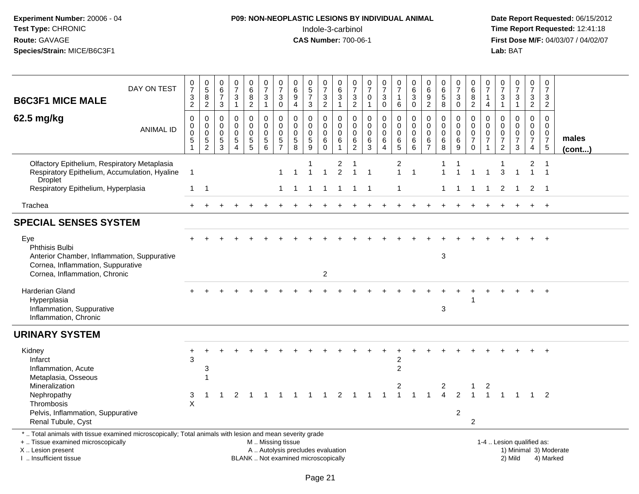# **P09: NON-NEOPLASTIC LESIONS BY INDIVIDUAL ANIMAL**Indole-3-carbinol **Time Report Requested:** 12:41:18

| <b>B6C3F1 MICE MALE</b>                                                                                                                                                                       | DAY ON TEST      | $\frac{0}{7}$<br>$\ensuremath{\mathsf{3}}$<br>$\overline{2}$   | $\begin{array}{c} 0 \\ 5 \end{array}$<br>8<br>$\overline{2}$ | $\begin{array}{c} 0 \\ 6 \end{array}$<br>$\overline{7}$<br>$\mathbf{3}$ | $\begin{array}{c} 0 \\ 7 \end{array}$<br>$\sqrt{3}$<br>$\mathbf{1}$               | $\begin{array}{c} 0 \\ 6 \end{array}$<br>8<br>$\overline{2}$             | 0<br>$\overline{7}$<br>$\sqrt{3}$<br>$\mathbf{1}$                                             | 0<br>$\overline{7}$<br>$\mathbf{3}$<br>$\mathbf 0$                        | 0<br>6<br>$\boldsymbol{9}$<br>$\overline{4}$                 | $\begin{array}{c} 0 \\ 5 \end{array}$<br>$\overline{7}$<br>3 | $\frac{0}{7}$<br>3<br>$\overline{2}$                | 0<br>$\,6$<br>$\ensuremath{\mathsf{3}}$<br>$\mathbf{1}$      | 0<br>$\overline{7}$<br>$\sqrt{3}$<br>$\overline{2}$          | $\frac{0}{7}$<br>$\mathbf 0$<br>$\overline{1}$                             | $\frac{0}{7}$<br>$\mathbf{3}$<br>$\mathbf 0$                 | 0<br>$\overline{7}$<br>$\mathbf{1}$<br>$\,6\,$      | $_{6}^{\rm 0}$<br>$\ensuremath{\mathsf{3}}$<br>$\mathsf 0$ | 0<br>$\,6\,$<br>$\boldsymbol{9}$<br>$\overline{2}$            | $_{\rm 6}^{\rm 0}$<br>$\sqrt{5}$<br>8             | $\frac{0}{7}$<br>$\mathbf{3}$<br>$\mathbf{0}$           | 0<br>$\,6\,$<br>8<br>$\overline{2}$                                      | 0<br>$\overline{7}$<br>$\overline{1}$<br>4     | 0<br>$\overline{7}$<br>3<br>$\mathbf{1}$                                   | $\frac{0}{7}$<br>3<br>$\mathbf{1}$                                          | 0<br>$\overline{7}$<br>$\mathbf{3}$<br>$\overline{2}$                            | $\mathbf 0$<br>$\overline{7}$<br>3<br>$\overline{2}$                       |                        |
|-----------------------------------------------------------------------------------------------------------------------------------------------------------------------------------------------|------------------|----------------------------------------------------------------|--------------------------------------------------------------|-------------------------------------------------------------------------|-----------------------------------------------------------------------------------|--------------------------------------------------------------------------|-----------------------------------------------------------------------------------------------|---------------------------------------------------------------------------|--------------------------------------------------------------|--------------------------------------------------------------|-----------------------------------------------------|--------------------------------------------------------------|--------------------------------------------------------------|----------------------------------------------------------------------------|--------------------------------------------------------------|-----------------------------------------------------|------------------------------------------------------------|---------------------------------------------------------------|---------------------------------------------------|---------------------------------------------------------|--------------------------------------------------------------------------|------------------------------------------------|----------------------------------------------------------------------------|-----------------------------------------------------------------------------|----------------------------------------------------------------------------------|----------------------------------------------------------------------------|------------------------|
| 62.5 mg/kg                                                                                                                                                                                    | <b>ANIMAL ID</b> | 0<br>$\pmb{0}$<br>$\pmb{0}$<br>$5\phantom{.0}$<br>$\mathbf{1}$ | 0<br>$\mathbf 0$<br>0<br>$\frac{5}{2}$                       | $\mathbf 0$<br>$\mathbf 0$<br>$\mathbf 0$<br>$\frac{5}{3}$              | $\mathbf 0$<br>$\mathbf 0$<br>$\mathbf 0$<br>$\sqrt{5}$<br>$\boldsymbol{\Lambda}$ | 0<br>$\mathbf 0$<br>$\mathbf 0$<br>$\begin{array}{c} 5 \\ 5 \end{array}$ | $\mathbf 0$<br>$\mathbf 0$<br>$\mathbf 0$<br>$\sqrt{5}$<br>6                                  | $\mathbf 0$<br>$\mathbf 0$<br>$\mathbf 0$<br>$\sqrt{5}$<br>$\overline{7}$ | $\mathbf 0$<br>$\mathbf 0$<br>$\mathbf 0$<br>$\sqrt{5}$<br>8 | 0<br>$\mathbf 0$<br>$\mathbf 0$<br>$\frac{5}{9}$             | $\mathbf 0$<br>0<br>$\mathbf 0$<br>6<br>$\mathbf 0$ | 0<br>$\mathsf{O}\xspace$<br>$\pmb{0}$<br>6<br>$\overline{1}$ | $\mathbf 0$<br>$\mathbf 0$<br>$\mathbf 0$<br>6<br>$\sqrt{2}$ | $\mathbf 0$<br>$\mathsf{O}\xspace$<br>$\mathbf 0$<br>$\,6$<br>$\mathbf{3}$ | 0<br>$\mathbf 0$<br>$\mathbf 0$<br>$\,6\,$<br>$\overline{4}$ | $\mathbf 0$<br>$\mathbf 0$<br>$\mathbf 0$<br>6<br>5 | 0<br>$\mathsf 0$<br>$\mathbf 0$<br>6<br>6                  | $\mathbf 0$<br>$\mathbf 0$<br>$\Omega$<br>6<br>$\overline{7}$ | $\mathbf 0$<br>0<br>$\mathsf{O}\xspace$<br>$^6_8$ | 0<br>$\mathbf{0}$<br>$\mathbf 0$<br>$6\phantom{1}$<br>9 | $\mathbf 0$<br>$\mathbf 0$<br>$\pmb{0}$<br>$\overline{7}$<br>$\mathbf 0$ | $\mathbf 0$<br>$\Omega$<br>0<br>$\overline{7}$ | $\Omega$<br>$\mathbf 0$<br>$\mathbf 0$<br>$\overline{7}$<br>$\overline{2}$ | $\mathbf 0$<br>$\mathbf 0$<br>$\mathbf 0$<br>$\overline{7}$<br>$\mathbf{3}$ | $\mathbf 0$<br>$\mathsf{O}\xspace$<br>$\mathsf{O}\xspace$<br>$\overline{7}$<br>4 | $\mathbf 0$<br>$\mathbf{0}$<br>$\mathbf 0$<br>$\overline{7}$<br>$\sqrt{5}$ | males<br>(cont)        |
| Olfactory Epithelium, Respiratory Metaplasia<br>Respiratory Epithelium, Accumulation, Hyaline<br><b>Droplet</b>                                                                               |                  | $\mathbf{1}$                                                   |                                                              |                                                                         |                                                                                   |                                                                          |                                                                                               | 1                                                                         | $\overline{1}$                                               | $\overline{1}$                                               | $\mathbf{1}$                                        | 2<br>$\overline{2}$                                          | 1                                                            | $\overline{1}$                                                             |                                                              | 2<br>$\mathbf{1}$                                   | $\mathbf{1}$                                               |                                                               |                                                   |                                                         |                                                                          |                                                | 3                                                                          | $\overline{1}$                                                              | 2<br>$\overline{1}$                                                              | $\overline{1}$                                                             |                        |
| Respiratory Epithelium, Hyperplasia                                                                                                                                                           |                  | $\mathbf{1}$                                                   | $\overline{1}$                                               |                                                                         |                                                                                   |                                                                          |                                                                                               |                                                                           | 1 1                                                          | $\overline{1}$                                               | $\overline{1}$                                      | $\mathbf{1}$                                                 | $\overline{1}$                                               | $\overline{\phantom{0}}$ 1                                                 |                                                              | 1                                                   |                                                            |                                                               | $\mathbf{1}$                                      | $\mathbf{1}$                                            | $\mathbf{1}$                                                             | $\overline{1}$                                 | $\overline{2}$                                                             | $\overline{1}$                                                              | $\overline{2}$                                                                   | $\overline{\phantom{1}}$                                                   |                        |
| Trachea                                                                                                                                                                                       |                  |                                                                |                                                              |                                                                         |                                                                                   |                                                                          |                                                                                               |                                                                           |                                                              |                                                              |                                                     |                                                              |                                                              |                                                                            |                                                              |                                                     |                                                            |                                                               |                                                   |                                                         |                                                                          |                                                |                                                                            |                                                                             | $+$                                                                              | $+$                                                                        |                        |
| <b>SPECIAL SENSES SYSTEM</b>                                                                                                                                                                  |                  |                                                                |                                                              |                                                                         |                                                                                   |                                                                          |                                                                                               |                                                                           |                                                              |                                                              |                                                     |                                                              |                                                              |                                                                            |                                                              |                                                     |                                                            |                                                               |                                                   |                                                         |                                                                          |                                                |                                                                            |                                                                             |                                                                                  |                                                                            |                        |
| Eye<br><b>Phthisis Bulbi</b><br>Anterior Chamber, Inflammation, Suppurative<br>Cornea, Inflammation, Suppurative<br>Cornea, Inflammation, Chronic                                             |                  |                                                                |                                                              |                                                                         |                                                                                   |                                                                          |                                                                                               |                                                                           |                                                              |                                                              | $\overline{2}$                                      |                                                              |                                                              |                                                                            |                                                              |                                                     |                                                            |                                                               | 3                                                 |                                                         |                                                                          |                                                |                                                                            |                                                                             |                                                                                  |                                                                            |                        |
| Harderian Gland<br>Hyperplasia<br>Inflammation, Suppurative<br>Inflammation, Chronic                                                                                                          |                  |                                                                |                                                              |                                                                         |                                                                                   |                                                                          |                                                                                               |                                                                           |                                                              |                                                              |                                                     |                                                              |                                                              |                                                                            |                                                              |                                                     |                                                            |                                                               | 3                                                 |                                                         |                                                                          |                                                |                                                                            |                                                                             |                                                                                  |                                                                            |                        |
| <b>URINARY SYSTEM</b>                                                                                                                                                                         |                  |                                                                |                                                              |                                                                         |                                                                                   |                                                                          |                                                                                               |                                                                           |                                                              |                                                              |                                                     |                                                              |                                                              |                                                                            |                                                              |                                                     |                                                            |                                                               |                                                   |                                                         |                                                                          |                                                |                                                                            |                                                                             |                                                                                  |                                                                            |                        |
| Kidney<br>Infarct<br>Inflammation, Acute<br>Metaplasia, Osseous<br>Mineralization                                                                                                             |                  | 3                                                              | 3<br>-1                                                      |                                                                         |                                                                                   |                                                                          |                                                                                               |                                                                           |                                                              |                                                              |                                                     |                                                              |                                                              |                                                                            |                                                              | 2<br>$\overline{c}$                                 |                                                            |                                                               | 2                                                 |                                                         | -1                                                                       | 2                                              |                                                                            |                                                                             |                                                                                  | $\ddot{}$                                                                  |                        |
| Nephropathy<br>Thrombosis<br>Pelvis, Inflammation, Suppurative<br>Renal Tubule, Cyst                                                                                                          |                  | 3<br>X                                                         |                                                              |                                                                         | $\mathcal{P}$                                                                     |                                                                          |                                                                                               |                                                                           |                                                              |                                                              |                                                     | $\mathcal{P}$                                                |                                                              |                                                                            |                                                              |                                                     |                                                            |                                                               | $\Delta$                                          | $\mathcal{P}$<br>$\overline{c}$                         | 2                                                                        |                                                |                                                                            |                                                                             |                                                                                  | 2                                                                          |                        |
| *  Total animals with tissue examined microscopically; Total animals with lesion and mean severity grade<br>+  Tissue examined microscopically<br>X  Lesion present<br>I  Insufficient tissue |                  |                                                                |                                                              |                                                                         |                                                                                   |                                                                          | M  Missing tissue<br>A  Autolysis precludes evaluation<br>BLANK  Not examined microscopically |                                                                           |                                                              |                                                              |                                                     |                                                              |                                                              |                                                                            |                                                              |                                                     |                                                            |                                                               |                                                   |                                                         |                                                                          |                                                |                                                                            | 1-4  Lesion qualified as:<br>2) Mild                                        |                                                                                  | 4) Marked                                                                  | 1) Minimal 3) Moderate |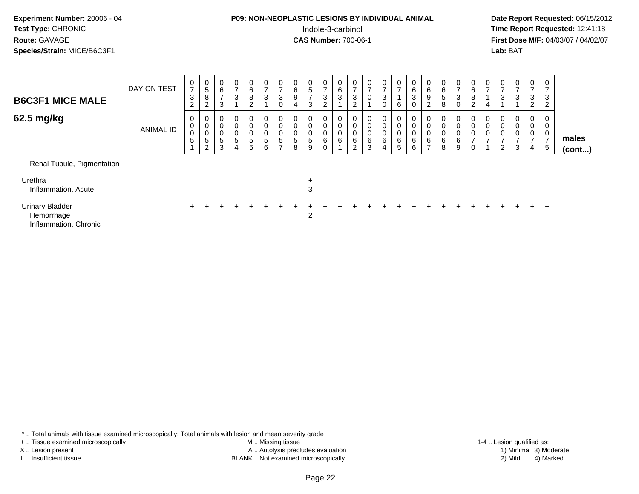#### **P09: NON-NEOPLASTIC LESIONS BY INDIVIDUAL ANIMAL**Indole-3-carbinol **Time Report Requested:** 12:41:18

 **Date Report Requested:** 06/15/2012 **First Dose M/F:** 04/03/07 / 04/02/07<br>Lab: BAT **Lab:** BAT

| <b>B6C3F1 MICE MALE</b>                                       | DAY ON TEST      | $\frac{0}{7}$<br>$\frac{3}{2}$ | $\overline{0}$<br>$\,$ 5 $\,$<br>$\bf8$<br>$\overline{c}$   | $\begin{matrix} 0 \\ 6 \\ 7 \end{matrix}$<br>$\mathbf{3}$      | $\begin{smallmatrix}0\\7\end{smallmatrix}$<br>$\mathsf 3$        | $\begin{matrix} 0 \\ 6 \end{matrix}$<br>$\bf 8$<br>$\overline{c}$ | $\overline{0}$<br>7<br>$\sqrt{3}$ | $\frac{0}{7}$<br>3<br>0                                         | $\begin{matrix} 0 \\ 6 \\ 9 \end{matrix}$<br>$\overline{4}$ | $\begin{matrix} 0 \\ 5 \end{matrix}$<br>$\rightarrow$<br>3 | 0<br>$\overline{ }$<br>3<br>$\overline{c}$ | $\begin{matrix} 0 \\ 6 \\ 3 \end{matrix}$ | $\frac{0}{7}$<br>$\ensuremath{\mathsf{3}}$<br>$\overline{c}$      | $\frac{0}{7}$<br>$\pmb{0}$                           | $\mathbf{0}$<br>$\overline{ }$<br>$\mathbf{3}$<br>$\Omega$ | $\frac{0}{7}$<br>$6\phantom{a}$                 | $\begin{matrix} 0 \\ 6 \\ 3 \end{matrix}$<br>0       | 0<br>$\,6\,$<br>$\boldsymbol{9}$<br>$\overline{c}$               | $\mathbf 0$<br>$\,6\,$<br>$\sqrt{5}$<br>8     | $\frac{0}{7}$<br>$\sqrt{3}$<br>$\mathbf 0$           | $\overline{0}$<br>$\,6\,$<br>$\,8\,$<br>$\overline{2}$ | $\frac{0}{7}$<br>4                                            | 0<br>$\overline{7}$<br>$\ensuremath{\mathsf{3}}$ | 0<br>$\overline{ }$<br>3 | 0<br>$\overline{7}$<br>$\sqrt{3}$<br>$\overline{c}$ | 0<br>$\overline{ }$<br>3<br>$\overline{2}$ |                 |
|---------------------------------------------------------------|------------------|--------------------------------|-------------------------------------------------------------|----------------------------------------------------------------|------------------------------------------------------------------|-------------------------------------------------------------------|-----------------------------------|-----------------------------------------------------------------|-------------------------------------------------------------|------------------------------------------------------------|--------------------------------------------|-------------------------------------------|-------------------------------------------------------------------|------------------------------------------------------|------------------------------------------------------------|-------------------------------------------------|------------------------------------------------------|------------------------------------------------------------------|-----------------------------------------------|------------------------------------------------------|--------------------------------------------------------|---------------------------------------------------------------|--------------------------------------------------|--------------------------|-----------------------------------------------------|--------------------------------------------|-----------------|
| 62.5 mg/kg                                                    | <b>ANIMAL ID</b> | $_0^0$<br>$\overline{0}$<br>5  | 0<br>$\pmb{0}$<br>$\pmb{0}$<br>$\sqrt{5}$<br>$\overline{2}$ | $\begin{matrix} 0 \\ 0 \\ 0 \\ 5 \end{matrix}$<br>$\mathbf{3}$ | $\begin{matrix} 0 \\ 0 \\ 0 \\ 5 \end{matrix}$<br>$\overline{4}$ | $\begin{matrix} 0 \\ 0 \\ 0 \\ 5 \end{matrix}$<br>5               | 0<br>$5\phantom{.0}$<br>6         | 0<br>$\begin{matrix} 0 \\ 0 \\ 5 \end{matrix}$<br>$\rightarrow$ | $\begin{matrix} 0 \\ 0 \\ 5 \end{matrix}$<br>8              | 0<br>0<br>$\begin{array}{c} 0 \\ 5 \end{array}$<br>9       | 0<br>0<br>6                                | $\begin{matrix}0\\0\\0\\6\end{matrix}$    | $\begin{smallmatrix}0\0\0\0\6\end{smallmatrix}$<br>$\overline{2}$ | $\begin{smallmatrix}0\0\0\0\0\end{smallmatrix}$<br>3 | 0<br>$\pmb{0}$<br>$\pmb{0}$<br>6<br>4                      | $\pmb{0}$<br>$\bar{0}$<br>$\,6\,$<br>$\sqrt{5}$ | $\begin{smallmatrix}0\0\0\0\6\end{smallmatrix}$<br>6 | $\begin{matrix} 0 \\ 0 \\ 0 \\ 6 \end{matrix}$<br>$\overline{ }$ | 0<br>$\mathbf 0$<br>$\pmb{0}$<br>$\,6\,$<br>8 | $\begin{smallmatrix}0\0\0\0\6\end{smallmatrix}$<br>9 | $\pmb{0}$<br>$\pmb{0}$<br>$\overline{z}$<br>0          | $\begin{smallmatrix} 0 \\ 0 \\ 0 \\ 0 \\ 7 \end{smallmatrix}$ | $\pmb{0}$<br>$\overline{ }$<br>$\overline{c}$    | 0<br>0<br>3              | $\pmb{0}$<br>$\mathbf 0$<br>$\overline{ }$<br>4     | 0<br>0<br>0<br>$\overline{ }$<br>5         | males<br>(cont) |
| Renal Tubule, Pigmentation                                    |                  |                                |                                                             |                                                                |                                                                  |                                                                   |                                   |                                                                 |                                                             |                                                            |                                            |                                           |                                                                   |                                                      |                                                            |                                                 |                                                      |                                                                  |                                               |                                                      |                                                        |                                                               |                                                  |                          |                                                     |                                            |                 |
| Urethra<br>Inflammation, Acute                                |                  |                                |                                                             |                                                                |                                                                  |                                                                   |                                   |                                                                 |                                                             | $\ddot{}$<br>$\sqrt{3}$                                    |                                            |                                           |                                                                   |                                                      |                                                            |                                                 |                                                      |                                                                  |                                               |                                                      |                                                        |                                                               |                                                  |                          |                                                     |                                            |                 |
| <b>Urinary Bladder</b><br>Hemorrhage<br>Inflammation, Chronic |                  | $+$                            |                                                             |                                                                |                                                                  |                                                                   |                                   |                                                                 |                                                             | 2                                                          |                                            |                                           |                                                                   |                                                      |                                                            |                                                 |                                                      |                                                                  |                                               |                                                      |                                                        |                                                               |                                                  |                          | $+$                                                 | $+$                                        |                 |

\* .. Total animals with tissue examined microscopically; Total animals with lesion and mean severity grade

+ .. Tissue examined microscopically

X .. Lesion present

I .. Insufficient tissue

 M .. Missing tissueA .. Autolysis precludes evaluation

BLANK .. Not examined microscopically 2) Mild 4) Marked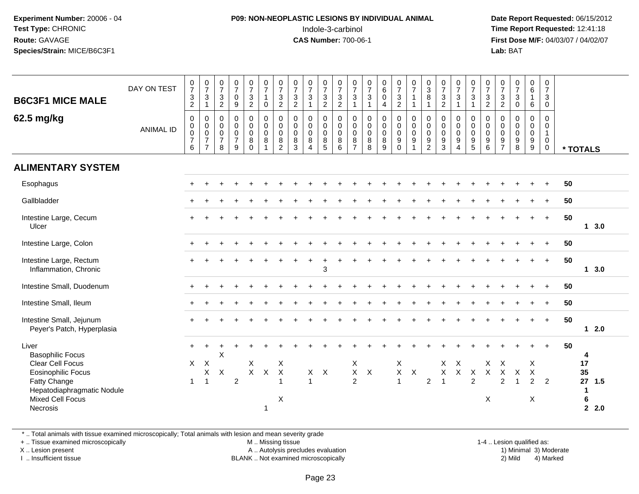### **P09: NON-NEOPLASTIC LESIONS BY INDIVIDUAL ANIMAL**Indole-3-carbinol **Time Report Requested:** 12:41:18

 **Date Report Requested:** 06/15/2012 **First Dose M/F:** 04/03/07 / 04/02/07<br>Lab: BAT **Lab:** BAT

| <b>B6C3F1 MICE MALE</b><br>62.5 mg/kg                                                                                                                                         | DAY ON TEST<br><b>ANIMAL ID</b> | $\frac{0}{7}$<br>$\frac{3}{2}$<br>$\mathsf 0$<br>$\mathbf 0$<br>$\ddot{\mathbf{0}}$<br>$\frac{7}{6}$ | $\frac{0}{7}$<br>$\ensuremath{\mathsf{3}}$<br>$\mathbf{1}$<br>$\pmb{0}$<br>$\mathsf 0$<br>$\ddot{\mathbf{0}}$<br>$\overline{7}$<br>$\overline{7}$ | $\begin{smallmatrix}0\\7\end{smallmatrix}$<br>$\mathsf 3$<br>$\overline{2}$<br>0<br>$\mathbf 0$<br>$\mathbf 0$<br>$\overline{7}$<br>8 | $\frac{0}{7}$<br>$\mathsf 0$<br>9<br>$\mathsf 0$<br>$\mathsf{O}\xspace$<br>$\mathsf{O}\xspace$<br>$\overline{7}$<br>9 | $\frac{0}{7}$<br>$\ensuremath{\mathsf{3}}$<br>$\overline{2}$<br>0<br>$\pmb{0}$<br>$\ddot{\mathbf{0}}$<br>8<br>$\mathbf 0$ | $\begin{array}{c} 0 \\ 7 \end{array}$<br>$\mathbf{1}$<br>$\mathbf 0$<br>$\pmb{0}$<br>$\boldsymbol{0}$<br>$\overline{0}$<br>8<br>$\overline{1}$ | $\frac{0}{7}$<br>$\mathbf{3}$<br>$\overline{2}$<br>$\mathbf 0$<br>$\pmb{0}$<br>$\mathbf 0$<br>8<br>$\overline{c}$ | $\frac{0}{7}$<br>$\frac{3}{2}$<br>$\mathbf 0$<br>$\mathbf 0$<br>$\mathbf 0$<br>8<br>3 | $\frac{0}{7}$<br>$\ensuremath{\mathsf{3}}$<br>$\mathbf{1}$<br>0<br>$\pmb{0}$<br>$\pmb{0}$<br>$\bf 8$<br>$\overline{4}$ | $\frac{0}{7}$<br>$\mathsf 3$<br>$\overline{2}$<br>0<br>$\mathbf 0$<br>$\mathbf 0$<br>$^8$ 5 | $\frac{0}{7}$<br>$\frac{3}{2}$<br>$\pmb{0}$<br>$\,0\,$<br>$\ddot{\mathbf{0}}$<br>$\bf 8$<br>$\,6\,$ | $\frac{0}{7}$<br>$\sqrt{3}$<br>$\mathbf{1}$<br>0<br>$\mathbf 0$<br>$\mathbf 0$<br>8<br>$\overline{7}$ | $\frac{0}{7}$<br>$\ensuremath{\mathsf{3}}$<br>$\mathbf{1}$<br>$\mathbf 0$<br>$\pmb{0}$<br>$\mathbf 0$<br>8<br>8 | $\begin{matrix} 0 \\ 6 \end{matrix}$<br>$\pmb{0}$<br>$\overline{4}$<br>$\mathbf 0$<br>$\pmb{0}$<br>$\pmb{0}$<br>8<br>9 | $\frac{0}{7}$<br>$\frac{3}{2}$<br>$\mathsf 0$<br>$\mathsf{O}\xspace$<br>$\overline{0}$<br>9<br>$\mathbf 0$ | $\frac{0}{7}$<br>$\mathbf{1}$<br>1<br>$\pmb{0}$<br>$\mathbf 0$<br>$\overline{0}$<br>9<br>$\mathbf{1}$ | $_3^0$<br>$\,8\,$<br>$\overline{1}$<br>$\mathbf 0$<br>$\pmb{0}$<br>$\mathbf 0$<br>9<br>$\overline{c}$ | $\frac{0}{7}$<br>$\frac{3}{2}$<br>$\mathbf 0$<br>$\mathbf 0$<br>$\mathbf 0$<br>$\boldsymbol{9}$<br>$\mathbf{3}$ | $\frac{0}{7}$<br>$\ensuremath{\mathsf{3}}$<br>$\mathbf{1}$<br>0<br>$\pmb{0}$<br>$\pmb{0}$<br>9<br>$\overline{4}$ | $\frac{0}{7}$<br>$\sqrt{3}$<br>$\mathbf{1}$<br>$\pmb{0}$<br>$\pmb{0}$<br>$\mathbf 0$<br>$\begin{array}{c} 9 \\ 5 \end{array}$ | $\frac{0}{7}$<br>$\mathbf{3}$<br>$\overline{2}$<br>0<br>$\mathsf{O}\xspace$<br>$\mathbf 0$<br>9<br>6 | $\frac{0}{7}$<br>$\frac{3}{2}$<br>$\mathbf 0$<br>$\mathsf 0$<br>$\mathbf 0$<br>$\frac{9}{7}$ | $\frac{0}{7}$<br>$_{0}^{3}$<br>$\pmb{0}$<br>$\pmb{0}$<br>$\overline{0}$<br>$_{8}^{\rm 9}$ | $\begin{array}{c} 0 \\ 6 \end{array}$<br>$\overline{1}$<br>6<br>$\mathbf 0$<br>$\mathbf 0$<br>$\mathsf{O}\xspace$<br>$9\,$<br>9 | 0<br>$\overline{7}$<br>$\mathbf{3}$<br>$\mathbf 0$<br>$\mathbf 0$<br>$\mathbf 0$<br>$\mathbf{1}$<br>$\mathbf 0$<br>$\mathbf 0$ | * TOTALS |                                                         |  |
|-------------------------------------------------------------------------------------------------------------------------------------------------------------------------------|---------------------------------|------------------------------------------------------------------------------------------------------|---------------------------------------------------------------------------------------------------------------------------------------------------|---------------------------------------------------------------------------------------------------------------------------------------|-----------------------------------------------------------------------------------------------------------------------|---------------------------------------------------------------------------------------------------------------------------|------------------------------------------------------------------------------------------------------------------------------------------------|-------------------------------------------------------------------------------------------------------------------|---------------------------------------------------------------------------------------|------------------------------------------------------------------------------------------------------------------------|---------------------------------------------------------------------------------------------|-----------------------------------------------------------------------------------------------------|-------------------------------------------------------------------------------------------------------|-----------------------------------------------------------------------------------------------------------------|------------------------------------------------------------------------------------------------------------------------|------------------------------------------------------------------------------------------------------------|-------------------------------------------------------------------------------------------------------|-------------------------------------------------------------------------------------------------------|-----------------------------------------------------------------------------------------------------------------|------------------------------------------------------------------------------------------------------------------|-------------------------------------------------------------------------------------------------------------------------------|------------------------------------------------------------------------------------------------------|----------------------------------------------------------------------------------------------|-------------------------------------------------------------------------------------------|---------------------------------------------------------------------------------------------------------------------------------|--------------------------------------------------------------------------------------------------------------------------------|----------|---------------------------------------------------------|--|
| <b>ALIMENTARY SYSTEM</b>                                                                                                                                                      |                                 |                                                                                                      |                                                                                                                                                   |                                                                                                                                       |                                                                                                                       |                                                                                                                           |                                                                                                                                                |                                                                                                                   |                                                                                       |                                                                                                                        |                                                                                             |                                                                                                     |                                                                                                       |                                                                                                                 |                                                                                                                        |                                                                                                            |                                                                                                       |                                                                                                       |                                                                                                                 |                                                                                                                  |                                                                                                                               |                                                                                                      |                                                                                              |                                                                                           |                                                                                                                                 |                                                                                                                                |          |                                                         |  |
| Esophagus                                                                                                                                                                     |                                 |                                                                                                      |                                                                                                                                                   |                                                                                                                                       |                                                                                                                       |                                                                                                                           |                                                                                                                                                |                                                                                                                   |                                                                                       |                                                                                                                        |                                                                                             |                                                                                                     |                                                                                                       |                                                                                                                 |                                                                                                                        |                                                                                                            |                                                                                                       |                                                                                                       |                                                                                                                 |                                                                                                                  |                                                                                                                               |                                                                                                      |                                                                                              |                                                                                           |                                                                                                                                 |                                                                                                                                | 50       |                                                         |  |
| Gallbladder                                                                                                                                                                   |                                 |                                                                                                      |                                                                                                                                                   |                                                                                                                                       |                                                                                                                       |                                                                                                                           |                                                                                                                                                |                                                                                                                   |                                                                                       |                                                                                                                        |                                                                                             |                                                                                                     |                                                                                                       |                                                                                                                 |                                                                                                                        |                                                                                                            |                                                                                                       |                                                                                                       |                                                                                                                 |                                                                                                                  |                                                                                                                               |                                                                                                      |                                                                                              |                                                                                           |                                                                                                                                 |                                                                                                                                | 50       |                                                         |  |
| Intestine Large, Cecum<br>Ulcer                                                                                                                                               |                                 |                                                                                                      |                                                                                                                                                   |                                                                                                                                       |                                                                                                                       |                                                                                                                           |                                                                                                                                                |                                                                                                                   |                                                                                       |                                                                                                                        |                                                                                             |                                                                                                     |                                                                                                       |                                                                                                                 |                                                                                                                        |                                                                                                            |                                                                                                       |                                                                                                       |                                                                                                                 |                                                                                                                  |                                                                                                                               |                                                                                                      |                                                                                              |                                                                                           |                                                                                                                                 | $+$                                                                                                                            | 50       | 13.0                                                    |  |
| Intestine Large, Colon                                                                                                                                                        |                                 |                                                                                                      |                                                                                                                                                   |                                                                                                                                       |                                                                                                                       |                                                                                                                           |                                                                                                                                                |                                                                                                                   |                                                                                       |                                                                                                                        |                                                                                             |                                                                                                     |                                                                                                       |                                                                                                                 |                                                                                                                        |                                                                                                            |                                                                                                       |                                                                                                       |                                                                                                                 |                                                                                                                  |                                                                                                                               |                                                                                                      |                                                                                              |                                                                                           |                                                                                                                                 | $+$                                                                                                                            | 50       |                                                         |  |
| Intestine Large, Rectum<br>Inflammation, Chronic                                                                                                                              |                                 |                                                                                                      |                                                                                                                                                   |                                                                                                                                       |                                                                                                                       |                                                                                                                           |                                                                                                                                                |                                                                                                                   |                                                                                       |                                                                                                                        | 3                                                                                           |                                                                                                     |                                                                                                       |                                                                                                                 |                                                                                                                        |                                                                                                            |                                                                                                       |                                                                                                       |                                                                                                                 |                                                                                                                  |                                                                                                                               |                                                                                                      |                                                                                              |                                                                                           |                                                                                                                                 | $+$                                                                                                                            | 50       | $1 \quad 3.0$                                           |  |
| Intestine Small, Duodenum                                                                                                                                                     |                                 |                                                                                                      |                                                                                                                                                   |                                                                                                                                       |                                                                                                                       |                                                                                                                           |                                                                                                                                                |                                                                                                                   |                                                                                       |                                                                                                                        |                                                                                             |                                                                                                     |                                                                                                       |                                                                                                                 |                                                                                                                        |                                                                                                            |                                                                                                       |                                                                                                       |                                                                                                                 |                                                                                                                  |                                                                                                                               |                                                                                                      |                                                                                              |                                                                                           |                                                                                                                                 |                                                                                                                                | 50       |                                                         |  |
| Intestine Small, Ileum                                                                                                                                                        |                                 |                                                                                                      |                                                                                                                                                   |                                                                                                                                       |                                                                                                                       |                                                                                                                           |                                                                                                                                                |                                                                                                                   |                                                                                       |                                                                                                                        |                                                                                             |                                                                                                     |                                                                                                       |                                                                                                                 |                                                                                                                        |                                                                                                            |                                                                                                       |                                                                                                       |                                                                                                                 |                                                                                                                  |                                                                                                                               |                                                                                                      |                                                                                              |                                                                                           |                                                                                                                                 |                                                                                                                                | 50       |                                                         |  |
| Intestine Small, Jejunum<br>Peyer's Patch, Hyperplasia                                                                                                                        |                                 |                                                                                                      |                                                                                                                                                   |                                                                                                                                       |                                                                                                                       |                                                                                                                           |                                                                                                                                                |                                                                                                                   |                                                                                       |                                                                                                                        |                                                                                             |                                                                                                     |                                                                                                       |                                                                                                                 |                                                                                                                        |                                                                                                            |                                                                                                       |                                                                                                       |                                                                                                                 |                                                                                                                  |                                                                                                                               |                                                                                                      |                                                                                              |                                                                                           |                                                                                                                                 | $+$                                                                                                                            | 50       | $12.0$                                                  |  |
| Liver<br><b>Basophilic Focus</b><br>Clear Cell Focus<br><b>Eosinophilic Focus</b><br>Fatty Change<br>Hepatodiaphragmatic Nodule<br><b>Mixed Cell Focus</b><br><b>Necrosis</b> |                                 | $+$<br>$\mathsf{X}$<br>$\mathbf{1}$                                                                  | $\ddot{}$<br>$\boldsymbol{\mathsf{X}}$<br>$\mathsf X$<br>$\overline{1}$                                                                           | X<br>X                                                                                                                                | $\overline{2}$                                                                                                        | X<br>$\mathsf{X}$                                                                                                         | $\boldsymbol{\mathsf{X}}$<br>-1                                                                                                                | X<br>$\boldsymbol{\mathsf{X}}$<br>$\overline{1}$<br>X                                                             |                                                                                       | $\mathsf{X}-\mathsf{X}$<br>$\overline{1}$                                                                              |                                                                                             |                                                                                                     | X<br>$\mathsf X$<br>$\overline{2}$                                                                    | $\boldsymbol{X}$                                                                                                |                                                                                                                        | X<br>$\mathsf X$<br>$\overline{1}$                                                                         | $\mathsf{X}$                                                                                          | $\overline{c}$                                                                                        | $\mathsf{X}$<br>$\mathsf X$<br>$\overline{1}$                                                                   | X<br>$\mathsf X$                                                                                                 | $\mathsf{X}$<br>$\overline{2}$                                                                                                | X<br>$\mathsf X$<br>$\times$                                                                         | Χ<br>$\mathsf X$<br>$\overline{2}$                                                           | X<br>$\overline{1}$                                                                       | X<br>X<br>$\overline{2}$<br>X                                                                                                   | $+$<br>2                                                                                                                       | 50       | 4<br>17<br>35<br>27<br>1.5<br>$\mathbf 1$<br>6<br>2.2.0 |  |

\* .. Total animals with tissue examined microscopically; Total animals with lesion and mean severity grade

+ .. Tissue examined microscopically

X .. Lesion present

I .. Insufficient tissue

M .. Missing tissue

A .. Autolysis precludes evaluation

BLANK .. Not examined microscopically 2) Mild 4) Marked

1-4 .. Lesion qualified as:<br>1) Minimal 3) Moderate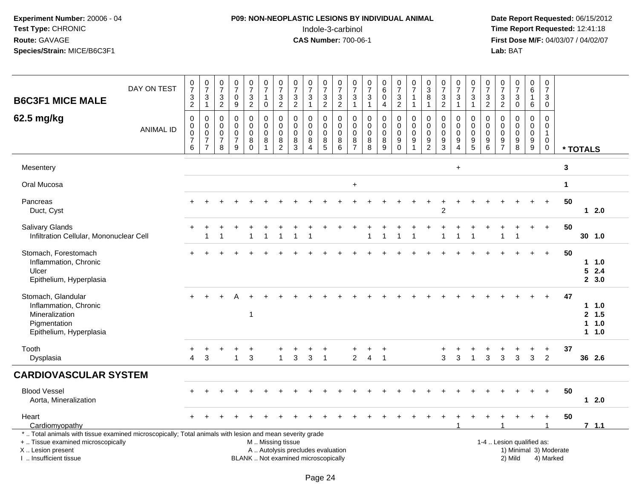# **P09: NON-NEOPLASTIC LESIONS BY INDIVIDUAL ANIMAL**Indole-3-carbinol **Time Report Requested:** 12:41:18

| <b>B6C3F1 MICE MALE</b>                                                                                                                                                                       | DAY ON TEST      | 0<br>$\overline{7}$<br>$\frac{3}{2}$                                   | $\frac{0}{7}$<br>$\sqrt{3}$<br>$\overline{1}$                             | $\pmb{0}$<br>$\overline{7}$<br>$\ensuremath{\mathsf{3}}$<br>$\overline{2}$ | 0<br>$\overline{7}$<br>$\mathbf 0$<br>9                       | $\frac{0}{7}$<br>3<br>$\overline{2}$              | $\pmb{0}$<br>$\overline{7}$<br>$\mathbf{1}$<br>$\mathbf 0$     | $\frac{0}{7}$<br>$\frac{3}{2}$                                               | $\begin{array}{c} 0 \\ 7 \end{array}$<br>$\frac{3}{2}$                   | $\begin{matrix} 0 \\ 7 \end{matrix}$<br>$\ensuremath{\mathsf{3}}$<br>$\mathbf{1}$ | $\frac{0}{7}$<br>$\frac{3}{2}$            | $\frac{0}{7}$<br>$\frac{3}{2}$              | $\frac{0}{7}$<br>$\ensuremath{\mathsf{3}}$<br>$\mathbf{1}$ | 0<br>$\overline{7}$<br>$\ensuremath{\mathsf{3}}$<br>$\mathbf{1}$ | $\begin{array}{c} 0 \\ 6 \end{array}$<br>$\pmb{0}$<br>$\overline{4}$ | $\begin{array}{c} 0 \\ 7 \end{array}$<br>$\ensuremath{\mathsf{3}}$<br>$\overline{2}$ | $\begin{array}{c} 0 \\ 7 \end{array}$<br>$\mathbf{1}$<br>$\overline{1}$         | $_3^0$<br>$\overline{8}$<br>$\mathbf{1}$                                    | $\frac{0}{7}$<br>$\frac{3}{2}$                                        | $\begin{array}{c} 0 \\ 7 \end{array}$<br>$\ensuremath{\mathsf{3}}$<br>$\mathbf{1}$      | $\begin{array}{c} 0 \\ 7 \end{array}$<br>$\frac{3}{1}$ | 0<br>$\overline{7}$<br>$\frac{3}{2}$                             | $\frac{0}{7}$<br>3<br>$\sqrt{2}$                                                | $\begin{array}{c} 0 \\ 7 \\ 3 \\ 0 \end{array}$          | $_6^0$<br>$\mathbf{1}$<br>6                                            | 0<br>$\overline{7}$<br>$\frac{3}{0}$                 |                        |          |                                      |  |
|-----------------------------------------------------------------------------------------------------------------------------------------------------------------------------------------------|------------------|------------------------------------------------------------------------|---------------------------------------------------------------------------|----------------------------------------------------------------------------|---------------------------------------------------------------|---------------------------------------------------|----------------------------------------------------------------|------------------------------------------------------------------------------|--------------------------------------------------------------------------|-----------------------------------------------------------------------------------|-------------------------------------------|---------------------------------------------|------------------------------------------------------------|------------------------------------------------------------------|----------------------------------------------------------------------|--------------------------------------------------------------------------------------|---------------------------------------------------------------------------------|-----------------------------------------------------------------------------|-----------------------------------------------------------------------|-----------------------------------------------------------------------------------------|--------------------------------------------------------|------------------------------------------------------------------|---------------------------------------------------------------------------------|----------------------------------------------------------|------------------------------------------------------------------------|------------------------------------------------------|------------------------|----------|--------------------------------------|--|
| 62.5 mg/kg                                                                                                                                                                                    | <b>ANIMAL ID</b> | $\mathbf 0$<br>$\mathbf 0$<br>$\pmb{0}$<br>$\boldsymbol{7}$<br>$\,6\,$ | $\mathbf 0$<br>$\mathbf 0$<br>$\,0\,$<br>$\overline{7}$<br>$\overline{7}$ | $\mathbf 0$<br>$\mathbf 0$<br>0<br>$\overline{7}$<br>8                     | $\Omega$<br>$\mathbf 0$<br>$\mathbf 0$<br>$\overline{7}$<br>9 | 0<br>$\mathbf 0$<br>$\pmb{0}$<br>8<br>$\mathbf 0$ | $\mathbf 0$<br>$\mathbf 0$<br>$\mathbf 0$<br>8<br>$\mathbf{1}$ | $\mathbf 0$<br>$\mathsf{O}\xspace$<br>$\pmb{0}$<br>$\bf 8$<br>$\overline{c}$ | $\mathbf 0$<br>$\mathbf 0$<br>$\mathbf 0$<br>8<br>$\overline{3}$         | $\mathbf 0$<br>$\mathbf 0$<br>$\mathbf 0$<br>8<br>$\overline{4}$                  | 0<br>$\mathbf 0$<br>$\mathbf 0$<br>8<br>5 | 0<br>$\pmb{0}$<br>$\pmb{0}$<br>$\bf 8$<br>6 | 0<br>$\mathbf 0$<br>0<br>$\bf 8$<br>$\overline{7}$         | $\mathbf 0$<br>$\mathbf 0$<br>$\mathbf 0$<br>8<br>8              | $\mathbf 0$<br>$\mathbf 0$<br>$\pmb{0}$<br>$\,8\,$<br>9              | 0<br>$\mathbf 0$<br>$\mathbf 0$<br>9<br>$\mathbf 0$                                  | $\mathbf 0$<br>$\mathbf 0$<br>$\mathbf 0$<br>$\boldsymbol{9}$<br>$\overline{1}$ | $\mathbf 0$<br>$\pmb{0}$<br>$\pmb{0}$<br>$\boldsymbol{9}$<br>$\overline{c}$ | $\mathbf 0$<br>$\mathbf 0$<br>0<br>$\boldsymbol{9}$<br>$\overline{3}$ | $\mathbf 0$<br>$\mathbf 0$<br>$\mathsf{O}\xspace$<br>$\boldsymbol{9}$<br>$\overline{4}$ | 0<br>$\mathbf 0$<br>$\mathbf 0$<br>$\frac{9}{5}$       | $\mathbf 0$<br>$\mathbf 0$<br>$\mathbf 0$<br>9<br>$6\phantom{1}$ | $\mathbf 0$<br>$\mathbf 0$<br>$\mathbf 0$<br>$\boldsymbol{9}$<br>$\overline{7}$ | $\mathbf 0$<br>$\mathbf 0$<br>$\pmb{0}$<br>$\frac{9}{8}$ | 0<br>$\overline{0}$<br>$\pmb{0}$<br>$\boldsymbol{9}$<br>$\overline{9}$ | $\mathbf 0$<br>$\mathbf 0$<br>$\mathbf{1}$<br>0<br>0 |                        | * TOTALS |                                      |  |
| Mesentery                                                                                                                                                                                     |                  |                                                                        |                                                                           |                                                                            |                                                               |                                                   |                                                                |                                                                              |                                                                          |                                                                                   |                                           |                                             |                                                            |                                                                  |                                                                      |                                                                                      |                                                                                 |                                                                             |                                                                       | $\ddot{}$                                                                               |                                                        |                                                                  |                                                                                 |                                                          |                                                                        |                                                      | $\mathbf 3$            |          |                                      |  |
| Oral Mucosa                                                                                                                                                                                   |                  |                                                                        |                                                                           |                                                                            |                                                               |                                                   |                                                                |                                                                              |                                                                          |                                                                                   |                                           |                                             | $\ddot{}$                                                  |                                                                  |                                                                      |                                                                                      |                                                                                 |                                                                             |                                                                       |                                                                                         |                                                        |                                                                  |                                                                                 |                                                          |                                                                        |                                                      | $\mathbf 1$            |          |                                      |  |
| Pancreas<br>Duct, Cyst                                                                                                                                                                        |                  | $+$                                                                    |                                                                           |                                                                            |                                                               |                                                   |                                                                |                                                                              |                                                                          |                                                                                   |                                           |                                             |                                                            |                                                                  |                                                                      |                                                                                      |                                                                                 |                                                                             | $\overline{c}$                                                        |                                                                                         |                                                        |                                                                  |                                                                                 |                                                          | $\div$                                                                 | $\ddot{}$                                            | 50                     |          | 12.0                                 |  |
| Salivary Glands<br>Infiltration Cellular, Mononuclear Cell                                                                                                                                    |                  | $\pm$                                                                  | 1                                                                         | 1                                                                          |                                                               | $\mathbf{1}$                                      | $\mathbf 1$                                                    | 1                                                                            | -1                                                                       |                                                                                   |                                           |                                             |                                                            |                                                                  | $\overline{1}$                                                       | 1                                                                                    |                                                                                 |                                                                             |                                                                       | -1                                                                                      | -1                                                     |                                                                  | 1                                                                               |                                                          | $\ddot{}$                                                              | $+$                                                  | 50                     |          | 30, 1.0                              |  |
| Stomach, Forestomach<br>Inflammation, Chronic<br>Ulcer<br>Epithelium, Hyperplasia                                                                                                             |                  | $\ddot{}$                                                              |                                                                           |                                                                            |                                                               |                                                   |                                                                |                                                                              |                                                                          |                                                                                   |                                           |                                             |                                                            |                                                                  |                                                                      |                                                                                      |                                                                                 |                                                                             |                                                                       |                                                                                         |                                                        |                                                                  |                                                                                 |                                                          | $\ddot{}$                                                              | $+$                                                  | 50                     |          | $1 \t1.0$<br>52.4<br>2, 3.0          |  |
| Stomach, Glandular<br>Inflammation, Chronic<br>Mineralization<br>Pigmentation<br>Epithelium, Hyperplasia                                                                                      |                  |                                                                        |                                                                           |                                                                            |                                                               | $\mathbf 1$                                       |                                                                |                                                                              |                                                                          |                                                                                   |                                           |                                             |                                                            |                                                                  |                                                                      |                                                                                      |                                                                                 |                                                                             |                                                                       |                                                                                         |                                                        |                                                                  |                                                                                 |                                                          |                                                                        | $\div$                                               | 47                     |          | 11.0<br>2, 1.5<br>$1 1.0$<br>$1 1.0$ |  |
| Tooth<br>Dysplasia                                                                                                                                                                            |                  | $\Delta$                                                               | 3                                                                         |                                                                            | $\mathbf 1$                                                   | $\ddot{}$<br>3                                    |                                                                | $\mathbf{1}$                                                                 | 3                                                                        | 3                                                                                 | +<br>$\overline{1}$                       |                                             | +<br>$\overline{2}$                                        | +<br>$\overline{4}$                                              | $\ddot{}$<br>$\overline{1}$                                          |                                                                                      |                                                                                 |                                                                             | 3                                                                     | 3                                                                                       | $\overline{1}$                                         | 3                                                                | 3                                                                               | 3                                                        | $\ddot{}$<br>3                                                         | $\ddot{}$<br>$\overline{2}$                          | 37                     |          | 36 2.6                               |  |
| <b>CARDIOVASCULAR SYSTEM</b>                                                                                                                                                                  |                  |                                                                        |                                                                           |                                                                            |                                                               |                                                   |                                                                |                                                                              |                                                                          |                                                                                   |                                           |                                             |                                                            |                                                                  |                                                                      |                                                                                      |                                                                                 |                                                                             |                                                                       |                                                                                         |                                                        |                                                                  |                                                                                 |                                                          |                                                                        |                                                      |                        |          |                                      |  |
| <b>Blood Vessel</b><br>Aorta, Mineralization                                                                                                                                                  |                  |                                                                        |                                                                           |                                                                            |                                                               |                                                   |                                                                |                                                                              |                                                                          |                                                                                   |                                           |                                             |                                                            |                                                                  |                                                                      |                                                                                      |                                                                                 |                                                                             |                                                                       |                                                                                         |                                                        |                                                                  |                                                                                 |                                                          |                                                                        | $\ddot{}$                                            | 50                     |          | $12.0$                               |  |
| Heart<br>Cardiomyopathy                                                                                                                                                                       |                  |                                                                        |                                                                           |                                                                            |                                                               |                                                   |                                                                |                                                                              |                                                                          |                                                                                   |                                           |                                             |                                                            |                                                                  |                                                                      |                                                                                      |                                                                                 |                                                                             |                                                                       |                                                                                         |                                                        |                                                                  |                                                                                 |                                                          |                                                                        |                                                      | 50                     |          | 7.1.1                                |  |
| *  Total animals with tissue examined microscopically; Total animals with lesion and mean severity grade<br>+  Tissue examined microscopically<br>X  Lesion present<br>I  Insufficient tissue |                  |                                                                        |                                                                           |                                                                            |                                                               |                                                   | M  Missing tissue                                              |                                                                              | A  Autolysis precludes evaluation<br>BLANK  Not examined microscopically |                                                                                   |                                           |                                             |                                                            |                                                                  |                                                                      |                                                                                      |                                                                                 |                                                                             |                                                                       |                                                                                         |                                                        |                                                                  |                                                                                 | 1-4  Lesion qualified as:<br>2) Mild                     |                                                                        | 4) Marked                                            | 1) Minimal 3) Moderate |          |                                      |  |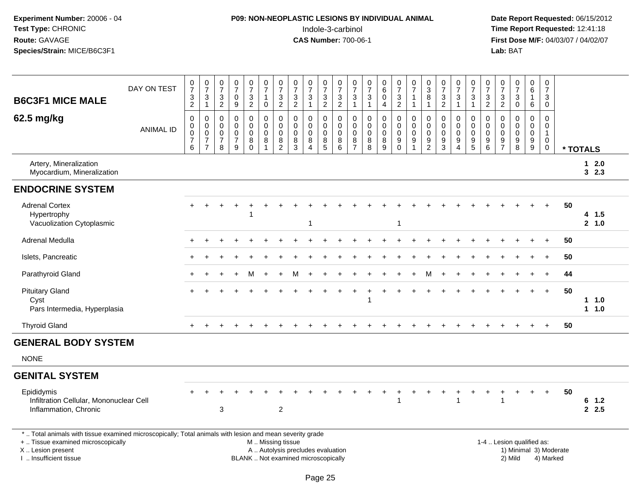# **P09: NON-NEOPLASTIC LESIONS BY INDIVIDUAL ANIMAL**Indole-3-carbinol **Time Report Requested:** 12:41:18

| <b>B6C3F1 MICE MALE</b>                                                                                                                                                                       | DAY ON TEST      | 0<br>$\overline{7}$<br>3<br>$\overline{c}$                   | $\frac{0}{7}$<br>$\sqrt{3}$<br>$\mathbf{1}$                                  | $\frac{0}{7}$<br>$\ensuremath{\mathsf{3}}$<br>$\overline{c}$ | $\begin{smallmatrix}0\\7\end{smallmatrix}$<br>$\pmb{0}$<br>9 | $\frac{0}{7}$<br>$\frac{3}{2}$                                       | $\frac{0}{7}$<br>$\mathbf{1}$<br>$\mathbf 0$         | $\frac{0}{7}$<br>$\ensuremath{\mathsf{3}}$<br>$\sqrt{2}$                                  | 0<br>$\overline{7}$<br>$\ensuremath{\mathsf{3}}$<br>$\sqrt{2}$           | $\frac{0}{7}$<br>$\ensuremath{\mathsf{3}}$<br>$\mathbf{1}$ | $\frac{0}{7}$<br>$\ensuremath{\mathsf{3}}$<br>$\overline{2}$    | $\frac{0}{7}$<br>$\frac{3}{2}$                      | $\frac{0}{7}$<br>$\sqrt{3}$<br>$\overline{1}$                          | 0<br>$\overline{7}$<br>3<br>$\overline{1}$      | 0<br>6<br>$\mathbf 0$<br>$\overline{4}$                | $\frac{0}{7}$<br>$\ensuremath{\mathsf{3}}$<br>$\boldsymbol{2}$ | $\frac{0}{7}$<br>$\mathbf{1}$<br>$\mathbf{1}$                    | $\begin{array}{c} 0 \\ 3 \\ 8 \end{array}$<br>$\mathbf{1}$ | $\begin{array}{c} 0 \\ 7 \end{array}$<br>$\ensuremath{\mathsf{3}}$<br>$\boldsymbol{2}$ | $\frac{0}{7}$<br>$\ensuremath{\mathsf{3}}$<br>$\mathbf{1}$                  | $\frac{0}{7}$<br>$\sqrt{3}$<br>$\overline{1}$  | $\frac{0}{7}$<br>$\sqrt{3}$<br>$\overline{2}$                    | 0<br>$\overline{7}$<br>3<br>$\overline{c}$             | $\frac{0}{7}$<br>$\ensuremath{\mathsf{3}}$<br>$\mathbf 0$ | $_{6}^{\rm 0}$<br>$\mathbf{1}$<br>6                                | 0<br>$\overline{7}$<br>3<br>$\mathbf 0$              |                        |                   |  |
|-----------------------------------------------------------------------------------------------------------------------------------------------------------------------------------------------|------------------|--------------------------------------------------------------|------------------------------------------------------------------------------|--------------------------------------------------------------|--------------------------------------------------------------|----------------------------------------------------------------------|------------------------------------------------------|-------------------------------------------------------------------------------------------|--------------------------------------------------------------------------|------------------------------------------------------------|-----------------------------------------------------------------|-----------------------------------------------------|------------------------------------------------------------------------|-------------------------------------------------|--------------------------------------------------------|----------------------------------------------------------------|------------------------------------------------------------------|------------------------------------------------------------|----------------------------------------------------------------------------------------|-----------------------------------------------------------------------------|------------------------------------------------|------------------------------------------------------------------|--------------------------------------------------------|-----------------------------------------------------------|--------------------------------------------------------------------|------------------------------------------------------|------------------------|-------------------|--|
| 62.5 mg/kg                                                                                                                                                                                    | <b>ANIMAL ID</b> | $\mathbf 0$<br>$\pmb{0}$<br>$\pmb{0}$<br>$\overline{7}$<br>6 | $\mathbf 0$<br>$\begin{bmatrix} 0 \\ 0 \\ 7 \end{bmatrix}$<br>$\overline{7}$ | $\pmb{0}$<br>$\mathbf 0$<br>$\pmb{0}$<br>$\overline{7}$<br>8 | 0<br>$\mathbf 0$<br>0<br>$\overline{7}$<br>9                 | $\pmb{0}$<br>$\mathsf{O}\xspace$<br>$\pmb{0}$<br>$\bf 8$<br>$\Omega$ | 0<br>$\mathbf 0$<br>$\boldsymbol{0}$<br>$\bf 8$<br>1 | $\mathbf 0$<br>$\pmb{0}$<br>$\mathbf 0$<br>$\begin{smallmatrix} 8 \\ 2 \end{smallmatrix}$ | $\mathbf 0$<br>$\mathbf 0$<br>$\mathbf 0$<br>8<br>$\mathbf{3}$           | $\mathbf 0$<br>$\pmb{0}$<br>0<br>$\bf 8$<br>$\overline{4}$ | $\mathbf 0$<br>$\mathsf{O}\xspace$<br>$\pmb{0}$<br>$\bf 8$<br>5 | $\mathbf 0$<br>$\mathbf 0$<br>$\mathbf 0$<br>$^8_6$ | $\mathbf 0$<br>$\mathbf 0$<br>$\mathbf 0$<br>$\,8\,$<br>$\overline{7}$ | $\mathbf 0$<br>$\mathbf 0$<br>0<br>$\bf 8$<br>8 | $\mathbf 0$<br>$\mathbf 0$<br>$\Omega$<br>$\bf 8$<br>9 | 0<br>$\mathbf 0$<br>0<br>$\boldsymbol{9}$<br>$\Omega$          | $\mathbf 0$<br>$\mathbf 0$<br>$\pmb{0}$<br>$\boldsymbol{9}$<br>1 | $\pmb{0}$<br>$\mathbf 0$<br>$\mathsf 0$<br>$\frac{9}{2}$   | $\mathbf 0$<br>$\mathbf 0$<br>0<br>$\boldsymbol{9}$<br>3                               | $\mathbf 0$<br>$\pmb{0}$<br>$\pmb{0}$<br>$\boldsymbol{9}$<br>$\overline{4}$ | 0<br>$\mathsf 0$<br>0<br>$\boldsymbol{9}$<br>5 | $\pmb{0}$<br>$\mathbf 0$<br>$\mathsf 0$<br>$\boldsymbol{9}$<br>6 | $\mathbf 0$<br>$\mathbf 0$<br>0<br>9<br>$\overline{7}$ | $\mathbf 0$<br>$\pmb{0}$<br>$\pmb{0}$<br>$\frac{9}{8}$    | $\mathsf 0$<br>$\mathbf 0$<br>$\mathsf{O}\xspace$<br>$\frac{9}{9}$ | $\mathbf 0$<br>0<br>$\mathbf{1}$<br>$\mathbf 0$<br>0 |                        | * TOTALS          |  |
| Artery, Mineralization<br>Myocardium, Mineralization                                                                                                                                          |                  |                                                              |                                                                              |                                                              |                                                              |                                                                      |                                                      |                                                                                           |                                                                          |                                                            |                                                                 |                                                     |                                                                        |                                                 |                                                        |                                                                |                                                                  |                                                            |                                                                                        |                                                                             |                                                |                                                                  |                                                        |                                                           |                                                                    |                                                      |                        | $12.0$<br>32.3    |  |
| <b>ENDOCRINE SYSTEM</b>                                                                                                                                                                       |                  |                                                              |                                                                              |                                                              |                                                              |                                                                      |                                                      |                                                                                           |                                                                          |                                                            |                                                                 |                                                     |                                                                        |                                                 |                                                        |                                                                |                                                                  |                                                            |                                                                                        |                                                                             |                                                |                                                                  |                                                        |                                                           |                                                                    |                                                      |                        |                   |  |
| <b>Adrenal Cortex</b><br>Hypertrophy<br>Vacuolization Cytoplasmic                                                                                                                             |                  |                                                              |                                                                              |                                                              |                                                              |                                                                      |                                                      |                                                                                           |                                                                          | 1                                                          |                                                                 |                                                     |                                                                        |                                                 |                                                        | $\overline{1}$                                                 |                                                                  |                                                            |                                                                                        |                                                                             |                                                |                                                                  |                                                        |                                                           |                                                                    | $+$                                                  | 50                     | 4 1.5<br>2, 1.0   |  |
| Adrenal Medulla                                                                                                                                                                               |                  |                                                              |                                                                              |                                                              |                                                              |                                                                      |                                                      |                                                                                           |                                                                          |                                                            |                                                                 |                                                     |                                                                        |                                                 |                                                        |                                                                |                                                                  |                                                            |                                                                                        |                                                                             |                                                |                                                                  |                                                        |                                                           |                                                                    |                                                      | 50                     |                   |  |
| Islets, Pancreatic                                                                                                                                                                            |                  |                                                              |                                                                              |                                                              |                                                              |                                                                      |                                                      |                                                                                           |                                                                          |                                                            |                                                                 |                                                     |                                                                        |                                                 |                                                        |                                                                |                                                                  |                                                            |                                                                                        |                                                                             |                                                |                                                                  |                                                        |                                                           |                                                                    | $\ddot{}$                                            | 50                     |                   |  |
| Parathyroid Gland                                                                                                                                                                             |                  |                                                              |                                                                              |                                                              | $\pm$                                                        | м                                                                    | $\ddot{}$                                            | $\ddot{}$                                                                                 | м                                                                        |                                                            |                                                                 |                                                     |                                                                        |                                                 |                                                        |                                                                |                                                                  | м                                                          |                                                                                        |                                                                             |                                                |                                                                  |                                                        |                                                           | $\ddot{}$                                                          | $\ddot{}$                                            | 44                     |                   |  |
| <b>Pituitary Gland</b><br>Cyst<br>Pars Intermedia, Hyperplasia                                                                                                                                |                  |                                                              |                                                                              |                                                              |                                                              |                                                                      |                                                      |                                                                                           |                                                                          |                                                            |                                                                 |                                                     |                                                                        |                                                 |                                                        |                                                                |                                                                  |                                                            |                                                                                        |                                                                             |                                                |                                                                  |                                                        |                                                           |                                                                    | $+$                                                  | 50                     | $1 \t1.0$<br>11.0 |  |
| <b>Thyroid Gland</b>                                                                                                                                                                          |                  | $+$                                                          |                                                                              |                                                              |                                                              |                                                                      |                                                      |                                                                                           |                                                                          |                                                            |                                                                 |                                                     |                                                                        |                                                 |                                                        |                                                                |                                                                  |                                                            |                                                                                        |                                                                             |                                                |                                                                  |                                                        |                                                           |                                                                    | $+$                                                  | 50                     |                   |  |
| <b>GENERAL BODY SYSTEM</b>                                                                                                                                                                    |                  |                                                              |                                                                              |                                                              |                                                              |                                                                      |                                                      |                                                                                           |                                                                          |                                                            |                                                                 |                                                     |                                                                        |                                                 |                                                        |                                                                |                                                                  |                                                            |                                                                                        |                                                                             |                                                |                                                                  |                                                        |                                                           |                                                                    |                                                      |                        |                   |  |
| <b>NONE</b>                                                                                                                                                                                   |                  |                                                              |                                                                              |                                                              |                                                              |                                                                      |                                                      |                                                                                           |                                                                          |                                                            |                                                                 |                                                     |                                                                        |                                                 |                                                        |                                                                |                                                                  |                                                            |                                                                                        |                                                                             |                                                |                                                                  |                                                        |                                                           |                                                                    |                                                      |                        |                   |  |
| <b>GENITAL SYSTEM</b>                                                                                                                                                                         |                  |                                                              |                                                                              |                                                              |                                                              |                                                                      |                                                      |                                                                                           |                                                                          |                                                            |                                                                 |                                                     |                                                                        |                                                 |                                                        |                                                                |                                                                  |                                                            |                                                                                        |                                                                             |                                                |                                                                  |                                                        |                                                           |                                                                    |                                                      |                        |                   |  |
| Epididymis<br>Infiltration Cellular, Mononuclear Cell<br>Inflammation, Chronic                                                                                                                |                  |                                                              |                                                                              | $\mathbf{3}$                                                 |                                                              |                                                                      |                                                      | $\overline{c}$                                                                            |                                                                          |                                                            |                                                                 |                                                     |                                                                        |                                                 |                                                        |                                                                |                                                                  |                                                            |                                                                                        |                                                                             |                                                |                                                                  | 1                                                      |                                                           | $\ddot{}$                                                          | $\ddot{}$                                            | 50                     | 6<br>1.2<br>2.5   |  |
| *  Total animals with tissue examined microscopically; Total animals with lesion and mean severity grade<br>+  Tissue examined microscopically<br>X  Lesion present<br>I  Insufficient tissue |                  |                                                              |                                                                              |                                                              |                                                              |                                                                      | M  Missing tissue                                    |                                                                                           | A  Autolysis precludes evaluation<br>BLANK  Not examined microscopically |                                                            |                                                                 |                                                     |                                                                        |                                                 |                                                        |                                                                |                                                                  |                                                            |                                                                                        |                                                                             |                                                | 1-4  Lesion qualified as:                                        |                                                        | 2) Mild                                                   |                                                                    | 4) Marked                                            | 1) Minimal 3) Moderate |                   |  |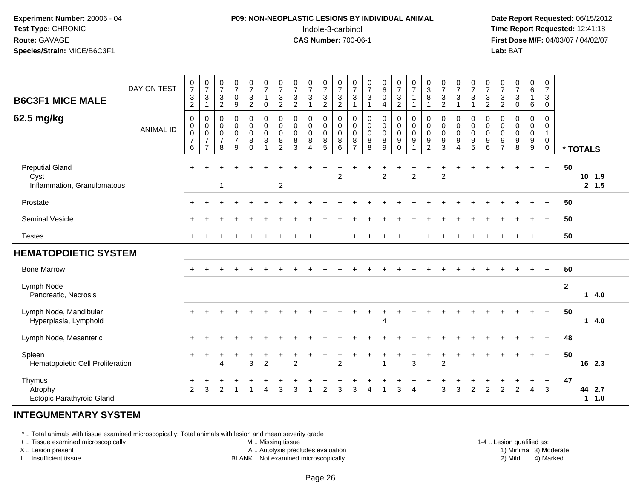#### **P09: NON-NEOPLASTIC LESIONS BY INDIVIDUAL ANIMAL**Indole-3-carbinol **Time Report Requested:** 12:41:18

 **Date Report Requested:** 06/15/2012 **First Dose M/F:** 04/03/07 / 04/02/07<br>**Lab:** BAT **Lab:** BAT

| <b>B6C3F1 MICE MALE</b>                                       | DAY ON TEST      | $\frac{0}{7}$<br>$\ensuremath{\mathsf{3}}$<br>$\overline{2}$                | $\frac{0}{7}$<br>3<br>$\mathbf{1}$                                        | $\begin{array}{c} 0 \\ 7 \end{array}$<br>$\mathbf{3}$<br>$\sqrt{2}$ | $\frac{0}{7}$<br>$\mathbf 0$<br>$\boldsymbol{9}$                 | $\frac{0}{7}$<br>$\ensuremath{\mathsf{3}}$<br>$\boldsymbol{2}$           | $\frac{0}{7}$<br>$\mathbf{1}$<br>$\pmb{0}$                                    | $\frac{0}{7}$<br>$\mathbf{3}$<br>$\overline{c}$                        | $\frac{0}{7}$<br>$\ensuremath{\mathsf{3}}$<br>$\boldsymbol{2}$ | $\begin{array}{c} 0 \\ 7 \end{array}$<br>$\ensuremath{\mathsf{3}}$<br>$\mathbf{1}$ | $\frac{0}{7}$<br>$\sqrt{3}$<br>$\overline{2}$ | $\frac{0}{7}$<br>$\frac{3}{2}$                              | $\begin{array}{c} 0 \\ 7 \end{array}$<br>$\mathbf{3}$<br>1 | $\frac{0}{7}$<br>$\sqrt{3}$<br>$\mathbf{1}$    | $\begin{array}{c} 0 \\ 6 \end{array}$<br>$\pmb{0}$<br>4          | $\frac{0}{7}$<br>$\frac{3}{2}$                                               | $\frac{0}{7}$<br>$\mathbf{1}$<br>$\mathbf{1}$                                                   | $\begin{smallmatrix}0\0\3\end{smallmatrix}$<br>8       | $\frac{0}{7}$<br>$\sqrt{3}$<br>$\overline{2}$ | $\begin{array}{c} 0 \\ 7 \end{array}$<br>$\ensuremath{\mathsf{3}}$<br>1           | $\frac{0}{7}$<br>$\ensuremath{\mathsf{3}}$<br>$\mathbf{1}$ | $\frac{0}{7}$<br>$\frac{3}{2}$                                 | $\frac{0}{7}$<br>$\ensuremath{\mathsf{3}}$<br>$\overline{c}$ | $\frac{0}{7}$<br>$\mathbf{3}$<br>$\pmb{0}$          | $_{6}^{\rm 0}$<br>$\mathbf{1}$<br>6                                   | $\frac{0}{7}$<br>$\mathbf{3}$<br>$\pmb{0}$                                       |              |                              |  |
|---------------------------------------------------------------|------------------|-----------------------------------------------------------------------------|---------------------------------------------------------------------------|---------------------------------------------------------------------|------------------------------------------------------------------|--------------------------------------------------------------------------|-------------------------------------------------------------------------------|------------------------------------------------------------------------|----------------------------------------------------------------|------------------------------------------------------------------------------------|-----------------------------------------------|-------------------------------------------------------------|------------------------------------------------------------|------------------------------------------------|------------------------------------------------------------------|------------------------------------------------------------------------------|-------------------------------------------------------------------------------------------------|--------------------------------------------------------|-----------------------------------------------|-----------------------------------------------------------------------------------|------------------------------------------------------------|----------------------------------------------------------------|--------------------------------------------------------------|-----------------------------------------------------|-----------------------------------------------------------------------|----------------------------------------------------------------------------------|--------------|------------------------------|--|
| 62.5 mg/kg                                                    | <b>ANIMAL ID</b> | $\mathbf 0$<br>$\mathbf 0$<br>$\boldsymbol{0}$<br>$\boldsymbol{7}$<br>$\,6$ | 0<br>$\mathsf{O}\xspace$<br>$\pmb{0}$<br>$\overline{7}$<br>$\overline{7}$ | 0<br>0<br>0<br>$\overline{7}$<br>8                                  | $\mathbf 0$<br>$\pmb{0}$<br>$\mathbf 0$<br>$\boldsymbol{7}$<br>9 | $\boldsymbol{0}$<br>$\mathbf 0$<br>$\mathbf 0$<br>$\bf 8$<br>$\mathbf 0$ | $\boldsymbol{0}$<br>$\mathsf{O}\xspace$<br>$\mathbf 0$<br>8<br>$\overline{1}$ | $\pmb{0}$<br>$\mathsf{O}\xspace$<br>$\mathbf 0$<br>8<br>$\overline{2}$ | 0<br>0<br>0<br>8<br>3                                          | $\mathbf 0$<br>$\pmb{0}$<br>$\pmb{0}$<br>8<br>$\overline{\mathbf{4}}$              | 0<br>0<br>$\mathbf 0$<br>$\bf 8$<br>5         | $\pmb{0}$<br>$\boldsymbol{0}$<br>$\mathbf 0$<br>$\, 8$<br>6 | $\mathbf 0$<br>0<br>$\mathbf 0$<br>8<br>$\overline{7}$     | $\boldsymbol{0}$<br>0<br>$\mathbf 0$<br>8<br>8 | $\pmb{0}$<br>$\pmb{0}$<br>$\pmb{0}$<br>$\bf 8$<br>$\overline{9}$ | $\mathbf 0$<br>$\mathbf 0$<br>$\mathbf 0$<br>$\boldsymbol{9}$<br>$\mathbf 0$ | $\begin{smallmatrix} 0\\0 \end{smallmatrix}$<br>$\mathbf 0$<br>$\boldsymbol{9}$<br>$\mathbf{1}$ | 0<br>$\mathbf 0$<br>$\mathbf 0$<br>9<br>$\overline{2}$ | 0<br>$\pmb{0}$<br>$\mathbf 0$<br>9<br>3       | $\pmb{0}$<br>$\pmb{0}$<br>$\pmb{0}$<br>$\boldsymbol{9}$<br>$\boldsymbol{\Lambda}$ | 0<br>$\mathbf 0$<br>$\mathbf 0$<br>9<br>5                  | $\pmb{0}$<br>$\mathbf 0$<br>$\mathbf 0$<br>9<br>$6\phantom{1}$ | 0<br>0<br>$\mathbf 0$<br>9<br>$\overline{7}$                 | $\mathbf 0$<br>$\mathsf 0$<br>$\mathbf 0$<br>9<br>8 | $\boldsymbol{0}$<br>$\pmb{0}$<br>$\mathsf 0$<br>$\boldsymbol{9}$<br>9 | $\boldsymbol{0}$<br>$\mathbf 0$<br>$\mathbf{1}$<br>$\mathbf 0$<br>$\overline{0}$ |              | * TOTALS                     |  |
| <b>Preputial Gland</b><br>Cyst<br>Inflammation, Granulomatous |                  |                                                                             |                                                                           |                                                                     |                                                                  |                                                                          |                                                                               | $\boldsymbol{2}$                                                       |                                                                |                                                                                    |                                               | $\overline{2}$                                              |                                                            |                                                | $\overline{2}$                                                   |                                                                              | $\overline{2}$                                                                                  |                                                        | $\overline{2}$                                |                                                                                   |                                                            |                                                                |                                                              |                                                     | $\ddot{}$                                                             | $+$                                                                              | 50           | 10 1.9<br>2, 1.5             |  |
| Prostate                                                      |                  |                                                                             |                                                                           |                                                                     |                                                                  |                                                                          |                                                                               |                                                                        |                                                                |                                                                                    |                                               |                                                             |                                                            |                                                |                                                                  |                                                                              |                                                                                                 |                                                        |                                               |                                                                                   |                                                            |                                                                |                                                              |                                                     |                                                                       | $\ddot{}$                                                                        | 50           |                              |  |
| Seminal Vesicle                                               |                  |                                                                             |                                                                           |                                                                     |                                                                  |                                                                          |                                                                               |                                                                        |                                                                |                                                                                    |                                               |                                                             |                                                            |                                                |                                                                  |                                                                              |                                                                                                 |                                                        |                                               |                                                                                   |                                                            |                                                                |                                                              |                                                     |                                                                       | $\ddot{}$                                                                        | 50           |                              |  |
| <b>Testes</b>                                                 |                  |                                                                             |                                                                           |                                                                     |                                                                  |                                                                          |                                                                               |                                                                        |                                                                |                                                                                    |                                               |                                                             |                                                            |                                                |                                                                  |                                                                              |                                                                                                 |                                                        |                                               |                                                                                   |                                                            |                                                                |                                                              |                                                     |                                                                       | $\ddot{}$                                                                        | 50           |                              |  |
| <b>HEMATOPOIETIC SYSTEM</b>                                   |                  |                                                                             |                                                                           |                                                                     |                                                                  |                                                                          |                                                                               |                                                                        |                                                                |                                                                                    |                                               |                                                             |                                                            |                                                |                                                                  |                                                                              |                                                                                                 |                                                        |                                               |                                                                                   |                                                            |                                                                |                                                              |                                                     |                                                                       |                                                                                  |              |                              |  |
| <b>Bone Marrow</b>                                            |                  |                                                                             |                                                                           |                                                                     |                                                                  |                                                                          |                                                                               |                                                                        |                                                                |                                                                                    |                                               |                                                             |                                                            |                                                |                                                                  |                                                                              |                                                                                                 |                                                        |                                               |                                                                                   |                                                            |                                                                |                                                              |                                                     |                                                                       | $\div$                                                                           | 50           |                              |  |
| Lymph Node<br>Pancreatic, Necrosis                            |                  |                                                                             |                                                                           |                                                                     |                                                                  |                                                                          |                                                                               |                                                                        |                                                                |                                                                                    |                                               |                                                             |                                                            |                                                |                                                                  |                                                                              |                                                                                                 |                                                        |                                               |                                                                                   |                                                            |                                                                |                                                              |                                                     |                                                                       |                                                                                  | $\mathbf{2}$ | 14.0                         |  |
| Lymph Node, Mandibular<br>Hyperplasia, Lymphoid               |                  |                                                                             |                                                                           |                                                                     |                                                                  |                                                                          |                                                                               |                                                                        |                                                                |                                                                                    |                                               |                                                             |                                                            |                                                | $\overline{4}$                                                   |                                                                              |                                                                                                 |                                                        |                                               |                                                                                   |                                                            |                                                                |                                                              |                                                     |                                                                       | $\ddot{}$                                                                        | 50           | 14.0                         |  |
| Lymph Node, Mesenteric                                        |                  |                                                                             |                                                                           |                                                                     |                                                                  |                                                                          |                                                                               |                                                                        |                                                                |                                                                                    |                                               |                                                             |                                                            |                                                |                                                                  |                                                                              |                                                                                                 |                                                        |                                               |                                                                                   |                                                            |                                                                |                                                              |                                                     |                                                                       | $\ddot{}$                                                                        | 48           |                              |  |
| Spleen<br>Hematopoietic Cell Proliferation                    |                  | $+$                                                                         | $\ddot{}$                                                                 | 4                                                                   |                                                                  | 3                                                                        | $\overline{c}$                                                                |                                                                        | $\overline{c}$                                                 |                                                                                    |                                               | $\overline{c}$                                              |                                                            |                                                |                                                                  |                                                                              | 3                                                                                               |                                                        | $\overline{c}$                                |                                                                                   |                                                            |                                                                |                                                              |                                                     | $\ddot{}$                                                             | $+$                                                                              | 50           | 16 2.3                       |  |
| Thymus<br>Atrophy<br><b>Ectopic Parathyroid Gland</b>         |                  | 2                                                                           | ÷<br>3                                                                    | $\mathfrak{p}$                                                      |                                                                  |                                                                          | $\boldsymbol{\Lambda}$                                                        | 3                                                                      | 3                                                              |                                                                                    | $\overline{2}$                                | 3                                                           | 3                                                          |                                                | ÷                                                                | 3                                                                            | ÷<br>$\Delta$                                                                                   |                                                        | 3                                             | ÷<br>3                                                                            | 2                                                          | $\mathfrak{p}$                                                 | $\mathcal{P}$                                                | $\mathfrak{p}$                                      | $\div$<br>$\overline{4}$                                              | $\ddot{}$<br>3                                                                   | 47           | 44 2.7<br>1.0<br>$\mathbf 1$ |  |

#### **INTEGUMENTARY SYSTEM**

\* .. Total animals with tissue examined microscopically; Total animals with lesion and mean severity grade

+ .. Tissue examined microscopically

X .. Lesion present

I .. Insufficient tissue

M .. Missing tissue

A .. Autolysis precludes evaluation

BLANK .. Not examined microscopically 2) Mild 4) Marked

1-4 .. Lesion qualified as:<br>1) Minimal 3) Moderate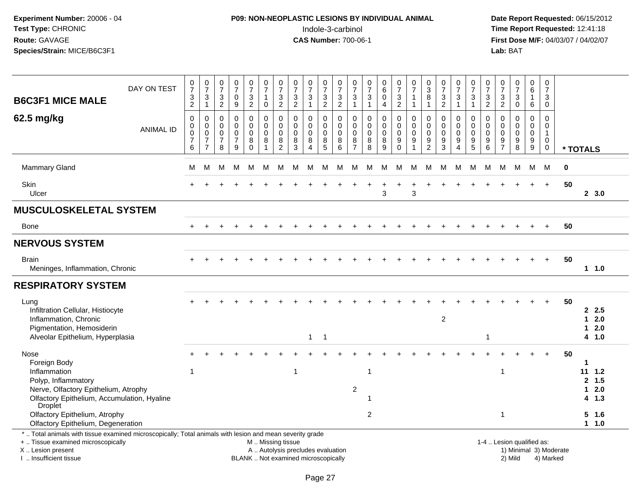# **P09: NON-NEOPLASTIC LESIONS BY INDIVIDUAL ANIMAL**Indole-3-carbinol **Time Report Requested:** 12:41:18

| <b>B6C3F1 MICE MALE</b>                                                                                                                                                                       | DAY ON TEST      | $\pmb{0}$<br>$\overline{7}$<br>$\frac{3}{2}$              | $\frac{0}{7}$<br>$\frac{3}{1}$                                                | $\frac{0}{7}$<br>$\sqrt{3}$<br>$\overline{2}$                            | $\frac{0}{7}$<br>$\boldsymbol{0}$<br>9                 | 0<br>$\overline{7}$<br>3<br>$\overline{2}$ | $\begin{array}{c} 0 \\ 7 \end{array}$<br>1<br>$\mathbf 0$                                     | $\frac{0}{7}$<br>$\frac{3}{2}$                                 | $\frac{0}{7}$<br>$\frac{3}{2}$                   | $\begin{array}{c} 0 \\ 7 \end{array}$<br>$\ensuremath{\mathsf{3}}$<br>1 | $\pmb{0}$<br>$\overline{7}$<br>$\frac{3}{2}$          | $\pmb{0}$<br>$\overline{7}$<br>$\frac{3}{2}$                         | 0<br>$\overline{7}$<br>3<br>$\mathbf{1}$               | $\begin{smallmatrix}0\\7\end{smallmatrix}$<br>$\ensuremath{\mathsf{3}}$<br>$\overline{1}$ | $\pmb{0}$<br>6<br>$\pmb{0}$<br>4              | 0<br>$\overline{7}$<br>$\ensuremath{\mathsf{3}}$<br>$\overline{2}$         | 0<br>$\overline{7}$<br>$\mathbf{1}$<br>$\mathbf{1}$ | 0<br>$\sqrt{3}$<br>8<br>$\mathbf 1$          | $\frac{0}{7}$<br>$\frac{3}{2}$                        | 0<br>$\overline{7}$<br>$\mathbf{3}$<br>$\mathbf{1}$ | 0<br>$\overline{7}$<br>3<br>$\mathbf{1}$         | 0<br>$\overline{7}$<br>3<br>$\overline{2}$          | 0<br>$\overline{7}$<br>$\frac{3}{2}$                       | $\begin{array}{c} 0 \\ 7 \end{array}$<br>$\ensuremath{\mathsf{3}}$<br>$\mathbf 0$ | 0<br>$\,6\,$<br>$\mathbf{1}$<br>$\,6\,$     | $\mathbf 0$<br>$\overline{7}$<br>$\sqrt{3}$<br>$\mathbf 0$            |          |                                           |                            |  |
|-----------------------------------------------------------------------------------------------------------------------------------------------------------------------------------------------|------------------|-----------------------------------------------------------|-------------------------------------------------------------------------------|--------------------------------------------------------------------------|--------------------------------------------------------|--------------------------------------------|-----------------------------------------------------------------------------------------------|----------------------------------------------------------------|--------------------------------------------------|-------------------------------------------------------------------------|-------------------------------------------------------|----------------------------------------------------------------------|--------------------------------------------------------|-------------------------------------------------------------------------------------------|-----------------------------------------------|----------------------------------------------------------------------------|-----------------------------------------------------|----------------------------------------------|-------------------------------------------------------|-----------------------------------------------------|--------------------------------------------------|-----------------------------------------------------|------------------------------------------------------------|-----------------------------------------------------------------------------------|---------------------------------------------|-----------------------------------------------------------------------|----------|-------------------------------------------|----------------------------|--|
| 62.5 mg/kg                                                                                                                                                                                    | <b>ANIMAL ID</b> | $\mathbf 0$<br>0<br>0<br>$\overline{7}$<br>$6\phantom{1}$ | $\mathbf 0$<br>$\mathbf 0$<br>$\pmb{0}$<br>$\boldsymbol{7}$<br>$\overline{7}$ | $\mathbf 0$<br>$\overline{0}$<br>$\boldsymbol{0}$<br>$\overline{7}$<br>8 | 0<br>$\mathbf 0$<br>$\mathbf 0$<br>$\overline{7}$<br>9 | 0<br>$\mathbf 0$<br>0<br>8<br>$\Omega$     | $\mathbf 0$<br>$\pmb{0}$<br>$\pmb{0}$<br>8                                                    | $\mathbf 0$<br>$\mathbf 0$<br>$\pmb{0}$<br>8<br>$\overline{2}$ | $\Omega$<br>$\mathbf 0$<br>$\mathbf 0$<br>8<br>3 | 0<br>$\mathbf 0$<br>$\mathbf 0$<br>8<br>4                               | 0<br>$\mathsf{O}\xspace$<br>$\pmb{0}$<br>$\bf 8$<br>5 | $\mathbf 0$<br>$\mathbf 0$<br>$\pmb{0}$<br>$\bf 8$<br>$6\phantom{1}$ | $\mathbf 0$<br>$\mathbf 0$<br>0<br>8<br>$\overline{7}$ | $\mathbf 0$<br>$\mathbf 0$<br>$\mathbf 0$<br>8<br>8                                       | 0<br>$\mathbf 0$<br>$\pmb{0}$<br>$\bf 8$<br>9 | $\mathbf 0$<br>$\mathsf 0$<br>$\pmb{0}$<br>$\boldsymbol{9}$<br>$\mathbf 0$ | 0<br>$\mathbf 0$<br>$\mathbf 0$<br>9<br>1           | 0<br>$\mathbf 0$<br>0<br>9<br>$\overline{2}$ | $\mathbf 0$<br>$\mathbf 0$<br>$\pmb{0}$<br>$9\,$<br>3 | 0<br>$\mathbf 0$<br>0<br>9<br>$\overline{4}$        | $\Omega$<br>$\mathbf 0$<br>$\mathbf 0$<br>9<br>5 | $\mathbf 0$<br>$\mathbf 0$<br>$\mathbf 0$<br>9<br>6 | $\mathbf 0$<br>$\mathbf 0$<br>$\mathbf 0$<br>$\frac{9}{7}$ | $\mathbf 0$<br>$\mathbf 0$<br>$\pmb{0}$<br>$\boldsymbol{9}$<br>8                  | 0<br>$\mathbf 0$<br>$\pmb{0}$<br>9<br>$9\,$ | $\Omega$<br>$\mathbf 0$<br>$\mathbf{1}$<br>$\mathbf 0$<br>$\mathbf 0$ | * TOTALS |                                           |                            |  |
| <b>Mammary Gland</b>                                                                                                                                                                          |                  | M                                                         | М                                                                             | M                                                                        | м                                                      | м                                          | м                                                                                             | M                                                              | м                                                | M                                                                       | М                                                     | м                                                                    | M                                                      | м                                                                                         | м                                             | М                                                                          | м                                                   | м                                            | M                                                     | M                                                   | М                                                | М                                                   | M                                                          | M                                                                                 | М                                           | M                                                                     | $\bf{0}$ |                                           |                            |  |
| <b>Skin</b><br>Ulcer                                                                                                                                                                          |                  |                                                           |                                                                               |                                                                          |                                                        |                                            |                                                                                               |                                                                |                                                  |                                                                         |                                                       |                                                                      |                                                        |                                                                                           | 3                                             |                                                                            | $\div$<br>3                                         |                                              |                                                       |                                                     |                                                  |                                                     |                                                            |                                                                                   |                                             | $+$                                                                   | 50       |                                           | 2, 3.0                     |  |
| <b>MUSCULOSKELETAL SYSTEM</b>                                                                                                                                                                 |                  |                                                           |                                                                               |                                                                          |                                                        |                                            |                                                                                               |                                                                |                                                  |                                                                         |                                                       |                                                                      |                                                        |                                                                                           |                                               |                                                                            |                                                     |                                              |                                                       |                                                     |                                                  |                                                     |                                                            |                                                                                   |                                             |                                                                       |          |                                           |                            |  |
| <b>Bone</b>                                                                                                                                                                                   |                  | $\ddot{}$                                                 |                                                                               |                                                                          |                                                        |                                            |                                                                                               |                                                                |                                                  |                                                                         |                                                       |                                                                      |                                                        |                                                                                           |                                               |                                                                            |                                                     |                                              |                                                       |                                                     |                                                  |                                                     |                                                            |                                                                                   |                                             | $+$                                                                   | 50       |                                           |                            |  |
| <b>NERVOUS SYSTEM</b>                                                                                                                                                                         |                  |                                                           |                                                                               |                                                                          |                                                        |                                            |                                                                                               |                                                                |                                                  |                                                                         |                                                       |                                                                      |                                                        |                                                                                           |                                               |                                                                            |                                                     |                                              |                                                       |                                                     |                                                  |                                                     |                                                            |                                                                                   |                                             |                                                                       |          |                                           |                            |  |
| <b>Brain</b><br>Meninges, Inflammation, Chronic                                                                                                                                               |                  |                                                           |                                                                               |                                                                          |                                                        |                                            |                                                                                               |                                                                |                                                  |                                                                         |                                                       |                                                                      |                                                        |                                                                                           |                                               |                                                                            |                                                     |                                              |                                                       |                                                     |                                                  |                                                     |                                                            |                                                                                   |                                             |                                                                       | 50       |                                           | $1 \t1.0$                  |  |
| <b>RESPIRATORY SYSTEM</b>                                                                                                                                                                     |                  |                                                           |                                                                               |                                                                          |                                                        |                                            |                                                                                               |                                                                |                                                  |                                                                         |                                                       |                                                                      |                                                        |                                                                                           |                                               |                                                                            |                                                     |                                              |                                                       |                                                     |                                                  |                                                     |                                                            |                                                                                   |                                             |                                                                       |          |                                           |                            |  |
| Lung<br>Infiltration Cellular, Histiocyte<br>Inflammation, Chronic<br>Pigmentation, Hemosiderin<br>Alveolar Epithelium, Hyperplasia                                                           |                  |                                                           |                                                                               |                                                                          |                                                        |                                            |                                                                                               |                                                                |                                                  | 1                                                                       | $\overline{1}$                                        |                                                                      |                                                        |                                                                                           |                                               |                                                                            |                                                     |                                              | $\overline{2}$                                        |                                                     |                                                  | -1                                                  |                                                            |                                                                                   |                                             |                                                                       | 50       | 1.<br>1.                                  | 2.5<br>2.0<br>2.0<br>4 1.0 |  |
| Nose<br>Foreign Body<br>Inflammation<br>Polyp, Inflammatory<br>Nerve, Olfactory Epithelium, Atrophy<br>Olfactory Epithelium, Accumulation, Hyaline<br><b>Droplet</b>                          |                  | $\overline{1}$                                            |                                                                               |                                                                          |                                                        |                                            |                                                                                               |                                                                | $\mathbf{1}$                                     |                                                                         |                                                       |                                                                      | $\sqrt{2}$                                             | $\overline{1}$<br>-1                                                                      |                                               |                                                                            |                                                     |                                              |                                                       |                                                     |                                                  |                                                     | $\overline{1}$                                             |                                                                                   |                                             |                                                                       | 50       | $\mathbf{1}$<br>$11 \t1.2$<br>$\mathbf 1$ | 2, 1.5<br>2.0<br>4 1.3     |  |
| Olfactory Epithelium, Atrophy<br>Olfactory Epithelium, Degeneration                                                                                                                           |                  |                                                           |                                                                               |                                                                          |                                                        |                                            |                                                                                               |                                                                |                                                  |                                                                         |                                                       |                                                                      |                                                        | $\overline{c}$                                                                            |                                               |                                                                            |                                                     |                                              |                                                       |                                                     |                                                  |                                                     | $\mathbf{1}$                                               |                                                                                   |                                             |                                                                       |          | 5                                         | 1.6<br>$1 \t1.0$           |  |
| *  Total animals with tissue examined microscopically; Total animals with lesion and mean severity grade<br>+  Tissue examined microscopically<br>X  Lesion present<br>I. Insufficient tissue |                  |                                                           |                                                                               |                                                                          |                                                        |                                            | M  Missing tissue<br>A  Autolysis precludes evaluation<br>BLANK  Not examined microscopically |                                                                |                                                  |                                                                         |                                                       |                                                                      |                                                        |                                                                                           |                                               |                                                                            |                                                     |                                              |                                                       |                                                     |                                                  |                                                     |                                                            | 1-4  Lesion qualified as:<br>2) Mild                                              |                                             | 1) Minimal 3) Moderate<br>4) Marked                                   |          |                                           |                            |  |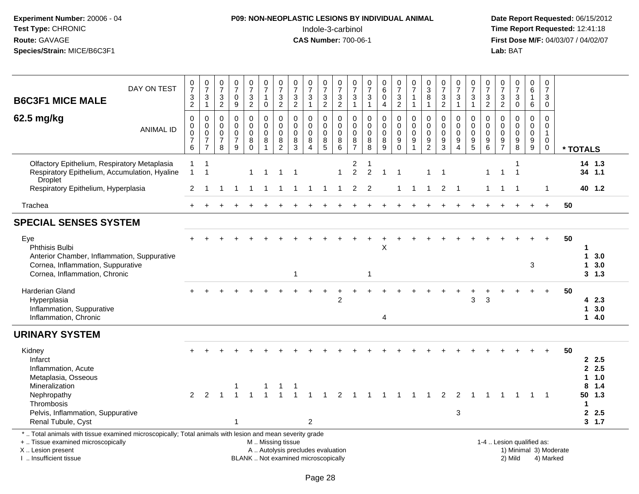# **P09: NON-NEOPLASTIC LESIONS BY INDIVIDUAL ANIMAL**Indole-3-carbinol **Time Report Requested:** 12:41:18

| DAY ON TEST<br><b>B6C3F1 MICE MALE</b>                                                                                                                                                        | $\frac{0}{7}$<br>$\frac{3}{2}$             | $\frac{0}{7}$<br>$\sqrt{3}$<br>$\mathbf{1}$                                   | $\frac{0}{7}$<br>3<br>$\overline{2}$                             | $\frac{0}{7}$<br>$\mathbf 0$<br>$\boldsymbol{9}$                      | $\frac{0}{7}$<br>$\frac{3}{2}$                                  | $\begin{smallmatrix}0\\7\end{smallmatrix}$<br>$\mathbf{1}$<br>$\mathbf 0$ | $\begin{array}{c} 0 \\ 7 \end{array}$<br>$\ensuremath{\mathsf{3}}$<br>2  | $\frac{0}{7}$<br>$\sqrt{3}$<br>$\overline{2}$                            | $\frac{0}{7}$<br>$\mathbf{3}$<br>$\mathbf{1}$                        | $\frac{0}{7}$<br>$\frac{3}{2}$                       | $\frac{0}{7}$<br>$\frac{3}{2}$                                          | $\frac{0}{7}$<br>$\mathbf{3}$<br>$\mathbf{1}$    | $\frac{0}{7}$<br>$\ensuremath{\mathsf{3}}$<br>$\mathbf{1}$ | $\begin{array}{c} 0 \\ 6 \end{array}$<br>$\mathbf 0$<br>$\overline{4}$ | $\frac{0}{7}$<br>$\mathbf{3}$<br>$\overline{c}$                    | $\frac{0}{7}$<br>$\mathbf{1}$<br>$\mathbf{1}$                                  | $_3^0$<br>8<br>$\mathbf{1}$                            | $\frac{0}{7}$<br>$\ensuremath{\mathsf{3}}$<br>$\overline{2}$ | $\frac{0}{7}$<br>$\ensuremath{\mathsf{3}}$<br>$\mathbf{1}$                  | $\frac{0}{7}$<br>$\mathbf{3}$<br>$\mathbf{1}$                         | $\frac{0}{7}$<br>$\frac{3}{2}$                       | 0<br>$\overline{7}$<br>$\ensuremath{\mathsf{3}}$<br>$\overline{2}$ | $\frac{0}{7}$<br>$\mathbf{3}$<br>$\mathbf 0$                               | $_{6}^{\rm 0}$<br>$\mathbf{1}$<br>6                                   | 0<br>$\overline{7}$<br>3<br>$\mathbf 0$                                  |                        |                   |                          |
|-----------------------------------------------------------------------------------------------------------------------------------------------------------------------------------------------|--------------------------------------------|-------------------------------------------------------------------------------|------------------------------------------------------------------|-----------------------------------------------------------------------|-----------------------------------------------------------------|---------------------------------------------------------------------------|--------------------------------------------------------------------------|--------------------------------------------------------------------------|----------------------------------------------------------------------|------------------------------------------------------|-------------------------------------------------------------------------|--------------------------------------------------|------------------------------------------------------------|------------------------------------------------------------------------|--------------------------------------------------------------------|--------------------------------------------------------------------------------|--------------------------------------------------------|--------------------------------------------------------------|-----------------------------------------------------------------------------|-----------------------------------------------------------------------|------------------------------------------------------|--------------------------------------------------------------------|----------------------------------------------------------------------------|-----------------------------------------------------------------------|--------------------------------------------------------------------------|------------------------|-------------------|--------------------------|
| 62.5 mg/kg<br><b>ANIMAL ID</b>                                                                                                                                                                | 0<br>0<br>$\pmb{0}$<br>$\overline{7}$<br>6 | $\mathbf 0$<br>$\mathbf 0$<br>$\mathbf 0$<br>$\overline{7}$<br>$\overline{7}$ | $\mathbf 0$<br>$\mathbf 0$<br>$\mathbf 0$<br>$\overline{7}$<br>8 | 0<br>$\mathbf 0$<br>$\mathbf 0$<br>$\boldsymbol{7}$<br>$\overline{9}$ | $\pmb{0}$<br>$\mathbf 0$<br>$\pmb{0}$<br>$\bf 8$<br>$\mathsf 0$ | $\mathbf 0$<br>$\mathbf 0$<br>$\mathbf 0$<br>$\bf 8$<br>$\overline{1}$    | $\pmb{0}$<br>$\mathbf 0$<br>$\boldsymbol{0}$<br>$\, 8$<br>$\overline{2}$ | $\pmb{0}$<br>$\mathbf 0$<br>$\mathbf 0$<br>8<br>$\mathbf{3}$             | $\pmb{0}$<br>$\mathbf 0$<br>$\mathbf 0$<br>$\bf 8$<br>$\overline{4}$ | 0<br>$\mathbf 0$<br>$\pmb{0}$<br>8<br>$\overline{5}$ | $\mathsf{O}\xspace$<br>0<br>$\ddot{\mathbf{0}}$<br>8<br>$6\overline{6}$ | 0<br>$\mathbf 0$<br>$\mathsf 0$<br>$\frac{8}{7}$ | $\pmb{0}$<br>$\mathbf 0$<br>$\mathbf 0$<br>$_{8}^8$        | $\pmb{0}$<br>$\Omega$<br>$\mathbf 0$<br>8<br>$\boldsymbol{9}$          | 0<br>$\mathbf 0$<br>$\mathbf 0$<br>$\boldsymbol{9}$<br>$\mathbf 0$ | $\pmb{0}$<br>$\pmb{0}$<br>$\overline{0}$<br>$\boldsymbol{9}$<br>$\overline{1}$ | $\pmb{0}$<br>$\mathbf 0$<br>$\pmb{0}$<br>$\frac{9}{2}$ | 0<br>$\mathbf 0$<br>0<br>$\frac{9}{3}$                       | $\pmb{0}$<br>$\mathbf 0$<br>$\pmb{0}$<br>$\boldsymbol{9}$<br>$\overline{4}$ | 0<br>$\mathbf 0$<br>$\mathbf 0$<br>$\boldsymbol{9}$<br>$\overline{5}$ | $\pmb{0}$<br>$\mathbf 0$<br>$\overline{0}$<br>9<br>6 | 0<br>$\Omega$<br>$\mathbf 0$<br>9<br>$\overline{7}$                | $\pmb{0}$<br>$\Omega$<br>$\mathbf 0$<br>$\boldsymbol{9}$<br>$\overline{8}$ | $\mathsf 0$<br>0<br>$\mathsf 0$<br>$\boldsymbol{9}$<br>$\overline{9}$ | $\mathsf 0$<br>$\mathbf 0$<br>$\mathbf{1}$<br>$\mathbf 0$<br>$\mathbf 0$ |                        | * TOTALS          |                          |
| Olfactory Epithelium, Respiratory Metaplasia<br>Respiratory Epithelium, Accumulation, Hyaline<br>Droplet                                                                                      | $\mathbf{1}$<br>$\mathbf{1}$               | $\overline{1}$<br>$\overline{1}$                                              |                                                                  |                                                                       | $\mathbf 1$                                                     |                                                                           | -1                                                                       | $\overline{\mathbf{1}}$                                                  |                                                                      |                                                      | $\mathbf{1}$                                                            | $\overline{\mathbf{c}}$<br>$\overline{2}$        | -1<br>$\overline{c}$                                       | $\mathbf{1}$                                                           | -1                                                                 |                                                                                | -1                                                     |                                                              |                                                                             |                                                                       | $\mathbf{1}$                                         | $\mathbf{1}$                                                       | -1                                                                         |                                                                       |                                                                          |                        |                   | 14 1.3<br>34 1.1         |
| Respiratory Epithelium, Hyperplasia                                                                                                                                                           | $\overline{2}$                             | -1                                                                            | 1                                                                | -1                                                                    | $\mathbf{1}$                                                    | $\mathbf{1}$                                                              | $\overline{1}$                                                           | $\mathbf{1}$                                                             | -1                                                                   | $\overline{1}$                                       | $\mathbf 1$                                                             | $\overline{2}$                                   | $\overline{2}$                                             |                                                                        | $\mathbf{1}$                                                       | $\overline{1}$                                                                 | $\mathbf{1}$                                           | $\overline{2}$                                               | $\overline{1}$                                                              |                                                                       | $\mathbf{1}$                                         | $\mathbf{1}$                                                       | -1                                                                         |                                                                       | $\mathbf{1}$                                                             |                        |                   | 40 1.2                   |
| Trachea                                                                                                                                                                                       | $+$                                        |                                                                               |                                                                  |                                                                       |                                                                 |                                                                           |                                                                          |                                                                          |                                                                      |                                                      |                                                                         |                                                  |                                                            |                                                                        |                                                                    |                                                                                |                                                        |                                                              |                                                                             |                                                                       |                                                      |                                                                    |                                                                            |                                                                       | $\ddot{}$                                                                | 50                     |                   |                          |
| <b>SPECIAL SENSES SYSTEM</b>                                                                                                                                                                  |                                            |                                                                               |                                                                  |                                                                       |                                                                 |                                                                           |                                                                          |                                                                          |                                                                      |                                                      |                                                                         |                                                  |                                                            |                                                                        |                                                                    |                                                                                |                                                        |                                                              |                                                                             |                                                                       |                                                      |                                                                    |                                                                            |                                                                       |                                                                          |                        |                   |                          |
| Eye<br><b>Phthisis Bulbi</b><br>Anterior Chamber, Inflammation, Suppurative<br>Cornea, Inflammation, Suppurative<br>Cornea, Inflammation, Chronic                                             |                                            |                                                                               |                                                                  |                                                                       |                                                                 |                                                                           |                                                                          | $\mathbf{1}$                                                             |                                                                      |                                                      |                                                                         |                                                  | $\mathbf 1$                                                | Х                                                                      |                                                                    |                                                                                |                                                        |                                                              |                                                                             |                                                                       |                                                      |                                                                    |                                                                            | 3                                                                     |                                                                          | 50                     | 1<br>1<br>1       | 3.0<br>3.0<br>$3 \t1.3$  |
| <b>Harderian Gland</b><br>Hyperplasia<br>Inflammation, Suppurative<br>Inflammation, Chronic                                                                                                   |                                            |                                                                               |                                                                  |                                                                       |                                                                 |                                                                           |                                                                          |                                                                          |                                                                      |                                                      | $\overline{c}$                                                          |                                                  |                                                            | 4                                                                      |                                                                    |                                                                                |                                                        |                                                              |                                                                             | 3                                                                     | 3                                                    |                                                                    |                                                                            |                                                                       |                                                                          | 50                     | 1                 | 42.3<br>3.0<br>14.0      |
| <b>URINARY SYSTEM</b>                                                                                                                                                                         |                                            |                                                                               |                                                                  |                                                                       |                                                                 |                                                                           |                                                                          |                                                                          |                                                                      |                                                      |                                                                         |                                                  |                                                            |                                                                        |                                                                    |                                                                                |                                                        |                                                              |                                                                             |                                                                       |                                                      |                                                                    |                                                                            |                                                                       |                                                                          |                        |                   |                          |
| Kidney<br>Infarct<br>Inflammation, Acute<br>Metaplasia, Osseous<br>Mineralization                                                                                                             |                                            |                                                                               |                                                                  |                                                                       |                                                                 |                                                                           |                                                                          |                                                                          |                                                                      |                                                      |                                                                         |                                                  |                                                            |                                                                        |                                                                    |                                                                                |                                                        |                                                              |                                                                             |                                                                       |                                                      |                                                                    |                                                                            |                                                                       |                                                                          | 50                     | 1.<br>8           | 2.5<br>2.5<br>1.0<br>1.4 |
| Nephropathy<br>Thrombosis<br>Pelvis, Inflammation, Suppurative<br>Renal Tubule, Cyst                                                                                                          | $\mathcal{P}$                              |                                                                               |                                                                  | $\mathbf{1}$                                                          |                                                                 |                                                                           |                                                                          |                                                                          | $\overline{2}$                                                       |                                                      | $\overline{2}$                                                          |                                                  |                                                            |                                                                        |                                                                    |                                                                                |                                                        | 2                                                            | 2<br>$\mathbf{3}$                                                           |                                                                       |                                                      |                                                                    |                                                                            | $\mathbf 1$                                                           | $\overline{\phantom{0}}$                                                 |                        | 50<br>$\mathbf 1$ | 1.3<br>2.5<br>3, 1.7     |
| *  Total animals with tissue examined microscopically; Total animals with lesion and mean severity grade<br>+  Tissue examined microscopically<br>X  Lesion present<br>I  Insufficient tissue |                                            |                                                                               |                                                                  |                                                                       |                                                                 | M  Missing tissue                                                         |                                                                          | A  Autolysis precludes evaluation<br>BLANK  Not examined microscopically |                                                                      |                                                      |                                                                         |                                                  |                                                            |                                                                        |                                                                    |                                                                                |                                                        |                                                              |                                                                             |                                                                       |                                                      |                                                                    | 1-4  Lesion qualified as:<br>2) Mild                                       |                                                                       | 4) Marked                                                                | 1) Minimal 3) Moderate |                   |                          |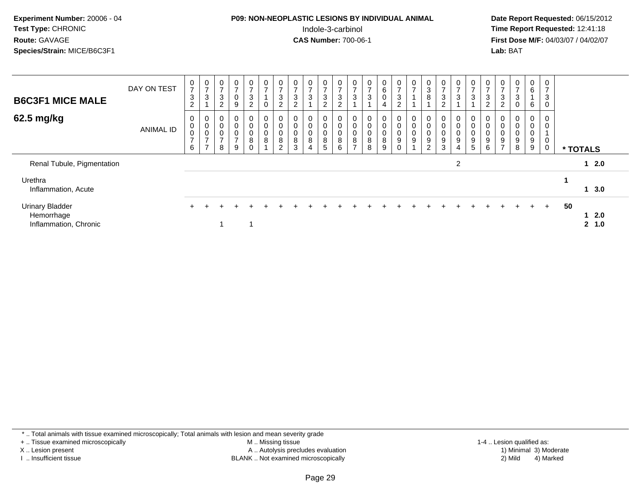| Experiment Number: 20006 - 04<br>Test Type: CHRONIC<br>Route: GAVAGE<br>Species/Strain: MICE/B6C3F1 |             |             |        |             |   |        |        |        | <b>P09: NON-NEOPLASTIC LESIONS BY INDIVIDUAL ANIMAL</b> |   | Indole-3-carbinol<br><b>CAS Number: 700-06-1</b> |   |        |                  |        |        |        |   |        | Date Rep<br><b>Time Rep</b><br><b>First Dos</b><br>Lab: BAT |  |
|-----------------------------------------------------------------------------------------------------|-------------|-------------|--------|-------------|---|--------|--------|--------|---------------------------------------------------------|---|--------------------------------------------------|---|--------|------------------|--------|--------|--------|---|--------|-------------------------------------------------------------|--|
| <b>B6C3F1 MICE MALE</b>                                                                             | DAY ON TEST | 0<br>3<br>2 | 0<br>3 | 0<br>3<br>2 | 9 | 3<br>າ | 0<br>0 | 3<br>ົ | 0<br>3<br>ົ                                             | ົ | 3<br>◠                                           | 3 | 0<br>3 | 0<br>6<br>0<br>4 | 3<br>ີ | 3<br>8 | 3<br>ົ | 3 | 3<br>っ | 3<br>ົ                                                      |  |

 **Date Report Requested:** 06/15/2012 **Time Report Requested: 12:41:18 First Dose M/F:** 04/03/07 / 04/02/07<br>Lab: BAT

| <b>B6C3F1 MICE MALE</b>                                       | DAY ON TEST | 0<br>$\overline{ }$<br>$\mathbf{3}$<br>$\overline{c}$ | $\frac{0}{7}$<br>$\mathbf{3}$                                                     | $\mathbf 0$<br>$\rightarrow$<br>3<br>C<br>∠          | $\mathbf 0$<br>$\overline{z}$<br>$\mathbf 0$<br>9            | $\frac{0}{7}$<br>3<br>$\overline{2}$    | $\frac{0}{7}$<br>$\pmb{0}$ | 0<br>$\rightarrow$<br>$\sqrt{3}$<br>$\overline{c}$         | $\frac{0}{7}$<br>3<br>$\overline{2}$        | 0<br>$\rightarrow$<br>$\mathbf{3}$                      | $\frac{0}{7}$<br>3<br>2 | $\frac{0}{7}$<br>$\ensuremath{\mathsf{3}}$<br>$\overline{2}$ | 0<br>$\rightarrow$<br>3                  | $\frac{0}{7}$<br>3        | $\begin{matrix} 0 \\ 6 \end{matrix}$<br>$\mathsf{O}$<br>4 | $\frac{0}{7}$<br>3<br>$\overline{c}$ | $\frac{0}{7}$                   | $_{3}^{\rm 0}$<br>$\bf8$                           | 0<br>$\overline{ }$<br>$\sqrt{3}$<br>2               | $\frac{0}{7}$<br>3                 | 0<br>$\overline{ }$<br>3                                 | $\mathbf 0$<br>3<br>$\sim$ | $\overline{ }$<br>3<br>$\overline{c}$         | $\overline{0}$<br>$\rightarrow$<br>$\mathbf{3}$<br>0 | $\begin{matrix} 0 \\ 6 \end{matrix}$<br>6 | $\mathbf 0$<br>$\overline{\phantom{a}}$<br>3<br>$\mathbf 0$ |                      |  |
|---------------------------------------------------------------|-------------|-------------------------------------------------------|-----------------------------------------------------------------------------------|------------------------------------------------------|--------------------------------------------------------------|-----------------------------------------|----------------------------|------------------------------------------------------------|---------------------------------------------|---------------------------------------------------------|-------------------------|--------------------------------------------------------------|------------------------------------------|---------------------------|-----------------------------------------------------------|--------------------------------------|---------------------------------|----------------------------------------------------|------------------------------------------------------|------------------------------------|----------------------------------------------------------|----------------------------|-----------------------------------------------|------------------------------------------------------|-------------------------------------------|-------------------------------------------------------------|----------------------|--|
| 62.5 mg/kg                                                    | ANIMAL ID   | 0<br>0<br>0<br>$\overline{z}$<br>6                    | $\begin{smallmatrix}0\\0\\0\end{smallmatrix}$<br>$\overline{7}$<br>$\overline{ }$ | 0<br>$\pmb{0}$<br>$\mathbf 0$<br>$\overline{ }$<br>8 | $\mathbf 0$<br>$\pmb{0}$<br>$\pmb{0}$<br>$\overline{7}$<br>9 | 0<br>$\mathsf{O}\xspace$<br>0<br>8<br>0 | $_0^0$<br>0<br>8           | 0<br>$\mathbf 0$<br>$\pmb{0}$<br>$\bf 8$<br>$\overline{2}$ | 0<br>$\pmb{0}$<br>$\pmb{0}$<br>$\bf 8$<br>3 | 0<br>$\pmb{0}$<br>$\pmb{0}$<br>$\bf8$<br>$\overline{4}$ | 0<br>0<br>0<br>8<br>5   | 0<br>$\pmb{0}$<br>$\boldsymbol{0}$<br>$\bf 8$<br>6           | 0<br>0<br>0<br>$\bf 8$<br>$\overline{ }$ | $\pmb{0}$<br>$\bf 8$<br>8 | 0<br>$\pmb{0}$<br>$\pmb{0}$<br>8<br>9                     | 0<br>0<br>$\mathsf 0$<br>$9\,$<br>0  | 0<br>$\pmb{0}$<br>$\frac{0}{9}$ | 0<br>$\pmb{0}$<br>$_{9}^{\rm 0}$<br>$\overline{2}$ | 0<br>$\pmb{0}$<br>$\pmb{0}$<br>$\boldsymbol{9}$<br>3 | 0<br>0<br>0<br>9<br>$\overline{4}$ | 0<br>$\mathbf 0$<br>$\mathbf 0$<br>$\boldsymbol{9}$<br>5 | 9<br>6                     | $\pmb{0}$<br>$\pmb{0}$<br>9<br>$\overline{ }$ | $\mathbf{0}$<br>$\pmb{0}$<br>$\pmb{0}$<br>9<br>8     | $\mathbf{0}$<br>0<br>0<br>9<br>9          | 0<br>$\mathbf 0$<br>0<br>$\mathbf 0$                        | * TOTALS             |  |
| Renal Tubule, Pigmentation                                    |             |                                                       |                                                                                   |                                                      |                                                              |                                         |                            |                                                            |                                             |                                                         |                         |                                                              |                                          |                           |                                                           |                                      |                                 |                                                    |                                                      | $\overline{2}$                     |                                                          |                            |                                               |                                                      |                                           |                                                             | $12.0$               |  |
| Urethra<br>Inflammation, Acute                                |             |                                                       |                                                                                   |                                                      |                                                              |                                         |                            |                                                            |                                             |                                                         |                         |                                                              |                                          |                           |                                                           |                                      |                                 |                                                    |                                                      |                                    |                                                          |                            |                                               |                                                      |                                           |                                                             | 13.0                 |  |
| <b>Urinary Bladder</b><br>Hemorrhage<br>Inflammation, Chronic |             |                                                       |                                                                                   |                                                      |                                                              |                                         |                            |                                                            |                                             |                                                         |                         |                                                              |                                          |                           |                                                           |                                      |                                 |                                                    |                                                      |                                    |                                                          |                            |                                               |                                                      |                                           | $+$                                                         | 50<br>12.0<br>2, 1.0 |  |

\* .. Total animals with tissue examined microscopically; Total animals with lesion and mean severity grade

+ .. Tissue examined microscopically

X .. Lesion present

I .. Insufficient tissue

 M .. Missing tissueLesion present **A** .. Autolysis precludes evaluation 1996 and the server all the server all the server all the server and the server all the server all the server all the server all the server all the server all the server

BLANK .. Not examined microscopically 2) Mild 4) Marked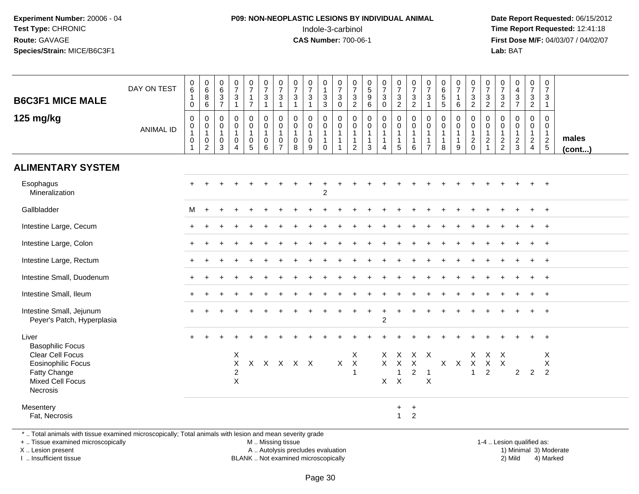# **P09: NON-NEOPLASTIC LESIONS BY INDIVIDUAL ANIMAL**Indole-3-carbinol **Time Report Requested:** 12:41:18

 **Date Report Requested:** 06/15/2012 **First Dose M/F:** 04/03/07 / 04/02/07<br>Lab: BAT **Lab:** BAT

| <b>B6C3F1 MICE MALE</b>                                                                                                                        | DAY ON TEST      | $_{6}^{\rm 0}$<br>$\mathbf{1}$<br>$\mathsf{O}\xspace$                              | $\begin{array}{c} 0 \\ 6 \end{array}$<br>$\bf 8$<br>$\,6\,$   | $\begin{array}{c} 0 \\ 6 \end{array}$<br>$\frac{3}{7}$                           | $\frac{0}{7}$<br>$\sqrt{3}$<br>$\overline{1}$                             | $\frac{0}{7}$<br>$\mathbf{1}$<br>$\overline{7}$ | $\frac{0}{7}$<br>$\mathbf{3}$<br>$\mathbf{1}$                  | $\frac{0}{7}$<br>$\mathbf{3}$<br>$\mathbf{1}$           | $\frac{0}{7}$<br>$\mathsf 3$<br>$\mathbf{1}$ | $\frac{0}{7}$<br>$\ensuremath{\mathsf{3}}$<br>$\overline{1}$ | 0<br>$\mathbf{1}$<br>$\frac{3}{3}$                                        | $\frac{0}{7}$<br>$\sqrt{3}$<br>$\mathbf 0$                                     | $\pmb{0}$<br>$\overline{7}$<br>$\sqrt{3}$<br>$\overline{2}$                  | $\begin{array}{c} 0 \\ 5 \end{array}$<br>$\boldsymbol{9}$<br>6 | $\frac{0}{7}$<br>$\mathbf{3}$<br>$\mathbf 0$ | $\frac{0}{7}$<br>$\ensuremath{\mathsf{3}}$<br>$\overline{2}$ | $\frac{0}{7}$<br>$\ensuremath{\mathsf{3}}$<br>$\overline{2}$  | $\frac{0}{7}$<br>$\ensuremath{\mathsf{3}}$    | $\begin{array}{c} 0 \\ 6 \end{array}$<br>$\sqrt{5}$<br>5        | 0<br>$\overline{7}$<br>$\mathbf{1}$<br>6              | $\frac{0}{7}$<br>$\ensuremath{\mathsf{3}}$<br>$\overline{2}$  | 0<br>$\overline{7}$<br>$\ensuremath{\mathsf{3}}$<br>$\overline{2}$           | 0<br>$\overline{7}$<br>$\frac{3}{2}$              | $_4^{\rm 0}$<br>$\mathbf{3}$<br>$\overline{7}$ | 0<br>$\overline{7}$<br>$\mathbf{3}$<br>$\overline{2}$ | $\boldsymbol{0}$<br>$\overline{7}$<br>$\mathbf{3}$<br>$\mathbf{1}$ |                 |
|------------------------------------------------------------------------------------------------------------------------------------------------|------------------|------------------------------------------------------------------------------------|---------------------------------------------------------------|----------------------------------------------------------------------------------|---------------------------------------------------------------------------|-------------------------------------------------|----------------------------------------------------------------|---------------------------------------------------------|----------------------------------------------|--------------------------------------------------------------|---------------------------------------------------------------------------|--------------------------------------------------------------------------------|------------------------------------------------------------------------------|----------------------------------------------------------------|----------------------------------------------|--------------------------------------------------------------|---------------------------------------------------------------|-----------------------------------------------|-----------------------------------------------------------------|-------------------------------------------------------|---------------------------------------------------------------|------------------------------------------------------------------------------|---------------------------------------------------|------------------------------------------------|-------------------------------------------------------|--------------------------------------------------------------------|-----------------|
| 125 mg/kg                                                                                                                                      | <b>ANIMAL ID</b> | $\pmb{0}$<br>$\begin{smallmatrix}0\\1\end{smallmatrix}$<br>$\,0\,$<br>$\mathbf{1}$ | 0<br>$\pmb{0}$<br>$\mathbf{1}$<br>$\pmb{0}$<br>$\overline{c}$ | $\mathbf 0$<br>$\mathbf 0$<br>$\overline{1}$<br>$\boldsymbol{0}$<br>$\mathbf{3}$ | $\mathbf 0$<br>0<br>$\mathbf{1}$<br>$\pmb{0}$<br>$\overline{4}$           | 0<br>0<br>$\mathbf{1}$<br>$\pmb{0}$<br>5        | $\mathbf 0$<br>$\mathbf 0$<br>$\mathbf{1}$<br>$\mathbf 0$<br>6 | 0<br>0<br>$\mathbf{1}$<br>$\mathbf 0$<br>$\overline{7}$ | 0<br>0<br>$\mathbf{1}$<br>$\mathbf 0$<br>8   | $\mathbf 0$<br>0<br>$\mathbf{1}$<br>$\pmb{0}$<br>9           | $\mathbf 0$<br>$\mathbf 0$<br>$\mathbf{1}$<br>$\mathbf{1}$<br>$\mathbf 0$ | $\mathbf 0$<br>$\mathbf 0$<br>$\mathbf{1}$<br>$\overline{1}$<br>$\overline{1}$ | $\mathbf 0$<br>$\mathbf 0$<br>$\mathbf{1}$<br>$\mathbf{1}$<br>$\overline{2}$ | $\mathbf 0$<br>$\mathbf 0$<br>$\mathbf{1}$<br>1<br>3           | 0<br>0<br>$\mathbf{1}$<br>$\mathbf 1$<br>4   | $\mathsf 0$<br>0<br>$\overline{1}$<br>$\mathbf 1$<br>5       | $\mathbf 0$<br>$\pmb{0}$<br>$\mathbf{1}$<br>$\mathbf{1}$<br>6 | $\mathbf 0$<br>$\mathbf{0}$<br>$\overline{7}$ | $\mathbf 0$<br>$\mathbf 0$<br>$\mathbf{1}$<br>$\mathbf{1}$<br>8 | 0<br>$\mathbf 0$<br>$\mathbf{1}$<br>$\mathbf{1}$<br>9 | $\mathbf 0$<br>$\mathbf 0$<br>$\overline{1}$<br>$\frac{2}{0}$ | $\mathbf 0$<br>$\mathbf 0$<br>$\mathbf{1}$<br>$\overline{c}$<br>$\mathbf{1}$ | 0<br>$\mathbf 0$<br>$\mathbf{1}$<br>$\frac{2}{2}$ | 0<br>0<br>$\mathbf{1}$<br>$\frac{2}{3}$        | 0<br>0<br>$\mathbf{1}$<br>$\frac{2}{4}$               | $\mathbf 0$<br>$\mathbf 0$<br>$\mathbf{1}$<br>$\frac{2}{5}$        | males<br>(cont) |
| <b>ALIMENTARY SYSTEM</b>                                                                                                                       |                  |                                                                                    |                                                               |                                                                                  |                                                                           |                                                 |                                                                |                                                         |                                              |                                                              |                                                                           |                                                                                |                                                                              |                                                                |                                              |                                                              |                                                               |                                               |                                                                 |                                                       |                                                               |                                                                              |                                                   |                                                |                                                       |                                                                    |                 |
| Esophagus<br>Mineralization                                                                                                                    |                  |                                                                                    |                                                               |                                                                                  |                                                                           |                                                 |                                                                |                                                         |                                              |                                                              | $\overline{c}$                                                            |                                                                                |                                                                              |                                                                |                                              |                                                              |                                                               |                                               |                                                                 |                                                       |                                                               |                                                                              |                                                   |                                                |                                                       | $\overline{+}$                                                     |                 |
| Gallbladder                                                                                                                                    |                  | M                                                                                  | $\div$                                                        |                                                                                  |                                                                           |                                                 |                                                                |                                                         |                                              |                                                              |                                                                           |                                                                                |                                                                              |                                                                |                                              |                                                              |                                                               |                                               |                                                                 |                                                       |                                                               |                                                                              |                                                   |                                                |                                                       | $\overline{+}$                                                     |                 |
| Intestine Large, Cecum                                                                                                                         |                  |                                                                                    |                                                               |                                                                                  |                                                                           |                                                 |                                                                |                                                         |                                              |                                                              |                                                                           |                                                                                |                                                                              |                                                                |                                              |                                                              |                                                               |                                               |                                                                 |                                                       |                                                               |                                                                              |                                                   |                                                |                                                       | $\ddot{+}$                                                         |                 |
| Intestine Large, Colon                                                                                                                         |                  |                                                                                    |                                                               |                                                                                  |                                                                           |                                                 |                                                                |                                                         |                                              |                                                              |                                                                           |                                                                                |                                                                              |                                                                |                                              |                                                              |                                                               |                                               |                                                                 |                                                       |                                                               |                                                                              |                                                   |                                                |                                                       | $+$                                                                |                 |
| Intestine Large, Rectum                                                                                                                        |                  |                                                                                    |                                                               |                                                                                  |                                                                           |                                                 |                                                                |                                                         |                                              |                                                              |                                                                           |                                                                                |                                                                              |                                                                |                                              |                                                              |                                                               |                                               |                                                                 |                                                       |                                                               |                                                                              |                                                   |                                                |                                                       | $+$                                                                |                 |
| Intestine Small, Duodenum                                                                                                                      |                  |                                                                                    |                                                               |                                                                                  |                                                                           |                                                 |                                                                |                                                         |                                              |                                                              |                                                                           |                                                                                |                                                                              |                                                                |                                              |                                                              |                                                               |                                               |                                                                 |                                                       |                                                               |                                                                              |                                                   |                                                |                                                       |                                                                    |                 |
| Intestine Small, Ileum                                                                                                                         |                  |                                                                                    |                                                               |                                                                                  |                                                                           |                                                 |                                                                |                                                         |                                              |                                                              |                                                                           |                                                                                |                                                                              |                                                                |                                              |                                                              |                                                               |                                               |                                                                 |                                                       |                                                               |                                                                              |                                                   |                                                |                                                       | $+$                                                                |                 |
| Intestine Small, Jejunum<br>Peyer's Patch, Hyperplasia                                                                                         |                  |                                                                                    |                                                               |                                                                                  |                                                                           |                                                 |                                                                |                                                         |                                              |                                                              |                                                                           |                                                                                |                                                                              |                                                                | $\overline{c}$                               |                                                              |                                                               |                                               |                                                                 |                                                       |                                                               |                                                                              |                                                   |                                                |                                                       | $\overline{+}$                                                     |                 |
| Liver                                                                                                                                          |                  |                                                                                    |                                                               |                                                                                  |                                                                           |                                                 |                                                                |                                                         |                                              |                                                              |                                                                           |                                                                                |                                                                              |                                                                |                                              |                                                              |                                                               |                                               |                                                                 |                                                       |                                                               |                                                                              |                                                   |                                                |                                                       |                                                                    |                 |
| <b>Basophilic Focus</b><br>Clear Cell Focus<br><b>Eosinophilic Focus</b><br>Fatty Change<br><b>Mixed Cell Focus</b><br>Necrosis                |                  |                                                                                    |                                                               |                                                                                  | $\boldsymbol{\mathsf{X}}$<br>$\mathsf X$<br>$\overline{2}$<br>$\mathsf X$ |                                                 | X X X X X                                                      |                                                         |                                              |                                                              |                                                                           | X                                                                              | X<br>$\boldsymbol{X}$<br>$\mathbf{1}$                                        |                                                                | $\times$<br>$\mathsf{X}$<br>X.               | $\sf X$<br>$\sf X$<br>1<br>$\pmb{\times}$                    | $\times$<br>$\boldsymbol{2}$                                  | $X$ $X$<br>$\overline{1}$<br>$\sf X$          |                                                                 | $X$ $X$                                               | X.<br>$\mathsf{X}$<br>$\mathbf{1}$                            | $\boldsymbol{X}$<br>$\mathsf{X}$<br>$\overline{2}$                           | $\times$<br>$\mathsf{X}$                          | $\overline{2}$                                 | $\overline{2}$                                        | X<br>X<br>$\overline{2}$                                           |                 |
| Mesentery<br>Fat, Necrosis                                                                                                                     |                  |                                                                                    |                                                               |                                                                                  |                                                                           |                                                 |                                                                |                                                         |                                              |                                                              |                                                                           |                                                                                |                                                                              |                                                                |                                              | $+$<br>$\mathbf{1}$                                          | $\ddot{}$<br>$\overline{2}$                                   |                                               |                                                                 |                                                       |                                                               |                                                                              |                                                   |                                                |                                                       |                                                                    |                 |
| *  Total animals with tissue examined microscopically; Total animals with lesion and mean severity grade<br>+  Tissue examined microscopically |                  |                                                                                    |                                                               |                                                                                  |                                                                           |                                                 | M  Missing tissue                                              |                                                         |                                              |                                                              |                                                                           |                                                                                |                                                                              |                                                                |                                              |                                                              |                                                               |                                               |                                                                 |                                                       |                                                               |                                                                              |                                                   | 1-4  Lesion qualified as:                      |                                                       |                                                                    |                 |

X .. Lesion present

I .. Insufficient tissue

A .. Autolysis precludes evaluation

 1-4 .. Lesion qualified as: BLANK .. Not examined microscopically 2) Mild 4) Marked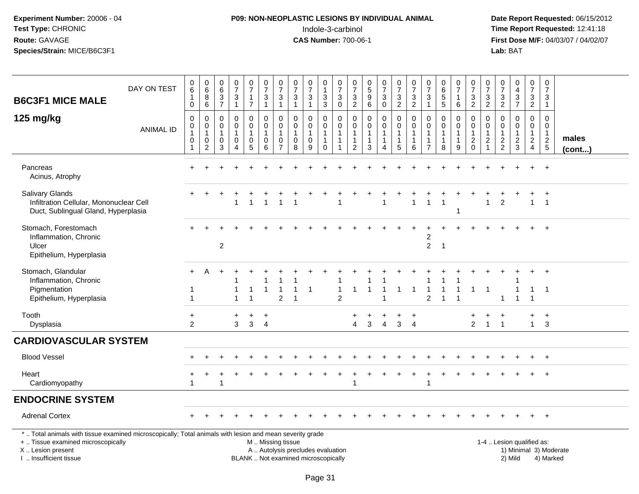# **P09: NON-NEOPLASTIC LESIONS BY INDIVIDUAL ANIMAL**Indole-3-carbinol **Time Report Requested:** 12:41:18

| <b>B6C3F1 MICE MALE</b>                                                                                                                                                                       | DAY ON TEST      | 0<br>$\,6$<br>$\mathbf{1}$<br>$\mathbf 0$                               | $\pmb{0}$<br>6<br>$\,8\,$<br>$\,6$                    | 0<br>6<br>$\frac{3}{7}$                                         | $\begin{array}{c} 0 \\ 7 \end{array}$<br>$\ensuremath{\mathsf{3}}$<br>$\mathbf{1}$ | $\mathbf 0$<br>$\overline{7}$<br>$\mathbf{1}$<br>$\overline{7}$ | $\frac{0}{7}$<br>$\frac{3}{1}$                     | $\pmb{0}$<br>$\overline{7}$<br>$\ensuremath{\mathsf{3}}$<br>$\mathbf{1}$ | $\pmb{0}$<br>$\overline{7}$<br>$\frac{3}{1}$                        | $\frac{0}{7}$<br>$\sqrt{3}$<br>$\mathbf{1}$                              | 0<br>$\mathbf{1}$<br>$\frac{3}{3}$                                              | $\pmb{0}$<br>$\overline{7}$<br>$_{0}^{3}$             | $\frac{0}{7}$<br>$\frac{3}{2}$                                                 | $\begin{array}{c} 0 \\ 5 \\ 9 \end{array}$<br>6                            | $\frac{0}{7}$<br>$\ensuremath{\mathsf{3}}$<br>$\mathsf{O}\xspace$ | $\frac{0}{7}$<br>$\frac{3}{2}$                                                     | $\frac{0}{7}$<br>$\frac{3}{2}$                 | 0<br>$\overline{7}$<br>$\ensuremath{\mathsf{3}}$<br>$\mathbf{1}$ | $\begin{array}{c} 0 \\ 6 \end{array}$<br>$\overline{5}$<br>$\overline{5}$ | 0<br>$\overline{7}$<br>$\mathbf{1}$<br>$\,6\,$        | 0<br>$\overline{7}$<br>$\frac{3}{2}$                                        | 0<br>$\overline{7}$<br>$\ensuremath{\mathsf{3}}$<br>$\overline{2}$           | 0<br>$\overline{7}$<br>$\frac{3}{2}$                        | $\begin{smallmatrix}0\0\4\end{smallmatrix}$<br>$\frac{3}{7}$ | $\mathbf 0$<br>$\overline{7}$<br>$\frac{3}{2}$            | 0<br>$\overline{7}$<br>$\sqrt{3}$<br>$\mathbf{1}$                           |                        |
|-----------------------------------------------------------------------------------------------------------------------------------------------------------------------------------------------|------------------|-------------------------------------------------------------------------|-------------------------------------------------------|-----------------------------------------------------------------|------------------------------------------------------------------------------------|-----------------------------------------------------------------|----------------------------------------------------|--------------------------------------------------------------------------|---------------------------------------------------------------------|--------------------------------------------------------------------------|---------------------------------------------------------------------------------|-------------------------------------------------------|--------------------------------------------------------------------------------|----------------------------------------------------------------------------|-------------------------------------------------------------------|------------------------------------------------------------------------------------|------------------------------------------------|------------------------------------------------------------------|---------------------------------------------------------------------------|-------------------------------------------------------|-----------------------------------------------------------------------------|------------------------------------------------------------------------------|-------------------------------------------------------------|--------------------------------------------------------------|-----------------------------------------------------------|-----------------------------------------------------------------------------|------------------------|
| 125 mg/kg                                                                                                                                                                                     | <b>ANIMAL ID</b> | $\mathbf 0$<br>$\pmb{0}$<br>$\mathbf{1}$<br>$\mathbf 0$<br>$\mathbf{1}$ | 0<br>$\pmb{0}$<br>$\mathbf{1}$<br>0<br>$\overline{c}$ | $\mathbf 0$<br>0<br>$\mathbf{1}$<br>$\mathbf 0$<br>$\mathbf{3}$ | $\mathbf 0$<br>$\pmb{0}$<br>$\mathbf{1}$<br>$\pmb{0}$<br>$\overline{4}$            | 0<br>$\mathsf{O}\xspace$<br>$\overline{1}$<br>0<br>$\sqrt{5}$   | $\mathbf 0$<br>$\pmb{0}$<br>$\mathbf{1}$<br>0<br>6 | $\mathbf 0$<br>$\mathbf 0$<br>$\mathbf{1}$<br>0<br>$\overline{7}$        | $\mathbf 0$<br>$\mathbf 0$<br>$\mathbf{1}$<br>$\boldsymbol{0}$<br>8 | 0<br>$\overline{0}$<br>$\mathbf{1}$<br>0<br>9                            | 0<br>$\ddot{\mathbf{0}}$<br>$\mathbf{1}$<br>$\mathbf{1}$<br>$\mathsf{O}\xspace$ | 0<br>$\mathbf 0$<br>$\mathbf{1}$<br>$\mathbf{1}$<br>1 | $\mathbf 0$<br>$\mathbf 0$<br>$\overline{1}$<br>$\mathbf{1}$<br>$\overline{c}$ | $\mathbf 0$<br>$\mathbf 0$<br>$\mathbf{1}$<br>$\mathbf{1}$<br>$\mathbf{3}$ | 0<br>$\mathbf 0$<br>1<br>4                                        | $\pmb{0}$<br>$\ddot{\mathbf{0}}$<br>$\mathbf{1}$<br>$\mathbf{1}$<br>$\overline{5}$ | 0<br>$\pmb{0}$<br>$\mathbf{1}$<br>1<br>$\,6\,$ | $\mathbf 0$<br>$\mathbf 0$<br>$\mathbf 1$<br>$\overline{7}$      | $\mathbf 0$<br>$\mathbf 0$<br>$\mathbf{1}$<br>$\mathbf{1}$<br>8           | 0<br>$\mathbf 0$<br>$\mathbf{1}$<br>$\mathbf{1}$<br>9 | $\mathbf 0$<br>$\pmb{0}$<br>$\mathbf{1}$<br>$\boldsymbol{2}$<br>$\mathbf 0$ | $\mathbf 0$<br>$\mathbf 0$<br>$\mathbf{1}$<br>$\overline{c}$<br>$\mathbf{1}$ | $\mathbf 0$<br>$\mathbf 0$<br>$\mathbf{1}$<br>$\frac{2}{2}$ | $\mathbf 0$<br>$\mathbf 0$<br>$\mathbf{1}$<br>$\frac{2}{3}$  | 0<br>$\mathsf{O}\xspace$<br>$\mathbf{1}$<br>$\frac{2}{4}$ | $\mathbf 0$<br>$\mathbf 0$<br>$\mathbf{1}$<br>$\sqrt{2}$<br>$5\phantom{.0}$ | males<br>$($ cont $)$  |
| Pancreas<br>Acinus, Atrophy                                                                                                                                                                   |                  |                                                                         |                                                       |                                                                 |                                                                                    |                                                                 |                                                    |                                                                          |                                                                     |                                                                          |                                                                                 |                                                       |                                                                                |                                                                            |                                                                   |                                                                                    |                                                |                                                                  |                                                                           |                                                       |                                                                             |                                                                              |                                                             |                                                              |                                                           | $\ddot{}$                                                                   |                        |
| <b>Salivary Glands</b><br>Infiltration Cellular, Mononuclear Cell<br>Duct, Sublingual Gland, Hyperplasia                                                                                      |                  |                                                                         |                                                       |                                                                 | $\overline{1}$                                                                     | $\overline{1}$                                                  | -1                                                 |                                                                          |                                                                     |                                                                          |                                                                                 |                                                       |                                                                                |                                                                            |                                                                   |                                                                                    | $\mathbf{1}$                                   |                                                                  | $\overline{1}$                                                            | 1                                                     |                                                                             | $\mathbf{1}$                                                                 | 2                                                           |                                                              | $\mathbf{1}$                                              | $\overline{1}$                                                              |                        |
| Stomach, Forestomach<br>Inflammation, Chronic<br>Ulcer<br>Epithelium, Hyperplasia                                                                                                             |                  |                                                                         |                                                       | $\overline{2}$                                                  |                                                                                    |                                                                 |                                                    |                                                                          |                                                                     |                                                                          |                                                                                 |                                                       |                                                                                |                                                                            |                                                                   |                                                                                    |                                                | $\overline{c}$<br>$\overline{2}$                                 | $\overline{1}$                                                            |                                                       |                                                                             |                                                                              |                                                             |                                                              |                                                           |                                                                             |                        |
| Stomach, Glandular<br>Inflammation, Chronic<br>Pigmentation<br>Epithelium, Hyperplasia                                                                                                        |                  | -1<br>$\overline{1}$                                                    | А                                                     |                                                                 |                                                                                    |                                                                 | $\overline{\mathbf{1}}$                            | 1<br>$\overline{2}$                                                      |                                                                     | $\mathbf{1}$                                                             |                                                                                 | $\overline{1}$<br>$\overline{2}$                      | -1                                                                             |                                                                            |                                                                   | -1                                                                                 | $\overline{1}$                                 | $\overline{2}$                                                   |                                                                           |                                                       | 1                                                                           | $\mathbf{1}$                                                                 | $\blacktriangleleft$                                        |                                                              | 1<br>1                                                    | $\ddot{}$<br>-1                                                             |                        |
| Tooth<br>Dysplasia                                                                                                                                                                            |                  | $\ddot{}$<br>2                                                          |                                                       |                                                                 | $\ddot{}$<br>3                                                                     | $\ddot{}$<br>3                                                  | $\ddot{}$<br>$\overline{4}$                        |                                                                          |                                                                     |                                                                          |                                                                                 |                                                       | 4                                                                              | 3                                                                          | $\overline{4}$                                                    | 3                                                                                  | $\cdot$<br>$\overline{4}$                      |                                                                  |                                                                           |                                                       | $\overline{2}$                                                              | $\mathbf{1}$                                                                 | $\mathbf{1}$                                                |                                                              | +<br>$\mathbf{1}$                                         | $\ddot{}$<br>3                                                              |                        |
| <b>CARDIOVASCULAR SYSTEM</b>                                                                                                                                                                  |                  |                                                                         |                                                       |                                                                 |                                                                                    |                                                                 |                                                    |                                                                          |                                                                     |                                                                          |                                                                                 |                                                       |                                                                                |                                                                            |                                                                   |                                                                                    |                                                |                                                                  |                                                                           |                                                       |                                                                             |                                                                              |                                                             |                                                              |                                                           |                                                                             |                        |
| <b>Blood Vessel</b>                                                                                                                                                                           |                  |                                                                         |                                                       |                                                                 |                                                                                    |                                                                 |                                                    |                                                                          |                                                                     |                                                                          |                                                                                 |                                                       |                                                                                |                                                                            |                                                                   |                                                                                    |                                                |                                                                  |                                                                           |                                                       |                                                                             |                                                                              |                                                             |                                                              | $+$                                                       | $+$                                                                         |                        |
| Heart<br>Cardiomyopathy                                                                                                                                                                       |                  | $\mathbf 1$                                                             |                                                       |                                                                 |                                                                                    |                                                                 |                                                    |                                                                          |                                                                     |                                                                          |                                                                                 |                                                       | 1                                                                              |                                                                            |                                                                   |                                                                                    |                                                |                                                                  |                                                                           |                                                       |                                                                             |                                                                              |                                                             |                                                              |                                                           |                                                                             |                        |
| <b>ENDOCRINE SYSTEM</b>                                                                                                                                                                       |                  |                                                                         |                                                       |                                                                 |                                                                                    |                                                                 |                                                    |                                                                          |                                                                     |                                                                          |                                                                                 |                                                       |                                                                                |                                                                            |                                                                   |                                                                                    |                                                |                                                                  |                                                                           |                                                       |                                                                             |                                                                              |                                                             |                                                              |                                                           |                                                                             |                        |
| <b>Adrenal Cortex</b>                                                                                                                                                                         |                  |                                                                         |                                                       |                                                                 |                                                                                    |                                                                 |                                                    |                                                                          |                                                                     |                                                                          |                                                                                 |                                                       |                                                                                |                                                                            |                                                                   |                                                                                    |                                                |                                                                  |                                                                           |                                                       |                                                                             |                                                                              |                                                             |                                                              |                                                           |                                                                             |                        |
| *  Total animals with tissue examined microscopically; Total animals with lesion and mean severity grade<br>+  Tissue examined microscopically<br>X  Lesion present<br>I  Insufficient tissue |                  |                                                                         |                                                       |                                                                 |                                                                                    |                                                                 | M  Missing tissue                                  |                                                                          |                                                                     | A  Autolysis precludes evaluation<br>BLANK  Not examined microscopically |                                                                                 |                                                       |                                                                                |                                                                            |                                                                   |                                                                                    |                                                |                                                                  |                                                                           |                                                       |                                                                             |                                                                              |                                                             | 1-4  Lesion qualified as:<br>2) Mild                         |                                                           | 4) Marked                                                                   | 1) Minimal 3) Moderate |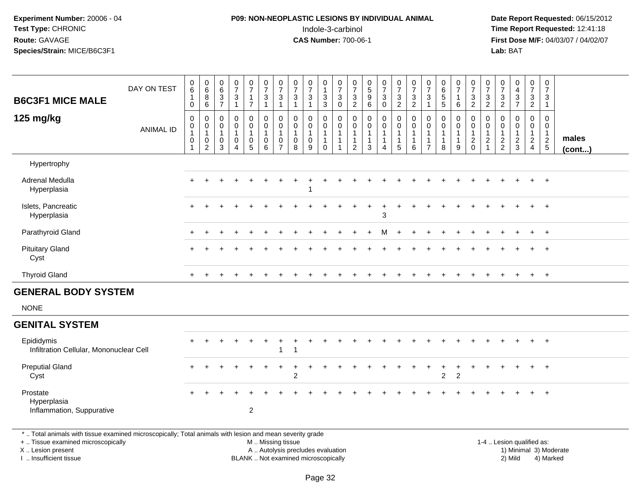# **P09: NON-NEOPLASTIC LESIONS BY INDIVIDUAL ANIMAL**Indole-3-carbinol **Time Report Requested:** 12:41:18

 **Date Report Requested:** 06/15/2012 **First Dose M/F:** 04/03/07 / 04/02/07<br>Lab: BAT **Lab:** BAT

| <b>B6C3F1 MICE MALE</b>                                                                                 | DAY ON TEST      | $\begin{array}{c} 0 \\ 6 \end{array}$<br>$\mathbf{1}$<br>0 | $\begin{array}{c} 0 \\ 6 \end{array}$<br>$\bf 8$<br>6                 | $\pmb{0}$<br>6<br>3<br>$\overline{7}$ | $\frac{0}{7}$<br>$\mathbf{3}$<br>$\mathbf{1}$                               | $\frac{0}{7}$<br>1<br>$\overline{7}$            | $\frac{0}{7}$<br>$\mathbf{3}$<br>$\mathbf{1}$                        | $\frac{0}{7}$<br>3<br>$\mathbf{1}$                      | $\frac{0}{7}$<br>$\ensuremath{\mathsf{3}}$<br>$\mathbf 1$ | $\frac{0}{7}$<br>$\mathbf{3}$<br>$\mathbf{1}$                | 0<br>$\mathbf{1}$<br>$\sqrt{3}$<br>3                              | $\begin{array}{c} 0 \\ 7 \\ 3 \end{array}$<br>$\mathbf 0$                      | $\frac{0}{7}$<br>$\sqrt{3}$<br>$\overline{2}$ | $\begin{matrix} 0 \\ 5 \end{matrix}$<br>9<br>6                | $\frac{0}{7}$<br>$\sqrt{3}$<br>$\mathbf 0$                                 | $\frac{0}{7}$<br>$\frac{3}{2}$           | $\frac{0}{7}$<br>$\frac{3}{2}$                                      | $\frac{0}{7}$<br>3<br>-1                 | $\pmb{0}$<br>$\,6\,$<br>$\sqrt{5}$<br>5               | $\frac{0}{7}$<br>1<br>6    | $\frac{0}{7}$<br>$\frac{3}{2}$                                            | $\frac{0}{7}$<br>3<br>$\overline{2}$                     | $\frac{0}{7}$<br>$\sqrt{3}$<br>$\overline{2}$ | $\begin{smallmatrix}0\\4\end{smallmatrix}$<br>$\frac{3}{7}$ | $\begin{array}{c} 0 \\ 7 \end{array}$<br>$\sqrt{3}$<br>$\boldsymbol{2}$ | $\boldsymbol{0}$<br>$\overline{7}$<br>3<br>$\mathbf{1}$       |                 |
|---------------------------------------------------------------------------------------------------------|------------------|------------------------------------------------------------|-----------------------------------------------------------------------|---------------------------------------|-----------------------------------------------------------------------------|-------------------------------------------------|----------------------------------------------------------------------|---------------------------------------------------------|-----------------------------------------------------------|--------------------------------------------------------------|-------------------------------------------------------------------|--------------------------------------------------------------------------------|-----------------------------------------------|---------------------------------------------------------------|----------------------------------------------------------------------------|------------------------------------------|---------------------------------------------------------------------|------------------------------------------|-------------------------------------------------------|----------------------------|---------------------------------------------------------------------------|----------------------------------------------------------|-----------------------------------------------|-------------------------------------------------------------|-------------------------------------------------------------------------|---------------------------------------------------------------|-----------------|
| 125 mg/kg                                                                                               | <b>ANIMAL ID</b> | 0<br>0<br>1<br>$\pmb{0}$                                   | $\pmb{0}$<br>$\pmb{0}$<br>$\mathbf{1}$<br>$\pmb{0}$<br>$\overline{2}$ | 0<br>0<br>$\overline{1}$<br>0<br>3    | $\mathbf 0$<br>$\mathbf 0$<br>$\mathbf{1}$<br>$\mathbf 0$<br>$\overline{4}$ | $\pmb{0}$<br>$\mathbf 0$<br>1<br>$\pmb{0}$<br>5 | $\pmb{0}$<br>$\mathsf{O}\xspace$<br>$\mathbf{1}$<br>$\mathbf 0$<br>6 | 0<br>$\mathbf 0$<br>$\mathbf{1}$<br>0<br>$\overline{7}$ | $\mathbf 0$<br>0<br>$\mathbf 1$<br>0<br>8                 | $\mathbf 0$<br>$\pmb{0}$<br>$\mathbf{1}$<br>$\mathbf 0$<br>9 | 0<br>$\mathbf 0$<br>$\mathbf{1}$<br>$\overline{1}$<br>$\mathbf 0$ | $\mathbf 0$<br>$\mathbf 0$<br>$\mathbf{1}$<br>$\overline{1}$<br>$\overline{1}$ | 0<br>$\mathbf 0$<br>1<br>1<br>2               | $\pmb{0}$<br>$\mathbf 0$<br>$\mathbf{1}$<br>$\mathbf{1}$<br>3 | $\mathbf 0$<br>$\pmb{0}$<br>$\mathbf{1}$<br>$\mathbf{1}$<br>$\overline{4}$ | 0<br>$\mathbf 0$<br>1<br>1<br>$\sqrt{5}$ | $\mathbf 0$<br>$\mathbf 0$<br>$\overline{1}$<br>$\overline{1}$<br>6 | 0<br>$\mathbf 0$<br>-1<br>$\overline{7}$ | $\mathbf 0$<br>0<br>$\mathbf{1}$<br>$\mathbf{1}$<br>8 | 0<br>$\mathbf 0$<br>1<br>9 | $\pmb{0}$<br>$\mathbf 0$<br>$\mathbf{1}$<br>$\overline{c}$<br>$\mathbf 0$ | 0<br>0<br>$\mathbf{1}$<br>$\overline{c}$<br>$\mathbf{1}$ | 0<br>0<br>$\mathbf{1}$<br>$\frac{2}{2}$       | $\mathbf 0$<br>$\mathbf 0$<br>$\mathbf{1}$<br>$\frac{2}{3}$ | 0<br>$\mathbf 0$<br>$\mathbf{1}$<br>$\overline{2}$<br>$\overline{4}$    | $\mathbf 0$<br>$\mathbf 0$<br>$\overline{1}$<br>$\frac{2}{5}$ | males<br>(cont) |
| Hypertrophy                                                                                             |                  |                                                            |                                                                       |                                       |                                                                             |                                                 |                                                                      |                                                         |                                                           |                                                              |                                                                   |                                                                                |                                               |                                                               |                                                                            |                                          |                                                                     |                                          |                                                       |                            |                                                                           |                                                          |                                               |                                                             |                                                                         |                                                               |                 |
| Adrenal Medulla<br>Hyperplasia                                                                          |                  |                                                            |                                                                       |                                       |                                                                             |                                                 |                                                                      |                                                         |                                                           |                                                              |                                                                   |                                                                                |                                               |                                                               |                                                                            |                                          |                                                                     |                                          |                                                       |                            |                                                                           |                                                          |                                               |                                                             |                                                                         |                                                               |                 |
| Islets, Pancreatic<br>Hyperplasia                                                                       |                  | $+$                                                        |                                                                       |                                       |                                                                             |                                                 |                                                                      |                                                         |                                                           |                                                              |                                                                   |                                                                                |                                               |                                                               | $\ddot{}$<br>3                                                             |                                          |                                                                     |                                          |                                                       |                            |                                                                           |                                                          |                                               |                                                             |                                                                         | $+$                                                           |                 |
| Parathyroid Gland                                                                                       |                  |                                                            |                                                                       |                                       |                                                                             |                                                 |                                                                      |                                                         |                                                           |                                                              |                                                                   |                                                                                |                                               |                                                               | М                                                                          |                                          |                                                                     |                                          |                                                       |                            |                                                                           |                                                          |                                               |                                                             | $+$                                                                     | $+$                                                           |                 |
| <b>Pituitary Gland</b><br>Cyst                                                                          |                  |                                                            |                                                                       |                                       |                                                                             |                                                 |                                                                      |                                                         |                                                           |                                                              |                                                                   |                                                                                |                                               |                                                               |                                                                            |                                          |                                                                     |                                          |                                                       |                            |                                                                           |                                                          |                                               |                                                             |                                                                         | $\overline{+}$                                                |                 |
| <b>Thyroid Gland</b>                                                                                    |                  | $\ddot{}$                                                  | $\ddot{}$                                                             |                                       |                                                                             |                                                 |                                                                      |                                                         |                                                           |                                                              |                                                                   |                                                                                |                                               |                                                               |                                                                            | +                                        |                                                                     |                                          |                                                       |                            |                                                                           | $\ddot{}$                                                | +                                             | $\overline{+}$                                              | $+$                                                                     | $+$                                                           |                 |
| <b>GENERAL BODY SYSTEM</b>                                                                              |                  |                                                            |                                                                       |                                       |                                                                             |                                                 |                                                                      |                                                         |                                                           |                                                              |                                                                   |                                                                                |                                               |                                                               |                                                                            |                                          |                                                                     |                                          |                                                       |                            |                                                                           |                                                          |                                               |                                                             |                                                                         |                                                               |                 |
| <b>NONE</b>                                                                                             |                  |                                                            |                                                                       |                                       |                                                                             |                                                 |                                                                      |                                                         |                                                           |                                                              |                                                                   |                                                                                |                                               |                                                               |                                                                            |                                          |                                                                     |                                          |                                                       |                            |                                                                           |                                                          |                                               |                                                             |                                                                         |                                                               |                 |
| <b>GENITAL SYSTEM</b>                                                                                   |                  |                                                            |                                                                       |                                       |                                                                             |                                                 |                                                                      |                                                         |                                                           |                                                              |                                                                   |                                                                                |                                               |                                                               |                                                                            |                                          |                                                                     |                                          |                                                       |                            |                                                                           |                                                          |                                               |                                                             |                                                                         |                                                               |                 |
| Epididymis<br>Infiltration Cellular, Mononuclear Cell                                                   |                  |                                                            |                                                                       |                                       |                                                                             |                                                 |                                                                      | $\overline{1}$                                          |                                                           |                                                              |                                                                   |                                                                                |                                               |                                                               |                                                                            |                                          |                                                                     |                                          |                                                       |                            |                                                                           |                                                          |                                               |                                                             |                                                                         | $+$                                                           |                 |
| <b>Preputial Gland</b><br>Cyst                                                                          |                  | $+$                                                        |                                                                       |                                       |                                                                             |                                                 |                                                                      |                                                         | $\overline{2}$                                            |                                                              |                                                                   |                                                                                |                                               |                                                               |                                                                            |                                          |                                                                     |                                          | $\overline{2}$                                        | $\overline{c}$             |                                                                           |                                                          |                                               |                                                             | $+$                                                                     | $+$                                                           |                 |
| Prostate<br>Hyperplasia<br>Inflammation, Suppurative                                                    |                  |                                                            |                                                                       |                                       |                                                                             | $\overline{c}$                                  |                                                                      |                                                         |                                                           |                                                              |                                                                   |                                                                                |                                               |                                                               |                                                                            |                                          |                                                                     |                                          |                                                       |                            |                                                                           |                                                          |                                               |                                                             |                                                                         | $\ddot{}$                                                     |                 |
| * Total animals with tissue examined microscopically: Total animals with lesion and mean severity grade |                  |                                                            |                                                                       |                                       |                                                                             |                                                 |                                                                      |                                                         |                                                           |                                                              |                                                                   |                                                                                |                                               |                                                               |                                                                            |                                          |                                                                     |                                          |                                                       |                            |                                                                           |                                                          |                                               |                                                             |                                                                         |                                                               |                 |

. Total animals with tissue examined microscopically; Total animals with lesion and mean severity grade

+ .. Tissue examined microscopically

X .. Lesion present

I .. Insufficient tissue

 M .. Missing tissueA .. Autolysis precludes evaluation 1999 (1999) 1999 (1999) 1999 (1999) 1999 (1999) 1999 (1999) 1999 (1999) 1<br>1) Minimal 3) Mild 3) Mild 3) Mild 3) Mild 3, 2009 (1999) 1999 (1999) 1999 (1999) 1999 (1999) 1999 (1999) 199

BLANK .. Not examined microscopically 2) Mild 4) Marked

1-4 .. Lesion qualified as:<br>1) Minimal 3) Moderate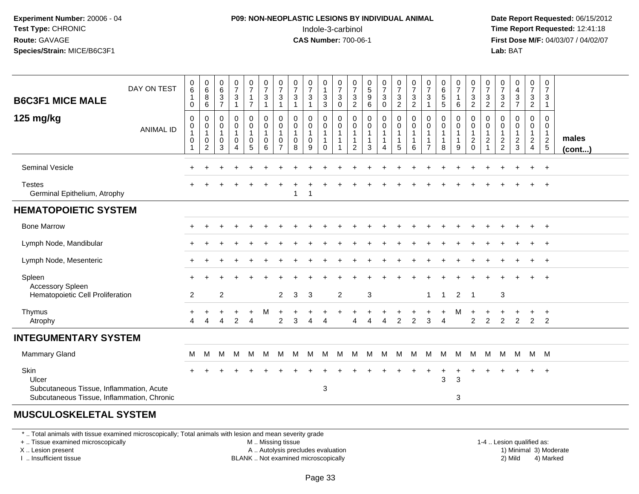#### **P09: NON-NEOPLASTIC LESIONS BY INDIVIDUAL ANIMAL**Indole-3-carbinol **Time Report Requested:** 12:41:18

 **Date Report Requested:** 06/15/2012 **First Dose M/F:** 04/03/07 / 04/02/07<br>**Lab:** BAT **Lab:** BAT

| DAY ON TEST<br><b>B6C3F1 MICE MALE</b>                                                 |                  | 0<br>$\,6$<br>$\mathbf{1}$<br>$\mathbf 0$                         | $\begin{array}{c} 0 \\ 6 \end{array}$<br>8<br>6 | $\begin{matrix} 0 \\ 6 \end{matrix}$<br>$\frac{3}{7}$ | $\frac{0}{7}$<br>$\ensuremath{\mathsf{3}}$<br>$\mathbf{1}$ | $\frac{0}{7}$<br>$\overline{7}$                | $\frac{0}{7}$<br>$\mathbf{3}$<br>$\overline{1}$                   | $\frac{0}{7}$<br>$\mathbf{3}$<br>$\mathbf{1}$           | $\frac{0}{7}$<br>$\ensuremath{\mathsf{3}}$<br>$\overline{1}$ | $\frac{0}{7}$<br>3<br>$\mathbf{1}$ | 0<br>$\mathbf{1}$<br>$_3^3$                       | $\frac{0}{7}$<br>$\ensuremath{\mathsf{3}}$<br>$\mathbf 0$ | $\frac{0}{7}$<br>$\frac{3}{2}$                            | $\begin{matrix}0\\5\end{matrix}$<br>$\boldsymbol{9}$<br>$\,6\,$ | $\frac{0}{7}$<br>$\sqrt{3}$<br>$\mathbf 0$                     | $\frac{0}{7}$<br>$\frac{3}{2}$                                  | $\frac{0}{7}$<br>$\mathbf{3}$<br>$\overline{2}$ | $\frac{0}{7}$<br>$\mathbf{3}$<br>$\mathbf{1}$ | 0<br>6<br>5<br>5                              | $\frac{0}{7}$<br>-1<br>6 | $\frac{0}{7}$<br>$\frac{3}{2}$                                             | $\frac{0}{7}$<br>3<br>$\overline{c}$ | $\frac{0}{7}$<br>$\frac{3}{2}$                    | $\begin{smallmatrix}0\0\4\end{smallmatrix}$<br>$\frac{3}{7}$ | $\frac{0}{7}$<br>$\frac{3}{2}$                                         | 0<br>$\overline{7}$<br>3<br>$\overline{1}$ |                       |
|----------------------------------------------------------------------------------------|------------------|-------------------------------------------------------------------|-------------------------------------------------|-------------------------------------------------------|------------------------------------------------------------|------------------------------------------------|-------------------------------------------------------------------|---------------------------------------------------------|--------------------------------------------------------------|------------------------------------|---------------------------------------------------|-----------------------------------------------------------|-----------------------------------------------------------|-----------------------------------------------------------------|----------------------------------------------------------------|-----------------------------------------------------------------|-------------------------------------------------|-----------------------------------------------|-----------------------------------------------|--------------------------|----------------------------------------------------------------------------|--------------------------------------|---------------------------------------------------|--------------------------------------------------------------|------------------------------------------------------------------------|--------------------------------------------|-----------------------|
| 125 mg/kg                                                                              | <b>ANIMAL ID</b> | $\boldsymbol{0}$<br>$\pmb{0}$<br>$\mathbf{1}$<br>$\mathbf 0$<br>1 | 0<br>0<br>$\mathbf{1}$<br>0<br>2                | 0<br>0<br>$\overline{1}$<br>0<br>3                    | $\pmb{0}$<br>$\pmb{0}$<br>$\mathbf{1}$<br>$\mathbf 0$<br>Δ | $\mathbf 0$<br>$\mathbf 0$<br>$\mathbf 0$<br>5 | $\overline{0}$<br>$\mathbf 0$<br>$\mathbf{1}$<br>$\mathbf 0$<br>6 | 0<br>0<br>$\mathbf{1}$<br>$\mathbf 0$<br>$\overline{7}$ | $\mathbf 0$<br>$\mathbf 0$<br>1<br>$\mathbf 0$<br>8          | 0<br>0<br>$\mathbf 0$<br>9         | 0<br>$\mathbf 0$<br>1<br>$\mathbf{1}$<br>$\Omega$ | 0<br>0                                                    | $\mathbf 0$<br>0<br>$\overline{1}$<br>$\overline{1}$<br>2 | $\mathbf 0$<br>0<br>$\mathbf{1}$<br>$\mathbf{1}$<br>3           | $\mathbf 0$<br>$\mathbf 0$<br>$\mathbf{1}$<br>$\mathbf 1$<br>4 | $\mathbf 0$<br>$\mathbf 0$<br>$\mathbf{1}$<br>$\mathbf{1}$<br>5 | 0<br>0<br>$\mathbf{1}$<br>$\mathbf{1}$<br>6     | 0<br>0<br>-1<br>-1<br>$\overline{7}$          | $\mathbf 0$<br>$\pmb{0}$<br>$\mathbf{1}$<br>8 | 0<br>0<br>-1<br>-1<br>9  | $\pmb{0}$<br>$\mathsf{O}\xspace$<br>$\mathbf{1}$<br>$\sqrt{2}$<br>$\Omega$ | 0<br>0<br>$\overline{\mathbf{c}}$    | $\mathbf 0$<br>0<br>$\mathbf{1}$<br>$\frac{2}{2}$ | 0<br>0<br>$\mathbf{1}$<br>$\frac{2}{3}$                      | 0<br>$\overline{0}$<br>$\mathbf 1$<br>$\overline{a}$<br>$\overline{4}$ | 0<br>0<br>$\mathbf{1}$<br>$\frac{2}{5}$    | males<br>$($ cont $)$ |
| <b>Seminal Vesicle</b>                                                                 |                  |                                                                   |                                                 |                                                       |                                                            |                                                |                                                                   |                                                         |                                                              |                                    |                                                   |                                                           |                                                           |                                                                 |                                                                |                                                                 |                                                 |                                               |                                               |                          |                                                                            |                                      |                                                   |                                                              |                                                                        | $+$                                        |                       |
| <b>Testes</b><br>Germinal Epithelium, Atrophy                                          |                  |                                                                   |                                                 |                                                       |                                                            |                                                |                                                                   |                                                         | -1                                                           | -1                                 |                                                   |                                                           |                                                           |                                                                 |                                                                |                                                                 |                                                 |                                               |                                               |                          |                                                                            |                                      |                                                   |                                                              |                                                                        | $\overline{1}$                             |                       |
| <b>HEMATOPOIETIC SYSTEM</b>                                                            |                  |                                                                   |                                                 |                                                       |                                                            |                                                |                                                                   |                                                         |                                                              |                                    |                                                   |                                                           |                                                           |                                                                 |                                                                |                                                                 |                                                 |                                               |                                               |                          |                                                                            |                                      |                                                   |                                                              |                                                                        |                                            |                       |
| <b>Bone Marrow</b>                                                                     |                  |                                                                   |                                                 |                                                       |                                                            |                                                |                                                                   |                                                         |                                                              |                                    |                                                   |                                                           |                                                           |                                                                 |                                                                |                                                                 |                                                 |                                               |                                               |                          |                                                                            |                                      |                                                   |                                                              | $\ddot{}$                                                              | $+$                                        |                       |
| Lymph Node, Mandibular                                                                 |                  |                                                                   |                                                 |                                                       |                                                            |                                                |                                                                   |                                                         |                                                              |                                    |                                                   |                                                           |                                                           |                                                                 |                                                                |                                                                 |                                                 |                                               |                                               |                          |                                                                            |                                      |                                                   |                                                              | $\div$                                                                 | $+$                                        |                       |
| Lymph Node, Mesenteric                                                                 |                  |                                                                   |                                                 |                                                       |                                                            |                                                |                                                                   |                                                         |                                                              |                                    |                                                   |                                                           |                                                           |                                                                 |                                                                |                                                                 |                                                 |                                               |                                               |                          |                                                                            |                                      |                                                   |                                                              |                                                                        | $+$                                        |                       |
| Spleen<br>Accessory Spleen                                                             |                  |                                                                   |                                                 |                                                       |                                                            |                                                |                                                                   |                                                         |                                                              |                                    |                                                   |                                                           |                                                           |                                                                 |                                                                |                                                                 |                                                 |                                               |                                               |                          |                                                                            |                                      |                                                   |                                                              |                                                                        |                                            |                       |
| Hematopoietic Cell Proliferation                                                       |                  | $\overline{2}$                                                    |                                                 | $\overline{c}$                                        |                                                            |                                                |                                                                   | $\overline{2}$                                          | 3                                                            | $\mathbf{3}$                       |                                                   | $\overline{2}$                                            |                                                           | 3                                                               |                                                                |                                                                 |                                                 | $\mathbf{1}$                                  | $\overline{1}$                                | $\overline{2}$           | $\overline{1}$                                                             |                                      | $\mathbf{3}$                                      |                                                              |                                                                        |                                            |                       |
| Thymus<br>Atrophy                                                                      |                  | Δ                                                                 |                                                 |                                                       | $\mathcal{P}$                                              | $\boldsymbol{\Lambda}$                         | м                                                                 | 2                                                       | 3                                                            | $\Delta$                           | $\boldsymbol{\Lambda}$                            |                                                           | Δ                                                         | Δ                                                               | $\overline{4}$                                                 | 2                                                               | $\overline{2}$                                  | 3                                             | $\overline{A}$                                | М                        | $\overline{2}$                                                             | $\overline{2}$                       | 2                                                 | $\overline{2}$                                               | $+$<br>$\overline{2}$                                                  | $\ddot{}$<br>2                             |                       |
| <b>INTEGUMENTARY SYSTEM</b>                                                            |                  |                                                                   |                                                 |                                                       |                                                            |                                                |                                                                   |                                                         |                                                              |                                    |                                                   |                                                           |                                                           |                                                                 |                                                                |                                                                 |                                                 |                                               |                                               |                          |                                                                            |                                      |                                                   |                                                              |                                                                        |                                            |                       |
| Mammary Gland                                                                          |                  | M                                                                 | M                                               | м                                                     | M                                                          | M                                              | м                                                                 | M                                                       | M                                                            | M                                  | M                                                 | M                                                         | М                                                         | M                                                               | M                                                              | M                                                               | M                                               | M                                             | M                                             | M                        | M                                                                          | M                                    | M                                                 | M                                                            | M M                                                                    |                                            |                       |
| Skin<br>Ulcer                                                                          |                  |                                                                   |                                                 |                                                       |                                                            |                                                |                                                                   |                                                         |                                                              |                                    | 3                                                 |                                                           |                                                           |                                                                 |                                                                |                                                                 |                                                 |                                               | $\pm$<br>$\sqrt{3}$                           | $\ddot{}$<br>$\sqrt{3}$  |                                                                            |                                      |                                                   | $\div$                                                       | $+$                                                                    | $+$                                        |                       |
| Subcutaneous Tissue, Inflammation, Acute<br>Subcutaneous Tissue, Inflammation, Chronic |                  |                                                                   |                                                 |                                                       |                                                            |                                                |                                                                   |                                                         |                                                              |                                    |                                                   |                                                           |                                                           |                                                                 |                                                                |                                                                 |                                                 |                                               |                                               | 3                        |                                                                            |                                      |                                                   |                                                              |                                                                        |                                            |                       |

#### **MUSCULOSKELETAL SYSTEM**

\* .. Total animals with tissue examined microscopically; Total animals with lesion and mean severity grade

+ .. Tissue examined microscopically

X .. Lesion present

I .. Insufficient tissue

M .. Missing tissue

A .. Autolysis precludes evaluation

1-4 .. Lesion qualified as:<br>1) Minimal 3) Moderate BLANK .. Not examined microscopically 2) Mild 4) Marked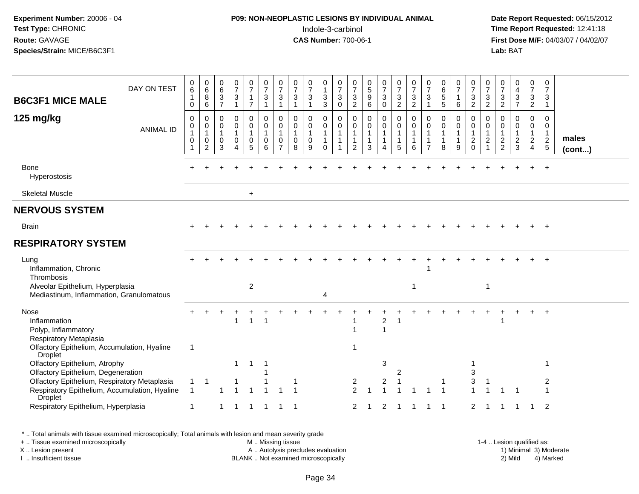#### **P09: NON-NEOPLASTIC LESIONS BY INDIVIDUAL ANIMAL**Indole-3-carbinol **Time Report Requested:** 12:41:18

 **Date Report Requested:** 06/15/2012 **First Dose M/F:** 04/03/07 / 04/02/07<br>**Lab:** BAT **Lab:** BAT

|                                                                                    |                  | 0                                                      |                                            | 0                        | $\frac{0}{7}$               |                               |                             |                               |                             | $\frac{0}{7}$             | 0                          |                                  | 0                                           | 0                          |                               |                                 |                                |                                  |                                                     |                               | 0                              |                                | 0                               |                                  |                                | 0                              |             |
|------------------------------------------------------------------------------------|------------------|--------------------------------------------------------|--------------------------------------------|--------------------------|-----------------------------|-------------------------------|-----------------------------|-------------------------------|-----------------------------|---------------------------|----------------------------|----------------------------------|---------------------------------------------|----------------------------|-------------------------------|---------------------------------|--------------------------------|----------------------------------|-----------------------------------------------------|-------------------------------|--------------------------------|--------------------------------|---------------------------------|----------------------------------|--------------------------------|--------------------------------|-------------|
| DAY ON TEST<br><b>B6C3F1 MICE MALE</b>                                             |                  | 6<br>$\mathbf{1}$                                      | $\begin{array}{c} 0 \\ 6 \end{array}$<br>8 | $\,6\,$<br>$\frac{3}{7}$ | $\frac{3}{1}$               | $\frac{0}{7}$<br>$\mathbf{1}$ | $\frac{0}{7}$<br>$\sqrt{3}$ | $\frac{0}{7}$<br>$\mathbf{3}$ | $\frac{0}{7}$<br>$\sqrt{3}$ | $\sqrt{3}$                | $\mathbf{1}$<br>$\sqrt{3}$ | $\frac{0}{7}$<br>$\sqrt{3}$      | $\overline{7}$<br>$\ensuremath{\mathsf{3}}$ | $\sqrt{5}$<br>$9\,$        | $\frac{0}{7}$<br>$\mathbf{3}$ | $\frac{0}{7}$<br>$\mathfrak{S}$ | $\frac{0}{7}$<br>$\frac{3}{2}$ | $\frac{0}{7}$<br>$\sqrt{3}$      | $\begin{array}{c} 0 \\ 6 \end{array}$<br>$\sqrt{5}$ | $\frac{0}{7}$<br>$\mathbf{1}$ | $\boldsymbol{7}$<br>3          | $\frac{0}{7}$<br>3             | $\overline{7}$<br>$\frac{3}{2}$ | $\frac{0}{4}$<br>$\frac{3}{7}$   | $\frac{0}{7}$<br>$\frac{3}{2}$ | $\overline{7}$<br>$\mathbf{3}$ |             |
|                                                                                    |                  | 0                                                      | 6                                          |                          |                             | $\overline{7}$                | $\overline{1}$              | 1                             | $\overline{1}$              | $\mathbf{1}$              | $\overline{3}$             | $\mathbf 0$                      | $\sqrt{2}$                                  | $\,6$                      | $\mathsf 0$                   | $\overline{2}$                  |                                | $\mathbf{1}$                     | $\overline{5}$                                      | $\,6\,$                       | $\overline{c}$                 | $\overline{2}$                 |                                 |                                  |                                | $\mathbf{1}$                   |             |
| 125 mg/kg                                                                          |                  | $\mathbf 0$                                            | $\mathbf 0$<br>0                           | 0<br>0                   | $\mathbf 0$<br>$\mathbf 0$  | 0<br>$\pmb{0}$                | $\pmb{0}$<br>$\mathbf 0$    | 0<br>0                        | $\Omega$<br>0               | 0<br>$\pmb{0}$            | $\mathbf 0$<br>0           | $\mathbf 0$<br>$\pmb{0}$         | 0<br>0                                      | $\mathbf 0$<br>$\mathbf 0$ | 0<br>0                        | 0<br>$\mathbf 0$                | 0<br>$\pmb{0}$                 | 0<br>0                           | $\mathbf 0$<br>0                                    | 0<br>$\pmb{0}$                | $\mathbf 0$<br>0               | 0<br>0                         | 0<br>0                          | 0<br>0                           | 0<br>$\mathbf 0$               | 0<br>0                         |             |
|                                                                                    | <b>ANIMAL ID</b> | $\begin{smallmatrix}0\1\end{smallmatrix}$<br>$\pmb{0}$ | $\mathbf{1}$<br>$\pmb{0}$                  | $\mathbf{1}$<br>0        | $\mathbf{1}$<br>$\mathbf 0$ | $\mathbf{1}$<br>$\pmb{0}$     | $\mathbf{1}$<br>$\mathbf 0$ | $\mathbf{1}$<br>$\mathbf 0$   | $\mathbf{1}$<br>$\mathbf 0$ | $\mathbf{1}$<br>$\pmb{0}$ | $\mathbf{1}$               | $\overline{1}$<br>$\overline{1}$ | $\mathbf{1}$<br>$\mathbf{1}$                | $\mathbf{1}$<br>1          | $\mathbf{1}$<br>$\mathbf 1$   | $\mathbf{1}$<br>$\mathbf{1}$    | $\mathbf{1}$                   | $\overline{1}$<br>$\overline{1}$ | $\mathbf{1}$<br>$\overline{1}$                      | $\mathbf{1}$<br>$\mathbf{1}$  | $\mathbf{1}$<br>$\overline{2}$ | $\mathbf{1}$<br>$\overline{c}$ | $\mathbf{1}$<br>$\overline{c}$  | $\mathbf{1}$<br>$\boldsymbol{2}$ | $\mathbf{1}$<br>$\overline{2}$ | $\mathbf{1}$<br>$\overline{2}$ | males       |
|                                                                                    |                  | 1                                                      | $\overline{2}$                             | 3                        | $\Delta$                    | 5                             | $6\phantom{1}6$             | $\overline{7}$                | 8                           | 9                         | $\Omega$                   |                                  | 2                                           | 3                          | $\Delta$                      | 5                               | 6                              | $\overline{7}$                   | 8                                                   | 9                             | $\mathbf 0$                    | 1                              | 2                               | $\mathbf{3}$                     | $\overline{4}$                 | $\overline{5}$                 | $($ cont $$ |
| <b>Bone</b><br>Hyperostosis                                                        |                  |                                                        |                                            |                          |                             |                               |                             |                               |                             |                           |                            |                                  |                                             |                            |                               |                                 |                                |                                  |                                                     |                               |                                |                                |                                 |                                  |                                | $+$                            |             |
| <b>Skeletal Muscle</b>                                                             |                  |                                                        |                                            |                          |                             | $\ddot{}$                     |                             |                               |                             |                           |                            |                                  |                                             |                            |                               |                                 |                                |                                  |                                                     |                               |                                |                                |                                 |                                  |                                |                                |             |
| <b>NERVOUS SYSTEM</b>                                                              |                  |                                                        |                                            |                          |                             |                               |                             |                               |                             |                           |                            |                                  |                                             |                            |                               |                                 |                                |                                  |                                                     |                               |                                |                                |                                 |                                  |                                |                                |             |
| <b>Brain</b>                                                                       |                  |                                                        |                                            |                          |                             |                               |                             |                               |                             |                           |                            |                                  |                                             |                            |                               |                                 |                                |                                  |                                                     |                               |                                |                                |                                 |                                  | $+$                            | $+$                            |             |
| <b>RESPIRATORY SYSTEM</b>                                                          |                  |                                                        |                                            |                          |                             |                               |                             |                               |                             |                           |                            |                                  |                                             |                            |                               |                                 |                                |                                  |                                                     |                               |                                |                                |                                 |                                  |                                |                                |             |
| Lung<br>Inflammation, Chronic<br>Thrombosis                                        |                  |                                                        |                                            |                          |                             |                               |                             |                               |                             |                           |                            |                                  |                                             |                            |                               |                                 |                                |                                  |                                                     |                               |                                |                                |                                 |                                  |                                | $\ddot{+}$                     |             |
| Alveolar Epithelium, Hyperplasia<br>Mediastinum, Inflammation, Granulomatous       |                  |                                                        |                                            |                          |                             | $\overline{2}$                |                             |                               |                             |                           | 4                          |                                  |                                             |                            |                               |                                 | -1                             |                                  |                                                     |                               |                                | -1                             |                                 |                                  |                                |                                |             |
| Nose                                                                               |                  |                                                        |                                            |                          |                             |                               |                             |                               |                             |                           |                            |                                  |                                             |                            |                               |                                 |                                |                                  |                                                     |                               |                                |                                |                                 |                                  |                                |                                |             |
| Inflammation<br>Polyp, Inflammatory                                                |                  |                                                        |                                            |                          | 1                           | $\overline{1}$                | $\overline{1}$              |                               |                             |                           |                            |                                  |                                             |                            | $\overline{2}$<br>$\mathbf 1$ |                                 |                                |                                  |                                                     |                               |                                |                                |                                 |                                  |                                |                                |             |
| Respiratory Metaplasia                                                             |                  |                                                        |                                            |                          |                             |                               |                             |                               |                             |                           |                            |                                  |                                             |                            |                               |                                 |                                |                                  |                                                     |                               |                                |                                |                                 |                                  |                                |                                |             |
| Olfactory Epithelium, Accumulation, Hyaline<br>Droplet                             |                  | $\mathbf{1}$                                           |                                            |                          |                             |                               |                             |                               |                             |                           |                            |                                  | 1                                           |                            |                               |                                 |                                |                                  |                                                     |                               |                                |                                |                                 |                                  |                                |                                |             |
| Olfactory Epithelium, Atrophy                                                      |                  |                                                        |                                            |                          | $\mathbf 1$                 | -1                            |                             |                               |                             |                           |                            |                                  |                                             |                            | 3                             |                                 |                                |                                  |                                                     |                               |                                |                                |                                 |                                  |                                |                                |             |
| Olfactory Epithelium, Degeneration<br>Olfactory Epithelium, Respiratory Metaplasia |                  | 1                                                      | $\mathbf 1$                                |                          |                             |                               |                             |                               |                             |                           |                            |                                  | 2                                           |                            | $\overline{2}$                | 2                               |                                |                                  | -1                                                  |                               | 3<br>3                         | -1                             |                                 |                                  |                                | 2                              |             |
| Respiratory Epithelium, Accumulation, Hyaline<br>Droplet                           |                  | 1                                                      |                                            |                          |                             | -1                            |                             |                               |                             |                           |                            |                                  | 2                                           |                            |                               |                                 |                                |                                  | $\overline{\mathbf{1}}$                             |                               |                                |                                |                                 |                                  |                                |                                |             |
| Respiratory Epithelium, Hyperplasia                                                |                  | -1                                                     |                                            | $\mathbf{1}$             | -1                          | $\overline{1}$                | $\overline{1}$              | $\mathbf{1}$                  | -1                          |                           |                            |                                  | 2                                           | -1                         | 2                             |                                 |                                |                                  | -1                                                  |                               | $\overline{2}$                 |                                |                                 |                                  | $\mathbf 1$                    | 2                              |             |

\* .. Total animals with tissue examined microscopically; Total animals with lesion and mean severity grade

+ .. Tissue examined microscopically

X .. Lesion present

I .. Insufficient tissue

M .. Missing tissue

A .. Autolysis precludes evaluation

1-4 .. Lesion qualified as:<br>1) Minimal 3) Moderate BLANK .. Not examined microscopically 2) Mild 4) Marked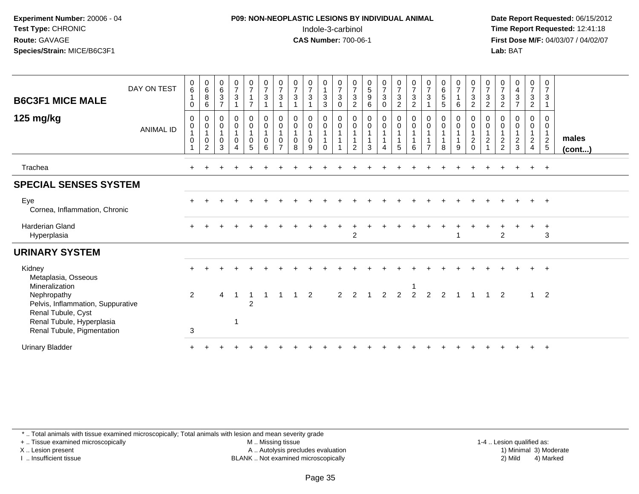#### **P09: NON-NEOPLASTIC LESIONS BY INDIVIDUAL ANIMAL**Indole-3-carbinol **Time Report Requested:** 12:41:18

 **Date Report Requested:** 06/15/2012 **First Dose M/F:** 04/03/07 / 04/02/07<br>Lab: BAT **Lab:** BAT

| <b>B6C3F1 MICE MALE</b>                                                                                               | DAY ON TEST      | $\pmb{0}$<br>$6\overline{6}$<br>$\overline{1}$<br>$\mathbf 0$ | $\begin{array}{c} 0 \\ 6 \end{array}$<br>$\bf 8$<br>$\,6\,$ | $\begin{array}{c} 0 \\ 6 \end{array}$<br>$\mathbf{3}$<br>$\overline{7}$ | $\frac{0}{7}$<br>3                                           | $\begin{smallmatrix}0\\7\end{smallmatrix}$<br>$\mathbf{1}$<br>$\overline{7}$ | $\begin{smallmatrix}0\\7\end{smallmatrix}$<br>$\sqrt{3}$<br>$\mathbf{1}$       | $\begin{array}{c} 0 \\ 7 \end{array}$<br>$\mathbf 3$                        | $\frac{0}{7}$<br>$\sqrt{3}$<br>$\mathbf{1}$      | $\frac{0}{7}$<br>3                 | $\begin{smallmatrix}0\\1\end{smallmatrix}$<br>$\mathbf{3}$<br>$\mathbf{3}$ | $\frac{0}{7}$<br>$\mathbf{3}$<br>$\mathsf{O}\xspace$     | $\frac{0}{7}$<br>$\ensuremath{\mathsf{3}}$<br>$\overline{c}$ | $\begin{array}{c} 0 \\ 5 \\ 9 \end{array}$<br>$\,6\,$             | $\frac{0}{7}$<br>3<br>$\mathsf 0$ | $\begin{smallmatrix}0\\7\end{smallmatrix}$<br>$\sqrt{3}$<br>$\overline{2}$ | $\frac{0}{7}$<br>$\mathbf{3}$<br>$\overline{c}$ | $\frac{0}{7}$<br>$\mathfrak{Z}$  | $\begin{array}{c} 0 \\ 6 \\ 5 \end{array}$<br>$\sqrt{5}$ | $\frac{0}{7}$<br>$\mathbf{1}$<br>6 | $\frac{0}{7}$<br>$\sqrt{3}$<br>$\overline{2}$              | $\frac{0}{7}$<br>$\mathbf{3}$<br>$\overline{2}$                             | $\frac{0}{7}$<br>$\mathbf 3$<br>$\overline{c}$                           | $\begin{array}{c} 0 \\ 4 \\ 3 \end{array}$<br>$\overline{7}$ | $\frac{0}{7}$<br>$\mathbf{3}$<br>$\overline{2}$                        | $\frac{0}{7}$<br>$\mathbf{3}$           |                       |
|-----------------------------------------------------------------------------------------------------------------------|------------------|---------------------------------------------------------------|-------------------------------------------------------------|-------------------------------------------------------------------------|--------------------------------------------------------------|------------------------------------------------------------------------------|--------------------------------------------------------------------------------|-----------------------------------------------------------------------------|--------------------------------------------------|------------------------------------|----------------------------------------------------------------------------|----------------------------------------------------------|--------------------------------------------------------------|-------------------------------------------------------------------|-----------------------------------|----------------------------------------------------------------------------|-------------------------------------------------|----------------------------------|----------------------------------------------------------|------------------------------------|------------------------------------------------------------|-----------------------------------------------------------------------------|--------------------------------------------------------------------------|--------------------------------------------------------------|------------------------------------------------------------------------|-----------------------------------------|-----------------------|
| 125 mg/kg                                                                                                             | <b>ANIMAL ID</b> | 0<br>0<br>$\mathbf{1}$<br>$\mathbf 0$<br>1                    | 0<br>$\boldsymbol{0}$<br>$\mathbf{1}$<br>$\pmb{0}$<br>2     | $\mathbf 0$<br>$\pmb{0}$<br>$\mathbf{1}$<br>$\pmb{0}$<br>3              | 0<br>$\mathsf{O}\xspace$<br>$\mathbf{1}$<br>$\mathbf 0$<br>4 | $_{\rm 0}^{\rm 0}$<br>$\mathbf{1}$<br>$\pmb{0}$<br>5                         | $\begin{smallmatrix} 0\\0 \end{smallmatrix}$<br>$\mathbf{1}$<br>$\pmb{0}$<br>6 | $\mathbf 0$<br>$\ddot{\mathbf{0}}$<br>$\overline{1}$<br>0<br>$\overline{7}$ | 0<br>$\pmb{0}$<br>$\mathbf{1}$<br>$\pmb{0}$<br>8 | 0<br>$\mathbf 0$<br>$\pmb{0}$<br>9 | 0<br>$\ddot{\mathbf{0}}$<br>$\mathbf{1}$<br>$\mathbf{1}$<br>$\Omega$       | $\mathbf 0$<br>$\pmb{0}$<br>$\mathbf{1}$<br>$\mathbf{1}$ | 0<br>0<br>2                                                  | $\begin{smallmatrix} 0\\0 \end{smallmatrix}$<br>$\mathbf{1}$<br>3 | $_0^0$<br>$\overline{1}$          | $_{\rm 0}^{\rm 0}$<br>$\mathbf{1}$<br>$\overline{1}$<br>5                  | 0<br>$\mathbf 0$<br>6                           | 0<br>$\pmb{0}$<br>$\overline{7}$ | 0<br>$\pmb{0}$<br>8                                      | $\mathbf 0$<br>$\mathbf 0$<br>9    | $\mathbf 0$<br>$\overline{0}$<br>$\frac{1}{2}$<br>$\Omega$ | 0<br>$\boldsymbol{0}$<br>$\mathbf{1}$<br>$\boldsymbol{2}$<br>$\overline{A}$ | 0<br>$\boldsymbol{0}$<br>$\mathbf 1$<br>$\overline{c}$<br>$\overline{2}$ | 0<br>$\mathsf{O}\xspace$<br>$\overline{a}$<br>3              | 0<br>$\overline{0}$<br>$\mathbf 1$<br>$\overline{2}$<br>$\overline{4}$ | 0<br>0<br>$\mathbf{1}$<br>$\frac{2}{5}$ | males<br>$($ cont $)$ |
| Trachea                                                                                                               |                  |                                                               |                                                             |                                                                         |                                                              |                                                                              |                                                                                |                                                                             |                                                  |                                    |                                                                            |                                                          |                                                              |                                                                   |                                   |                                                                            |                                                 |                                  |                                                          |                                    |                                                            |                                                                             |                                                                          |                                                              |                                                                        | $+$                                     |                       |
| <b>SPECIAL SENSES SYSTEM</b>                                                                                          |                  |                                                               |                                                             |                                                                         |                                                              |                                                                              |                                                                                |                                                                             |                                                  |                                    |                                                                            |                                                          |                                                              |                                                                   |                                   |                                                                            |                                                 |                                  |                                                          |                                    |                                                            |                                                                             |                                                                          |                                                              |                                                                        |                                         |                       |
| Eye<br>Cornea, Inflammation, Chronic                                                                                  |                  |                                                               |                                                             |                                                                         |                                                              |                                                                              |                                                                                |                                                                             |                                                  |                                    |                                                                            |                                                          |                                                              |                                                                   |                                   |                                                                            |                                                 |                                  |                                                          |                                    |                                                            |                                                                             |                                                                          |                                                              |                                                                        |                                         |                       |
| <b>Harderian Gland</b><br>Hyperplasia                                                                                 |                  | $+$                                                           |                                                             |                                                                         |                                                              |                                                                              |                                                                                |                                                                             |                                                  |                                    |                                                                            |                                                          | 2                                                            |                                                                   |                                   |                                                                            |                                                 |                                  |                                                          |                                    |                                                            |                                                                             | $\overline{2}$                                                           |                                                              |                                                                        | $\div$<br>3                             |                       |
| <b>URINARY SYSTEM</b>                                                                                                 |                  |                                                               |                                                             |                                                                         |                                                              |                                                                              |                                                                                |                                                                             |                                                  |                                    |                                                                            |                                                          |                                                              |                                                                   |                                   |                                                                            |                                                 |                                  |                                                          |                                    |                                                            |                                                                             |                                                                          |                                                              |                                                                        |                                         |                       |
| Kidney<br>Metaplasia, Osseous                                                                                         |                  |                                                               |                                                             |                                                                         |                                                              |                                                                              |                                                                                |                                                                             |                                                  |                                    |                                                                            |                                                          |                                                              |                                                                   |                                   |                                                                            |                                                 |                                  |                                                          |                                    |                                                            |                                                                             |                                                                          |                                                              |                                                                        | $\ddot{}$                               |                       |
| Mineralization<br>Nephropathy<br>Pelvis, Inflammation, Suppurative<br>Renal Tubule, Cyst<br>Renal Tubule, Hyperplasia |                  | 2                                                             |                                                             | $\overline{4}$                                                          | -1<br>1                                                      | 1<br>$\overline{c}$                                                          |                                                                                |                                                                             |                                                  | $\overline{2}$                     |                                                                            | 2                                                        | $\overline{2}$                                               | $\overline{\phantom{0}}$                                          | $\overline{2}$                    | $\overline{2}$                                                             | $\overline{2}$                                  | $\overline{2}$                   | 2                                                        |                                    |                                                            |                                                                             | $\overline{2}$                                                           |                                                              | $\mathbf{1}$                                                           | $\overline{2}$                          |                       |
| Renal Tubule, Pigmentation<br><b>Urinary Bladder</b>                                                                  |                  | 3                                                             |                                                             |                                                                         |                                                              |                                                                              |                                                                                |                                                                             |                                                  |                                    |                                                                            |                                                          |                                                              |                                                                   |                                   |                                                                            |                                                 |                                  |                                                          |                                    |                                                            |                                                                             |                                                                          |                                                              |                                                                        |                                         |                       |

\* .. Total animals with tissue examined microscopically; Total animals with lesion and mean severity grade

+ .. Tissue examined microscopically

X .. Lesion present

I .. Insufficient tissue

 M .. Missing tissueA .. Autolysis precludes evaluation

1-4 .. Lesion qualified as:<br>1) Minimal 3) Moderate BLANK .. Not examined microscopically 2) Mild 4) Marked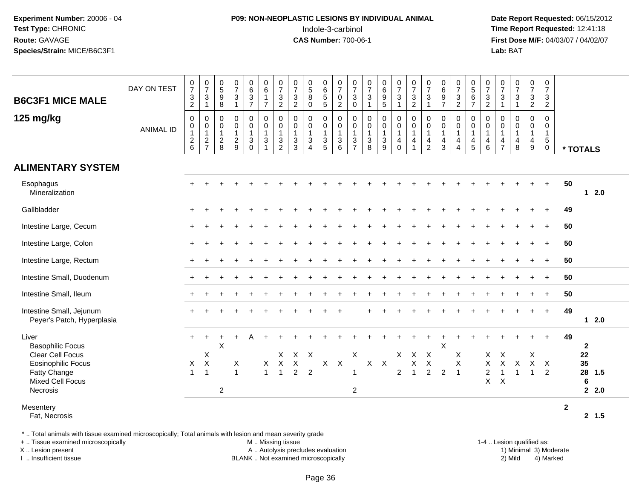# **P09: NON-NEOPLASTIC LESIONS BY INDIVIDUAL ANIMAL**Indole-3-carbinol **Time Report Requested:** 12:41:18

 **Date Report Requested:** 06/15/2012 **First Dose M/F:** 04/03/07 / 04/02/07<br>**Lab:** BAT **Lab:** BAT

|                                                        | DAY ON TEST      | $\begin{array}{c} 0 \\ 7 \end{array}$               | $\frac{0}{7}$                                                      | $\begin{array}{c} 0 \\ 5 \end{array}$                   | $\frac{0}{7}$                                                 | $\begin{matrix} 0 \\ 6 \\ 3 \end{matrix}$                                       | $\begin{array}{c} 0 \\ 6 \end{array}$                    | $\begin{array}{c} 0 \\ 7 \end{array}$                                        | $\begin{array}{c} 0 \\ 7 \end{array}$                       | $\begin{array}{c} 0 \\ 5 \end{array}$                                   | $\begin{array}{c} 0 \\ 6 \\ 5 \end{array}$            | $\begin{array}{c} 0 \\ 7 \end{array}$                                                | $\frac{0}{7}$                                                                           | $\frac{0}{7}$                                               | 0<br>0<br>0<br>5                                                         | $\frac{0}{7}$                                             | $\begin{array}{c} 0 \\ 7 \\ 3 \\ 2 \end{array}$                                             | $\frac{0}{7}$                                                             | $_{6}^{\rm 0}$                             | $\begin{array}{c} 0 \\ 7 \end{array}$                                                | $\begin{array}{c} 0 \\ 5 \\ 6 \end{array}$           | $\frac{0}{7}$                                                       | $\frac{0}{7}$                                           | $\begin{array}{c} 0 \\ 7 \end{array}$                | $\frac{0}{7}$                                                   | $\begin{array}{c} 0 \\ 7 \end{array}$                |                          |
|--------------------------------------------------------|------------------|-----------------------------------------------------|--------------------------------------------------------------------|---------------------------------------------------------|---------------------------------------------------------------|---------------------------------------------------------------------------------|----------------------------------------------------------|------------------------------------------------------------------------------|-------------------------------------------------------------|-------------------------------------------------------------------------|-------------------------------------------------------|--------------------------------------------------------------------------------------|-----------------------------------------------------------------------------------------|-------------------------------------------------------------|--------------------------------------------------------------------------|-----------------------------------------------------------|---------------------------------------------------------------------------------------------|---------------------------------------------------------------------------|--------------------------------------------|--------------------------------------------------------------------------------------|------------------------------------------------------|---------------------------------------------------------------------|---------------------------------------------------------|------------------------------------------------------|-----------------------------------------------------------------|------------------------------------------------------|--------------------------|
| <b>B6C3F1 MICE MALE</b>                                |                  | $\sqrt{3}$<br>$\overline{c}$                        | $\sqrt{3}$<br>$\mathbf{1}$                                         | $9\,$<br>8                                              | $\mathbf{3}$<br>$\overline{1}$                                | $\overline{7}$                                                                  | $\overline{1}$<br>$\overline{7}$                         | $\ensuremath{\mathsf{3}}$<br>2                                               | $\mathbf{3}$<br>$\overline{2}$                              | 8<br>$\mathbf 0$                                                        | 5                                                     | $\overline{0}$<br>$\overline{2}$                                                     | $\sqrt{3}$<br>0                                                                         | $\mathbf{3}$<br>$\overline{1}$                              |                                                                          | 3<br>1                                                    |                                                                                             | $\mathsf 3$<br>$\overline{1}$                                             | 9<br>$\overline{7}$                        | $\frac{3}{2}$                                                                        | $\overline{7}$                                       | $\frac{3}{2}$                                                       | $\mathbf{3}$<br>1                                       | 3<br>$\overline{1}$                                  | $\frac{3}{2}$                                                   | $\frac{3}{2}$                                        |                          |
| 125 mg/kg                                              | <b>ANIMAL ID</b> | $\mathbf 0$<br>0<br>$\mathbf{1}$<br>$\sqrt{2}$<br>6 | $\mathbf 0$<br>$\boldsymbol{0}$<br>$\overline{1}$<br>$\frac{2}{7}$ | $\mathbf 0$<br>0<br>$\mathbf{1}$<br>$\overline{c}$<br>8 | $\mathbf 0$<br>$\mathbf 0$<br>$\mathbf{1}$<br>$\sqrt{2}$<br>9 | $\pmb{0}$<br>$\pmb{0}$<br>$\mathbf{1}$<br>$\ensuremath{\mathsf{3}}$<br>$\Omega$ | $\mathsf 0$<br>$\mathbf 0$<br>$\mathbf{1}$<br>$\sqrt{3}$ | $\mathbf 0$<br>$\mathbf 0$<br>$\overline{1}$<br>$\sqrt{3}$<br>$\overline{2}$ | $\mathbf 0$<br>$\pmb{0}$<br>$\mathbf{1}$<br>$\sqrt{3}$<br>3 | $\pmb{0}$<br>$\pmb{0}$<br>$\mathbf{1}$<br>$\mathsf 3$<br>$\overline{4}$ | 0<br>$\mathsf 0$<br>$\mathbf{1}$<br>$\mathbf{3}$<br>5 | $\mathbf 0$<br>$\mathsf{O}\xspace$<br>$\mathbf{1}$<br>$\ensuremath{\mathsf{3}}$<br>6 | $\mathbf 0$<br>$\pmb{0}$<br>$\mathbf{1}$<br>$\ensuremath{\mathsf{3}}$<br>$\overline{7}$ | $\pmb{0}$<br>$\mathsf 0$<br>$\overline{1}$<br>$\frac{3}{8}$ | $\pmb{0}$<br>$\pmb{0}$<br>$\mathbf{1}$<br>$\ensuremath{\mathsf{3}}$<br>9 | 0<br>$\mathsf{O}\xspace$<br>$\mathbf{1}$<br>4<br>$\Omega$ | $\pmb{0}$<br>$\mathsf{O}\xspace$<br>$\mathbf{1}$<br>$\overline{\mathbf{4}}$<br>$\mathbf{1}$ | $\mathbf 0$<br>$\mathsf{O}\xspace$<br>$\mathbf{1}$<br>4<br>$\overline{2}$ | $\mathbf 0$<br>0<br>$\mathbf{1}$<br>4<br>3 | $\mathbf 0$<br>$\pmb{0}$<br>$\mathbf{1}$<br>$\overline{4}$<br>$\boldsymbol{\Lambda}$ | $\pmb{0}$<br>$\mathbf 0$<br>$\overline{1}$<br>4<br>5 | $\mathbf 0$<br>$\mathbf 0$<br>$\overline{1}$<br>$\overline{4}$<br>6 | $\mathbf 0$<br>0<br>$\mathbf{1}$<br>4<br>$\overline{7}$ | $\mathbf 0$<br>$\mathbf 0$<br>$\mathbf{1}$<br>4<br>8 | $\mathbf 0$<br>$\pmb{0}$<br>$\mathbf{1}$<br>$\overline{4}$<br>9 | $\mathsf{O}$<br>0<br>$\mathbf{1}$<br>$\sqrt{5}$<br>0 | * TOTALS                 |
| <b>ALIMENTARY SYSTEM</b>                               |                  |                                                     |                                                                    |                                                         |                                                               |                                                                                 |                                                          |                                                                              |                                                             |                                                                         |                                                       |                                                                                      |                                                                                         |                                                             |                                                                          |                                                           |                                                                                             |                                                                           |                                            |                                                                                      |                                                      |                                                                     |                                                         |                                                      |                                                                 |                                                      |                          |
| Esophagus<br>Mineralization                            |                  |                                                     |                                                                    |                                                         |                                                               |                                                                                 |                                                          |                                                                              |                                                             |                                                                         |                                                       |                                                                                      |                                                                                         |                                                             |                                                                          |                                                           |                                                                                             |                                                                           |                                            |                                                                                      |                                                      |                                                                     |                                                         |                                                      |                                                                 | $\ddot{}$                                            | 50<br>$12.0$             |
| Gallbladder                                            |                  |                                                     |                                                                    |                                                         |                                                               |                                                                                 |                                                          |                                                                              |                                                             |                                                                         |                                                       |                                                                                      |                                                                                         |                                                             |                                                                          |                                                           |                                                                                             |                                                                           |                                            |                                                                                      |                                                      |                                                                     |                                                         |                                                      |                                                                 | $\ddot{}$                                            | 49                       |
| Intestine Large, Cecum                                 |                  |                                                     |                                                                    |                                                         |                                                               |                                                                                 |                                                          |                                                                              |                                                             |                                                                         |                                                       |                                                                                      |                                                                                         |                                                             |                                                                          |                                                           |                                                                                             |                                                                           |                                            |                                                                                      |                                                      |                                                                     |                                                         |                                                      |                                                                 | $\ddot{}$                                            | 50                       |
| Intestine Large, Colon                                 |                  | $\div$                                              |                                                                    |                                                         |                                                               |                                                                                 |                                                          |                                                                              |                                                             |                                                                         |                                                       |                                                                                      |                                                                                         |                                                             |                                                                          |                                                           |                                                                                             |                                                                           |                                            |                                                                                      |                                                      |                                                                     |                                                         |                                                      |                                                                 |                                                      | 50                       |
| Intestine Large, Rectum                                |                  |                                                     |                                                                    |                                                         |                                                               |                                                                                 |                                                          |                                                                              |                                                             |                                                                         |                                                       |                                                                                      |                                                                                         |                                                             |                                                                          |                                                           |                                                                                             |                                                                           |                                            |                                                                                      |                                                      |                                                                     |                                                         |                                                      |                                                                 | $\ddot{}$                                            | 50                       |
| Intestine Small, Duodenum                              |                  | $\ddot{}$                                           |                                                                    |                                                         |                                                               |                                                                                 |                                                          |                                                                              |                                                             |                                                                         |                                                       |                                                                                      |                                                                                         |                                                             |                                                                          |                                                           |                                                                                             |                                                                           |                                            |                                                                                      |                                                      |                                                                     |                                                         |                                                      | $\ddot{}$                                                       | $+$                                                  | 50                       |
| Intestine Small, Ileum                                 |                  |                                                     |                                                                    |                                                         |                                                               |                                                                                 |                                                          |                                                                              |                                                             |                                                                         |                                                       |                                                                                      |                                                                                         |                                                             |                                                                          |                                                           |                                                                                             |                                                                           |                                            |                                                                                      |                                                      |                                                                     |                                                         |                                                      |                                                                 | $\ddot{}$                                            | 50                       |
| Intestine Small, Jejunum<br>Peyer's Patch, Hyperplasia |                  |                                                     |                                                                    |                                                         |                                                               |                                                                                 |                                                          |                                                                              |                                                             |                                                                         |                                                       |                                                                                      |                                                                                         |                                                             |                                                                          |                                                           |                                                                                             |                                                                           |                                            |                                                                                      |                                                      |                                                                     |                                                         |                                                      |                                                                 | $\overline{+}$                                       | 49<br>$12.0$             |
| Liver<br><b>Basophilic Focus</b>                       |                  | $+$                                                 | $\ddot{}$                                                          | $\ddot{}$<br>X                                          |                                                               | А                                                                               |                                                          |                                                                              |                                                             |                                                                         |                                                       |                                                                                      |                                                                                         |                                                             |                                                                          |                                                           |                                                                                             |                                                                           | X                                          |                                                                                      |                                                      |                                                                     |                                                         |                                                      |                                                                 | $+$                                                  | 49<br>$\mathbf{2}$       |
| Clear Cell Focus                                       |                  |                                                     | X                                                                  |                                                         |                                                               |                                                                                 |                                                          | $\mathsf{X}$                                                                 |                                                             | $X$ $X$                                                                 |                                                       |                                                                                      | X                                                                                       |                                                             |                                                                          | X.                                                        | $\mathsf{X}$                                                                                | $\boldsymbol{\mathsf{X}}$                                                 |                                            | X                                                                                    |                                                      | X                                                                   | $\boldsymbol{\mathsf{X}}$                               |                                                      | Χ                                                               |                                                      | 22                       |
| <b>Eosinophilic Focus</b><br>Fatty Change              |                  | X<br>$\overline{1}$                                 | $\boldsymbol{\mathsf{X}}$<br>$\overline{1}$                        |                                                         | X<br>$\overline{1}$                                           |                                                                                 | X<br>$\mathbf{1}$                                        | $\mathsf{X}$<br>$\overline{1}$                                               | $\boldsymbol{\mathsf{X}}$<br>$\overline{2}$                 | $\overline{2}$                                                          | $\mathsf{X}$                                          | $\mathsf{X}$                                                                         | $\overline{1}$                                                                          |                                                             | $X$ $X$                                                                  | $\overline{2}$                                            | X<br>$\overline{1}$                                                                         | $\times$<br>$\overline{2}$                                                | $\overline{2}$                             | X<br>$\overline{1}$                                                                  |                                                      | X<br>$\overline{c}$                                                 | $\sf X$                                                 | X                                                    | $\mathsf{X}$<br>$\mathbf{1}$                                    | $\mathsf{X}$<br>2                                    | 35<br>28 1.5             |
| Mixed Cell Focus                                       |                  |                                                     |                                                                    |                                                         |                                                               |                                                                                 |                                                          |                                                                              |                                                             |                                                                         |                                                       |                                                                                      |                                                                                         |                                                             |                                                                          |                                                           |                                                                                             |                                                                           |                                            |                                                                                      |                                                      | $\mathsf{X}$                                                        | $\boldsymbol{\mathsf{X}}$                               |                                                      |                                                                 |                                                      | $6\phantom{1}6$          |
| Necrosis                                               |                  |                                                     |                                                                    | $\overline{c}$                                          |                                                               |                                                                                 |                                                          |                                                                              |                                                             |                                                                         |                                                       |                                                                                      | $\sqrt{2}$                                                                              |                                                             |                                                                          |                                                           |                                                                                             |                                                                           |                                            |                                                                                      |                                                      |                                                                     |                                                         |                                                      |                                                                 |                                                      | 2.0                      |
| Mesentery<br>Fat, Necrosis                             |                  |                                                     |                                                                    |                                                         |                                                               |                                                                                 |                                                          |                                                                              |                                                             |                                                                         |                                                       |                                                                                      |                                                                                         |                                                             |                                                                          |                                                           |                                                                                             |                                                                           |                                            |                                                                                      |                                                      |                                                                     |                                                         |                                                      |                                                                 |                                                      | $\overline{2}$<br>2, 1.5 |

\* .. Total animals with tissue examined microscopically; Total animals with lesion and mean severity grade

+ .. Tissue examined microscopically

X .. Lesion present

I .. Insufficient tissue

 M .. Missing tissueA .. Autolysis precludes evaluation

BLANK .. Not examined microscopically 2) Mild 4) Marked

1-4 .. Lesion qualified as:<br>1) Minimal 3) Moderate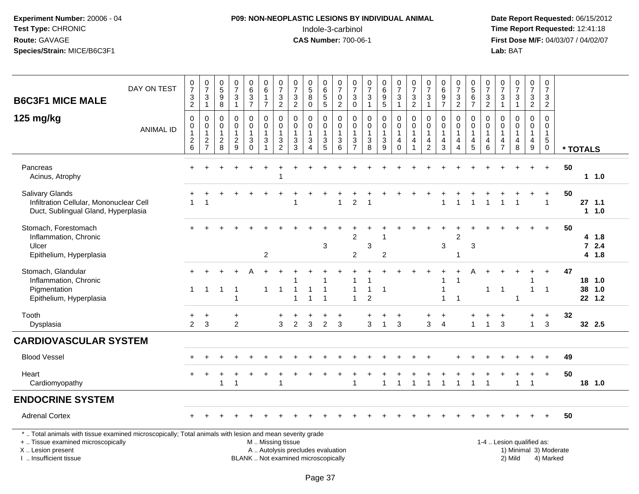## **P09: NON-NEOPLASTIC LESIONS BY INDIVIDUAL ANIMAL**Indole-3-carbinol **Time Report Requested:** 12:41:18

| <b>B6C3F1 MICE MALE</b>                                                                                                                                                                       | DAY ON TEST      | 0<br>$\overline{7}$<br>$\frac{3}{2}$                         | $\frac{0}{7}$<br>$\frac{3}{1}$                              | $\begin{array}{c} 0 \\ 5 \end{array}$<br>9<br>$\,8\,$ | 0<br>$\overline{7}$<br>$\ensuremath{\mathsf{3}}$<br>$\mathbf{1}$         | $_{6}^{\rm 0}$<br>$\frac{3}{7}$                                            | $\boldsymbol{0}$<br>$\,6\,$<br>$\mathbf{1}$<br>$\overline{7}$ | $\frac{0}{7}$<br>$\frac{3}{2}$                                                | $\frac{0}{7}$<br>$\frac{3}{2}$                                           | $\begin{array}{c} 0 \\ 5 \end{array}$<br>$\bf 8$<br>$\mathbf 0$                         | 0<br>$6\phantom{1}$<br>$\mathbf 5$<br>5              | $\frac{0}{7}$<br>$\frac{0}{2}$                                                    | $\frac{0}{7}$<br>$\ensuremath{\mathsf{3}}$<br>$\mathbf 0$ | 0<br>$\overline{7}$<br>3<br>$\mathbf{1}$ | 0<br>0<br>0<br>0<br>5                                               | $\frac{0}{7}$<br>$\ensuremath{\mathsf{3}}$<br>$\mathbf{1}$   | 0<br>$\overline{7}$<br>$\frac{3}{2}$                          | $\frac{0}{7}$<br>3<br>$\mathbf{1}$                    | $\pmb{0}$<br>$\begin{array}{c} 6 \\ 9 \\ 7 \end{array}$              | $\frac{0}{7}$<br>$\frac{3}{2}$                                                         | $0$<br>5<br>6<br>7                                                   | $\frac{0}{7}$<br>$\frac{3}{2}$                                          | $\frac{0}{7}$<br>$\ensuremath{\mathsf{3}}$<br>$\mathbf{1}$ | $\frac{0}{7}$<br>$\frac{3}{1}$                       | $\frac{0}{7}$<br>$\frac{3}{2}$                                                | 0<br>$\overline{7}$<br>$\frac{3}{2}$                                    |          |              |                          |  |
|-----------------------------------------------------------------------------------------------------------------------------------------------------------------------------------------------|------------------|--------------------------------------------------------------|-------------------------------------------------------------|-------------------------------------------------------|--------------------------------------------------------------------------|----------------------------------------------------------------------------|---------------------------------------------------------------|-------------------------------------------------------------------------------|--------------------------------------------------------------------------|-----------------------------------------------------------------------------------------|------------------------------------------------------|-----------------------------------------------------------------------------------|-----------------------------------------------------------|------------------------------------------|---------------------------------------------------------------------|--------------------------------------------------------------|---------------------------------------------------------------|-------------------------------------------------------|----------------------------------------------------------------------|----------------------------------------------------------------------------------------|----------------------------------------------------------------------|-------------------------------------------------------------------------|------------------------------------------------------------|------------------------------------------------------|-------------------------------------------------------------------------------|-------------------------------------------------------------------------|----------|--------------|--------------------------|--|
| 125 mg/kg                                                                                                                                                                                     | <b>ANIMAL ID</b> | $\mathbf 0$<br>$\pmb{0}$<br>$\mathbf{1}$<br>$^2\phantom{1}6$ | $\mathbf 0$<br>$\mathbf 0$<br>$\mathbf{1}$<br>$\frac{2}{7}$ | 0<br>0<br>$\mathbf{1}$<br>$\overline{2}$<br>$\,8\,$   | $\mathbf 0$<br>$\pmb{0}$<br>$\mathbf{1}$<br>$\sqrt{2}$<br>$\overline{9}$ | 0<br>$\pmb{0}$<br>$\mathbf{1}$<br>$\ensuremath{\mathsf{3}}$<br>$\mathbf 0$ | 0<br>$\mathbf 0$<br>$\mathbf{1}$<br>3<br>$\overline{1}$       | 0<br>$\pmb{0}$<br>$\mathbf{1}$<br>$\ensuremath{\mathsf{3}}$<br>$\overline{2}$ | $\mathbf 0$<br>$\mathbf 0$<br>$\mathbf{1}$<br>$\frac{3}{3}$              | $\mathbf 0$<br>$\pmb{0}$<br>$\mathbf{1}$<br>$\ensuremath{\mathsf{3}}$<br>$\overline{4}$ | 0<br>$\mathsf{O}\xspace$<br>1<br>3<br>$\overline{5}$ | 0<br>$\ddot{\mathbf{0}}$<br>$\mathbf{1}$<br>$\begin{array}{c} 3 \\ 6 \end{array}$ | 0<br>$\pmb{0}$<br>$\mathbf{1}$<br>$\frac{3}{7}$           | 0<br>0<br>1<br>$\sqrt{3}$<br>8           | $\pmb{0}$<br>$\ddot{\mathbf{0}}$<br>$\mathbf{1}$<br>$\sqrt{3}$<br>9 | 0<br>$\mathsf{O}\xspace$<br>$\mathbf{1}$<br>4<br>$\mathbf 0$ | $\mathbf 0$<br>$\pmb{0}$<br>$\mathbf{1}$<br>4<br>$\mathbf{1}$ | 0<br>$\pmb{0}$<br>$\mathbf{1}$<br>4<br>$\overline{2}$ | 0<br>$\mathbf 0$<br>$\mathbf{1}$<br>$\overline{4}$<br>$\mathfrak{Z}$ | $\mathbf 0$<br>$\ddot{\mathbf{0}}$<br>$\mathbf{1}$<br>$\overline{4}$<br>$\overline{4}$ | 0<br>$\mathbf 0$<br>$\mathbf{1}$<br>$\overline{4}$<br>$\overline{5}$ | $\mathbf 0$<br>$\mathbf 0$<br>$\mathbf{1}$<br>$\overline{4}$<br>$\,6\,$ | $\mathbf 0$<br>$\mathbf 0$<br>1<br>4<br>$\overline{7}$     | $\mathbf 0$<br>$\mathbf 0$<br>$\mathbf{1}$<br>4<br>8 | 0<br>$\pmb{0}$<br>$\mathbf{1}$<br>$\overline{\mathbf{4}}$<br>$\boldsymbol{9}$ | $\mathbf 0$<br>$\mathbf 0$<br>$\mathbf{1}$<br>$\sqrt{5}$<br>$\mathbf 0$ | * TOTALS |              |                          |  |
| Pancreas<br>Acinus, Atrophy                                                                                                                                                                   |                  |                                                              |                                                             |                                                       |                                                                          |                                                                            |                                                               |                                                                               |                                                                          |                                                                                         |                                                      |                                                                                   |                                                           |                                          |                                                                     |                                                              |                                                               |                                                       |                                                                      |                                                                                        |                                                                      |                                                                         |                                                            |                                                      |                                                                               | $+$                                                                     | 50       |              | $1 1.0$                  |  |
| <b>Salivary Glands</b><br>Infiltration Cellular, Mononuclear Cell<br>Duct, Sublingual Gland, Hyperplasia                                                                                      |                  | $\overline{1}$                                               | $\overline{\mathbf{1}}$                                     |                                                       |                                                                          |                                                                            |                                                               |                                                                               |                                                                          |                                                                                         |                                                      | $\mathbf{1}$                                                                      | $\overline{2}$                                            |                                          |                                                                     |                                                              |                                                               |                                                       | -1                                                                   | 1                                                                                      | $\overline{ }$                                                       |                                                                         |                                                            |                                                      |                                                                               | $\overline{1}$                                                          | 50       | $27$ 1.1     | 11.0                     |  |
| Stomach, Forestomach<br>Inflammation, Chronic<br>Ulcer<br>Epithelium, Hyperplasia                                                                                                             |                  |                                                              |                                                             |                                                       |                                                                          |                                                                            | $\overline{c}$                                                |                                                                               |                                                                          |                                                                                         | 3                                                    |                                                                                   | $\boldsymbol{2}$<br>$\overline{c}$                        | 3                                        | $\overline{c}$                                                      |                                                              |                                                               |                                                       | $\sqrt{3}$                                                           | 2<br>-1                                                                                | 3                                                                    |                                                                         |                                                            |                                                      |                                                                               |                                                                         | 50       |              | 4 1.8<br>$72.4$<br>4 1.8 |  |
| Stomach, Glandular<br>Inflammation, Chronic<br>Pigmentation<br>Epithelium, Hyperplasia                                                                                                        |                  | 1                                                            | $\mathbf{1}$                                                | $\overline{1}$                                        | -1<br>1                                                                  |                                                                            | $\mathbf{1}$                                                  | $\overline{1}$                                                                |                                                                          | 1                                                                                       | 1<br>$\overline{1}$                                  |                                                                                   | $\overline{1}$<br>$\overline{1}$                          | 1<br>$\overline{2}$                      | -1                                                                  |                                                              |                                                               |                                                       |                                                                      | $\overline{1}$                                                                         |                                                                      | $\mathbf{1}$                                                            | $\mathbf{1}$                                               | -1                                                   | $\mathbf{1}$                                                                  | $\overline{1}$                                                          | 47       | 18 1.0<br>38 | 1.0<br>22, 1.2           |  |
| Tooth<br>Dysplasia                                                                                                                                                                            |                  | +<br>$\overline{2}$                                          | $\overline{+}$<br>3                                         |                                                       | +<br>$\overline{c}$                                                      |                                                                            |                                                               | 3                                                                             | 2                                                                        | 3                                                                                       | $\overline{c}$                                       | 3                                                                                 |                                                           | 3                                        | $\overline{1}$                                                      | $\ddot{}$<br>3                                               |                                                               | 3                                                     | $\overline{4}$                                                       |                                                                                        | $\mathbf{1}$                                                         | $\mathbf{1}$                                                            | $\ddot{}$<br>3                                             |                                                      | $\ddot{}$<br>$\mathbf{1}$                                                     | $\ddot{}$<br>3                                                          | 32       |              | 32 2.5                   |  |
| <b>CARDIOVASCULAR SYSTEM</b>                                                                                                                                                                  |                  |                                                              |                                                             |                                                       |                                                                          |                                                                            |                                                               |                                                                               |                                                                          |                                                                                         |                                                      |                                                                                   |                                                           |                                          |                                                                     |                                                              |                                                               |                                                       |                                                                      |                                                                                        |                                                                      |                                                                         |                                                            |                                                      |                                                                               |                                                                         |          |              |                          |  |
| <b>Blood Vessel</b>                                                                                                                                                                           |                  |                                                              |                                                             |                                                       |                                                                          |                                                                            |                                                               |                                                                               |                                                                          |                                                                                         |                                                      |                                                                                   |                                                           |                                          |                                                                     |                                                              |                                                               |                                                       |                                                                      |                                                                                        |                                                                      |                                                                         |                                                            |                                                      | $\div$                                                                        | $\ddot{}$                                                               | 49       |              |                          |  |
| Heart<br>Cardiomyopathy                                                                                                                                                                       |                  |                                                              |                                                             | 1                                                     | 1                                                                        |                                                                            |                                                               | -1                                                                            |                                                                          |                                                                                         |                                                      |                                                                                   | $\overline{1}$                                            |                                          | $\mathbf 1$                                                         | 1                                                            | -1                                                            | $\mathbf{1}$                                          |                                                                      | $\overline{1}$                                                                         | $\overline{1}$                                                       | $\overline{1}$                                                          |                                                            | 1                                                    | 1                                                                             | $\ddot{}$                                                               | 50       | 18 1.0       |                          |  |
| <b>ENDOCRINE SYSTEM</b>                                                                                                                                                                       |                  |                                                              |                                                             |                                                       |                                                                          |                                                                            |                                                               |                                                                               |                                                                          |                                                                                         |                                                      |                                                                                   |                                                           |                                          |                                                                     |                                                              |                                                               |                                                       |                                                                      |                                                                                        |                                                                      |                                                                         |                                                            |                                                      |                                                                               |                                                                         |          |              |                          |  |
| <b>Adrenal Cortex</b>                                                                                                                                                                         |                  |                                                              |                                                             |                                                       |                                                                          |                                                                            |                                                               |                                                                               |                                                                          |                                                                                         |                                                      |                                                                                   |                                                           |                                          |                                                                     |                                                              |                                                               |                                                       |                                                                      |                                                                                        |                                                                      |                                                                         |                                                            |                                                      |                                                                               |                                                                         | 50       |              |                          |  |
| *  Total animals with tissue examined microscopically; Total animals with lesion and mean severity grade<br>+  Tissue examined microscopically<br>X  Lesion present<br>I. Insufficient tissue |                  |                                                              |                                                             |                                                       |                                                                          |                                                                            | M  Missing tissue                                             |                                                                               | A  Autolysis precludes evaluation<br>BLANK  Not examined microscopically |                                                                                         |                                                      |                                                                                   |                                                           |                                          |                                                                     |                                                              |                                                               |                                                       |                                                                      |                                                                                        |                                                                      |                                                                         |                                                            | 1-4  Lesion qualified as:<br>2) Mild                 |                                                                               | 1) Minimal 3) Moderate<br>4) Marked                                     |          |              |                          |  |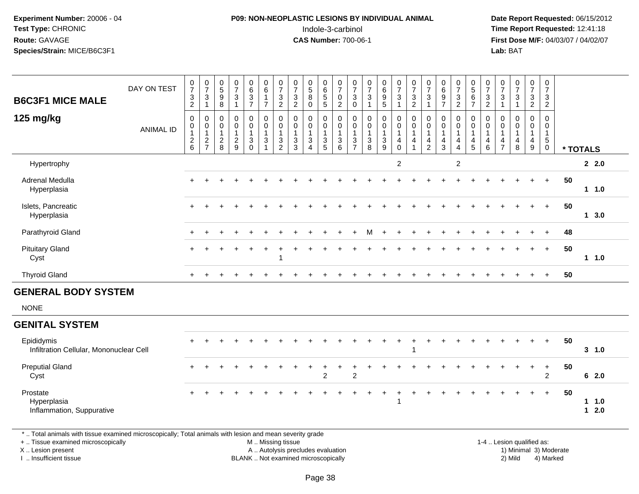#### **P09: NON-NEOPLASTIC LESIONS BY INDIVIDUAL ANIMAL**Indole-3-carbinol **Time Report Requested:** 12:41:18

 **Date Report Requested:** 06/15/2012 **First Dose M/F:** 04/03/07 / 04/02/07<br>Lab: BAT **Lab:** BAT

| <b>B6C3F1 MICE MALE</b>                               | DAY ON TEST      | $\frac{0}{7}$<br>$\ensuremath{\mathsf{3}}$<br>$\boldsymbol{2}$ | $\begin{array}{c} 0 \\ 7 \\ 3 \end{array}$<br>$\mathbf{1}$ | $\begin{matrix} 0 \\ 5 \end{matrix}$<br>$\boldsymbol{9}$<br>8 | $\begin{array}{c} 0 \\ 7 \end{array}$<br>3<br>$\mathbf{1}$          | 0<br>6<br>3<br>7                                                     | $\begin{array}{c} 0 \\ 6 \end{array}$<br>$\overline{1}$<br>$\overline{7}$ | $\frac{0}{7}$<br>$\ensuremath{\mathsf{3}}$<br>$\overline{2}$               | $\frac{0}{7}$<br>$\ensuremath{\mathsf{3}}$<br>$\boldsymbol{2}$ | $\begin{array}{c} 0 \\ 5 \\ 8 \end{array}$<br>$\boldsymbol{0}$             | 0<br>6<br>5<br>5                                            | $\begin{array}{c} 0 \\ 7 \\ 0 \end{array}$<br>$\overline{c}$    | $\frac{0}{7}$<br>$\sqrt{3}$<br>$\mathbf 0$                                         | $\frac{0}{7}$<br>$\sqrt{3}$<br>$\overline{1}$                                | 0<br>0<br>0<br>0<br>0                                               | $\frac{0}{7}$<br>$\mathbf{3}$<br>$\mathbf 1$                      | $\begin{array}{c} 0 \\ 7 \\ 3 \\ 2 \end{array}$                                     | $\frac{0}{7}$<br>3<br>$\mathbf{1}$                                                         | $_{6}^{\rm 0}$<br>9<br>$\overline{7}$         | $\frac{0}{7}$<br>$\frac{3}{2}$                                                      | $\begin{array}{c} 0 \\ 5 \\ 6 \end{array}$<br>$\overline{7}$ | $\begin{array}{c} 0 \\ 7 \\ 3 \end{array}$<br>$\boldsymbol{2}$             | $\frac{0}{7}$<br>3<br>$\mathbf{1}$                         | $\frac{0}{7}$<br>$\mathbf{3}$<br>$\mathbf{1}$ | $\frac{0}{7}$<br>$\frac{3}{2}$                                             | $\begin{smallmatrix}0\\7\end{smallmatrix}$<br>$\frac{3}{2}$             |    |              |               |
|-------------------------------------------------------|------------------|----------------------------------------------------------------|------------------------------------------------------------|---------------------------------------------------------------|---------------------------------------------------------------------|----------------------------------------------------------------------|---------------------------------------------------------------------------|----------------------------------------------------------------------------|----------------------------------------------------------------|----------------------------------------------------------------------------|-------------------------------------------------------------|-----------------------------------------------------------------|------------------------------------------------------------------------------------|------------------------------------------------------------------------------|---------------------------------------------------------------------|-------------------------------------------------------------------|-------------------------------------------------------------------------------------|--------------------------------------------------------------------------------------------|-----------------------------------------------|-------------------------------------------------------------------------------------|--------------------------------------------------------------|----------------------------------------------------------------------------|------------------------------------------------------------|-----------------------------------------------|----------------------------------------------------------------------------|-------------------------------------------------------------------------|----|--------------|---------------|
| 125 mg/kg                                             | <b>ANIMAL ID</b> | 0<br>$\pmb{0}$<br>$\mathbf{1}$<br>$^2\phantom{1}6$             | $\mathbf 0$<br>$\overline{0}$<br>$\frac{1}{2}$             | 0<br>0<br>$\mathbf{1}$<br>$\boldsymbol{2}$<br>8               | $\mathbf 0$<br>$\mathbf 0$<br>$\mathbf{1}$<br>$\boldsymbol{2}$<br>9 | $\mathsf 0$<br>$\pmb{0}$<br>$\mathbf{1}$<br>$\mathbf{3}$<br>$\Omega$ | $\mathbf 0$<br>$\mathbf 0$<br>$\mathbf{1}$<br>3                           | $\mathsf{O}\xspace$<br>$\overline{0}$<br>$\overline{1}$<br>$\sqrt{3}$<br>2 | 0<br>$\mathbf 0$<br>$\mathbf{1}$<br>$\sqrt{3}$<br>$\mathbf{3}$ | $\pmb{0}$<br>$\mathbf 0$<br>$\mathbf{1}$<br>$\mathbf{3}$<br>$\overline{4}$ | 0<br>$\mathsf{O}\xspace$<br>$\mathbf{1}$<br>$\sqrt{3}$<br>5 | $\pmb{0}$<br>$\overline{0}$<br>$\mathbf{1}$<br>$\mathsf 3$<br>6 | 0<br>$\overline{0}$<br>$\mathbf{1}$<br>$\ensuremath{\mathsf{3}}$<br>$\overline{7}$ | $\mathbf 0$<br>$\pmb{0}$<br>$\overline{1}$<br>$\ensuremath{\mathsf{3}}$<br>8 | $\pmb{0}$<br>$\mathsf{O}\xspace$<br>$\mathbf{1}$<br>$\sqrt{3}$<br>9 | 0<br>$\mathbf 0$<br>$\mathbf{1}$<br>$\overline{4}$<br>$\mathbf 0$ | $\begin{smallmatrix} 0\\0 \end{smallmatrix}$<br>$\mathbf{1}$<br>$\overline{4}$<br>1 | $\mathbf 0$<br>$\overline{0}$<br>$\mathbf{1}$<br>$\overline{\mathbf{4}}$<br>$\overline{2}$ | 0<br>0<br>$\mathbf{1}$<br>$\overline{4}$<br>3 | $\mathbf 0$<br>$\overline{0}$<br>$\overline{1}$<br>$\overline{4}$<br>$\overline{4}$ | 0<br>$\mathbf 0$<br>$\mathbf{1}$<br>4<br>5                   | $\mathbf 0$<br>$\overline{0}$<br>$\mathbf{1}$<br>$\overline{a}$<br>$\,6\,$ | 0<br>0<br>$\mathbf{1}$<br>$\overline{4}$<br>$\overline{7}$ | 0<br>0<br>$\mathbf{1}$<br>$\overline{4}$<br>8 | $\mathbf 0$<br>$\mathbf 0$<br>$\mathbf{1}$<br>$\overline{\mathbf{4}}$<br>9 | $\mathbf 0$<br>$\mathbf 0$<br>$\mathbf{1}$<br>$\sqrt{5}$<br>$\mathbf 0$ |    | * TOTALS     |               |
| Hypertrophy                                           |                  |                                                                |                                                            |                                                               |                                                                     |                                                                      |                                                                           |                                                                            |                                                                |                                                                            |                                                             |                                                                 |                                                                                    |                                                                              |                                                                     | $\overline{c}$                                                    |                                                                                     |                                                                                            |                                               | $\overline{2}$                                                                      |                                                              |                                                                            |                                                            |                                               |                                                                            |                                                                         |    |              | 2.2.0         |
| <b>Adrenal Medulla</b><br>Hyperplasia                 |                  |                                                                |                                                            |                                                               |                                                                     |                                                                      |                                                                           |                                                                            |                                                                |                                                                            |                                                             |                                                                 |                                                                                    |                                                                              |                                                                     |                                                                   |                                                                                     |                                                                                            |                                               |                                                                                     |                                                              |                                                                            |                                                            |                                               |                                                                            | $+$                                                                     | 50 |              | $1 1.0$       |
| Islets, Pancreatic<br>Hyperplasia                     |                  |                                                                |                                                            |                                                               |                                                                     |                                                                      |                                                                           |                                                                            |                                                                |                                                                            |                                                             |                                                                 |                                                                                    |                                                                              |                                                                     |                                                                   |                                                                                     |                                                                                            |                                               |                                                                                     |                                                              |                                                                            |                                                            |                                               |                                                                            | $+$                                                                     | 50 |              | $1 \quad 3.0$ |
| Parathyroid Gland                                     |                  | $\ddot{}$                                                      |                                                            |                                                               |                                                                     |                                                                      |                                                                           |                                                                            |                                                                |                                                                            |                                                             |                                                                 |                                                                                    | м                                                                            |                                                                     | ÷.                                                                |                                                                                     |                                                                                            |                                               |                                                                                     |                                                              |                                                                            |                                                            |                                               |                                                                            | $\ddot{}$                                                               | 48 |              |               |
| <b>Pituitary Gland</b><br>Cyst                        |                  | $+$                                                            |                                                            |                                                               |                                                                     |                                                                      |                                                                           | -1                                                                         |                                                                |                                                                            |                                                             |                                                                 |                                                                                    |                                                                              |                                                                     |                                                                   |                                                                                     |                                                                                            |                                               |                                                                                     |                                                              |                                                                            |                                                            |                                               |                                                                            | $+$                                                                     | 50 |              | 11.0          |
| <b>Thyroid Gland</b>                                  |                  |                                                                |                                                            |                                                               |                                                                     |                                                                      |                                                                           |                                                                            |                                                                |                                                                            |                                                             |                                                                 |                                                                                    |                                                                              |                                                                     |                                                                   |                                                                                     |                                                                                            |                                               |                                                                                     |                                                              |                                                                            |                                                            |                                               | $\ddot{}$                                                                  | $+$                                                                     | 50 |              |               |
| <b>GENERAL BODY SYSTEM</b>                            |                  |                                                                |                                                            |                                                               |                                                                     |                                                                      |                                                                           |                                                                            |                                                                |                                                                            |                                                             |                                                                 |                                                                                    |                                                                              |                                                                     |                                                                   |                                                                                     |                                                                                            |                                               |                                                                                     |                                                              |                                                                            |                                                            |                                               |                                                                            |                                                                         |    |              |               |
| <b>NONE</b>                                           |                  |                                                                |                                                            |                                                               |                                                                     |                                                                      |                                                                           |                                                                            |                                                                |                                                                            |                                                             |                                                                 |                                                                                    |                                                                              |                                                                     |                                                                   |                                                                                     |                                                                                            |                                               |                                                                                     |                                                              |                                                                            |                                                            |                                               |                                                                            |                                                                         |    |              |               |
| <b>GENITAL SYSTEM</b>                                 |                  |                                                                |                                                            |                                                               |                                                                     |                                                                      |                                                                           |                                                                            |                                                                |                                                                            |                                                             |                                                                 |                                                                                    |                                                                              |                                                                     |                                                                   |                                                                                     |                                                                                            |                                               |                                                                                     |                                                              |                                                                            |                                                            |                                               |                                                                            |                                                                         |    |              |               |
| Epididymis<br>Infiltration Cellular, Mononuclear Cell |                  |                                                                |                                                            |                                                               |                                                                     |                                                                      |                                                                           |                                                                            |                                                                |                                                                            |                                                             |                                                                 |                                                                                    |                                                                              |                                                                     |                                                                   |                                                                                     |                                                                                            |                                               |                                                                                     |                                                              |                                                                            |                                                            |                                               |                                                                            | $+$                                                                     | 50 |              | $3 - 1.0$     |
| <b>Preputial Gland</b><br>Cyst                        |                  | $+$                                                            |                                                            |                                                               |                                                                     |                                                                      |                                                                           |                                                                            |                                                                |                                                                            | $\overline{2}$                                              |                                                                 | $\overline{2}$                                                                     |                                                                              |                                                                     |                                                                   |                                                                                     |                                                                                            |                                               |                                                                                     |                                                              |                                                                            |                                                            |                                               | $\ddot{}$                                                                  | $+$<br>$\overline{2}$                                                   | 50 |              | 62.0          |
| Prostate<br>Hyperplasia<br>Inflammation, Suppurative  |                  |                                                                |                                                            |                                                               |                                                                     |                                                                      |                                                                           |                                                                            |                                                                |                                                                            |                                                             |                                                                 |                                                                                    |                                                                              |                                                                     | 1                                                                 |                                                                                     |                                                                                            |                                               |                                                                                     |                                                              |                                                                            |                                                            |                                               |                                                                            | $+$                                                                     | 50 | $\mathbf{1}$ | 11.0<br>2.0   |

\* .. Total animals with tissue examined microscopically; Total animals with lesion and mean severity grade

+ .. Tissue examined microscopically

X .. Lesion present

I .. Insufficient tissue

 M .. Missing tissueA .. Autolysis precludes evaluation

BLANK .. Not examined microscopically 2) Mild 4) Marked

1-4 .. Lesion qualified as: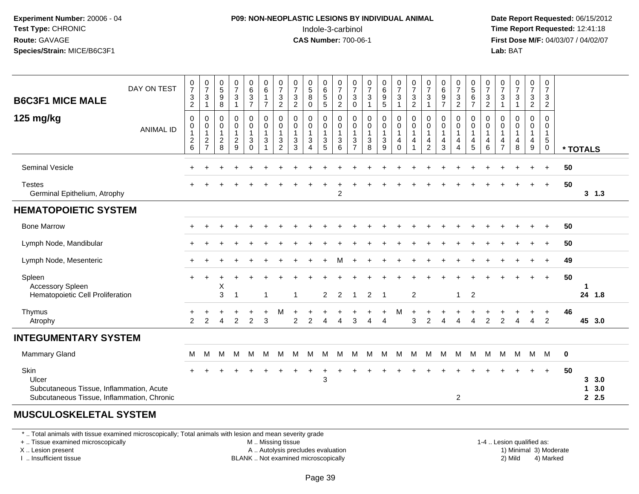#### **P09: NON-NEOPLASTIC LESIONS BY INDIVIDUAL ANIMAL**Indole-3-carbinol **Time Report Requested:** 12:41:18

 **Date Report Requested:** 06/15/2012 **First Dose M/F:** 04/03/07 / 04/02/07<br>**Lab:** BAT **Lab:** BAT

| DAY ON TEST<br><b>B6C3F1 MICE MALE</b>                                                                  | $\frac{0}{7}$<br>$\frac{3}{2}$                      | $\frac{0}{7}$<br>$\ensuremath{\mathsf{3}}$<br>$\mathbf{1}$                | $\begin{array}{c} 0 \\ 5 \end{array}$<br>9<br>$\, 8$   | $\frac{0}{7}$<br>$\sqrt{3}$<br>$\overline{\mathbf{1}}$            | $\begin{array}{c} 0 \\ 6 \end{array}$<br>$\frac{3}{7}$ | $\begin{array}{c} 0 \\ 6 \end{array}$<br>$\mathbf{1}$<br>$\overline{7}$ | $\frac{0}{7}$<br>$\ensuremath{\mathsf{3}}$<br>$\overline{c}$ | $\frac{0}{7}$<br>$\ensuremath{\mathsf{3}}$<br>$\overline{2}$ | $\begin{array}{c} 0 \\ 5 \\ 8 \end{array}$<br>$\mathbf 0$                                       | 0<br>$\,6\,$<br>$\begin{array}{c} 5 \\ 5 \end{array}$ | $\frac{0}{7}$<br>$\mathbf 0$<br>$\sqrt{2}$                    | $\frac{0}{7}$<br>3<br>$\mathbf 0$             | $\begin{array}{c} 0 \\ 7 \end{array}$<br>$\sqrt{3}$<br>1 | $\begin{array}{c} 0 \\ 6 \end{array}$<br>$\frac{9}{5}$  | $\begin{smallmatrix}0\\7\end{smallmatrix}$<br>$\sqrt{3}$<br>$\overline{1}$ | $\frac{0}{7}$<br>$\frac{3}{2}$                                                | $\frac{0}{7}$<br>3<br>1            | $\begin{array}{c} 0 \\ 6 \end{array}$<br>$\frac{9}{7}$         | $\frac{0}{7}$<br>$\frac{3}{2}$                                 | 0<br>5<br>6<br>7                                            | $\frac{0}{7}$<br>$\frac{3}{2}$                                                 | $\frac{0}{7}$<br>3<br>$\mathbf{1}$                  | $\begin{array}{c} 0 \\ 7 \end{array}$<br>$\sqrt{3}$<br>$\mathbf{1}$ | $\frac{0}{7}$<br>$\frac{3}{2}$   | $\begin{smallmatrix}0\\7\end{smallmatrix}$<br>$\frac{3}{2}$                 |             |                             |
|---------------------------------------------------------------------------------------------------------|-----------------------------------------------------|---------------------------------------------------------------------------|--------------------------------------------------------|-------------------------------------------------------------------|--------------------------------------------------------|-------------------------------------------------------------------------|--------------------------------------------------------------|--------------------------------------------------------------|-------------------------------------------------------------------------------------------------|-------------------------------------------------------|---------------------------------------------------------------|-----------------------------------------------|----------------------------------------------------------|---------------------------------------------------------|----------------------------------------------------------------------------|-------------------------------------------------------------------------------|------------------------------------|----------------------------------------------------------------|----------------------------------------------------------------|-------------------------------------------------------------|--------------------------------------------------------------------------------|-----------------------------------------------------|---------------------------------------------------------------------|----------------------------------|-----------------------------------------------------------------------------|-------------|-----------------------------|
| 125 mg/kg<br><b>ANIMAL ID</b>                                                                           | $\pmb{0}$<br>0<br>$\overline{1}$<br>$\sqrt{2}$<br>6 | 0<br>$\boldsymbol{0}$<br>$\mathbf{1}$<br>$\overline{c}$<br>$\overline{7}$ | $\mathbf 0$<br>0<br>$\mathbf 1$<br>$\overline{c}$<br>8 | $\mathbf 0$<br>$\mathbf 0$<br>$\mathbf{1}$<br>$\overline{c}$<br>9 | 0<br>$\mathbf 0$<br>$\mathbf{1}$<br>3<br>$\Omega$      | $\mathbf 0$<br>$\mathbf 0$<br>$\mathbf{1}$<br>$\mathbf{3}$<br>1         | 0<br>0<br>$\mathbf{1}$<br>3<br>$\overline{2}$                | 0<br>0<br>-1<br>$\ensuremath{\mathsf{3}}$<br>3               | $\mathbf 0$<br>$\pmb{0}$<br>$\mathbf{1}$<br>$\ensuremath{\mathsf{3}}$<br>$\boldsymbol{\Lambda}$ | 0<br>$\mathbf 0$<br>$\overline{1}$<br>$\sqrt{3}$<br>5 | $\mathbf 0$<br>$\pmb{0}$<br>$\overline{1}$<br>$\sqrt{3}$<br>6 | 0<br>0<br>$\mathbf{1}$<br>3<br>$\overline{7}$ | $\mathbf 0$<br>0<br>$\mathbf{1}$<br>$\sqrt{3}$<br>8      | $\mathbf 0$<br>0<br>1<br>$\ensuremath{\mathsf{3}}$<br>9 | 0<br>0<br>$\overline{1}$<br>$\overline{4}$<br>$\mathbf 0$                  | 0<br>$\mathbf 0$<br>$\mathbf{1}$<br>$\overline{\mathbf{4}}$<br>$\overline{1}$ | 0<br>0<br>1<br>4<br>$\overline{2}$ | 0<br>$\pmb{0}$<br>$\mathbf{1}$<br>$\overline{\mathbf{4}}$<br>3 | 0<br>$\mathbf 0$<br>$\mathbf{1}$<br>$\overline{4}$<br>$\Delta$ | 0<br>0<br>$\mathbf{1}$<br>$\overline{4}$<br>$5\phantom{.0}$ | $\mathbf 0$<br>$\boldsymbol{0}$<br>$\overline{1}$<br>$\overline{4}$<br>$\,6\,$ | $\Omega$<br>0<br>$\mathbf 1$<br>4<br>$\overline{7}$ | $\mathbf 0$<br>$\mathbf 0$<br>$\mathbf{1}$<br>4<br>8                | 0<br>0<br>$\mathbf{1}$<br>4<br>9 | $\mathbf 0$<br>$\mathbf 0$<br>$\mathbf{1}$<br>$\overline{5}$<br>$\mathbf 0$ |             | * TOTALS                    |
| Seminal Vesicle                                                                                         |                                                     |                                                                           |                                                        |                                                                   |                                                        |                                                                         |                                                              |                                                              |                                                                                                 |                                                       |                                                               |                                               |                                                          |                                                         |                                                                            |                                                                               |                                    |                                                                |                                                                |                                                             |                                                                                |                                                     |                                                                     |                                  | $\div$                                                                      | 50          |                             |
| <b>Testes</b><br>Germinal Epithelium, Atrophy                                                           |                                                     |                                                                           |                                                        |                                                                   |                                                        |                                                                         |                                                              |                                                              |                                                                                                 |                                                       | 2                                                             |                                               |                                                          |                                                         |                                                                            |                                                                               |                                    |                                                                |                                                                |                                                             |                                                                                |                                                     |                                                                     |                                  | $\ddot{}$                                                                   | 50          | 3, 1.3                      |
| <b>HEMATOPOIETIC SYSTEM</b>                                                                             |                                                     |                                                                           |                                                        |                                                                   |                                                        |                                                                         |                                                              |                                                              |                                                                                                 |                                                       |                                                               |                                               |                                                          |                                                         |                                                                            |                                                                               |                                    |                                                                |                                                                |                                                             |                                                                                |                                                     |                                                                     |                                  |                                                                             |             |                             |
| <b>Bone Marrow</b>                                                                                      |                                                     |                                                                           |                                                        |                                                                   |                                                        |                                                                         |                                                              |                                                              |                                                                                                 |                                                       |                                                               |                                               |                                                          |                                                         |                                                                            |                                                                               |                                    |                                                                |                                                                |                                                             |                                                                                |                                                     |                                                                     |                                  | $\div$                                                                      | 50          |                             |
| Lymph Node, Mandibular                                                                                  |                                                     |                                                                           |                                                        |                                                                   |                                                        |                                                                         |                                                              |                                                              |                                                                                                 |                                                       |                                                               |                                               |                                                          |                                                         |                                                                            |                                                                               |                                    |                                                                |                                                                |                                                             |                                                                                |                                                     |                                                                     |                                  | $\ddot{}$                                                                   | 50          |                             |
| Lymph Node, Mesenteric                                                                                  |                                                     |                                                                           |                                                        |                                                                   |                                                        |                                                                         |                                                              |                                                              |                                                                                                 |                                                       | м                                                             |                                               |                                                          |                                                         |                                                                            |                                                                               |                                    |                                                                |                                                                |                                                             |                                                                                |                                                     |                                                                     |                                  | $\ddot{}$                                                                   | 49          |                             |
| Spleen<br><b>Accessory Spleen</b><br>Hematopoietic Cell Proliferation                                   |                                                     |                                                                           | Х<br>3                                                 | -1                                                                |                                                        | -1                                                                      |                                                              | -1                                                           |                                                                                                 | $\overline{2}$                                        | $\overline{2}$                                                | $\overline{1}$                                | 2                                                        | -1                                                      |                                                                            | $\overline{2}$                                                                |                                    |                                                                | $\mathbf{1}$                                                   | $\overline{2}$                                              |                                                                                |                                                     |                                                                     |                                  | $\ddot{}$                                                                   | 50          | 1<br>24 1.8                 |
| Thymus<br>Atrophy                                                                                       | 2                                                   | 2                                                                         | Δ                                                      | $\overline{2}$                                                    | $\overline{2}$                                         | 3                                                                       | M                                                            | $\overline{c}$                                               | $\overline{2}$                                                                                  | 4                                                     | $\Delta$                                                      | 3                                             |                                                          | $\boldsymbol{\varDelta}$                                | M                                                                          | 3                                                                             | $\overline{2}$                     |                                                                | Δ                                                              | $\Delta$                                                    | 2                                                                              | $\overline{2}$                                      |                                                                     | $\overline{4}$                   | $\ddot{}$<br>$\overline{2}$                                                 | 46          | 45 3.0                      |
| <b>INTEGUMENTARY SYSTEM</b>                                                                             |                                                     |                                                                           |                                                        |                                                                   |                                                        |                                                                         |                                                              |                                                              |                                                                                                 |                                                       |                                                               |                                               |                                                          |                                                         |                                                                            |                                                                               |                                    |                                                                |                                                                |                                                             |                                                                                |                                                     |                                                                     |                                  |                                                                             |             |                             |
| <b>Mammary Gland</b>                                                                                    | м                                                   | М                                                                         | м                                                      | М                                                                 | M                                                      | M                                                                       | м                                                            | м                                                            | м                                                                                               | M                                                     | М                                                             | м                                             | м                                                        | M                                                       | M                                                                          | м                                                                             | М                                  | M                                                              | M                                                              | M                                                           | м                                                                              | м                                                   | M                                                                   | M                                | M                                                                           | $\mathbf 0$ |                             |
| Skin<br>Ulcer<br>Subcutaneous Tissue, Inflammation, Acute<br>Subcutaneous Tissue, Inflammation, Chronic |                                                     |                                                                           |                                                        |                                                                   |                                                        |                                                                         |                                                              |                                                              |                                                                                                 | 3                                                     |                                                               |                                               |                                                          |                                                         |                                                                            |                                                                               |                                    |                                                                | 2                                                              |                                                             |                                                                                |                                                     |                                                                     |                                  | $\ddot{}$                                                                   | 50          | 3.0<br>3<br>3.0<br>1<br>2.5 |

#### **MUSCULOSKELETAL SYSTEM**

\* .. Total animals with tissue examined microscopically; Total animals with lesion and mean severity grade

+ .. Tissue examined microscopically

X .. Lesion present

I .. Insufficient tissue

M .. Missing tissue

A .. Autolysis precludes evaluation

BLANK .. Not examined microscopically 2) Mild 4) Marked

1-4 .. Lesion qualified as: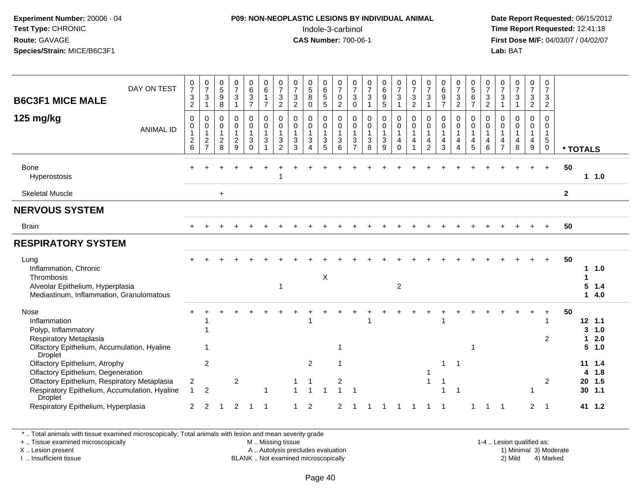#### **P09: NON-NEOPLASTIC LESIONS BY INDIVIDUAL ANIMAL**Indole-3-carbinol **Time Report Requested:** 12:41:18

 **Date Report Requested:** 06/15/2012 **First Dose M/F:** 04/03/07 / 04/02/07<br>Lab: BAT **Lab:** BAT

| DAY ON TEST<br><b>B6C3F1 MICE MALE</b>                                                                                                                                                 | 0<br>$\overline{7}$<br>$\ensuremath{\mathsf{3}}$<br>$\sqrt{2}$ | $\frac{0}{7}$<br>$\sqrt{3}$<br>$\overline{1}$     | $\begin{array}{c} 0 \\ 5 \end{array}$<br>9<br>$\,8\,$       | $\frac{0}{7}$<br>3<br>$\mathbf 1$                                | 0<br>$6\overline{6}$<br>$\frac{3}{7}$                      | 0<br>$\overline{6}$<br>$\mathbf{1}$<br>$\overline{7}$ | 0<br>$\overline{7}$<br>$\sqrt{3}$<br>$\sqrt{2}$                            | 0<br>$\overline{7}$<br>$\ensuremath{\mathsf{3}}$<br>$\overline{2}$ | $\begin{array}{c} 0 \\ 5 \end{array}$<br>$\bf8$<br>$\pmb{0}$    | 0<br>$\,6\,$<br>$\,$ 5 $\,$<br>$5\,$                             | 0<br>$\overline{7}$<br>0<br>$\overline{2}$           | 0<br>$\overline{7}$<br>$\sqrt{3}$<br>$\mathsf 0$                             | $\frac{0}{7}$<br>$\sqrt{3}$<br>$\overline{1}$                                      | 0<br>6<br>9<br>$\sqrt{5}$                  | 0<br>$\overline{7}$<br>3<br>$\mathbf{1}$        | $\frac{0}{7}$<br>$\mathfrak{S}$<br>$\overline{c}$ | $\frac{0}{7}$<br>$\ensuremath{\mathsf{3}}$<br>$\mathbf{1}$ | $\begin{matrix} 0 \\ 6 \\ 9 \end{matrix}$<br>$\overline{7}$ | $\frac{0}{7}$<br>$\frac{3}{2}$                        | 0<br>$\overline{5}$<br>$\,6\,$<br>$\overline{7}$                | 0<br>$\overline{7}$<br>$\ensuremath{\mathsf{3}}$<br>$\boldsymbol{2}$ | 0<br>$\overline{7}$<br>3<br>$\mathbf{1}$                | $\frac{0}{7}$<br>$\ensuremath{\mathsf{3}}$<br>$\mathbf{1}$      | 0<br>$\overline{7}$<br>$\mathbf{3}$<br>$\overline{2}$     | $\mathbf 0$<br>$\overline{7}$<br>$\sqrt{3}$<br>$\overline{2}$ |              |                                              |
|----------------------------------------------------------------------------------------------------------------------------------------------------------------------------------------|----------------------------------------------------------------|---------------------------------------------------|-------------------------------------------------------------|------------------------------------------------------------------|------------------------------------------------------------|-------------------------------------------------------|----------------------------------------------------------------------------|--------------------------------------------------------------------|-----------------------------------------------------------------|------------------------------------------------------------------|------------------------------------------------------|------------------------------------------------------------------------------|------------------------------------------------------------------------------------|--------------------------------------------|-------------------------------------------------|---------------------------------------------------|------------------------------------------------------------|-------------------------------------------------------------|-------------------------------------------------------|-----------------------------------------------------------------|----------------------------------------------------------------------|---------------------------------------------------------|-----------------------------------------------------------------|-----------------------------------------------------------|---------------------------------------------------------------|--------------|----------------------------------------------|
| 125 mg/kg<br><b>ANIMAL ID</b>                                                                                                                                                          | 0<br>0<br>$\boldsymbol{2}$<br>6                                | $\pmb{0}$<br>$\overline{0}$<br>1<br>$\frac{2}{7}$ | $\mathbf 0$<br>$\pmb{0}$<br>$\mathbf{1}$<br>$\sqrt{2}$<br>8 | 0<br>$\mathbf 0$<br>$\mathbf{1}$<br>$\overline{\mathbf{c}}$<br>9 | 0<br>$\pmb{0}$<br>$\mathbf{1}$<br>$\mathbf{3}$<br>$\Omega$ | $\mathbf 0$<br>$\mathbf 0$<br>$\mathbf{1}$<br>3       | $\mathbf 0$<br>$\pmb{0}$<br>$\overline{1}$<br>$\sqrt{3}$<br>$\overline{2}$ | $\mathbf 0$<br>$\mathbf 0$<br>$\mathbf{1}$<br>3<br>3               | 0<br>$\mathsf{O}\xspace$<br>$\mathbf{1}$<br>3<br>$\overline{4}$ | 0<br>$\pmb{0}$<br>$\mathbf{1}$<br>$\ensuremath{\mathsf{3}}$<br>5 | $\mathbf 0$<br>$\mathbf 0$<br>$\mathbf{1}$<br>3<br>6 | $\mathbf 0$<br>$\mathsf 0$<br>$\overline{1}$<br>$\sqrt{3}$<br>$\overline{7}$ | $\mathbf 0$<br>$\mathsf{O}\xspace$<br>$\overline{1}$<br>$\sqrt{3}$<br>$\mathbf{8}$ | 0<br>$\mathsf 0$<br>$\mathbf{1}$<br>3<br>9 | 0<br>$\pmb{0}$<br>$\mathbf{1}$<br>4<br>$\Omega$ | 0<br>$\mathsf{O}$<br>$\mathbf{1}$<br>4            | 0<br>$\mathsf 0$<br>$\mathbf{1}$<br>4<br>$\overline{c}$    | $\mathbf 0$<br>$\pmb{0}$<br>$\mathbf{1}$<br>4<br>3          | 0<br>$\pmb{0}$<br>$\mathbf{1}$<br>4<br>$\overline{4}$ | $\mathbf 0$<br>$\,0\,$<br>$\overline{1}$<br>$\overline{4}$<br>5 | $\mathbf 0$<br>0<br>$\mathbf{1}$<br>4<br>6                           | 0<br>$\mathbf 0$<br>$\mathbf{1}$<br>4<br>$\overline{7}$ | $\mathbf 0$<br>$\pmb{0}$<br>$\mathbf{1}$<br>$\overline{4}$<br>8 | 0<br>$\mathbf 0$<br>$\overline{1}$<br>$\overline{4}$<br>9 | 0<br>$\mathbf 0$<br>$\mathbf{1}$<br>$\sqrt{5}$<br>$\mathbf 0$ | * TOTALS     |                                              |
| <b>Bone</b><br>Hyperostosis                                                                                                                                                            |                                                                |                                                   |                                                             |                                                                  |                                                            |                                                       |                                                                            |                                                                    |                                                                 |                                                                  |                                                      |                                                                              |                                                                                    |                                            |                                                 |                                                   |                                                            |                                                             |                                                       |                                                                 |                                                                      |                                                         |                                                                 |                                                           | $\ddot{}$                                                     | 50           | $1 \t1.0$                                    |
| <b>Skeletal Muscle</b>                                                                                                                                                                 |                                                                |                                                   | $\ddot{}$                                                   |                                                                  |                                                            |                                                       |                                                                            |                                                                    |                                                                 |                                                                  |                                                      |                                                                              |                                                                                    |                                            |                                                 |                                                   |                                                            |                                                             |                                                       |                                                                 |                                                                      |                                                         |                                                                 |                                                           |                                                               | $\mathbf{2}$ |                                              |
| <b>NERVOUS SYSTEM</b>                                                                                                                                                                  |                                                                |                                                   |                                                             |                                                                  |                                                            |                                                       |                                                                            |                                                                    |                                                                 |                                                                  |                                                      |                                                                              |                                                                                    |                                            |                                                 |                                                   |                                                            |                                                             |                                                       |                                                                 |                                                                      |                                                         |                                                                 |                                                           |                                                               |              |                                              |
| <b>Brain</b>                                                                                                                                                                           | $\div$                                                         |                                                   |                                                             |                                                                  |                                                            |                                                       |                                                                            |                                                                    |                                                                 |                                                                  |                                                      |                                                                              |                                                                                    |                                            |                                                 |                                                   |                                                            |                                                             |                                                       |                                                                 |                                                                      |                                                         |                                                                 |                                                           | $+$                                                           | 50           |                                              |
| <b>RESPIRATORY SYSTEM</b>                                                                                                                                                              |                                                                |                                                   |                                                             |                                                                  |                                                            |                                                       |                                                                            |                                                                    |                                                                 |                                                                  |                                                      |                                                                              |                                                                                    |                                            |                                                 |                                                   |                                                            |                                                             |                                                       |                                                                 |                                                                      |                                                         |                                                                 |                                                           |                                                               |              |                                              |
| Lung<br>Inflammation, Chronic<br>Thrombosis<br>Alveolar Epithelium, Hyperplasia<br>Mediastinum, Inflammation, Granulomatous                                                            |                                                                |                                                   |                                                             |                                                                  |                                                            |                                                       |                                                                            |                                                                    |                                                                 | $\mathsf X$                                                      |                                                      |                                                                              |                                                                                    |                                            | $\overline{2}$                                  |                                                   |                                                            |                                                             |                                                       |                                                                 |                                                                      |                                                         |                                                                 |                                                           | $+$                                                           | 50           | 1.0<br>1<br>5<br>1.4<br>4.0<br>1             |
| <b>Nose</b><br>Inflammation<br>Polyp, Inflammatory<br>Respiratory Metaplasia<br>Olfactory Epithelium, Accumulation, Hyaline<br>Droplet                                                 |                                                                |                                                   |                                                             |                                                                  |                                                            |                                                       |                                                                            |                                                                    |                                                                 |                                                                  | -1                                                   |                                                                              |                                                                                    |                                            |                                                 |                                                   |                                                            |                                                             |                                                       |                                                                 |                                                                      |                                                         |                                                                 |                                                           | 1<br>2                                                        | 50           | $12$ 1.1<br>3<br>1.0<br>2.0<br>1<br>5<br>1.0 |
| Olfactory Epithelium, Atrophy<br>Olfactory Epithelium, Degeneration<br>Olfactory Epithelium, Respiratory Metaplasia<br>Respiratory Epithelium, Accumulation, Hyaline<br><b>Droplet</b> | $\overline{c}$<br>$\mathbf{1}$                                 | $\overline{c}$<br>$\overline{2}$                  |                                                             | $\overline{c}$                                                   |                                                            | $\overline{\mathbf{1}}$                               |                                                                            |                                                                    | $\overline{c}$                                                  |                                                                  | $\overline{\mathbf{c}}$                              |                                                                              |                                                                                    |                                            |                                                 |                                                   | $\mathbf{1}$                                               | 1                                                           |                                                       |                                                                 |                                                                      |                                                         |                                                                 |                                                           | $\overline{c}$                                                |              | $11 \t1.4$<br>1.8<br>4<br>20 1.5<br>$30$ 1.1 |
| Respiratory Epithelium, Hyperplasia                                                                                                                                                    | 2                                                              | 2                                                 |                                                             | $\overline{2}$                                                   |                                                            | -1                                                    |                                                                            |                                                                    | 2                                                               |                                                                  | 2                                                    |                                                                              |                                                                                    |                                            |                                                 |                                                   |                                                            |                                                             |                                                       |                                                                 |                                                                      |                                                         |                                                                 | $\overline{2}$                                            | $\overline{1}$                                                |              | 41 1.2                                       |

\* .. Total animals with tissue examined microscopically; Total animals with lesion and mean severity grade

+ .. Tissue examined microscopically

X .. Lesion present

I .. Insufficient tissue

M .. Missing tissue

A .. Autolysis precludes evaluation

 1-4 .. Lesion qualified as: BLANK .. Not examined microscopically 2) Mild 4) Marked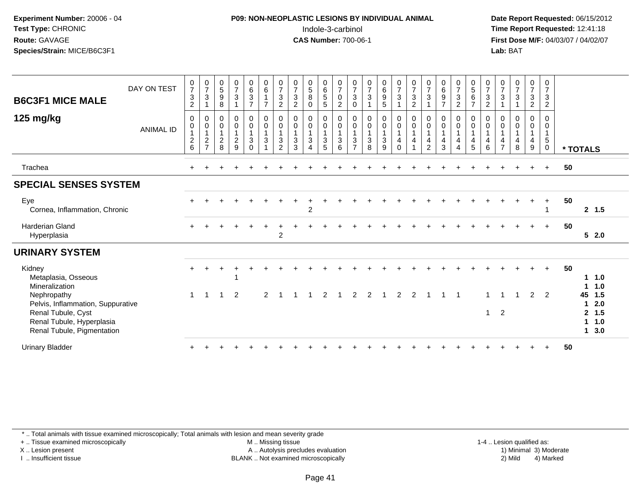#### **P09: NON-NEOPLASTIC LESIONS BY INDIVIDUAL ANIMAL**Indole-3-carbinol **Time Report Requested:** 12:41:18

 **Date Report Requested:** 06/15/2012 **First Dose M/F:** 04/03/07 / 04/02/07<br>Lab: BAT **Lab:** BAT

| <b>B6C3F1 MICE MALE</b><br>125 mg/kg                                                                                              | DAY ON TEST<br><b>ANIMAL ID</b> | $\begin{array}{c} 0 \\ 7 \\ 3 \end{array}$<br>$\overline{2}$<br>$\pmb{0}$<br>$\mathbf 0$<br>$\mathbf{1}$<br>$^2\phantom{1}6$ | $\frac{0}{7}$<br>$\mathfrak{S}$<br>$\mathbf{1}$<br>$\pmb{0}$<br>$\mathbf 0$<br>$\mathbf{1}$<br>$\overline{c}$<br>$\overline{z}$ | $\begin{smallmatrix}0\0\5\end{smallmatrix}$<br>9<br>8<br>0<br>$\pmb{0}$<br>$\overline{1}$<br>$\overline{c}$ | $\begin{smallmatrix}0\\7\end{smallmatrix}$<br>$\mathbf{3}$<br>$_{\rm 0}^{\rm 0}$<br>$\overline{1}$<br>$\overline{c}$ | $\begin{matrix} 0 \\ 6 \\ 3 \end{matrix}$<br>$\overline{7}$<br>0<br>$\pmb{0}$<br>$\mathbf{1}$<br>$\ensuremath{\mathsf{3}}$ | $\begin{array}{c} 0 \\ 6 \end{array}$<br>$\mathbf{1}$<br>$\overline{7}$<br>$\mathsf 0$<br>$\pmb{0}$<br>$\mathbf{1}$<br>$\mathbf{3}$ | $\frac{0}{7}$<br>3<br>$\overline{2}$<br>$\mathbf 0$<br>$\pmb{0}$<br>1<br>$\mathbf{3}$ | $\frac{0}{7}$<br>$\overline{3}$<br>$\overline{2}$<br>0<br>$\pmb{0}$<br>$\mathbf{1}$<br>$\mathbf{3}$ | $\begin{array}{c} 0 \\ 5 \\ 8 \end{array}$<br>$\mathbf 0$<br>$\begin{smallmatrix} 0\\0 \end{smallmatrix}$<br>$\mathbf{1}$<br>$\mathsf 3$ | $\begin{array}{c} 0 \\ 6 \\ 5 \end{array}$<br>$\sqrt{5}$<br>0<br>$\mathsf{O}\xspace$<br>$\overline{1}$<br>$\sqrt{3}$ | $\begin{array}{c} 0 \\ 7 \\ 0 \end{array}$<br>$\overline{2}$<br>$\begin{smallmatrix}0\\0\end{smallmatrix}$<br>$\overline{1}$<br>$\mathbf{3}$ | $\frac{0}{7}$<br>$\mathfrak{S}$<br>$\mathbf 0$<br>0<br>$\mathsf{O}\xspace$<br>$\mathbf{1}$<br>3<br>$\overline{ }$ | $\begin{array}{c} 0 \\ 7 \\ 3 \end{array}$<br>$\mathbf 0$<br>$\pmb{0}$<br>$\mathbf{1}$<br>$\mathbf{3}$ | 0<br>0<br>0<br>5<br>0<br>$\pmb{0}$<br>$\sqrt{3}$ | $\begin{matrix} 0 \\ 7 \\ 3 \end{matrix}$<br>$\overline{1}$<br>$\begin{smallmatrix} 0\\0 \end{smallmatrix}$<br>$\overline{1}$<br>$\overline{\mathbf{4}}$ | $\begin{matrix} 0 \\ 7 \\ 3 \end{matrix}$<br>$\overline{2}$<br>$_{\rm 0}^{\rm 0}$<br>$\mathbf{1}$<br>$\overline{\mathbf{4}}$<br>$\overline{1}$ | $\frac{0}{7}$<br>3<br>0<br>$\pmb{0}$<br>4 | $0$<br>$6$<br>$9$<br>$\overline{7}$<br>$_{\rm 0}^{\rm 0}$<br>$\overline{1}$<br>4 | $\frac{0}{7}$<br>$\mathfrak{Z}$<br>$\overline{2}$<br>0<br>$\pmb{0}$<br>$\mathbf{1}$<br>$\overline{4}$ | $\begin{array}{c} 0 \\ 5 \\ 6 \end{array}$<br>$\overline{7}$<br>0<br>$\mathsf{O}\xspace$<br>4 | $\frac{0}{7}$<br>$\frac{3}{2}$<br>$\mathbf 0$<br>$\pmb{0}$<br>$\overline{1}$<br>$\overline{\mathbf{4}}$ | $\frac{0}{7}$<br>$\mathbf{3}$<br>1<br>0<br>$\boldsymbol{0}$<br>$\overline{1}$<br>$\overline{4}$<br>$\overline{7}$ | $\begin{array}{c} 0 \\ 7 \\ 3 \end{array}$<br>$\mathbf{1}$<br>$\mathbf 0$<br>$\pmb{0}$<br>$\mathbf{1}$<br>4 | $\begin{array}{c} 0 \\ 7 \\ 3 \end{array}$<br>$\overline{2}$<br>0<br>$\pmb{0}$<br>$\mathbf{1}$<br>4 | $\frac{0}{7}$<br>$\mathbf{3}$<br>$\overline{2}$<br>0<br>$\mathbf 0$<br>$\mathbf{1}$<br>$\sqrt{5}$ |    |                                |                                    |  |
|-----------------------------------------------------------------------------------------------------------------------------------|---------------------------------|------------------------------------------------------------------------------------------------------------------------------|---------------------------------------------------------------------------------------------------------------------------------|-------------------------------------------------------------------------------------------------------------|----------------------------------------------------------------------------------------------------------------------|----------------------------------------------------------------------------------------------------------------------------|-------------------------------------------------------------------------------------------------------------------------------------|---------------------------------------------------------------------------------------|-----------------------------------------------------------------------------------------------------|------------------------------------------------------------------------------------------------------------------------------------------|----------------------------------------------------------------------------------------------------------------------|----------------------------------------------------------------------------------------------------------------------------------------------|-------------------------------------------------------------------------------------------------------------------|--------------------------------------------------------------------------------------------------------|--------------------------------------------------|----------------------------------------------------------------------------------------------------------------------------------------------------------|------------------------------------------------------------------------------------------------------------------------------------------------|-------------------------------------------|----------------------------------------------------------------------------------|-------------------------------------------------------------------------------------------------------|-----------------------------------------------------------------------------------------------|---------------------------------------------------------------------------------------------------------|-------------------------------------------------------------------------------------------------------------------|-------------------------------------------------------------------------------------------------------------|-----------------------------------------------------------------------------------------------------|---------------------------------------------------------------------------------------------------|----|--------------------------------|------------------------------------|--|
|                                                                                                                                   |                                 |                                                                                                                              |                                                                                                                                 | 8                                                                                                           | $\overline{9}$                                                                                                       | $\Omega$                                                                                                                   |                                                                                                                                     | $\overline{2}$                                                                        | 3                                                                                                   | 4                                                                                                                                        | 5                                                                                                                    | 6                                                                                                                                            |                                                                                                                   | 8                                                                                                      | 9                                                | $\mathbf 0$                                                                                                                                              |                                                                                                                                                | $\overline{2}$                            | 3                                                                                | 4                                                                                                     | 5                                                                                             | 6                                                                                                       |                                                                                                                   | 8                                                                                                           | 9                                                                                                   | $\pmb{0}$                                                                                         |    | * TOTALS                       |                                    |  |
| Trachea                                                                                                                           |                                 |                                                                                                                              |                                                                                                                                 |                                                                                                             |                                                                                                                      |                                                                                                                            |                                                                                                                                     |                                                                                       |                                                                                                     |                                                                                                                                          |                                                                                                                      |                                                                                                                                              |                                                                                                                   |                                                                                                        |                                                  |                                                                                                                                                          |                                                                                                                                                |                                           |                                                                                  |                                                                                                       |                                                                                               |                                                                                                         |                                                                                                                   |                                                                                                             |                                                                                                     | $\ddot{}$                                                                                         | 50 |                                |                                    |  |
| <b>SPECIAL SENSES SYSTEM</b>                                                                                                      |                                 |                                                                                                                              |                                                                                                                                 |                                                                                                             |                                                                                                                      |                                                                                                                            |                                                                                                                                     |                                                                                       |                                                                                                     |                                                                                                                                          |                                                                                                                      |                                                                                                                                              |                                                                                                                   |                                                                                                        |                                                  |                                                                                                                                                          |                                                                                                                                                |                                           |                                                                                  |                                                                                                       |                                                                                               |                                                                                                         |                                                                                                                   |                                                                                                             |                                                                                                     |                                                                                                   |    |                                |                                    |  |
| Eye<br>Cornea, Inflammation, Chronic                                                                                              |                                 |                                                                                                                              |                                                                                                                                 |                                                                                                             |                                                                                                                      |                                                                                                                            |                                                                                                                                     |                                                                                       |                                                                                                     | $\overline{2}$                                                                                                                           |                                                                                                                      |                                                                                                                                              |                                                                                                                   |                                                                                                        |                                                  |                                                                                                                                                          |                                                                                                                                                |                                           |                                                                                  |                                                                                                       |                                                                                               |                                                                                                         |                                                                                                                   |                                                                                                             |                                                                                                     | $+$                                                                                               | 50 |                                | 2, 1.5                             |  |
| <b>Harderian Gland</b><br>Hyperplasia                                                                                             |                                 |                                                                                                                              |                                                                                                                                 |                                                                                                             |                                                                                                                      |                                                                                                                            |                                                                                                                                     | $\overline{c}$                                                                        |                                                                                                     |                                                                                                                                          |                                                                                                                      |                                                                                                                                              |                                                                                                                   |                                                                                                        |                                                  |                                                                                                                                                          |                                                                                                                                                |                                           |                                                                                  |                                                                                                       |                                                                                               |                                                                                                         |                                                                                                                   |                                                                                                             |                                                                                                     | $+$                                                                                               | 50 |                                | $5 \quad 2.0$                      |  |
| <b>URINARY SYSTEM</b>                                                                                                             |                                 |                                                                                                                              |                                                                                                                                 |                                                                                                             |                                                                                                                      |                                                                                                                            |                                                                                                                                     |                                                                                       |                                                                                                     |                                                                                                                                          |                                                                                                                      |                                                                                                                                              |                                                                                                                   |                                                                                                        |                                                  |                                                                                                                                                          |                                                                                                                                                |                                           |                                                                                  |                                                                                                       |                                                                                               |                                                                                                         |                                                                                                                   |                                                                                                             |                                                                                                     |                                                                                                   |    |                                |                                    |  |
| Kidney<br>Metaplasia, Osseous<br>Mineralization                                                                                   |                                 |                                                                                                                              |                                                                                                                                 |                                                                                                             |                                                                                                                      |                                                                                                                            |                                                                                                                                     |                                                                                       |                                                                                                     |                                                                                                                                          |                                                                                                                      |                                                                                                                                              |                                                                                                                   |                                                                                                        |                                                  |                                                                                                                                                          |                                                                                                                                                |                                           |                                                                                  |                                                                                                       |                                                                                               |                                                                                                         |                                                                                                                   |                                                                                                             |                                                                                                     |                                                                                                   | 50 | 1                              | 11.0<br>1.0                        |  |
| Nephropathy<br>Pelvis, Inflammation, Suppurative<br>Renal Tubule, Cyst<br>Renal Tubule, Hyperplasia<br>Renal Tubule, Pigmentation |                                 | 1                                                                                                                            |                                                                                                                                 |                                                                                                             | $\overline{2}$                                                                                                       |                                                                                                                            | $\mathcal{P}$                                                                                                                       |                                                                                       |                                                                                                     |                                                                                                                                          | $\overline{c}$                                                                                                       |                                                                                                                                              | $\overline{2}$                                                                                                    | $\overline{2}$                                                                                         |                                                  | $\overline{2}$                                                                                                                                           | 2                                                                                                                                              |                                           |                                                                                  | -1                                                                                                    |                                                                                               | -1<br>$\overline{1}$                                                                                    | 1<br>2                                                                                                            |                                                                                                             | $\overline{2}$                                                                                      | 2                                                                                                 |    | 45<br>1<br>$\overline{2}$<br>1 | 1.5<br>2.0<br>1.5<br>1.0<br>1, 3.0 |  |
| <b>Urinary Bladder</b>                                                                                                            |                                 |                                                                                                                              |                                                                                                                                 |                                                                                                             |                                                                                                                      |                                                                                                                            |                                                                                                                                     |                                                                                       |                                                                                                     |                                                                                                                                          |                                                                                                                      |                                                                                                                                              |                                                                                                                   |                                                                                                        |                                                  |                                                                                                                                                          |                                                                                                                                                |                                           |                                                                                  |                                                                                                       |                                                                                               |                                                                                                         |                                                                                                                   |                                                                                                             |                                                                                                     |                                                                                                   | 50 |                                |                                    |  |

\* .. Total animals with tissue examined microscopically; Total animals with lesion and mean severity grade

+ .. Tissue examined microscopically

X .. Lesion present

I .. Insufficient tissue

 M .. Missing tissueA .. Autolysis precludes evaluation

1-4 .. Lesion qualified as:<br>1) Minimal 3) Moderate BLANK .. Not examined microscopically 2) Mild 4) Marked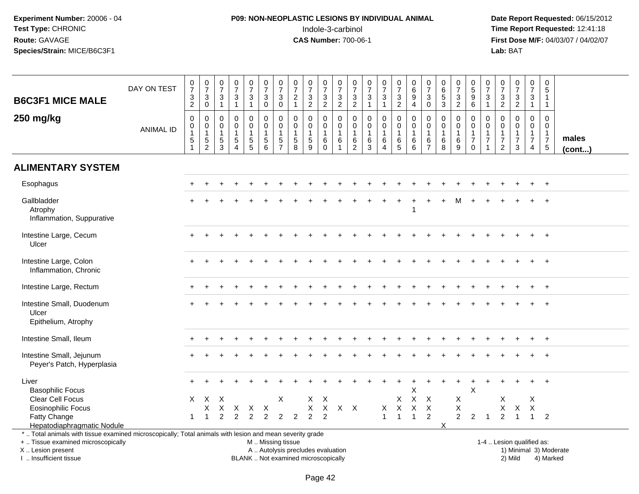# **P09: NON-NEOPLASTIC LESIONS BY INDIVIDUAL ANIMAL**Indole-3-carbinol **Time Report Requested:** 12:41:18

 **Date Report Requested:** 06/15/2012 **First Dose M/F:** 04/03/07 / 04/02/07<br>Lab: BAT **Lab:** BAT

| <b>B6C3F1 MICE MALE</b>                                                                                  | DAY ON TEST      | $\frac{0}{7}$<br>$\ensuremath{\mathsf{3}}$<br>$\overline{2}$ | $\frac{0}{7}$<br>$\mathbf{3}$<br>$\mathbf 0$              | $\begin{array}{c} 0 \\ 7 \end{array}$<br>$\frac{3}{1}$        | $\begin{array}{c} 0 \\ 7 \end{array}$<br>$\sqrt{3}$<br>$\mathbf{1}$                 | $\frac{0}{7}$<br>3<br>$\mathbf{1}$                       | $\begin{smallmatrix}0\\7\end{smallmatrix}$<br>$\mathbf{3}$<br>$\mathbf 0$ | $\begin{array}{c} 0 \\ 7 \end{array}$<br>$\sqrt{3}$<br>$\mathbf 0$       | $\begin{array}{c} 0 \\ 7 \end{array}$<br>$\boldsymbol{2}$<br>$\mathbf{1}$ | $\begin{array}{c} 0 \\ 7 \end{array}$<br>$\sqrt{3}$<br>$\overline{2}$      | $\frac{0}{7}$<br>$\mathbf{3}$<br>$\sqrt{2}$                    | $\frac{0}{7}$<br>$\mathbf{3}$<br>$\overline{2}$                        | $\frac{0}{7}$<br>$\sqrt{3}$<br>$\overline{c}$           | $\frac{0}{7}$<br>$\mathfrak{Z}$<br>$\mathbf{1}$                     | $\frac{0}{7}$<br>$\mathbf{3}$<br>$\mathbf{1}$                     | $\begin{array}{c} 0 \\ 7 \end{array}$<br>$\mathbf{3}$<br>$\overline{2}$ | $\begin{array}{c} 0 \\ 6 \end{array}$<br>9<br>$\overline{4}$            | $\frac{0}{7}$<br>$\mathbf{3}$<br>$\mathbf{0}$                     | $\pmb{0}$<br>$\,6\,$<br>5<br>$\ensuremath{\mathsf{3}}$ | $\frac{0}{7}$<br>$\mathbf{3}$<br>$\overline{2}$                | $\begin{array}{c} 0 \\ 5 \\ 9 \end{array}$<br>$6\phantom{1}$               | $\begin{array}{c} 0 \\ 7 \end{array}$<br>$\mathbf{3}$<br>$\overline{1}$ | $\frac{0}{7}$<br>$\mathsf 3$<br>$\overline{2}$                              | $\begin{array}{c} 0 \\ 7 \end{array}$<br>$\ensuremath{\mathsf{3}}$<br>$\overline{c}$ | $\frac{0}{7}$<br>3<br>$\mathbf{1}$                             | $\mathbf 0$<br>$\sqrt{5}$<br>$\mathbf{1}$<br>$\mathbf{1}$                       |                       |
|----------------------------------------------------------------------------------------------------------|------------------|--------------------------------------------------------------|-----------------------------------------------------------|---------------------------------------------------------------|-------------------------------------------------------------------------------------|----------------------------------------------------------|---------------------------------------------------------------------------|--------------------------------------------------------------------------|---------------------------------------------------------------------------|----------------------------------------------------------------------------|----------------------------------------------------------------|------------------------------------------------------------------------|---------------------------------------------------------|---------------------------------------------------------------------|-------------------------------------------------------------------|-------------------------------------------------------------------------|-------------------------------------------------------------------------|-------------------------------------------------------------------|--------------------------------------------------------|----------------------------------------------------------------|----------------------------------------------------------------------------|-------------------------------------------------------------------------|-----------------------------------------------------------------------------|--------------------------------------------------------------------------------------|----------------------------------------------------------------|---------------------------------------------------------------------------------|-----------------------|
| 250 mg/kg                                                                                                | <b>ANIMAL ID</b> | $\mathbf 0$<br>$\pmb{0}$<br>$\mathbf{1}$<br>$\frac{5}{1}$    | $\mathbf 0$<br>$\pmb{0}$<br>$\mathbf{1}$<br>$\frac{5}{2}$ | $\mathbf 0$<br>$\mathbf 0$<br>$\overline{1}$<br>$\frac{5}{3}$ | $\Omega$<br>$\mathbf 0$<br>$\mathbf{1}$<br>$\overline{5}$<br>$\boldsymbol{\Lambda}$ | $\Omega$<br>$\mathbf 0$<br>$\mathbf{1}$<br>$\frac{5}{5}$ | $\mathbf 0$<br>$\mathbf 0$<br>$\mathbf{1}$<br>$\frac{5}{6}$               | $\Omega$<br>$\mathbf 0$<br>$\mathbf{1}$<br>$\,$ 5 $\,$<br>$\overline{7}$ | $\Omega$<br>$\mathbf 0$<br>$\mathbf{1}$<br>$\,$ 5 $\,$<br>8               | $\mathbf 0$<br>$\mathbf 0$<br>$\mathbf{1}$<br>$\sqrt{5}$<br>$\overline{9}$ | $\mathbf 0$<br>$\mathbf 0$<br>$\mathbf{1}$<br>6<br>$\mathbf 0$ | $\Omega$<br>$\mathbf 0$<br>$\overline{1}$<br>$\,6\,$<br>$\overline{1}$ | $\mathbf 0$<br>0<br>$\mathbf{1}$<br>6<br>$\overline{c}$ | $\mathbf 0$<br>$\mathbf 0$<br>$\mathbf{1}$<br>$\,6$<br>$\mathbf{3}$ | $\mathbf 0$<br>$\mathbf 0$<br>$\mathbf{1}$<br>6<br>$\overline{4}$ | $\mathbf 0$<br>$\mathbf 0$<br>$\mathbf{1}$<br>$6\over 5$                | $\Omega$<br>$\mathbf 0$<br>$\overline{1}$<br>$\,6\,$<br>$6\phantom{1}6$ | $\mathbf 0$<br>$\mathbf 0$<br>$\mathbf{1}$<br>6<br>$\overline{7}$ | $\Omega$<br>$\mathbf 0$<br>$\mathbf{1}$<br>$\,6$<br>8  | $\Omega$<br>$\mathbf 0$<br>$\mathbf{1}$<br>6<br>$\overline{9}$ | $\Omega$<br>$\mathbf 0$<br>$\mathbf{1}$<br>$\boldsymbol{7}$<br>$\mathbf 0$ | $\Omega$<br>$\mathbf 0$<br>$\mathbf{1}$<br>$\overline{7}$               | $\Omega$<br>$\mathbf 0$<br>$\mathbf{1}$<br>$\overline{7}$<br>$\overline{2}$ | $\Omega$<br>$\mathbf 0$<br>$\mathbf{1}$<br>$\overline{7}$<br>3                       | $\Omega$<br>$\mathbf 0$<br>$\mathbf{1}$<br>$\overline{7}$<br>4 | $\mathbf 0$<br>$\mathbf 0$<br>$\mathbf{1}$<br>$\overline{7}$<br>$5\phantom{.0}$ | males<br>$($ cont $)$ |
| <b>ALIMENTARY SYSTEM</b>                                                                                 |                  |                                                              |                                                           |                                                               |                                                                                     |                                                          |                                                                           |                                                                          |                                                                           |                                                                            |                                                                |                                                                        |                                                         |                                                                     |                                                                   |                                                                         |                                                                         |                                                                   |                                                        |                                                                |                                                                            |                                                                         |                                                                             |                                                                                      |                                                                |                                                                                 |                       |
| Esophagus                                                                                                |                  |                                                              |                                                           |                                                               |                                                                                     |                                                          |                                                                           |                                                                          |                                                                           |                                                                            |                                                                |                                                                        |                                                         |                                                                     |                                                                   |                                                                         |                                                                         |                                                                   |                                                        |                                                                |                                                                            |                                                                         |                                                                             |                                                                                      |                                                                |                                                                                 |                       |
| Gallbladder<br>Atrophy<br>Inflammation, Suppurative                                                      |                  |                                                              |                                                           |                                                               |                                                                                     |                                                          |                                                                           |                                                                          |                                                                           |                                                                            |                                                                |                                                                        |                                                         |                                                                     |                                                                   |                                                                         | -1                                                                      |                                                                   |                                                        |                                                                |                                                                            |                                                                         |                                                                             |                                                                                      |                                                                |                                                                                 |                       |
| Intestine Large, Cecum<br>Ulcer                                                                          |                  |                                                              |                                                           |                                                               |                                                                                     |                                                          |                                                                           |                                                                          |                                                                           |                                                                            |                                                                |                                                                        |                                                         |                                                                     |                                                                   |                                                                         |                                                                         |                                                                   |                                                        |                                                                |                                                                            |                                                                         |                                                                             |                                                                                      |                                                                |                                                                                 |                       |
| Intestine Large, Colon<br>Inflammation, Chronic                                                          |                  |                                                              |                                                           |                                                               |                                                                                     |                                                          |                                                                           |                                                                          |                                                                           |                                                                            |                                                                |                                                                        |                                                         |                                                                     |                                                                   |                                                                         |                                                                         |                                                                   |                                                        |                                                                |                                                                            |                                                                         |                                                                             |                                                                                      |                                                                |                                                                                 |                       |
| Intestine Large, Rectum                                                                                  |                  |                                                              |                                                           |                                                               |                                                                                     |                                                          |                                                                           |                                                                          |                                                                           |                                                                            |                                                                |                                                                        |                                                         |                                                                     |                                                                   |                                                                         |                                                                         |                                                                   |                                                        |                                                                |                                                                            |                                                                         |                                                                             |                                                                                      |                                                                |                                                                                 |                       |
| Intestine Small, Duodenum<br>Ulcer<br>Epithelium, Atrophy                                                |                  |                                                              |                                                           |                                                               |                                                                                     |                                                          |                                                                           |                                                                          |                                                                           |                                                                            |                                                                |                                                                        |                                                         |                                                                     |                                                                   |                                                                         |                                                                         |                                                                   |                                                        |                                                                |                                                                            |                                                                         |                                                                             |                                                                                      |                                                                |                                                                                 |                       |
| Intestine Small, Ileum                                                                                   |                  |                                                              |                                                           |                                                               |                                                                                     |                                                          |                                                                           |                                                                          |                                                                           |                                                                            |                                                                |                                                                        |                                                         |                                                                     |                                                                   |                                                                         |                                                                         |                                                                   |                                                        |                                                                |                                                                            |                                                                         |                                                                             |                                                                                      |                                                                |                                                                                 |                       |
| Intestine Small, Jejunum<br>Peyer's Patch, Hyperplasia                                                   |                  |                                                              |                                                           |                                                               |                                                                                     |                                                          |                                                                           |                                                                          |                                                                           |                                                                            |                                                                |                                                                        |                                                         |                                                                     |                                                                   |                                                                         |                                                                         |                                                                   |                                                        |                                                                |                                                                            |                                                                         |                                                                             |                                                                                      |                                                                |                                                                                 |                       |
| Liver<br><b>Basophilic Focus</b>                                                                         |                  |                                                              |                                                           |                                                               |                                                                                     |                                                          |                                                                           |                                                                          |                                                                           |                                                                            |                                                                |                                                                        |                                                         |                                                                     |                                                                   |                                                                         | X                                                                       |                                                                   |                                                        |                                                                | $\mathsf{X}$                                                               |                                                                         |                                                                             |                                                                                      |                                                                |                                                                                 |                       |
| Clear Cell Focus                                                                                         |                  | X                                                            | $\mathsf{X}$                                              | $\times$                                                      |                                                                                     |                                                          |                                                                           | X                                                                        |                                                                           | X                                                                          | $\times$                                                       |                                                                        |                                                         |                                                                     |                                                                   | X                                                                       | $\mathsf X$                                                             | X                                                                 |                                                        | Χ                                                              |                                                                            |                                                                         | X                                                                           |                                                                                      | X                                                              |                                                                                 |                       |
| <b>Eosinophilic Focus</b>                                                                                |                  |                                                              | X                                                         | X                                                             | $\times$                                                                            | X                                                        | $\times$                                                                  |                                                                          |                                                                           | X                                                                          | $\times$                                                       | $X$ $X$                                                                |                                                         |                                                                     | X                                                                 | $\pmb{\times}$                                                          | $\mathsf{X}$                                                            | $\mathsf{X}$                                                      |                                                        | X                                                              |                                                                            |                                                                         | X                                                                           | $\mathsf X$                                                                          | X                                                              |                                                                                 |                       |
| Fatty Change<br>Hepatodiaphragmatic Nodule                                                               |                  | 1                                                            | 1                                                         | $\overline{2}$                                                | 2                                                                                   | $\overline{2}$                                           | $\overline{2}$                                                            | 2                                                                        | $\overline{2}$                                                            | $\overline{2}$                                                             | 2                                                              |                                                                        |                                                         |                                                                     | $\mathbf{1}$                                                      | $\overline{1}$                                                          | $\overline{1}$                                                          | $\overline{2}$                                                    | X                                                      | $\overline{2}$                                                 | $\overline{2}$                                                             | $\overline{1}$                                                          | $\overline{2}$                                                              | $\overline{\mathbf{1}}$                                                              | $\mathbf{1}$                                                   | $\overline{2}$                                                                  |                       |
| *  Total animals with tissue examined microscopically; Total animals with lesion and mean severity grade |                  |                                                              |                                                           |                                                               |                                                                                     |                                                          |                                                                           |                                                                          |                                                                           |                                                                            |                                                                |                                                                        |                                                         |                                                                     |                                                                   |                                                                         |                                                                         |                                                                   |                                                        |                                                                |                                                                            |                                                                         |                                                                             |                                                                                      |                                                                |                                                                                 |                       |
| +  Tissue examined microscopically                                                                       |                  |                                                              |                                                           |                                                               |                                                                                     |                                                          | M  Missing tissue                                                         |                                                                          |                                                                           |                                                                            |                                                                |                                                                        |                                                         |                                                                     |                                                                   |                                                                         |                                                                         |                                                                   |                                                        |                                                                |                                                                            |                                                                         |                                                                             | 1-4  Lesion qualified as:                                                            |                                                                |                                                                                 |                       |
| X  Lesion present                                                                                        |                  |                                                              |                                                           |                                                               |                                                                                     |                                                          |                                                                           |                                                                          |                                                                           | A  Autolysis precludes evaluation                                          |                                                                |                                                                        |                                                         |                                                                     |                                                                   |                                                                         |                                                                         |                                                                   |                                                        |                                                                |                                                                            |                                                                         |                                                                             |                                                                                      |                                                                | 1) Minimal 3) Moderate                                                          |                       |
| I  Insufficient tissue                                                                                   |                  |                                                              |                                                           |                                                               |                                                                                     |                                                          |                                                                           |                                                                          |                                                                           | BLANK  Not examined microscopically                                        |                                                                |                                                                        |                                                         |                                                                     |                                                                   |                                                                         |                                                                         |                                                                   |                                                        |                                                                |                                                                            |                                                                         |                                                                             | 2) Mild                                                                              |                                                                | 4) Marked                                                                       |                       |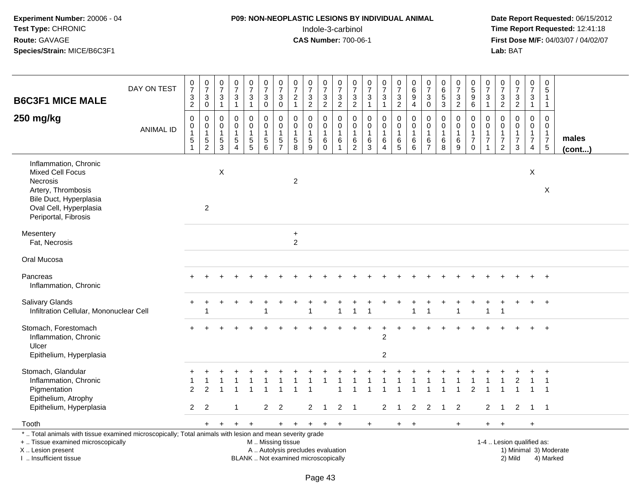## **P09: NON-NEOPLASTIC LESIONS BY INDIVIDUAL ANIMAL**Indole-3-carbinol **Time Report Requested:** 12:41:18

 **Date Report Requested:** 06/15/2012 **First Dose M/F:** 04/03/07 / 04/02/07<br>Lab: BAT **Lab:** BAT

|                                                                                                                                                                              | DAY ON TEST      | $\frac{0}{7}$<br>$\overline{3}$                                         | $\frac{0}{7}$<br>3                                      | $\begin{array}{c} 0 \\ 7 \end{array}$<br>$\ensuremath{\mathsf{3}}$ | $\frac{0}{7}$<br>$\sqrt{3}$                                      | $\frac{0}{7}$<br>$\mathbf{3}$                             | $\begin{matrix} 0 \\ 7 \end{matrix}$<br>$\sqrt{3}$            | $\frac{0}{7}$<br>3                            | $\begin{matrix} 0 \\ 7 \end{matrix}$<br>$\overline{c}$      | $\frac{0}{7}$<br>3                        | $\frac{0}{7}$<br>$\mathbf 3$     | $\begin{array}{c} 0 \\ 7 \end{array}$<br>$\ensuremath{\mathsf{3}}$    | $\frac{0}{7}$<br>$\sqrt{3}$                                   | $\frac{0}{7}$<br>$\sqrt{3}$                                           | $\begin{array}{c} 0 \\ 7 \end{array}$<br>3                    | $\frac{0}{7}$<br>$\sqrt{3}$                                  | $\pmb{0}$<br>$\,6\,$<br>$\overline{9}$ | $\begin{array}{c} 0 \\ 7 \end{array}$<br>$\mathfrak{B}$       | $\begin{array}{c} 0 \\ 6 \\ 5 \end{array}$ | $\frac{0}{7}$<br>$\mathbf 3$ | $\begin{array}{c} 0 \\ 5 \\ 9 \end{array}$                       | $\begin{array}{c} 0 \\ 7 \end{array}$<br>3                   | $\frac{0}{7}$<br>$\sqrt{3}$                                 | $\frac{0}{7}$<br>3                           | $\begin{smallmatrix} 0\\7 \end{smallmatrix}$<br>$\ensuremath{\mathsf{3}}$      | 0<br>5<br>1                                   |                        |
|------------------------------------------------------------------------------------------------------------------------------------------------------------------------------|------------------|-------------------------------------------------------------------------|---------------------------------------------------------|--------------------------------------------------------------------|------------------------------------------------------------------|-----------------------------------------------------------|---------------------------------------------------------------|-----------------------------------------------|-------------------------------------------------------------|-------------------------------------------|----------------------------------|-----------------------------------------------------------------------|---------------------------------------------------------------|-----------------------------------------------------------------------|---------------------------------------------------------------|--------------------------------------------------------------|----------------------------------------|---------------------------------------------------------------|--------------------------------------------|------------------------------|------------------------------------------------------------------|--------------------------------------------------------------|-------------------------------------------------------------|----------------------------------------------|--------------------------------------------------------------------------------|-----------------------------------------------|------------------------|
| <b>B6C3F1 MICE MALE</b>                                                                                                                                                      |                  | $\overline{a}$                                                          | $\mathbf 0$                                             | $\mathbf{1}$                                                       | $\mathbf{1}$                                                     | $\mathbf{1}$                                              | $\mathbf 0$                                                   | $\mathbf 0$                                   | $\mathbf{1}$                                                | $\overline{2}$                            | $\overline{c}$                   | $\overline{c}$                                                        | $\overline{c}$                                                | $\mathbf{1}$                                                          | $\mathbf{1}$                                                  | $\overline{c}$                                               | 4                                      | $\mathsf{O}\xspace$                                           | 3                                          | $\overline{c}$               | $\,6\,$                                                          | $\overline{1}$                                               | $\sqrt{2}$                                                  | $\overline{c}$                               | $\mathbf{1}$                                                                   | $\mathbf{1}$                                  |                        |
| 250 mg/kg                                                                                                                                                                    | <b>ANIMAL ID</b> | $\mathbf 0$<br>$\pmb{0}$<br>$\mathbf{1}$<br>$\,$ 5 $\,$<br>$\mathbf{1}$ | 0<br>$\mathbf 0$<br>$\mathbf{1}$<br>5<br>$\overline{2}$ | 0<br>0<br>$\mathbf{1}$<br>$\,$ 5 $\,$<br>3                         | $\mathbf 0$<br>$\mathbf 0$<br>1<br>$\,$ 5 $\,$<br>$\overline{A}$ | $\mathbf 0$<br>$\pmb{0}$<br>$\mathbf{1}$<br>$\frac{5}{5}$ | $\mathbf 0$<br>$\mathbf 0$<br>$\mathbf{1}$<br>$\sqrt{5}$<br>6 | 0<br>0<br>$\mathbf{1}$<br>5<br>$\overline{7}$ | $\pmb{0}$<br>$\mathbf 0$<br>$\mathbf{1}$<br>$\sqrt{5}$<br>8 | 0<br>0<br>$\mathbf{1}$<br>$\sqrt{5}$<br>9 | 0<br>0<br>$\mathbf{1}$<br>6<br>0 | $\mathbf 0$<br>$\pmb{0}$<br>$\mathbf{1}$<br>$\,6\,$<br>$\overline{1}$ | $\mathbf 0$<br>0<br>$\mathbf{1}$<br>$\,6\,$<br>$\overline{2}$ | $\mathbf 0$<br>$\mathbf 0$<br>$\mathbf{1}$<br>$\,6\,$<br>$\mathbf{3}$ | 0<br>$\mathbf 0$<br>$\mathbf{1}$<br>$\,6\,$<br>$\overline{4}$ | $\mathbf 0$<br>$\mathbf 0$<br>$\overline{1}$<br>$\,6\,$<br>5 | 0<br>0<br>$\mathbf{1}$<br>6<br>6       | 0<br>$\mathbf 0$<br>$\mathbf{1}$<br>$\,6\,$<br>$\overline{7}$ | 0<br>0<br>$\mathbf{1}$<br>6<br>8           | 0<br>0<br>$\,6\,$<br>9       | $\mathbf 0$<br>0<br>$\mathbf{1}$<br>$\boldsymbol{7}$<br>$\Omega$ | 0<br>0<br>$\mathbf{1}$<br>$\boldsymbol{7}$<br>$\overline{1}$ | $\mathbf 0$<br>$\mathbf 0$<br>$\mathbf{1}$<br>$\frac{7}{2}$ | 0<br>$\mathbf 0$<br>1<br>$\overline{7}$<br>3 | $\mathbf 0$<br>$\mathbf 0$<br>$\mathbf{1}$<br>$\overline{7}$<br>$\overline{4}$ | 0<br>0<br>$\mathbf{1}$<br>$\overline{7}$<br>5 | males<br>(cont)        |
| Inflammation, Chronic<br><b>Mixed Cell Focus</b><br>Necrosis<br>Artery, Thrombosis<br>Bile Duct, Hyperplasia<br>Oval Cell, Hyperplasia<br>Periportal, Fibrosis               |                  |                                                                         | $\overline{2}$                                          | $\pmb{\times}$                                                     |                                                                  |                                                           |                                                               |                                               | $\overline{c}$                                              |                                           |                                  |                                                                       |                                                               |                                                                       |                                                               |                                                              |                                        |                                                               |                                            |                              |                                                                  |                                                              |                                                             |                                              | X                                                                              | X                                             |                        |
| Mesentery<br>Fat, Necrosis                                                                                                                                                   |                  |                                                                         |                                                         |                                                                    |                                                                  |                                                           |                                                               |                                               | $\ddot{}$<br>$\overline{2}$                                 |                                           |                                  |                                                                       |                                                               |                                                                       |                                                               |                                                              |                                        |                                                               |                                            |                              |                                                                  |                                                              |                                                             |                                              |                                                                                |                                               |                        |
| Oral Mucosa                                                                                                                                                                  |                  |                                                                         |                                                         |                                                                    |                                                                  |                                                           |                                                               |                                               |                                                             |                                           |                                  |                                                                       |                                                               |                                                                       |                                                               |                                                              |                                        |                                                               |                                            |                              |                                                                  |                                                              |                                                             |                                              |                                                                                |                                               |                        |
| Pancreas<br>Inflammation, Chronic                                                                                                                                            |                  |                                                                         |                                                         |                                                                    |                                                                  |                                                           |                                                               |                                               |                                                             |                                           |                                  |                                                                       |                                                               |                                                                       |                                                               |                                                              |                                        |                                                               |                                            |                              |                                                                  |                                                              |                                                             |                                              |                                                                                | $+$                                           |                        |
| <b>Salivary Glands</b><br>Infiltration Cellular, Mononuclear Cell                                                                                                            |                  |                                                                         | -1                                                      |                                                                    |                                                                  |                                                           | 1                                                             |                                               |                                                             | $\overline{1}$                            |                                  | $\overline{1}$                                                        | $\mathbf 1$                                                   | $\overline{1}$                                                        |                                                               |                                                              | $\mathbf{1}$                           | -1                                                            |                                            | $\overline{1}$               |                                                                  | 1                                                            | $\overline{1}$                                              |                                              |                                                                                | $+$                                           |                        |
| Stomach, Forestomach<br>Inflammation, Chronic<br>Ulcer<br>Epithelium, Hyperplasia                                                                                            |                  |                                                                         |                                                         |                                                                    |                                                                  |                                                           |                                                               |                                               |                                                             |                                           |                                  |                                                                       |                                                               |                                                                       | $\overline{c}$<br>$\overline{c}$                              |                                                              |                                        |                                                               |                                            |                              |                                                                  |                                                              |                                                             |                                              |                                                                                |                                               |                        |
| Stomach, Glandular<br>Inflammation, Chronic<br>Pigmentation<br>Epithelium, Atrophy<br>Epithelium, Hyperplasia                                                                |                  | $\mathcal{P}$<br>$\overline{2}$                                         | $\mathcal{P}$<br>2                                      |                                                                    |                                                                  |                                                           | $\mathbf{2}$                                                  | $\overline{2}$                                |                                                             | $\overline{2}$                            | $\mathbf{1}$                     | $\overline{2}$                                                        | $\overline{1}$                                                |                                                                       | $\overline{2}$                                                | 1                                                            | $\overline{2}$                         | 2                                                             | $\overline{1}$                             | $\overline{2}$               | $\mathcal{P}$                                                    | 2                                                            | $\overline{1}$                                              | $\overline{2}$                               | 1 1                                                                            |                                               |                        |
|                                                                                                                                                                              |                  |                                                                         |                                                         |                                                                    |                                                                  |                                                           |                                                               |                                               |                                                             |                                           |                                  |                                                                       |                                                               |                                                                       |                                                               |                                                              |                                        |                                                               |                                            |                              |                                                                  |                                                              |                                                             |                                              |                                                                                |                                               |                        |
| Tooth<br>*  Total animals with tissue examined microscopically; Total animals with lesion and mean severity grade<br>+  Tissue examined microscopically<br>X  Lesion present |                  |                                                                         | $+$                                                     | $\ddot{}$                                                          | $\ddot{}$                                                        | $\ddot{}$                                                 | M  Missing tissue<br>A  Autolysis precludes evaluation        | $\ddot{}$                                     | $\ddot{}$                                                   | $\ddot{}$                                 | $+$                              | $\ddot{}$                                                             |                                                               | $\ddot{}$                                                             |                                                               | $+$                                                          | $\ddot{}$                              |                                                               |                                            | $+$                          |                                                                  | $+$                                                          | $\overline{+}$                                              | 1-4  Lesion qualified as:                    | +                                                                              |                                               | 1) Minimal 3) Moderate |

I .. Insufficient tissue

BLANK .. Not examined microscopically 2) Mild 4) Marked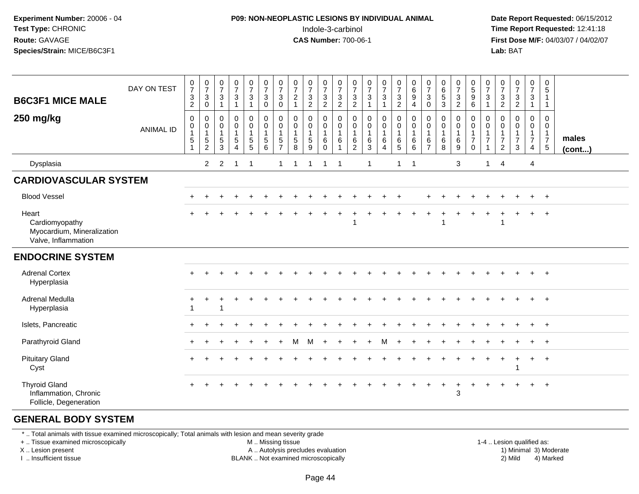#### **P09: NON-NEOPLASTIC LESIONS BY INDIVIDUAL ANIMAL**Indole-3-carbinol **Time Report Requested:** 12:41:18

 **Date Report Requested:** 06/15/2012 **First Dose M/F:** 04/03/07 / 04/02/07<br>**Lab:** BAT **Lab:** BAT

| <b>B6C3F1 MICE MALE</b><br>250 mg/kg                                         | DAY ON TEST<br><b>ANIMAL ID</b> | $\begin{array}{c} 0 \\ 7 \\ 3 \end{array}$<br>$\overline{2}$<br>$\pmb{0}$<br>$\begin{smallmatrix}0\\1\end{smallmatrix}$<br>$5\,$<br>$\mathbf{1}$ | $\frac{0}{7}$<br>$\mathbf{3}$<br>$\pmb{0}$<br>0<br>$\pmb{0}$<br>$\mathbf{1}$<br>5<br>$\overline{2}$ | $\frac{0}{7}$<br>3<br>$\overline{1}$<br>$\mathbf 0$<br>0<br>$\overline{1}$<br>$\sqrt{5}$<br>3 | $\begin{smallmatrix}0\\7\end{smallmatrix}$<br>$\sqrt{3}$<br>$\mathbf{1}$<br>$\mathbf 0$<br>$\mathbf 0$<br>$\overline{1}$<br>$\sqrt{5}$<br>$\boldsymbol{\Lambda}$ | $\frac{0}{7}$<br>$\mathfrak{Z}$<br>$\mathbf{1}$<br>$\pmb{0}$<br>$\mathbf 0$<br>$\mathbf{1}$<br>$5\phantom{.0}$<br>5 | $\frac{0}{7}$<br>$\mathbf 3$<br>$\mathbf 0$<br>$\pmb{0}$<br>$\mathbf 0$<br>$\mathbf{1}$<br>5<br>6 | $\frac{0}{7}$<br>$\mathbf{3}$<br>$\mathbf 0$<br>0<br>$\pmb{0}$<br>$\mathbf{1}$<br>5<br>$\overline{ }$ | $\frac{0}{7}$<br>$\overline{2}$<br>$\mathbf{1}$<br>$\mathbf 0$<br>$\mathbf 0$<br>$\mathbf{1}$<br>$\sqrt{5}$<br>8 | $\frac{0}{7}$<br>$\ensuremath{\mathsf{3}}$<br>$\overline{c}$<br>0<br>$\pmb{0}$<br>$\mathbf{1}$<br>$\sqrt{5}$<br>9 | $\frac{0}{7}$<br>$\sqrt{3}$<br>$\overline{2}$<br>$\mathbf 0$<br>$\mathsf{O}\xspace$<br>$\mathbf{1}$<br>$\,6\,$<br>$\mathbf 0$ | $\frac{0}{7}$<br>$\overline{3}$<br>$\overline{2}$<br>$\mathbf 0$<br>$\mathbf 0$<br>$\overline{1}$<br>6<br>$\overline{1}$ | $\frac{0}{7}$<br>$\mathsf 3$<br>$\sqrt{2}$<br>$\mathbf 0$<br>$\mathbf 0$<br>$\overline{1}$<br>$6\phantom{1}6$<br>$\overline{2}$ | $\begin{array}{c} 0 \\ 7 \\ 3 \end{array}$<br>$\mathbf{1}$<br>$\mathbf 0$<br>$\pmb{0}$<br>$\mathbf{1}$<br>$\,6$<br>$\mathbf{3}$ | $\frac{0}{7}$<br>3<br>$\mathbf{1}$<br>0<br>$\pmb{0}$<br>$\overline{1}$<br>6<br>4 | $\begin{array}{c} 0 \\ 7 \\ 3 \end{array}$<br>$\overline{2}$<br>$\mathbf 0$<br>$\mathsf{O}\xspace$<br>$\mathbf{1}$<br>$\frac{6}{5}$ | $\begin{array}{c} 0 \\ 6 \\ 9 \end{array}$<br>$\overline{4}$<br>$\boldsymbol{0}$<br>$\pmb{0}$<br>$\overline{1}$<br>$\,6\,$<br>$6\phantom{1}6$ | $\frac{0}{7}$<br>3<br>$\mathbf 0$<br>$\mathbf 0$<br>0<br>$\overline{1}$<br>6<br>$\overline{7}$ | $\pmb{0}$<br>$\overline{6}$<br>$\mathbf{3}$<br>$\mathbf 0$<br>$\mathbf 0$<br>$\mathbf{1}$<br>6<br>8 | $\frac{0}{7}$<br>$\mathbf{3}$<br>$\overline{2}$<br>0<br>0<br>$\mathbf{1}$<br>6<br>9 | $\begin{array}{c} 0 \\ 5 \\ 9 \end{array}$<br>$\,6\,$<br>$\pmb{0}$<br>$\mathsf{O}\xspace$<br>$\overline{1}$<br>$\overline{7}$<br>$\Omega$ | $\frac{0}{7}$<br>$\mathbf{3}$<br>$\mathbf{1}$<br>0<br>$\pmb{0}$<br>$\mathbf{1}$<br>$\overline{7}$ | $\frac{0}{7}$<br>$\mathsf 3$<br>$\overline{2}$<br>$\mathbf 0$<br>0<br>$\mathbf{1}$<br>$\overline{7}$<br>2 | $\begin{array}{c} 0 \\ 7 \end{array}$<br>$\sqrt{3}$<br>$\overline{2}$<br>$\mathbf 0$<br>$\pmb{0}$<br>$\mathbf{1}$<br>$\overline{7}$<br>3 | $\boldsymbol{0}$<br>$\overline{7}$<br>$\mathbf{3}$<br>$\mathbf{1}$<br>0<br>$\mathbf 0$<br>$\mathbf{1}$<br>$\overline{7}$<br>$\overline{4}$ | $\mathbf 0$<br>5<br>$\mathbf{1}$<br>$\mathbf{1}$<br>0<br>$\mathbf 0$<br>$\mathbf{1}$<br>$\overline{7}$<br>$5\phantom{.0}$ | males<br>$($ cont $)$ |
|------------------------------------------------------------------------------|---------------------------------|--------------------------------------------------------------------------------------------------------------------------------------------------|-----------------------------------------------------------------------------------------------------|-----------------------------------------------------------------------------------------------|------------------------------------------------------------------------------------------------------------------------------------------------------------------|---------------------------------------------------------------------------------------------------------------------|---------------------------------------------------------------------------------------------------|-------------------------------------------------------------------------------------------------------|------------------------------------------------------------------------------------------------------------------|-------------------------------------------------------------------------------------------------------------------|-------------------------------------------------------------------------------------------------------------------------------|--------------------------------------------------------------------------------------------------------------------------|---------------------------------------------------------------------------------------------------------------------------------|---------------------------------------------------------------------------------------------------------------------------------|----------------------------------------------------------------------------------|-------------------------------------------------------------------------------------------------------------------------------------|-----------------------------------------------------------------------------------------------------------------------------------------------|------------------------------------------------------------------------------------------------|-----------------------------------------------------------------------------------------------------|-------------------------------------------------------------------------------------|-------------------------------------------------------------------------------------------------------------------------------------------|---------------------------------------------------------------------------------------------------|-----------------------------------------------------------------------------------------------------------|------------------------------------------------------------------------------------------------------------------------------------------|--------------------------------------------------------------------------------------------------------------------------------------------|---------------------------------------------------------------------------------------------------------------------------|-----------------------|
| Dysplasia                                                                    |                                 |                                                                                                                                                  | $\overline{c}$                                                                                      | $\overline{2}$                                                                                | $\mathbf 1$                                                                                                                                                      | $\mathbf 1$                                                                                                         |                                                                                                   | $\mathbf{1}$                                                                                          |                                                                                                                  |                                                                                                                   | $\mathbf 1$                                                                                                                   | -1                                                                                                                       |                                                                                                                                 | 1                                                                                                                               |                                                                                  | $\mathbf 1$                                                                                                                         | $\overline{1}$                                                                                                                                |                                                                                                |                                                                                                     | 3                                                                                   |                                                                                                                                           | $\mathbf 1$                                                                                       | 4                                                                                                         |                                                                                                                                          | 4                                                                                                                                          |                                                                                                                           |                       |
| <b>CARDIOVASCULAR SYSTEM</b>                                                 |                                 |                                                                                                                                                  |                                                                                                     |                                                                                               |                                                                                                                                                                  |                                                                                                                     |                                                                                                   |                                                                                                       |                                                                                                                  |                                                                                                                   |                                                                                                                               |                                                                                                                          |                                                                                                                                 |                                                                                                                                 |                                                                                  |                                                                                                                                     |                                                                                                                                               |                                                                                                |                                                                                                     |                                                                                     |                                                                                                                                           |                                                                                                   |                                                                                                           |                                                                                                                                          |                                                                                                                                            |                                                                                                                           |                       |
| <b>Blood Vessel</b>                                                          |                                 |                                                                                                                                                  |                                                                                                     |                                                                                               |                                                                                                                                                                  |                                                                                                                     |                                                                                                   |                                                                                                       |                                                                                                                  |                                                                                                                   |                                                                                                                               |                                                                                                                          |                                                                                                                                 |                                                                                                                                 |                                                                                  |                                                                                                                                     |                                                                                                                                               |                                                                                                |                                                                                                     |                                                                                     |                                                                                                                                           |                                                                                                   |                                                                                                           |                                                                                                                                          |                                                                                                                                            | $+$                                                                                                                       |                       |
| Heart<br>Cardiomyopathy<br>Myocardium, Mineralization<br>Valve, Inflammation |                                 |                                                                                                                                                  |                                                                                                     |                                                                                               |                                                                                                                                                                  |                                                                                                                     |                                                                                                   |                                                                                                       |                                                                                                                  |                                                                                                                   |                                                                                                                               |                                                                                                                          |                                                                                                                                 |                                                                                                                                 |                                                                                  |                                                                                                                                     |                                                                                                                                               |                                                                                                |                                                                                                     |                                                                                     |                                                                                                                                           |                                                                                                   |                                                                                                           |                                                                                                                                          | $\ddot{}$                                                                                                                                  | $\overline{1}$                                                                                                            |                       |
| <b>ENDOCRINE SYSTEM</b>                                                      |                                 |                                                                                                                                                  |                                                                                                     |                                                                                               |                                                                                                                                                                  |                                                                                                                     |                                                                                                   |                                                                                                       |                                                                                                                  |                                                                                                                   |                                                                                                                               |                                                                                                                          |                                                                                                                                 |                                                                                                                                 |                                                                                  |                                                                                                                                     |                                                                                                                                               |                                                                                                |                                                                                                     |                                                                                     |                                                                                                                                           |                                                                                                   |                                                                                                           |                                                                                                                                          |                                                                                                                                            |                                                                                                                           |                       |
| <b>Adrenal Cortex</b><br>Hyperplasia                                         |                                 |                                                                                                                                                  |                                                                                                     |                                                                                               |                                                                                                                                                                  |                                                                                                                     |                                                                                                   |                                                                                                       |                                                                                                                  |                                                                                                                   |                                                                                                                               |                                                                                                                          |                                                                                                                                 |                                                                                                                                 |                                                                                  |                                                                                                                                     |                                                                                                                                               |                                                                                                |                                                                                                     |                                                                                     |                                                                                                                                           |                                                                                                   |                                                                                                           |                                                                                                                                          |                                                                                                                                            | $+$                                                                                                                       |                       |
| Adrenal Medulla<br>Hyperplasia                                               |                                 | 1                                                                                                                                                |                                                                                                     |                                                                                               |                                                                                                                                                                  |                                                                                                                     |                                                                                                   |                                                                                                       |                                                                                                                  |                                                                                                                   |                                                                                                                               |                                                                                                                          |                                                                                                                                 |                                                                                                                                 |                                                                                  |                                                                                                                                     |                                                                                                                                               |                                                                                                |                                                                                                     |                                                                                     |                                                                                                                                           |                                                                                                   |                                                                                                           |                                                                                                                                          |                                                                                                                                            | $+$                                                                                                                       |                       |
| Islets, Pancreatic                                                           |                                 |                                                                                                                                                  |                                                                                                     |                                                                                               |                                                                                                                                                                  |                                                                                                                     |                                                                                                   |                                                                                                       |                                                                                                                  |                                                                                                                   |                                                                                                                               |                                                                                                                          |                                                                                                                                 |                                                                                                                                 |                                                                                  |                                                                                                                                     |                                                                                                                                               |                                                                                                |                                                                                                     |                                                                                     |                                                                                                                                           |                                                                                                   |                                                                                                           |                                                                                                                                          | $\ddot{}$                                                                                                                                  | $^{+}$                                                                                                                    |                       |
| Parathyroid Gland                                                            |                                 |                                                                                                                                                  |                                                                                                     |                                                                                               |                                                                                                                                                                  |                                                                                                                     |                                                                                                   |                                                                                                       | м                                                                                                                | M                                                                                                                 |                                                                                                                               |                                                                                                                          |                                                                                                                                 |                                                                                                                                 |                                                                                  |                                                                                                                                     |                                                                                                                                               |                                                                                                |                                                                                                     |                                                                                     |                                                                                                                                           |                                                                                                   |                                                                                                           |                                                                                                                                          |                                                                                                                                            | $+$                                                                                                                       |                       |
| <b>Pituitary Gland</b><br>Cyst                                               |                                 |                                                                                                                                                  |                                                                                                     |                                                                                               |                                                                                                                                                                  |                                                                                                                     |                                                                                                   |                                                                                                       |                                                                                                                  |                                                                                                                   |                                                                                                                               |                                                                                                                          |                                                                                                                                 |                                                                                                                                 |                                                                                  |                                                                                                                                     |                                                                                                                                               |                                                                                                |                                                                                                     |                                                                                     |                                                                                                                                           |                                                                                                   |                                                                                                           | -1                                                                                                                                       | $\ddot{}$                                                                                                                                  | $^{+}$                                                                                                                    |                       |
| <b>Thyroid Gland</b><br>Inflammation, Chronic<br>Follicle, Degeneration      |                                 |                                                                                                                                                  |                                                                                                     |                                                                                               |                                                                                                                                                                  |                                                                                                                     |                                                                                                   |                                                                                                       |                                                                                                                  |                                                                                                                   |                                                                                                                               |                                                                                                                          |                                                                                                                                 |                                                                                                                                 |                                                                                  |                                                                                                                                     |                                                                                                                                               |                                                                                                |                                                                                                     | $\div$<br>3                                                                         |                                                                                                                                           |                                                                                                   |                                                                                                           |                                                                                                                                          |                                                                                                                                            | $+$                                                                                                                       |                       |

#### **GENERAL BODY SYSTEM**

\* .. Total animals with tissue examined microscopically; Total animals with lesion and mean severity grade

+ .. Tissue examined microscopically

X .. Lesion present

I .. Insufficient tissue

M .. Missing tissue

A .. Autolysis precludes evaluation

BLANK .. Not examined microscopically 2) Mild 4) Marked

1-4 .. Lesion qualified as:<br>1) Minimal 3) Moderate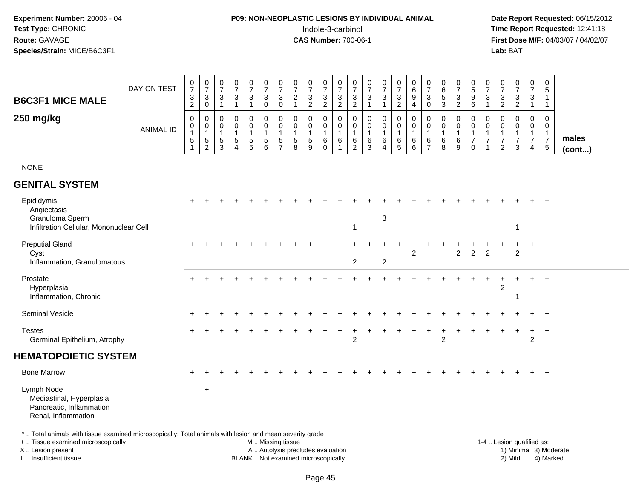## **P09: NON-NEOPLASTIC LESIONS BY INDIVIDUAL ANIMAL**Indole-3-carbinol **Time Report Requested:** 12:41:18

 **Date Report Requested:** 06/15/2012 **First Dose M/F:** 04/03/07 / 04/02/07<br>Lab: BAT **Lab:** BAT

| <b>B6C3F1 MICE MALE</b>                                                                                                                                             | DAY ON TEST      | $\begin{array}{c} 0 \\ 7 \end{array}$<br>$\sqrt{3}$<br>$\overline{2}$ | $\pmb{0}$<br>$\overline{7}$<br>$\sqrt{3}$<br>$\mathsf 0$                   | 0<br>$\overline{7}$<br>3<br>$\mathbf{1}$  | $\frac{0}{7}$<br>$\ensuremath{\mathsf{3}}$<br>$\mathbf{1}$                 | $\frac{0}{7}$<br>$\mathbf{3}$<br>$\mathbf{1}$ | $\frac{0}{7}$<br>$\sqrt{3}$<br>$\mathbf 0$ | $\frac{0}{7}$<br>$\sqrt{3}$<br>$\mathbf 0$                                    | 0<br>$\overline{7}$<br>$\overline{2}$<br>$\mathbf{1}$ | $\frac{0}{7}$<br>$\sqrt{3}$<br>$\overline{2}$                 | $\frac{0}{7}$<br>3<br>$\overline{2}$    | $\frac{0}{7}$<br>$\sqrt{3}$<br>$\overline{c}$           | $\frac{0}{7}$<br>$\sqrt{3}$<br>$\overline{2}$               | 0<br>$\overline{7}$<br>3<br>$\mathbf{1}$ | $\frac{0}{7}$<br>$\sqrt{3}$<br>$\overline{1}$                                   | $\frac{0}{7}$<br>$\ensuremath{\mathsf{3}}$<br>$\overline{c}$ | 0<br>$\,6\,$<br>9<br>4                                     | $\frac{0}{7}$<br>$\mathbf{3}$<br>$\mathbf 0$            | $\pmb{0}$<br>6<br>$\sqrt{5}$<br>$\mathbf{3}$ | $\begin{array}{c} 0 \\ 7 \end{array}$<br>$\sqrt{3}$<br>$\overline{2}$ | $\pmb{0}$<br>$\overline{5}$<br>$\boldsymbol{9}$<br>$6\phantom{1}$             | $\mathbf 0$<br>$\overline{7}$<br>$\mathbf{3}$<br>$\overline{1}$                  | $\mathbf 0$<br>$\overline{7}$<br>3<br>$\sqrt{2}$                     | $\mathbf 0$<br>$\overline{7}$<br>$\ensuremath{\mathsf{3}}$<br>$\overline{2}$ | $\frac{0}{7}$<br>3<br>$\mathbf{1}$                                             | $\pmb{0}$<br>$\overline{5}$<br>$\overline{1}$<br>$\mathbf{1}$    |                       |
|---------------------------------------------------------------------------------------------------------------------------------------------------------------------|------------------|-----------------------------------------------------------------------|----------------------------------------------------------------------------|-------------------------------------------|----------------------------------------------------------------------------|-----------------------------------------------|--------------------------------------------|-------------------------------------------------------------------------------|-------------------------------------------------------|---------------------------------------------------------------|-----------------------------------------|---------------------------------------------------------|-------------------------------------------------------------|------------------------------------------|---------------------------------------------------------------------------------|--------------------------------------------------------------|------------------------------------------------------------|---------------------------------------------------------|----------------------------------------------|-----------------------------------------------------------------------|-------------------------------------------------------------------------------|----------------------------------------------------------------------------------|----------------------------------------------------------------------|------------------------------------------------------------------------------|--------------------------------------------------------------------------------|------------------------------------------------------------------|-----------------------|
| 250 mg/kg                                                                                                                                                           | <b>ANIMAL ID</b> | $\mathbf 0$<br>0<br>$\overline{1}$<br>$\sqrt{5}$                      | $\mathbf 0$<br>$\mathbf 0$<br>$\mathbf{1}$<br>$\sqrt{5}$<br>$\overline{2}$ | 0<br>$\mathbf 0$<br>1<br>$\,$ 5 $\,$<br>3 | $\mathbf 0$<br>$\mathbf 0$<br>$\mathbf{1}$<br>$\sqrt{5}$<br>$\overline{4}$ | 0<br>$\mathbf 0$<br>$\,$ 5 $\,$<br>5          | 0<br>0<br>$\,$ 5 $\,$<br>$\,6\,$           | $\mathbf 0$<br>$\mathbf 0$<br>$\overline{1}$<br>$\,$ 5 $\,$<br>$\overline{7}$ | 0<br>$\mathbf 0$<br>$\sqrt{5}$<br>8                   | $\mathbf 0$<br>$\mathbf 0$<br>$\mathbf{1}$<br>$\sqrt{5}$<br>9 | 0<br>$\mathbf 0$<br>$\,6\,$<br>$\Omega$ | 0<br>$\mathbf 0$<br>$\mathbf{1}$<br>6<br>$\overline{1}$ | $\mathbf 0$<br>0<br>$\mathbf{1}$<br>$\,6$<br>$\overline{2}$ | 0<br>0<br>1<br>$\,6\,$<br>3              | $\mathbf 0$<br>$\mathbf 0$<br>$\mathbf{1}$<br>$\,6\,$<br>$\boldsymbol{\Lambda}$ | 0<br>$\mathbf 0$<br>$\mathbf{1}$<br>$\,6$<br>$\sqrt{5}$      | $\mathbf 0$<br>$\mathbf 0$<br>$\mathbf{1}$<br>$\,6\,$<br>6 | $\mathbf 0$<br>0<br>$\mathbf{1}$<br>6<br>$\overline{7}$ | 0<br>0<br>$\mathbf{1}$<br>$\,6$<br>8         | 0<br>0<br>$\,6$<br>9                                                  | $\mathbf 0$<br>$\mathbf 0$<br>$\overline{1}$<br>$\overline{7}$<br>$\mathbf 0$ | $\mathbf 0$<br>$\mathbf 0$<br>$\overline{1}$<br>$\overline{7}$<br>$\overline{1}$ | 0<br>$\mathbf 0$<br>$\mathbf{1}$<br>$\overline{7}$<br>$\overline{2}$ | $\mathbf 0$<br>$\mathbf 0$<br>1<br>$\overline{7}$<br>3                       | $\mathbf 0$<br>$\mathbf 0$<br>$\mathbf{1}$<br>$\overline{7}$<br>$\overline{4}$ | 0<br>$\mathbf 0$<br>$\mathbf{1}$<br>$\overline{7}$<br>$\sqrt{5}$ | males<br>$($ cont $)$ |
| <b>NONE</b>                                                                                                                                                         |                  |                                                                       |                                                                            |                                           |                                                                            |                                               |                                            |                                                                               |                                                       |                                                               |                                         |                                                         |                                                             |                                          |                                                                                 |                                                              |                                                            |                                                         |                                              |                                                                       |                                                                               |                                                                                  |                                                                      |                                                                              |                                                                                |                                                                  |                       |
| <b>GENITAL SYSTEM</b>                                                                                                                                               |                  |                                                                       |                                                                            |                                           |                                                                            |                                               |                                            |                                                                               |                                                       |                                                               |                                         |                                                         |                                                             |                                          |                                                                                 |                                                              |                                                            |                                                         |                                              |                                                                       |                                                                               |                                                                                  |                                                                      |                                                                              |                                                                                |                                                                  |                       |
| Epididymis<br>Angiectasis<br>Granuloma Sperm<br>Infiltration Cellular, Mononuclear Cell                                                                             |                  |                                                                       |                                                                            |                                           |                                                                            |                                               |                                            |                                                                               |                                                       |                                                               |                                         |                                                         | $\mathbf{1}$                                                |                                          | 3                                                                               |                                                              |                                                            |                                                         |                                              |                                                                       |                                                                               |                                                                                  |                                                                      | $\mathbf{1}$                                                                 |                                                                                | $+$                                                              |                       |
| <b>Preputial Gland</b><br>Cyst<br>Inflammation, Granulomatous                                                                                                       |                  |                                                                       |                                                                            |                                           |                                                                            |                                               |                                            |                                                                               |                                                       |                                                               |                                         |                                                         | $\overline{c}$                                              |                                          | $\overline{c}$                                                                  |                                                              | $\overline{2}$                                             |                                                         |                                              | $\overline{c}$                                                        | $\overline{2}$                                                                | $\overline{2}$                                                                   |                                                                      | 2                                                                            | $\ddot{}$                                                                      | $+$                                                              |                       |
| Prostate<br>Hyperplasia<br>Inflammation, Chronic                                                                                                                    |                  |                                                                       |                                                                            |                                           |                                                                            |                                               |                                            |                                                                               |                                                       |                                                               |                                         |                                                         |                                                             |                                          |                                                                                 |                                                              |                                                            |                                                         |                                              |                                                                       |                                                                               |                                                                                  | 2                                                                    | 1                                                                            |                                                                                |                                                                  |                       |
| <b>Seminal Vesicle</b>                                                                                                                                              |                  |                                                                       |                                                                            |                                           |                                                                            |                                               |                                            |                                                                               |                                                       |                                                               |                                         |                                                         |                                                             |                                          |                                                                                 |                                                              |                                                            |                                                         |                                              |                                                                       |                                                                               |                                                                                  |                                                                      |                                                                              |                                                                                | $\overline{+}$                                                   |                       |
| <b>Testes</b><br>Germinal Epithelium, Atrophy                                                                                                                       |                  |                                                                       |                                                                            |                                           |                                                                            |                                               |                                            |                                                                               |                                                       |                                                               |                                         |                                                         | $\overline{2}$                                              |                                          |                                                                                 |                                                              |                                                            |                                                         | $\overline{c}$                               |                                                                       |                                                                               |                                                                                  |                                                                      |                                                                              | $\overline{2}$                                                                 | $\overline{+}$                                                   |                       |
| <b>HEMATOPOIETIC SYSTEM</b>                                                                                                                                         |                  |                                                                       |                                                                            |                                           |                                                                            |                                               |                                            |                                                                               |                                                       |                                                               |                                         |                                                         |                                                             |                                          |                                                                                 |                                                              |                                                            |                                                         |                                              |                                                                       |                                                                               |                                                                                  |                                                                      |                                                                              |                                                                                |                                                                  |                       |
| <b>Bone Marrow</b>                                                                                                                                                  |                  |                                                                       |                                                                            |                                           |                                                                            |                                               |                                            |                                                                               |                                                       |                                                               |                                         |                                                         |                                                             |                                          |                                                                                 |                                                              |                                                            |                                                         |                                              |                                                                       |                                                                               |                                                                                  |                                                                      |                                                                              | $+$                                                                            | $+$                                                              |                       |
| Lymph Node<br>Mediastinal, Hyperplasia<br>Pancreatic, Inflammation<br>Renal, Inflammation                                                                           |                  |                                                                       | $\ddot{}$                                                                  |                                           |                                                                            |                                               |                                            |                                                                               |                                                       |                                                               |                                         |                                                         |                                                             |                                          |                                                                                 |                                                              |                                                            |                                                         |                                              |                                                                       |                                                                               |                                                                                  |                                                                      |                                                                              |                                                                                |                                                                  |                       |
| *  Total animals with tissue examined microscopically; Total animals with lesion and mean severity grade<br>+  Tissue examined microscopically<br>X  Lesion present |                  |                                                                       |                                                                            |                                           |                                                                            |                                               | M  Missing tissue                          |                                                                               | A  Autolysis precludes evaluation                     |                                                               |                                         |                                                         |                                                             |                                          |                                                                                 |                                                              |                                                            |                                                         |                                              |                                                                       |                                                                               |                                                                                  |                                                                      | 1-4  Lesion qualified as:                                                    |                                                                                | 1) Minimal 3) Moderate                                           |                       |

X .. Lesion present I .. Insufficient tissue

BLANK .. Not examined microscopically 2) Mild 4) Marked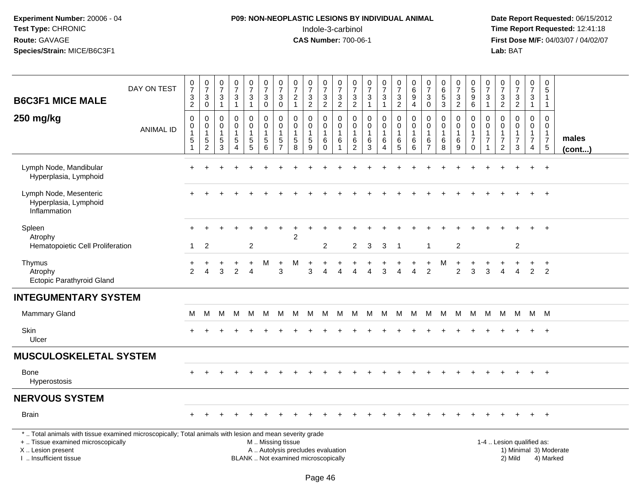## **P09: NON-NEOPLASTIC LESIONS BY INDIVIDUAL ANIMAL**Indole-3-carbinol **Time Report Requested:** 12:41:18

| <b>B6C3F1 MICE MALE</b>                                                                                                                                                                       | DAY ON TEST      | $\frac{0}{7}$<br>$\ensuremath{\mathsf{3}}$<br>$\overline{2}$               | $\frac{0}{7}$<br>$\ensuremath{\mathsf{3}}$<br>$\mathbf 0$        | $\frac{0}{7}$<br>$\ensuremath{\mathsf{3}}$<br>$\mathbf{1}$    | $\frac{0}{7}$<br>$\mathbf{3}$<br>$\mathbf{1}$                  | $\begin{array}{c} 0 \\ 7 \end{array}$<br>$\ensuremath{\mathsf{3}}$<br>$\mathbf{1}$ | $\frac{0}{7}$<br>$\sqrt{3}$<br>$\mathbf 0$                           | $\frac{0}{7}$<br>$\ensuremath{\mathsf{3}}$<br>$\mathbf 0$          | $\frac{0}{7}$<br>$\sqrt{2}$<br>$\overline{1}$                            | $\frac{0}{7}$<br>$\ensuremath{\mathsf{3}}$<br>$\overline{2}$ | $\frac{0}{7}$<br>$\frac{3}{2}$                               | $\frac{0}{7}$<br>$\frac{3}{2}$                     | $\frac{0}{7}$<br>$\frac{3}{2}$                                          | $\frac{0}{7}$<br>$\ensuremath{\mathsf{3}}$<br>$\overline{1}$ | $\frac{0}{7}$<br>$\ensuremath{\mathsf{3}}$<br>$\mathbf{1}$            | $\frac{0}{7}$<br>$\frac{3}{2}$                       | $\begin{matrix} 0 \\ 6 \end{matrix}$<br>$\overline{9}$<br>$\overline{4}$ | 0<br>$\overline{7}$<br>$\ensuremath{\mathsf{3}}$<br>$\mathbf 0$ | $\begin{array}{c} 0 \\ 6 \end{array}$<br>$\frac{5}{3}$ | $\frac{0}{7}$<br>$\ensuremath{\mathsf{3}}$<br>$\overline{c}$      | $\begin{array}{c} 0 \\ 5 \end{array}$<br>$\boldsymbol{9}$<br>6              | $\frac{0}{7}$<br>3<br>$\mathbf{1}$                           | $\frac{0}{7}$<br>$\ensuremath{\mathsf{3}}$<br>$\overline{2}$ | $\frac{0}{7}$<br>$\frac{3}{2}$                                    | $\mathbf 0$<br>$\overline{7}$<br>$\mathsf 3$<br>$\mathbf{1}$         | $\mathbf 0$<br>$\sqrt{5}$<br>$\mathbf{1}$<br>$\overline{1}$               |                        |
|-----------------------------------------------------------------------------------------------------------------------------------------------------------------------------------------------|------------------|----------------------------------------------------------------------------|------------------------------------------------------------------|---------------------------------------------------------------|----------------------------------------------------------------|------------------------------------------------------------------------------------|----------------------------------------------------------------------|--------------------------------------------------------------------|--------------------------------------------------------------------------|--------------------------------------------------------------|--------------------------------------------------------------|----------------------------------------------------|-------------------------------------------------------------------------|--------------------------------------------------------------|-----------------------------------------------------------------------|------------------------------------------------------|--------------------------------------------------------------------------|-----------------------------------------------------------------|--------------------------------------------------------|-------------------------------------------------------------------|-----------------------------------------------------------------------------|--------------------------------------------------------------|--------------------------------------------------------------|-------------------------------------------------------------------|----------------------------------------------------------------------|---------------------------------------------------------------------------|------------------------|
| 250 mg/kg                                                                                                                                                                                     | <b>ANIMAL ID</b> | $\mathbf 0$<br>$\mathsf 0$<br>$\mathbf{1}$<br>$\sqrt{5}$<br>$\overline{1}$ | $\mathbf 0$<br>0<br>$\mathbf{1}$<br>$\sqrt{5}$<br>$\overline{c}$ | $\mathbf 0$<br>$\pmb{0}$<br>$\mathbf{1}$<br>5<br>$\mathbf{3}$ | 0<br>$\mathbf 0$<br>$\mathbf 1$<br>5<br>$\boldsymbol{\Lambda}$ | 0<br>$\mathsf{O}\xspace$<br>$\mathbf{1}$<br>$\begin{array}{c} 5 \\ 5 \end{array}$  | $\mathbf 0$<br>$\pmb{0}$<br>$\overline{1}$<br>$\,$ 5 $\,$<br>$\,6\,$ | 0<br>$\mathbf 0$<br>$\overline{1}$<br>$\sqrt{5}$<br>$\overline{7}$ | $\mathbf 0$<br>$\mathbf 0$<br>$\mathbf{1}$<br>$\sqrt{5}$<br>8            | 0<br>$\mathbf 0$<br>$\,$ 5 $\,$<br>9                         | 0<br>$\mathbf 0$<br>$\overline{1}$<br>$\,6\,$<br>$\mathbf 0$ | $\mathbf 0$<br>$\pmb{0}$<br>$\mathbf{1}$<br>6<br>1 | $\mathbf 0$<br>$\mathbf 0$<br>$\mathbf{1}$<br>$\,6\,$<br>$\overline{2}$ | $\mathbf 0$<br>$\mathbf 0$<br>$\mathbf{1}$<br>$\,6\,$<br>3   | 0<br>$\mathsf{O}\xspace$<br>$\mathbf{1}$<br>$\,6\,$<br>$\overline{4}$ | $\mathbf 0$<br>$\mathbf 0$<br>$\mathbf{1}$<br>6<br>5 | $\mathbf 0$<br>0<br>$\mathbf{1}$<br>6<br>6                               | $\mathbf 0$<br>0<br>$\mathbf{1}$<br>6<br>$\overline{7}$         | $\mathbf 0$<br>$\mathbf 0$<br>$\mathbf{1}$<br>$^6_8$   | 0<br>$\mathbf 0$<br>$\overline{1}$<br>$\,6\,$<br>$\boldsymbol{9}$ | $\mathbf 0$<br>$\mathbf 0$<br>$\mathbf{1}$<br>$\overline{7}$<br>$\mathbf 0$ | $\mathbf 0$<br>$\mathbf 0$<br>$\overline{7}$<br>$\mathbf{1}$ | 0<br>0<br>$\overline{7}$<br>$\overline{2}$                   | $\mathbf 0$<br>$\mathsf 0$<br>1<br>$\overline{7}$<br>$\mathbf{3}$ | $\mathbf 0$<br>$\overline{0}$<br>$\mathbf{1}$<br>$\overline{7}$<br>4 | $\Omega$<br>$\mathbf 0$<br>$\overline{1}$<br>$\overline{7}$<br>$\sqrt{5}$ | males<br>$($ cont $$   |
| Lymph Node, Mandibular<br>Hyperplasia, Lymphoid                                                                                                                                               |                  |                                                                            |                                                                  |                                                               |                                                                |                                                                                    |                                                                      |                                                                    |                                                                          |                                                              |                                                              |                                                    |                                                                         |                                                              |                                                                       |                                                      |                                                                          |                                                                 |                                                        |                                                                   |                                                                             |                                                              |                                                              |                                                                   |                                                                      | $+$                                                                       |                        |
| Lymph Node, Mesenteric<br>Hyperplasia, Lymphoid<br>Inflammation                                                                                                                               |                  |                                                                            |                                                                  |                                                               |                                                                |                                                                                    |                                                                      |                                                                    |                                                                          |                                                              |                                                              |                                                    |                                                                         |                                                              |                                                                       |                                                      |                                                                          |                                                                 |                                                        |                                                                   |                                                                             |                                                              |                                                              |                                                                   |                                                                      | $\ddot{}$                                                                 |                        |
| Spleen<br>Atrophy                                                                                                                                                                             |                  |                                                                            |                                                                  |                                                               |                                                                |                                                                                    |                                                                      |                                                                    | 2                                                                        |                                                              |                                                              |                                                    |                                                                         |                                                              |                                                                       |                                                      |                                                                          |                                                                 |                                                        |                                                                   |                                                                             |                                                              |                                                              |                                                                   |                                                                      | $+$                                                                       |                        |
| Hematopoietic Cell Proliferation                                                                                                                                                              |                  | -1                                                                         | $\overline{c}$                                                   |                                                               |                                                                | $\overline{2}$                                                                     |                                                                      |                                                                    |                                                                          |                                                              | $\overline{c}$                                               |                                                    | $\overline{2}$                                                          | 3                                                            | 3                                                                     | $\overline{1}$                                       |                                                                          | $\mathbf{1}$                                                    |                                                        | $\overline{c}$                                                    |                                                                             |                                                              |                                                              | $\overline{2}$                                                    |                                                                      |                                                                           |                        |
| Thymus<br>Atrophy<br><b>Ectopic Parathyroid Gland</b>                                                                                                                                         |                  | ٠<br>2                                                                     | $\overline{4}$                                                   | 3                                                             | $\overline{2}$                                                 | $\ddot{}$<br>$\overline{4}$                                                        | М                                                                    | $\ddot{}$<br>3                                                     | м                                                                        | $\ddot{}$<br>3                                               | $\ddot{}$                                                    |                                                    |                                                                         |                                                              | 3                                                                     |                                                      | $\Delta$                                                                 | $\ddot{}$<br>2                                                  | м                                                      | $\overline{2}$                                                    | 3                                                                           | 3                                                            |                                                              | $\overline{4}$                                                    | 2                                                                    | $+$<br>$\overline{2}$                                                     |                        |
| <b>INTEGUMENTARY SYSTEM</b>                                                                                                                                                                   |                  |                                                                            |                                                                  |                                                               |                                                                |                                                                                    |                                                                      |                                                                    |                                                                          |                                                              |                                                              |                                                    |                                                                         |                                                              |                                                                       |                                                      |                                                                          |                                                                 |                                                        |                                                                   |                                                                             |                                                              |                                                              |                                                                   |                                                                      |                                                                           |                        |
| Mammary Gland                                                                                                                                                                                 |                  | м                                                                          | M                                                                | M                                                             | M                                                              | M                                                                                  | M                                                                    | M                                                                  |                                                                          | M M                                                          | M                                                            |                                                    | M M M                                                                   |                                                              | M                                                                     | M                                                    | M                                                                        |                                                                 | M M                                                    | - M                                                               | M                                                                           | M                                                            | M                                                            | M M M                                                             |                                                                      |                                                                           |                        |
| Skin<br>Ulcer                                                                                                                                                                                 |                  |                                                                            |                                                                  |                                                               |                                                                |                                                                                    |                                                                      |                                                                    |                                                                          |                                                              |                                                              |                                                    |                                                                         |                                                              |                                                                       |                                                      |                                                                          |                                                                 |                                                        |                                                                   |                                                                             |                                                              |                                                              |                                                                   |                                                                      | $^{+}$                                                                    |                        |
| <b>MUSCULOSKELETAL SYSTEM</b>                                                                                                                                                                 |                  |                                                                            |                                                                  |                                                               |                                                                |                                                                                    |                                                                      |                                                                    |                                                                          |                                                              |                                                              |                                                    |                                                                         |                                                              |                                                                       |                                                      |                                                                          |                                                                 |                                                        |                                                                   |                                                                             |                                                              |                                                              |                                                                   |                                                                      |                                                                           |                        |
| Bone<br>Hyperostosis                                                                                                                                                                          |                  |                                                                            |                                                                  |                                                               |                                                                |                                                                                    |                                                                      |                                                                    |                                                                          |                                                              |                                                              |                                                    |                                                                         |                                                              |                                                                       |                                                      |                                                                          |                                                                 |                                                        |                                                                   |                                                                             |                                                              |                                                              |                                                                   |                                                                      | $+$                                                                       |                        |
| <b>NERVOUS SYSTEM</b>                                                                                                                                                                         |                  |                                                                            |                                                                  |                                                               |                                                                |                                                                                    |                                                                      |                                                                    |                                                                          |                                                              |                                                              |                                                    |                                                                         |                                                              |                                                                       |                                                      |                                                                          |                                                                 |                                                        |                                                                   |                                                                             |                                                              |                                                              |                                                                   |                                                                      |                                                                           |                        |
| <b>Brain</b>                                                                                                                                                                                  |                  |                                                                            |                                                                  |                                                               |                                                                |                                                                                    |                                                                      |                                                                    |                                                                          |                                                              |                                                              |                                                    |                                                                         |                                                              |                                                                       |                                                      |                                                                          |                                                                 |                                                        |                                                                   |                                                                             |                                                              |                                                              | $\ddot{}$                                                         | $+$                                                                  | $+$                                                                       |                        |
| *  Total animals with tissue examined microscopically; Total animals with lesion and mean severity grade<br>+  Tissue examined microscopically<br>X  Lesion present<br>I. Insufficient tissue |                  |                                                                            |                                                                  |                                                               |                                                                |                                                                                    | M  Missing tissue                                                    |                                                                    | A  Autolysis precludes evaluation<br>BLANK  Not examined microscopically |                                                              |                                                              |                                                    |                                                                         |                                                              |                                                                       |                                                      |                                                                          |                                                                 |                                                        |                                                                   |                                                                             |                                                              |                                                              | 1-4  Lesion qualified as:<br>2) Mild                              |                                                                      | 4) Marked                                                                 | 1) Minimal 3) Moderate |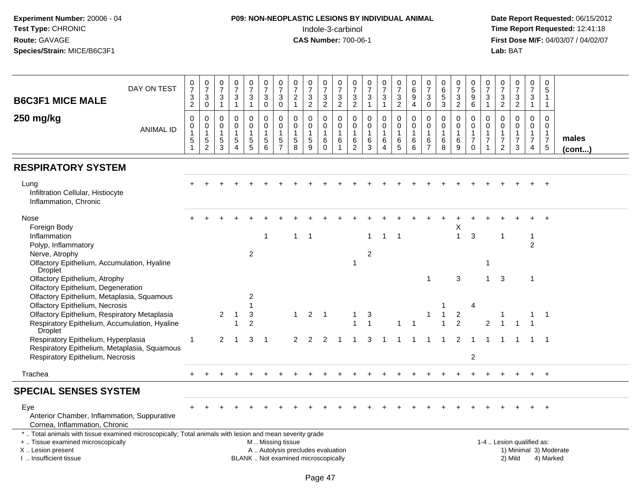## **P09: NON-NEOPLASTIC LESIONS BY INDIVIDUAL ANIMAL**Indole-3-carbinol **Time Report Requested:** 12:41:18

| <b>B6C3F1 MICE MALE</b>                                                                                                                                                                      | DAY ON TEST      | $\begin{smallmatrix}0\\7\end{smallmatrix}$<br>$\ensuremath{\mathsf{3}}$<br>2 | $\frac{0}{7}$<br>$\sqrt{3}$<br>$\mathbf 0$                         | 0<br>$\overline{7}$<br>3<br>$\mathbf{1}$          | 0<br>$\overline{7}$<br>3<br>$\mathbf{1}$                     | $\frac{0}{7}$<br>3<br>1                     | $\frac{0}{7}$<br>3<br>0                          | 0<br>$\overline{7}$<br>3<br>$\mathbf 0$                  | 0<br>$\overline{7}$<br>$\overline{c}$<br>$\mathbf{1}$        | $\frac{0}{7}$<br>$\ensuremath{\mathsf{3}}$<br>$\overline{2}$             | $\frac{0}{7}$<br>3<br>$\overline{2}$                       | $\begin{matrix} 0 \\ 7 \end{matrix}$<br>$\sqrt{3}$<br>2                | 0<br>$\overline{7}$<br>3<br>$\overline{c}$          | $\frac{0}{7}$<br>3<br>$\mathbf{1}$                  | $\frac{0}{7}$<br>3<br>$\mathbf{1}$                             | $\begin{array}{c} 0 \\ 7 \end{array}$<br>$\mathbf{3}$<br>$\overline{2}$ | $\pmb{0}$<br>$\,6\,$<br>9<br>4                    | $\begin{smallmatrix}0\\7\end{smallmatrix}$<br>$\ensuremath{\mathsf{3}}$<br>$\mathbf 0$ | 0<br>$\,6\,$<br>$\sqrt{5}$<br>$\mathbf{3}$              | $\begin{array}{c} 0 \\ 7 \end{array}$<br>$\ensuremath{\mathsf{3}}$<br>$\overline{2}$ | 0<br>5<br>9<br>6                                                           | 0<br>$\overline{7}$<br>$\mathbf{3}$<br>$\mathbf{1}$ | 0<br>$\overline{7}$<br>3<br>$\overline{2}$                                  | $\frac{0}{7}$<br>$\ensuremath{\mathsf{3}}$<br>$\overline{2}$   | $\pmb{0}$<br>$\overline{7}$<br>3<br>$\mathbf{1}$                            | $\mathbf 0$<br>$\sqrt{5}$<br>$\overline{1}$<br>$\overline{1}$             |                        |
|----------------------------------------------------------------------------------------------------------------------------------------------------------------------------------------------|------------------|------------------------------------------------------------------------------|--------------------------------------------------------------------|---------------------------------------------------|--------------------------------------------------------------|---------------------------------------------|--------------------------------------------------|----------------------------------------------------------|--------------------------------------------------------------|--------------------------------------------------------------------------|------------------------------------------------------------|------------------------------------------------------------------------|-----------------------------------------------------|-----------------------------------------------------|----------------------------------------------------------------|-------------------------------------------------------------------------|---------------------------------------------------|----------------------------------------------------------------------------------------|---------------------------------------------------------|--------------------------------------------------------------------------------------|----------------------------------------------------------------------------|-----------------------------------------------------|-----------------------------------------------------------------------------|----------------------------------------------------------------|-----------------------------------------------------------------------------|---------------------------------------------------------------------------|------------------------|
| 250 mg/kg                                                                                                                                                                                    | <b>ANIMAL ID</b> | $\mathbf 0$<br>$\mathbf 0$<br>$\overline{1}$<br>$\sqrt{5}$<br>$\mathbf{1}$   | $\Omega$<br>$\mathsf{O}\xspace$<br>$\overline{1}$<br>$\frac{5}{2}$ | $\Omega$<br>$\mathbf 0$<br>$\mathbf{1}$<br>5<br>3 | $\Omega$<br>$\mathbf 0$<br>1<br>$\sqrt{5}$<br>$\overline{4}$ | 0<br>$\mathbf 0$<br>$\,$ 5 $\,$<br>5        | $\Omega$<br>$\mathsf{O}$<br>1<br>$\sqrt{5}$<br>6 | $\Omega$<br>$\mathbf 0$<br>$\mathbf{1}$<br>$\frac{5}{7}$ | $\Omega$<br>$\mathbf 0$<br>$\overline{1}$<br>$\sqrt{5}$<br>8 | $\mathbf 0$<br>$\mathbf 0$<br>$\mathbf{1}$<br>$\sqrt{5}$<br>9            | 0<br>$\mathbf 0$<br>$\overline{1}$<br>$\,6$<br>$\mathbf 0$ | $\Omega$<br>$\mathbf 0$<br>$\overline{1}$<br>$\,6\,$<br>$\overline{1}$ | $\Omega$<br>0<br>$\mathbf 1$<br>6<br>$\overline{c}$ | 0<br>$\pmb{0}$<br>$\mathbf{1}$<br>6<br>$\mathbf{3}$ | $\Omega$<br>$\mathbf 0$<br>$\mathbf{1}$<br>6<br>$\overline{4}$ | $\mathbf 0$<br>$\mathbf 0$<br>$\mathbf{1}$<br>$6\over 5$                | $\Omega$<br>$\pmb{0}$<br>$\overline{1}$<br>6<br>6 | $\mathbf 0$<br>$\pmb{0}$<br>$\overline{1}$<br>6<br>$\overline{7}$                      | $\Omega$<br>$\mathbf 0$<br>$\mathbf{1}$<br>$\,6\,$<br>8 | $\Omega$<br>$\mathbf 0$<br>$\mathbf{1}$<br>$6\phantom{1}6$<br>9                      | $\Omega$<br>$\mathbf 0$<br>$\overline{1}$<br>$\overline{7}$<br>$\mathbf 0$ | $\Omega$<br>$\mathbf 0$<br>1<br>$\overline{7}$      | $\Omega$<br>$\mathbf 0$<br>$\mathbf{1}$<br>$\overline{7}$<br>$\overline{c}$ | $\Omega$<br>$\mathsf 0$<br>$\mathbf{1}$<br>$\overline{7}$<br>3 | $\Omega$<br>$\mathbf 0$<br>$\mathbf{1}$<br>$\overline{7}$<br>$\overline{4}$ | $\Omega$<br>$\mathbf 0$<br>$\overline{1}$<br>$\overline{7}$<br>$\sqrt{5}$ | males<br>(cont)        |
| <b>RESPIRATORY SYSTEM</b>                                                                                                                                                                    |                  |                                                                              |                                                                    |                                                   |                                                              |                                             |                                                  |                                                          |                                                              |                                                                          |                                                            |                                                                        |                                                     |                                                     |                                                                |                                                                         |                                                   |                                                                                        |                                                         |                                                                                      |                                                                            |                                                     |                                                                             |                                                                |                                                                             |                                                                           |                        |
| Lung<br>Infiltration Cellular, Histiocyte<br>Inflammation, Chronic                                                                                                                           |                  |                                                                              |                                                                    |                                                   |                                                              |                                             |                                                  |                                                          |                                                              |                                                                          |                                                            |                                                                        |                                                     |                                                     |                                                                |                                                                         |                                                   |                                                                                        |                                                         |                                                                                      |                                                                            |                                                     |                                                                             |                                                                |                                                                             |                                                                           |                        |
| Nose                                                                                                                                                                                         |                  |                                                                              |                                                                    |                                                   |                                                              |                                             |                                                  |                                                          |                                                              |                                                                          |                                                            |                                                                        |                                                     |                                                     |                                                                |                                                                         |                                                   |                                                                                        |                                                         |                                                                                      |                                                                            |                                                     |                                                                             |                                                                |                                                                             |                                                                           |                        |
| Foreign Body<br>Inflammation<br>Polyp, Inflammatory<br>Nerve, Atrophy                                                                                                                        |                  |                                                                              |                                                                    |                                                   |                                                              | 2                                           | -1                                               |                                                          | $\mathbf{1}$                                                 | $\overline{\phantom{0}}$ 1                                               |                                                            |                                                                        |                                                     | $\mathbf{1}$<br>2                                   | $\overline{1}$                                                 | $\overline{\phantom{0}}$                                                |                                                   |                                                                                        |                                                         | Χ<br>$\mathbf{1}$                                                                    | 3                                                                          |                                                     |                                                                             |                                                                | 2                                                                           |                                                                           |                        |
| Olfactory Epithelium, Accumulation, Hyaline<br>Droplet                                                                                                                                       |                  |                                                                              |                                                                    |                                                   |                                                              |                                             |                                                  |                                                          |                                                              |                                                                          |                                                            |                                                                        | 1                                                   |                                                     |                                                                |                                                                         |                                                   |                                                                                        |                                                         |                                                                                      |                                                                            | $\mathbf 1$                                         |                                                                             |                                                                |                                                                             |                                                                           |                        |
| Olfactory Epithelium, Atrophy<br>Olfactory Epithelium, Degeneration                                                                                                                          |                  |                                                                              |                                                                    |                                                   |                                                              |                                             |                                                  |                                                          |                                                              |                                                                          |                                                            |                                                                        |                                                     |                                                     |                                                                |                                                                         |                                                   | $\overline{1}$                                                                         |                                                         | 3                                                                                    |                                                                            | 1                                                   | 3                                                                           |                                                                | -1                                                                          |                                                                           |                        |
| Olfactory Epithelium, Metaplasia, Squamous<br><b>Olfactory Epithelium, Necrosis</b>                                                                                                          |                  |                                                                              |                                                                    |                                                   |                                                              | 2<br>1                                      |                                                  |                                                          |                                                              |                                                                          |                                                            |                                                                        |                                                     |                                                     |                                                                |                                                                         |                                                   |                                                                                        |                                                         |                                                                                      | 4                                                                          |                                                     |                                                                             |                                                                |                                                                             |                                                                           |                        |
| Olfactory Epithelium, Respiratory Metaplasia<br>Respiratory Epithelium, Accumulation, Hyaline<br>Droplet                                                                                     |                  |                                                                              |                                                                    | 2                                                 | -1<br>1                                                      | $\ensuremath{\mathsf{3}}$<br>$\overline{2}$ |                                                  |                                                          | $\mathbf{1}$                                                 | $\overline{2}$                                                           | $\overline{\phantom{1}}$                                   |                                                                        |                                                     | 3                                                   |                                                                |                                                                         |                                                   |                                                                                        |                                                         | $\boldsymbol{2}$<br>$\overline{2}$                                                   |                                                                            | 2                                                   |                                                                             |                                                                |                                                                             | - 1                                                                       |                        |
| Respiratory Epithelium, Hyperplasia<br>Respiratory Epithelium, Metaplasia, Squamous                                                                                                          |                  | $\overline{1}$                                                               |                                                                    | $\mathcal{P}$                                     | -1                                                           | 3                                           | $\overline{1}$                                   |                                                          | 2                                                            | 2                                                                        | 2                                                          |                                                                        |                                                     | 3                                                   |                                                                |                                                                         |                                                   |                                                                                        | -1                                                      | 2                                                                                    |                                                                            |                                                     |                                                                             |                                                                |                                                                             | - 1                                                                       |                        |
| Respiratory Epithelium, Necrosis                                                                                                                                                             |                  |                                                                              |                                                                    |                                                   |                                                              |                                             |                                                  |                                                          |                                                              |                                                                          |                                                            |                                                                        |                                                     |                                                     |                                                                |                                                                         |                                                   |                                                                                        |                                                         |                                                                                      | $\overline{c}$                                                             |                                                     |                                                                             |                                                                |                                                                             |                                                                           |                        |
| Trachea                                                                                                                                                                                      |                  | $+$                                                                          |                                                                    |                                                   |                                                              |                                             |                                                  |                                                          |                                                              |                                                                          |                                                            |                                                                        |                                                     |                                                     |                                                                |                                                                         |                                                   |                                                                                        |                                                         |                                                                                      |                                                                            |                                                     |                                                                             |                                                                | $+$                                                                         | $+$                                                                       |                        |
| <b>SPECIAL SENSES SYSTEM</b>                                                                                                                                                                 |                  |                                                                              |                                                                    |                                                   |                                                              |                                             |                                                  |                                                          |                                                              |                                                                          |                                                            |                                                                        |                                                     |                                                     |                                                                |                                                                         |                                                   |                                                                                        |                                                         |                                                                                      |                                                                            |                                                     |                                                                             |                                                                |                                                                             |                                                                           |                        |
| Eye<br>Anterior Chamber, Inflammation, Suppurative<br>Cornea, Inflammation, Chronic                                                                                                          |                  |                                                                              |                                                                    |                                                   |                                                              |                                             |                                                  |                                                          |                                                              |                                                                          |                                                            |                                                                        |                                                     |                                                     |                                                                |                                                                         |                                                   |                                                                                        |                                                         |                                                                                      |                                                                            |                                                     |                                                                             |                                                                |                                                                             |                                                                           |                        |
| *  Total animals with tissue examined microscopically; Total animals with lesion and mean severity grade<br>+  Tissue examined microscopically<br>X Lesion present<br>I  Insufficient tissue |                  |                                                                              |                                                                    |                                                   |                                                              |                                             | M. Missing tissue                                |                                                          |                                                              | A  Autolysis precludes evaluation<br>BLANK  Not examined microscopically |                                                            |                                                                        |                                                     |                                                     |                                                                |                                                                         |                                                   |                                                                                        |                                                         |                                                                                      |                                                                            |                                                     |                                                                             | 1-4  Lesion qualified as:<br>2) Mild                           |                                                                             | 4) Marked                                                                 | 1) Minimal 3) Moderate |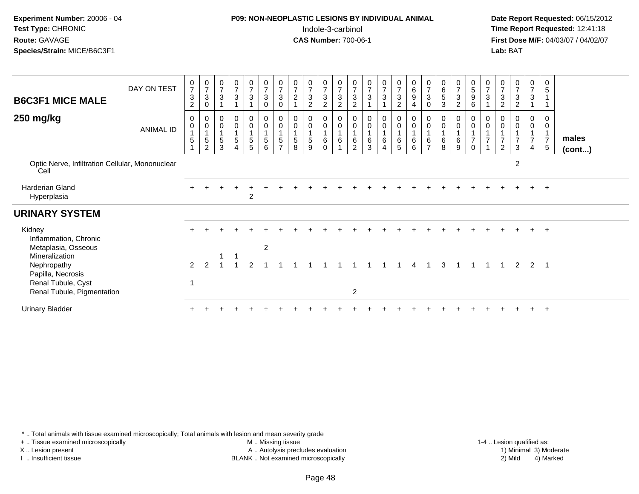#### **P09: NON-NEOPLASTIC LESIONS BY INDIVIDUAL ANIMAL**Indole-3-carbinol **Time Report Requested:** 12:41:18

 **Date Report Requested:** 06/15/2012 **First Dose M/F:** 04/03/07 / 04/02/07<br>**Lab:** BAT **Lab:** BAT

| <b>B6C3F1 MICE MALE</b><br>250 mg/kg                                     | DAY ON TEST<br>ANIMAL ID | $\frac{0}{7}$<br>$\sqrt{3}$<br>$\overline{c}$<br>0<br>$\mathbf 0$ | $\frac{0}{7}$<br>$\sqrt{3}$<br>0<br>0<br>$\pmb{0}$ | $\frac{0}{7}$<br>$\sqrt{3}$<br>0<br>$\pmb{0}$ | $\frac{0}{7}$<br>$\mathsf 3$<br>0<br>$\overline{0}$<br>1 | $\begin{array}{c} 0 \\ 7 \\ 3 \end{array}$<br>$\mathbf 0$<br>$\mathbf 0$ | $\begin{array}{c} 0 \\ 7 \\ 3 \end{array}$<br>$\mathbf 0$<br>$\mathbf 0$<br>$\mathsf{O}\xspace$ | $\frac{0}{7}$<br>$\mathbf{3}$<br>$\mathbf 0$<br>0<br>$\mathsf{O}\xspace$ | $\frac{0}{7}$<br>$\overline{c}$<br>$\overline{1}$<br>0<br>$\pmb{0}$ | $\frac{0}{7}$<br>$\mathfrak{B}$<br>2<br>0<br>$\pmb{0}$ | $\frac{0}{7}$<br>$\mathsf 3$<br>2<br>0<br>$\pmb{0}$ | $\frac{0}{7}$<br>$\overline{3}$<br>$\overline{2}$<br>0<br>$\pmb{0}$ | $\frac{0}{7}$<br>$\mathbf{3}$<br>$\overline{2}$<br>$\bf{0}$<br>$\boldsymbol{0}$ | $\begin{array}{c} 0 \\ 7 \\ 3 \end{array}$<br>0<br>$\pmb{0}$ | $\frac{0}{7}$<br>$\mathbf{3}$<br>0<br>$\mathbf 0$ | $\frac{0}{7}$<br>$\mathfrak{Z}$<br>$\overline{c}$<br>0<br>$\mathbf 0$ | $\begin{matrix} 0 \\ 6 \\ 9 \end{matrix}$<br>4<br>0<br>$\pmb{0}$ | 0<br>$\overline{7}$<br>$\sqrt{3}$<br>0<br>0<br>0 | $\begin{matrix} 0 \\ 6 \\ 5 \end{matrix}$<br>3<br>0<br>$\pmb{0}$ | $\frac{0}{7}$<br>3<br>$\overline{2}$<br>0<br>$\pmb{0}$ | $\begin{array}{c} 0 \\ 5 \\ 9 \end{array}$<br>6<br>0<br>$\pmb{0}$ | 0<br>$\overline{7}$<br>$\mathbf{3}$<br>0<br>$\mathbf 0$ | $\frac{0}{7}$<br>3<br>$\overline{c}$<br>$\mathbf 0$ | $\frac{0}{7}$<br>$\mathbf{3}$<br>$\overline{2}$<br>0<br>$\pmb{0}$ | 0<br>$\overline{7}$<br>3<br>0<br>0 | 0<br>$\sqrt{5}$<br>0<br>0    |                       |
|--------------------------------------------------------------------------|--------------------------|-------------------------------------------------------------------|----------------------------------------------------|-----------------------------------------------|----------------------------------------------------------|--------------------------------------------------------------------------|-------------------------------------------------------------------------------------------------|--------------------------------------------------------------------------|---------------------------------------------------------------------|--------------------------------------------------------|-----------------------------------------------------|---------------------------------------------------------------------|---------------------------------------------------------------------------------|--------------------------------------------------------------|---------------------------------------------------|-----------------------------------------------------------------------|------------------------------------------------------------------|--------------------------------------------------|------------------------------------------------------------------|--------------------------------------------------------|-------------------------------------------------------------------|---------------------------------------------------------|-----------------------------------------------------|-------------------------------------------------------------------|------------------------------------|------------------------------|-----------------------|
|                                                                          |                          | $\mathbf{1}$<br>$\mathbf 5$<br>$\overline{1}$                     | $\overline{4}$<br>$\,$ 5 $\,$<br>$\overline{c}$    | $\overline{1}$<br>$\frac{5}{3}$               | $\sqrt{5}$<br>$\overline{4}$                             | $\mathbf{1}$<br>$\sqrt{5}$<br>5                                          | $\mathbf{1}$<br>5<br>6                                                                          | $\mathbf{1}$<br>5<br>$\overline{ }$                                      | $\mathbf{1}$<br>$\overline{5}$<br>8                                 | $\sqrt{5}$<br>9                                        | $\mathbf{1}$<br>$\,6\,$<br>$\mathbf 0$              | $\mathbf{1}$<br>$\,6\,$                                             | $\mathbf{1}$<br>$\,6\,$<br>2                                                    | $\mathbf 1$<br>$\,6\,$<br>3                                  | 6<br>$\overline{4}$                               | $\overline{1}$<br>6<br>5                                              | $\overline{A}$<br>$\,6$<br>6                                     | $\,6\,$                                          | $\,6\,$<br>8                                                     | $\mathbf{1}$<br>6<br>9                                 | $\mathbf{1}$<br>$\overline{7}$<br>$\mathbf 0$                     | $\overline{7}$                                          | $\overline{7}$<br>$\overline{2}$                    | $\overline{7}$<br>$\mathbf{3}$                                    | $\overline{7}$<br>$\overline{4}$   | $\overline{7}$<br>$\sqrt{5}$ | males<br>$($ cont $)$ |
| Optic Nerve, Infiltration Cellular, Mononuclear<br>Cell                  |                          |                                                                   |                                                    |                                               |                                                          |                                                                          |                                                                                                 |                                                                          |                                                                     |                                                        |                                                     |                                                                     |                                                                                 |                                                              |                                                   |                                                                       |                                                                  |                                                  |                                                                  |                                                        |                                                                   |                                                         |                                                     | $\overline{c}$                                                    |                                    |                              |                       |
| Harderian Gland<br>Hyperplasia                                           |                          |                                                                   |                                                    |                                               |                                                          | $\overline{c}$                                                           |                                                                                                 |                                                                          |                                                                     |                                                        |                                                     |                                                                     |                                                                                 |                                                              |                                                   |                                                                       |                                                                  |                                                  |                                                                  |                                                        |                                                                   |                                                         |                                                     |                                                                   | $+$                                | $+$                          |                       |
| <b>URINARY SYSTEM</b>                                                    |                          |                                                                   |                                                    |                                               |                                                          |                                                                          |                                                                                                 |                                                                          |                                                                     |                                                        |                                                     |                                                                     |                                                                                 |                                                              |                                                   |                                                                       |                                                                  |                                                  |                                                                  |                                                        |                                                                   |                                                         |                                                     |                                                                   |                                    |                              |                       |
| Kidney<br>Inflammation, Chronic<br>Metaplasia, Osseous                   |                          |                                                                   |                                                    |                                               |                                                          |                                                                          | $\overline{2}$                                                                                  |                                                                          |                                                                     |                                                        |                                                     |                                                                     |                                                                                 |                                                              |                                                   |                                                                       |                                                                  |                                                  |                                                                  |                                                        |                                                                   |                                                         |                                                     |                                                                   |                                    | $+$                          |                       |
| Mineralization<br>Nephropathy<br>Papilla, Necrosis<br>Renal Tubule, Cyst |                          | $\mathcal{P}$                                                     |                                                    |                                               |                                                          |                                                                          |                                                                                                 |                                                                          |                                                                     |                                                        |                                                     |                                                                     | 2                                                                               |                                                              |                                                   |                                                                       |                                                                  |                                                  |                                                                  |                                                        |                                                                   |                                                         |                                                     | 2                                                                 | 2                                  |                              |                       |
| Renal Tubule, Pigmentation<br><b>Urinary Bladder</b>                     |                          |                                                                   |                                                    |                                               |                                                          |                                                                          |                                                                                                 |                                                                          |                                                                     |                                                        |                                                     |                                                                     |                                                                                 |                                                              |                                                   |                                                                       |                                                                  |                                                  |                                                                  |                                                        |                                                                   |                                                         |                                                     |                                                                   |                                    |                              |                       |

\* .. Total animals with tissue examined microscopically; Total animals with lesion and mean severity grade

+ .. Tissue examined microscopically

X .. Lesion present

I .. Insufficient tissue

 M .. Missing tissueA .. Autolysis precludes evaluation

1-4 .. Lesion qualified as:<br>1) Minimal 3) Moderate BLANK .. Not examined microscopically 2) Mild 4) Marked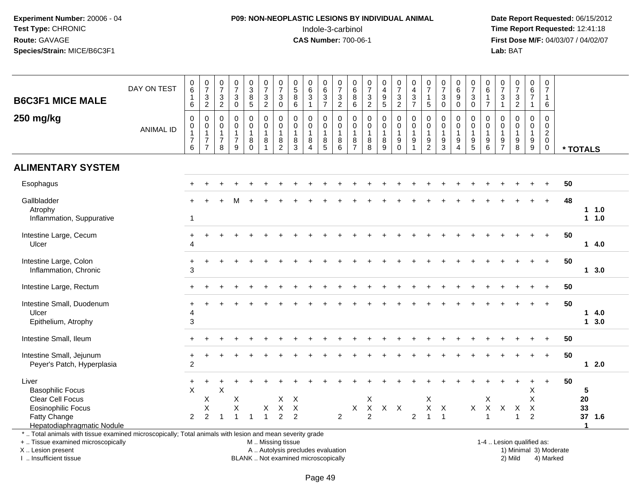# **P09: NON-NEOPLASTIC LESIONS BY INDIVIDUAL ANIMAL**Indole-3-carbinol **Time Report Requested:** 12:41:18

 **Date Report Requested:** 06/15/2012 **First Dose M/F:** 04/03/07 / 04/02/07<br>Lab: BAT **Lab:** BAT

| <b>B6C3F1 MICE MALE</b>                                                                                                                                                                       | DAY ON TEST      | 0<br>6<br>$\mathbf{1}$<br>6                             | $\frac{0}{7}$<br>$\frac{3}{2}$                                       | $\frac{0}{7}$<br>$\frac{3}{2}$                                    | $\begin{array}{c} 0 \\ 7 \end{array}$<br>$_{0}^{3}$ | $\pmb{0}$<br>$\overline{3}$<br>$\frac{8}{5}$                  | 0<br>$\overline{7}$<br>$\frac{3}{2}$                                | 0<br>$\overline{7}$<br>$\sqrt{3}$<br>$\mathbf 0$                  | 0<br>$\overline{5}$<br>$\bf8$<br>6                                       | 0<br>$6\phantom{a}$<br>$\mathbf{3}$<br>$\mathbf{1}$   | 0<br>$6\phantom{a}$<br>$\frac{3}{7}$                      | $\begin{array}{c} 0 \\ 7 \end{array}$<br>$\frac{3}{2}$ | 0<br>$6\phantom{a}$<br>$\bf 8$<br>$\,6\,$              | $\frac{0}{7}$<br>$\frac{3}{2}$                                                            | 0<br>$\overline{\mathbf{4}}$<br>$\boldsymbol{9}$<br>$\overline{5}$ | $\begin{array}{c} 0 \\ 7 \end{array}$<br>$\frac{3}{2}$      | 0<br>$\overline{\mathbf{4}}$<br>$\frac{3}{7}$ | 0<br>$\overline{7}$<br>$\mathbf{1}$<br>$\overline{5}$       | $\frac{0}{7}$<br>$\mathbf{3}$<br>$\mathbf 0$            | $\begin{array}{c} 0 \\ 6 \end{array}$<br>$\boldsymbol{9}$<br>$\mathbf 0$ | $\frac{0}{7}$<br>$\ensuremath{\mathsf{3}}$<br>$\mathbf 0$                             | $\begin{array}{c} 0 \\ 6 \end{array}$<br>$\frac{1}{7}$                                | $\frac{0}{7}$<br>$\ensuremath{\mathsf{3}}$<br>$\mathbf{1}$        | $\begin{array}{c} 0 \\ 7 \end{array}$<br>$\frac{3}{2}$ | $\pmb{0}$<br>6<br>$\overline{7}$<br>$\mathbf{1}$     | 0<br>$\overline{7}$<br>$\mathbf{1}$<br>6          |                        |                                |                   |
|-----------------------------------------------------------------------------------------------------------------------------------------------------------------------------------------------|------------------|---------------------------------------------------------|----------------------------------------------------------------------|-------------------------------------------------------------------|-----------------------------------------------------|---------------------------------------------------------------|---------------------------------------------------------------------|-------------------------------------------------------------------|--------------------------------------------------------------------------|-------------------------------------------------------|-----------------------------------------------------------|--------------------------------------------------------|--------------------------------------------------------|-------------------------------------------------------------------------------------------|--------------------------------------------------------------------|-------------------------------------------------------------|-----------------------------------------------|-------------------------------------------------------------|---------------------------------------------------------|--------------------------------------------------------------------------|---------------------------------------------------------------------------------------|---------------------------------------------------------------------------------------|-------------------------------------------------------------------|--------------------------------------------------------|------------------------------------------------------|---------------------------------------------------|------------------------|--------------------------------|-------------------|
|                                                                                                                                                                                               |                  |                                                         |                                                                      |                                                                   |                                                     |                                                               |                                                                     |                                                                   |                                                                          |                                                       |                                                           |                                                        |                                                        |                                                                                           |                                                                    |                                                             |                                               |                                                             |                                                         |                                                                          |                                                                                       |                                                                                       |                                                                   |                                                        |                                                      |                                                   |                        |                                |                   |
| 250 mg/kg                                                                                                                                                                                     | <b>ANIMAL ID</b> | $\mathbf 0$<br>0<br>$\mathbf{1}$<br>$\overline{7}$<br>6 | $\mathbf 0$<br>0<br>$\mathbf{1}$<br>$\overline{7}$<br>$\overline{7}$ | $\mathbf 0$<br>$\mathbf 0$<br>$\mathbf{1}$<br>$\overline{7}$<br>8 | $\pmb{0}$<br>0<br>1<br>$\overline{7}$<br>9          | $\mathbf 0$<br>$\mathbf 0$<br>$\overline{1}$<br>8<br>$\Omega$ | $\mathbf 0$<br>$\mathbf 0$<br>$\overline{1}$<br>8<br>$\overline{1}$ | $\mathbf 0$<br>$\mathbf 0$<br>$\mathbf{1}$<br>8<br>$\overline{2}$ | $\mathbf 0$<br>$\mathbf 0$<br>$\mathbf{1}$<br>8<br>3                     | 0<br>0<br>$\mathbf{1}$<br>8<br>$\boldsymbol{\Lambda}$ | $\mathbf 0$<br>0<br>$\overline{1}$<br>8<br>$\overline{5}$ | $\mathbf 0$<br>0<br>$\mathbf{1}$<br>8<br>6             | $\mathbf 0$<br>$\mathbf 0$<br>1<br>8<br>$\overline{7}$ | $\begin{smallmatrix} 0\\0 \end{smallmatrix}$<br>$\mathbf{1}$<br>$\bf 8$<br>$\overline{8}$ | $\mathbf 0$<br>0<br>$\mathbf{1}$<br>$\bf 8$<br>9                   | $\mathbf 0$<br>$\mathbf 0$<br>$\mathbf{1}$<br>9<br>$\Omega$ | $\mathbf 0$<br>$\mathbf 0$<br>1<br>9          | $\mathbf 0$<br>$\mathbf 0$<br>$\mathbf{1}$<br>$\frac{9}{2}$ | $\mathbf 0$<br>0<br>$\mathbf{1}$<br>9<br>$\overline{3}$ | 0<br>$\mathbf 0$<br>$\mathbf{1}$<br>$\boldsymbol{9}$<br>$\overline{4}$   | $\mathbf 0$<br>$\mathbf 0$<br>$\overline{1}$<br>$\begin{array}{c} 9 \\ 5 \end{array}$ | $\mathbf 0$<br>$\mathbf 0$<br>$\overline{1}$<br>$\begin{array}{c} 9 \\ 6 \end{array}$ | $\mathbf 0$<br>$\mathbf 0$<br>$\mathbf{1}$<br>9<br>$\overline{7}$ | $\mathbf 0$<br>0<br>$\mathbf{1}$<br>$_{\rm 8}^{\rm 9}$ | $\mathbf 0$<br>$\mathbf 0$<br>$\mathbf{1}$<br>9<br>9 | $\Omega$<br>0<br>$\overline{a}$<br>0<br>$\pmb{0}$ |                        | * TOTALS                       |                   |
| <b>ALIMENTARY SYSTEM</b>                                                                                                                                                                      |                  |                                                         |                                                                      |                                                                   |                                                     |                                                               |                                                                     |                                                                   |                                                                          |                                                       |                                                           |                                                        |                                                        |                                                                                           |                                                                    |                                                             |                                               |                                                             |                                                         |                                                                          |                                                                                       |                                                                                       |                                                                   |                                                        |                                                      |                                                   |                        |                                |                   |
| Esophagus                                                                                                                                                                                     |                  |                                                         |                                                                      |                                                                   |                                                     |                                                               |                                                                     |                                                                   |                                                                          |                                                       |                                                           |                                                        |                                                        |                                                                                           |                                                                    |                                                             |                                               |                                                             |                                                         |                                                                          |                                                                                       |                                                                                       |                                                                   |                                                        |                                                      |                                                   | 50                     |                                |                   |
| Gallbladder<br>Atrophy<br>Inflammation, Suppurative                                                                                                                                           |                  | $\mathbf{1}$                                            |                                                                      |                                                                   | м                                                   |                                                               |                                                                     |                                                                   |                                                                          |                                                       |                                                           |                                                        |                                                        |                                                                                           |                                                                    |                                                             |                                               |                                                             |                                                         |                                                                          |                                                                                       |                                                                                       |                                                                   |                                                        |                                                      | $+$                                               | 48                     |                                | $1 \t1.0$<br>11.0 |
| Intestine Large, Cecum<br>Ulcer                                                                                                                                                               |                  | $\div$<br>Δ                                             |                                                                      |                                                                   |                                                     |                                                               |                                                                     |                                                                   |                                                                          |                                                       |                                                           |                                                        |                                                        |                                                                                           |                                                                    |                                                             |                                               |                                                             |                                                         |                                                                          |                                                                                       |                                                                                       |                                                                   |                                                        |                                                      |                                                   | 50                     |                                | 14.0              |
| Intestine Large, Colon<br>Inflammation, Chronic                                                                                                                                               |                  | 3                                                       |                                                                      |                                                                   |                                                     |                                                               |                                                                     |                                                                   |                                                                          |                                                       |                                                           |                                                        |                                                        |                                                                                           |                                                                    |                                                             |                                               |                                                             |                                                         |                                                                          |                                                                                       |                                                                                       |                                                                   |                                                        |                                                      | $+$                                               | 50                     |                                | 13.0              |
| Intestine Large, Rectum                                                                                                                                                                       |                  |                                                         |                                                                      |                                                                   |                                                     |                                                               |                                                                     |                                                                   |                                                                          |                                                       |                                                           |                                                        |                                                        |                                                                                           |                                                                    |                                                             |                                               |                                                             |                                                         |                                                                          |                                                                                       |                                                                                       |                                                                   |                                                        |                                                      |                                                   | 50                     |                                |                   |
| Intestine Small, Duodenum<br>Ulcer<br>Epithelium, Atrophy                                                                                                                                     |                  | 4<br>3                                                  |                                                                      |                                                                   |                                                     |                                                               |                                                                     |                                                                   |                                                                          |                                                       |                                                           |                                                        |                                                        |                                                                                           |                                                                    |                                                             |                                               |                                                             |                                                         |                                                                          |                                                                                       |                                                                                       |                                                                   |                                                        |                                                      | $+$                                               | 50                     | 1                              | 4.0<br>13.0       |
| Intestine Small, Ileum                                                                                                                                                                        |                  |                                                         |                                                                      |                                                                   |                                                     |                                                               |                                                                     |                                                                   |                                                                          |                                                       |                                                           |                                                        |                                                        |                                                                                           |                                                                    |                                                             |                                               |                                                             |                                                         |                                                                          |                                                                                       |                                                                                       |                                                                   |                                                        |                                                      |                                                   | 50                     |                                |                   |
| Intestine Small, Jejunum<br>Peyer's Patch, Hyperplasia                                                                                                                                        |                  | +<br>$\overline{c}$                                     |                                                                      |                                                                   |                                                     |                                                               |                                                                     |                                                                   |                                                                          |                                                       |                                                           |                                                        |                                                        |                                                                                           |                                                                    |                                                             |                                               |                                                             |                                                         |                                                                          |                                                                                       |                                                                                       |                                                                   |                                                        |                                                      | $\ddot{+}$                                        | 50                     |                                | $12.0$            |
| Liver<br><b>Basophilic Focus</b><br>Clear Cell Focus                                                                                                                                          |                  | $\div$<br>$\times$                                      | Χ<br>X                                                               | X                                                                 | X<br>X                                              |                                                               |                                                                     | X<br>$\mathsf X$                                                  | $\boldsymbol{\mathsf{X}}$<br>$\times$                                    |                                                       |                                                           |                                                        |                                                        | X<br>$\mathsf X$                                                                          | $X$ $X$                                                            |                                                             |                                               | X<br>X                                                      | $\mathsf{X}$                                            |                                                                          | $\mathsf{X}$                                                                          | X<br>$\mathsf X$                                                                      | $\mathsf{X}$                                                      |                                                        | Х<br>X                                               | $\overline{+}$                                    | 50                     | 5<br>20<br>33                  |                   |
| <b>Eosinophilic Focus</b><br>Fatty Change<br>Hepatodiaphragmatic Nodule                                                                                                                       |                  | $\overline{2}$                                          | 2                                                                    | 1                                                                 | $\overline{1}$                                      | -1                                                            | X<br>$\overline{1}$                                                 | $\overline{2}$                                                    | $\overline{2}$                                                           |                                                       |                                                           | 2                                                      | X                                                      | $\overline{2}$                                                                            |                                                                    |                                                             | 2                                             | $\overline{1}$                                              | $\overline{1}$                                          |                                                                          |                                                                                       | -1                                                                                    |                                                                   | X<br>$\mathbf{1}$                                      | $\boldsymbol{\mathsf{X}}$<br>$\overline{2}$          |                                                   |                        | 37 1.6<br>$\blacktriangleleft$ |                   |
| *  Total animals with tissue examined microscopically; Total animals with lesion and mean severity grade<br>+  Tissue examined microscopically<br>X  Lesion present<br>I  Insufficient tissue |                  |                                                         |                                                                      |                                                                   |                                                     |                                                               | M  Missing tissue                                                   |                                                                   | A  Autolysis precludes evaluation<br>BLANK  Not examined microscopically |                                                       |                                                           |                                                        |                                                        |                                                                                           |                                                                    |                                                             |                                               |                                                             |                                                         |                                                                          |                                                                                       |                                                                                       |                                                                   | 1-4  Lesion qualified as:<br>2) Mild                   |                                                      | 4) Marked                                         | 1) Minimal 3) Moderate |                                |                   |

I .. Insufficient tissue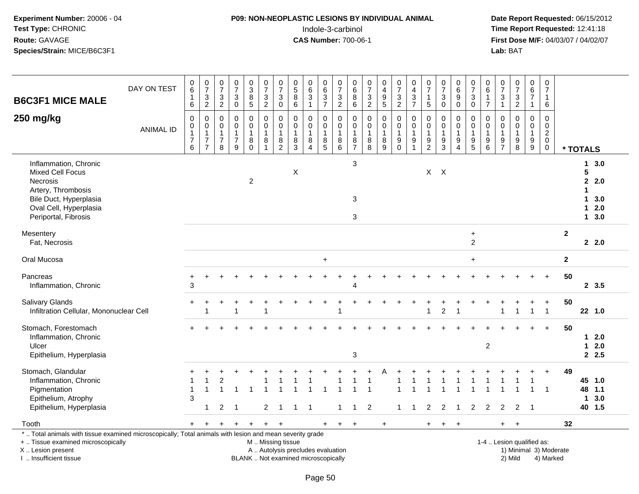## **P09: NON-NEOPLASTIC LESIONS BY INDIVIDUAL ANIMAL**Indole-3-carbinol **Time Report Requested:** 12:41:18

 **Date Report Requested:** 06/15/2012 **First Dose M/F:** 04/03/07 / 04/02/07<br>Lab: BAT **Lab:** BAT

| <b>B6C3F1 MICE MALE</b>                                                                                                                                               | DAY ON TEST      | $_{6}^{\rm 0}$<br>1<br>6                                | $\begin{array}{c} 0 \\ 7 \end{array}$<br>$\ensuremath{\mathsf{3}}$<br>$\overline{2}$ | $\begin{array}{c} 0 \\ 7 \end{array}$<br>$\ensuremath{\mathsf{3}}$<br>$\overline{c}$ | $\frac{0}{7}$<br>$\sqrt{3}$<br>$\mathbf 0$            | $_{3}^{\rm 0}$<br>$\overline{8}$<br>$\overline{5}$ | $\frac{0}{7}$<br>$\sqrt{3}$<br>$\sqrt{2}$                 | $\frac{0}{7}$<br>3<br>$\mathbf 0$       | $\begin{array}{c} 0 \\ 5 \end{array}$<br>$\bf 8$<br>$6\phantom{1}$ | $_6^0$<br>$\overline{3}$<br>$\mathbf{1}$                | $_{6}^{\rm 0}$<br>$\frac{3}{7}$            | $\frac{0}{7}$<br>$\frac{3}{2}$             | $\begin{array}{c} 0 \\ 6 \end{array}$<br>$\,8\,$<br>$\,6\,$ | $\begin{smallmatrix}0\\7\end{smallmatrix}$<br>$\frac{3}{2}$   | $\begin{smallmatrix}0\0\4\end{smallmatrix}$<br>9<br>5 | $\frac{0}{7}$<br>$\frac{3}{2}$                         | $_4^{\rm O}$<br>$\ensuremath{\mathsf{3}}$<br>$\overline{7}$ | $\frac{0}{7}$<br>$\mathbf{1}$<br>$\sqrt{5}$             | $\frac{0}{7}$<br>$\ensuremath{\mathsf{3}}$<br>$\mathbf 0$ | $\begin{array}{c} 0 \\ 6 \end{array}$<br>$\boldsymbol{9}$<br>$\mathbf 0$ | 0<br>$\overline{7}$<br>$\sqrt{3}$<br>$\mathbf 0$          | 0<br>$\,6\,$<br>$\mathbf{1}$<br>$\overline{7}$ | $\frac{0}{7}$<br>$\sqrt{3}$<br>$\mathbf{1}$                                      | $\frac{0}{7}$<br>3<br>$\overline{2}$         | $_{6}^{\rm 0}$<br>$\overline{7}$<br>$\mathbf{1}$            | 0<br>$\overline{7}$<br>$\mathbf{1}$<br>6               |                        |                                             |                                            |
|-----------------------------------------------------------------------------------------------------------------------------------------------------------------------|------------------|---------------------------------------------------------|--------------------------------------------------------------------------------------|--------------------------------------------------------------------------------------|-------------------------------------------------------|----------------------------------------------------|-----------------------------------------------------------|-----------------------------------------|--------------------------------------------------------------------|---------------------------------------------------------|--------------------------------------------|--------------------------------------------|-------------------------------------------------------------|---------------------------------------------------------------|-------------------------------------------------------|--------------------------------------------------------|-------------------------------------------------------------|---------------------------------------------------------|-----------------------------------------------------------|--------------------------------------------------------------------------|-----------------------------------------------------------|------------------------------------------------|----------------------------------------------------------------------------------|----------------------------------------------|-------------------------------------------------------------|--------------------------------------------------------|------------------------|---------------------------------------------|--------------------------------------------|
| 250 mg/kg                                                                                                                                                             | <b>ANIMAL ID</b> | $\mathbf 0$<br>0<br>$\mathbf{1}$<br>$\overline{7}$<br>6 | $\pmb{0}$<br>$\,0\,$<br>$\mathbf{1}$<br>$\overline{7}$<br>$\overline{7}$             | $\mathbf 0$<br>0<br>$\mathbf{1}$<br>$\overline{7}$<br>8                              | $\pmb{0}$<br>0<br>$\mathbf{1}$<br>$\overline{7}$<br>9 | 0<br>0<br>$\mathbf{1}$<br>8<br>$\mathbf 0$         | $\mathbf 0$<br>$\mathbf 0$<br>$\mathbf{1}$<br>$\bf8$<br>1 | $\mathbf 0$<br>0<br>8<br>$\overline{2}$ | $\mathbf 0$<br>0<br>$\mathbf{1}$<br>$\bf 8$<br>3                   | $\mathbf 0$<br>0<br>$\mathbf{1}$<br>8<br>$\overline{4}$ | $\mathbf 0$<br>0<br>$\mathbf{1}$<br>$^8_5$ | $\mathbf 0$<br>0<br>$\mathbf{1}$<br>$^8_6$ | $\mathbf 0$<br>0<br>$\mathbf{1}$<br>8<br>$\overline{7}$     | $\mathbf 0$<br>0<br>$\mathbf{1}$<br>$\bf 8$<br>$\overline{8}$ | $\mathbf 0$<br>0<br>1<br>8<br>$\overline{9}$          | $\mathbf 0$<br>$\pmb{0}$<br>$\mathbf{1}$<br>$_{0}^{9}$ | $\mathbf 0$<br>0<br>$\mathbf{1}$<br>9                       | $\mathbf 0$<br>0<br>$\mathbf{1}$<br>9<br>$\overline{2}$ | $\pmb{0}$<br>0<br>$\mathbf{1}$<br>$\boldsymbol{9}$<br>3   | 0<br>$\mathbf 0$<br>$\mathbf{1}$<br>9<br>$\overline{4}$                  | $\mathbf 0$<br>0<br>$\mathbf{1}$<br>$\boldsymbol{9}$<br>5 | $\mathbf 0$<br>0<br>$\mathbf{1}$<br>9<br>6     | $\mathbf 0$<br>$\mathbf 0$<br>$\mathbf{1}$<br>$\boldsymbol{9}$<br>$\overline{7}$ | $\mathbf 0$<br>0<br>$\mathbf{1}$<br>$_{8}^9$ | $\mathbf 0$<br>$\mathbf 0$<br>$\mathbf{1}$<br>$\frac{9}{9}$ | $\mathbf 0$<br>0<br>$\overline{a}$<br>$\mathbf 0$<br>0 |                        | * TOTALS                                    |                                            |
| Inflammation, Chronic<br><b>Mixed Cell Focus</b><br><b>Necrosis</b><br>Artery, Thrombosis<br>Bile Duct, Hyperplasia<br>Oval Cell, Hyperplasia<br>Periportal, Fibrosis |                  |                                                         |                                                                                      |                                                                                      |                                                       | $\overline{2}$                                     |                                                           |                                         | X                                                                  |                                                         |                                            |                                            | 3<br>$\mathbf{3}$<br>3                                      |                                                               |                                                       |                                                        |                                                             |                                                         | $X$ $X$                                                   |                                                                          |                                                           |                                                |                                                                                  |                                              |                                                             |                                                        |                        | 5<br>$\mathbf{2}$<br>1<br>$\mathbf 1$<br>1. | 13.0<br>2.0<br>3.0<br>2.0<br>$1 \quad 3.0$ |
| Mesentery<br>Fat, Necrosis                                                                                                                                            |                  |                                                         |                                                                                      |                                                                                      |                                                       |                                                    |                                                           |                                         |                                                                    |                                                         |                                            |                                            |                                                             |                                                               |                                                       |                                                        |                                                             |                                                         |                                                           |                                                                          | $\ddot{}$<br>$\overline{c}$                               |                                                |                                                                                  |                                              |                                                             |                                                        | $\overline{2}$         |                                             | 22.0                                       |
| Oral Mucosa                                                                                                                                                           |                  |                                                         |                                                                                      |                                                                                      |                                                       |                                                    |                                                           |                                         |                                                                    |                                                         | $+$                                        |                                            |                                                             |                                                               |                                                       |                                                        |                                                             |                                                         |                                                           |                                                                          | $\ddot{}$                                                 |                                                |                                                                                  |                                              |                                                             |                                                        | $\mathbf{2}$           |                                             |                                            |
| Pancreas<br>Inflammation, Chronic                                                                                                                                     |                  | 3                                                       |                                                                                      |                                                                                      |                                                       |                                                    |                                                           |                                         |                                                                    |                                                         |                                            |                                            | 4                                                           |                                                               |                                                       |                                                        |                                                             |                                                         |                                                           |                                                                          |                                                           |                                                |                                                                                  |                                              |                                                             |                                                        | 50                     |                                             | 2, 3.5                                     |
| <b>Salivary Glands</b><br>Infiltration Cellular, Mononuclear Cell                                                                                                     |                  |                                                         |                                                                                      |                                                                                      | $\overline{ }$                                        |                                                    | 4                                                         |                                         |                                                                    |                                                         |                                            |                                            |                                                             |                                                               |                                                       |                                                        |                                                             |                                                         | $\overline{2}$                                            |                                                                          |                                                           |                                                |                                                                                  | $\overline{1}$                               | $\mathbf{1}$                                                | +<br>$\overline{1}$                                    | 50                     |                                             | 22 1.0                                     |
| Stomach, Forestomach<br>Inflammation, Chronic<br>Ulcer<br>Epithelium, Hyperplasia                                                                                     |                  |                                                         |                                                                                      |                                                                                      |                                                       |                                                    |                                                           |                                         |                                                                    |                                                         |                                            |                                            | 3                                                           |                                                               |                                                       |                                                        |                                                             |                                                         |                                                           |                                                                          |                                                           | $\overline{c}$                                 |                                                                                  |                                              |                                                             |                                                        | 50                     | $\mathbf{1}$                                | $12.0$<br>2.0<br>2.5                       |
| Stomach, Glandular<br>Inflammation, Chronic<br>Pigmentation<br>Epithelium, Atrophy<br>Epithelium, Hyperplasia                                                         |                  | 3                                                       | $\overline{1}$                                                                       | 2<br>2                                                                               | -1                                                    |                                                    | 2                                                         |                                         |                                                                    |                                                         |                                            |                                            |                                                             | 2                                                             |                                                       |                                                        |                                                             | $\overline{2}$                                          | $\overline{2}$                                            |                                                                          | $\overline{2}$                                            | 2                                              | $\overline{2}$                                                                   | $\overline{2}$                               |                                                             | $\ddot{}$<br>-1                                        | 49                     | $\mathbf 1$                                 | 45 1.0<br>48 1.1<br>3.0<br>40 1.5          |
| Tooth                                                                                                                                                                 |                  | $+$                                                     |                                                                                      | $\ddot{}$                                                                            | $\ddot{}$                                             | $\ddot{}$                                          | $+$                                                       | $\ddot{}$                               |                                                                    |                                                         | $+$                                        | $+$                                        | $\ddot{}$                                                   |                                                               | $+$                                                   |                                                        |                                                             | $+$                                                     | $\ddot{}$                                                 |                                                                          |                                                           |                                                |                                                                                  |                                              |                                                             |                                                        | 32                     |                                             |                                            |
| *  Total animals with tissue examined microscopically; Total animals with lesion and mean severity grade<br>+  Tissue examined microscopically<br>X  Lesion present   |                  |                                                         |                                                                                      |                                                                                      |                                                       |                                                    | M  Missing tissue<br>A  Autolysis precludes evaluation    |                                         |                                                                    |                                                         |                                            |                                            |                                                             |                                                               |                                                       |                                                        |                                                             |                                                         |                                                           |                                                                          |                                                           |                                                |                                                                                  | 1-4  Lesion qualified as:                    |                                                             |                                                        | 1) Minimal 3) Moderate |                                             |                                            |

I .. Insufficient tissue

BLANK .. Not examined microscopically 2) Mild 4) Marked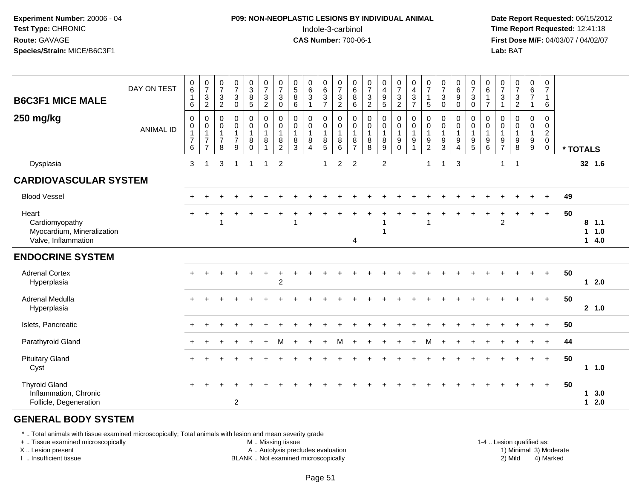#### **P09: NON-NEOPLASTIC LESIONS BY INDIVIDUAL ANIMAL**Indole-3-carbinol **Time Report Requested:** 12:41:18

 **Date Report Requested:** 06/15/2012 **First Dose M/F:** 04/03/07 / 04/02/07<br>**Lab:** BAT **Lab:** BAT

| <b>B6C3F1 MICE MALE</b><br>250 mg/kg                                         | DAY ON TEST<br><b>ANIMAL ID</b> | $_6^0$<br>$\overline{1}$<br>6<br>0<br>$\pmb{0}$<br>$\overline{1}$<br>$\overline{7}$<br>6 | $\frac{0}{7}$<br>$\sqrt{3}$<br>$\overline{c}$<br>$\,0\,$<br>$\pmb{0}$<br>$\mathbf{1}$<br>$\overline{7}$<br>$\overline{7}$ | $\begin{smallmatrix}0\\7\end{smallmatrix}$<br>$\mathsf 3$<br>$\overline{2}$<br>0<br>0<br>$\mathbf{1}$<br>$\overline{7}$<br>8 | $\frac{0}{7}$<br>$\mathbf{3}$<br>$\mathbf 0$<br>$\mathbf 0$<br>$\pmb{0}$<br>$\mathbf{1}$<br>$\overline{7}$<br>9 | $\begin{array}{c} 0 \\ 3 \\ 8 \end{array}$<br>$\sqrt{5}$<br>$\pmb{0}$<br>$\pmb{0}$<br>$\mathbf{1}$<br>8<br>$\Omega$ | $\begin{array}{c} 0 \\ 7 \\ 3 \end{array}$<br>$\overline{2}$<br>$\pmb{0}$<br>$\mathsf 0$<br>$\mathbf{1}$<br>8<br>$\mathbf{1}$ | $\frac{0}{7}$<br>3<br>$\pmb{0}$<br>$\mathbf 0$<br>$\pmb{0}$<br>$\mathbf{1}$<br>8<br>$\overline{2}$ | $^{\rm 0}_{\rm 5}$<br>$\bf 8$<br>$\,6\,$<br>0<br>0<br>$\mathbf{1}$<br>8<br>$\mathbf{3}$ | $\begin{matrix} 0 \\ 6 \\ 3 \end{matrix}$<br>$\mathbf{1}$<br>$\pmb{0}$<br>$\pmb{0}$<br>$\mathbf{1}$<br>8<br>$\overline{4}$ | $\begin{array}{c} 0 \\ 6 \end{array}$<br>$\overline{3}$<br>$\overline{7}$<br>0<br>0<br>$\mathbf{1}$<br>8<br>$\sqrt{5}$ | $\begin{array}{c} 0 \\ 7 \\ 3 \end{array}$<br>$\overline{2}$<br>$\pmb{0}$<br>$\boldsymbol{0}$<br>$\overline{1}$<br>8<br>6 | $\begin{array}{c} 0 \\ 6 \\ 8 \end{array}$<br>$\,6$<br>0<br>$\pmb{0}$<br>$\mathbf{1}$<br>8<br>$\overline{7}$ | $\begin{array}{c} 0 \\ 7 \\ 3 \end{array}$<br>$\overline{c}$<br>0<br>0<br>$\mathbf{1}$<br>8<br>8 | $\begin{array}{c} 0 \\ 4 \\ 9 \end{array}$<br>$\overline{5}$<br>$\pmb{0}$<br>$\pmb{0}$<br>1<br>8<br>$\boldsymbol{9}$ | $\frac{0}{7}$<br>$\frac{3}{2}$<br>$\mathbf 0$<br>$\mathbf 0$<br>$\mathbf{1}$<br>9<br>$\mathbf 0$ | $\begin{array}{c} 0 \\ 4 \\ 3 \end{array}$<br>$\overline{7}$<br>$\pmb{0}$<br>$\pmb{0}$<br>$\mathbf{1}$<br>9<br>$\mathbf{1}$ | $\frac{0}{7}$<br>$\mathbf{1}$<br>5<br>$\pmb{0}$<br>$\pmb{0}$<br>$\mathbf{1}$<br>9<br>$\overline{2}$ | $\begin{array}{c} 0 \\ 7 \\ 3 \end{array}$<br>$\mathbf 0$<br>$\begin{smallmatrix} 0\\0 \end{smallmatrix}$<br>$\mathbf{1}$<br>$9\,$<br>$\mathbf{3}$ | $\begin{matrix} 0 \\ 6 \\ 9 \end{matrix}$<br>$\pmb{0}$<br>$\mathbf 0$<br>0<br>$\mathbf{1}$<br>9<br>$\overline{4}$ | $\begin{array}{c} 0 \\ 7 \\ 3 \end{array}$<br>$\pmb{0}$<br>0<br>$\boldsymbol{0}$<br>$\mathbf{1}$<br>$\begin{array}{c} 9 \\ 5 \end{array}$ | $\begin{array}{c} 0 \\ 6 \end{array}$<br>$\mathbf{1}$<br>$\overline{7}$<br>0<br>$\pmb{0}$<br>$\mathbf{1}$<br>$\boldsymbol{9}$<br>$6\phantom{1}6$ | $\frac{0}{7}$<br>$\sqrt{3}$<br>$\mathbf{1}$<br>0<br>0<br>$\mathbf{1}$<br>9<br>$\overline{7}$ | $\begin{array}{c} 0 \\ 7 \end{array}$<br>$\sqrt{3}$<br>$\overline{2}$<br>$\mathbf 0$<br>0<br>$\mathbf{1}$<br>$\boldsymbol{9}$<br>8 | 0<br>$\frac{6}{7}$<br>$\mathbf{1}$<br>0<br>0<br>$\mathbf{1}$<br>9<br>9 | $\begin{smallmatrix}0\\7\end{smallmatrix}$<br>$\mathbf{1}$<br>$6\phantom{1}6$<br>0<br>$\mathbf 0$<br>$\overline{2}$<br>$\mathbf 0$<br>$\mathbf 0$ |    | * TOTALS                  |
|------------------------------------------------------------------------------|---------------------------------|------------------------------------------------------------------------------------------|---------------------------------------------------------------------------------------------------------------------------|------------------------------------------------------------------------------------------------------------------------------|-----------------------------------------------------------------------------------------------------------------|---------------------------------------------------------------------------------------------------------------------|-------------------------------------------------------------------------------------------------------------------------------|----------------------------------------------------------------------------------------------------|-----------------------------------------------------------------------------------------|----------------------------------------------------------------------------------------------------------------------------|------------------------------------------------------------------------------------------------------------------------|---------------------------------------------------------------------------------------------------------------------------|--------------------------------------------------------------------------------------------------------------|--------------------------------------------------------------------------------------------------|----------------------------------------------------------------------------------------------------------------------|--------------------------------------------------------------------------------------------------|-----------------------------------------------------------------------------------------------------------------------------|-----------------------------------------------------------------------------------------------------|----------------------------------------------------------------------------------------------------------------------------------------------------|-------------------------------------------------------------------------------------------------------------------|-------------------------------------------------------------------------------------------------------------------------------------------|--------------------------------------------------------------------------------------------------------------------------------------------------|----------------------------------------------------------------------------------------------|------------------------------------------------------------------------------------------------------------------------------------|------------------------------------------------------------------------|---------------------------------------------------------------------------------------------------------------------------------------------------|----|---------------------------|
| Dysplasia                                                                    |                                 | 3                                                                                        | $\overline{1}$                                                                                                            | 3                                                                                                                            | $\overline{\mathbf{1}}$                                                                                         | 1                                                                                                                   | $\mathbf{1}$                                                                                                                  | $\overline{2}$                                                                                     |                                                                                         |                                                                                                                            | $\mathbf{1}$                                                                                                           | $\overline{c}$                                                                                                            | $\overline{2}$                                                                                               |                                                                                                  | $\overline{c}$                                                                                                       |                                                                                                  |                                                                                                                             | $\mathbf{1}$                                                                                        | -1                                                                                                                                                 | 3                                                                                                                 |                                                                                                                                           |                                                                                                                                                  | $\mathbf{1}$                                                                                 | $\overline{1}$                                                                                                                     |                                                                        |                                                                                                                                                   |    | 32 1.6                    |
| <b>CARDIOVASCULAR SYSTEM</b>                                                 |                                 |                                                                                          |                                                                                                                           |                                                                                                                              |                                                                                                                 |                                                                                                                     |                                                                                                                               |                                                                                                    |                                                                                         |                                                                                                                            |                                                                                                                        |                                                                                                                           |                                                                                                              |                                                                                                  |                                                                                                                      |                                                                                                  |                                                                                                                             |                                                                                                     |                                                                                                                                                    |                                                                                                                   |                                                                                                                                           |                                                                                                                                                  |                                                                                              |                                                                                                                                    |                                                                        |                                                                                                                                                   |    |                           |
| <b>Blood Vessel</b>                                                          |                                 | $\pm$                                                                                    |                                                                                                                           |                                                                                                                              |                                                                                                                 |                                                                                                                     |                                                                                                                               |                                                                                                    |                                                                                         |                                                                                                                            |                                                                                                                        |                                                                                                                           |                                                                                                              |                                                                                                  |                                                                                                                      |                                                                                                  |                                                                                                                             |                                                                                                     |                                                                                                                                                    |                                                                                                                   |                                                                                                                                           |                                                                                                                                                  |                                                                                              |                                                                                                                                    |                                                                        | $+$                                                                                                                                               | 49 |                           |
| Heart<br>Cardiomyopathy<br>Myocardium, Mineralization<br>Valve, Inflammation |                                 | $+$                                                                                      | +                                                                                                                         |                                                                                                                              |                                                                                                                 |                                                                                                                     |                                                                                                                               |                                                                                                    |                                                                                         |                                                                                                                            |                                                                                                                        |                                                                                                                           | 4                                                                                                            |                                                                                                  |                                                                                                                      |                                                                                                  |                                                                                                                             | $\overline{1}$                                                                                      |                                                                                                                                                    |                                                                                                                   |                                                                                                                                           |                                                                                                                                                  | $\overline{2}$                                                                               |                                                                                                                                    | $\ddot{}$                                                              | $\ddot{}$                                                                                                                                         | 50 | $8$ 1.1<br>11.0<br>$14.0$ |
| <b>ENDOCRINE SYSTEM</b>                                                      |                                 |                                                                                          |                                                                                                                           |                                                                                                                              |                                                                                                                 |                                                                                                                     |                                                                                                                               |                                                                                                    |                                                                                         |                                                                                                                            |                                                                                                                        |                                                                                                                           |                                                                                                              |                                                                                                  |                                                                                                                      |                                                                                                  |                                                                                                                             |                                                                                                     |                                                                                                                                                    |                                                                                                                   |                                                                                                                                           |                                                                                                                                                  |                                                                                              |                                                                                                                                    |                                                                        |                                                                                                                                                   |    |                           |
| <b>Adrenal Cortex</b><br>Hyperplasia                                         |                                 |                                                                                          |                                                                                                                           |                                                                                                                              |                                                                                                                 |                                                                                                                     |                                                                                                                               | $\overline{2}$                                                                                     |                                                                                         |                                                                                                                            |                                                                                                                        |                                                                                                                           |                                                                                                              |                                                                                                  |                                                                                                                      |                                                                                                  |                                                                                                                             |                                                                                                     |                                                                                                                                                    |                                                                                                                   |                                                                                                                                           |                                                                                                                                                  |                                                                                              |                                                                                                                                    |                                                                        | $+$                                                                                                                                               | 50 | 12.0                      |
| <b>Adrenal Medulla</b><br>Hyperplasia                                        |                                 |                                                                                          |                                                                                                                           |                                                                                                                              |                                                                                                                 |                                                                                                                     |                                                                                                                               |                                                                                                    |                                                                                         |                                                                                                                            |                                                                                                                        |                                                                                                                           |                                                                                                              |                                                                                                  |                                                                                                                      |                                                                                                  |                                                                                                                             |                                                                                                     |                                                                                                                                                    |                                                                                                                   |                                                                                                                                           |                                                                                                                                                  |                                                                                              |                                                                                                                                    |                                                                        | $+$                                                                                                                                               | 50 | 2, 1.0                    |
| Islets, Pancreatic                                                           |                                 |                                                                                          |                                                                                                                           |                                                                                                                              |                                                                                                                 |                                                                                                                     |                                                                                                                               |                                                                                                    |                                                                                         |                                                                                                                            |                                                                                                                        |                                                                                                                           |                                                                                                              |                                                                                                  |                                                                                                                      |                                                                                                  |                                                                                                                             |                                                                                                     |                                                                                                                                                    |                                                                                                                   |                                                                                                                                           |                                                                                                                                                  |                                                                                              |                                                                                                                                    |                                                                        | $+$                                                                                                                                               | 50 |                           |
| Parathyroid Gland                                                            |                                 |                                                                                          |                                                                                                                           |                                                                                                                              |                                                                                                                 |                                                                                                                     |                                                                                                                               | м                                                                                                  |                                                                                         |                                                                                                                            |                                                                                                                        | М                                                                                                                         |                                                                                                              |                                                                                                  |                                                                                                                      |                                                                                                  |                                                                                                                             | м                                                                                                   |                                                                                                                                                    |                                                                                                                   |                                                                                                                                           |                                                                                                                                                  |                                                                                              |                                                                                                                                    |                                                                        | $+$                                                                                                                                               | 44 |                           |
| <b>Pituitary Gland</b><br>Cyst                                               |                                 |                                                                                          |                                                                                                                           |                                                                                                                              |                                                                                                                 |                                                                                                                     |                                                                                                                               |                                                                                                    |                                                                                         |                                                                                                                            |                                                                                                                        |                                                                                                                           |                                                                                                              |                                                                                                  |                                                                                                                      |                                                                                                  |                                                                                                                             |                                                                                                     |                                                                                                                                                    |                                                                                                                   |                                                                                                                                           |                                                                                                                                                  |                                                                                              |                                                                                                                                    |                                                                        | $+$                                                                                                                                               | 50 | 11.0                      |
| <b>Thyroid Gland</b><br>Inflammation, Chronic<br>Follicle, Degeneration      |                                 |                                                                                          |                                                                                                                           |                                                                                                                              | $\boldsymbol{2}$                                                                                                |                                                                                                                     |                                                                                                                               |                                                                                                    |                                                                                         |                                                                                                                            |                                                                                                                        |                                                                                                                           |                                                                                                              |                                                                                                  |                                                                                                                      |                                                                                                  |                                                                                                                             |                                                                                                     |                                                                                                                                                    |                                                                                                                   |                                                                                                                                           |                                                                                                                                                  |                                                                                              |                                                                                                                                    |                                                                        | $\ddot{}$                                                                                                                                         | 50 | 13.0<br>$12.0$            |

#### **GENERAL BODY SYSTEM**

\* .. Total animals with tissue examined microscopically; Total animals with lesion and mean severity grade

+ .. Tissue examined microscopically

X .. Lesion present

I .. Insufficient tissue

M .. Missing tissue

A .. Autolysis precludes evaluation

BLANK .. Not examined microscopically 2) Mild 4) Marked

1-4 .. Lesion qualified as:<br>1) Minimal 3) Moderate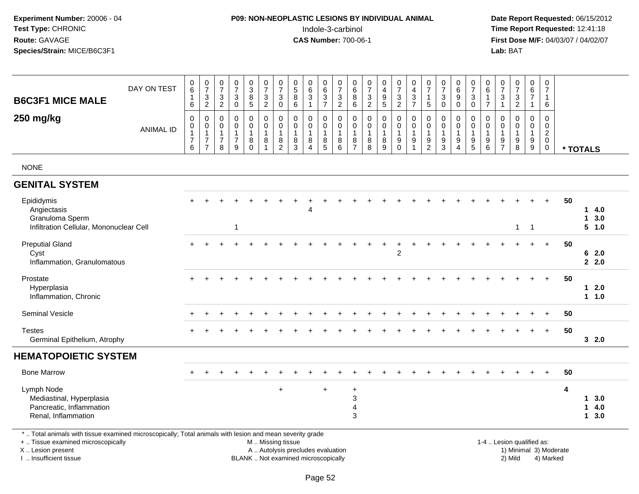## **P09: NON-NEOPLASTIC LESIONS BY INDIVIDUAL ANIMAL**Indole-3-carbinol **Time Report Requested:** 12:41:18

 **Date Report Requested:** 06/15/2012 **First Dose M/F:** 04/03/07 / 04/02/07<br>Lab: BAT **Lab:** BAT

| <b>B6C3F1 MICE MALE</b>                                                                                                                                             | DAY ON TEST      | $\begin{matrix} 0 \\ 6 \end{matrix}$<br>$\mathbf{1}$<br>6           | $\frac{0}{7}$<br>$\frac{3}{2}$                                                                       | $\frac{0}{7}$<br>$\mathbf{3}$<br>$\overline{2}$                   | $\frac{0}{7}$<br>$\mathbf{3}$<br>$\mathbf 0$                      | $\frac{0}{3}$<br>8<br>5                     | $\frac{0}{7}$<br>$\frac{3}{2}$                                                  | $\frac{0}{7}$<br>3<br>$\mathbf 0$                             | $\begin{smallmatrix}0\0\5\end{smallmatrix}$<br>$\frac{8}{6}$                  | $\begin{matrix} 0 \\ 6 \\ 3 \end{matrix}$                                               | $\begin{array}{c} 0 \\ 6 \end{array}$<br>$\frac{3}{7}$                   | $\frac{0}{7}$<br>$\frac{3}{2}$                                   | 0<br>$\,6\,$<br>8<br>$\,6\,$                                            | $\frac{0}{7}$<br>$\sqrt{3}$<br>$\overline{2}$              | 0<br>$\overline{4}$<br>9<br>$\overline{5}$ | $\frac{0}{7}$<br>$\frac{3}{2}$                                                | $\begin{array}{c} 0 \\ 4 \\ 3 \end{array}$<br>$\overline{7}$ | $\frac{0}{7}$<br>$\mathbf{1}$<br>5                                     | $\frac{0}{7}$<br>$\ensuremath{\mathsf{3}}$<br>$\overline{0}$                 | $\begin{array}{c} 0 \\ 6 \end{array}$<br>$\boldsymbol{9}$<br>$\overline{0}$      | $\frac{0}{7}$<br>$\sqrt{3}$<br>$\mathsf{O}\xspace$                            | 0<br>$\,6\,$<br>$\overline{1}$<br>$\overline{7}$     | $\begin{array}{c} 0 \\ 7 \end{array}$<br>3<br>$\overline{1}$                 | $\frac{0}{7}$<br>$\mathbf{3}$<br>$\overline{2}$ | $\begin{array}{c} 0 \\ 6 \end{array}$<br>$\overline{7}$<br>$\mathbf{1}$ | 0<br>$\overline{7}$<br>$\mathbf{1}$<br>6                                   |                        |                                                  |
|---------------------------------------------------------------------------------------------------------------------------------------------------------------------|------------------|---------------------------------------------------------------------|------------------------------------------------------------------------------------------------------|-------------------------------------------------------------------|-------------------------------------------------------------------|---------------------------------------------|---------------------------------------------------------------------------------|---------------------------------------------------------------|-------------------------------------------------------------------------------|-----------------------------------------------------------------------------------------|--------------------------------------------------------------------------|------------------------------------------------------------------|-------------------------------------------------------------------------|------------------------------------------------------------|--------------------------------------------|-------------------------------------------------------------------------------|--------------------------------------------------------------|------------------------------------------------------------------------|------------------------------------------------------------------------------|----------------------------------------------------------------------------------|-------------------------------------------------------------------------------|------------------------------------------------------|------------------------------------------------------------------------------|-------------------------------------------------|-------------------------------------------------------------------------|----------------------------------------------------------------------------|------------------------|--------------------------------------------------|
| 250 mg/kg                                                                                                                                                           | <b>ANIMAL ID</b> | $\mathbf 0$<br>$\mathbf 0$<br>$\mathbf{1}$<br>$\boldsymbol{7}$<br>6 | $\boldsymbol{0}$<br>$\begin{smallmatrix}0\\1\end{smallmatrix}$<br>$\boldsymbol{7}$<br>$\overline{7}$ | $\mathbf 0$<br>$\mathbf 0$<br>$\mathbf{1}$<br>$\overline{7}$<br>8 | $\mathbf 0$<br>$\mathbf 0$<br>$\mathbf{1}$<br>$\overline{7}$<br>9 | $\mathbf 0$<br>$\mathbf 0$<br>8<br>$\Omega$ | $\mathbf 0$<br>$\mathsf{O}\xspace$<br>$\overline{1}$<br>$\bf 8$<br>$\mathbf{1}$ | $\mathbf 0$<br>0<br>$\mathbf{1}$<br>$\bf 8$<br>$\overline{2}$ | $\mathbf 0$<br>$\mathsf{O}\xspace$<br>$\mathbf{1}$<br>$\bf 8$<br>$\mathbf{3}$ | $\mathbf 0$<br>$\mathsf{O}\xspace$<br>$\mathbf{1}$<br>$\bf 8$<br>$\boldsymbol{\Lambda}$ | $\mathbf 0$<br>$\mathbf 0$<br>$\mathbf{1}$<br>$\bf 8$<br>$5\phantom{.0}$ | $\boldsymbol{0}$<br>$\mathbf 0$<br>$\overline{1}$<br>$\, 8$<br>6 | $\mathbf 0$<br>$\mathbf 0$<br>$\mathbf{1}$<br>$\bf 8$<br>$\overline{7}$ | $\mathbf 0$<br>$\mathbf 0$<br>$\mathbf{1}$<br>$\bf 8$<br>8 | $\mathbf 0$<br>$\mathbf 0$<br>8<br>9       | $\mathbf 0$<br>$\pmb{0}$<br>$\overline{1}$<br>$\boldsymbol{9}$<br>$\mathbf 0$ | $\mathbf 0$<br>$\mathbf 0$<br>$\overline{1}$<br>9            | $\mathbf 0$<br>0<br>$\mathbf{1}$<br>$\boldsymbol{9}$<br>$\overline{2}$ | $\mathbf 0$<br>$\pmb{0}$<br>$\mathbf{1}$<br>$\boldsymbol{9}$<br>$\mathbf{3}$ | $\mathbf 0$<br>$\mathbf 0$<br>$\mathbf{1}$<br>$\boldsymbol{9}$<br>$\overline{4}$ | $\mathbf 0$<br>$\mathsf{O}\xspace$<br>$\overline{1}$<br>$\boldsymbol{9}$<br>5 | $\mathbf 0$<br>$\mathbf 0$<br>$\mathbf{1}$<br>9<br>6 | $\Omega$<br>$\Omega$<br>$\overline{1}$<br>$\boldsymbol{9}$<br>$\overline{7}$ | $\mathbf 0$<br>$\mathbf 0$<br>9<br>8            | $\mathbf 0$<br>$\mathbf 0$<br>$\mathbf{1}$<br>$^9_9$                    | $\mathbf 0$<br>$\mathbf 0$<br>$\overline{c}$<br>$\mathbf 0$<br>$\mathbf 0$ |                        | * TOTALS                                         |
| <b>NONE</b>                                                                                                                                                         |                  |                                                                     |                                                                                                      |                                                                   |                                                                   |                                             |                                                                                 |                                                               |                                                                               |                                                                                         |                                                                          |                                                                  |                                                                         |                                                            |                                            |                                                                               |                                                              |                                                                        |                                                                              |                                                                                  |                                                                               |                                                      |                                                                              |                                                 |                                                                         |                                                                            |                        |                                                  |
| <b>GENITAL SYSTEM</b>                                                                                                                                               |                  |                                                                     |                                                                                                      |                                                                   |                                                                   |                                             |                                                                                 |                                                               |                                                                               |                                                                                         |                                                                          |                                                                  |                                                                         |                                                            |                                            |                                                                               |                                                              |                                                                        |                                                                              |                                                                                  |                                                                               |                                                      |                                                                              |                                                 |                                                                         |                                                                            |                        |                                                  |
| Epididymis<br>Angiectasis<br>Granuloma Sperm<br>Infiltration Cellular, Mononuclear Cell                                                                             |                  |                                                                     |                                                                                                      |                                                                   | 1                                                                 |                                             |                                                                                 |                                                               |                                                                               | Δ                                                                                       |                                                                          |                                                                  |                                                                         |                                                            |                                            |                                                                               |                                                              |                                                                        |                                                                              |                                                                                  |                                                                               |                                                      |                                                                              | $\mathbf{1}$                                    | $\overline{1}$                                                          | $+$                                                                        | 50                     | 14.0<br>13.0<br>5 1.0                            |
| <b>Preputial Gland</b><br>Cyst<br>Inflammation, Granulomatous                                                                                                       |                  |                                                                     |                                                                                                      |                                                                   |                                                                   |                                             |                                                                                 |                                                               |                                                                               |                                                                                         |                                                                          |                                                                  |                                                                         |                                                            | $\ddot{}$                                  | $\overline{2}$                                                                | $\div$                                                       |                                                                        |                                                                              |                                                                                  |                                                                               |                                                      |                                                                              |                                                 |                                                                         | $+$                                                                        | 50                     | 62.0<br>2.2.0                                    |
| Prostate<br>Hyperplasia<br>Inflammation, Chronic                                                                                                                    |                  | $+$                                                                 |                                                                                                      |                                                                   |                                                                   |                                             |                                                                                 |                                                               |                                                                               |                                                                                         |                                                                          |                                                                  |                                                                         |                                                            |                                            |                                                                               |                                                              |                                                                        |                                                                              |                                                                                  |                                                                               |                                                      |                                                                              |                                                 |                                                                         | $+$                                                                        | 50                     | 2.0<br>1<br>1 1.0                                |
| Seminal Vesicle                                                                                                                                                     |                  |                                                                     |                                                                                                      |                                                                   |                                                                   |                                             |                                                                                 |                                                               |                                                                               |                                                                                         |                                                                          |                                                                  |                                                                         |                                                            |                                            |                                                                               |                                                              |                                                                        |                                                                              |                                                                                  |                                                                               |                                                      |                                                                              |                                                 |                                                                         |                                                                            | 50                     |                                                  |
| <b>Testes</b><br>Germinal Epithelium, Atrophy                                                                                                                       |                  |                                                                     |                                                                                                      |                                                                   |                                                                   |                                             |                                                                                 |                                                               |                                                                               |                                                                                         |                                                                          |                                                                  |                                                                         |                                                            |                                            |                                                                               |                                                              |                                                                        |                                                                              |                                                                                  |                                                                               |                                                      |                                                                              |                                                 |                                                                         | $+$                                                                        | 50                     | 32.0                                             |
| <b>HEMATOPOIETIC SYSTEM</b>                                                                                                                                         |                  |                                                                     |                                                                                                      |                                                                   |                                                                   |                                             |                                                                                 |                                                               |                                                                               |                                                                                         |                                                                          |                                                                  |                                                                         |                                                            |                                            |                                                                               |                                                              |                                                                        |                                                                              |                                                                                  |                                                                               |                                                      |                                                                              |                                                 |                                                                         |                                                                            |                        |                                                  |
| <b>Bone Marrow</b>                                                                                                                                                  |                  |                                                                     |                                                                                                      |                                                                   |                                                                   |                                             |                                                                                 |                                                               |                                                                               |                                                                                         |                                                                          |                                                                  |                                                                         |                                                            |                                            |                                                                               |                                                              |                                                                        |                                                                              |                                                                                  |                                                                               |                                                      |                                                                              |                                                 |                                                                         | $+$                                                                        | 50                     |                                                  |
| Lymph Node<br>Mediastinal, Hyperplasia<br>Pancreatic, Inflammation<br>Renal, Inflammation                                                                           |                  |                                                                     |                                                                                                      |                                                                   |                                                                   |                                             |                                                                                 | $\ddot{}$                                                     |                                                                               |                                                                                         |                                                                          |                                                                  | $\ddot{}$<br>3<br>4<br>3                                                |                                                            |                                            |                                                                               |                                                              |                                                                        |                                                                              |                                                                                  |                                                                               |                                                      |                                                                              |                                                 |                                                                         |                                                                            | 4                      | 3.0<br>$\mathbf 1$<br>4.0<br>$\mathbf 1$<br>13.0 |
| *  Total animals with tissue examined microscopically; Total animals with lesion and mean severity grade<br>+  Tissue examined microscopically<br>X  Lesion present |                  |                                                                     |                                                                                                      |                                                                   |                                                                   |                                             | M  Missing tissue                                                               |                                                               |                                                                               | A  Autolysis precludes evaluation                                                       |                                                                          |                                                                  |                                                                         |                                                            |                                            |                                                                               |                                                              |                                                                        |                                                                              |                                                                                  |                                                                               |                                                      |                                                                              | 1-4  Lesion qualified as:                       |                                                                         |                                                                            | 1) Minimal 3) Moderate |                                                  |

I .. Insufficient tissue

BLANK .. Not examined microscopically 2) Mild 4) Marked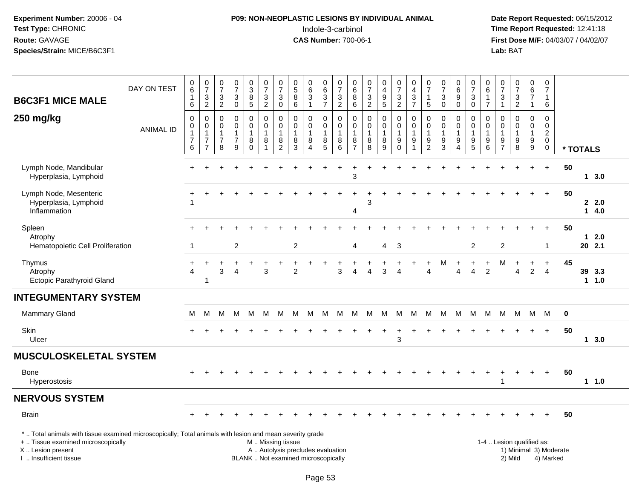## **P09: NON-NEOPLASTIC LESIONS BY INDIVIDUAL ANIMAL**Indole-3-carbinol **Time Report Requested:** 12:41:18

| <b>B6C3F1 MICE MALE</b>                                                                                                                                                                      | DAY ON TEST      | $\,0\,$<br>$\,6\,$<br>$\mathbf{1}$<br>$\,6\,$                                  | $\frac{0}{7}$<br>$\ensuremath{\mathsf{3}}$<br>$\sqrt{2}$ | $\frac{0}{7}$<br>$\ensuremath{\mathsf{3}}$<br>$\overline{2}$    | $\begin{array}{c} 0 \\ 7 \end{array}$<br>$\ensuremath{\mathsf{3}}$<br>$\pmb{0}$ | $\begin{array}{c} 0 \\ 3 \\ 8 \\ 5 \end{array}$            | $\begin{array}{c} 0 \\ 7 \end{array}$<br>$\frac{3}{2}$                       | $\frac{0}{7}$<br>3<br>$\mathsf{O}\xspace$ | $\begin{array}{c} 0 \\ 5 \\ 8 \end{array}$<br>$6\overline{6}$ | $\begin{matrix} 0 \\ 6 \\ 3 \end{matrix}$<br>$\mathbf{1}$                | 0<br>$\,6\,$<br>$\frac{3}{7}$                            | $\begin{array}{c} 0 \\ 7 \end{array}$<br>$\frac{3}{2}$   | $\pmb{0}$<br>$\,6\,$<br>$\overline{8}$<br>$\,6\,$             | 0<br>$\overline{7}$<br>$\frac{3}{2}$                     | $\begin{smallmatrix}0\0\4\end{smallmatrix}$<br>$\frac{9}{5}$ | 0<br>$\overline{7}$<br>$\frac{3}{2}$                                      | $\boldsymbol{0}$<br>$\overline{4}$<br>$\frac{3}{7}$                    | 0<br>$\overline{7}$<br>$\mathbf{1}$<br>$\overline{5}$ | $\pmb{0}$<br>$\overline{7}$<br>3<br>$\pmb{0}$                            | $\begin{array}{c} 0 \\ 6 \\ 9 \end{array}$<br>$\pmb{0}$                | $\pmb{0}$<br>$\overline{7}$<br>$\frac{3}{0}$                              | $\begin{array}{c} 0 \\ 6 \end{array}$<br>1<br>$\overline{7}$ | $\frac{0}{7}$<br>$\frac{3}{1}$                      | $\frac{0}{7}$<br>$\frac{3}{2}$                                      | $_{6}^{\rm 0}$<br>$\overline{7}$<br>$\mathbf{1}$  | $\mathbf 0$<br>$\overline{7}$<br>$\mathbf{1}$<br>$\,6\,$                                   |    |          |                |  |
|----------------------------------------------------------------------------------------------------------------------------------------------------------------------------------------------|------------------|--------------------------------------------------------------------------------|----------------------------------------------------------|-----------------------------------------------------------------|---------------------------------------------------------------------------------|------------------------------------------------------------|------------------------------------------------------------------------------|-------------------------------------------|---------------------------------------------------------------|--------------------------------------------------------------------------|----------------------------------------------------------|----------------------------------------------------------|---------------------------------------------------------------|----------------------------------------------------------|--------------------------------------------------------------|---------------------------------------------------------------------------|------------------------------------------------------------------------|-------------------------------------------------------|--------------------------------------------------------------------------|------------------------------------------------------------------------|---------------------------------------------------------------------------|--------------------------------------------------------------|-----------------------------------------------------|---------------------------------------------------------------------|---------------------------------------------------|--------------------------------------------------------------------------------------------|----|----------|----------------|--|
| 250 mg/kg                                                                                                                                                                                    | <b>ANIMAL ID</b> | $\boldsymbol{0}$<br>$\pmb{0}$<br>$\overline{1}$<br>$\boldsymbol{7}$<br>$\,6\,$ | 0<br>$\pmb{0}$<br>1<br>$\overline{7}$<br>$\overline{7}$  | $\pmb{0}$<br>$\mathsf 0$<br>$\mathbf{1}$<br>$\overline{7}$<br>8 | 0<br>$\pmb{0}$<br>1<br>$\overline{7}$<br>9                                      | 0<br>$\pmb{0}$<br>$\overline{1}$<br>$\,8\,$<br>$\mathbf 0$ | $\pmb{0}$<br>$\mathsf{O}\xspace$<br>$\overline{1}$<br>$\, 8$<br>$\mathbf{1}$ | 0<br>$\mathbf 0$<br>8<br>$\overline{c}$   | 0<br>$\mathsf{O}\xspace$<br>$\mathbf{1}$<br>8<br>$\mathbf{3}$ | 0<br>$\mathsf{O}\xspace$<br>$\mathbf{1}$<br>$\bf 8$<br>$\overline{4}$    | 0<br>$\mathbf 0$<br>$\mathbf 1$<br>$\bf 8$<br>$\sqrt{5}$ | 0<br>$\mathbf 0$<br>$\overline{1}$<br>$\,8\,$<br>$\,6\,$ | 0<br>$\mathbf 0$<br>$\mathbf{1}$<br>$\,8\,$<br>$\overline{7}$ | $\pmb{0}$<br>$\mathsf 0$<br>$\mathbf{1}$<br>$\bf 8$<br>8 | 0<br>0<br>$\mathbf{1}$<br>8<br>9                             | 0<br>$\mathsf{O}\xspace$<br>$\mathbf{1}$<br>$\boldsymbol{9}$<br>$\pmb{0}$ | 0<br>$\pmb{0}$<br>$\overline{1}$<br>$\boldsymbol{9}$<br>$\overline{1}$ | 0<br>$\pmb{0}$<br>$\mathbf{1}$<br>9<br>$\overline{c}$ | $\mathbf 0$<br>$\boldsymbol{0}$<br>$\mathbf{1}$<br>$\boldsymbol{9}$<br>3 | 0<br>$\mathbf 0$<br>$\mathbf{1}$<br>$\boldsymbol{9}$<br>$\overline{4}$ | 0<br>$\mathbf 0$<br>$\mathbf{1}$<br>$\begin{array}{c} 9 \\ 5 \end{array}$ | $\mathbf 0$<br>$\mathsf 0$<br>$\mathbf{1}$<br>$^9$ 6         | 0<br>$\mathbf 0$<br>$\overline{1}$<br>$\frac{9}{7}$ | $\mathbf 0$<br>$\mathbf 0$<br>$\mathbf{1}$<br>$\boldsymbol{9}$<br>8 | 0<br>$\mathbf 0$<br>$\mathbf{1}$<br>$\frac{9}{9}$ | $\mathbf 0$<br>$\mathsf{O}\xspace$<br>$\overline{2}$<br>$\mathbf 0$<br>$\mathsf{O}\xspace$ |    | * TOTALS |                |  |
| Lymph Node, Mandibular<br>Hyperplasia, Lymphoid                                                                                                                                              |                  |                                                                                |                                                          |                                                                 |                                                                                 |                                                            |                                                                              |                                           |                                                               |                                                                          |                                                          |                                                          | 3                                                             |                                                          |                                                              |                                                                           |                                                                        |                                                       |                                                                          |                                                                        |                                                                           |                                                              |                                                     |                                                                     |                                                   | $+$                                                                                        | 50 |          | 13.0           |  |
| Lymph Node, Mesenteric<br>Hyperplasia, Lymphoid<br>Inflammation                                                                                                                              |                  | 1                                                                              |                                                          |                                                                 |                                                                                 |                                                            |                                                                              |                                           |                                                               |                                                                          |                                                          |                                                          | 4                                                             | 3                                                        |                                                              |                                                                           |                                                                        |                                                       |                                                                          |                                                                        |                                                                           |                                                              |                                                     |                                                                     |                                                   |                                                                                            | 50 |          | 2.0<br>14.0    |  |
| Spleen<br>Atrophy<br>Hematopoietic Cell Proliferation                                                                                                                                        |                  | 1                                                                              |                                                          |                                                                 | $\overline{2}$                                                                  |                                                            |                                                                              |                                           | $\overline{2}$                                                |                                                                          |                                                          |                                                          | $\overline{4}$                                                |                                                          | 4                                                            | 3                                                                         |                                                                        |                                                       |                                                                          |                                                                        | 2                                                                         |                                                              | 2                                                   |                                                                     |                                                   | $\ddot{}$<br>-1                                                                            | 50 |          | 12.0<br>20 2.1 |  |
| Thymus<br>Atrophy<br><b>Ectopic Parathyroid Gland</b>                                                                                                                                        |                  | $\boldsymbol{\Lambda}$                                                         | $\mathbf{1}$                                             | 3                                                               | $\boldsymbol{\Lambda}$                                                          |                                                            | 3                                                                            |                                           | $\overline{2}$                                                |                                                                          |                                                          | 3                                                        | Δ                                                             |                                                          | 3                                                            | Δ                                                                         |                                                                        | $\overline{\mathbf{4}}$                               | М                                                                        | $\boldsymbol{\Lambda}$                                                 | $\overline{A}$                                                            | $\overline{2}$                                               | М                                                   | 4                                                                   | $\ddot{}$<br>$\overline{2}$                       | $\ddot{}$<br>$\overline{4}$                                                                | 45 |          | 39 3.3<br>11.0 |  |
| <b>INTEGUMENTARY SYSTEM</b>                                                                                                                                                                  |                  |                                                                                |                                                          |                                                                 |                                                                                 |                                                            |                                                                              |                                           |                                                               |                                                                          |                                                          |                                                          |                                                               |                                                          |                                                              |                                                                           |                                                                        |                                                       |                                                                          |                                                                        |                                                                           |                                                              |                                                     |                                                                     |                                                   |                                                                                            |    |          |                |  |
| <b>Mammary Gland</b>                                                                                                                                                                         |                  | M                                                                              | м                                                        | м                                                               | M                                                                               | M                                                          | M                                                                            | M                                         | M                                                             | M                                                                        | M                                                        | М                                                        | M                                                             | M                                                        | M                                                            | M                                                                         | M                                                                      | M                                                     | м                                                                        | M                                                                      | M                                                                         | М                                                            | м                                                   | M                                                                   | M                                                 | M                                                                                          | 0  |          |                |  |
| Skin<br>Ulcer                                                                                                                                                                                |                  |                                                                                |                                                          |                                                                 |                                                                                 |                                                            |                                                                              |                                           |                                                               |                                                                          |                                                          |                                                          |                                                               |                                                          |                                                              | ٠<br>3                                                                    |                                                                        |                                                       |                                                                          |                                                                        |                                                                           |                                                              |                                                     |                                                                     |                                                   |                                                                                            | 50 |          | 13.0           |  |
| <b>MUSCULOSKELETAL SYSTEM</b>                                                                                                                                                                |                  |                                                                                |                                                          |                                                                 |                                                                                 |                                                            |                                                                              |                                           |                                                               |                                                                          |                                                          |                                                          |                                                               |                                                          |                                                              |                                                                           |                                                                        |                                                       |                                                                          |                                                                        |                                                                           |                                                              |                                                     |                                                                     |                                                   |                                                                                            |    |          |                |  |
| Bone<br>Hyperostosis                                                                                                                                                                         |                  |                                                                                |                                                          |                                                                 |                                                                                 |                                                            |                                                                              |                                           |                                                               |                                                                          |                                                          |                                                          |                                                               |                                                          |                                                              |                                                                           |                                                                        |                                                       |                                                                          |                                                                        |                                                                           |                                                              | 1                                                   |                                                                     |                                                   | $\ddot{}$                                                                                  | 50 |          | 11.0           |  |
| <b>NERVOUS SYSTEM</b>                                                                                                                                                                        |                  |                                                                                |                                                          |                                                                 |                                                                                 |                                                            |                                                                              |                                           |                                                               |                                                                          |                                                          |                                                          |                                                               |                                                          |                                                              |                                                                           |                                                                        |                                                       |                                                                          |                                                                        |                                                                           |                                                              |                                                     |                                                                     |                                                   |                                                                                            |    |          |                |  |
| <b>Brain</b>                                                                                                                                                                                 |                  |                                                                                |                                                          |                                                                 |                                                                                 |                                                            |                                                                              |                                           |                                                               |                                                                          |                                                          |                                                          |                                                               |                                                          |                                                              |                                                                           |                                                                        |                                                       |                                                                          |                                                                        |                                                                           |                                                              |                                                     |                                                                     |                                                   |                                                                                            | 50 |          |                |  |
| *  Total animals with tissue examined microscopically; Total animals with lesion and mean severity grade<br>+  Tissue examined microscopically<br>X Lesion present<br>I  Insufficient tissue |                  |                                                                                |                                                          |                                                                 |                                                                                 |                                                            |                                                                              | M  Missing tissue                         |                                                               | A  Autolysis precludes evaluation<br>BLANK  Not examined microscopically |                                                          |                                                          |                                                               |                                                          |                                                              |                                                                           |                                                                        |                                                       |                                                                          |                                                                        |                                                                           |                                                              |                                                     | 1-4  Lesion qualified as:<br>2) Mild                                |                                                   | 1) Minimal 3) Moderate<br>4) Marked                                                        |    |          |                |  |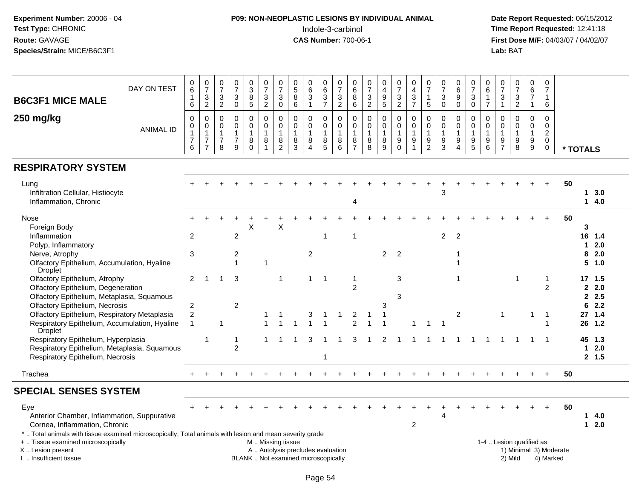## **P09: NON-NEOPLASTIC LESIONS BY INDIVIDUAL ANIMAL**Indole-3-carbinol **Time Report Requested:** 12:41:18

| <b>B6C3F1 MICE MALE</b>                                                                                                                                                                       | DAY ON TEST      | 0<br>6<br>$\overline{1}$<br>6                                             | $\boldsymbol{0}$<br>$\overline{7}$<br>$\ensuremath{\mathsf{3}}$<br>$\overline{c}$ | 0<br>$\overline{7}$<br>3<br>$\sqrt{2}$       | 0<br>$\overline{7}$<br>$\ensuremath{\mathsf{3}}$<br>$\mathsf{O}\xspace$ | $_3^0$<br>$\overline{8}$<br>$\overline{5}$        | 0<br>$\overline{7}$<br>$\frac{3}{2}$       | $\pmb{0}$<br>$\overline{7}$<br>$\ensuremath{\mathsf{3}}$<br>$\pmb{0}$ | 0<br>$\sqrt{5}$<br>8<br>$\,6\,$                                          | $\Omega$<br>$\,6\,$<br>3<br>$\mathbf{1}$                       | 0<br>$\,6$<br>$\overline{3}$<br>$\overline{7}$ | 0<br>$\overline{7}$<br>3<br>$\overline{c}$           | $\boldsymbol{0}$<br>$\,6\,$<br>8<br>$\,6\,$                       | $\boldsymbol{0}$<br>$\overline{7}$<br>$\frac{3}{2}$  | 0<br>$\overline{4}$<br>$\boldsymbol{9}$<br>$\overline{5}$  | $\frac{0}{7}$<br>3<br>$\overline{c}$                     | 0<br>$\overline{\mathbf{4}}$<br>$\frac{3}{7}$                      | 0<br>$\overline{7}$<br>$\mathbf{1}$<br>5                    | 0<br>$\overline{7}$<br>$\mathbf{3}$<br>$\pmb{0}$ | $\begin{array}{c} 0 \\ 6 \end{array}$<br>$\boldsymbol{9}$<br>$\pmb{0}$         | 0<br>$\overline{7}$<br>3<br>$\pmb{0}$        | 0<br>6<br>$\mathbf{1}$<br>$\overline{7}$                         | 0<br>$\overline{7}$<br>3<br>$\mathbf{1}$            | 0<br>$\overline{7}$<br>$\sqrt{3}$<br>$\overline{2}$ | $\pmb{0}$<br>$\,6\,$<br>$\overline{7}$<br>$\mathbf{1}$                           | 0<br>$\overline{7}$<br>$\mathbf{1}$<br>$\,6\,$                             |          |                                |                       |  |
|-----------------------------------------------------------------------------------------------------------------------------------------------------------------------------------------------|------------------|---------------------------------------------------------------------------|-----------------------------------------------------------------------------------|----------------------------------------------|-------------------------------------------------------------------------|---------------------------------------------------|--------------------------------------------|-----------------------------------------------------------------------|--------------------------------------------------------------------------|----------------------------------------------------------------|------------------------------------------------|------------------------------------------------------|-------------------------------------------------------------------|------------------------------------------------------|------------------------------------------------------------|----------------------------------------------------------|--------------------------------------------------------------------|-------------------------------------------------------------|--------------------------------------------------|--------------------------------------------------------------------------------|----------------------------------------------|------------------------------------------------------------------|-----------------------------------------------------|-----------------------------------------------------|----------------------------------------------------------------------------------|----------------------------------------------------------------------------|----------|--------------------------------|-----------------------|--|
| 250 mg/kg                                                                                                                                                                                     | <b>ANIMAL ID</b> | $\mathbf 0$<br>$\mathsf{O}\xspace$<br>$\mathbf{1}$<br>$\overline{7}$<br>6 | $\mathbf 0$<br>$\mathsf 0$<br>$\mathbf{1}$<br>$\overline{7}$<br>$\overline{7}$    | 0<br>$\mathbf 0$<br>1<br>$\overline{7}$<br>8 | $\mathbf 0$<br>$\pmb{0}$<br>$\mathbf{1}$<br>$\boldsymbol{7}$<br>9       | 0<br>$\mathbf 0$<br>$\mathbf{1}$<br>8<br>$\Omega$ | 0<br>$\mathbf 0$<br>1<br>8<br>$\mathbf{1}$ | 0<br>$\pmb{0}$<br>$\mathbf{1}$<br>8<br>$\overline{c}$                 | 0<br>$\mathbf 0$<br>$\mathbf{1}$<br>8<br>3                               | $\Omega$<br>$\mathbf 0$<br>$\mathbf{1}$<br>8<br>$\overline{4}$ | 0<br>$\mathbf 0$<br>8<br>5                     | $\mathbf 0$<br>$\mathbf 0$<br>$\mathbf{1}$<br>8<br>6 | $\mathbf 0$<br>$\mathsf 0$<br>$\mathbf{1}$<br>8<br>$\overline{7}$ | $\mathbf 0$<br>$\mathbf 0$<br>$\mathbf{1}$<br>8<br>8 | $\mathbf 0$<br>$\mathbf 0$<br>$\mathbf{1}$<br>$\bf 8$<br>9 | 0<br>$\mathbf 0$<br>1<br>$\boldsymbol{9}$<br>$\mathbf 0$ | 0<br>$\pmb{0}$<br>$\mathbf{1}$<br>$\boldsymbol{9}$<br>$\mathbf{1}$ | $\mathbf 0$<br>$\mathbf 0$<br>$\mathbf{1}$<br>$\frac{9}{2}$ | 0<br>0<br>$\mathbf 1$<br>9<br>3                  | $\mathbf 0$<br>$\pmb{0}$<br>$\mathbf{1}$<br>$\boldsymbol{9}$<br>$\overline{4}$ | 0<br>$\mathbf 0$<br>$\overline{1}$<br>9<br>5 | $\Omega$<br>$\mathbf 0$<br>$\mathbf{1}$<br>$\boldsymbol{9}$<br>6 | $\Omega$<br>$\mathbf 0$<br>1<br>9<br>$\overline{7}$ | $\Omega$<br>$\mathbf 0$<br>1<br>9<br>8              | $\mathbf 0$<br>$\pmb{0}$<br>$\mathbf{1}$<br>$\boldsymbol{9}$<br>$\boldsymbol{9}$ | $\mathbf 0$<br>$\mathbf 0$<br>$\overline{c}$<br>$\mathbf 0$<br>$\mathbf 0$ | * TOTALS |                                |                       |  |
| <b>RESPIRATORY SYSTEM</b>                                                                                                                                                                     |                  |                                                                           |                                                                                   |                                              |                                                                         |                                                   |                                            |                                                                       |                                                                          |                                                                |                                                |                                                      |                                                                   |                                                      |                                                            |                                                          |                                                                    |                                                             |                                                  |                                                                                |                                              |                                                                  |                                                     |                                                     |                                                                                  |                                                                            |          |                                |                       |  |
| Lung<br>Infiltration Cellular, Histiocyte<br>Inflammation, Chronic                                                                                                                            |                  |                                                                           |                                                                                   |                                              |                                                                         |                                                   |                                            |                                                                       |                                                                          |                                                                |                                                |                                                      | 4                                                                 |                                                      |                                                            |                                                          |                                                                    |                                                             | 3                                                |                                                                                |                                              |                                                                  |                                                     |                                                     |                                                                                  |                                                                            | 50       | 1                              | 3.0<br>14.0           |  |
| Nose<br>Foreign Body<br>Inflammation                                                                                                                                                          |                  | 2                                                                         |                                                                                   |                                              | $\overline{c}$                                                          | X                                                 |                                            | Χ                                                                     |                                                                          |                                                                | 1                                              |                                                      | $\overline{1}$                                                    |                                                      |                                                            |                                                          |                                                                    |                                                             | 2                                                | 2                                                                              |                                              |                                                                  |                                                     |                                                     |                                                                                  |                                                                            | 50       | 3<br>16                        | 1.4                   |  |
| Polyp, Inflammatory<br>Nerve, Atrophy<br>Olfactory Epithelium, Accumulation, Hyaline                                                                                                          |                  | 3                                                                         |                                                                                   |                                              | 2<br>1                                                                  |                                                   | -1                                         |                                                                       |                                                                          | $\overline{c}$                                                 |                                                |                                                      |                                                                   |                                                      | $\overline{2}$                                             | $\overline{2}$                                           |                                                                    |                                                             |                                                  |                                                                                |                                              |                                                                  |                                                     |                                                     |                                                                                  |                                                                            |          | 1<br>8<br>5                    | 2.0<br>2.0<br>1.0     |  |
| Droplet<br>Olfactory Epithelium, Atrophy<br>Olfactory Epithelium, Degeneration<br>Olfactory Epithelium, Metaplasia, Squamous                                                                  |                  | $\overline{2}$                                                            | $\overline{1}$                                                                    | 1                                            | 3                                                                       |                                                   |                                            | $\overline{1}$                                                        |                                                                          | $\mathbf{1}$                                                   | $\overline{1}$                                 |                                                      | $\mathbf{1}$<br>$\overline{2}$                                    |                                                      |                                                            | 3<br>3                                                   |                                                                    |                                                             |                                                  | -1                                                                             |                                              |                                                                  |                                                     |                                                     |                                                                                  | 1<br>$\overline{2}$                                                        |          | $\mathbf{2}$<br>$\overline{2}$ | 17, 1.5<br>2.0<br>2.5 |  |
| <b>Olfactory Epithelium, Necrosis</b><br>Olfactory Epithelium, Respiratory Metaplasia<br>Respiratory Epithelium, Accumulation, Hyaline                                                        |                  | $\overline{\mathbf{c}}$<br>2<br>$\overline{1}$                            |                                                                                   | 1                                            | $\overline{c}$                                                          |                                                   |                                            |                                                                       |                                                                          | 3                                                              |                                                |                                                      | 2<br>$\mathfrak{p}$                                               |                                                      | 3                                                          |                                                          |                                                                    |                                                             |                                                  | $\overline{2}$                                                                 |                                              |                                                                  | $\mathbf{1}$                                        |                                                     | -1                                                                               | -1                                                                         |          | 6<br>27<br>26                  | 2.2<br>1.4<br>1.2     |  |
| <b>Droplet</b><br>Respiratory Epithelium, Hyperplasia<br>Respiratory Epithelium, Metaplasia, Squamous<br>Respiratory Epithelium, Necrosis                                                     |                  |                                                                           | 1                                                                                 |                                              | 1<br>$\overline{2}$                                                     |                                                   |                                            |                                                                       |                                                                          | 3                                                              | 1                                              |                                                      | 3                                                                 |                                                      | $\overline{2}$                                             |                                                          |                                                                    |                                                             |                                                  |                                                                                |                                              |                                                                  |                                                     |                                                     | -1                                                                               | - 1                                                                        |          | 45<br>$\mathbf 1$              | 1.3<br>2.0<br>2, 1.5  |  |
| Trachea                                                                                                                                                                                       |                  | $\ddot{}$                                                                 |                                                                                   |                                              |                                                                         |                                                   |                                            |                                                                       |                                                                          |                                                                |                                                |                                                      |                                                                   |                                                      |                                                            |                                                          |                                                                    |                                                             |                                                  |                                                                                |                                              |                                                                  |                                                     |                                                     |                                                                                  | $+$                                                                        | 50       |                                |                       |  |
| <b>SPECIAL SENSES SYSTEM</b>                                                                                                                                                                  |                  |                                                                           |                                                                                   |                                              |                                                                         |                                                   |                                            |                                                                       |                                                                          |                                                                |                                                |                                                      |                                                                   |                                                      |                                                            |                                                          |                                                                    |                                                             |                                                  |                                                                                |                                              |                                                                  |                                                     |                                                     |                                                                                  |                                                                            |          |                                |                       |  |
| Eye<br>Anterior Chamber, Inflammation, Suppurative<br>Cornea, Inflammation, Chronic                                                                                                           |                  |                                                                           |                                                                                   |                                              |                                                                         |                                                   |                                            |                                                                       |                                                                          |                                                                |                                                |                                                      |                                                                   |                                                      |                                                            |                                                          | 2                                                                  |                                                             | 4                                                |                                                                                |                                              |                                                                  |                                                     |                                                     |                                                                                  |                                                                            | 50       |                                | 14.0<br>$12.0$        |  |
| *  Total animals with tissue examined microscopically; Total animals with lesion and mean severity grade<br>+  Tissue examined microscopically<br>X  Lesion present<br>I. Insufficient tissue |                  |                                                                           |                                                                                   |                                              |                                                                         |                                                   | M  Missing tissue                          |                                                                       | A  Autolysis precludes evaluation<br>BLANK  Not examined microscopically |                                                                |                                                |                                                      |                                                                   |                                                      |                                                            |                                                          |                                                                    |                                                             |                                                  |                                                                                |                                              |                                                                  |                                                     | 1-4  Lesion qualified as:<br>2) Mild                |                                                                                  | 1) Minimal 3) Moderate<br>4) Marked                                        |          |                                |                       |  |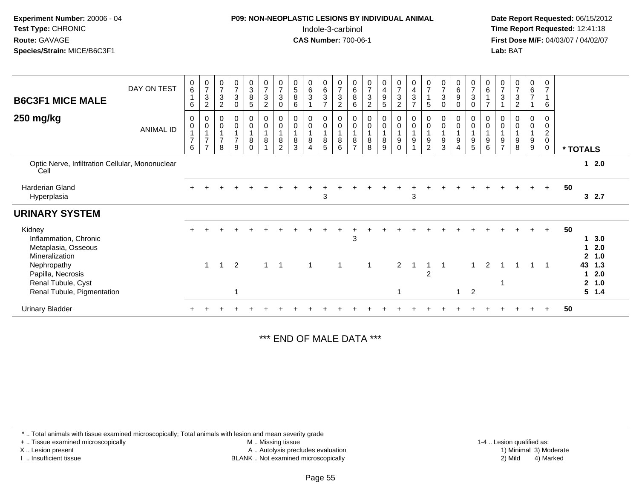| Experiment Number: 20006 - 04 |
|-------------------------------|
| <b>Test Type: CHRONIC</b>     |
| Route: GAVAGE                 |
| Species/Strain: MICE/B6C3F1   |

## **P09: NON-NEOPLASTIC LESIONS BY INDIVIDUAL ANIMAL**Indole-3-carbinol **Time Report Requested:** 12:41:18

 **Date Report Requested:** 06/15/2012 **First Dose M/F:** 04/03/07 / 04/02/07<br>**Lab:** BAT **Lab:** BAT

| <b>B6C3F1 MICE MALE</b>                                                              | DAY ON TEST      | $\begin{matrix} 0 \\ 6 \end{matrix}$<br>1<br>6 | $\frac{0}{7}$<br>$\ensuremath{\mathsf{3}}$<br>$\overline{c}$                 | $\frac{0}{7}$<br>$\mathbf 3$<br>$\overline{2}$                   | $\begin{array}{c} 0 \\ 7 \\ 3 \end{array}$<br>$\mathbf 0$          | $\begin{smallmatrix}0\3\8\end{smallmatrix}$<br>5             | $\frac{0}{7}$<br>$\ensuremath{\mathsf{3}}$<br>$\boldsymbol{2}$ | $\frac{0}{7}$<br>$\mathbf{3}$<br>0  | $\begin{array}{c} 0 \\ 5 \\ 8 \end{array}$<br>6 | $\begin{matrix} 0 \\ 6 \\ 3 \end{matrix}$                                                | $\begin{matrix} 0 \\ 6 \\ 3 \end{matrix}$<br>$\overline{7}$  | $\begin{array}{c} 0 \\ 7 \\ 3 \end{array}$<br>$\overline{2}$                   | 0<br>$\overline{6}$<br>8<br>6           | $\frac{0}{7}$<br>$\mathsf 3$<br>$\overline{c}$ | $\begin{array}{c} 0 \\ 4 \\ 9 \end{array}$<br>5 | $\frac{0}{7}$<br>3<br>$\overline{2}$ | $\begin{array}{c} 0 \\ 4 \\ 3 \end{array}$<br>$\overline{7}$ | $\frac{0}{7}$<br>$\overline{1}$<br>5                                 | $\frac{0}{7}$<br>$\sqrt{3}$<br>$\mathbf 0$                                          | $_6^0$<br>$\overline{9}$<br>$\mathbf 0$ | $\frac{0}{7}$<br>$\sqrt{3}$<br>$\mathsf 0$                                             | $_{6}^{\rm 0}$<br>$\mathbf{1}$<br>$\overline{ }$            | $\frac{0}{7}$<br>$\sqrt{3}$                     | $\frac{0}{7}$<br>$\sqrt{3}$<br>$\overline{2}$ | $\begin{array}{c} 0 \\ 6 \end{array}$<br>$\overline{7}$<br>$\mathbf{1}$ | $\mathbf 0$<br>$\overline{7}$<br>$\mathbf{1}$<br>6             |    |                              |                          |
|--------------------------------------------------------------------------------------|------------------|------------------------------------------------|------------------------------------------------------------------------------|------------------------------------------------------------------|--------------------------------------------------------------------|--------------------------------------------------------------|----------------------------------------------------------------|-------------------------------------|-------------------------------------------------|------------------------------------------------------------------------------------------|--------------------------------------------------------------|--------------------------------------------------------------------------------|-----------------------------------------|------------------------------------------------|-------------------------------------------------|--------------------------------------|--------------------------------------------------------------|----------------------------------------------------------------------|-------------------------------------------------------------------------------------|-----------------------------------------|----------------------------------------------------------------------------------------|-------------------------------------------------------------|-------------------------------------------------|-----------------------------------------------|-------------------------------------------------------------------------|----------------------------------------------------------------|----|------------------------------|--------------------------|
| 250 mg/kg                                                                            | <b>ANIMAL ID</b> | 0<br>0<br>$\overline{7}$<br>6                  | $\pmb{0}$<br>$\pmb{0}$<br>$\overline{1}$<br>$\overline{7}$<br>$\overline{z}$ | $\begin{matrix} 0 \\ 0 \\ 1 \end{matrix}$<br>$\overline{7}$<br>8 | $\begin{smallmatrix} 0\\0 \end{smallmatrix}$<br>$\frac{1}{7}$<br>9 | $\begin{smallmatrix}0\0\0\end{smallmatrix}$<br>8<br>$\Omega$ | $_{\rm 0}^{\rm 0}$<br>$\mathbf{1}$<br>$\bf8$                   | $_0^0$<br>$\bf 8$<br>$\overline{2}$ | $_{\rm 0}^{\rm 0}$<br>8<br>3                    | $\begin{smallmatrix} 0\\0 \end{smallmatrix}$<br>$\mathbf{1}$<br>$\bf8$<br>$\overline{4}$ | $\begin{smallmatrix} 0\\0 \end{smallmatrix}$<br>$\bf 8$<br>5 | $\begin{smallmatrix} 0\\0 \end{smallmatrix}$<br>$\overline{1}$<br>$\,8\,$<br>6 | 0<br>$\mathsf 0$<br>8<br>$\overline{ }$ | $_{\rm 0}^{\rm 0}$<br>1<br>$\bf 8$<br>8        | $_0^0$<br>$\mathbf{1}$<br>8<br>9                | $_0^0$<br>$9\,$<br>$\Omega$          | $_{\rm 0}^{\rm 0}$<br>$\overline{1}$<br>$\boldsymbol{9}$     | $_{\rm 0}^{\rm 0}$<br>$\overline{\mathbf{1}}$<br>9<br>$\overline{2}$ | $\begin{smallmatrix}0\\0\end{smallmatrix}$<br>$\mathbf{1}$<br>$\boldsymbol{9}$<br>3 | $_0^0$<br>9<br>$\overline{\mathbf{4}}$  | $\begin{smallmatrix}0\0\0\end{smallmatrix}$<br>$\overline{1}$<br>$\boldsymbol{9}$<br>5 | $_{\rm 0}^{\rm 0}$<br>$\mathbf{1}$<br>$\boldsymbol{9}$<br>6 | 0<br>$\mathsf{O}\xspace$<br>9<br>$\overline{ }$ | $_{\rm 0}^{\rm 0}$<br>$\boldsymbol{9}$<br>8   | 0<br>$\pmb{0}$<br>1<br>$\boldsymbol{9}$<br>9                            | 0<br>$\pmb{0}$<br>$\overline{c}$<br>$\mathbf 0$<br>$\mathbf 0$ |    | * TOTALS                     |                          |
| Optic Nerve, Infiltration Cellular, Mononuclear<br>Cell                              |                  |                                                |                                                                              |                                                                  |                                                                    |                                                              |                                                                |                                     |                                                 |                                                                                          |                                                              |                                                                                |                                         |                                                |                                                 |                                      |                                                              |                                                                      |                                                                                     |                                         |                                                                                        |                                                             |                                                 |                                               |                                                                         |                                                                |    |                              | $1 \quad 2.0$            |
| <b>Harderian Gland</b><br>Hyperplasia                                                |                  |                                                |                                                                              |                                                                  |                                                                    |                                                              |                                                                |                                     |                                                 |                                                                                          | 3                                                            |                                                                                |                                         |                                                |                                                 |                                      | 3                                                            |                                                                      |                                                                                     |                                         |                                                                                        |                                                             |                                                 |                                               |                                                                         | $+$                                                            | 50 |                              | 32.7                     |
| <b>URINARY SYSTEM</b>                                                                |                  |                                                |                                                                              |                                                                  |                                                                    |                                                              |                                                                |                                     |                                                 |                                                                                          |                                                              |                                                                                |                                         |                                                |                                                 |                                      |                                                              |                                                                      |                                                                                     |                                         |                                                                                        |                                                             |                                                 |                                               |                                                                         |                                                                |    |                              |                          |
| Kidney<br>Inflammation, Chronic<br>Metaplasia, Osseous<br>Mineralization             |                  |                                                |                                                                              |                                                                  |                                                                    |                                                              |                                                                |                                     |                                                 |                                                                                          |                                                              |                                                                                | 3                                       |                                                |                                                 |                                      |                                                              |                                                                      |                                                                                     |                                         |                                                                                        |                                                             |                                                 |                                               | $\ddot{}$                                                               | $+$                                                            | 50 | 1<br>$\mathbf{2}$            | 3.0<br>2.0<br>1.0        |
| Nephropathy<br>Papilla, Necrosis<br>Renal Tubule, Cyst<br>Renal Tubule, Pigmentation |                  |                                                | $\overline{1}$                                                               | - 1                                                              | 2<br>1                                                             |                                                              | $\mathbf{1}$                                                   | $\overline{\phantom{0}}$            |                                                 | 1                                                                                        |                                                              | 1                                                                              |                                         | -1                                             |                                                 | $\overline{2}$                       |                                                              | $\overline{2}$                                                       | -1                                                                                  | $\mathbf{1}$                            | $\overline{2}$                                                                         | $\overline{2}$                                              |                                                 |                                               | $\mathbf 1$                                                             |                                                                |    | 43<br>1<br>$\mathbf{2}$<br>5 | 1.3<br>2.0<br>1.0<br>1.4 |
| <b>Urinary Bladder</b>                                                               |                  |                                                |                                                                              |                                                                  |                                                                    |                                                              |                                                                |                                     |                                                 |                                                                                          |                                                              |                                                                                |                                         |                                                |                                                 |                                      |                                                              |                                                                      |                                                                                     |                                         |                                                                                        |                                                             |                                                 |                                               |                                                                         |                                                                | 50 |                              |                          |

\*\*\* END OF MALE DATA \*\*\*

\* .. Total animals with tissue examined microscopically; Total animals with lesion and mean severity grade

+ .. Tissue examined microscopically

X .. Lesion present

I .. Insufficient tissue

 M .. Missing tissueLesion present A .. Autolysis precludes evaluation 1) Minimal 3) Moderate

BLANK .. Not examined microscopically 2) Mild 4) Marked

1-4 .. Lesion qualified as:<br>1) Minimal 3) Moderate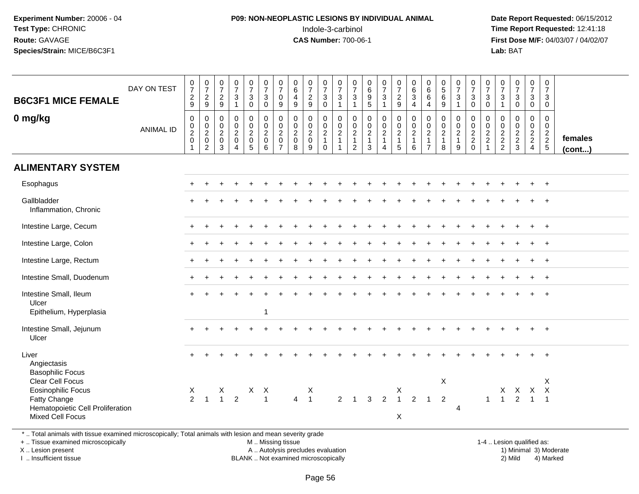# **P09: NON-NEOPLASTIC LESIONS BY INDIVIDUAL ANIMAL**Indole-3-carbinol **Time Report Requested:** 12:41:18

 **Date Report Requested:** 06/15/2012 **First Dose M/F:** 04/03/07 / 04/02/07<br>**Lab:** BAT **Lab:** BAT

| DAY ON TEST                      | $\frac{0}{7}$<br>$\frac{2}{9}$                    | $\begin{array}{c} 0 \\ 7 \end{array}$<br>$\frac{2}{9}$ | $\frac{0}{7}$<br>$\overline{2}$<br>$9\,$                  | $\frac{0}{7}$<br>$\sqrt{3}$<br>$\overline{1}$                                 | $\frac{0}{7}$<br>$\mathbf{3}$<br>$\mathbf 0$ | $\frac{0}{7}$<br>$\ensuremath{\mathsf{3}}$<br>$\Omega$ | $\frac{0}{7}$<br>$\pmb{0}$<br>9                                                            | $\begin{array}{c} 0 \\ 6 \end{array}$<br>$\overline{4}$<br>$9\,$    | $\frac{0}{7}$<br>$\sqrt{2}$<br>9                                 | $\begin{smallmatrix}0\\7\end{smallmatrix}$<br>$\mathsf 3$<br>$\mathbf 0$ | $\frac{0}{7}$<br>3<br>$\mathbf{1}$                                                          | $\frac{0}{7}$<br>$\mathbf{3}$<br>$\mathbf{1}$           | 0<br>$\,6\,$<br>$\frac{9}{5}$                                                  | $\begin{array}{c} 0 \\ 7 \end{array}$<br>$\ensuremath{\mathsf{3}}$<br>$\overline{1}$ | $\frac{0}{7}$<br>$\frac{2}{9}$                                                                | $\begin{array}{c} 0 \\ 6 \end{array}$<br>$\sqrt{3}$<br>$\overline{4}$ | $\begin{array}{c} 0 \\ 6 \end{array}$<br>$\,6\,$<br>4                    | $\begin{array}{c} 0 \\ 5 \end{array}$<br>$\,6\,$<br>9                            | $\frac{0}{7}$<br>$\sqrt{3}$<br>$\mathbf 1$ | $\begin{array}{c} 0 \\ 7 \end{array}$<br>$\mathsf 3$<br>$\mathbf 0$ | $\frac{0}{7}$<br>$\mathsf 3$<br>$\mathbf 0$    | $\pmb{0}$<br>$\overline{7}$<br>3<br>$\overline{1}$ | $\frac{0}{7}$<br>3<br>$\Omega$                                         | $\frac{0}{7}$<br>3<br>$\mathbf 0$                                 | $\begin{smallmatrix}0\\7\end{smallmatrix}$<br>$\mathbf{3}$<br>$\mathbf 0$ |                   |
|----------------------------------|---------------------------------------------------|--------------------------------------------------------|-----------------------------------------------------------|-------------------------------------------------------------------------------|----------------------------------------------|--------------------------------------------------------|--------------------------------------------------------------------------------------------|---------------------------------------------------------------------|------------------------------------------------------------------|--------------------------------------------------------------------------|---------------------------------------------------------------------------------------------|---------------------------------------------------------|--------------------------------------------------------------------------------|--------------------------------------------------------------------------------------|-----------------------------------------------------------------------------------------------|-----------------------------------------------------------------------|--------------------------------------------------------------------------|----------------------------------------------------------------------------------|--------------------------------------------|---------------------------------------------------------------------|------------------------------------------------|----------------------------------------------------|------------------------------------------------------------------------|-------------------------------------------------------------------|---------------------------------------------------------------------------|-------------------|
| <b>ANIMAL ID</b>                 | 0<br>$_2^0$<br>$\mathsf{O}\xspace$<br>$\mathbf 1$ | $\mathbf 0$<br>$\frac{0}{2}$<br>$\overline{2}$         | 0<br>$\overline{0}$<br>$\overline{c}$<br>$\mathbf 0$<br>3 | $\mathbf 0$<br>$\mathbf 0$<br>$\overline{2}$<br>$\mathbf 0$<br>$\overline{4}$ | 0<br>$_2^0$<br>$\mathbf 0$<br>5              | 0<br>$_2^0$<br>$\mathbf 0$<br>6                        | $\mathbf 0$<br>$\begin{smallmatrix} 0\\2 \end{smallmatrix}$<br>$\pmb{0}$<br>$\overline{7}$ | $\mathbf 0$<br>$\begin{smallmatrix} 0\\2\\0 \end{smallmatrix}$<br>8 | $\mathbf 0$<br>$\mathbf 0$<br>$\overline{2}$<br>$\mathbf 0$<br>9 | 0<br>$\frac{0}{2}$<br>$\mathbf{1}$<br>$\mathbf 0$                        | $\mathbf 0$<br>$\begin{smallmatrix} 0\\2 \end{smallmatrix}$<br>$\mathbf{1}$<br>$\mathbf{1}$ | $\mathbf 0$<br>$_2^0$<br>$\mathbf{1}$<br>$\overline{2}$ | $\pmb{0}$<br>$\begin{smallmatrix} 0\\2 \end{smallmatrix}$<br>$\mathbf{1}$<br>3 | $\mathbf 0$<br>$\frac{0}{2}$<br>$\mathbf{1}$<br>$\overline{4}$                       | $\mathbf 0$<br>$\begin{smallmatrix} 0\\2 \end{smallmatrix}$<br>$\mathbf{1}$<br>$\overline{5}$ | $\mathbf 0$<br>$\frac{0}{2}$<br>1<br>6                                | 0<br>$\begin{smallmatrix} 0\\2 \end{smallmatrix}$<br>1<br>$\overline{7}$ | $\mathbf 0$<br>$\begin{smallmatrix} 0\\2 \end{smallmatrix}$<br>$\mathbf{1}$<br>8 | 0<br>$_{2}^{\rm 0}$<br>$\mathbf{1}$<br>9   | 0<br>$\frac{0}{2}$<br>$\Omega$                                      | $\mathbf 0$<br>$\frac{0}{2}$<br>$\overline{1}$ | $\mathbf 0$<br>$\mathbf 0$<br>$\frac{2}{2}$        | $\mathbf 0$<br>$\overline{0}$<br>$\overline{2}$<br>$\overline{a}$<br>3 | 0<br>$\begin{array}{c} 0 \\ 2 \\ 2 \end{array}$<br>$\overline{4}$ | 0<br>$\mathbf 0$<br>$\frac{2}{2}$                                         | females<br>(cont) |
|                                  |                                                   |                                                        |                                                           |                                                                               |                                              |                                                        |                                                                                            |                                                                     |                                                                  |                                                                          |                                                                                             |                                                         |                                                                                |                                                                                      |                                                                                               |                                                                       |                                                                          |                                                                                  |                                            |                                                                     |                                                |                                                    |                                                                        |                                                                   |                                                                           |                   |
|                                  |                                                   |                                                        |                                                           |                                                                               |                                              |                                                        |                                                                                            |                                                                     |                                                                  |                                                                          |                                                                                             |                                                         |                                                                                |                                                                                      |                                                                                               |                                                                       |                                                                          |                                                                                  |                                            |                                                                     |                                                |                                                    |                                                                        |                                                                   | $\overline{+}$                                                            |                   |
|                                  |                                                   |                                                        |                                                           |                                                                               |                                              |                                                        |                                                                                            |                                                                     |                                                                  |                                                                          |                                                                                             |                                                         |                                                                                |                                                                                      |                                                                                               |                                                                       |                                                                          |                                                                                  |                                            |                                                                     |                                                |                                                    |                                                                        |                                                                   |                                                                           |                   |
|                                  |                                                   |                                                        |                                                           |                                                                               |                                              |                                                        |                                                                                            |                                                                     |                                                                  |                                                                          |                                                                                             |                                                         |                                                                                |                                                                                      |                                                                                               |                                                                       |                                                                          |                                                                                  |                                            |                                                                     |                                                |                                                    |                                                                        |                                                                   | $\overline{+}$                                                            |                   |
|                                  |                                                   |                                                        |                                                           |                                                                               |                                              |                                                        |                                                                                            |                                                                     |                                                                  |                                                                          |                                                                                             |                                                         |                                                                                |                                                                                      |                                                                                               |                                                                       |                                                                          |                                                                                  |                                            |                                                                     |                                                |                                                    |                                                                        |                                                                   |                                                                           |                   |
|                                  |                                                   |                                                        |                                                           |                                                                               |                                              |                                                        |                                                                                            |                                                                     |                                                                  |                                                                          |                                                                                             |                                                         |                                                                                |                                                                                      |                                                                                               |                                                                       |                                                                          |                                                                                  |                                            |                                                                     |                                                |                                                    |                                                                        |                                                                   | $\overline{+}$                                                            |                   |
|                                  |                                                   |                                                        |                                                           |                                                                               |                                              |                                                        |                                                                                            |                                                                     |                                                                  |                                                                          |                                                                                             |                                                         |                                                                                |                                                                                      |                                                                                               |                                                                       |                                                                          |                                                                                  |                                            |                                                                     |                                                |                                                    |                                                                        |                                                                   | $+$                                                                       |                   |
|                                  |                                                   |                                                        |                                                           |                                                                               |                                              | -1                                                     |                                                                                            |                                                                     |                                                                  |                                                                          |                                                                                             |                                                         |                                                                                |                                                                                      |                                                                                               |                                                                       |                                                                          |                                                                                  |                                            |                                                                     |                                                |                                                    |                                                                        |                                                                   |                                                                           |                   |
|                                  |                                                   |                                                        |                                                           |                                                                               |                                              |                                                        |                                                                                            |                                                                     |                                                                  |                                                                          |                                                                                             |                                                         |                                                                                |                                                                                      |                                                                                               |                                                                       |                                                                          |                                                                                  |                                            |                                                                     |                                                |                                                    |                                                                        |                                                                   |                                                                           |                   |
|                                  |                                                   |                                                        |                                                           |                                                                               |                                              |                                                        |                                                                                            |                                                                     |                                                                  |                                                                          |                                                                                             |                                                         |                                                                                |                                                                                      |                                                                                               |                                                                       |                                                                          |                                                                                  |                                            |                                                                     |                                                |                                                    |                                                                        |                                                                   | $\ddot{}$                                                                 |                   |
| Hematopoietic Cell Proliferation | X<br>$\overline{2}$                               | $\overline{1}$                                         | X<br>$\mathbf{1}$                                         | $\overline{2}$                                                                | X                                            | $\boldsymbol{\mathsf{X}}$<br>$\overline{1}$            |                                                                                            | $\overline{4}$                                                      | X<br>$\overline{1}$                                              |                                                                          | $\overline{2}$                                                                              | $\overline{1}$                                          | 3                                                                              | $\overline{2}$                                                                       | X<br>$\overline{1}$                                                                           | $\overline{2}$                                                        | $\overline{1}$                                                           | $\overline{2}$                                                                   | $\overline{4}$                             |                                                                     | $\overline{1}$                                 | $\mathbf{1}$                                       | 2                                                                      | $\overline{1}$                                                    | $\mathsf{X}$<br>$\overline{1}$                                            |                   |
|                                  |                                                   |                                                        |                                                           |                                                                               |                                              |                                                        |                                                                                            |                                                                     |                                                                  |                                                                          |                                                                                             |                                                         |                                                                                |                                                                                      |                                                                                               | X                                                                     |                                                                          |                                                                                  | $\boldsymbol{\mathsf{X}}$                  |                                                                     |                                                |                                                    |                                                                        |                                                                   | X X X                                                                     | X                 |

\* .. Total animals with tissue examined microscopically; Total animals with lesion and mean severity grade

+ .. Tissue examined microscopically

X .. Lesion present

I .. Insufficient tissue

 M .. Missing tissueA .. Autolysis precludes evaluation

1-4 .. Lesion qualified as:<br>1) Minimal 3) Moderate BLANK .. Not examined microscopically 2) Mild 4) Marked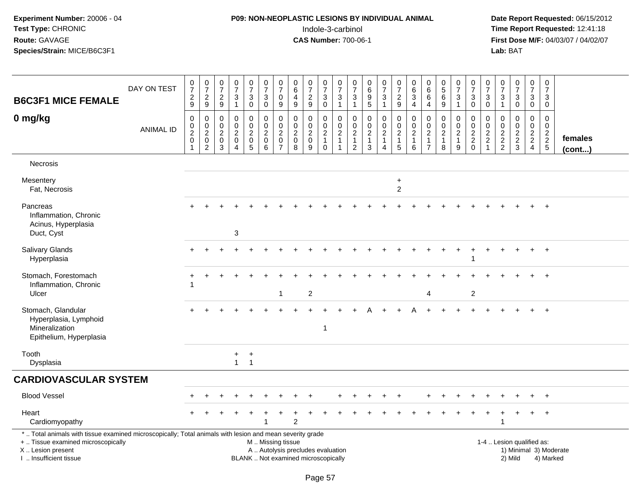## **P09: NON-NEOPLASTIC LESIONS BY INDIVIDUAL ANIMAL**Indole-3-carbinol **Time Report Requested:** 12:41:18

| <b>B6C3F1 MICE FEMALE</b>                                                                                                                                                                     | DAY ON TEST      | $\frac{0}{7}$<br>$\sqrt{2}$<br>9                          | $\begin{smallmatrix}0\\7\end{smallmatrix}$<br>$\sqrt{2}$<br>$9\,$ | $\frac{0}{7}$<br>$\overline{2}$<br>9      | $\frac{0}{7}$<br>$\mathbf{3}$<br>$\mathbf{1}$                            | $\frac{0}{7}$<br>3<br>$\mathbf 0$                    | $\frac{0}{7}$<br>3<br>$\mathbf 0$                                                             | $\frac{0}{7}$<br>$\mathbf 0$<br>9                                 | 0<br>6<br>4<br>9                                            | $\begin{array}{c} 0 \\ 7 \end{array}$<br>$\sqrt{2}$<br>9     | $\frac{0}{7}$<br>3<br>$\mathbf 0$                             | $\begin{array}{c} 0 \\ 7 \end{array}$<br>$\sqrt{3}$<br>$\mathbf{1}$              | $\frac{0}{7}$<br>3<br>$\mathbf{1}$                         | $_{6}^{\rm 0}$<br>$\overline{9}$<br>$5\phantom{.0}$     | $\frac{0}{7}$<br>$\mathbf{3}$<br>$\mathbf{1}$                                  | $\frac{0}{7}$<br>$\overline{a}$<br>9                    | $\begin{array}{c} 0 \\ 6 \end{array}$<br>$\mathbf{3}$<br>$\overline{4}$ | 0<br>6<br>$\,6\,$<br>$\overline{4}$                                                 | $\pmb{0}$<br>$\sqrt{5}$<br>6<br>9                                | $\frac{0}{7}$<br>3<br>$\mathbf{1}$                      | $\frac{0}{7}$<br>$\mathbf{3}$<br>$\mathbf 0$             | $\frac{0}{7}$<br>3<br>$\mathbf 0$                                           | 0<br>$\overline{7}$<br>$\mathbf{3}$<br>$\mathbf{1}$             | $\begin{smallmatrix} 0\\7 \end{smallmatrix}$<br>$\sqrt{3}$<br>$\mathbf 0$  | $\frac{0}{7}$<br>$\mathbf{3}$<br>$\mathbf 0$                                     | $\mathbf 0$<br>$\overline{7}$<br>3<br>$\mathbf 0$                              |                   |
|-----------------------------------------------------------------------------------------------------------------------------------------------------------------------------------------------|------------------|-----------------------------------------------------------|-------------------------------------------------------------------|-------------------------------------------|--------------------------------------------------------------------------|------------------------------------------------------|-----------------------------------------------------------------------------------------------|-------------------------------------------------------------------|-------------------------------------------------------------|--------------------------------------------------------------|---------------------------------------------------------------|----------------------------------------------------------------------------------|------------------------------------------------------------|---------------------------------------------------------|--------------------------------------------------------------------------------|---------------------------------------------------------|-------------------------------------------------------------------------|-------------------------------------------------------------------------------------|------------------------------------------------------------------|---------------------------------------------------------|----------------------------------------------------------|-----------------------------------------------------------------------------|-----------------------------------------------------------------|----------------------------------------------------------------------------|----------------------------------------------------------------------------------|--------------------------------------------------------------------------------|-------------------|
| 0 mg/kg                                                                                                                                                                                       | <b>ANIMAL ID</b> | $\mathbf 0$<br>$\mathbf 0$<br>$\overline{c}$<br>$\pmb{0}$ | $\mathbf 0$<br>$\mathbf 0$<br>$\overline{2}$<br>$\mathbf 0$<br>2  | $\Omega$<br>0<br>$\overline{2}$<br>0<br>3 | $\Omega$<br>$\mathbf 0$<br>$\overline{2}$<br>$\pmb{0}$<br>$\overline{4}$ | 0<br>$\mathbf 0$<br>$\overline{c}$<br>$\pmb{0}$<br>5 | $\mathbf 0$<br>$\mathbf 0$<br>$\boldsymbol{2}$<br>$\pmb{0}$<br>6                              | 0<br>$\mathbf 0$<br>$\overline{c}$<br>$\pmb{0}$<br>$\overline{7}$ | $\Omega$<br>0<br>$\overline{2}$<br>$\mathsf{O}\xspace$<br>8 | $\mathbf 0$<br>$\pmb{0}$<br>$\overline{2}$<br>$\pmb{0}$<br>9 | 0<br>$\mathbf 0$<br>$\sqrt{2}$<br>$\mathbf{1}$<br>$\mathbf 0$ | $\mathbf 0$<br>$\mathbf 0$<br>$\overline{2}$<br>$\overline{1}$<br>$\overline{1}$ | 0<br>0<br>$\overline{2}$<br>$\mathbf{1}$<br>$\overline{2}$ | 0<br>$\mathsf 0$<br>$\overline{2}$<br>$\mathbf{1}$<br>3 | $\mathbf 0$<br>$\mathbf 0$<br>$\overline{2}$<br>$\mathbf{1}$<br>$\overline{4}$ | 0<br>$\mathbf 0$<br>$\overline{2}$<br>$\mathbf{1}$<br>5 | $\mathbf 0$<br>$\mathbf 0$<br>$\overline{2}$<br>$\overline{1}$<br>6     | $\Omega$<br>$\mathsf{O}\xspace$<br>$\overline{2}$<br>$\mathbf{1}$<br>$\overline{7}$ | $\mathbf{0}$<br>$\pmb{0}$<br>$\overline{2}$<br>$\mathbf{1}$<br>8 | 0<br>$\mathbf 0$<br>$\overline{c}$<br>$\mathbf{1}$<br>9 | 0<br>$\mathsf{O}\xspace$<br>$\frac{2}{2}$<br>$\mathbf 0$ | $\Omega$<br>$\mathbf 0$<br>$\overline{2}$<br>$\overline{c}$<br>$\mathbf{1}$ | $\Omega$<br>0<br>$\overline{2}$<br>$\sqrt{2}$<br>$\overline{c}$ | $\mathbf 0$<br>$\mathbf 0$<br>$\overline{2}$<br>$\sqrt{2}$<br>$\mathbf{3}$ | $\mathbf 0$<br>$\mathbf 0$<br>$\overline{2}$<br>$\overline{2}$<br>$\overline{4}$ | $\Omega$<br>$\mathbf 0$<br>$\overline{2}$<br>$\overline{2}$<br>$5\phantom{.0}$ | females<br>(cont) |
| <b>Necrosis</b>                                                                                                                                                                               |                  |                                                           |                                                                   |                                           |                                                                          |                                                      |                                                                                               |                                                                   |                                                             |                                                              |                                                               |                                                                                  |                                                            |                                                         |                                                                                |                                                         |                                                                         |                                                                                     |                                                                  |                                                         |                                                          |                                                                             |                                                                 |                                                                            |                                                                                  |                                                                                |                   |
| Mesentery<br>Fat, Necrosis                                                                                                                                                                    |                  |                                                           |                                                                   |                                           |                                                                          |                                                      |                                                                                               |                                                                   |                                                             |                                                              |                                                               |                                                                                  |                                                            |                                                         |                                                                                | $\ddot{}$<br>$\overline{2}$                             |                                                                         |                                                                                     |                                                                  |                                                         |                                                          |                                                                             |                                                                 |                                                                            |                                                                                  |                                                                                |                   |
| Pancreas<br>Inflammation, Chronic<br>Acinus, Hyperplasia<br>Duct, Cyst                                                                                                                        |                  |                                                           |                                                                   |                                           | 3                                                                        |                                                      |                                                                                               |                                                                   |                                                             |                                                              |                                                               |                                                                                  |                                                            |                                                         |                                                                                |                                                         |                                                                         |                                                                                     |                                                                  |                                                         |                                                          |                                                                             |                                                                 |                                                                            |                                                                                  | $+$                                                                            |                   |
| Salivary Glands<br>Hyperplasia                                                                                                                                                                |                  |                                                           |                                                                   |                                           |                                                                          |                                                      |                                                                                               |                                                                   |                                                             |                                                              |                                                               |                                                                                  |                                                            |                                                         |                                                                                |                                                         |                                                                         |                                                                                     |                                                                  |                                                         |                                                          |                                                                             |                                                                 |                                                                            |                                                                                  | $\overline{+}$                                                                 |                   |
| Stomach, Forestomach<br>Inflammation, Chronic<br>Ulcer                                                                                                                                        |                  |                                                           |                                                                   |                                           |                                                                          |                                                      |                                                                                               | $\mathbf{1}$                                                      |                                                             | $\overline{2}$                                               |                                                               |                                                                                  |                                                            |                                                         |                                                                                |                                                         |                                                                         | 4                                                                                   |                                                                  |                                                         | $\mathbf{2}$                                             |                                                                             |                                                                 |                                                                            |                                                                                  | $+$                                                                            |                   |
| Stomach, Glandular<br>Hyperplasia, Lymphoid<br>Mineralization<br>Epithelium, Hyperplasia                                                                                                      |                  |                                                           |                                                                   |                                           |                                                                          |                                                      |                                                                                               |                                                                   |                                                             |                                                              | 1                                                             |                                                                                  |                                                            |                                                         |                                                                                |                                                         |                                                                         |                                                                                     |                                                                  |                                                         |                                                          |                                                                             |                                                                 |                                                                            |                                                                                  | $+$                                                                            |                   |
| Tooth<br>Dysplasia                                                                                                                                                                            |                  |                                                           |                                                                   |                                           | $+$<br>$\mathbf{1}$                                                      | $+$<br>$\overline{1}$                                |                                                                                               |                                                                   |                                                             |                                                              |                                                               |                                                                                  |                                                            |                                                         |                                                                                |                                                         |                                                                         |                                                                                     |                                                                  |                                                         |                                                          |                                                                             |                                                                 |                                                                            |                                                                                  |                                                                                |                   |
| <b>CARDIOVASCULAR SYSTEM</b>                                                                                                                                                                  |                  |                                                           |                                                                   |                                           |                                                                          |                                                      |                                                                                               |                                                                   |                                                             |                                                              |                                                               |                                                                                  |                                                            |                                                         |                                                                                |                                                         |                                                                         |                                                                                     |                                                                  |                                                         |                                                          |                                                                             |                                                                 |                                                                            |                                                                                  |                                                                                |                   |
| <b>Blood Vessel</b>                                                                                                                                                                           |                  |                                                           |                                                                   |                                           |                                                                          |                                                      |                                                                                               |                                                                   |                                                             |                                                              |                                                               |                                                                                  |                                                            |                                                         |                                                                                |                                                         |                                                                         |                                                                                     |                                                                  |                                                         |                                                          |                                                                             |                                                                 |                                                                            |                                                                                  |                                                                                |                   |
| Heart<br>Cardiomyopathy                                                                                                                                                                       |                  |                                                           |                                                                   |                                           |                                                                          |                                                      |                                                                                               |                                                                   | $\mathfrak{p}$                                              |                                                              |                                                               |                                                                                  |                                                            |                                                         |                                                                                |                                                         |                                                                         |                                                                                     |                                                                  |                                                         |                                                          |                                                                             |                                                                 |                                                                            | +                                                                                | $^{+}$                                                                         |                   |
| *  Total animals with tissue examined microscopically; Total animals with lesion and mean severity grade<br>+  Tissue examined microscopically<br>X  Lesion present<br>I. Insufficient tissue |                  |                                                           |                                                                   |                                           |                                                                          |                                                      | M  Missing tissue<br>A  Autolysis precludes evaluation<br>BLANK  Not examined microscopically |                                                                   |                                                             |                                                              |                                                               |                                                                                  |                                                            |                                                         |                                                                                |                                                         |                                                                         |                                                                                     |                                                                  |                                                         |                                                          |                                                                             |                                                                 | 1-4  Lesion qualified as:<br>1) Minimal 3) Moderate<br>2) Mild             |                                                                                  | 4) Marked                                                                      |                   |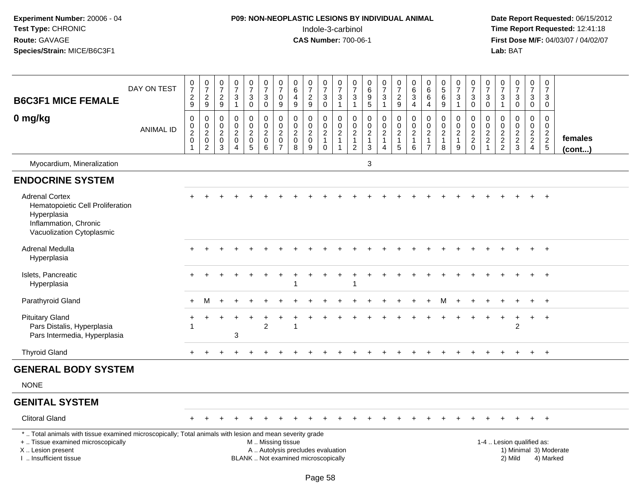## **P09: NON-NEOPLASTIC LESIONS BY INDIVIDUAL ANIMAL**Indole-3-carbinol **Time Report Requested:** 12:41:18

| <b>B6C3F1 MICE FEMALE</b>                                                                                                                                                                     | DAY ON TEST      | 0<br>$\overline{7}$<br>$\frac{2}{9}$                                          | $\frac{0}{7}$<br>$\boldsymbol{2}$<br>9                                             | $\pmb{0}$<br>$\overline{7}$<br>$\overline{c}$<br>$\overline{9}$ | $\boldsymbol{0}$<br>$\overline{7}$<br>$\ensuremath{\mathsf{3}}$<br>$\mathbf{1}$ | $\frac{0}{7}$<br>3<br>$\mathbf 0$                                   | $\pmb{0}$<br>$\overline{7}$<br>$\ensuremath{\mathsf{3}}$<br>$\mathbf 0$     | $\frac{0}{7}$<br>$\pmb{0}$<br>9                                             | $\pmb{0}$<br>$6\phantom{1}$<br>$\overline{4}$<br>9           | $\frac{0}{7}$<br>$\overline{c}$<br>9                                     | 0<br>$\overline{7}$<br>$\sqrt{3}$<br>$\mathbf 0$                | $\pmb{0}$<br>$\overline{7}$<br>$\ensuremath{\mathsf{3}}$<br>$\mathbf{1}$         | $\pmb{0}$<br>$\overline{7}$<br>3<br>$\mathbf{1}$                                 | 0<br>$\,6\,$<br>$\boldsymbol{9}$<br>$\overline{5}$                                | $\frac{0}{7}$<br>$\mathbf{3}$<br>$\mathbf{1}$           | 0<br>$\overline{7}$<br>$\overline{a}$<br>9           | $\pmb{0}$<br>$\,6\,$<br>$\sqrt{3}$<br>$\overline{4}$                 | $\begin{array}{c} 0 \\ 6 \end{array}$<br>6<br>$\overline{4}$               | $\begin{array}{c} 0 \\ 5 \end{array}$<br>$\,6\,$<br>9             | $\begin{array}{c} 0 \\ 7 \end{array}$<br>$\ensuremath{\mathsf{3}}$<br>$\mathbf{1}$ | 0<br>$\overline{7}$<br>3<br>$\mathbf 0$          | 0<br>$\overline{7}$<br>3<br>$\mathbf 0$                              | $\mathbf 0$<br>$\overline{7}$<br>$\ensuremath{\mathsf{3}}$<br>$\mathbf{1}$ | $\begin{array}{c} 0 \\ 7 \end{array}$<br>$\ensuremath{\mathsf{3}}$<br>$\mathbf 0$ | $\mathbf 0$<br>$\overline{7}$<br>$\mathsf 3$<br>$\mathbf 0$   | $\mathbf 0$<br>$\overline{7}$<br>$\ensuremath{\mathsf{3}}$<br>$\Omega$ |                        |
|-----------------------------------------------------------------------------------------------------------------------------------------------------------------------------------------------|------------------|-------------------------------------------------------------------------------|------------------------------------------------------------------------------------|-----------------------------------------------------------------|---------------------------------------------------------------------------------|---------------------------------------------------------------------|-----------------------------------------------------------------------------|-----------------------------------------------------------------------------|--------------------------------------------------------------|--------------------------------------------------------------------------|-----------------------------------------------------------------|----------------------------------------------------------------------------------|----------------------------------------------------------------------------------|-----------------------------------------------------------------------------------|---------------------------------------------------------|------------------------------------------------------|----------------------------------------------------------------------|----------------------------------------------------------------------------|-------------------------------------------------------------------|------------------------------------------------------------------------------------|--------------------------------------------------|----------------------------------------------------------------------|----------------------------------------------------------------------------|-----------------------------------------------------------------------------------|---------------------------------------------------------------|------------------------------------------------------------------------|------------------------|
| 0 mg/kg                                                                                                                                                                                       | <b>ANIMAL ID</b> | $\mathbf 0$<br>$\begin{smallmatrix} 0\\2 \end{smallmatrix}$<br>$\pmb{0}$<br>1 | 0<br>$\begin{smallmatrix} 0\\2 \end{smallmatrix}$<br>$\mathsf 0$<br>$\overline{c}$ | $\mathbf 0$<br>$\mathbf 0$<br>$\sqrt{2}$<br>$\mathbf 0$<br>3    | $\mathbf 0$<br>$\mathbf 0$<br>$\boldsymbol{2}$<br>$\mathbf 0$<br>$\overline{4}$ | 0<br>$\mathbf 0$<br>$\overline{a}$<br>$\mathbf 0$<br>$\overline{5}$ | $\pmb{0}$<br>$\mathbf 0$<br>$\overline{2}$<br>$\mathbf 0$<br>$6\phantom{1}$ | $\mathbf 0$<br>$\pmb{0}$<br>$\boldsymbol{2}$<br>$\pmb{0}$<br>$\overline{7}$ | $\mathbf 0$<br>$\mathbf 0$<br>$\sqrt{2}$<br>$\mathbf 0$<br>8 | $\mathbf 0$<br>$\mathbf 0$<br>$\overline{2}$<br>$\mathbf 0$<br>9         | 0<br>$\mathbf 0$<br>$\sqrt{2}$<br>$\overline{1}$<br>$\mathbf 0$ | $\mathbf 0$<br>$\mathbf 0$<br>$\overline{c}$<br>$\overline{1}$<br>$\overline{1}$ | $\mathbf 0$<br>$\mathbf 0$<br>$\boldsymbol{2}$<br>$\mathbf{1}$<br>$\overline{2}$ | 0<br>$\begin{smallmatrix} 0\\2 \end{smallmatrix}$<br>$\mathbf{1}$<br>$\mathbf{3}$ | 0<br>$\mathbf 0$<br>$\overline{c}$<br>$\mathbf{1}$<br>4 | 0<br>$\frac{0}{2}$<br>$\mathbf{1}$<br>$\overline{5}$ | $\pmb{0}$<br>$\mathsf{O}\xspace$<br>$\frac{2}{1}$<br>$6\phantom{1}6$ | $\mathbf 0$<br>$\mathbf 0$<br>$\sqrt{2}$<br>$\mathbf{1}$<br>$\overline{7}$ | $\mathbf 0$<br>$\mathbf 0$<br>$\overline{c}$<br>$\mathbf{1}$<br>8 | 0<br>$\pmb{0}$<br>$\sqrt{2}$<br>$\mathbf{1}$<br>9                                  | 0<br>$\mathbf 0$<br>$\frac{2}{2}$<br>$\mathbf 0$ | $\mathbf 0$<br>0<br>$\overline{c}$<br>$\overline{2}$<br>$\mathbf{1}$ | $\pmb{0}$<br>$\mathbf 0$<br>$\overline{c}$<br>$\frac{2}{2}$                | 0<br>$\pmb{0}$<br>$\frac{2}{3}$                                                   | $\mathbf 0$<br>$\mathbf 0$<br>$\frac{2}{2}$<br>$\overline{4}$ | $\mathbf{0}$<br>$\mathbf 0$<br>$\frac{2}{5}$                           | females<br>(cont)      |
| Myocardium, Mineralization                                                                                                                                                                    |                  |                                                                               |                                                                                    |                                                                 |                                                                                 |                                                                     |                                                                             |                                                                             |                                                              |                                                                          |                                                                 |                                                                                  |                                                                                  | 3                                                                                 |                                                         |                                                      |                                                                      |                                                                            |                                                                   |                                                                                    |                                                  |                                                                      |                                                                            |                                                                                   |                                                               |                                                                        |                        |
| <b>ENDOCRINE SYSTEM</b>                                                                                                                                                                       |                  |                                                                               |                                                                                    |                                                                 |                                                                                 |                                                                     |                                                                             |                                                                             |                                                              |                                                                          |                                                                 |                                                                                  |                                                                                  |                                                                                   |                                                         |                                                      |                                                                      |                                                                            |                                                                   |                                                                                    |                                                  |                                                                      |                                                                            |                                                                                   |                                                               |                                                                        |                        |
| <b>Adrenal Cortex</b><br>Hematopoietic Cell Proliferation<br>Hyperplasia<br>Inflammation, Chronic<br>Vacuolization Cytoplasmic                                                                |                  |                                                                               |                                                                                    |                                                                 |                                                                                 |                                                                     |                                                                             |                                                                             |                                                              |                                                                          |                                                                 |                                                                                  |                                                                                  |                                                                                   |                                                         |                                                      |                                                                      |                                                                            |                                                                   |                                                                                    |                                                  |                                                                      |                                                                            |                                                                                   |                                                               |                                                                        |                        |
| Adrenal Medulla<br>Hyperplasia                                                                                                                                                                |                  |                                                                               |                                                                                    |                                                                 |                                                                                 |                                                                     |                                                                             |                                                                             |                                                              |                                                                          |                                                                 |                                                                                  |                                                                                  |                                                                                   |                                                         |                                                      |                                                                      |                                                                            |                                                                   |                                                                                    |                                                  |                                                                      |                                                                            |                                                                                   |                                                               | $\ddot{}$                                                              |                        |
| Islets, Pancreatic<br>Hyperplasia                                                                                                                                                             |                  |                                                                               |                                                                                    |                                                                 |                                                                                 |                                                                     |                                                                             |                                                                             |                                                              |                                                                          |                                                                 |                                                                                  | 1                                                                                |                                                                                   |                                                         |                                                      |                                                                      |                                                                            |                                                                   |                                                                                    |                                                  |                                                                      |                                                                            |                                                                                   | $\ddot{}$                                                     | $+$                                                                    |                        |
| Parathyroid Gland                                                                                                                                                                             |                  | $+$                                                                           | M                                                                                  | $+$                                                             |                                                                                 |                                                                     |                                                                             |                                                                             |                                                              |                                                                          |                                                                 |                                                                                  |                                                                                  |                                                                                   |                                                         |                                                      |                                                                      | ÷                                                                          | м                                                                 | $\ddot{}$                                                                          | $\div$                                           |                                                                      |                                                                            |                                                                                   | $+$                                                           | $+$                                                                    |                        |
| <b>Pituitary Gland</b><br>Pars Distalis, Hyperplasia<br>Pars Intermedia, Hyperplasia                                                                                                          |                  |                                                                               |                                                                                    |                                                                 | 3                                                                               |                                                                     | $\overline{2}$                                                              |                                                                             |                                                              |                                                                          |                                                                 |                                                                                  |                                                                                  |                                                                                   |                                                         |                                                      |                                                                      |                                                                            |                                                                   |                                                                                    |                                                  |                                                                      |                                                                            | 2                                                                                 | $+$                                                           | $+$                                                                    |                        |
| <b>Thyroid Gland</b>                                                                                                                                                                          |                  | $+$                                                                           |                                                                                    |                                                                 |                                                                                 |                                                                     |                                                                             |                                                                             |                                                              |                                                                          |                                                                 |                                                                                  |                                                                                  |                                                                                   | $\ddot{}$                                               |                                                      |                                                                      |                                                                            |                                                                   |                                                                                    |                                                  |                                                                      |                                                                            | $\ddot{}$                                                                         | $+$                                                           | $+$                                                                    |                        |
| <b>GENERAL BODY SYSTEM</b>                                                                                                                                                                    |                  |                                                                               |                                                                                    |                                                                 |                                                                                 |                                                                     |                                                                             |                                                                             |                                                              |                                                                          |                                                                 |                                                                                  |                                                                                  |                                                                                   |                                                         |                                                      |                                                                      |                                                                            |                                                                   |                                                                                    |                                                  |                                                                      |                                                                            |                                                                                   |                                                               |                                                                        |                        |
| <b>NONE</b>                                                                                                                                                                                   |                  |                                                                               |                                                                                    |                                                                 |                                                                                 |                                                                     |                                                                             |                                                                             |                                                              |                                                                          |                                                                 |                                                                                  |                                                                                  |                                                                                   |                                                         |                                                      |                                                                      |                                                                            |                                                                   |                                                                                    |                                                  |                                                                      |                                                                            |                                                                                   |                                                               |                                                                        |                        |
| <b>GENITAL SYSTEM</b>                                                                                                                                                                         |                  |                                                                               |                                                                                    |                                                                 |                                                                                 |                                                                     |                                                                             |                                                                             |                                                              |                                                                          |                                                                 |                                                                                  |                                                                                  |                                                                                   |                                                         |                                                      |                                                                      |                                                                            |                                                                   |                                                                                    |                                                  |                                                                      |                                                                            |                                                                                   |                                                               |                                                                        |                        |
| <b>Clitoral Gland</b>                                                                                                                                                                         |                  |                                                                               |                                                                                    |                                                                 |                                                                                 |                                                                     |                                                                             |                                                                             |                                                              |                                                                          |                                                                 |                                                                                  |                                                                                  |                                                                                   |                                                         |                                                      |                                                                      |                                                                            |                                                                   |                                                                                    |                                                  |                                                                      |                                                                            |                                                                                   |                                                               | $+$                                                                    |                        |
| *  Total animals with tissue examined microscopically; Total animals with lesion and mean severity grade<br>+  Tissue examined microscopically<br>X  Lesion present<br>I. Insufficient tissue |                  |                                                                               |                                                                                    |                                                                 |                                                                                 |                                                                     | M  Missing tissue                                                           |                                                                             |                                                              | A  Autolysis precludes evaluation<br>BLANK  Not examined microscopically |                                                                 |                                                                                  |                                                                                  |                                                                                   |                                                         |                                                      |                                                                      |                                                                            |                                                                   |                                                                                    |                                                  |                                                                      |                                                                            | 1-4  Lesion qualified as:<br>2) Mild                                              |                                                               | 4) Marked                                                              | 1) Minimal 3) Moderate |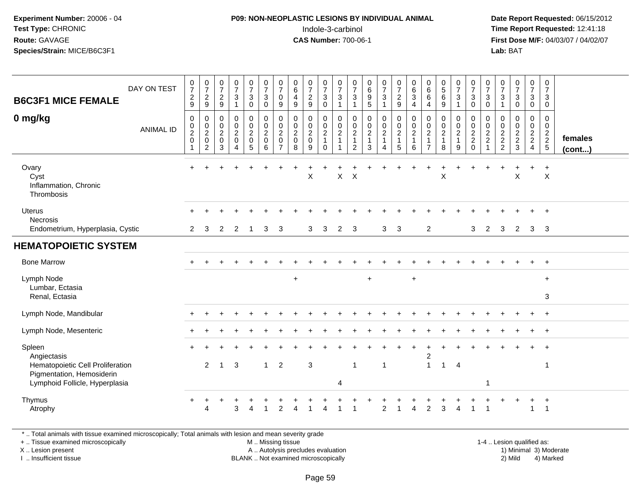#### **P09: NON-NEOPLASTIC LESIONS BY INDIVIDUAL ANIMAL**Indole-3-carbinol **Time Report Requested:** 12:41:18

 **Date Report Requested:** 06/15/2012 **First Dose M/F:** 04/03/07 / 04/02/07<br>**Lab:** BAT **Lab:** BAT

| DAY ON TEST<br><b>B6C3F1 MICE FEMALE</b><br>0 mg/kg<br><b>ANIMAL ID</b>                                                  | $\frac{0}{7}$<br>$\boldsymbol{2}$<br>$\boldsymbol{9}$<br>0<br>$\mathsf{O}\xspace$<br>$\frac{2}{0}$<br>$\mathbf{1}$ | $\frac{0}{7}$<br>$\boldsymbol{2}$<br>9<br>0<br>$\pmb{0}$<br>$\frac{2}{0}$<br>$\overline{2}$ | $\frac{0}{7}$<br>$\overline{c}$<br>9<br>$\mathbf 0$<br>$\mathbf 0$<br>$\overline{2}$<br>$\mathbf 0$<br>3 | $\frac{0}{7}$<br>3<br>1<br>0<br>$\mathbf 0$<br>$\overline{2}$<br>$\mathbf 0$<br>$\overline{4}$ | $\frac{0}{7}$<br>$\mathbf{3}$<br>$\mathbf 0$<br>$\pmb{0}$<br>$\mathsf{O}\xspace$<br>$\frac{2}{0}$<br>$\overline{5}$ | $\frac{0}{7}$<br>3<br>0<br>$\mathbf 0$<br>$\mathbf 0$<br>$\overline{c}$<br>$\pmb{0}$<br>6 | $\frac{0}{7}$<br>0<br>9<br>0<br>0<br>$\overline{2}$<br>$\mathbf 0$<br>$\overline{7}$ | $\begin{array}{c} 0 \\ 6 \end{array}$<br>$\overline{4}$<br>$\boldsymbol{9}$<br>$\mathbf 0$<br>$\pmb{0}$<br>$\boldsymbol{2}$<br>$\pmb{0}$<br>8 | $\frac{0}{7}$<br>$\sqrt{2}$<br>$\boldsymbol{9}$<br>0<br>0<br>$\overline{2}$<br>$\mathbf 0$<br>9 | $\frac{0}{7}$<br>$\mathsf 3$<br>$\mathbf 0$<br>0<br>$\boldsymbol{0}$<br>$\overline{c}$<br>$\overline{1}$<br>$\mathbf 0$ | 0<br>$\overline{7}$<br>$\mathbf{3}$<br>$\mathbf 1$<br>0<br>$\mathbf 0$<br>$\overline{2}$ | $\frac{0}{7}$<br>3<br>$\overline{1}$<br>0<br>$\mathbf 0$<br>$\overline{c}$<br>$\overline{1}$<br>2 | $\begin{matrix} 0 \\ 6 \\ 9 \end{matrix}$<br>5<br>0<br>$\pmb{0}$<br>$\overline{2}$<br>$\mathbf{1}$<br>3 | $\frac{0}{7}$<br>3<br>$\mathbf{1}$<br>0<br>$\mathbf 0$<br>$\overline{c}$<br>$\overline{1}$<br>4 | $\frac{0}{7}$<br>$\sqrt{2}$<br>9<br>$\boldsymbol{0}$<br>$\mathbf 0$<br>$\frac{2}{1}$<br>$\sqrt{5}$ | $\mathbf 0$<br>$6\phantom{1}6$<br>$\sqrt{3}$<br>$\overline{a}$<br>0<br>$\mathbf 0$<br>$\overline{2}$<br>$\mathbf{1}$<br>6 | $_{6}^{\rm 0}$<br>6<br>4<br>$\mathbf 0$<br>$\mathbf 0$<br>$\sqrt{2}$<br>$\mathbf{1}$<br>$\overline{7}$ | $\begin{matrix}0\5\6\end{matrix}$<br>$9\,$<br>0<br>$\mathbf 0$<br>$\overline{2}$<br>$\mathbf{1}$<br>8 | $\begin{array}{c} 0 \\ 7 \\ 3 \end{array}$<br>$\mathbf{1}$<br>0<br>$\mathbf 0$<br>$\frac{2}{1}$<br>9 | $\frac{0}{7}$<br>$\ensuremath{\mathsf{3}}$<br>$\pmb{0}$<br>0<br>$\pmb{0}$<br>$\frac{2}{2}$<br>$\mathbf 0$ | $\frac{0}{7}$<br>3<br>$\mathbf 0$<br>0<br>$\boldsymbol{0}$<br>$\frac{2}{2}$ | $\frac{0}{7}$<br>$\sqrt{3}$<br>$\mathbf{1}$<br>0<br>0<br>$\frac{2}{2}$ | $\frac{0}{7}$<br>$\ensuremath{\mathsf{3}}$<br>$\pmb{0}$<br>0<br>$\mathbf 0$<br>$\frac{2}{3}$ | 0<br>$\overline{7}$<br>$\mathbf{3}$<br>$\mathbf 0$<br>0<br>$\mathbf 0$<br>$\frac{2}{2}$ | 0<br>$\overline{7}$<br>3<br>0<br>0<br>$\mathbf 0$<br>$\frac{2}{2}$<br>5 | females<br>(cont) |
|--------------------------------------------------------------------------------------------------------------------------|--------------------------------------------------------------------------------------------------------------------|---------------------------------------------------------------------------------------------|----------------------------------------------------------------------------------------------------------|------------------------------------------------------------------------------------------------|---------------------------------------------------------------------------------------------------------------------|-------------------------------------------------------------------------------------------|--------------------------------------------------------------------------------------|-----------------------------------------------------------------------------------------------------------------------------------------------|-------------------------------------------------------------------------------------------------|-------------------------------------------------------------------------------------------------------------------------|------------------------------------------------------------------------------------------|---------------------------------------------------------------------------------------------------|---------------------------------------------------------------------------------------------------------|-------------------------------------------------------------------------------------------------|----------------------------------------------------------------------------------------------------|---------------------------------------------------------------------------------------------------------------------------|--------------------------------------------------------------------------------------------------------|-------------------------------------------------------------------------------------------------------|------------------------------------------------------------------------------------------------------|-----------------------------------------------------------------------------------------------------------|-----------------------------------------------------------------------------|------------------------------------------------------------------------|----------------------------------------------------------------------------------------------|-----------------------------------------------------------------------------------------|-------------------------------------------------------------------------|-------------------|
| Ovary<br>Cyst<br>Inflammation, Chronic<br>Thrombosis                                                                     | $\div$                                                                                                             |                                                                                             |                                                                                                          |                                                                                                |                                                                                                                     |                                                                                           |                                                                                      |                                                                                                                                               | X                                                                                               |                                                                                                                         | X                                                                                        | $\boldsymbol{\mathsf{X}}$                                                                         |                                                                                                         |                                                                                                 |                                                                                                    |                                                                                                                           |                                                                                                        | X                                                                                                     |                                                                                                      |                                                                                                           |                                                                             |                                                                        | X                                                                                            |                                                                                         | $\ddot{}$<br>$\boldsymbol{\mathsf{X}}$                                  |                   |
| <b>Uterus</b><br><b>Necrosis</b><br>Endometrium, Hyperplasia, Cystic                                                     | $\overline{2}$                                                                                                     | 3                                                                                           | $\overline{2}$                                                                                           | $\overline{2}$                                                                                 |                                                                                                                     | 3                                                                                         | 3                                                                                    |                                                                                                                                               | 3                                                                                               | 3                                                                                                                       | $\overline{2}$                                                                           | 3                                                                                                 |                                                                                                         | 3                                                                                               | 3                                                                                                  |                                                                                                                           | $\overline{c}$                                                                                         |                                                                                                       |                                                                                                      | 3                                                                                                         | 2                                                                           | 3                                                                      | 2                                                                                            | 3                                                                                       | $\overline{\mathbf{3}}$                                                 |                   |
| <b>HEMATOPOIETIC SYSTEM</b>                                                                                              |                                                                                                                    |                                                                                             |                                                                                                          |                                                                                                |                                                                                                                     |                                                                                           |                                                                                      |                                                                                                                                               |                                                                                                 |                                                                                                                         |                                                                                          |                                                                                                   |                                                                                                         |                                                                                                 |                                                                                                    |                                                                                                                           |                                                                                                        |                                                                                                       |                                                                                                      |                                                                                                           |                                                                             |                                                                        |                                                                                              |                                                                                         |                                                                         |                   |
| <b>Bone Marrow</b>                                                                                                       |                                                                                                                    |                                                                                             |                                                                                                          |                                                                                                |                                                                                                                     |                                                                                           |                                                                                      |                                                                                                                                               |                                                                                                 |                                                                                                                         |                                                                                          |                                                                                                   |                                                                                                         |                                                                                                 |                                                                                                    |                                                                                                                           |                                                                                                        |                                                                                                       |                                                                                                      |                                                                                                           |                                                                             |                                                                        |                                                                                              |                                                                                         | $\ddot{}$                                                               |                   |
| Lymph Node<br>Lumbar, Ectasia<br>Renal, Ectasia                                                                          |                                                                                                                    |                                                                                             |                                                                                                          |                                                                                                |                                                                                                                     |                                                                                           |                                                                                      | $\ddot{}$                                                                                                                                     |                                                                                                 |                                                                                                                         |                                                                                          |                                                                                                   | $\ddot{}$                                                                                               |                                                                                                 |                                                                                                    | $\ddot{}$                                                                                                                 |                                                                                                        |                                                                                                       |                                                                                                      |                                                                                                           |                                                                             |                                                                        |                                                                                              |                                                                                         | $\ddot{}$<br>$\sqrt{3}$                                                 |                   |
| Lymph Node, Mandibular                                                                                                   |                                                                                                                    |                                                                                             |                                                                                                          |                                                                                                |                                                                                                                     |                                                                                           |                                                                                      |                                                                                                                                               |                                                                                                 |                                                                                                                         |                                                                                          |                                                                                                   |                                                                                                         |                                                                                                 |                                                                                                    |                                                                                                                           |                                                                                                        |                                                                                                       |                                                                                                      |                                                                                                           |                                                                             |                                                                        |                                                                                              |                                                                                         | $\ddot{}$                                                               |                   |
| Lymph Node, Mesenteric                                                                                                   |                                                                                                                    |                                                                                             |                                                                                                          |                                                                                                |                                                                                                                     |                                                                                           |                                                                                      |                                                                                                                                               |                                                                                                 |                                                                                                                         |                                                                                          |                                                                                                   |                                                                                                         |                                                                                                 |                                                                                                    |                                                                                                                           |                                                                                                        |                                                                                                       |                                                                                                      |                                                                                                           |                                                                             |                                                                        |                                                                                              |                                                                                         | $+$                                                                     |                   |
| Spleen<br>Angiectasis<br>Hematopoietic Cell Proliferation<br>Pigmentation, Hemosiderin<br>Lymphoid Follicle, Hyperplasia |                                                                                                                    | 2                                                                                           | $\mathbf{1}$                                                                                             | 3                                                                                              |                                                                                                                     | $\mathbf{1}$                                                                              | $\overline{2}$                                                                       |                                                                                                                                               | 3                                                                                               |                                                                                                                         | $\overline{4}$                                                                           | -1                                                                                                |                                                                                                         | $\mathbf 1$                                                                                     |                                                                                                    |                                                                                                                           | $\mathbf{1}$                                                                                           | $\mathbf{1}$                                                                                          | $\overline{4}$                                                                                       |                                                                                                           | -1                                                                          |                                                                        |                                                                                              |                                                                                         | -1                                                                      |                   |
| Thymus<br>Atrophy                                                                                                        |                                                                                                                    | 4                                                                                           |                                                                                                          | 3                                                                                              |                                                                                                                     |                                                                                           | $\overline{c}$                                                                       |                                                                                                                                               |                                                                                                 |                                                                                                                         |                                                                                          |                                                                                                   |                                                                                                         | $\overline{2}$                                                                                  |                                                                                                    | 4                                                                                                                         | 2                                                                                                      | 3                                                                                                     |                                                                                                      |                                                                                                           |                                                                             |                                                                        |                                                                                              | $\mathbf{1}$                                                                            | $\cdot$<br>$\overline{1}$                                               |                   |

\* .. Total animals with tissue examined microscopically; Total animals with lesion and mean severity grade

+ .. Tissue examined microscopically

X .. Lesion present

I .. Insufficient tissue

 M .. Missing tissueA .. Autolysis precludes evaluation

1-4 .. Lesion qualified as:<br>1) Minimal 3) Moderate BLANK .. Not examined microscopically 2) Mild 4) Marked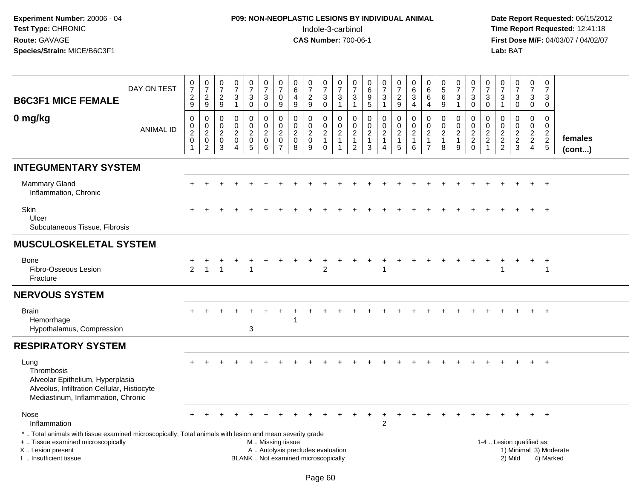# **P09: NON-NEOPLASTIC LESIONS BY INDIVIDUAL ANIMAL**Indole-3-carbinol **Time Report Requested:** 12:41:18

| <b>B6C3F1 MICE FEMALE</b>                                                                                                                                                                    | DAY ON TEST      | $\frac{0}{7}$<br>$\sqrt{2}$<br>9                           | $\frac{0}{7}$<br>$\sqrt{2}$<br>9                                               | $\frac{0}{7}$<br>$\boldsymbol{2}$<br>$\mathsf g$             | $\frac{0}{7}$<br>3<br>$\mathbf{1}$                                  | $\begin{array}{c} 0 \\ 7 \end{array}$<br>$\ensuremath{\mathsf{3}}$<br>$\mathbf 0$ | $\frac{0}{7}$<br>$\sqrt{3}$<br>$\mathbf 0$                       | $\frac{0}{7}$<br>0<br>9                                                     | 0<br>$\overline{6}$<br>$\overline{4}$<br>9                                  | $\frac{0}{7}$<br>$\boldsymbol{2}$<br>$\boldsymbol{9}$    | $\frac{0}{7}$<br>$\ensuremath{\mathsf{3}}$<br>$\mathbf 0$                                | $\frac{0}{7}$<br>$\ensuremath{\mathsf{3}}$<br>$\mathbf{1}$         | 0<br>$\overline{7}$<br>$\ensuremath{\mathsf{3}}$<br>$\mathbf{1}$       | $\begin{array}{c} 0 \\ 6 \end{array}$<br>$\overline{9}$<br>$\sqrt{5}$    | $\frac{0}{7}$<br>$\ensuremath{\mathsf{3}}$<br>$\mathbf{1}$ | $\frac{0}{7}$<br>$\sqrt{2}$<br>$9\,$                                             | 0<br>$\,6\,$<br>$\ensuremath{\mathsf{3}}$<br>4                  | 0<br>$\,6\,$<br>$\,6$<br>$\overline{4}$                                          | $\begin{smallmatrix}0\0\5\end{smallmatrix}$<br>$\,6\,$<br>$\boldsymbol{9}$ | $\begin{array}{c} 0 \\ 7 \end{array}$<br>$\ensuremath{\mathsf{3}}$<br>$\mathbf{1}$ | $\frac{0}{7}$<br>$\ensuremath{\mathsf{3}}$<br>$\mathsf{O}\xspace$ | 0<br>$\overline{7}$<br>$\ensuremath{\mathsf{3}}$<br>$\mathbf 0$            | $\frac{0}{7}$<br>$\ensuremath{\mathsf{3}}$<br>$\mathbf{1}$ | $\frac{0}{7}$<br>3<br>$\mathbf 0$                   | $\begin{smallmatrix}0\\7\end{smallmatrix}$<br>$\ensuremath{\mathsf{3}}$<br>$\mathbf 0$ | $\mathbf 0$<br>$\frac{5}{7}$<br>3<br>0                        |                                     |
|----------------------------------------------------------------------------------------------------------------------------------------------------------------------------------------------|------------------|------------------------------------------------------------|--------------------------------------------------------------------------------|--------------------------------------------------------------|---------------------------------------------------------------------|-----------------------------------------------------------------------------------|------------------------------------------------------------------|-----------------------------------------------------------------------------|-----------------------------------------------------------------------------|----------------------------------------------------------|------------------------------------------------------------------------------------------|--------------------------------------------------------------------|------------------------------------------------------------------------|--------------------------------------------------------------------------|------------------------------------------------------------|----------------------------------------------------------------------------------|-----------------------------------------------------------------|----------------------------------------------------------------------------------|----------------------------------------------------------------------------|------------------------------------------------------------------------------------|-------------------------------------------------------------------|----------------------------------------------------------------------------|------------------------------------------------------------|-----------------------------------------------------|----------------------------------------------------------------------------------------|---------------------------------------------------------------|-------------------------------------|
| 0 mg/kg                                                                                                                                                                                      | <b>ANIMAL ID</b> | $\mathbf 0$<br>$\pmb{0}$<br>$\sqrt{2}$<br>$\mathbf 0$<br>1 | $\mathbf 0$<br>$\mathbf 0$<br>$\sqrt{2}$<br>$\boldsymbol{0}$<br>$\overline{c}$ | $\mathbf 0$<br>$\mathbf 0$<br>$\sqrt{2}$<br>$\mathbf 0$<br>3 | 0<br>$\mathbf 0$<br>$\overline{a}$<br>$\mathbf 0$<br>$\overline{4}$ | $\mathbf 0$<br>$\mathbf 0$<br>$\overline{2}$<br>$\mathbf 0$<br>$\overline{5}$     | $\mathbf 0$<br>$\pmb{0}$<br>$\sqrt{2}$<br>$\mathbf 0$<br>$\,6\,$ | 0<br>$\mathbf 0$<br>$\overline{2}$<br>$\mathsf{O}\xspace$<br>$\overline{7}$ | $\mathbf 0$<br>$\mathbf 0$<br>$\overline{2}$<br>$\mathsf 0$<br>$\mathbf{8}$ | 0<br>$\mathbf 0$<br>$\boldsymbol{2}$<br>$\mathbf 0$<br>9 | 0<br>$\begin{smallmatrix} 0\\2 \end{smallmatrix}$<br>$\mathbf{1}$<br>$\mathsf{O}\xspace$ | 0<br>$\mathbf 0$<br>$\overline{c}$<br>$\mathbf{1}$<br>$\mathbf{1}$ | $\mathbf 0$<br>$\mathbf 0$<br>$\sqrt{2}$<br>$\mathbf{1}$<br>$\sqrt{2}$ | $\mathbf 0$<br>$\mathbf 0$<br>$\sqrt{2}$<br>$\mathbf{1}$<br>$\mathbf{3}$ | 0<br>$\mathbf 0$<br>$\boldsymbol{2}$<br>$\mathbf{1}$<br>4  | $\mathbf 0$<br>$\mathbf 0$<br>$\overline{c}$<br>$\overline{1}$<br>$\overline{5}$ | $\mathbf 0$<br>$\pmb{0}$<br>$\overline{c}$<br>$\mathbf{1}$<br>6 | $\mathbf 0$<br>$\mathbf 0$<br>$\boldsymbol{2}$<br>$\mathbf{1}$<br>$\overline{7}$ | $\mathbf 0$<br>$\pmb{0}$<br>$\boldsymbol{2}$<br>$\mathbf{1}$<br>8          | 0<br>$\mathbf 0$<br>$\overline{2}$<br>$\mathbf{1}$<br>9                            | $\mathbf 0$<br>$\pmb{0}$<br>$\overline{2}$<br>$^2_{\rm 0}$        | $\mathbf 0$<br>$\mathbf 0$<br>$\overline{c}$<br>$\sqrt{2}$<br>$\mathbf{1}$ | $\mathbf 0$<br>$\mathbf 0$<br>$\sqrt{2}$<br>$\frac{2}{2}$  | 0<br>$\mathbf 0$<br>$\overline{a}$<br>$\frac{2}{3}$ | $\mathbf 0$<br>$\mathbf 0$<br>$\overline{2}$<br>$\overline{2}$<br>4                    | $\mathbf 0$<br>$\mathbf 0$<br>$\overline{c}$<br>$\frac{2}{5}$ | females<br>$($ cont $)$             |
| <b>INTEGUMENTARY SYSTEM</b>                                                                                                                                                                  |                  |                                                            |                                                                                |                                                              |                                                                     |                                                                                   |                                                                  |                                                                             |                                                                             |                                                          |                                                                                          |                                                                    |                                                                        |                                                                          |                                                            |                                                                                  |                                                                 |                                                                                  |                                                                            |                                                                                    |                                                                   |                                                                            |                                                            |                                                     |                                                                                        |                                                               |                                     |
| <b>Mammary Gland</b><br>Inflammation, Chronic                                                                                                                                                |                  |                                                            |                                                                                |                                                              |                                                                     |                                                                                   |                                                                  |                                                                             |                                                                             |                                                          |                                                                                          |                                                                    |                                                                        |                                                                          |                                                            |                                                                                  |                                                                 |                                                                                  |                                                                            |                                                                                    |                                                                   |                                                                            |                                                            |                                                     |                                                                                        |                                                               |                                     |
| <b>Skin</b><br>Ulcer<br>Subcutaneous Tissue, Fibrosis                                                                                                                                        |                  |                                                            |                                                                                |                                                              |                                                                     |                                                                                   |                                                                  |                                                                             |                                                                             |                                                          |                                                                                          |                                                                    |                                                                        |                                                                          |                                                            |                                                                                  |                                                                 |                                                                                  |                                                                            |                                                                                    |                                                                   |                                                                            |                                                            |                                                     |                                                                                        |                                                               |                                     |
| <b>MUSCULOSKELETAL SYSTEM</b>                                                                                                                                                                |                  |                                                            |                                                                                |                                                              |                                                                     |                                                                                   |                                                                  |                                                                             |                                                                             |                                                          |                                                                                          |                                                                    |                                                                        |                                                                          |                                                            |                                                                                  |                                                                 |                                                                                  |                                                                            |                                                                                    |                                                                   |                                                                            |                                                            |                                                     |                                                                                        |                                                               |                                     |
| Bone<br>Fibro-Osseous Lesion<br>Fracture                                                                                                                                                     |                  | 2                                                          | $\mathbf{1}$                                                                   | -1                                                           |                                                                     |                                                                                   |                                                                  |                                                                             |                                                                             |                                                          | $\overline{2}$                                                                           |                                                                    |                                                                        |                                                                          |                                                            |                                                                                  |                                                                 |                                                                                  |                                                                            |                                                                                    |                                                                   |                                                                            |                                                            |                                                     |                                                                                        | $\ddot{}$<br>$\overline{1}$                                   |                                     |
| <b>NERVOUS SYSTEM</b>                                                                                                                                                                        |                  |                                                            |                                                                                |                                                              |                                                                     |                                                                                   |                                                                  |                                                                             |                                                                             |                                                          |                                                                                          |                                                                    |                                                                        |                                                                          |                                                            |                                                                                  |                                                                 |                                                                                  |                                                                            |                                                                                    |                                                                   |                                                                            |                                                            |                                                     |                                                                                        |                                                               |                                     |
| <b>Brain</b><br>Hemorrhage<br>Hypothalamus, Compression                                                                                                                                      |                  |                                                            |                                                                                |                                                              |                                                                     | 3                                                                                 |                                                                  |                                                                             |                                                                             |                                                          |                                                                                          |                                                                    |                                                                        |                                                                          |                                                            |                                                                                  |                                                                 |                                                                                  |                                                                            |                                                                                    |                                                                   |                                                                            |                                                            |                                                     |                                                                                        | $+$                                                           |                                     |
| <b>RESPIRATORY SYSTEM</b>                                                                                                                                                                    |                  |                                                            |                                                                                |                                                              |                                                                     |                                                                                   |                                                                  |                                                                             |                                                                             |                                                          |                                                                                          |                                                                    |                                                                        |                                                                          |                                                            |                                                                                  |                                                                 |                                                                                  |                                                                            |                                                                                    |                                                                   |                                                                            |                                                            |                                                     |                                                                                        |                                                               |                                     |
| Lung<br>Thrombosis<br>Alveolar Epithelium, Hyperplasia<br>Alveolus, Infiltration Cellular, Histiocyte<br>Mediastinum, Inflammation, Chronic                                                  |                  |                                                            |                                                                                |                                                              |                                                                     |                                                                                   |                                                                  |                                                                             |                                                                             |                                                          |                                                                                          |                                                                    |                                                                        |                                                                          |                                                            |                                                                                  |                                                                 |                                                                                  |                                                                            |                                                                                    |                                                                   |                                                                            |                                                            |                                                     |                                                                                        |                                                               |                                     |
| Nose<br>Inflammation                                                                                                                                                                         |                  |                                                            |                                                                                |                                                              |                                                                     |                                                                                   |                                                                  |                                                                             |                                                                             |                                                          |                                                                                          |                                                                    |                                                                        |                                                                          | $\ddot{}$<br>$\overline{2}$                                |                                                                                  |                                                                 |                                                                                  |                                                                            |                                                                                    |                                                                   |                                                                            |                                                            |                                                     | $+$                                                                                    | $+$                                                           |                                     |
| *  Total animals with tissue examined microscopically; Total animals with lesion and mean severity grade<br>+  Tissue examined microscopically<br>X Lesion present<br>I. Insufficient tissue |                  |                                                            |                                                                                |                                                              |                                                                     | BLANK  Not examined microscopically                                               | M  Missing tissue                                                |                                                                             | A  Autolysis precludes evaluation                                           |                                                          |                                                                                          |                                                                    |                                                                        |                                                                          |                                                            |                                                                                  |                                                                 |                                                                                  |                                                                            |                                                                                    |                                                                   |                                                                            |                                                            | 1-4  Lesion qualified as:<br>2) Mild                |                                                                                        |                                                               | 1) Minimal 3) Moderate<br>4) Marked |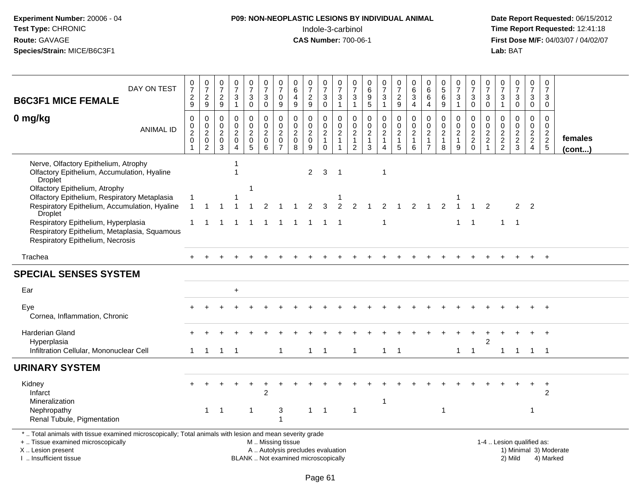# **P09: NON-NEOPLASTIC LESIONS BY INDIVIDUAL ANIMAL**Indole-3-carbinol **Time Report Requested:** 12:41:18

| DAY ON TEST<br><b>B6C3F1 MICE FEMALE</b>                                                                                                                                                      | $\frac{0}{7}$<br>$\frac{2}{9}$                                | $\frac{0}{7}$<br>$\frac{2}{9}$                                                      | 0<br>$\overline{7}$<br>$\frac{2}{9}$               | $\begin{array}{c} 0 \\ 7 \end{array}$<br>$\frac{3}{1}$                          | $\begin{array}{c} 0 \\ 7 \end{array}$<br>3<br>$\pmb{0}$ | $\frac{0}{7}$<br>3<br>$\overline{0}$                         | $\begin{array}{c} 0 \\ 7 \end{array}$<br>$\mathbf 0$<br>$\boldsymbol{9}$ | 0<br>$\,6\,$<br>$\overline{4}$<br>$\boldsymbol{9}$ | $\frac{0}{7}$<br>$\overline{c}$<br>$\mathsf g$         | 0<br>$\overline{7}$<br>$_0^3$                         | $\boldsymbol{0}$<br>$\overline{7}$<br>$\frac{3}{1}$ | 0<br>$\overline{7}$<br>3<br>$\overline{1}$                      | 0<br>$\,6\,$<br>9<br>$\overline{5}$                                           | $\frac{0}{7}$<br>3<br>$\mathbf{1}$                              | 0<br>$\overline{7}$<br>$\frac{2}{9}$             | $\pmb{0}$<br>$6\phantom{a}$<br>3<br>$\overline{4}$              | 0<br>$\,6\,$<br>6<br>4                                                         | $\begin{array}{c} 0 \\ 5 \end{array}$<br>$\,6\,$<br>$\overline{9}$ | $\begin{array}{c} 0 \\ 7 \end{array}$<br>3<br>$\mathbf{1}$ | 0<br>$\overline{7}$<br>$\mathbf{3}$<br>$\overline{0}$      | 0<br>$\overline{7}$<br>3<br>$\mathbf 0$                   | 0<br>$\overline{7}$<br>$\ensuremath{\mathsf{3}}$<br>$\overline{1}$ | $\frac{0}{7}$<br>3<br>$\overline{0}$ | 0<br>$\overline{7}$<br>3<br>$\overline{0}$          | $\boldsymbol{0}$<br>$\overline{7}$<br>3<br>$\mathsf{O}\xspace$ |                        |
|-----------------------------------------------------------------------------------------------------------------------------------------------------------------------------------------------|---------------------------------------------------------------|-------------------------------------------------------------------------------------|----------------------------------------------------|---------------------------------------------------------------------------------|---------------------------------------------------------|--------------------------------------------------------------|--------------------------------------------------------------------------|----------------------------------------------------|--------------------------------------------------------|-------------------------------------------------------|-----------------------------------------------------|-----------------------------------------------------------------|-------------------------------------------------------------------------------|-----------------------------------------------------------------|--------------------------------------------------|-----------------------------------------------------------------|--------------------------------------------------------------------------------|--------------------------------------------------------------------|------------------------------------------------------------|------------------------------------------------------------|-----------------------------------------------------------|--------------------------------------------------------------------|--------------------------------------|-----------------------------------------------------|----------------------------------------------------------------|------------------------|
| 0 mg/kg<br><b>ANIMAL ID</b>                                                                                                                                                                   | $\mathbf 0$<br>$\frac{0}{2}$<br>$\mathbf 0$<br>$\overline{1}$ | $\pmb{0}$<br>$\ddot{\mathbf{0}}$<br>$\overline{c}$<br>$\mathbf 0$<br>$\overline{2}$ | $\mathbf 0$<br>$\mathbf 0$<br>$\sqrt{2}$<br>0<br>3 | $\mathbf 0$<br>$\mathsf{O}\xspace$<br>$\sqrt{2}$<br>$\pmb{0}$<br>$\overline{4}$ | 0<br>$\mathbf 0$<br>$\boldsymbol{2}$<br>$\pmb{0}$<br>5  | $\mathbf 0$<br>$\mathbf 0$<br>$\sqrt{2}$<br>$\mathbf 0$<br>6 | 0<br>$\mathbf 0$<br>$\boldsymbol{2}$<br>$\mathbf 0$<br>$\overline{7}$    | 0<br>$\frac{0}{2}$<br>$\pmb{0}$<br>8               | 0<br>$\mathbf 0$<br>$\overline{2}$<br>$\mathsf 0$<br>9 | 0<br>$\pmb{0}$<br>$\overline{2}$<br>$\mathbf{1}$<br>0 | 0<br>$\mathbf 0$<br>$\frac{2}{1}$<br>$\mathbf{1}$   | $\mathbf 0$<br>$\mathbf 0$<br>$\sqrt{2}$<br>$\overline{1}$<br>2 | $\mathbf 0$<br>$\boldsymbol{0}$<br>$\begin{array}{c} 2 \\ 1 \end{array}$<br>3 | 0<br>$\mathsf{O}\xspace$<br>$\overline{c}$<br>$\mathbf{1}$<br>4 | 0<br>$\frac{0}{2}$<br>$\mathbf{1}$<br>$\sqrt{5}$ | 0<br>$\ddot{\mathbf{0}}$<br>$\overline{c}$<br>$\mathbf{1}$<br>6 | $\mathbf 0$<br>$\mathbf 0$<br>$\overline{c}$<br>$\mathbf{1}$<br>$\overline{7}$ | 0<br>$\mathbf 0$<br>$\sqrt{2}$<br>$\mathbf{1}$<br>8                | 0<br>$\mathbf 0$<br>$\sqrt{2}$<br>$\mathbf{1}$<br>9        | $\mathbf 0$<br>$\mathbf 0$<br>$\frac{2}{2}$<br>$\mathbf 0$ | 0<br>$\mathbf 0$<br>$\overline{c}$<br>$\overline{2}$<br>1 | $\mathbf 0$<br>$\pmb{0}$<br>$\frac{2}{2}$                          | 0<br>$\overline{0}$<br>$\frac{2}{3}$ | 0<br>$\mathbf 0$<br>$\frac{2}{2}$<br>$\overline{4}$ | $\mathbf 0$<br>$\mathbf 0$<br>$\frac{2}{2}$ 5                  | females<br>(cont)      |
| Nerve, Olfactory Epithelium, Atrophy<br>Olfactory Epithelium, Accumulation, Hyaline<br>Droplet                                                                                                |                                                               |                                                                                     |                                                    |                                                                                 |                                                         |                                                              |                                                                          |                                                    | $\overline{2}$                                         | 3                                                     | -1                                                  |                                                                 |                                                                               | -1                                                              |                                                  |                                                                 |                                                                                |                                                                    |                                                            |                                                            |                                                           |                                                                    |                                      |                                                     |                                                                |                        |
| Olfactory Epithelium, Atrophy<br>Olfactory Epithelium, Respiratory Metaplasia<br>Respiratory Epithelium, Accumulation, Hyaline<br><b>Droplet</b>                                              | $\mathbf{1}$                                                  | $\overline{1}$                                                                      |                                                    |                                                                                 | 1                                                       | 2                                                            |                                                                          |                                                    | $\overline{2}$                                         | 3                                                     | 2                                                   | 2                                                               |                                                                               | 2                                                               |                                                  |                                                                 |                                                                                |                                                                    |                                                            |                                                            | $\overline{2}$                                            |                                                                    |                                      | 2 <sub>2</sub>                                      |                                                                |                        |
| Respiratory Epithelium, Hyperplasia<br>Respiratory Epithelium, Metaplasia, Squamous<br>Respiratory Epithelium, Necrosis                                                                       |                                                               |                                                                                     |                                                    | -1                                                                              | -1                                                      | 1                                                            | -1                                                                       | -1                                                 | $\mathbf 1$                                            | -1                                                    | -1                                                  |                                                                 |                                                                               | $\mathbf 1$                                                     |                                                  |                                                                 |                                                                                |                                                                    | $\mathbf{1}$                                               | $\overline{1}$                                             |                                                           | $\mathbf{1}$                                                       | $\overline{1}$                       |                                                     |                                                                |                        |
| Trachea                                                                                                                                                                                       |                                                               |                                                                                     |                                                    |                                                                                 |                                                         |                                                              |                                                                          |                                                    |                                                        |                                                       |                                                     |                                                                 |                                                                               |                                                                 |                                                  |                                                                 |                                                                                |                                                                    |                                                            |                                                            |                                                           |                                                                    |                                      |                                                     | $+$                                                            |                        |
| <b>SPECIAL SENSES SYSTEM</b>                                                                                                                                                                  |                                                               |                                                                                     |                                                    |                                                                                 |                                                         |                                                              |                                                                          |                                                    |                                                        |                                                       |                                                     |                                                                 |                                                                               |                                                                 |                                                  |                                                                 |                                                                                |                                                                    |                                                            |                                                            |                                                           |                                                                    |                                      |                                                     |                                                                |                        |
| Ear                                                                                                                                                                                           |                                                               |                                                                                     |                                                    | $\ddot{}$                                                                       |                                                         |                                                              |                                                                          |                                                    |                                                        |                                                       |                                                     |                                                                 |                                                                               |                                                                 |                                                  |                                                                 |                                                                                |                                                                    |                                                            |                                                            |                                                           |                                                                    |                                      |                                                     |                                                                |                        |
| Eye<br>Cornea, Inflammation, Chronic                                                                                                                                                          |                                                               |                                                                                     |                                                    |                                                                                 |                                                         |                                                              |                                                                          |                                                    |                                                        |                                                       |                                                     |                                                                 |                                                                               |                                                                 |                                                  |                                                                 |                                                                                |                                                                    |                                                            |                                                            |                                                           |                                                                    |                                      |                                                     |                                                                |                        |
| Harderian Gland<br>Hyperplasia                                                                                                                                                                |                                                               |                                                                                     |                                                    |                                                                                 |                                                         |                                                              |                                                                          |                                                    |                                                        |                                                       |                                                     |                                                                 |                                                                               |                                                                 |                                                  |                                                                 |                                                                                |                                                                    |                                                            |                                                            | $\overline{2}$                                            |                                                                    |                                      |                                                     |                                                                |                        |
| Infiltration Cellular, Mononuclear Cell                                                                                                                                                       | 1                                                             | $\mathbf{1}$                                                                        | $\mathbf{1}$                                       | $\overline{\phantom{0}}$ 1                                                      |                                                         |                                                              | $\mathbf{1}$                                                             |                                                    | $\mathbf{1}$                                           | $\overline{\phantom{1}}$                              |                                                     | $\overline{1}$                                                  |                                                                               | $\mathbf{1}$                                                    | $\overline{\phantom{1}}$                         |                                                                 |                                                                                |                                                                    |                                                            | $1 \quad 1$                                                |                                                           | $\mathbf{1}$                                                       | $\overline{1}$                       | 1 1                                                 |                                                                |                        |
| <b>URINARY SYSTEM</b>                                                                                                                                                                         |                                                               |                                                                                     |                                                    |                                                                                 |                                                         |                                                              |                                                                          |                                                    |                                                        |                                                       |                                                     |                                                                 |                                                                               |                                                                 |                                                  |                                                                 |                                                                                |                                                                    |                                                            |                                                            |                                                           |                                                                    |                                      |                                                     |                                                                |                        |
| Kidney<br>Infarct<br>Mineralization                                                                                                                                                           |                                                               |                                                                                     |                                                    |                                                                                 | $\ddot{}$                                               | $\overline{2}$                                               |                                                                          |                                                    |                                                        |                                                       |                                                     |                                                                 |                                                                               | 1                                                               |                                                  |                                                                 |                                                                                |                                                                    |                                                            |                                                            |                                                           |                                                                    |                                      | $\ddot{}$                                           | $+$<br>2                                                       |                        |
| Nephropathy<br>Renal Tubule, Pigmentation                                                                                                                                                     |                                                               | $\mathbf{1}$                                                                        | -1                                                 |                                                                                 | -1                                                      |                                                              | 3<br>1                                                                   |                                                    | $\mathbf{1}$                                           | $\overline{1}$                                        |                                                     | $\overline{1}$                                                  |                                                                               |                                                                 |                                                  |                                                                 |                                                                                | -1                                                                 |                                                            |                                                            |                                                           |                                                                    |                                      | -1                                                  |                                                                |                        |
| *  Total animals with tissue examined microscopically; Total animals with lesion and mean severity grade<br>+  Tissue examined microscopically<br>X  Lesion present<br>I  Insufficient tissue |                                                               |                                                                                     |                                                    |                                                                                 | BLANK  Not examined microscopically                     | M  Missing tissue<br>A  Autolysis precludes evaluation       |                                                                          |                                                    |                                                        |                                                       |                                                     |                                                                 |                                                                               |                                                                 |                                                  |                                                                 |                                                                                |                                                                    |                                                            |                                                            |                                                           |                                                                    | 1-4  Lesion qualified as:<br>2) Mild |                                                     | 4) Marked                                                      | 1) Minimal 3) Moderate |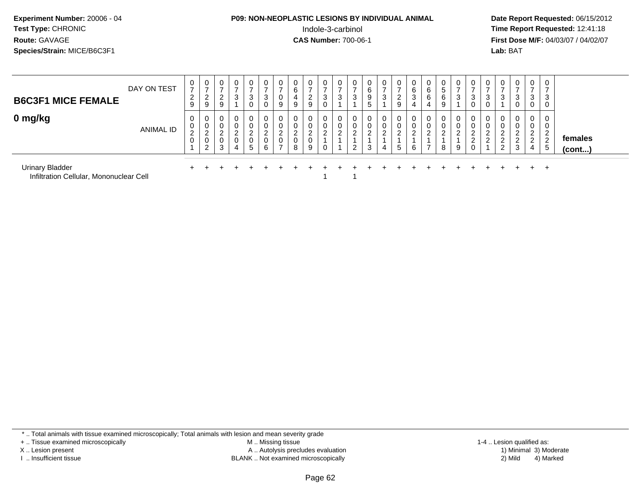#### **P09: NON-NEOPLASTIC LESIONS BY INDIVIDUAL ANIMAL**Indole-3-carbinol **Time Report Requested:** 12:41:18

 **Date Report Requested:** 06/15/2012 **First Dose M/F:** 04/03/07 / 04/02/07<br>**Lab:** BAT **Lab:** BAT

| <b>B6C3F1 MICE FEMALE</b>   | DAY ON TEST      | $\mathbf{0}$<br>$\rightarrow$<br>$\sim$<br>$\epsilon$<br>9 | U<br>-<br>⌒<br>▃<br>9                  | $\mathbf 0$<br>$\sim$<br><u>_</u><br>9 | 0<br>$\rightarrow$<br>3 | 0<br>3<br>0                         |                     | v                       | υ<br>6<br>9                | $\mathbf{0}$<br>◠<br>∼<br>9    | $\overline{0}$<br>$\rightarrow$<br>3<br>0 | 0<br>3      | 0                                      | 0<br><b>N</b> | 0<br>-<br>3       | 0<br>⌒<br>∠<br>9 | U<br>6<br>3<br>4 | U<br>6<br>6<br>4             | 0<br>ა<br>6<br>9 |   |                  | 0<br>3<br>0                       | U                                  | 0<br>3<br>0                                           | $\overline{0}$<br>$\rightarrow$<br>3<br>U      | 0<br>$\rightarrow$<br>3<br>0                         |                         |
|-----------------------------|------------------|------------------------------------------------------------|----------------------------------------|----------------------------------------|-------------------------|-------------------------------------|---------------------|-------------------------|----------------------------|--------------------------------|-------------------------------------------|-------------|----------------------------------------|---------------|-------------------|------------------|------------------|------------------------------|------------------|---|------------------|-----------------------------------|------------------------------------|-------------------------------------------------------|------------------------------------------------|------------------------------------------------------|-------------------------|
| 0 mg/kg                     | <b>ANIMAL ID</b> | 0<br>U<br>$\sim$<br>$\epsilon$<br>0                        | 0<br>U<br>ີ<br>∼<br>υ<br>റ<br><u>_</u> | 0<br>0<br>$\sim$<br><u>_</u><br>0<br>3 | 0<br>0<br>ຳ<br>4        | 0<br>0<br>ົ<br>$\epsilon$<br>0<br>5 | $\overline{2}$<br>6 | v<br>⌒<br>$\rightarrow$ | 0<br>U<br>ົ<br>ے<br>0<br>8 | 0<br>0<br>$\sqrt{2}$<br>0<br>9 | $\mathbf{0}$<br>0<br>ົ<br>∠<br>0          | 0<br>0<br>ົ | 0<br>υ<br><sup>o</sup><br><sup>o</sup> | 0             | $\mathbf{0}$<br>ົ | 0<br>ົ<br>5      | 0<br>0<br>ົ<br>6 | 0<br>◡<br>ົ<br>$\rightarrow$ | 0<br>0<br>ົ<br>8 | ົ | ົ<br>$\sim$<br>∠ | 0<br>0<br>ົ<br>ے<br>ົ<br><u>.</u> | ⌒<br>$\epsilon$<br>◠<br>$\epsilon$ | $\mathbf{0}$<br>0<br>റ<br>$\Omega$<br>$\epsilon$<br>3 | 0<br>U<br>ົ<br>$\sim$<br>$\sim$<br>$\sim$<br>4 | 0<br>0<br>$\mathcal{P}$<br>∼<br>$\overline{2}$<br>-5 | females<br>$($ cont $)$ |
| <b>Urinary Bladder</b><br>. | .                |                                                            |                                        |                                        |                         |                                     |                     |                         |                            |                                |                                           |             |                                        |               |                   |                  |                  |                              |                  |   |                  |                                   |                                    |                                                       |                                                | $^{+}$                                               |                         |

<sup>1</sup>

Infiltration Cellular, Mononuclear Cell1

\* .. Total animals with tissue examined microscopically; Total animals with lesion and mean severity grade

+ .. Tissue examined microscopically

X .. Lesion present

I .. Insufficient tissue

 M .. Missing tissueA .. Autolysis precludes evaluation

BLANK .. Not examined microscopically 2) Mild 4) Marked

1-4 .. Lesion qualified as:<br>1) Minimal 3) Moderate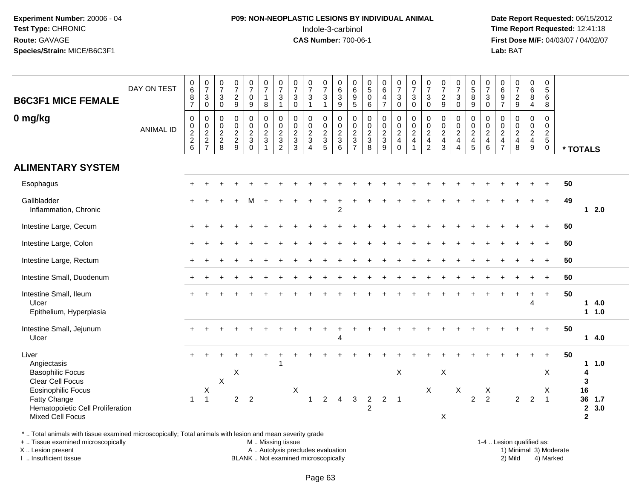#### **P09: NON-NEOPLASTIC LESIONS BY INDIVIDUAL ANIMAL**Indole-3-carbinol **Time Report Requested:** 12:41:18

 **Date Report Requested:** 06/15/2012 **First Dose M/F:** 04/03/07 / 04/02/07<br>Lab: BAT **Lab:** BAT

| <b>B6C3F1 MICE FEMALE</b><br>0 mg/kg                                                                                                                                            | DAY ON TEST<br><b>ANIMAL ID</b> | $_{6}^{\rm 0}$<br>8<br>$\overline{7}$<br>$\mathbf 0$<br>$\pmb{0}$<br>$\frac{2}{2}$<br>$\,6\,$ | $\frac{0}{7}$<br>$\mathbf{3}$<br>$\mathsf{O}\xspace$<br>$\mathbf 0$<br>$\begin{smallmatrix} 0\\2\\2 \end{smallmatrix}$<br>$\overline{7}$ | $\frac{0}{7}$<br>$\mathbf{3}$<br>$\pmb{0}$<br>0<br>$\begin{smallmatrix} 0\\2\\2 \end{smallmatrix}$<br>8 | $\frac{0}{7}$<br>$\overline{a}$<br>9<br>$\mathsf 0$<br>$\pmb{0}$<br>$\frac{2}{2}$<br>9 | $\frac{0}{7}$<br>$\mathsf{O}\xspace$<br>$9\,$<br>0<br>$\frac{0}{2}$<br>$\mathbf 0$ | $\frac{0}{7}$<br>$\mathbf{1}$<br>8<br>$\begin{array}{c} 0 \\ 0 \\ 2 \\ 3 \end{array}$<br>$\mathbf{1}$ | $\frac{0}{7}$<br>$\mathbf 3$<br>$\overline{1}$<br>$\mathbf 0$<br>$\frac{0}{2}$<br>$\overline{2}$ | $\frac{0}{7}$<br>$\mathbf{3}$<br>$\mathbf 0$<br>$\pmb{0}$<br>$\begin{smallmatrix} 0\\2 \end{smallmatrix}$<br>$\sqrt{3}$<br>3 | $\frac{0}{7}$<br>$\mathbf{3}$<br>$\mathbf{1}$<br>0<br>$\frac{0}{2}$<br>$\overline{4}$ | $\frac{0}{7}$<br>$\sqrt{3}$<br>$\overline{1}$<br>$\pmb{0}$<br>$\mathop{2}\limits^{\mathbb{O}}$<br>$\sqrt{3}$<br>5 | $\begin{array}{c} 0 \\ 6 \end{array}$<br>$\sqrt{3}$<br>9<br>$\mathbf 0$<br>$\,0\,$<br>$\sqrt{2}$<br>$\mathbf{3}$<br>6 | 0<br>9<br>5<br>$\pmb{0}$<br>$\begin{array}{c} 0 \\ 2 \\ 3 \\ 7 \end{array}$ | $\begin{array}{c} 0 \\ 5 \end{array}$<br>$\mathsf{O}\xspace$<br>6<br>$\pmb{0}$<br>$\frac{0}{2}$<br>8 | $_{6}^{\rm 0}$<br>$\overline{\mathbf{4}}$<br>$\overline{7}$<br>$\begin{array}{c} 0 \\ 0 \\ 2 \\ 3 \end{array}$<br>9 | $\begin{array}{c} 0 \\ 7 \\ 3 \end{array}$<br>$\mathsf{O}\xspace$<br>$\begin{array}{c} 0 \\ 0 \\ 2 \\ 4 \end{array}$<br>$\mathsf{O}\xspace$ | $\frac{0}{7}$<br>$\mathbf{3}$<br>$\mathbf 0$<br>$\pmb{0}$<br>$\mathop{2}\limits^{\mathbb{O}}$<br>$\overline{4}$<br>$\overline{\mathbf{1}}$ | $\frac{0}{7}$<br>$\mathbf{3}$<br>$\mathbf 0$<br>$\pmb{0}$<br>$\frac{0}{2}$<br>$\overline{2}$ | $\frac{0}{7}$<br>$\sqrt{2}$<br>$9\,$<br>0<br>$\frac{0}{2}$<br>3 | $\frac{0}{7}$<br>$\mathbf{3}$<br>$\mathbf 0$<br>$\pmb{0}$<br>$\frac{0}{2}$<br>$\overline{4}$ | $\begin{matrix} 0 \\ 5 \end{matrix}$<br>8<br>9<br>0<br>$_{2}^{\rm 0}$<br>$\overline{4}$<br>5 | $\frac{0}{7}$<br>$\mathbf{3}$<br>$\pmb{0}$<br>0<br>$\begin{array}{c} 0 \\ 2 \\ 4 \end{array}$<br>6 | $\begin{array}{c} 0 \\ 6 \\ 9 \end{array}$<br>$\overline{7}$<br>$\pmb{0}$<br>$\frac{0}{2}$<br>$\overline{7}$ | $\begin{array}{c} 0 \\ 7 \\ 2 \end{array}$<br>9<br>0<br>$\frac{0}{2}$<br>8 | $\begin{array}{c} 0 \\ 6 \end{array}$<br>$\, 8$<br>$\overline{4}$<br>$\mathbf 0$<br>$\frac{0}{2}$<br>9 | $\mathbf 0$<br>$\,$ 5 $\,$<br>6<br>8<br>$\mathbf 0$<br>$\mathbf 0$<br>$\sqrt{2}$<br>$\,$ 5 $\,$<br>$\mathbf 0$ |    | * TOTALS                                                               |              |  |
|---------------------------------------------------------------------------------------------------------------------------------------------------------------------------------|---------------------------------|-----------------------------------------------------------------------------------------------|------------------------------------------------------------------------------------------------------------------------------------------|---------------------------------------------------------------------------------------------------------|----------------------------------------------------------------------------------------|------------------------------------------------------------------------------------|-------------------------------------------------------------------------------------------------------|--------------------------------------------------------------------------------------------------|------------------------------------------------------------------------------------------------------------------------------|---------------------------------------------------------------------------------------|-------------------------------------------------------------------------------------------------------------------|-----------------------------------------------------------------------------------------------------------------------|-----------------------------------------------------------------------------|------------------------------------------------------------------------------------------------------|---------------------------------------------------------------------------------------------------------------------|---------------------------------------------------------------------------------------------------------------------------------------------|--------------------------------------------------------------------------------------------------------------------------------------------|----------------------------------------------------------------------------------------------|-----------------------------------------------------------------|----------------------------------------------------------------------------------------------|----------------------------------------------------------------------------------------------|----------------------------------------------------------------------------------------------------|--------------------------------------------------------------------------------------------------------------|----------------------------------------------------------------------------|--------------------------------------------------------------------------------------------------------|----------------------------------------------------------------------------------------------------------------|----|------------------------------------------------------------------------|--------------|--|
| <b>ALIMENTARY SYSTEM</b>                                                                                                                                                        |                                 |                                                                                               |                                                                                                                                          |                                                                                                         |                                                                                        |                                                                                    |                                                                                                       |                                                                                                  |                                                                                                                              |                                                                                       |                                                                                                                   |                                                                                                                       |                                                                             |                                                                                                      |                                                                                                                     |                                                                                                                                             |                                                                                                                                            |                                                                                              |                                                                 |                                                                                              |                                                                                              |                                                                                                    |                                                                                                              |                                                                            |                                                                                                        |                                                                                                                |    |                                                                        |              |  |
| Esophagus                                                                                                                                                                       |                                 |                                                                                               |                                                                                                                                          |                                                                                                         |                                                                                        |                                                                                    |                                                                                                       |                                                                                                  |                                                                                                                              |                                                                                       |                                                                                                                   |                                                                                                                       |                                                                             |                                                                                                      |                                                                                                                     |                                                                                                                                             |                                                                                                                                            |                                                                                              |                                                                 |                                                                                              |                                                                                              |                                                                                                    |                                                                                                              |                                                                            |                                                                                                        |                                                                                                                | 50 |                                                                        |              |  |
| Gallbladder<br>Inflammation, Chronic                                                                                                                                            |                                 |                                                                                               |                                                                                                                                          |                                                                                                         |                                                                                        |                                                                                    |                                                                                                       |                                                                                                  |                                                                                                                              |                                                                                       |                                                                                                                   | 2                                                                                                                     |                                                                             |                                                                                                      |                                                                                                                     |                                                                                                                                             |                                                                                                                                            |                                                                                              |                                                                 |                                                                                              |                                                                                              |                                                                                                    |                                                                                                              |                                                                            |                                                                                                        | $+$                                                                                                            | 49 |                                                                        | $12.0$       |  |
| Intestine Large, Cecum                                                                                                                                                          |                                 |                                                                                               |                                                                                                                                          |                                                                                                         |                                                                                        |                                                                                    |                                                                                                       |                                                                                                  |                                                                                                                              |                                                                                       |                                                                                                                   |                                                                                                                       |                                                                             |                                                                                                      |                                                                                                                     |                                                                                                                                             |                                                                                                                                            |                                                                                              |                                                                 |                                                                                              |                                                                                              |                                                                                                    |                                                                                                              |                                                                            |                                                                                                        | $\div$                                                                                                         | 50 |                                                                        |              |  |
| Intestine Large, Colon                                                                                                                                                          |                                 |                                                                                               |                                                                                                                                          |                                                                                                         |                                                                                        |                                                                                    |                                                                                                       |                                                                                                  |                                                                                                                              |                                                                                       |                                                                                                                   |                                                                                                                       |                                                                             |                                                                                                      |                                                                                                                     |                                                                                                                                             |                                                                                                                                            |                                                                                              |                                                                 |                                                                                              |                                                                                              |                                                                                                    |                                                                                                              |                                                                            |                                                                                                        | $+$                                                                                                            | 50 |                                                                        |              |  |
| Intestine Large, Rectum                                                                                                                                                         |                                 |                                                                                               |                                                                                                                                          |                                                                                                         |                                                                                        |                                                                                    |                                                                                                       |                                                                                                  |                                                                                                                              |                                                                                       |                                                                                                                   |                                                                                                                       |                                                                             |                                                                                                      |                                                                                                                     |                                                                                                                                             |                                                                                                                                            |                                                                                              |                                                                 |                                                                                              |                                                                                              |                                                                                                    |                                                                                                              |                                                                            |                                                                                                        |                                                                                                                | 50 |                                                                        |              |  |
| Intestine Small, Duodenum                                                                                                                                                       |                                 |                                                                                               |                                                                                                                                          |                                                                                                         |                                                                                        |                                                                                    |                                                                                                       |                                                                                                  |                                                                                                                              |                                                                                       |                                                                                                                   |                                                                                                                       |                                                                             |                                                                                                      |                                                                                                                     |                                                                                                                                             |                                                                                                                                            |                                                                                              |                                                                 |                                                                                              |                                                                                              |                                                                                                    |                                                                                                              |                                                                            |                                                                                                        |                                                                                                                | 50 |                                                                        |              |  |
| Intestine Small, Ileum<br>Ulcer<br>Epithelium, Hyperplasia                                                                                                                      |                                 |                                                                                               |                                                                                                                                          |                                                                                                         |                                                                                        |                                                                                    |                                                                                                       |                                                                                                  |                                                                                                                              |                                                                                       |                                                                                                                   |                                                                                                                       |                                                                             |                                                                                                      |                                                                                                                     |                                                                                                                                             |                                                                                                                                            |                                                                                              |                                                                 |                                                                                              |                                                                                              |                                                                                                    |                                                                                                              |                                                                            | 4                                                                                                      | $+$                                                                                                            | 50 |                                                                        | 14.0<br>11.0 |  |
| Intestine Small, Jejunum<br>Ulcer                                                                                                                                               |                                 |                                                                                               |                                                                                                                                          |                                                                                                         |                                                                                        |                                                                                    |                                                                                                       |                                                                                                  |                                                                                                                              |                                                                                       |                                                                                                                   | 4                                                                                                                     |                                                                             |                                                                                                      |                                                                                                                     |                                                                                                                                             |                                                                                                                                            |                                                                                              |                                                                 |                                                                                              |                                                                                              |                                                                                                    |                                                                                                              |                                                                            |                                                                                                        | $\div$                                                                                                         | 50 |                                                                        | 14.0         |  |
| Liver<br>Angiectasis<br><b>Basophilic Focus</b><br>Clear Cell Focus<br><b>Eosinophilic Focus</b><br>Fatty Change<br>Hematopoietic Cell Proliferation<br><b>Mixed Cell Focus</b> |                                 | $\mathbf{1}$                                                                                  | X<br>$\overline{1}$                                                                                                                      | $\pmb{\times}$                                                                                          | X<br>$\overline{2}$                                                                    | $\overline{2}$                                                                     |                                                                                                       |                                                                                                  | $\boldsymbol{\mathsf{X}}$                                                                                                    | $\mathbf{1}$                                                                          | 2                                                                                                                 | $\overline{4}$                                                                                                        | 3                                                                           | $\overline{2}$<br>$\overline{2}$                                                                     | $\overline{2}$                                                                                                      | X<br>$\overline{\phantom{0}}$ 1                                                                                                             |                                                                                                                                            | X                                                                                            | $\boldsymbol{\mathsf{X}}$<br>Χ                                  | X                                                                                            | $\overline{2}$                                                                               | X<br>$\overline{2}$                                                                                |                                                                                                              | $\overline{2}$                                                             | $\overline{2}$                                                                                         | $\times$<br>Χ<br>$\overline{1}$                                                                                | 50 | $\mathbf{1}$<br>4<br>3<br>16<br>36 1.7<br>$\mathbf{2}$<br>$\mathbf{2}$ | 1.0<br>3.0   |  |

\* .. Total animals with tissue examined microscopically; Total animals with lesion and mean severity grade

+ .. Tissue examined microscopically

X .. Lesion present

I .. Insufficient tissue

M .. Missing tissue

A .. Autolysis precludes evaluation

BLANK .. Not examined microscopically 2) Mild 4) Marked

1-4 .. Lesion qualified as:<br>1) Minimal 3) Moderate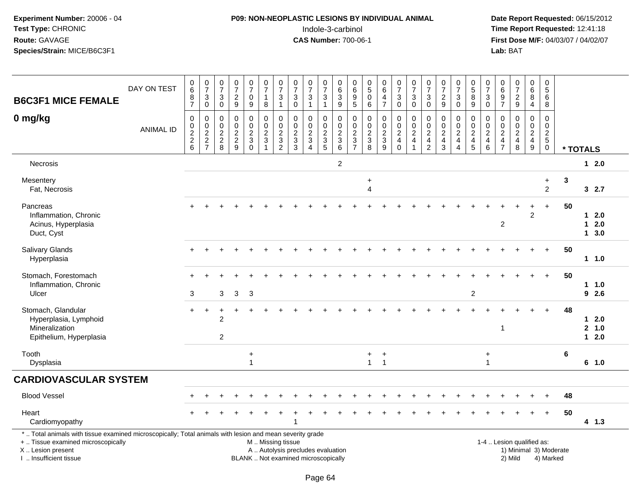## **P09: NON-NEOPLASTIC LESIONS BY INDIVIDUAL ANIMAL**Indole-3-carbinol **Time Report Requested:** 12:41:18

 **Date Report Requested:** 06/15/2012 **First Dose M/F:** 04/03/07 / 04/02/07<br>Lab: BAT **Lab:** BAT

| <b>B6C3F1 MICE FEMALE</b>                                                                                                                                                                     | DAY ON TEST      | 0<br>$6\overline{6}$<br>8<br>$\overline{7}$ | $\frac{0}{7}$<br>$\sqrt{3}$<br>$\mathbf 0$    | $\pmb{0}$<br>$\overline{7}$<br>3<br>$\mathbf 0$       | 0<br>$\overline{7}$<br>$\overline{c}$<br>9                      | $\frac{0}{7}$<br>$\pmb{0}$<br>$\boldsymbol{9}$   | $\frac{0}{7}$<br>$\mathbf{1}$<br>8       | $\frac{0}{7}$<br>$\sqrt{3}$<br>$\mathbf{1}$                 | $\frac{0}{7}$<br>$\mathbf{3}$<br>$\pmb{0}$                               | $\frac{0}{7}$<br>$\sqrt{3}$<br>$\mathbf{1}$                   | $\frac{0}{7}$<br>$\ensuremath{\mathsf{3}}$<br>$\mathbf{1}$ | 0<br>$6\overline{6}$<br>$\ensuremath{\mathsf{3}}$<br>$\overline{9}$ | 0<br>$\,6$<br>$\begin{array}{c} 9 \\ 5 \end{array}$                                         | 0<br>$\overline{5}$<br>$\pmb{0}$<br>$\,6\,$                                                | $\begin{array}{c} 0 \\ 6 \end{array}$<br>$\overline{\mathbf{4}}$<br>$\overline{7}$ | $\begin{array}{c} 0 \\ 7 \end{array}$<br>$\mathbf{3}$<br>$\mathsf 0$ | 0<br>$\overline{7}$<br>3<br>$\mathbf 0$                                          | $\frac{0}{7}$<br>3<br>$\pmb{0}$                                                  | 0<br>$\overline{7}$<br>$\overline{c}$<br>$\mathsf g$               | $\frac{0}{7}$<br>$\sqrt{3}$<br>$\mathbf 0$                                         | $\begin{array}{c} 0 \\ 5 \end{array}$<br>8<br>$\overline{9}$ | 0<br>$\overline{7}$<br>$\sqrt{3}$<br>$\mathbf 0$             | 0<br>$\,6\,$<br>$\boldsymbol{9}$<br>$\overline{7}$                  | $\begin{smallmatrix}0\\7\end{smallmatrix}$<br>$\frac{2}{9}$ | $_{6}^{\rm 0}$<br>8<br>$\overline{4}$               | 0<br>$\overline{5}$<br>6<br>8                                               |                                     |          |                            |  |
|-----------------------------------------------------------------------------------------------------------------------------------------------------------------------------------------------|------------------|---------------------------------------------|-----------------------------------------------|-------------------------------------------------------|-----------------------------------------------------------------|--------------------------------------------------|------------------------------------------|-------------------------------------------------------------|--------------------------------------------------------------------------|---------------------------------------------------------------|------------------------------------------------------------|---------------------------------------------------------------------|---------------------------------------------------------------------------------------------|--------------------------------------------------------------------------------------------|------------------------------------------------------------------------------------|----------------------------------------------------------------------|----------------------------------------------------------------------------------|----------------------------------------------------------------------------------|--------------------------------------------------------------------|------------------------------------------------------------------------------------|--------------------------------------------------------------|--------------------------------------------------------------|---------------------------------------------------------------------|-------------------------------------------------------------|-----------------------------------------------------|-----------------------------------------------------------------------------|-------------------------------------|----------|----------------------------|--|
| 0 mg/kg                                                                                                                                                                                       | <b>ANIMAL ID</b> | 0<br>$\frac{0}{2}$<br>6                     | $\mathbf 0$<br>$\frac{0}{2}$<br>$\frac{2}{7}$ | 0<br>$\mathbf 0$<br>$\boldsymbol{2}$<br>$\frac{2}{8}$ | $\mathbf 0$<br>$\mathbf 0$<br>$\boldsymbol{2}$<br>$\frac{2}{9}$ | 0<br>$\mathbf 0$<br>$\frac{2}{3}$<br>$\mathbf 0$ | 0<br>$\mathsf{O}$<br>$\frac{2}{3}$<br>-1 | 0<br>$\ddot{\mathbf{0}}$<br>$\frac{2}{3}$<br>$\overline{2}$ | $\mathbf 0$<br>$\mathbf 0$<br>$\frac{2}{3}$                              | $\mathbf 0$<br>$\mathbf 0$<br>$\frac{2}{3}$<br>$\overline{4}$ | 0<br>$\mathbf 0$<br>$\frac{2}{3}$                          | 0<br>$\pmb{0}$<br>$\frac{2}{3}$                                     | 0<br>$\mathsf{O}\xspace$<br>$\boldsymbol{2}$<br>$\ensuremath{\mathsf{3}}$<br>$\overline{7}$ | 0<br>$\mathbf 0$<br>$\overline{\mathbf{c}}$<br>$\ensuremath{\mathsf{3}}$<br>$\overline{8}$ | $\mathbf 0$<br>$\ddot{\mathbf{0}}$<br>$\frac{2}{3}$<br>$\overline{9}$              | 0<br>$\mathsf{O}$<br>$\sqrt{2}$<br>$\overline{a}$<br>$\Omega$        | $\mathbf 0$<br>$\pmb{0}$<br>$\boldsymbol{2}$<br>$\overline{4}$<br>$\overline{1}$ | $\mathbf 0$<br>$\pmb{0}$<br>$\boldsymbol{2}$<br>$\overline{4}$<br>$\overline{2}$ | 0<br>$\mathbf 0$<br>$\overline{\mathbf{c}}$<br>$\overline{4}$<br>3 | $\mathbf 0$<br>$\mathbf 0$<br>$\boldsymbol{2}$<br>$\overline{4}$<br>$\overline{4}$ | 0<br>$\mathbf 0$<br>$\frac{2}{4}$<br>$\overline{5}$          | 0<br>$\mathbf 0$<br>$\boldsymbol{2}$<br>4<br>$6\phantom{1}6$ | $\mathbf 0$<br>$\mathbf 0$<br>$\overline{c}$<br>4<br>$\overline{7}$ | $\mathbf 0$<br>$\mathbf 0$<br>$\frac{2}{4}$<br>8            | 0<br>$\bar{0}$<br>$\frac{2}{4}$<br>$\boldsymbol{9}$ | $\mathbf 0$<br>0<br>$\overline{a}$<br>$\overline{5}$<br>$\mathsf{O}\xspace$ |                                     | * TOTALS |                            |  |
| Necrosis                                                                                                                                                                                      |                  |                                             |                                               |                                                       |                                                                 |                                                  |                                          |                                                             |                                                                          |                                                               |                                                            | $\overline{2}$                                                      |                                                                                             |                                                                                            |                                                                                    |                                                                      |                                                                                  |                                                                                  |                                                                    |                                                                                    |                                                              |                                                              |                                                                     |                                                             |                                                     |                                                                             |                                     |          | $12.0$                     |  |
| Mesentery<br>Fat, Necrosis                                                                                                                                                                    |                  |                                             |                                               |                                                       |                                                                 |                                                  |                                          |                                                             |                                                                          |                                                               |                                                            |                                                                     |                                                                                             | $\ddot{}$<br>$\overline{4}$                                                                |                                                                                    |                                                                      |                                                                                  |                                                                                  |                                                                    |                                                                                    |                                                              |                                                              |                                                                     |                                                             |                                                     | $\ddot{}$<br>$\overline{2}$                                                 | $\mathbf{3}$                        |          | 32.7                       |  |
| Pancreas<br>Inflammation, Chronic<br>Acinus, Hyperplasia<br>Duct, Cyst                                                                                                                        |                  |                                             |                                               |                                                       |                                                                 |                                                  |                                          |                                                             |                                                                          |                                                               |                                                            |                                                                     |                                                                                             |                                                                                            |                                                                                    |                                                                      |                                                                                  |                                                                                  |                                                                    |                                                                                    |                                                              |                                                              | $\overline{c}$                                                      |                                                             | $\ddot{}$<br>$\overline{2}$                         | $+$                                                                         | 50                                  |          | $12.0$<br>$12.0$<br>13.0   |  |
| Salivary Glands<br>Hyperplasia                                                                                                                                                                |                  |                                             |                                               |                                                       |                                                                 |                                                  |                                          |                                                             |                                                                          |                                                               |                                                            |                                                                     |                                                                                             |                                                                                            |                                                                                    |                                                                      |                                                                                  |                                                                                  |                                                                    |                                                                                    |                                                              |                                                              |                                                                     |                                                             |                                                     | $\ddot{}$                                                                   | 50                                  |          | $1 \t1.0$                  |  |
| Stomach, Forestomach<br>Inflammation, Chronic<br>Ulcer                                                                                                                                        |                  | 3                                           |                                               | 3                                                     | 3                                                               | $\mathbf{3}$                                     |                                          |                                                             |                                                                          |                                                               |                                                            |                                                                     |                                                                                             |                                                                                            |                                                                                    |                                                                      |                                                                                  |                                                                                  |                                                                    |                                                                                    | $\overline{c}$                                               |                                                              |                                                                     |                                                             |                                                     | $+$                                                                         | 50                                  |          | $1 \quad 1.0$<br>92.6      |  |
| Stomach, Glandular<br>Hyperplasia, Lymphoid<br>Mineralization<br>Epithelium, Hyperplasia                                                                                                      |                  | $+$                                         | $\overline{+}$                                | $\ddot{}$<br>$\overline{2}$<br>2                      |                                                                 |                                                  |                                          |                                                             |                                                                          |                                                               |                                                            |                                                                     |                                                                                             |                                                                                            |                                                                                    |                                                                      |                                                                                  |                                                                                  |                                                                    |                                                                                    |                                                              |                                                              | $\mathbf{1}$                                                        |                                                             |                                                     | $\ddot{}$                                                                   | 48                                  |          | $12.0$<br>2, 1.0<br>$12.0$ |  |
| Tooth<br>Dysplasia                                                                                                                                                                            |                  |                                             |                                               |                                                       |                                                                 | $\ddot{}$<br>$\mathbf{1}$                        |                                          |                                                             |                                                                          |                                                               |                                                            |                                                                     |                                                                                             | $+$<br>$\mathbf{1}$                                                                        | $\ddot{}$<br>$\overline{1}$                                                        |                                                                      |                                                                                  |                                                                                  |                                                                    |                                                                                    |                                                              | $\ddot{}$<br>$\overline{1}$                                  |                                                                     |                                                             |                                                     |                                                                             | 6                                   |          | 6 1.0                      |  |
| <b>CARDIOVASCULAR SYSTEM</b>                                                                                                                                                                  |                  |                                             |                                               |                                                       |                                                                 |                                                  |                                          |                                                             |                                                                          |                                                               |                                                            |                                                                     |                                                                                             |                                                                                            |                                                                                    |                                                                      |                                                                                  |                                                                                  |                                                                    |                                                                                    |                                                              |                                                              |                                                                     |                                                             |                                                     |                                                                             |                                     |          |                            |  |
| <b>Blood Vessel</b>                                                                                                                                                                           |                  |                                             |                                               |                                                       |                                                                 |                                                  |                                          |                                                             |                                                                          |                                                               |                                                            |                                                                     |                                                                                             |                                                                                            |                                                                                    |                                                                      |                                                                                  |                                                                                  |                                                                    |                                                                                    |                                                              |                                                              |                                                                     |                                                             |                                                     |                                                                             | 48                                  |          |                            |  |
| Heart<br>Cardiomyopathy                                                                                                                                                                       |                  |                                             |                                               |                                                       |                                                                 |                                                  |                                          |                                                             |                                                                          |                                                               |                                                            |                                                                     |                                                                                             |                                                                                            |                                                                                    |                                                                      |                                                                                  |                                                                                  |                                                                    |                                                                                    |                                                              |                                                              |                                                                     |                                                             |                                                     | $+$                                                                         | 50                                  |          | $4 \t1.3$                  |  |
| *  Total animals with tissue examined microscopically; Total animals with lesion and mean severity grade<br>+  Tissue examined microscopically<br>X  Lesion present<br>I  Insufficient tissue |                  |                                             |                                               |                                                       |                                                                 |                                                  | M  Missing tissue                        |                                                             | A  Autolysis precludes evaluation<br>BLANK  Not examined microscopically |                                                               |                                                            |                                                                     |                                                                                             |                                                                                            |                                                                                    |                                                                      |                                                                                  |                                                                                  |                                                                    |                                                                                    |                                                              |                                                              |                                                                     | 1-4  Lesion qualified as:<br>2) Mild                        |                                                     |                                                                             | 1) Minimal 3) Moderate<br>4) Marked |          |                            |  |

I .. Insufficient tissue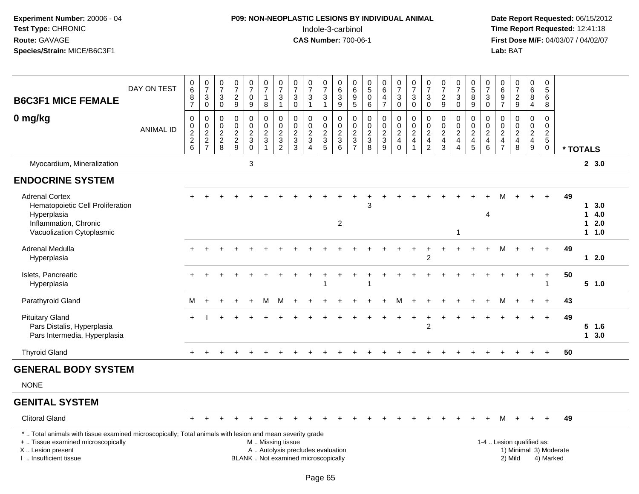## **P09: NON-NEOPLASTIC LESIONS BY INDIVIDUAL ANIMAL**Indole-3-carbinol **Time Report Requested:** 12:41:18

 **Date Report Requested:** 06/15/2012 **First Dose M/F:** 04/03/07 / 04/02/07<br>Lab: BAT **Lab:** BAT

| <b>B6C3F1 MICE FEMALE</b>                                                                                                                      | DAY ON TEST      | 0<br>6<br>8<br>$\overline{7}$                        | $\frac{0}{7}$<br>$\ensuremath{\mathsf{3}}$<br>$\overline{0}$ | $\frac{0}{7}$<br>$\sqrt{3}$<br>$\mathbf 0$                        | 0<br>$\overline{7}$<br>$\overline{2}$<br>$\boldsymbol{9}$       | $\frac{0}{7}$<br>$\mathbf 0$<br>$\boldsymbol{9}$               | 0<br>$\overline{7}$<br>$\mathbf{1}$<br>$\bf 8$ | $\frac{0}{7}$<br>$\sqrt{3}$<br>$\mathbf{1}$                    | 0<br>$\overline{7}$<br>3<br>$\pmb{0}$            | $\frac{0}{7}$<br>$\sqrt{3}$<br>$\overline{1}$ | $\frac{0}{7}$<br>$\mathfrak{S}$<br>$\mathbf{1}$     | 0<br>$\overline{6}$<br>$\sqrt{3}$<br>$\overline{9}$ | $\mathbf 0$<br>6<br>$\frac{9}{5}$    | 0<br>$\overline{5}$<br>$\mathbf 0$<br>$\,6\,$ | $\begin{array}{c} 0 \\ 6 \end{array}$<br>4<br>$\overline{7}$ | $\frac{0}{7}$<br>$\mathbf{3}$<br>$\mathbf 0$                               | $\frac{0}{7}$<br>$\sqrt{3}$<br>$\overline{0}$                             | $\frac{0}{7}$<br>3<br>$\mathbf 0$                                | 0<br>$\overline{7}$<br>$\overline{2}$<br>$\boldsymbol{9}$                    | $\frac{0}{7}$<br>$\sqrt{3}$<br>$\overline{0}$  | $\begin{array}{c} 0 \\ 5 \end{array}$<br>$\overline{8}$<br>$\boldsymbol{9}$ | $\frac{0}{7}$<br>$\mathbf{3}$<br>$\overline{0}$                | 0<br>6<br>$\boldsymbol{9}$<br>$\overline{7}$           | $\frac{0}{7}$<br>$\frac{2}{9}$            | $_6^0$<br>$\overline{8}$<br>4                       | 0<br>$\overline{5}$<br>6<br>8          |    |                                                            |
|------------------------------------------------------------------------------------------------------------------------------------------------|------------------|------------------------------------------------------|--------------------------------------------------------------|-------------------------------------------------------------------|-----------------------------------------------------------------|----------------------------------------------------------------|------------------------------------------------|----------------------------------------------------------------|--------------------------------------------------|-----------------------------------------------|-----------------------------------------------------|-----------------------------------------------------|--------------------------------------|-----------------------------------------------|--------------------------------------------------------------|----------------------------------------------------------------------------|---------------------------------------------------------------------------|------------------------------------------------------------------|------------------------------------------------------------------------------|------------------------------------------------|-----------------------------------------------------------------------------|----------------------------------------------------------------|--------------------------------------------------------|-------------------------------------------|-----------------------------------------------------|----------------------------------------|----|------------------------------------------------------------|
| 0 mg/kg                                                                                                                                        | <b>ANIMAL ID</b> | 0<br>0<br>$\begin{array}{c} 2 \\ 2 \\ 6 \end{array}$ | $\mathbf 0$<br>$\frac{0}{2}$<br>7                            | $\mathbf 0$<br>$\pmb{0}$<br>$\overline{2}$<br>$\overline{c}$<br>8 | $\mathbf 0$<br>$\mathbf 0$<br>$\boldsymbol{2}$<br>$\frac{2}{9}$ | $\mathbf 0$<br>$\begin{array}{c} 0 \\ 2 \\ 3 \\ 0 \end{array}$ | 0<br>$\pmb{0}$<br>$\frac{2}{3}$                | $\mathbf 0$<br>$\begin{array}{c} 0 \\ 2 \\ 3 \\ 2 \end{array}$ | $\mathbf 0$<br>$\mathbf 0$<br>$\frac{2}{3}$<br>3 | $\mathbf 0$<br>$\pmb{0}$<br>$\frac{2}{3}$     | $\mathbf 0$<br>0<br>$\frac{2}{3}$<br>$\overline{5}$ | $\mathbf 0$<br>$\mathbf 0$<br>$\frac{2}{3}$<br>6    | $\Omega$<br>$\pmb{0}$<br>$rac{2}{3}$ | 0<br>$\mathbf 0$<br>$\frac{2}{3}$<br>8        | $\Omega$<br>$\mathbf 0$<br>$\frac{2}{3}$<br>9                | 0<br>$\pmb{0}$<br>$\overline{\mathbf{c}}$<br>$\overline{4}$<br>$\mathbf 0$ | $\mathbf 0$<br>$\frac{0}{2}$<br>$\overline{\mathbf{4}}$<br>$\overline{1}$ | $\mathbf 0$<br>$\frac{0}{2}$<br>$\overline{4}$<br>$\overline{2}$ | $\mathbf 0$<br>$\pmb{0}$<br>$\overline{c}$<br>$\overline{4}$<br>$\mathbf{3}$ | $\mathbf 0$<br>$\frac{0}{2}$<br>$\overline{4}$ | 0<br>$\pmb{0}$<br>$\frac{2}{4}$<br>5                                        | $\mathbf 0$<br>$\begin{array}{c} 0 \\ 2 \\ 4 \\ 6 \end{array}$ | $\Omega$<br>0<br>$\overline{2}$<br>4<br>$\overline{7}$ | $\mathbf 0$<br>$\pmb{0}$<br>$\frac{2}{4}$ | $\mathbf 0$<br>$\frac{0}{2}$<br>$\overline{4}$<br>9 | $\mathbf 0$<br>0<br>$\frac{2}{5}$<br>0 |    | * TOTALS                                                   |
| Myocardium, Mineralization                                                                                                                     |                  |                                                      |                                                              |                                                                   |                                                                 | $\sqrt{3}$                                                     |                                                |                                                                |                                                  |                                               |                                                     |                                                     |                                      |                                               |                                                              |                                                                            |                                                                           |                                                                  |                                                                              |                                                |                                                                             |                                                                |                                                        |                                           |                                                     |                                        |    | 2, 3.0                                                     |
| <b>ENDOCRINE SYSTEM</b>                                                                                                                        |                  |                                                      |                                                              |                                                                   |                                                                 |                                                                |                                                |                                                                |                                                  |                                               |                                                     |                                                     |                                      |                                               |                                                              |                                                                            |                                                                           |                                                                  |                                                                              |                                                |                                                                             |                                                                |                                                        |                                           |                                                     |                                        |    |                                                            |
| <b>Adrenal Cortex</b><br>Hematopoietic Cell Proliferation<br>Hyperplasia<br>Inflammation, Chronic<br>Vacuolization Cytoplasmic                 |                  |                                                      |                                                              |                                                                   |                                                                 |                                                                |                                                |                                                                |                                                  |                                               |                                                     | 2                                                   |                                      | 3                                             |                                                              |                                                                            |                                                                           |                                                                  |                                                                              | $\overline{1}$                                 |                                                                             | $\overline{4}$                                                 |                                                        |                                           |                                                     | $+$                                    | 49 | $1 \quad 3.0$<br>4.0<br>1<br>2.0<br>$\mathbf 1$<br>$1 1.0$ |
| Adrenal Medulla<br>Hyperplasia                                                                                                                 |                  | $\div$                                               |                                                              |                                                                   |                                                                 |                                                                |                                                |                                                                |                                                  |                                               |                                                     |                                                     |                                      |                                               |                                                              |                                                                            | $\ddot{}$                                                                 | $\ddot{}$<br>$\overline{2}$                                      |                                                                              |                                                |                                                                             |                                                                | Μ                                                      |                                           | $+$                                                 | $+$                                    | 49 | 12.0                                                       |
| Islets, Pancreatic<br>Hyperplasia                                                                                                              |                  | $+$                                                  |                                                              |                                                                   |                                                                 |                                                                |                                                |                                                                |                                                  |                                               | -1                                                  |                                                     |                                      |                                               |                                                              |                                                                            |                                                                           |                                                                  |                                                                              |                                                |                                                                             |                                                                |                                                        |                                           | $\ddot{}$                                           | $+$                                    | 50 | 5 1.0                                                      |
| Parathyroid Gland                                                                                                                              |                  | М                                                    | $\div$                                                       | $\div$                                                            |                                                                 | $\overline{ }$                                                 | м                                              | M                                                              | $\div$                                           |                                               |                                                     |                                                     |                                      |                                               |                                                              | М                                                                          | $\div$                                                                    | $\div$                                                           |                                                                              |                                                |                                                                             |                                                                | M                                                      |                                           | $+$                                                 | $+$                                    | 43 |                                                            |
| <b>Pituitary Gland</b><br>Pars Distalis, Hyperplasia<br>Pars Intermedia, Hyperplasia                                                           |                  | $\ddot{}$                                            |                                                              |                                                                   |                                                                 |                                                                |                                                |                                                                |                                                  |                                               |                                                     |                                                     |                                      |                                               |                                                              | $\div$                                                                     | $+$                                                                       | $\ddot{}$<br>$\overline{2}$                                      | $\pm$                                                                        |                                                |                                                                             |                                                                |                                                        |                                           | $+$                                                 | $+$                                    | 49 | $5$ 1.6<br>$1 \quad 3.0$                                   |
| <b>Thyroid Gland</b>                                                                                                                           |                  |                                                      |                                                              |                                                                   |                                                                 |                                                                |                                                |                                                                |                                                  |                                               |                                                     |                                                     |                                      |                                               |                                                              |                                                                            |                                                                           |                                                                  |                                                                              |                                                |                                                                             |                                                                |                                                        |                                           |                                                     | $\ddot{}$                              | 50 |                                                            |
| <b>GENERAL BODY SYSTEM</b>                                                                                                                     |                  |                                                      |                                                              |                                                                   |                                                                 |                                                                |                                                |                                                                |                                                  |                                               |                                                     |                                                     |                                      |                                               |                                                              |                                                                            |                                                                           |                                                                  |                                                                              |                                                |                                                                             |                                                                |                                                        |                                           |                                                     |                                        |    |                                                            |
| <b>NONE</b>                                                                                                                                    |                  |                                                      |                                                              |                                                                   |                                                                 |                                                                |                                                |                                                                |                                                  |                                               |                                                     |                                                     |                                      |                                               |                                                              |                                                                            |                                                                           |                                                                  |                                                                              |                                                |                                                                             |                                                                |                                                        |                                           |                                                     |                                        |    |                                                            |
| <b>GENITAL SYSTEM</b>                                                                                                                          |                  |                                                      |                                                              |                                                                   |                                                                 |                                                                |                                                |                                                                |                                                  |                                               |                                                     |                                                     |                                      |                                               |                                                              |                                                                            |                                                                           |                                                                  |                                                                              |                                                |                                                                             |                                                                |                                                        |                                           |                                                     |                                        |    |                                                            |
| <b>Clitoral Gland</b>                                                                                                                          |                  |                                                      |                                                              |                                                                   |                                                                 |                                                                |                                                |                                                                |                                                  |                                               |                                                     |                                                     |                                      |                                               |                                                              |                                                                            |                                                                           |                                                                  |                                                                              |                                                |                                                                             |                                                                |                                                        |                                           |                                                     | $\ddot{}$                              | 49 |                                                            |
| *  Total animals with tissue examined microscopically; Total animals with lesion and mean severity grade<br>+  Tissue examined microscopically |                  |                                                      |                                                              |                                                                   |                                                                 |                                                                | M  Missing tissue                              |                                                                |                                                  |                                               |                                                     |                                                     |                                      |                                               |                                                              |                                                                            |                                                                           |                                                                  |                                                                              |                                                |                                                                             |                                                                |                                                        | 1-4  Lesion qualified as:                 |                                                     |                                        |    |                                                            |

+ .. Tissue examined microscopically

X .. Lesion present

I .. Insufficient tissue

A .. Autolysis precludes evaluation 1) Minimal 3 ... Autolysis precludes evaluation 1, and 30 ... (1) Minimal 3<br>1) Minimal 30 ... Autor microscopically 1990 ... (1) Minimal 30 ... (1) Minimal 30 ... (1) Minimal 30 ... (1) BLANK .. Not examined microscopically 2) Mild 4) Marked

1-4 .. Lesion qualified as: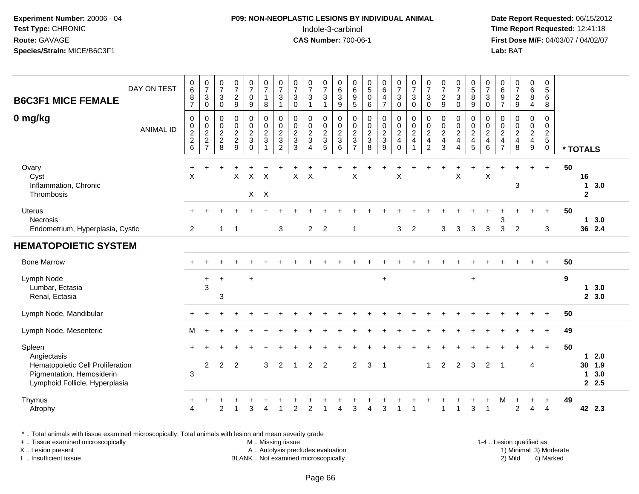#### **P09: NON-NEOPLASTIC LESIONS BY INDIVIDUAL ANIMAL**Indole-3-carbinol **Time Report Requested:** 12:41:18

 **Date Report Requested:** 06/15/2012 **First Dose M/F:** 04/03/07 / 04/02/07<br>Lab: BAT **Lab:** BAT

| DAY ON TEST<br><b>B6C3F1 MICE FEMALE</b>                                                                                 | $\begin{array}{c} 0 \\ 6 \end{array}$<br>$\bf 8$<br>$\overline{7}$ | $\frac{0}{7}$<br>$\mathbf{3}$                         | $\frac{0}{7}$<br>$\mathsf 3$                 | $\frac{0}{7}$<br>$\overline{a}$           | $\frac{0}{7}$<br>$\pmb{0}$                                              | $\frac{0}{7}$<br>$\mathbf{1}$                        | $\frac{0}{7}$<br>$\sqrt{3}$                                                          | $\frac{0}{7}$<br>$\mathbf{3}$                                                | $\frac{0}{7}$<br>$\sqrt{3}$<br>$\overline{1}$                | $\begin{array}{c} 0 \\ 7 \end{array}$<br>$\sqrt{3}$ | $\begin{matrix} 0 \\ 6 \\ 3 \end{matrix}$             | $\begin{array}{c} 0 \\ 6 \\ 9 \\ 5 \end{array}$     | $\begin{array}{c} 0 \\ 5 \end{array}$<br>$\mathbf 0$ | $\begin{array}{c} 0 \\ 6 \\ 4 \end{array}$                       | $\frac{0}{7}$<br>$\mathbf{3}$                                                                   | $\frac{0}{7}$<br>$\ensuremath{\mathsf{3}}$                                     | $\frac{0}{7}$<br>$\mathbf{3}$                                      | $\frac{0}{7}$<br>$\frac{2}{9}$                                | $\frac{0}{7}$<br>$\ensuremath{\mathsf{3}}$                       | $\begin{array}{c} 0 \\ 5 \\ 8 \end{array}$              | $\frac{0}{7}$<br>3                                                  | 0<br>$\begin{array}{c} 6 \\ 9 \\ 7 \end{array}$ | $\begin{smallmatrix}0\\7\end{smallmatrix}$<br>$\frac{2}{9}$ | $_{6}^{\rm 0}$<br>$\bf 8$                                                | $\pmb{0}$<br>$\sqrt{5}$<br>6                                    |          |                         |                             |
|--------------------------------------------------------------------------------------------------------------------------|--------------------------------------------------------------------|-------------------------------------------------------|----------------------------------------------|-------------------------------------------|-------------------------------------------------------------------------|------------------------------------------------------|--------------------------------------------------------------------------------------|------------------------------------------------------------------------------|--------------------------------------------------------------|-----------------------------------------------------|-------------------------------------------------------|-----------------------------------------------------|------------------------------------------------------|------------------------------------------------------------------|-------------------------------------------------------------------------------------------------|--------------------------------------------------------------------------------|--------------------------------------------------------------------|---------------------------------------------------------------|------------------------------------------------------------------|---------------------------------------------------------|---------------------------------------------------------------------|-------------------------------------------------|-------------------------------------------------------------|--------------------------------------------------------------------------|-----------------------------------------------------------------|----------|-------------------------|-----------------------------|
| 0 mg/kg<br><b>ANIMAL ID</b>                                                                                              | $\mathbf 0$<br>$0$<br>$2$<br>$6$                                   | $\mathbf 0$<br>$\boldsymbol{0}$<br>$\frac{0}{2}$<br>7 | 0<br>$\pmb{0}$<br>$\pmb{0}$<br>$\frac{2}{8}$ | 9<br>0<br>$\bar{0}$<br>$\frac{2}{2}$<br>9 | 9<br>$\pmb{0}$<br>$\pmb{0}$<br>$\overline{c}$<br>$\sqrt{3}$<br>$\Omega$ | 8<br>$\begin{array}{c} 0 \\ 0 \\ 2 \\ 3 \end{array}$ | $\overline{1}$<br>0<br>$\mathbf 0$<br>$\overline{c}$<br>$\sqrt{3}$<br>$\overline{2}$ | $\mathbf 0$<br>$\pmb{0}$<br>$\mathbf 0$<br>$\overline{c}$<br>$\sqrt{3}$<br>3 | 0<br>$\mathbf 0$<br>$\frac{2}{3}$<br>$\overline{\mathbf{4}}$ | $\mathbf{1}$<br>0<br>$\frac{0}{2}$<br>5             | $\overline{9}$<br>$\pmb{0}$<br>$\frac{0}{2}$<br>$\,6$ | $\boldsymbol{0}$<br>$\frac{0}{2}$<br>$\overline{7}$ | $\,6\,$<br>$\pmb{0}$<br>$\frac{0}{2}$<br>8           | $\overline{7}$<br>0<br>$\ddot{\mathbf{0}}$<br>$\frac{2}{3}$<br>9 | $\overline{0}$<br>$\begin{smallmatrix} 0\\0\\2 \end{smallmatrix}$<br>$\overline{4}$<br>$\Omega$ | $\pmb{0}$<br>$\begin{smallmatrix} 0\\0\\2 \end{smallmatrix}$<br>$\overline{4}$ | $\mathbf 0$<br>0<br>$\mathbf 0$<br>$\frac{2}{4}$<br>$\overline{2}$ | $\pmb{0}$<br>$\mathbf 0$<br>$\sqrt{2}$<br>$\overline{4}$<br>3 | $\mathbf 0$<br>0<br>$\pmb{0}$<br>$\frac{2}{4}$<br>$\overline{4}$ | $9\,$<br>0<br>$\ddot{\mathbf{0}}$<br>$\frac{2}{4}$<br>5 | 0<br>0<br>$\boldsymbol{0}$<br>$\overline{c}$<br>$\overline{4}$<br>6 | 0<br>$\pmb{0}$<br>$_4^2$<br>$\overline{7}$      | $\begin{array}{c} 0 \\ 0 \\ 2 \\ 4 \end{array}$<br>$\,8\,$  | $\overline{4}$<br>0<br>$\mathsf{O}$<br>$\frac{2}{4}$<br>$\boldsymbol{9}$ | 8<br>$\mathbf 0$<br>$\mathbf 0$<br>$\frac{2}{5}$<br>$\mathbf 0$ | * TOTALS |                         |                             |
| Ovary<br>Cyst<br>Inflammation, Chronic<br>Thrombosis                                                                     | $\ddot{}$<br>$\times$                                              |                                                       |                                              | $\sf X$                                   | $\mathsf X$                                                             | $\times$<br>$X$ $X$                                  |                                                                                      | $\mathsf X$                                                                  | X                                                            |                                                     |                                                       | $\boldsymbol{\mathsf{X}}$                           |                                                      |                                                                  | $\pmb{\times}$                                                                                  |                                                                                |                                                                    |                                                               | X                                                                |                                                         | $\sf X$                                                             |                                                 | 3                                                           | $\ddot{}$                                                                | $+$                                                             | 50       | 16<br>1<br>$\mathbf{2}$ | 3.0                         |
| Uterus<br>Necrosis<br>Endometrium, Hyperplasia, Cystic                                                                   | 2                                                                  |                                                       | $\mathbf 1$                                  | $\overline{1}$                            |                                                                         |                                                      | 3                                                                                    |                                                                              | $\overline{2}$                                               | $\overline{2}$                                      |                                                       | $\overline{1}$                                      |                                                      |                                                                  | 3                                                                                               | $\overline{2}$                                                                 |                                                                    | 3                                                             | 3                                                                | 3                                                       | 3                                                                   | 3<br>3                                          | 2                                                           | $+$                                                                      | $\ddot{}$<br>3                                                  | 50       |                         | 13.0<br>36 2.4              |
| <b>HEMATOPOIETIC SYSTEM</b>                                                                                              |                                                                    |                                                       |                                              |                                           |                                                                         |                                                      |                                                                                      |                                                                              |                                                              |                                                     |                                                       |                                                     |                                                      |                                                                  |                                                                                                 |                                                                                |                                                                    |                                                               |                                                                  |                                                         |                                                                     |                                                 |                                                             |                                                                          |                                                                 |          |                         |                             |
| <b>Bone Marrow</b>                                                                                                       |                                                                    |                                                       |                                              |                                           |                                                                         |                                                      |                                                                                      |                                                                              |                                                              |                                                     |                                                       |                                                     |                                                      |                                                                  |                                                                                                 |                                                                                |                                                                    |                                                               |                                                                  |                                                         |                                                                     |                                                 |                                                             |                                                                          |                                                                 | 50       |                         |                             |
| Lymph Node<br>Lumbar, Ectasia<br>Renal, Ectasia                                                                          |                                                                    | $\ddot{}$<br>3                                        | $\ddot{}$<br>3                               |                                           | $+$                                                                     |                                                      |                                                                                      |                                                                              |                                                              |                                                     |                                                       |                                                     |                                                      | $\ddot{}$                                                        |                                                                                                 |                                                                                |                                                                    |                                                               |                                                                  | $\ddot{}$                                               |                                                                     |                                                 |                                                             |                                                                          |                                                                 | 9        |                         | 13.0<br>2, 3.0              |
| Lymph Node, Mandibular                                                                                                   |                                                                    |                                                       |                                              |                                           |                                                                         |                                                      |                                                                                      |                                                                              |                                                              |                                                     |                                                       |                                                     |                                                      |                                                                  |                                                                                                 |                                                                                |                                                                    |                                                               |                                                                  |                                                         |                                                                     |                                                 |                                                             |                                                                          |                                                                 | 50       |                         |                             |
| Lymph Node, Mesenteric                                                                                                   | м                                                                  |                                                       |                                              |                                           |                                                                         |                                                      |                                                                                      |                                                                              |                                                              |                                                     |                                                       |                                                     |                                                      |                                                                  |                                                                                                 |                                                                                |                                                                    |                                                               |                                                                  |                                                         |                                                                     |                                                 |                                                             |                                                                          |                                                                 | 49       |                         |                             |
| Spleen<br>Angiectasis<br>Hematopoietic Cell Proliferation<br>Pigmentation, Hemosiderin<br>Lymphoid Follicle, Hyperplasia | 3                                                                  | $\overline{c}$                                        | 2                                            | $\overline{2}$                            |                                                                         | 3                                                    | $\overline{c}$                                                                       | 1                                                                            | $\overline{2}$                                               | 2                                                   |                                                       | $\overline{2}$                                      | 3                                                    | - 1                                                              |                                                                                                 |                                                                                | 1                                                                  | $\overline{2}$                                                | 2                                                                | 3                                                       | 2                                                                   |                                                 |                                                             | 4                                                                        | $\ddot{}$                                                       | 50       | 1.<br>1                 | 2.0<br>30 1.9<br>3.0<br>2.5 |
| Thymus<br>Atrophy                                                                                                        | $\overline{4}$                                                     |                                                       | 2                                            |                                           | 3                                                                       |                                                      |                                                                                      | $\overline{2}$                                                               | $\overline{2}$                                               |                                                     | $\Delta$                                              | 3                                                   | 4                                                    | 3                                                                |                                                                                                 |                                                                                |                                                                    |                                                               | 1                                                                | 3                                                       |                                                                     | м                                               | 2                                                           | 4                                                                        | 4                                                               | 49       |                         | 42 2.3                      |

\* .. Total animals with tissue examined microscopically; Total animals with lesion and mean severity grade

+ .. Tissue examined microscopically

X .. Lesion present

I .. Insufficient tissue

M .. Missing tissue

A .. Autolysis precludes evaluation

BLANK .. Not examined microscopically 2) Mild 4) Marked

1-4 .. Lesion qualified as:<br>1) Minimal 3) Moderate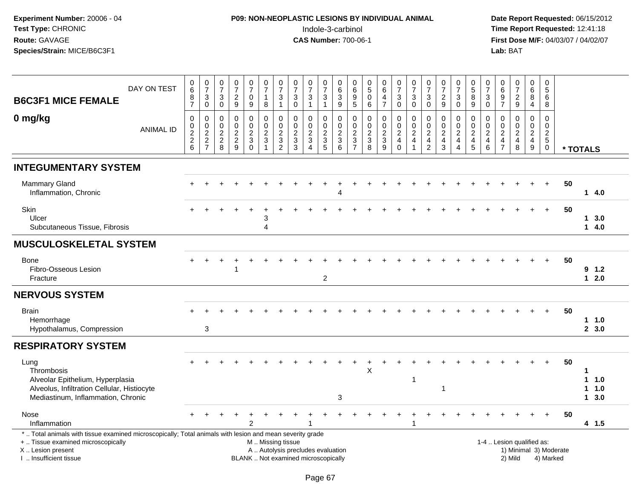# **P09: NON-NEOPLASTIC LESIONS BY INDIVIDUAL ANIMAL**Indole-3-carbinol **Time Report Requested:** 12:41:18

| <b>B6C3F1 MICE FEMALE</b>                                                                                                                                                                    | DAY ON TEST      | 0<br>$\,6\,$<br>8<br>$\overline{7}$                                             | $\frac{0}{7}$<br>$\ensuremath{\mathsf{3}}$<br>$\mathbf 0$ | $\frac{0}{7}$<br>$\sqrt{3}$<br>$\mathbf 0$     | $\frac{0}{7}$<br>$\sqrt{2}$<br>$\overline{9}$           | $\frac{0}{7}$<br>$\mathbf 0$<br>9                                      | $\frac{0}{7}$<br>$\mathbf{1}$<br>8                                                            | $\frac{0}{7}$<br>3<br>$\mathbf{1}$                                          | $\frac{0}{7}$<br>$\ensuremath{\mathsf{3}}$<br>$\mathbf 0$       | $\frac{0}{7}$<br>$\mathbf{3}$<br>$\mathbf{1}$     | $\frac{0}{7}$<br>$\sqrt{3}$<br>$\mathbf{1}$                                          | $\begin{array}{c} 0 \\ 6 \end{array}$<br>$\sqrt{3}$<br>9        | 0<br>$\,6\,$<br>$\boldsymbol{9}$<br>5                                           | $\frac{0}{5}$<br>$\mathbf 0$<br>6                                                | $\begin{array}{c} 0 \\ 6 \end{array}$<br>$\overline{\mathbf{4}}$<br>$\overline{7}$ | $\begin{smallmatrix}0\\7\end{smallmatrix}$<br>$\mathbf{3}$<br>$\mathsf{O}$ | $\frac{0}{7}$<br>$\ensuremath{\mathsf{3}}$<br>$\mathbf 0$  | $\frac{0}{7}$<br>$\boldsymbol{3}$<br>$\mathbf 0$                             | $\frac{0}{7}$<br>$\sqrt{2}$<br>9                                             | $\frac{0}{7}$<br>3<br>$\Omega$                                       | $\frac{0}{5}$<br>$\bf 8$<br>9                                          | $\frac{0}{7}$<br>$\ensuremath{\mathsf{3}}$<br>$\mathbf 0$                    | $\begin{array}{c} 0 \\ 6 \end{array}$<br>$\boldsymbol{9}$<br>$\overline{7}$ | $\frac{0}{7}$<br>$\frac{2}{9}$                                    | 0<br>$\,6\,$<br>$\bf 8$<br>$\overline{4}$                  | 0<br>$\sqrt{5}$<br>6<br>8                                                      |                        |         |                          |  |
|----------------------------------------------------------------------------------------------------------------------------------------------------------------------------------------------|------------------|---------------------------------------------------------------------------------|-----------------------------------------------------------|------------------------------------------------|---------------------------------------------------------|------------------------------------------------------------------------|-----------------------------------------------------------------------------------------------|-----------------------------------------------------------------------------|-----------------------------------------------------------------|---------------------------------------------------|--------------------------------------------------------------------------------------|-----------------------------------------------------------------|---------------------------------------------------------------------------------|----------------------------------------------------------------------------------|------------------------------------------------------------------------------------|----------------------------------------------------------------------------|------------------------------------------------------------|------------------------------------------------------------------------------|------------------------------------------------------------------------------|----------------------------------------------------------------------|------------------------------------------------------------------------|------------------------------------------------------------------------------|-----------------------------------------------------------------------------|-------------------------------------------------------------------|------------------------------------------------------------|--------------------------------------------------------------------------------|------------------------|---------|--------------------------|--|
| 0 mg/kg                                                                                                                                                                                      | <b>ANIMAL ID</b> | $\boldsymbol{0}$<br>$\boldsymbol{0}$<br>$\overline{2}$<br>$\boldsymbol{2}$<br>6 | 0<br>$\mathbf 0$<br>$\sqrt{2}$<br>$\frac{2}{7}$           | 0<br>$\mathbf 0$<br>$\sqrt{2}$<br>$^2_{\bf 8}$ | $\mathbf 0$<br>$\pmb{0}$<br>$\sqrt{2}$<br>$\frac{2}{9}$ | $\mathbf 0$<br>$\mathbf 0$<br>$\sqrt{2}$<br>$\mathsf 3$<br>$\mathbf 0$ | $\mathbf 0$<br>$\mathbf 0$<br>$\sqrt{2}$<br>$\sqrt{3}$<br>$\mathbf{1}$                        | $\mathbf 0$<br>$\Omega$<br>$\boldsymbol{2}$<br>$\sqrt{3}$<br>$\overline{2}$ | $\mathbf 0$<br>$\mathbf 0$<br>$\sqrt{2}$<br>$\overline{3}$<br>3 | $\mathbf 0$<br>$\mathbf 0$<br>$\overline{c}$<br>3 | 0<br>$\mathsf{O}$<br>$\boldsymbol{2}$<br>$\ensuremath{\mathsf{3}}$<br>$\overline{5}$ | $\mathbf 0$<br>$\mathbf 0$<br>$\overline{2}$<br>$\sqrt{3}$<br>6 | $\mathbf 0$<br>$\mathbf{0}$<br>$\overline{2}$<br>$\mathbf{3}$<br>$\overline{7}$ | $\mathbf 0$<br>$\mathbf 0$<br>$\boldsymbol{2}$<br>$\ensuremath{\mathsf{3}}$<br>8 | 0<br>$\mathbf 0$<br>$\overline{2}$<br>$\mathbf{3}$<br>9                            | $\mathbf 0$<br>$\mathbf 0$<br>$\overline{2}$<br>$\overline{4}$<br>$\Omega$ | $\mathbf 0$<br>$\mathbf 0$<br>$\sqrt{2}$<br>$\overline{4}$ | $\mathbf 0$<br>$\mathbf 0$<br>$\sqrt{2}$<br>$\overline{4}$<br>$\overline{2}$ | $\mathbf 0$<br>$\mathbf 0$<br>$\sqrt{2}$<br>$\overline{4}$<br>$\overline{3}$ | 0<br>$\mathbf 0$<br>$\boldsymbol{2}$<br>$\overline{\mathbf{4}}$<br>4 | 0<br>$\mathbf 0$<br>$\overline{2}$<br>$\overline{4}$<br>$\overline{5}$ | $\mathbf 0$<br>$\mathbf 0$<br>$\sqrt{2}$<br>$\overline{4}$<br>$6\phantom{a}$ | 0<br>$\mathbf 0$<br>$\overline{a}$<br>$\overline{4}$<br>$\overline{7}$      | $\mathbf 0$<br>$\pmb{0}$<br>$\overline{2}$<br>$\overline{4}$<br>8 | 0<br>$\mathbf{0}$<br>$\sqrt{2}$<br>$\overline{4}$<br>$9\,$ | $\mathbf 0$<br>$\mathbf 0$<br>$\overline{c}$<br>$5\phantom{.0}$<br>$\mathbf 0$ | * TOTALS               |         |                          |  |
| <b>INTEGUMENTARY SYSTEM</b>                                                                                                                                                                  |                  |                                                                                 |                                                           |                                                |                                                         |                                                                        |                                                                                               |                                                                             |                                                                 |                                                   |                                                                                      |                                                                 |                                                                                 |                                                                                  |                                                                                    |                                                                            |                                                            |                                                                              |                                                                              |                                                                      |                                                                        |                                                                              |                                                                             |                                                                   |                                                            |                                                                                |                        |         |                          |  |
| <b>Mammary Gland</b><br>Inflammation, Chronic                                                                                                                                                |                  |                                                                                 |                                                           |                                                |                                                         |                                                                        |                                                                                               |                                                                             |                                                                 |                                                   |                                                                                      |                                                                 |                                                                                 |                                                                                  |                                                                                    |                                                                            |                                                            |                                                                              |                                                                              |                                                                      |                                                                        |                                                                              |                                                                             |                                                                   |                                                            |                                                                                | 50                     |         | 14.0                     |  |
| Skin<br>Ulcer<br>Subcutaneous Tissue, Fibrosis                                                                                                                                               |                  |                                                                                 |                                                           |                                                |                                                         |                                                                        | 3<br>$\Delta$                                                                                 |                                                                             |                                                                 |                                                   |                                                                                      |                                                                 |                                                                                 |                                                                                  |                                                                                    |                                                                            |                                                            |                                                                              |                                                                              |                                                                      |                                                                        |                                                                              |                                                                             |                                                                   |                                                            |                                                                                | 50                     | 1.      | 3.0<br>14.0              |  |
| <b>MUSCULOSKELETAL SYSTEM</b>                                                                                                                                                                |                  |                                                                                 |                                                           |                                                |                                                         |                                                                        |                                                                                               |                                                                             |                                                                 |                                                   |                                                                                      |                                                                 |                                                                                 |                                                                                  |                                                                                    |                                                                            |                                                            |                                                                              |                                                                              |                                                                      |                                                                        |                                                                              |                                                                             |                                                                   |                                                            |                                                                                |                        |         |                          |  |
| Bone<br>Fibro-Osseous Lesion<br>Fracture                                                                                                                                                     |                  |                                                                                 |                                                           |                                                |                                                         |                                                                        |                                                                                               |                                                                             |                                                                 |                                                   | 2                                                                                    |                                                                 |                                                                                 |                                                                                  |                                                                                    |                                                                            |                                                            |                                                                              |                                                                              |                                                                      |                                                                        |                                                                              |                                                                             |                                                                   |                                                            |                                                                                | 50                     |         | 9 1.2<br>12.0            |  |
| <b>NERVOUS SYSTEM</b>                                                                                                                                                                        |                  |                                                                                 |                                                           |                                                |                                                         |                                                                        |                                                                                               |                                                                             |                                                                 |                                                   |                                                                                      |                                                                 |                                                                                 |                                                                                  |                                                                                    |                                                                            |                                                            |                                                                              |                                                                              |                                                                      |                                                                        |                                                                              |                                                                             |                                                                   |                                                            |                                                                                |                        |         |                          |  |
| <b>Brain</b><br>Hemorrhage<br>Hypothalamus, Compression                                                                                                                                      |                  |                                                                                 | $\sqrt{3}$                                                |                                                |                                                         |                                                                        |                                                                                               |                                                                             |                                                                 |                                                   |                                                                                      |                                                                 |                                                                                 |                                                                                  |                                                                                    |                                                                            |                                                            |                                                                              |                                                                              |                                                                      |                                                                        |                                                                              |                                                                             |                                                                   |                                                            | $\ddot{}$                                                                      | 50                     |         | 11.0<br>2, 3.0           |  |
| <b>RESPIRATORY SYSTEM</b>                                                                                                                                                                    |                  |                                                                                 |                                                           |                                                |                                                         |                                                                        |                                                                                               |                                                                             |                                                                 |                                                   |                                                                                      |                                                                 |                                                                                 |                                                                                  |                                                                                    |                                                                            |                                                            |                                                                              |                                                                              |                                                                      |                                                                        |                                                                              |                                                                             |                                                                   |                                                            |                                                                                |                        |         |                          |  |
| Lung<br>Thrombosis<br>Alveolar Epithelium, Hyperplasia<br>Alveolus, Infiltration Cellular, Histiocyte<br>Mediastinum, Inflammation, Chronic                                                  |                  |                                                                                 |                                                           |                                                |                                                         |                                                                        |                                                                                               |                                                                             |                                                                 |                                                   |                                                                                      | 3                                                               |                                                                                 | X                                                                                |                                                                                    |                                                                            | $\overline{1}$                                             |                                                                              | 1                                                                            |                                                                      |                                                                        |                                                                              |                                                                             |                                                                   |                                                            |                                                                                | 50                     | 1<br>1. | $1 \t1.0$<br>1.0<br>13.0 |  |
| Nose<br>Inflammation                                                                                                                                                                         |                  |                                                                                 |                                                           |                                                |                                                         |                                                                        |                                                                                               |                                                                             |                                                                 |                                                   |                                                                                      |                                                                 |                                                                                 |                                                                                  |                                                                                    |                                                                            |                                                            |                                                                              |                                                                              |                                                                      |                                                                        |                                                                              |                                                                             |                                                                   |                                                            |                                                                                | 50                     |         | 4 1.5                    |  |
| *  Total animals with tissue examined microscopically; Total animals with lesion and mean severity grade<br>+  Tissue examined microscopically<br>X Lesion present<br>I. Insufficient tissue |                  |                                                                                 |                                                           |                                                |                                                         |                                                                        | M  Missing tissue<br>A  Autolysis precludes evaluation<br>BLANK  Not examined microscopically |                                                                             |                                                                 |                                                   |                                                                                      |                                                                 |                                                                                 |                                                                                  |                                                                                    |                                                                            |                                                            |                                                                              |                                                                              |                                                                      |                                                                        |                                                                              |                                                                             | 1-4  Lesion qualified as:<br>2) Mild                              |                                                            | 4) Marked                                                                      | 1) Minimal 3) Moderate |         |                          |  |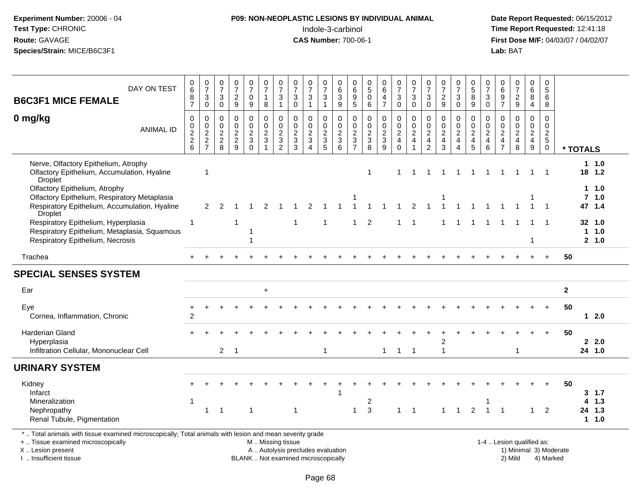| Experiment Number: 20006 - 04 |
|-------------------------------|
| <b>Test Type: CHRONIC</b>     |
| Route: GAVAGE                 |
| Species/Strain: MICE/B6C3F1   |

# **P09: NON-NEOPLASTIC LESIONS BY INDIVIDUAL ANIMAL**Indole-3-carbinol **Time Report Requested:** 12:41:18

| DAY ON TEST<br><b>B6C3F1 MICE FEMALE</b>                                                                                                                                                     | 0<br>$\,6\,$<br>8<br>$\overline{7}$                                          | $\begin{array}{c} 0 \\ 7 \end{array}$<br>$\frac{3}{0}$                     | $\begin{array}{c} 0 \\ 7 \end{array}$<br>$\sqrt{3}$<br>$\mathsf 0$ | $\frac{0}{7}$<br>$\sqrt{2}$<br>9                              | $\frac{0}{7}$<br>$\pmb{0}$<br>9                                | $\begin{array}{c} 0 \\ 7 \end{array}$<br>$\mathbf{1}$<br>$\bf 8$                              | $\frac{0}{7}$<br>$\sqrt{3}$<br>$\mathbf{1}$                                | $\begin{array}{c} 0 \\ 7 \end{array}$<br>$\ensuremath{\mathsf{3}}$<br>$\mathsf{O}\xspace$ | $\frac{0}{7}$<br>$\ensuremath{\mathsf{3}}$<br>$\mathbf{1}$           | $\frac{0}{7}$<br>3<br>$\overline{1}$                  | $\begin{array}{c} 0 \\ 6 \end{array}$<br>$\overline{3}$<br>9      | 0<br>$\tilde{6}$<br>$\frac{9}{5}$                           | $\begin{smallmatrix}0\5\0\end{smallmatrix}$<br>$6\phantom{1}$ | $_{6}^{\rm 0}$<br>$\overline{4}$<br>$\overline{7}$          | $\frac{0}{7}$<br>$\ensuremath{\mathsf{3}}$<br>$\mathbf 0$ | $\frac{0}{7}$<br>$\sqrt{3}$<br>$\pmb{0}$                                                   | $\begin{array}{c} 0 \\ 7 \end{array}$<br>$\ensuremath{\mathsf{3}}$<br>$\mathbf 0$ | $\frac{0}{7}$<br>$\sqrt{2}$<br>9                                                  | $\frac{0}{7}$<br>3<br>$\pmb{0}$                                                   | 0<br>0<br>0<br>0<br>0                     | $\frac{0}{7}$<br>$\mathbf{3}$<br>$\mathbf 0$                | 0<br>$\,6$<br>$\frac{9}{7}$                                   | $\begin{smallmatrix}0\\7\end{smallmatrix}$<br>$\frac{2}{9}$                           | 0<br>$\overline{6}$<br>$\bf 8$<br>$\overline{4}$                            | $\pmb{0}$<br>$\sqrt{5}$<br>$\,6\,$<br>8                                   |                        |              |                                         |
|----------------------------------------------------------------------------------------------------------------------------------------------------------------------------------------------|------------------------------------------------------------------------------|----------------------------------------------------------------------------|--------------------------------------------------------------------|---------------------------------------------------------------|----------------------------------------------------------------|-----------------------------------------------------------------------------------------------|----------------------------------------------------------------------------|-------------------------------------------------------------------------------------------|----------------------------------------------------------------------|-------------------------------------------------------|-------------------------------------------------------------------|-------------------------------------------------------------|---------------------------------------------------------------|-------------------------------------------------------------|-----------------------------------------------------------|--------------------------------------------------------------------------------------------|-----------------------------------------------------------------------------------|-----------------------------------------------------------------------------------|-----------------------------------------------------------------------------------|-------------------------------------------|-------------------------------------------------------------|---------------------------------------------------------------|---------------------------------------------------------------------------------------|-----------------------------------------------------------------------------|---------------------------------------------------------------------------|------------------------|--------------|-----------------------------------------|
| 0 mg/kg<br><b>ANIMAL ID</b>                                                                                                                                                                  | $\mathbf 0$<br>$\begin{smallmatrix} 0\\2 \end{smallmatrix}$<br>$\frac{2}{6}$ | $\pmb{0}$<br>$\begin{smallmatrix} 0\\2 \end{smallmatrix}$<br>$\frac{2}{7}$ | 0<br>$\pmb{0}$<br>$\boldsymbol{2}$<br>$^{\,2}_{\,8}$               | $\pmb{0}$<br>$\mathbf 0$<br>$\boldsymbol{2}$<br>$\frac{2}{9}$ | 0<br>$\mathbf 0$<br>$\overline{c}$<br>$\mathbf{3}$<br>$\Omega$ | $\mathbf 0$<br>$\mathsf{O}\xspace$<br>$\overline{2}$<br>$\mathbf{3}$<br>$\overline{1}$        | $\pmb{0}$<br>$\begin{smallmatrix} 0\\2 \end{smallmatrix}$<br>$\frac{3}{2}$ | $\mathbf 0$<br>$\pmb{0}$<br>$\overline{c}$<br>$\ensuremath{\mathsf{3}}$<br>3              | $\mathbf 0$<br>$\pmb{0}$<br>$\overline{2}$<br>$\sqrt{3}$<br>$\Delta$ | 0<br>$\mathbf 0$<br>$\boldsymbol{2}$<br>$\frac{3}{5}$ | $\pmb{0}$<br>$\mathbf 0$<br>$\overline{2}$<br>$\overline{3}$<br>6 | $\mathbf 0$<br>$\pmb{0}$<br>$\overline{c}$<br>$\frac{3}{7}$ | $\pmb{0}$<br>$\mathbf 0$<br>$\overline{2}$<br>$_8^3$          | $\mathsf 0$<br>$\pmb{0}$<br>$\overline{2}$<br>$\frac{1}{9}$ | 0<br>$\frac{0}{2}$<br>$^4_{\rm 0}$                        | $\mathbf 0$<br>$\mathop{2}\limits^{\mathbb{O}}$<br>$\overline{\mathbf{4}}$<br>$\mathbf{1}$ | 0<br>$\pmb{0}$<br>$\overline{c}$<br>$\frac{4}{2}$                                 | $\pmb{0}$<br>$\pmb{0}$<br>$\overline{2}$<br>$\begin{array}{c} 4 \\ 3 \end{array}$ | 0<br>$\mathbf 0$<br>$\boldsymbol{2}$<br>$\overline{4}$<br>$\overline{\mathbf{4}}$ | $\,0\,$<br>$\frac{0}{2}$<br>$\frac{4}{5}$ | $\mathbf 0$<br>$\pmb{0}$<br>$\overline{2}$<br>$\frac{4}{6}$ | $\mathbf 0$<br>$\pmb{0}$<br>$\boldsymbol{2}$<br>$\frac{4}{7}$ | $\mathbf 0$<br>$\mathbf 0$<br>$\overline{2}$<br>$\begin{array}{c} 4 \\ 8 \end{array}$ | 0<br>$\mathbf 0$<br>$\overline{c}$<br>$\begin{array}{c} 4 \\ 9 \end{array}$ | $\mathbf 0$<br>$\mathbf 0$<br>$\overline{2}$<br>$\sqrt{5}$<br>$\mathbf 0$ |                        | * TOTALS     |                                         |
| Nerve, Olfactory Epithelium, Atrophy<br>Olfactory Epithelium, Accumulation, Hyaline<br>Droplet                                                                                               |                                                                              | $\overline{1}$                                                             |                                                                    |                                                               |                                                                |                                                                                               |                                                                            |                                                                                           |                                                                      |                                                       |                                                                   |                                                             | 1                                                             |                                                             |                                                           | $\overline{1}$                                                                             | -1                                                                                | -1                                                                                | -1                                                                                |                                           | $\mathbf 1$                                                 |                                                               | -1                                                                                    | 1                                                                           | $\overline{1}$                                                            |                        |              | 11.0<br>18 1.2                          |
| Olfactory Epithelium, Atrophy<br>Olfactory Epithelium, Respiratory Metaplasia<br>Respiratory Epithelium, Accumulation, Hyaline<br><b>Droplet</b>                                             |                                                                              | 2                                                                          | $\mathcal{P}$                                                      |                                                               |                                                                |                                                                                               |                                                                            |                                                                                           | $\mathcal{P}$                                                        |                                                       |                                                                   |                                                             |                                                               |                                                             |                                                           | 2                                                                                          |                                                                                   |                                                                                   |                                                                                   |                                           |                                                             |                                                               |                                                                                       |                                                                             | -1                                                                        |                        |              | 1 1.0<br>$7$ 1.0<br>47 1.4              |
| Respiratory Epithelium, Hyperplasia<br>Respiratory Epithelium, Metaplasia, Squamous<br>Respiratory Epithelium, Necrosis                                                                      | $\overline{1}$                                                               |                                                                            |                                                                    | 1                                                             |                                                                |                                                                                               |                                                                            | -1                                                                                        |                                                                      | -1                                                    |                                                                   | 1                                                           | $\overline{2}$                                                |                                                             |                                                           | $\overline{1}$                                                                             |                                                                                   | 1                                                                                 | 1                                                                                 | -1                                        |                                                             |                                                               |                                                                                       | -1<br>1                                                                     | $\overline{\mathbf{1}}$                                                   |                        | $\mathbf{1}$ | 32 1.0<br>1.0<br>2, 1.0                 |
| Trachea                                                                                                                                                                                      |                                                                              |                                                                            |                                                                    |                                                               |                                                                |                                                                                               |                                                                            |                                                                                           |                                                                      |                                                       |                                                                   |                                                             |                                                               |                                                             |                                                           |                                                                                            |                                                                                   |                                                                                   |                                                                                   |                                           |                                                             |                                                               |                                                                                       |                                                                             |                                                                           | 50                     |              |                                         |
| <b>SPECIAL SENSES SYSTEM</b>                                                                                                                                                                 |                                                                              |                                                                            |                                                                    |                                                               |                                                                |                                                                                               |                                                                            |                                                                                           |                                                                      |                                                       |                                                                   |                                                             |                                                               |                                                             |                                                           |                                                                                            |                                                                                   |                                                                                   |                                                                                   |                                           |                                                             |                                                               |                                                                                       |                                                                             |                                                                           |                        |              |                                         |
| Ear                                                                                                                                                                                          |                                                                              |                                                                            |                                                                    |                                                               |                                                                | $\ddot{}$                                                                                     |                                                                            |                                                                                           |                                                                      |                                                       |                                                                   |                                                             |                                                               |                                                             |                                                           |                                                                                            |                                                                                   |                                                                                   |                                                                                   |                                           |                                                             |                                                               |                                                                                       |                                                                             |                                                                           | $\mathbf{2}$           |              |                                         |
| Eye<br>Cornea, Inflammation, Chronic                                                                                                                                                         | $\overline{c}$                                                               |                                                                            |                                                                    |                                                               |                                                                |                                                                                               |                                                                            |                                                                                           |                                                                      |                                                       |                                                                   |                                                             |                                                               |                                                             |                                                           |                                                                                            |                                                                                   |                                                                                   |                                                                                   |                                           |                                                             |                                                               |                                                                                       |                                                                             |                                                                           | 50                     |              | $12.0$                                  |
| <b>Harderian Gland</b><br>Hyperplasia<br>Infiltration Cellular, Mononuclear Cell                                                                                                             |                                                                              |                                                                            | $\overline{2}$                                                     | $\overline{1}$                                                |                                                                |                                                                                               |                                                                            |                                                                                           |                                                                      | 1                                                     |                                                                   |                                                             |                                                               | $\mathbf{1}$                                                | $\mathbf{1}$                                              | $\overline{\phantom{1}}$                                                                   |                                                                                   | 2<br>$\mathbf{1}$                                                                 |                                                                                   |                                           |                                                             |                                                               | $\mathbf 1$                                                                           |                                                                             |                                                                           | 50                     |              | 2.0<br>24 1.0                           |
| <b>URINARY SYSTEM</b>                                                                                                                                                                        |                                                                              |                                                                            |                                                                    |                                                               |                                                                |                                                                                               |                                                                            |                                                                                           |                                                                      |                                                       |                                                                   |                                                             |                                                               |                                                             |                                                           |                                                                                            |                                                                                   |                                                                                   |                                                                                   |                                           |                                                             |                                                               |                                                                                       |                                                                             |                                                                           |                        |              |                                         |
| Kidney<br>Infarct<br>Mineralization<br>Nephropathy<br>Renal Tubule, Pigmentation                                                                                                             | $\mathbf{1}$                                                                 | $\overline{1}$                                                             | $\overline{1}$                                                     |                                                               | $\mathbf 1$                                                    |                                                                                               |                                                                            | $\mathbf 1$                                                                               |                                                                      |                                                       |                                                                   | 1                                                           | $\overline{c}$<br>3                                           |                                                             | $\mathbf{1}$                                              | $\overline{1}$                                                                             |                                                                                   | $\mathbf 1$                                                                       | $\overline{1}$                                                                    | 2                                         | -1<br>$\mathbf{1}$                                          |                                                               |                                                                                       | $\mathbf{1}$                                                                | $\overline{2}$                                                            | 50                     | 4            | $3 \t1.7$<br>1.3<br>24 1.3<br>$1 \t1.0$ |
| *  Total animals with tissue examined microscopically; Total animals with lesion and mean severity grade<br>+  Tissue examined microscopically<br>X Lesion present<br>I. Insufficient tissue |                                                                              |                                                                            |                                                                    |                                                               |                                                                | M  Missing tissue<br>A  Autolysis precludes evaluation<br>BLANK  Not examined microscopically |                                                                            |                                                                                           |                                                                      |                                                       |                                                                   |                                                             |                                                               |                                                             |                                                           |                                                                                            |                                                                                   |                                                                                   |                                                                                   |                                           |                                                             |                                                               | 1-4  Lesion qualified as:<br>2) Mild                                                  |                                                                             | 4) Marked                                                                 | 1) Minimal 3) Moderate |              |                                         |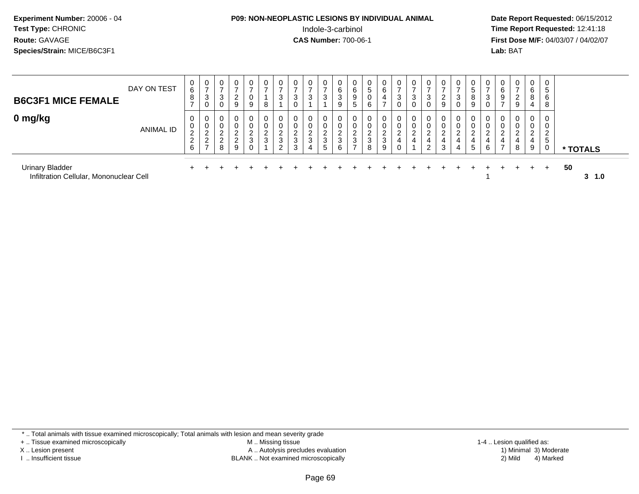## **P09: NON-NEOPLASTIC LESIONS BY INDIVIDUAL ANIMAL**Indole-3-carbinol **Time Report Requested:** 12:41:18

 **Date Report Requested:** 06/15/2012 **First Dose M/F:** 04/03/07 / 04/02/07<br>**Lab:** BAT **Lab:** BAT

| <b>B6C3F1 MICE FEMALE</b>                                         | DAY ON TEST | $\mathbf{0}$<br>6<br>8                          | 0<br>3<br>0                                               | 0<br>د                                                | 0<br>2<br>9                  | $\mathbf{0}$<br>$\overline{\phantom{a}}$<br>0<br>9 | U<br>8           | 0<br>3                                           | 0<br>3<br>0                  | 0<br>3                                        | 0<br>3                          | 6<br>J.<br>9 | 6<br>9<br>5                           | v<br>ა<br>v<br>6 | U<br>6<br>4                             | $\mathbf{0}$<br>$\overline{ }$<br>3<br>0 | $\mathbf{0}$<br>3<br>0               | 0<br>າ<br>P<br>0      | 2<br>9 | J.          | 0<br>8<br>9                 | U<br>ు | 0<br>6<br>9                   | $\mathbf{0}$<br>$\overline{ }$<br>2<br>9 | 0<br>6<br>8<br>4           | G<br>6<br>8         |                 |  |
|-------------------------------------------------------------------|-------------|-------------------------------------------------|-----------------------------------------------------------|-------------------------------------------------------|------------------------------|----------------------------------------------------|------------------|--------------------------------------------------|------------------------------|-----------------------------------------------|---------------------------------|--------------|---------------------------------------|------------------|-----------------------------------------|------------------------------------------|--------------------------------------|-----------------------|--------|-------------|-----------------------------|--------|-------------------------------|------------------------------------------|----------------------------|---------------------|-----------------|--|
| 0 mg/kg                                                           | ANIMAL ID   | 0<br>0<br>$\overline{c}$<br>$\overline{2}$<br>6 | 0<br>$\mathbf 0$<br>2<br>$\overline{2}$<br>$\overline{ }$ | 0<br>$\sim$<br>$\sim$<br>∼<br>$\sim$<br><u>_</u><br>8 | 0<br>2<br>$\Omega$<br>∠<br>9 | $\mathbf{0}$<br>0<br>ົ<br>$\epsilon$<br>3<br>0     | 0<br>ົ<br>ے<br>3 | $\mathbf 0$<br>0<br>ົ<br>$rac{6}{3}$<br>$\Omega$ | 0<br>0<br>$\frac{2}{3}$<br>3 | 0<br>0<br>$\overline{2}$<br>$\mathbf{3}$<br>4 | 0<br>0<br>$\sim$<br>∠<br>3<br>5 | 2<br>3<br>6  | C<br>$\epsilon$<br>3<br>$\rightarrow$ | າ<br>∠<br>3<br>8 | 0<br>റ<br><u>_</u><br>$\mathbf{3}$<br>9 | 0<br>0<br>ົ<br>$\epsilon$<br>4<br>0      | 0<br>0<br>$\Omega$<br>$\overline{4}$ | 0<br>0<br>ົ<br>4<br>2 | 3      | $\sim$<br>4 | $\mathbf{0}$<br>0<br>C<br>5 | U<br>6 | 0<br>$\sim$<br>$\overline{ }$ | 0<br>ົ<br>4<br>8                         | 0<br>0<br>ົ<br>∼<br>4<br>9 | $\mathcal{D}$<br>.5 | * TOTALS        |  |
| <b>Urinary Bladder</b><br>Infiltration Cellular, Mononuclear Cell |             |                                                 |                                                           |                                                       |                              |                                                    |                  |                                                  |                              |                                               |                                 |              |                                       |                  |                                         |                                          |                                      |                       |        |             |                             |        |                               |                                          |                            | $+$                 | -50<br>3<br>1.0 |  |

+ .. Tissue examined microscopically

X .. Lesion present

I .. Insufficient tissue

 M .. Missing tissueA .. Autolysis precludes evaluation

BLANK .. Not examined microscopically 2) Mild 4) Marked

1-4 .. Lesion qualified as:<br>1) Minimal 3) Moderate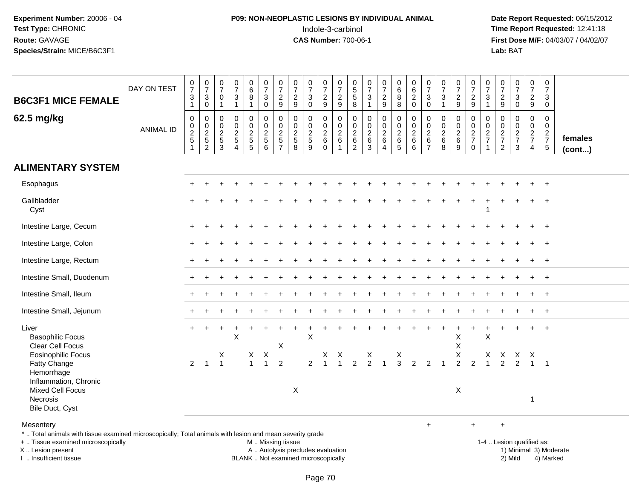# **P09: NON-NEOPLASTIC LESIONS BY INDIVIDUAL ANIMAL**Indole-3-carbinol **Time Report Requested:** 12:41:18

| <b>B6C3F1 MICE FEMALE</b>                                                                                                                                                                     | DAY ON TEST      | $\frac{0}{7}$<br>$\ensuremath{\mathsf{3}}$<br>$\mathbf{1}$ | $\frac{0}{7}$<br>3<br>$\boldsymbol{0}$  | $\frac{0}{7}$<br>$\pmb{0}$<br>$\mathbf{1}$     | $\frac{0}{7}$<br>$\ensuremath{\mathsf{3}}$<br>$\mathbf{1}$ | $\begin{array}{c} 0 \\ 6 \end{array}$<br>$\bf 8$<br>$\mathbf{1}$ | $\frac{0}{7}$<br>$\ensuremath{\mathsf{3}}$<br>$\pmb{0}$ | $\frac{0}{7}$<br>$\sqrt{2}$<br>9                              | $\frac{0}{7}$<br>$\sqrt{2}$<br>9                                         | $\frac{0}{7}$<br>$\ensuremath{\mathsf{3}}$<br>$\mathbf 0$ | $\frac{0}{7}$<br>$\sqrt{2}$<br>9  | $\frac{0}{7}$<br>$\boldsymbol{2}$<br>$\boldsymbol{9}$  | 0<br>5<br>5<br>8                                      | $\frac{0}{7}$<br>$\mathfrak{S}$<br>$\mathbf{1}$ | $\begin{array}{c} 0 \\ 7 \end{array}$<br>$\sqrt{2}$<br>9 | $_{\rm 6}^{\rm 0}$<br>$\overline{8}$<br>$\,8\,$ | $\begin{array}{c} 0 \\ 6 \end{array}$<br>$\sqrt{2}$<br>$\mathbf 0$ | $\begin{array}{c} 0 \\ 7 \end{array}$<br>$\sqrt{3}$<br>$\mathbf 0$ | $\frac{0}{7}$<br>$\ensuremath{\mathsf{3}}$<br>$\mathbf{1}$ | $\begin{array}{c} 0 \\ 7 \end{array}$<br>$\frac{2}{9}$ | $\frac{0}{7}$<br>$\sqrt{2}$<br>$\boldsymbol{9}$ | $\frac{0}{7}$<br>$\frac{3}{1}$                    | $\frac{0}{7}$<br>$\frac{2}{9}$                      | $\begin{smallmatrix}0\\7\end{smallmatrix}$<br>$\frac{3}{0}$ | $\frac{0}{7}$<br>$\sqrt{2}$<br>$\boldsymbol{9}$ | $\begin{array}{c} 0 \\ 7 \end{array}$<br>$\mathbf{3}$<br>$\mathbf 0$ |                        |
|-----------------------------------------------------------------------------------------------------------------------------------------------------------------------------------------------|------------------|------------------------------------------------------------|-----------------------------------------|------------------------------------------------|------------------------------------------------------------|------------------------------------------------------------------|---------------------------------------------------------|---------------------------------------------------------------|--------------------------------------------------------------------------|-----------------------------------------------------------|-----------------------------------|--------------------------------------------------------|-------------------------------------------------------|-------------------------------------------------|----------------------------------------------------------|-------------------------------------------------|--------------------------------------------------------------------|--------------------------------------------------------------------|------------------------------------------------------------|--------------------------------------------------------|-------------------------------------------------|---------------------------------------------------|-----------------------------------------------------|-------------------------------------------------------------|-------------------------------------------------|----------------------------------------------------------------------|------------------------|
| 62.5 mg/kg                                                                                                                                                                                    | <b>ANIMAL ID</b> | $\mathbf 0$<br>$\frac{0}{2}$<br>$\mathbf{1}$               | $\mathbf 0$<br>$0$<br>$2$<br>$5$<br>$2$ | 0<br>$\mathsf{O}\xspace$<br>$\frac{2}{5}$<br>3 | 0<br>$\mathsf{O}$<br>$\frac{2}{5}$<br>$\overline{4}$       | $\pmb{0}$<br>$\mathbf 0$<br>$rac{2}{5}$                          | $\mathbf 0$<br>$0$<br>$5$<br>$6$                        | $\mathbf 0$<br>$\mathbf 0$<br>$\frac{2}{5}$<br>$\overline{7}$ | $\mathbf 0$<br>$\pmb{0}$<br>$\frac{2}{5}$                                | 0<br>$\mathbf 0$<br>$\frac{2}{5}$<br>9                    | 0<br>$\frac{0}{2}$<br>$\mathbf 0$ | $\mathbf 0$<br>$\pmb{0}$<br>$\sqrt{2}$<br>$\,6\,$<br>1 | $\boldsymbol{0}$<br>$\frac{0}{2}$ 6<br>$\overline{2}$ | 0<br>$\mathbf 0$<br>$rac{2}{3}$                 | $\pmb{0}$<br>$\frac{0}{2}$ 6<br>$\overline{4}$           | $\mathbf 0$<br>0 2 6 5                          | $\mathbf 0$<br>$\mathbf 0$<br>$^2\phantom{1}6$<br>6                | $\mathbf 0$<br>$\mathbf 0$<br>$^{\,2}_{\,6}$<br>$\overline{7}$     | 0<br>$\mathbf 0$<br>$\sqrt{2}$<br>$\,6\,$<br>8             | $\mathbf 0$<br>$\frac{0}{2}$ 6<br>9                    | 0<br>$\pmb{0}$<br>$\frac{2}{7}$<br>$\mathbf 0$  | $\boldsymbol{0}$<br>$\frac{0}{2}$<br>$\mathbf{1}$ | 0<br>$\mathbf 0$<br>$\frac{2}{7}$<br>$\overline{2}$ | $\pmb{0}$<br>$\frac{0}{2}$<br>7<br>3                        | $\mathbf 0$<br>$\frac{0}{2}$<br>$\overline{4}$  | $\mathbf 0$<br>$\mathbf 0$<br>$\frac{2}{7}$<br>$\overline{5}$        | females<br>(cont)      |
| <b>ALIMENTARY SYSTEM</b>                                                                                                                                                                      |                  |                                                            |                                         |                                                |                                                            |                                                                  |                                                         |                                                               |                                                                          |                                                           |                                   |                                                        |                                                       |                                                 |                                                          |                                                 |                                                                    |                                                                    |                                                            |                                                        |                                                 |                                                   |                                                     |                                                             |                                                 |                                                                      |                        |
| Esophagus                                                                                                                                                                                     |                  |                                                            |                                         |                                                |                                                            |                                                                  |                                                         |                                                               |                                                                          |                                                           |                                   |                                                        |                                                       |                                                 |                                                          |                                                 |                                                                    |                                                                    |                                                            |                                                        |                                                 |                                                   |                                                     |                                                             |                                                 |                                                                      |                        |
| Gallbladder<br>Cyst                                                                                                                                                                           |                  |                                                            |                                         |                                                |                                                            |                                                                  |                                                         |                                                               |                                                                          |                                                           |                                   |                                                        |                                                       |                                                 |                                                          |                                                 |                                                                    |                                                                    |                                                            |                                                        |                                                 |                                                   |                                                     |                                                             |                                                 |                                                                      |                        |
| Intestine Large, Cecum                                                                                                                                                                        |                  |                                                            |                                         |                                                |                                                            |                                                                  |                                                         |                                                               |                                                                          |                                                           |                                   |                                                        |                                                       |                                                 |                                                          |                                                 |                                                                    |                                                                    |                                                            |                                                        |                                                 |                                                   |                                                     |                                                             |                                                 |                                                                      |                        |
| Intestine Large, Colon                                                                                                                                                                        |                  |                                                            |                                         |                                                |                                                            |                                                                  |                                                         |                                                               |                                                                          |                                                           |                                   |                                                        |                                                       |                                                 |                                                          |                                                 |                                                                    |                                                                    |                                                            |                                                        |                                                 |                                                   |                                                     |                                                             | $\ddot{}$                                       | $\overline{+}$                                                       |                        |
| Intestine Large, Rectum                                                                                                                                                                       |                  |                                                            |                                         |                                                |                                                            |                                                                  |                                                         |                                                               |                                                                          |                                                           |                                   |                                                        |                                                       |                                                 |                                                          |                                                 |                                                                    |                                                                    |                                                            |                                                        |                                                 |                                                   |                                                     |                                                             |                                                 |                                                                      |                        |
| Intestine Small, Duodenum                                                                                                                                                                     |                  |                                                            |                                         |                                                |                                                            |                                                                  |                                                         |                                                               |                                                                          |                                                           |                                   |                                                        |                                                       |                                                 |                                                          |                                                 |                                                                    |                                                                    |                                                            |                                                        |                                                 |                                                   |                                                     |                                                             |                                                 |                                                                      |                        |
| Intestine Small, Ileum                                                                                                                                                                        |                  |                                                            |                                         |                                                |                                                            |                                                                  |                                                         |                                                               |                                                                          |                                                           |                                   |                                                        |                                                       |                                                 |                                                          |                                                 |                                                                    |                                                                    |                                                            |                                                        |                                                 |                                                   |                                                     |                                                             |                                                 | $\overline{+}$                                                       |                        |
| Intestine Small, Jejunum                                                                                                                                                                      |                  |                                                            |                                         |                                                |                                                            |                                                                  |                                                         |                                                               |                                                                          |                                                           |                                   |                                                        |                                                       |                                                 |                                                          |                                                 |                                                                    |                                                                    |                                                            |                                                        |                                                 |                                                   |                                                     |                                                             |                                                 | $+$                                                                  |                        |
| Liver<br><b>Basophilic Focus</b><br><b>Clear Cell Focus</b>                                                                                                                                   |                  |                                                            |                                         |                                                | $\times$                                                   |                                                                  |                                                         | X                                                             |                                                                          | X                                                         |                                   |                                                        |                                                       |                                                 |                                                          |                                                 |                                                                    |                                                                    |                                                            | X<br>X                                                 |                                                 | X                                                 |                                                     |                                                             | $+$                                             | $+$                                                                  |                        |
| Eosinophilic Focus<br>Fatty Change<br>Hemorrhage<br>Inflammation, Chronic                                                                                                                     |                  | $\overline{2}$                                             | $\overline{1}$                          | X<br>$\overline{1}$                            |                                                            | X<br>$\mathbf{1}$                                                | X<br>$\overline{1}$                                     | $\overline{2}$                                                |                                                                          | $\mathcal{P}$                                             | X                                 | X                                                      | $\mathfrak{p}$                                        | X<br>$\mathcal{P}$                              |                                                          | X<br>3                                          | $\mathcal{P}$                                                      |                                                                    |                                                            | X<br>$\mathfrak{p}$                                    | 2                                               | X                                                 | X<br>$\overline{2}$                                 | X<br>$\overline{2}$                                         | X                                               | $\overline{1}$                                                       |                        |
| Mixed Cell Focus<br>Necrosis<br>Bile Duct, Cyst                                                                                                                                               |                  |                                                            |                                         |                                                |                                                            |                                                                  |                                                         |                                                               | X                                                                        |                                                           |                                   |                                                        |                                                       |                                                 |                                                          |                                                 |                                                                    |                                                                    |                                                            | X                                                      |                                                 |                                                   |                                                     |                                                             | $\overline{1}$                                  |                                                                      |                        |
| Mesentery                                                                                                                                                                                     |                  |                                                            |                                         |                                                |                                                            |                                                                  |                                                         |                                                               |                                                                          |                                                           |                                   |                                                        |                                                       |                                                 |                                                          |                                                 |                                                                    | $+$                                                                |                                                            |                                                        | $\ddot{}$                                       |                                                   | $\ddot{}$                                           |                                                             |                                                 |                                                                      |                        |
| *  Total animals with tissue examined microscopically; Total animals with lesion and mean severity grade<br>+  Tissue examined microscopically<br>X  Lesion present<br>I  Insufficient tissue |                  |                                                            |                                         |                                                |                                                            |                                                                  | M  Missing tissue                                       |                                                               | A  Autolysis precludes evaluation<br>BLANK  Not examined microscopically |                                                           |                                   |                                                        |                                                       |                                                 |                                                          |                                                 |                                                                    |                                                                    |                                                            |                                                        |                                                 |                                                   | 1-4  Lesion qualified as:                           | 2) Mild                                                     |                                                 | 4) Marked                                                            | 1) Minimal 3) Moderate |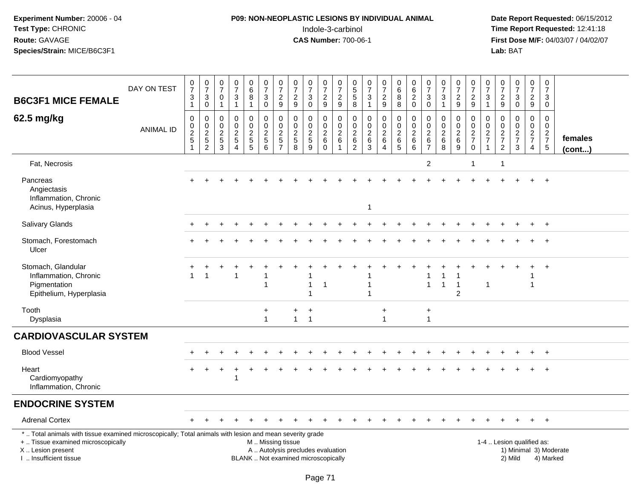## **P09: NON-NEOPLASTIC LESIONS BY INDIVIDUAL ANIMAL**Indole-3-carbinol **Time Report Requested:** 12:41:18

| <b>B6C3F1 MICE FEMALE</b>                                                                                                                                                                                                                                                                                                                                                    | DAY ON TEST      | $\frac{0}{7}$<br>$\mathbf{3}$<br>$\mathbf{1}$                     | $\frac{0}{7}$<br>$\sqrt{3}$<br>$\mathbf 0$ | $\frac{0}{7}$<br>$\mathbf 0$<br>$\overline{1}$ | $\frac{0}{7}$<br>$\sqrt{3}$<br>$\overline{1}$                                    | $\begin{array}{c} 0 \\ 6 \end{array}$<br>$\overline{8}$<br>$\mathbf{1}$ | $\begin{array}{c} 0 \\ 7 \end{array}$<br>$\mathbf{3}$<br>$\mathsf{O}$ | $\frac{0}{7}$<br>$\mathbf 2$<br>9                       | $\begin{array}{c} 0 \\ 7 \end{array}$<br>$\sqrt{2}$<br>9 | $\begin{array}{c} 0 \\ 7 \end{array}$<br>$\mathbf{3}$<br>0 | $\begin{array}{c} 0 \\ 7 \end{array}$<br>$\sqrt{2}$<br>9   | $\frac{0}{7}$<br>$\sqrt{2}$<br>9                                                  | 0<br>$\sqrt{5}$<br>$\overline{5}$<br>8                         | $\frac{0}{7}$<br>3<br>$\mathbf{1}$                        | $\frac{0}{7}$<br>$\overline{2}$<br>9                   | $\begin{array}{c} 0 \\ 6 \end{array}$<br>8<br>8                              | $\begin{matrix} 0 \\ 6 \\ 2 \end{matrix}$<br>$\pmb{0}$             | $\begin{array}{c} 0 \\ 7 \end{array}$<br>$\mathbf{3}$<br>$\mathbf 0$     | $\begin{array}{c} 0 \\ 7 \end{array}$<br>$\mathbf{3}$<br>$\overline{1}$ | $\frac{0}{7}$<br>$\sqrt{2}$<br>9                 | $\frac{0}{7}$<br>$\sqrt{2}$<br>9                             | $\frac{0}{7}$<br>3<br>$\mathbf{1}$                | $\frac{0}{7}$<br>$\overline{c}$<br>9              | $\frac{0}{7}$<br>$\mathbf{3}$<br>$\mathsf 0$   | $\frac{0}{7}$<br>$\overline{2}$<br>9                   | $\pmb{0}$<br>$\overline{7}$<br>3<br>$\mathbf 0$           |                   |
|------------------------------------------------------------------------------------------------------------------------------------------------------------------------------------------------------------------------------------------------------------------------------------------------------------------------------------------------------------------------------|------------------|-------------------------------------------------------------------|--------------------------------------------|------------------------------------------------|----------------------------------------------------------------------------------|-------------------------------------------------------------------------|-----------------------------------------------------------------------|---------------------------------------------------------|----------------------------------------------------------|------------------------------------------------------------|------------------------------------------------------------|-----------------------------------------------------------------------------------|----------------------------------------------------------------|-----------------------------------------------------------|--------------------------------------------------------|------------------------------------------------------------------------------|--------------------------------------------------------------------|--------------------------------------------------------------------------|-------------------------------------------------------------------------|--------------------------------------------------|--------------------------------------------------------------|---------------------------------------------------|---------------------------------------------------|------------------------------------------------|--------------------------------------------------------|-----------------------------------------------------------|-------------------|
| 62.5 mg/kg                                                                                                                                                                                                                                                                                                                                                                   | <b>ANIMAL ID</b> | 0<br>$\begin{array}{c} 0 \\ 2 \\ 5 \end{array}$<br>$\overline{1}$ | 0<br>$0$<br>$2$<br>$5$<br>$2$              | $\mathbf 0$<br>$\mathbf 0$<br>$rac{2}{3}$      | $\mathbf 0$<br>$\mathbf 0$<br>$\sqrt{2}$<br>$\sqrt{5}$<br>$\boldsymbol{\Lambda}$ | 0<br>$\pmb{0}$<br>$\frac{2}{5}$                                         | 0<br>$\pmb{0}$<br>$\frac{2}{5}$<br>6                                  | 0<br>$\pmb{0}$<br>$\overline{c}$<br>5<br>$\overline{7}$ | 0<br>$\mathbf 0$<br>$\frac{2}{5}$<br>8                   | $\mathbf 0$<br>$\mathsf{O}\xspace$<br>$\frac{2}{5}$<br>9   | $\mathbf 0$<br>$\mathbf 0$<br>$\frac{2}{6}$<br>$\mathbf 0$ | $\mathbf 0$<br>$\mathsf{O}\xspace$<br>$\overline{2}$<br>$\,6\,$<br>$\overline{1}$ | 0<br>$\boldsymbol{0}$<br>$\sqrt{2}$<br>$\,6$<br>$\overline{2}$ | $\Omega$<br>$\pmb{0}$<br>$\boldsymbol{2}$<br>$\,6\,$<br>3 | 0<br>$\mathsf 0$<br>$^2\phantom{1}6$<br>$\overline{4}$ | $\mathbf 0$<br>$\mathsf{O}$<br>$\boldsymbol{2}$<br>$\,6\,$<br>$\overline{5}$ | $\mathbf 0$<br>$\pmb{0}$<br>$\boldsymbol{2}$<br>$\,6\,$<br>$\,6\,$ | $\mathbf{0}$<br>$\mathbf 0$<br>$\overline{2}$<br>$\,6$<br>$\overline{7}$ | $\mathbf 0$<br>$\boldsymbol{0}$<br>$\frac{2}{6}$<br>8                   | 0<br>$\mathbf 0$<br>$\sqrt{2}$<br>$\,6$<br>$9\,$ | $\Omega$<br>$\mathbf 0$<br>$\frac{2}{7}$<br>$\boldsymbol{0}$ | $\Omega$<br>0<br>$\overline{c}$<br>$\overline{7}$ | 0<br>$\pmb{0}$<br>$\frac{2}{7}$<br>$\overline{c}$ | $\mathbf 0$<br>$\pmb{0}$<br>$\frac{2}{7}$<br>3 | 0<br>$\overline{0}$<br>$\frac{2}{7}$<br>$\overline{4}$ | $\mathbf 0$<br>$\mathbf 0$<br>$\frac{2}{7}$<br>$\sqrt{5}$ | females<br>(cont) |
| Fat, Necrosis                                                                                                                                                                                                                                                                                                                                                                |                  |                                                                   |                                            |                                                |                                                                                  |                                                                         |                                                                       |                                                         |                                                          |                                                            |                                                            |                                                                                   |                                                                |                                                           |                                                        |                                                                              |                                                                    | $\overline{2}$                                                           |                                                                         |                                                  | -1                                                           |                                                   | -1                                                |                                                |                                                        |                                                           |                   |
| Pancreas<br>Angiectasis<br>Inflammation, Chronic<br>Acinus, Hyperplasia                                                                                                                                                                                                                                                                                                      |                  |                                                                   |                                            |                                                |                                                                                  |                                                                         |                                                                       |                                                         |                                                          |                                                            |                                                            |                                                                                   |                                                                | 1                                                         |                                                        |                                                                              |                                                                    |                                                                          |                                                                         |                                                  |                                                              |                                                   |                                                   |                                                |                                                        |                                                           |                   |
| Salivary Glands                                                                                                                                                                                                                                                                                                                                                              |                  |                                                                   |                                            |                                                |                                                                                  |                                                                         |                                                                       |                                                         |                                                          |                                                            |                                                            |                                                                                   |                                                                |                                                           |                                                        |                                                                              |                                                                    |                                                                          |                                                                         |                                                  |                                                              |                                                   |                                                   |                                                |                                                        | $+$                                                       |                   |
| Stomach, Forestomach<br>Ulcer                                                                                                                                                                                                                                                                                                                                                |                  |                                                                   |                                            |                                                |                                                                                  |                                                                         |                                                                       |                                                         |                                                          |                                                            |                                                            |                                                                                   |                                                                |                                                           |                                                        |                                                                              |                                                                    |                                                                          |                                                                         |                                                  |                                                              |                                                   |                                                   |                                                |                                                        |                                                           |                   |
| Stomach, Glandular<br>Inflammation, Chronic<br>Pigmentation<br>Epithelium, Hyperplasia                                                                                                                                                                                                                                                                                       |                  |                                                                   |                                            |                                                | 1                                                                                |                                                                         | 1                                                                     |                                                         |                                                          |                                                            | -1                                                         |                                                                                   |                                                                |                                                           |                                                        |                                                                              |                                                                    | $\mathbf{1}$                                                             | $\overline{1}$                                                          | $\mathbf{1}$<br>$\overline{c}$                   |                                                              | $\mathbf{1}$                                      |                                                   |                                                |                                                        |                                                           |                   |
| Tooth<br>Dysplasia                                                                                                                                                                                                                                                                                                                                                           |                  |                                                                   |                                            |                                                |                                                                                  |                                                                         | ÷<br>$\overline{1}$                                                   |                                                         | $\pm$                                                    | $\overline{+}$<br>$1 \quad 1$                              |                                                            |                                                                                   |                                                                |                                                           | $\ddot{}$<br>$\mathbf{1}$                              |                                                                              |                                                                    | $\ddot{}$<br>$\mathbf{1}$                                                |                                                                         |                                                  |                                                              |                                                   |                                                   |                                                |                                                        |                                                           |                   |
| <b>CARDIOVASCULAR SYSTEM</b>                                                                                                                                                                                                                                                                                                                                                 |                  |                                                                   |                                            |                                                |                                                                                  |                                                                         |                                                                       |                                                         |                                                          |                                                            |                                                            |                                                                                   |                                                                |                                                           |                                                        |                                                                              |                                                                    |                                                                          |                                                                         |                                                  |                                                              |                                                   |                                                   |                                                |                                                        |                                                           |                   |
| <b>Blood Vessel</b>                                                                                                                                                                                                                                                                                                                                                          |                  |                                                                   |                                            |                                                |                                                                                  |                                                                         |                                                                       |                                                         |                                                          |                                                            |                                                            |                                                                                   |                                                                |                                                           |                                                        |                                                                              |                                                                    |                                                                          |                                                                         |                                                  |                                                              |                                                   |                                                   |                                                | $\ddot{}$                                              | $+$                                                       |                   |
| Heart<br>Cardiomyopathy<br>Inflammation, Chronic                                                                                                                                                                                                                                                                                                                             |                  |                                                                   |                                            |                                                | -1                                                                               |                                                                         |                                                                       |                                                         |                                                          |                                                            |                                                            |                                                                                   |                                                                |                                                           |                                                        |                                                                              |                                                                    |                                                                          |                                                                         |                                                  |                                                              |                                                   |                                                   |                                                | $\ddot{}$                                              | $+$                                                       |                   |
| <b>ENDOCRINE SYSTEM</b>                                                                                                                                                                                                                                                                                                                                                      |                  |                                                                   |                                            |                                                |                                                                                  |                                                                         |                                                                       |                                                         |                                                          |                                                            |                                                            |                                                                                   |                                                                |                                                           |                                                        |                                                                              |                                                                    |                                                                          |                                                                         |                                                  |                                                              |                                                   |                                                   |                                                |                                                        |                                                           |                   |
| <b>Adrenal Cortex</b>                                                                                                                                                                                                                                                                                                                                                        |                  |                                                                   |                                            |                                                |                                                                                  |                                                                         |                                                                       |                                                         |                                                          |                                                            |                                                            |                                                                                   |                                                                |                                                           |                                                        |                                                                              |                                                                    |                                                                          |                                                                         |                                                  |                                                              |                                                   |                                                   |                                                | $+$                                                    | $+$                                                       |                   |
| *  Total animals with tissue examined microscopically; Total animals with lesion and mean severity grade<br>1-4  Lesion qualified as:<br>+  Tissue examined microscopically<br>M  Missing tissue<br>X Lesion present<br>A  Autolysis precludes evaluation<br>1) Minimal 3) Moderate<br>I. Insufficient tissue<br>BLANK  Not examined microscopically<br>2) Mild<br>4) Marked |                  |                                                                   |                                            |                                                |                                                                                  |                                                                         |                                                                       |                                                         |                                                          |                                                            |                                                            |                                                                                   |                                                                |                                                           |                                                        |                                                                              |                                                                    |                                                                          |                                                                         |                                                  |                                                              |                                                   |                                                   |                                                |                                                        |                                                           |                   |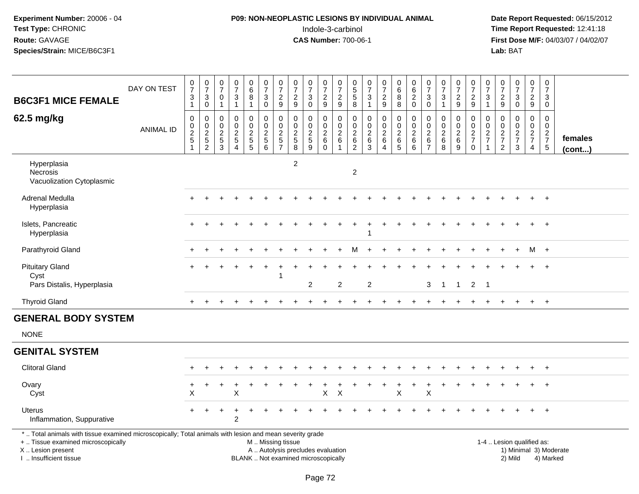## **P09: NON-NEOPLASTIC LESIONS BY INDIVIDUAL ANIMAL**Indole-3-carbinol **Time Report Requested:** 12:41:18

| <b>B6C3F1 MICE FEMALE</b>                                                                                                                                                                                                                                                                     | DAY ON TEST      | $\frac{0}{7}$<br>$\mathbf 3$<br>$\mathbf{1}$ | $\frac{0}{7}$<br>$\sqrt{3}$<br>$\mathbf 0$ | $\frac{0}{7}$<br>$\mathbf 0$<br>$\mathbf{1}$ | $\frac{0}{7}$<br>3<br>$\mathbf{1}$                                  | $\begin{array}{c} 0 \\ 6 \\ 8 \end{array}$<br>$\mathbf{1}$     | $\begin{smallmatrix}0\\7\end{smallmatrix}$<br>3<br>$\mathsf{O}$            | $\begin{array}{c} 0 \\ 7 \end{array}$<br>$\sqrt{2}$<br>9 | $\begin{smallmatrix}0\\7\end{smallmatrix}$<br>$\sqrt{2}$<br>9 | $\begin{array}{c} 0 \\ 7 \end{array}$<br>$\sqrt{3}$<br>$\mathbf 0$ | $\begin{smallmatrix}0\\7\end{smallmatrix}$<br>$\sqrt{2}$<br>9 | $\frac{0}{7}$<br>$\overline{c}$<br>9                    | 0<br>$\frac{5}{5}$<br>8                                                     | $\frac{0}{7}$<br>$\mathbf{3}$<br>$\mathbf{1}$        | $\begin{array}{c} 0 \\ 7 \end{array}$<br>$\sqrt{2}$<br>9                  | $\begin{array}{c} 0 \\ 6 \\ 8 \end{array}$<br>8 | $\begin{array}{c} 0 \\ 6 \end{array}$<br>$\overline{2}$<br>$\mathbf 0$ | $\frac{0}{7}$<br>$\mathfrak{Z}$<br>$\mathbf 0$                     | $\frac{0}{7}$<br>$\mathfrak{Z}$<br>$\mathbf{1}$ | $\frac{0}{7}$<br>$\overline{c}$<br>9               | $\begin{smallmatrix}0\\7\end{smallmatrix}$<br>$\frac{2}{9}$ | $\frac{0}{7}$<br>$\sqrt{3}$<br>$\mathbf{1}$                   | $\frac{0}{7}$<br>$\frac{2}{9}$                      | $\begin{array}{c} 0 \\ 7 \end{array}$<br>$\sqrt{3}$<br>$\mathbf 0$ | $\frac{0}{7}$<br>$\sqrt{2}$<br>9                 | $\begin{array}{c} 0 \\ 7 \end{array}$<br>$\mathbf{3}$<br>$\mathbf 0$ |                         |
|-----------------------------------------------------------------------------------------------------------------------------------------------------------------------------------------------------------------------------------------------------------------------------------------------|------------------|----------------------------------------------|--------------------------------------------|----------------------------------------------|---------------------------------------------------------------------|----------------------------------------------------------------|----------------------------------------------------------------------------|----------------------------------------------------------|---------------------------------------------------------------|--------------------------------------------------------------------|---------------------------------------------------------------|---------------------------------------------------------|-----------------------------------------------------------------------------|------------------------------------------------------|---------------------------------------------------------------------------|-------------------------------------------------|------------------------------------------------------------------------|--------------------------------------------------------------------|-------------------------------------------------|----------------------------------------------------|-------------------------------------------------------------|---------------------------------------------------------------|-----------------------------------------------------|--------------------------------------------------------------------|--------------------------------------------------|----------------------------------------------------------------------|-------------------------|
| 62.5 mg/kg                                                                                                                                                                                                                                                                                    | <b>ANIMAL ID</b> | 0<br>0<br>$\frac{2}{5}$                      | $\mathbf 0$<br>$0$<br>$2$<br>$5$<br>$2$    | 0<br>$\boldsymbol{0}$<br>$\frac{2}{5}$<br>3  | 0<br>$\pmb{0}$<br>$\boldsymbol{2}$<br>$\mathbf 5$<br>$\overline{4}$ | 0<br>$\mathbf 0$<br>$\begin{array}{c} 2 \\ 5 \\ 5 \end{array}$ | $\mathbf 0$<br>$\mathsf{O}$<br>$\sqrt{2}$<br>$\,$ 5 $\,$<br>$6\phantom{1}$ | $\mathbf 0$<br>$\pmb{0}$<br>$rac{2}{5}$                  | 0<br>$\pmb{0}$<br>$\frac{2}{5}$                               | 0<br>$\pmb{0}$<br>$\sqrt{2}$<br>$\sqrt{5}$<br>9                    | 0<br>$\mathsf{O}\xspace$<br>$\frac{2}{6}$<br>$\mathbf 0$      | 0<br>$\mathbf 0$<br>$\overline{c}$<br>6<br>$\mathbf{1}$ | $\mathbf 0$<br>$\pmb{0}$<br>$\frac{2}{6}$<br>$\overline{c}$                 | 0<br>$\mathsf 0$<br>$^2\phantom{1}6$<br>$\mathbf{3}$ | $\mathbf 0$<br>$\mathbf 0$<br>$\overline{2}$<br>$\,6\,$<br>$\overline{4}$ | 0<br>$\mathbf 0$<br>$rac{2}{6}$                 | 0<br>$\mathbf 0$<br>$\sqrt{2}$<br>$\,6\,$<br>$\,6\,$                   | 0<br>$\boldsymbol{0}$<br>$\overline{2}$<br>$\,6$<br>$\overline{7}$ | 0<br>$\pmb{0}$<br>$\frac{2}{6}$<br>8            | 0<br>$\mathbf 0$<br>$\overline{c}$<br>$\,6\,$<br>9 | 0<br>$\mathsf{O}\xspace$<br>$\frac{2}{7}$ 0                 | $\mathbf 0$<br>$\mathsf 0$<br>$\frac{2}{7}$<br>$\overline{1}$ | 0<br>$\mathbf 0$<br>$\frac{2}{7}$<br>$\overline{2}$ | $\mathbf 0$<br>$\mathbf 0$<br>$\frac{2}{7}$<br>$\mathbf{3}$        | $\mathbf 0$<br>$\mathbf 0$<br>$\frac{2}{7}$<br>4 | 0<br>$\mathbf 0$<br>$\frac{2}{7}$<br>$\sqrt{5}$                      | females<br>$($ cont $)$ |
| Hyperplasia<br>Necrosis<br>Vacuolization Cytoplasmic                                                                                                                                                                                                                                          |                  |                                              |                                            |                                              |                                                                     |                                                                |                                                                            |                                                          | $\overline{2}$                                                |                                                                    |                                                               |                                                         | $\overline{c}$                                                              |                                                      |                                                                           |                                                 |                                                                        |                                                                    |                                                 |                                                    |                                                             |                                                               |                                                     |                                                                    |                                                  |                                                                      |                         |
| Adrenal Medulla<br>Hyperplasia                                                                                                                                                                                                                                                                |                  |                                              |                                            |                                              |                                                                     |                                                                |                                                                            |                                                          |                                                               |                                                                    |                                                               |                                                         |                                                                             |                                                      |                                                                           |                                                 |                                                                        |                                                                    |                                                 |                                                    |                                                             |                                                               |                                                     |                                                                    |                                                  | $\overline{+}$                                                       |                         |
| Islets, Pancreatic<br>Hyperplasia                                                                                                                                                                                                                                                             |                  |                                              |                                            |                                              |                                                                     |                                                                |                                                                            |                                                          |                                                               |                                                                    |                                                               |                                                         |                                                                             |                                                      |                                                                           |                                                 |                                                                        |                                                                    |                                                 |                                                    |                                                             |                                                               |                                                     |                                                                    | $\ddot{}$                                        | $\overline{+}$                                                       |                         |
| Parathyroid Gland                                                                                                                                                                                                                                                                             |                  |                                              |                                            |                                              |                                                                     |                                                                |                                                                            |                                                          |                                                               |                                                                    |                                                               |                                                         | м                                                                           |                                                      |                                                                           |                                                 |                                                                        |                                                                    |                                                 |                                                    |                                                             |                                                               |                                                     | $\div$                                                             | $M +$                                            |                                                                      |                         |
| <b>Pituitary Gland</b><br>Cyst<br>Pars Distalis, Hyperplasia                                                                                                                                                                                                                                  |                  |                                              |                                            |                                              |                                                                     |                                                                |                                                                            | -1                                                       |                                                               | 2                                                                  |                                                               | 2                                                       |                                                                             | $\overline{2}$                                       |                                                                           |                                                 |                                                                        | 3                                                                  | $\overline{1}$                                  | $\overline{1}$                                     | $\overline{2}$                                              | $\overline{1}$                                                |                                                     |                                                                    |                                                  | $\overline{ }$                                                       |                         |
| <b>Thyroid Gland</b>                                                                                                                                                                                                                                                                          |                  | $+$                                          |                                            |                                              |                                                                     |                                                                |                                                                            |                                                          |                                                               |                                                                    |                                                               |                                                         |                                                                             |                                                      |                                                                           |                                                 |                                                                        |                                                                    |                                                 |                                                    |                                                             |                                                               |                                                     | $\ddot{}$                                                          | $+$                                              | $+$                                                                  |                         |
| <b>GENERAL BODY SYSTEM</b>                                                                                                                                                                                                                                                                    |                  |                                              |                                            |                                              |                                                                     |                                                                |                                                                            |                                                          |                                                               |                                                                    |                                                               |                                                         |                                                                             |                                                      |                                                                           |                                                 |                                                                        |                                                                    |                                                 |                                                    |                                                             |                                                               |                                                     |                                                                    |                                                  |                                                                      |                         |
| <b>NONE</b>                                                                                                                                                                                                                                                                                   |                  |                                              |                                            |                                              |                                                                     |                                                                |                                                                            |                                                          |                                                               |                                                                    |                                                               |                                                         |                                                                             |                                                      |                                                                           |                                                 |                                                                        |                                                                    |                                                 |                                                    |                                                             |                                                               |                                                     |                                                                    |                                                  |                                                                      |                         |
| <b>GENITAL SYSTEM</b>                                                                                                                                                                                                                                                                         |                  |                                              |                                            |                                              |                                                                     |                                                                |                                                                            |                                                          |                                                               |                                                                    |                                                               |                                                         |                                                                             |                                                      |                                                                           |                                                 |                                                                        |                                                                    |                                                 |                                                    |                                                             |                                                               |                                                     |                                                                    |                                                  |                                                                      |                         |
| <b>Clitoral Gland</b>                                                                                                                                                                                                                                                                         |                  |                                              |                                            |                                              |                                                                     |                                                                |                                                                            |                                                          |                                                               |                                                                    |                                                               |                                                         |                                                                             |                                                      |                                                                           |                                                 |                                                                        |                                                                    |                                                 |                                                    |                                                             |                                                               |                                                     |                                                                    |                                                  |                                                                      |                         |
| Ovary<br>Cyst                                                                                                                                                                                                                                                                                 |                  | +<br>X                                       |                                            | $\ddot{}$                                    | X                                                                   |                                                                |                                                                            |                                                          |                                                               |                                                                    | +<br>X                                                        | $\times$                                                |                                                                             |                                                      |                                                                           | $\ddot{}$<br>X                                  | $\ddot{}$                                                              | $\ddot{}$<br>Χ                                                     |                                                 |                                                    |                                                             |                                                               |                                                     |                                                                    |                                                  |                                                                      |                         |
| <b>Uterus</b><br>Inflammation, Suppurative                                                                                                                                                                                                                                                    |                  |                                              |                                            |                                              | 2                                                                   |                                                                |                                                                            |                                                          |                                                               |                                                                    |                                                               |                                                         |                                                                             |                                                      |                                                                           |                                                 |                                                                        |                                                                    |                                                 |                                                    |                                                             |                                                               |                                                     |                                                                    |                                                  | $+$                                                                  |                         |
| *  Total animals with tissue examined microscopically; Total animals with lesion and mean severity grade<br>+  Tissue examined microscopically<br>M  Missing tissue<br>X Lesion present<br>A  Autolysis precludes evaluation<br>I  Insufficient tissue<br>BLANK  Not examined microscopically |                  |                                              |                                            |                                              |                                                                     |                                                                |                                                                            |                                                          |                                                               |                                                                    |                                                               |                                                         | 1-4  Lesion qualified as:<br>1) Minimal 3) Moderate<br>2) Mild<br>4) Marked |                                                      |                                                                           |                                                 |                                                                        |                                                                    |                                                 |                                                    |                                                             |                                                               |                                                     |                                                                    |                                                  |                                                                      |                         |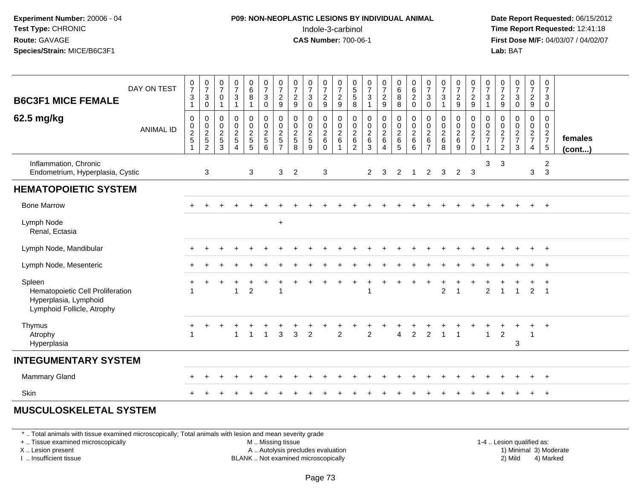### **P09: NON-NEOPLASTIC LESIONS BY INDIVIDUAL ANIMAL**Indole-3-carbinol **Time Report Requested:** 12:41:18

 **Date Report Requested:** 06/15/2012 **First Dose M/F:** 04/03/07 / 04/02/07<br>**Lab:** BAT **Lab:** BAT

| DAY ON TEST<br><b>B6C3F1 MICE FEMALE</b>                                                          | $\frac{0}{7}$<br>$\mathbf{3}$<br>$\mathbf{1}$ | $\frac{0}{7}$<br>$\mathbf{3}$<br>$\mathsf 0$ | $\frac{0}{7}$<br>$\mathbf 0$<br>$\mathbf{1}$                                        | $\begin{array}{c} 0 \\ 7 \end{array}$<br>3<br>$\mathbf{1}$ | $\begin{matrix}0\6\8\end{matrix}$<br>$\mathbf{1}$ | $\begin{smallmatrix}0\\7\end{smallmatrix}$<br>$\overline{3}$<br>$\mathsf 0$ | $\frac{0}{7}$<br>$\overline{2}$<br>$\boldsymbol{9}$         | $\frac{0}{7}$<br>$\overline{c}$<br>$\boldsymbol{9}$ | $\frac{0}{7}$<br>$\overline{3}$<br>$\pmb{0}$                        | $\frac{0}{7}$<br>$\overline{2}$<br>$\boldsymbol{9}$ | $\begin{array}{c} 0 \\ 7 \\ 2 \end{array}$<br>$9\,$                        | $\begin{array}{c} 0 \\ 5 \\ 5 \end{array}$<br>8               | $\begin{array}{c} 0 \\ 7 \\ 3 \end{array}$<br>$\mathbf{1}$ | $\frac{0}{7}$<br>$rac{2}{9}$ | $\begin{matrix}0\\6\\8\end{matrix}$<br>$\overline{8}$ | $\begin{matrix} 0 \\ 6 \\ 2 \end{matrix}$<br>$\pmb{0}$ | $\begin{matrix} 0 \\ 7 \\ 3 \end{matrix}$<br>$\mathbf 0$ | $\frac{0}{7}$<br>$\sqrt{3}$<br>$\overline{1}$ | $\frac{0}{7}$<br>$\overline{2}$<br>$\boldsymbol{9}$ | $\frac{0}{7}$<br>$\frac{2}{9}$          | $\frac{0}{7}$<br>$\mathbf{3}$<br>$\mathbf{1}$          | $\frac{0}{7}$<br>9                                   | $\frac{0}{7}$<br>$\mathbf{3}$<br>$\pmb{0}$ | $\frac{0}{7}$<br>$rac{2}{9}$         | $\mathbf 0$<br>$\overline{7}$<br>$\mathbf{3}$<br>$\mathbf 0$ |                         |
|---------------------------------------------------------------------------------------------------|-----------------------------------------------|----------------------------------------------|-------------------------------------------------------------------------------------|------------------------------------------------------------|---------------------------------------------------|-----------------------------------------------------------------------------|-------------------------------------------------------------|-----------------------------------------------------|---------------------------------------------------------------------|-----------------------------------------------------|----------------------------------------------------------------------------|---------------------------------------------------------------|------------------------------------------------------------|------------------------------|-------------------------------------------------------|--------------------------------------------------------|----------------------------------------------------------|-----------------------------------------------|-----------------------------------------------------|-----------------------------------------|--------------------------------------------------------|------------------------------------------------------|--------------------------------------------|--------------------------------------|--------------------------------------------------------------|-------------------------|
| 62.5 mg/kg<br><b>ANIMAL ID</b>                                                                    | $\boldsymbol{0}$<br>$\frac{0}{2}$             | $\pmb{0}$<br>$\frac{0}{2}$<br>$\overline{2}$ | $\boldsymbol{0}$<br>$\begin{smallmatrix} 0\\2 \end{smallmatrix}$<br>$\sqrt{5}$<br>3 | $\pmb{0}$<br>$\frac{0}{2}$<br>$\sqrt{5}$                   | 0<br>$\frac{0}{2}$<br>5                           | $\pmb{0}$<br>$\frac{0}{2}$<br>$5\,$<br>6                                    | $\pmb{0}$<br>$\frac{0}{2}$<br>$\,$ 5 $\,$<br>$\overline{ }$ | 0<br>$_2^0$<br>$\sqrt{5}$<br>8                      | $\begin{smallmatrix} 0\\0\\2 \end{smallmatrix}$<br>$\,$ 5 $\,$<br>9 | 0<br>$\frac{0}{2}$<br>$\,6\,$<br>$\Omega$           | $\begin{smallmatrix} 0\\0\\2 \end{smallmatrix}$<br>$\,6\,$<br>$\mathbf{1}$ | $\pmb{0}$<br>$\mathop{2}\limits^{\mathbb{O}}$<br>$\,6\,$<br>2 | $\mathbf 0$<br>$\frac{0}{2}$ 6<br>3                        | 0<br>$\frac{0}{2}$<br>4      | 000265                                                | $\pmb{0}$<br>$\frac{0}{2}$<br>$\,6\,$<br>6             | $\mathbf 0$<br>$\frac{0}{2}$<br>$\overline{7}$           | $\boldsymbol{0}$<br>$\frac{0}{2}$<br>8        | $\mathbf 0$<br>$\frac{0}{2}$ 6<br>9                 | $\,0\,$<br>$\frac{0}{2}$<br>$\mathbf 0$ | 0<br>$\mathsf 0$<br>$\boldsymbol{2}$<br>$\overline{7}$ | 0<br>$\begin{array}{c} 0 \\ 2 \\ 7 \\ 2 \end{array}$ | $\mathbf 0$<br>$\frac{0}{2}$<br>3          | 0<br>$\frac{0}{2}$<br>$\overline{4}$ | 0<br>$\frac{0}{2}$<br>$\sqrt{5}$                             | females<br>$($ cont $)$ |
| Inflammation, Chronic<br>Endometrium, Hyperplasia, Cystic                                         |                                               | 3                                            |                                                                                     |                                                            | 3                                                 |                                                                             | 3                                                           | $\overline{2}$                                      |                                                                     | 3                                                   |                                                                            |                                                               | $\overline{2}$                                             | $\mathbf{3}$                 | $\overline{2}$                                        | -1                                                     | $\overline{2}$                                           | 3                                             | $\overline{2}$                                      | $\mathbf{3}$                            | 3                                                      | 3                                                    |                                            | 3                                    | $\overline{2}$<br>$\mathbf{3}$                               |                         |
| <b>HEMATOPOIETIC SYSTEM</b>                                                                       |                                               |                                              |                                                                                     |                                                            |                                                   |                                                                             |                                                             |                                                     |                                                                     |                                                     |                                                                            |                                                               |                                                            |                              |                                                       |                                                        |                                                          |                                               |                                                     |                                         |                                                        |                                                      |                                            |                                      |                                                              |                         |
| <b>Bone Marrow</b>                                                                                |                                               |                                              |                                                                                     |                                                            |                                                   |                                                                             |                                                             |                                                     |                                                                     |                                                     |                                                                            |                                                               |                                                            |                              |                                                       |                                                        |                                                          |                                               |                                                     |                                         |                                                        |                                                      |                                            | $+$                                  | $+$                                                          |                         |
| Lymph Node<br>Renal, Ectasia                                                                      |                                               |                                              |                                                                                     |                                                            |                                                   |                                                                             | $\ddot{}$                                                   |                                                     |                                                                     |                                                     |                                                                            |                                                               |                                                            |                              |                                                       |                                                        |                                                          |                                               |                                                     |                                         |                                                        |                                                      |                                            |                                      |                                                              |                         |
| Lymph Node, Mandibular                                                                            |                                               |                                              |                                                                                     |                                                            |                                                   |                                                                             |                                                             |                                                     |                                                                     |                                                     |                                                                            |                                                               |                                                            |                              |                                                       |                                                        |                                                          |                                               |                                                     |                                         |                                                        |                                                      |                                            | $+$                                  | $^{+}$                                                       |                         |
| Lymph Node, Mesenteric                                                                            |                                               |                                              |                                                                                     |                                                            |                                                   |                                                                             |                                                             |                                                     |                                                                     |                                                     |                                                                            |                                                               |                                                            |                              |                                                       |                                                        |                                                          |                                               |                                                     |                                         |                                                        |                                                      |                                            |                                      |                                                              |                         |
| Spleen<br>Hematopoietic Cell Proliferation<br>Hyperplasia, Lymphoid<br>Lymphoid Follicle, Atrophy |                                               |                                              |                                                                                     |                                                            | $\overline{2}$                                    |                                                                             | $\overline{1}$                                              |                                                     |                                                                     |                                                     |                                                                            |                                                               |                                                            |                              |                                                       |                                                        |                                                          | $\overline{2}$                                | $\overline{1}$                                      |                                         | $\overline{2}$                                         |                                                      | $\overline{1}$                             | 2                                    | $\overline{1}$<br>$\overline{1}$                             |                         |
| Thymus<br>Atrophy<br>Hyperplasia                                                                  | $\ddot{}$<br>-1                               |                                              |                                                                                     | 1                                                          | $\mathbf{1}$                                      | $\overline{1}$                                                              | $\overline{3}$                                              | 3                                                   | $\overline{2}$                                                      |                                                     | $\overline{2}$                                                             |                                                               | 2                                                          |                              | $\boldsymbol{\Lambda}$                                | $\overline{2}$                                         | 2                                                        | $\overline{\mathbf{1}}$                       |                                                     |                                         | $\blacktriangleleft$                                   | 2                                                    | ÷<br>3                                     | $\ddot{}$<br>$\overline{1}$          | $+$                                                          |                         |
| <b>INTEGUMENTARY SYSTEM</b>                                                                       |                                               |                                              |                                                                                     |                                                            |                                                   |                                                                             |                                                             |                                                     |                                                                     |                                                     |                                                                            |                                                               |                                                            |                              |                                                       |                                                        |                                                          |                                               |                                                     |                                         |                                                        |                                                      |                                            |                                      |                                                              |                         |
| <b>Mammary Gland</b>                                                                              |                                               |                                              |                                                                                     |                                                            |                                                   |                                                                             |                                                             |                                                     |                                                                     |                                                     |                                                                            |                                                               |                                                            |                              |                                                       |                                                        |                                                          |                                               |                                                     |                                         |                                                        |                                                      |                                            | $\pm$                                | $+$                                                          |                         |
| Skin                                                                                              |                                               |                                              |                                                                                     |                                                            |                                                   |                                                                             |                                                             |                                                     |                                                                     |                                                     |                                                                            |                                                               |                                                            |                              |                                                       |                                                        |                                                          |                                               |                                                     |                                         |                                                        |                                                      |                                            |                                      | $+$                                                          |                         |

#### **MUSCULOSKELETAL SYSTEM**

\* .. Total animals with tissue examined microscopically; Total animals with lesion and mean severity grade

+ .. Tissue examined microscopically

X .. Lesion present

I .. Insufficient tissue

M .. Missing tissue

A .. Autolysis precludes evaluation

BLANK .. Not examined microscopically 2) Mild 4) Marked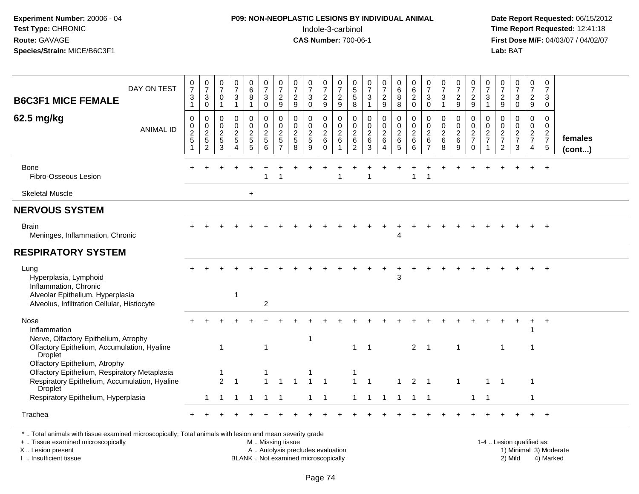# **P09: NON-NEOPLASTIC LESIONS BY INDIVIDUAL ANIMAL**Indole-3-carbinol **Time Report Requested:** 12:41:18

 **Date Report Requested:** 06/15/2012 **First Dose M/F:** 04/03/07 / 04/02/07<br>Lab: BAT **Lab:** BAT

| DAY ON TEST<br><b>B6C3F1 MICE FEMALE</b>                                                                                                  | $\frac{0}{7}$<br>$\ensuremath{\mathsf{3}}$<br>$\mathbf{1}$ | $\frac{0}{7}$<br>$\ensuremath{\mathsf{3}}$<br>$\mathsf 0$   | $\frac{0}{7}$<br>$\mathbf 0$<br>$\overline{1}$                                 | $\frac{0}{7}$<br>$\sqrt{3}$<br>$\mathbf 1$           | 0<br>$\,6\,$<br>$\bf 8$<br>$\overline{1}$                      | $\frac{0}{7}$<br>$\mathsf 3$<br>$\mathbf 0$            | $\frac{0}{7}$<br>$\overline{2}$<br>9                                     | $\frac{0}{7}$<br>$\sqrt{2}$<br>9                              | $\frac{0}{7}$<br>$\mathsf 3$<br>$\mathbf 0$                     | $\frac{0}{7}$<br>$\sqrt{2}$<br>9                           | 0<br>$\overline{7}$<br>$\sqrt{2}$<br>$9\,$                      | 0<br>$\overline{5}$<br>$\,$ 5 $\,$<br>8            | $\frac{0}{7}$<br>3<br>1                    | $\frac{0}{7}$<br>$\overline{2}$<br>9                                              | $\begin{array}{c} 0 \\ 6 \end{array}$<br>$\bf 8$<br>8      | $\begin{array}{c} 0 \\ 6 \end{array}$<br>$\overline{2}$<br>$\mathbf 0$ | $\frac{0}{7}$<br>$\mathbf{3}$<br>$\Omega$                           | $\frac{0}{7}$<br>3<br>1                      | $\frac{0}{7}$<br>$\overline{2}$<br>9                       | $\frac{0}{7}$<br>$\overline{c}$<br>9                                    | $\frac{0}{7}$<br>$\ensuremath{\mathsf{3}}$<br>$\blacktriangleleft$ | $\frac{0}{7}$<br>$\sqrt{2}$<br>$\boldsymbol{9}$               | $\frac{0}{7}$<br>$\mathbf{3}$<br>$\mathbf 0$                            | $\frac{0}{7}$<br>$\overline{2}$<br>9                                          | 0<br>$\overline{7}$<br>3<br>$\mathbf{0}$                         |                   |
|-------------------------------------------------------------------------------------------------------------------------------------------|------------------------------------------------------------|-------------------------------------------------------------|--------------------------------------------------------------------------------|------------------------------------------------------|----------------------------------------------------------------|--------------------------------------------------------|--------------------------------------------------------------------------|---------------------------------------------------------------|-----------------------------------------------------------------|------------------------------------------------------------|-----------------------------------------------------------------|----------------------------------------------------|--------------------------------------------|-----------------------------------------------------------------------------------|------------------------------------------------------------|------------------------------------------------------------------------|---------------------------------------------------------------------|----------------------------------------------|------------------------------------------------------------|-------------------------------------------------------------------------|--------------------------------------------------------------------|---------------------------------------------------------------|-------------------------------------------------------------------------|-------------------------------------------------------------------------------|------------------------------------------------------------------|-------------------|
| 62.5 mg/kg<br><b>ANIMAL ID</b>                                                                                                            | $\mathbf 0$<br>$\pmb{0}$<br>$\boldsymbol{2}$<br>5<br>1     | $\mathbf 0$<br>$\mathbf 0$<br>$\sqrt{2}$<br>$\sqrt{5}$<br>2 | $\mathbf 0$<br>$\begin{smallmatrix} 0\\2 \end{smallmatrix}$<br>$\sqrt{5}$<br>3 | 0<br>$\pmb{0}$<br>$\sqrt{2}$<br>$5\phantom{.0}$<br>4 | $\Omega$<br>$\pmb{0}$<br>$\overline{2}$<br>$\overline{5}$<br>5 | $\mathbf 0$<br>$\mathbf 0$<br>$\overline{c}$<br>5<br>6 | $\Omega$<br>$\mathsf{O}\xspace$<br>$\overline{c}$<br>5<br>$\overline{7}$ | $\mathbf 0$<br>$\pmb{0}$<br>$\overline{c}$<br>$\sqrt{5}$<br>8 | $\mathbf 0$<br>$\mathbf 0$<br>$\sqrt{2}$<br>$\overline{5}$<br>9 | $\Omega$<br>$\pmb{0}$<br>$\boldsymbol{2}$<br>6<br>$\Omega$ | $\mathbf 0$<br>$\pmb{0}$<br>$\overline{c}$<br>6<br>$\mathbf{1}$ | $\mathbf 0$<br>$\mathbf 0$<br>$\sqrt{2}$<br>6<br>2 | 0<br>$\pmb{0}$<br>$\overline{a}$<br>6<br>3 | $\mathbf 0$<br>$\mathbf 0$<br>$\overline{c}$<br>$6\phantom{1}6$<br>$\overline{4}$ | $\mathbf 0$<br>$\pmb{0}$<br>$\overline{c}$<br>$\,6\,$<br>5 | $\mathbf 0$<br>$\pmb{0}$<br>$\boldsymbol{2}$<br>6<br>6                 | $\mathbf 0$<br>$\mathbf 0$<br>$\overline{2}$<br>6<br>$\overline{7}$ | 0<br>$\mathbf 0$<br>$\overline{c}$<br>6<br>8 | $\mathbf 0$<br>$\pmb{0}$<br>$\overline{2}$<br>$\,6\,$<br>9 | $\Omega$<br>$\mathbf 0$<br>$\overline{2}$<br>$\overline{7}$<br>$\Omega$ | $\mathbf 0$<br>0<br>$\overline{c}$<br>$\overline{7}$               | $\mathbf 0$<br>$\pmb{0}$<br>$\sqrt{2}$<br>$\overline{7}$<br>2 | $\mathbf 0$<br>$\mathsf{O}\xspace$<br>$\sqrt{2}$<br>$\overline{7}$<br>3 | $\Omega$<br>$\mathbf 0$<br>$\overline{2}$<br>$\overline{7}$<br>$\overline{4}$ | $\Omega$<br>$\mathbf 0$<br>$\overline{2}$<br>$\overline{7}$<br>5 | females<br>(cont) |
| Bone<br>Fibro-Osseous Lesion                                                                                                              |                                                            |                                                             |                                                                                |                                                      |                                                                | $\mathbf{1}$                                           |                                                                          |                                                               |                                                                 |                                                            |                                                                 |                                                    |                                            |                                                                                   |                                                            | 1                                                                      |                                                                     |                                              |                                                            |                                                                         |                                                                    |                                                               |                                                                         |                                                                               |                                                                  |                   |
| <b>Skeletal Muscle</b>                                                                                                                    |                                                            |                                                             |                                                                                |                                                      | $\ddot{}$                                                      |                                                        |                                                                          |                                                               |                                                                 |                                                            |                                                                 |                                                    |                                            |                                                                                   |                                                            |                                                                        |                                                                     |                                              |                                                            |                                                                         |                                                                    |                                                               |                                                                         |                                                                               |                                                                  |                   |
| <b>NERVOUS SYSTEM</b>                                                                                                                     |                                                            |                                                             |                                                                                |                                                      |                                                                |                                                        |                                                                          |                                                               |                                                                 |                                                            |                                                                 |                                                    |                                            |                                                                                   |                                                            |                                                                        |                                                                     |                                              |                                                            |                                                                         |                                                                    |                                                               |                                                                         |                                                                               |                                                                  |                   |
| <b>Brain</b><br>Meninges, Inflammation, Chronic                                                                                           |                                                            |                                                             |                                                                                |                                                      |                                                                |                                                        |                                                                          |                                                               |                                                                 |                                                            |                                                                 |                                                    |                                            |                                                                                   |                                                            |                                                                        |                                                                     |                                              |                                                            |                                                                         |                                                                    |                                                               |                                                                         |                                                                               |                                                                  |                   |
| <b>RESPIRATORY SYSTEM</b>                                                                                                                 |                                                            |                                                             |                                                                                |                                                      |                                                                |                                                        |                                                                          |                                                               |                                                                 |                                                            |                                                                 |                                                    |                                            |                                                                                   |                                                            |                                                                        |                                                                     |                                              |                                                            |                                                                         |                                                                    |                                                               |                                                                         |                                                                               |                                                                  |                   |
| Lung<br>Hyperplasia, Lymphoid<br>Inflammation, Chronic<br>Alveolar Epithelium, Hyperplasia<br>Alveolus, Infiltration Cellular, Histiocyte |                                                            |                                                             |                                                                                | -1                                                   |                                                                | $\overline{2}$                                         |                                                                          |                                                               |                                                                 |                                                            |                                                                 |                                                    |                                            |                                                                                   | 3                                                          |                                                                        |                                                                     |                                              |                                                            |                                                                         |                                                                    |                                                               |                                                                         |                                                                               |                                                                  |                   |
| <b>Nose</b><br>Inflammation<br>Nerve, Olfactory Epithelium, Atrophy                                                                       | $\div$                                                     |                                                             |                                                                                | ÷.                                                   |                                                                |                                                        |                                                                          |                                                               | -1                                                              |                                                            |                                                                 |                                                    |                                            |                                                                                   |                                                            |                                                                        |                                                                     |                                              |                                                            |                                                                         |                                                                    |                                                               |                                                                         |                                                                               | $\overline{+}$                                                   |                   |
| Olfactory Epithelium, Accumulation, Hyaline<br>Droplet                                                                                    |                                                            |                                                             | -1                                                                             |                                                      |                                                                | $\mathbf{1}$                                           |                                                                          |                                                               |                                                                 |                                                            |                                                                 | $\mathbf{1}$                                       | $\overline{1}$                             |                                                                                   |                                                            | $2 \quad 1$                                                            |                                                                     |                                              | $\mathbf 1$                                                |                                                                         |                                                                    | -1                                                            |                                                                         | -1                                                                            |                                                                  |                   |
| Olfactory Epithelium, Atrophy<br>Olfactory Epithelium, Respiratory Metaplasia<br>Respiratory Epithelium, Accumulation, Hyaline<br>Droplet |                                                            |                                                             | -1<br>2                                                                        |                                                      |                                                                |                                                        |                                                                          |                                                               |                                                                 | $\overline{1}$                                             |                                                                 | $\mathbf{1}$                                       | $\overline{1}$                             |                                                                                   |                                                            | $\overline{2}$                                                         | $\overline{1}$                                                      |                                              | $\mathbf 1$                                                |                                                                         |                                                                    | $\overline{1}$                                                |                                                                         | $\overline{1}$                                                                |                                                                  |                   |
| Respiratory Epithelium, Hyperplasia                                                                                                       |                                                            | 1                                                           | $\overline{1}$                                                                 | $\overline{1}$                                       | $\overline{1}$                                                 | $1 \quad 1$                                            |                                                                          |                                                               | $1 \quad 1$                                                     |                                                            |                                                                 | 1                                                  | $\overline{1}$                             | $\overline{1}$                                                                    |                                                            | 1 1 1                                                                  |                                                                     |                                              |                                                            | 1                                                                       | $\overline{1}$                                                     |                                                               |                                                                         | $\mathbf{1}$                                                                  |                                                                  |                   |
| Trachea                                                                                                                                   |                                                            |                                                             |                                                                                |                                                      |                                                                |                                                        |                                                                          |                                                               |                                                                 |                                                            |                                                                 |                                                    |                                            |                                                                                   |                                                            |                                                                        |                                                                     |                                              |                                                            |                                                                         |                                                                    |                                                               |                                                                         |                                                                               |                                                                  |                   |
| *  Total animals with tissue examined microscopically; Total animals with lesion and mean severity grade                                  |                                                            |                                                             |                                                                                |                                                      |                                                                |                                                        |                                                                          |                                                               |                                                                 |                                                            |                                                                 |                                                    |                                            |                                                                                   |                                                            |                                                                        |                                                                     |                                              |                                                            |                                                                         |                                                                    |                                                               |                                                                         |                                                                               |                                                                  |                   |

+ .. Tissue examined microscopically

X .. Lesion present

I .. Insufficient tissue

 M .. Missing tissueA .. Autolysis precludes evaluation 1999 (1999) 1999 (1999) 1999 (1999) 1999 (1999) Minimal 3) Minimal 3) Minimal 3) Minimal 3) Mild

BLANK .. Not examined microscopically 2) Mild 4) Marked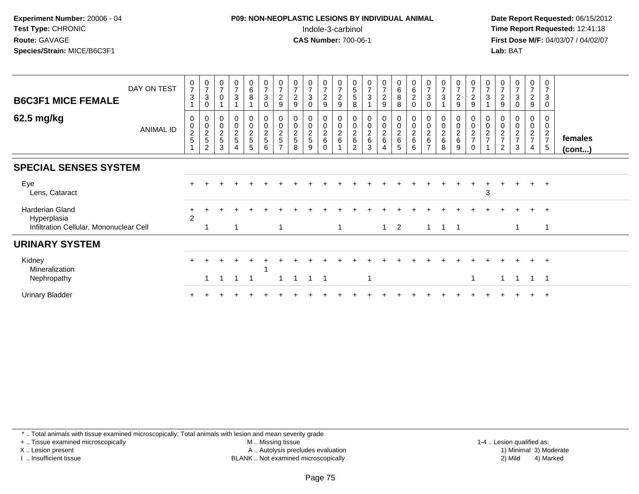## **P09: NON-NEOPLASTIC LESIONS BY INDIVIDUAL ANIMAL**Indole-3-carbinol **Time Report Requested:** 12:41:18

 **Date Report Requested:** 06/15/2012 **First Dose M/F:** 04/03/07 / 04/02/07<br>Lab: BAT **Lab:** BAT

| <b>B6C3F1 MICE FEMALE</b>                                                 | DAY ON TEST      | $\frac{0}{7}$<br>$\mathbf{3}$   | $\frac{0}{7}$<br>$\ensuremath{\mathsf{3}}$<br>$\Omega$ | 0<br>$\overline{ }$<br>$\mathbf 0$   | $\begin{array}{c} 0 \\ 7 \end{array}$<br>$\mathbf{3}$   | $\begin{matrix}0\\6\\8\end{matrix}$    | $\mathbf 0$<br>$\overline{7}$<br>$\ensuremath{\mathsf{3}}$<br>$\Omega$ | $\frac{0}{7}$<br>$\boldsymbol{2}$<br>9       | $\frac{0}{7}$<br>$\overline{c}$<br>9 | 0<br>$\overline{z}$<br>$\ensuremath{\mathsf{3}}$<br>$\Omega$ | $\frac{0}{7}$<br>$\frac{2}{9}$                        | $\frac{0}{7}$<br>$\overline{c}$<br>$\boldsymbol{9}$ | $\begin{array}{c} 0 \\ 5 \end{array}$<br>$\sqrt{5}$<br>8 | 0<br>$\overline{7}$<br>$\mathbf{3}$   | $\frac{0}{7}$<br>$\overline{a}$<br>9 | $\begin{array}{c} 0 \\ 6 \\ 8 \end{array}$<br>$\,8\,$ | $_{6}^{\rm 0}$<br>$\overline{c}$<br>0 | $\frac{0}{7}$<br>$\sqrt{3}$<br>$\mathbf 0$ | $\begin{array}{c} 0 \\ 7 \\ 3 \end{array}$           | $\frac{0}{7}$<br>$\overline{c}$<br>9 | $\mathbf 0$<br>$\boldsymbol{7}$<br>$\overline{c}$<br>$\boldsymbol{9}$ | $\frac{0}{7}$<br>3                              | $\frac{0}{7}$<br>$\overline{c}$<br>$\boldsymbol{9}$             | $\frac{0}{7}$<br>$\mathfrak{S}$<br>0                    | $\frac{0}{7}$<br>$\frac{2}{9}$                                     | 0<br>$\overline{7}$<br>$\mathbf{3}$<br>0 |                   |
|---------------------------------------------------------------------------|------------------|---------------------------------|--------------------------------------------------------|--------------------------------------|---------------------------------------------------------|----------------------------------------|------------------------------------------------------------------------|----------------------------------------------|--------------------------------------|--------------------------------------------------------------|-------------------------------------------------------|-----------------------------------------------------|----------------------------------------------------------|---------------------------------------|--------------------------------------|-------------------------------------------------------|---------------------------------------|--------------------------------------------|------------------------------------------------------|--------------------------------------|-----------------------------------------------------------------------|-------------------------------------------------|-----------------------------------------------------------------|---------------------------------------------------------|--------------------------------------------------------------------|------------------------------------------|-------------------|
| 62.5 mg/kg                                                                | <b>ANIMAL ID</b> | 0<br>$\pmb{0}$<br>$\frac{2}{5}$ | $\boldsymbol{0}$<br>$\frac{0}{2}$<br>$\overline{2}$    | 0<br>$\pmb{0}$<br>$\frac{2}{5}$<br>3 | $\pmb{0}$<br>$\begin{array}{c} 0 \\ 2 \\ 5 \end{array}$ | 0<br>$\mathsf 0$<br>$\frac{2}{5}$<br>5 | 0<br>$\pmb{0}$<br>$\sqrt{2}$<br>$\sqrt{5}$<br>6                        | $\pmb{0}$<br>$\frac{2}{5}$<br>$\overline{ }$ | $\pmb{0}$<br>$\mathbf 2$<br>5<br>8   | 0<br>$\pmb{0}$<br>$\frac{2}{5}$<br>9                         | 0<br>$\mathsf{O}\xspace$<br>$\frac{2}{6}$<br>$\Omega$ | 0<br>$\mathbf 0$<br>$\frac{2}{6}$                   | 0<br>$\pmb{0}$<br>$\frac{2}{6}$<br>2                     | $\pmb{0}$<br>$\sqrt{2}$<br>$\,6$<br>3 | 0<br>$\mathbf 0$<br>$\frac{2}{6}$    | $\bf{0}$<br>$\frac{0}{2}$ 6<br>$\overline{5}$         | 0<br>$\pmb{0}$<br>$\frac{2}{6}$<br>6  | 0<br>$\frac{0}{2}$<br>$\overline{ }$       | 0<br>$\begin{array}{c} 0 \\ 2 \\ 6 \end{array}$<br>8 | 0<br>$\pmb{0}$<br>$\frac{2}{6}$<br>9 | 0<br>$\mathbf 0$<br>$\overline{2}$<br>$\overline{7}$<br>$\Omega$      | $\mathbf 0$<br>$\overline{2}$<br>$\overline{7}$ | $\pmb{0}$<br>$\overline{2}$<br>$\overline{7}$<br>$\overline{c}$ | 0<br>$\pmb{0}$<br>$\overline{2}$<br>$\overline{ }$<br>3 | $\boldsymbol{0}$<br>$\mathbf 0$<br>$\frac{2}{7}$<br>$\overline{4}$ | 0<br>$\mathbf 0$<br>$rac{2}{7}$<br>5     | females<br>(cont) |
| <b>SPECIAL SENSES SYSTEM</b>                                              |                  |                                 |                                                        |                                      |                                                         |                                        |                                                                        |                                              |                                      |                                                              |                                                       |                                                     |                                                          |                                       |                                      |                                                       |                                       |                                            |                                                      |                                      |                                                                       |                                                 |                                                                 |                                                         |                                                                    |                                          |                   |
| Eye<br>Lens, Cataract                                                     |                  |                                 |                                                        |                                      |                                                         |                                        |                                                                        |                                              |                                      |                                                              |                                                       |                                                     |                                                          |                                       |                                      |                                                       |                                       |                                            |                                                      |                                      |                                                                       | 3                                               |                                                                 |                                                         |                                                                    | $+$                                      |                   |
| Harderian Gland<br>Hyperplasia<br>Infiltration Cellular, Mononuclear Cell |                  | $\overline{2}$                  |                                                        |                                      |                                                         |                                        |                                                                        | $\overline{1}$                               |                                      |                                                              |                                                       | $\overline{1}$                                      |                                                          |                                       |                                      | $1\quad 2$                                            |                                       |                                            | $1 \quad 1 \quad 1$                                  |                                      |                                                                       |                                                 |                                                                 |                                                         | $+$                                                                | $+$<br>$\mathbf 1$                       |                   |
| <b>URINARY SYSTEM</b>                                                     |                  |                                 |                                                        |                                      |                                                         |                                        |                                                                        |                                              |                                      |                                                              |                                                       |                                                     |                                                          |                                       |                                      |                                                       |                                       |                                            |                                                      |                                      |                                                                       |                                                 |                                                                 |                                                         |                                                                    |                                          |                   |
| Kidney<br>Mineralization<br>Nephropathy                                   |                  |                                 |                                                        |                                      | -1                                                      | -1                                     |                                                                        |                                              |                                      |                                                              | $\mathbf 1$                                           |                                                     |                                                          |                                       |                                      |                                                       |                                       |                                            |                                                      |                                      |                                                                       |                                                 | 1                                                               |                                                         | $\pm$<br>$\overline{1}$                                            | $^{+}$<br>$\overline{\phantom{0}}$ 1     |                   |
| <b>Urinary Bladder</b>                                                    |                  |                                 |                                                        |                                      |                                                         |                                        |                                                                        |                                              |                                      |                                                              |                                                       |                                                     |                                                          |                                       |                                      |                                                       |                                       |                                            |                                                      |                                      |                                                                       |                                                 |                                                                 |                                                         |                                                                    | $\overline{+}$                           |                   |

\* .. Total animals with tissue examined microscopically; Total animals with lesion and mean severity grade

+ .. Tissue examined microscopically

X .. Lesion present

I .. Insufficient tissue

 M .. Missing tissueA .. Autolysis precludes evaluation

BLANK .. Not examined microscopically 2) Mild 4) Marked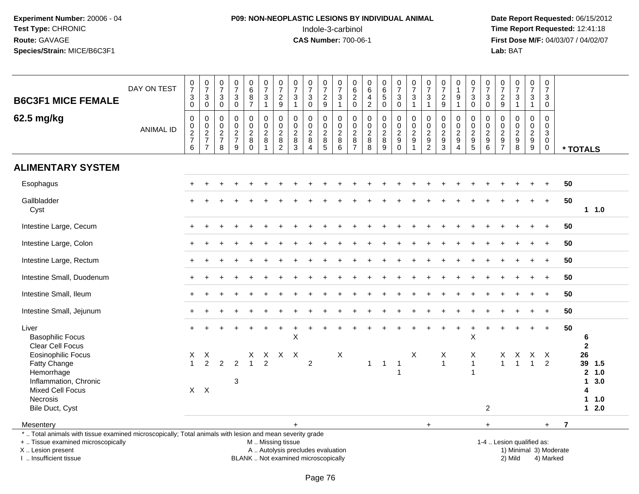# **P09: NON-NEOPLASTIC LESIONS BY INDIVIDUAL ANIMAL**Indole-3-carbinol **Time Report Requested:** 12:41:18

 **Date Report Requested:** 06/15/2012 **First Dose M/F:** 04/03/07 / 04/02/07<br>Lab: BAT **Lab:** BAT

| <b>B6C3F1 MICE FEMALE</b>                                                                                                                                           | DAY ON TEST      | $\begin{array}{c} 0 \\ 7 \end{array}$<br>$_{\rm 0}^3$ | $\begin{array}{c} 0 \\ 7 \end{array}$<br>$_{0}^{3}$ | $\frac{0}{7}$<br>3<br>$\mathsf 0$                           | $\frac{0}{7}$<br>$\ensuremath{\mathsf{3}}$<br>$\mathbf 0$         | 0687                                                    | $\begin{smallmatrix}0\\7\end{smallmatrix}$<br>$\ensuremath{\mathsf{3}}$<br>$\mathbf{1}$ | $\frac{0}{7}$<br>$\frac{2}{9}$                                | $\pmb{0}$<br>$\overline{7}$<br>$\ensuremath{\mathsf{3}}$<br>$\mathbf{1}$ | $\begin{array}{c} 0 \\ 7 \end{array}$<br>$\ensuremath{\mathsf{3}}$<br>$\mathbf 0$    | $\frac{0}{7}$<br>$\frac{2}{9}$               | $\frac{0}{7}$<br>$\frac{3}{1}$                       | 0<br>$\overline{6}$<br>$\frac{2}{0}$                        | $\begin{array}{c} 0 \\ 6 \end{array}$<br>$\frac{4}{2}$ | $\begin{matrix} 0 \\ 6 \\ 5 \end{matrix}$<br>$\mathbf 0$ | $\frac{0}{7}$<br>3<br>$\mathbf 0$                                  | $\frac{0}{7}$<br>$\frac{3}{1}$                                            | $\begin{array}{c} 0 \\ 7 \end{array}$<br>$\ensuremath{\mathsf{3}}$<br>$\mathbf{1}$ | $\begin{array}{c} 0 \\ 7 \end{array}$<br>$\sqrt{2}$<br>$9\,$ | $\mathbf 0$<br>$\mathbf{1}$<br>$\boldsymbol{9}$<br>$\overline{1}$    | 0<br>$\overline{7}$<br>3<br>$\mathbf 0$                                  | $\frac{0}{7}$<br>$\ensuremath{\mathsf{3}}$<br>$\mathbf 0$                          | $\begin{smallmatrix}0\\7\end{smallmatrix}$<br>$\overline{\mathbf{c}}$<br>9           | $\begin{smallmatrix}0\\7\end{smallmatrix}$<br>$\ensuremath{\mathsf{3}}$<br>$\mathbf{1}$ | $\begin{array}{c} 0 \\ 7 \end{array}$<br>$\ensuremath{\mathsf{3}}$<br>$\mathbf{1}$ | $\mathbf 0$<br>$\overline{7}$<br>$\ensuremath{\mathsf{3}}$<br>$\mathbf 0$             |                        |                                                    |                   |  |
|---------------------------------------------------------------------------------------------------------------------------------------------------------------------|------------------|-------------------------------------------------------|-----------------------------------------------------|-------------------------------------------------------------|-------------------------------------------------------------------|---------------------------------------------------------|-----------------------------------------------------------------------------------------|---------------------------------------------------------------|--------------------------------------------------------------------------|--------------------------------------------------------------------------------------|----------------------------------------------|------------------------------------------------------|-------------------------------------------------------------|--------------------------------------------------------|----------------------------------------------------------|--------------------------------------------------------------------|---------------------------------------------------------------------------|------------------------------------------------------------------------------------|--------------------------------------------------------------|----------------------------------------------------------------------|--------------------------------------------------------------------------|------------------------------------------------------------------------------------|--------------------------------------------------------------------------------------|-----------------------------------------------------------------------------------------|------------------------------------------------------------------------------------|---------------------------------------------------------------------------------------|------------------------|----------------------------------------------------|-------------------|--|
| 62.5 mg/kg                                                                                                                                                          | <b>ANIMAL ID</b> | 0<br>$\pmb{0}$<br>$\frac{2}{7}$<br>6                  | $\pmb{0}$<br>$\frac{0}{2}$<br>$\overline{7}$        | 0<br>$\mathbf 0$<br>$\boldsymbol{2}$<br>$\overline{7}$<br>8 | $\mathbf 0$<br>$\pmb{0}$<br>$\overline{c}$<br>$\overline{7}$<br>9 | 0<br>$\pmb{0}$<br>$\overline{2}$<br>$\bf 8$<br>$\Omega$ | $\mathbf 0$<br>$\mathbf 0$<br>$\overline{c}$<br>$\bf8$<br>$\overline{1}$                | $\mathbf 0$<br>$\mathsf 0$<br>$\overline{c}$<br>$\frac{8}{2}$ | $\mathbf 0$<br>$\mathbf 0$<br>$\boldsymbol{2}$<br>8<br>$\overline{3}$    | $\mathbf 0$<br>$\mathbf 0$<br>$\boldsymbol{2}$<br>$\bf 8$<br>$\overline{\mathbf{4}}$ | 0<br>$\mathbf 0$<br>$\overline{c}$<br>$^8_5$ | 0<br>$\mathsf{O}\xspace$<br>$\overline{c}$<br>$^8_6$ | 0<br>$\mathbf 0$<br>$\sqrt{2}$<br>$\bf 8$<br>$\overline{7}$ | $\mathbf 0$<br>$\pmb{0}$<br>$\overline{2}$<br>$_{8}^8$ | $\mathbf 0$<br>$\mathbf 0$<br>$\boldsymbol{2}$<br>8<br>9 | 0<br>$\mathbf 0$<br>$\overline{c}$<br>$\boldsymbol{9}$<br>$\Omega$ | 0<br>$\overline{0}$<br>$\overline{2}$<br>$\boldsymbol{9}$<br>$\mathbf{1}$ | $\mathbf 0$<br>$\ddot{\mathbf{0}}$<br>$\sqrt{2}$<br>$\frac{9}{2}$                  | 0<br>0<br>$\overline{c}$<br>$\frac{9}{3}$                    | 0<br>$\mathbf 0$<br>$\sqrt{2}$<br>$\boldsymbol{9}$<br>$\overline{4}$ | 0<br>$\mathbf 0$<br>$\overline{c}$<br>$\boldsymbol{9}$<br>$\overline{5}$ | $\mathbf 0$<br>$\mathbf 0$<br>$\overline{c}$<br>$\boldsymbol{9}$<br>$6\phantom{1}$ | $\mathbf 0$<br>$\mathbf 0$<br>$\boldsymbol{2}$<br>$\boldsymbol{9}$<br>$\overline{7}$ | $\mathbf 0$<br>$\mathbf 0$<br>$\overline{c}$<br>$_{8}^{\rm 9}$                          | $\mathbf 0$<br>$\mathbf 0$<br>$\overline{a}$<br>$^9_9$                             | $\mathbf 0$<br>$\mathbf 0$<br>$\ensuremath{\mathsf{3}}$<br>$\mathbf 0$<br>$\mathbf 0$ |                        | * TOTALS                                           |                   |  |
| <b>ALIMENTARY SYSTEM</b>                                                                                                                                            |                  |                                                       |                                                     |                                                             |                                                                   |                                                         |                                                                                         |                                                               |                                                                          |                                                                                      |                                              |                                                      |                                                             |                                                        |                                                          |                                                                    |                                                                           |                                                                                    |                                                              |                                                                      |                                                                          |                                                                                    |                                                                                      |                                                                                         |                                                                                    |                                                                                       |                        |                                                    |                   |  |
| Esophagus                                                                                                                                                           |                  |                                                       |                                                     |                                                             |                                                                   |                                                         |                                                                                         |                                                               |                                                                          |                                                                                      |                                              |                                                      |                                                             |                                                        |                                                          |                                                                    |                                                                           |                                                                                    |                                                              |                                                                      |                                                                          |                                                                                    |                                                                                      |                                                                                         |                                                                                    | $+$                                                                                   | 50                     |                                                    |                   |  |
| Gallbladder<br>Cyst                                                                                                                                                 |                  |                                                       |                                                     |                                                             |                                                                   |                                                         |                                                                                         |                                                               |                                                                          |                                                                                      |                                              |                                                      |                                                             |                                                        |                                                          |                                                                    |                                                                           |                                                                                    |                                                              |                                                                      |                                                                          |                                                                                    |                                                                                      |                                                                                         |                                                                                    | $+$                                                                                   | 50                     |                                                    | 1 1.0             |  |
| Intestine Large, Cecum                                                                                                                                              |                  |                                                       |                                                     |                                                             |                                                                   |                                                         |                                                                                         |                                                               |                                                                          |                                                                                      |                                              |                                                      |                                                             |                                                        |                                                          |                                                                    |                                                                           |                                                                                    |                                                              |                                                                      |                                                                          |                                                                                    |                                                                                      |                                                                                         |                                                                                    |                                                                                       | 50                     |                                                    |                   |  |
| Intestine Large, Colon                                                                                                                                              |                  |                                                       |                                                     |                                                             |                                                                   |                                                         |                                                                                         |                                                               |                                                                          |                                                                                      |                                              |                                                      |                                                             |                                                        |                                                          |                                                                    |                                                                           |                                                                                    |                                                              |                                                                      |                                                                          |                                                                                    |                                                                                      |                                                                                         |                                                                                    |                                                                                       | 50                     |                                                    |                   |  |
| Intestine Large, Rectum                                                                                                                                             |                  |                                                       |                                                     |                                                             |                                                                   |                                                         |                                                                                         |                                                               |                                                                          |                                                                                      |                                              |                                                      |                                                             |                                                        |                                                          |                                                                    |                                                                           |                                                                                    |                                                              |                                                                      |                                                                          |                                                                                    |                                                                                      |                                                                                         | $\ddot{}$                                                                          | $+$                                                                                   | 50                     |                                                    |                   |  |
| Intestine Small, Duodenum                                                                                                                                           |                  |                                                       |                                                     |                                                             |                                                                   |                                                         |                                                                                         |                                                               |                                                                          |                                                                                      |                                              |                                                      |                                                             |                                                        |                                                          |                                                                    |                                                                           |                                                                                    |                                                              |                                                                      |                                                                          |                                                                                    |                                                                                      |                                                                                         |                                                                                    |                                                                                       | 50                     |                                                    |                   |  |
| Intestine Small, Ileum                                                                                                                                              |                  |                                                       |                                                     |                                                             |                                                                   |                                                         |                                                                                         |                                                               |                                                                          |                                                                                      |                                              |                                                      |                                                             |                                                        |                                                          |                                                                    |                                                                           |                                                                                    |                                                              |                                                                      |                                                                          |                                                                                    |                                                                                      |                                                                                         |                                                                                    | $+$                                                                                   | 50                     |                                                    |                   |  |
| Intestine Small, Jejunum                                                                                                                                            |                  | $\pm$                                                 |                                                     |                                                             |                                                                   |                                                         |                                                                                         |                                                               |                                                                          |                                                                                      |                                              |                                                      |                                                             |                                                        |                                                          |                                                                    |                                                                           |                                                                                    |                                                              |                                                                      |                                                                          |                                                                                    |                                                                                      |                                                                                         | $\overline{1}$                                                                     | $\ddot{}$                                                                             | 50                     |                                                    |                   |  |
| Liver<br><b>Basophilic Focus</b><br><b>Clear Cell Focus</b>                                                                                                         |                  |                                                       |                                                     |                                                             |                                                                   |                                                         |                                                                                         |                                                               | Χ                                                                        |                                                                                      |                                              |                                                      |                                                             |                                                        |                                                          |                                                                    |                                                                           |                                                                                    |                                                              |                                                                      | $\sf X$                                                                  |                                                                                    |                                                                                      |                                                                                         |                                                                                    |                                                                                       | 50                     | 6<br>$\overline{2}$                                |                   |  |
| <b>Eosinophilic Focus</b><br>Fatty Change<br>Hemorrhage<br>Inflammation, Chronic                                                                                    |                  | X<br>$\overline{1}$                                   | X<br>$\overline{2}$                                 | $\overline{2}$                                              | $\overline{2}$<br>3                                               | X<br>$\mathbf{1}$                                       | X<br>$\overline{2}$                                                                     | $X$ X                                                         |                                                                          | $\overline{c}$                                                                       |                                              | $\boldsymbol{\mathsf{X}}$                            |                                                             | $\mathbf{1}$                                           | $\overline{1}$                                           | -1<br>1                                                            | Χ                                                                         |                                                                                    | X<br>$\mathbf{1}$                                            |                                                                      | X<br>$\mathbf{1}$<br>1                                                   |                                                                                    | X<br>$\mathbf{1}$                                                                    | X<br>$\overline{1}$                                                                     | X<br>$\mathbf{1}$                                                                  | $\mathsf{X}$<br>$\overline{2}$                                                        |                        | 26<br>39<br>$\overline{2}$<br>$\blacktriangleleft$ | 1.5<br>1.0<br>3.0 |  |
| <b>Mixed Cell Focus</b><br>Necrosis<br>Bile Duct, Cyst                                                                                                              |                  |                                                       | $X$ $X$                                             |                                                             |                                                                   |                                                         |                                                                                         |                                                               |                                                                          |                                                                                      |                                              |                                                      |                                                             |                                                        |                                                          |                                                                    |                                                                           |                                                                                    |                                                              |                                                                      |                                                                          | $\overline{c}$                                                                     |                                                                                      |                                                                                         |                                                                                    |                                                                                       |                        | Δ<br>1                                             | 1.0<br>$12.0$     |  |
| Mesentery                                                                                                                                                           |                  |                                                       |                                                     |                                                             |                                                                   |                                                         |                                                                                         |                                                               | $+$                                                                      |                                                                                      |                                              |                                                      |                                                             |                                                        |                                                          |                                                                    |                                                                           | $+$                                                                                |                                                              |                                                                      |                                                                          |                                                                                    |                                                                                      |                                                                                         |                                                                                    | $+$                                                                                   | $\overline{7}$         |                                                    |                   |  |
| *  Total animals with tissue examined microscopically; Total animals with lesion and mean severity grade<br>+  Tissue examined microscopically<br>X  Lesion present |                  |                                                       |                                                     |                                                             |                                                                   |                                                         | M  Missing tissue<br>A  Autolysis precludes evaluation                                  |                                                               |                                                                          |                                                                                      |                                              |                                                      |                                                             |                                                        |                                                          |                                                                    |                                                                           |                                                                                    |                                                              |                                                                      |                                                                          |                                                                                    |                                                                                      | 1-4  Lesion qualified as:                                                               |                                                                                    |                                                                                       | 1) Minimal 3) Moderate |                                                    |                   |  |

I .. Insufficient tissue

BLANK .. Not examined microscopically 2) Mild 4) Marked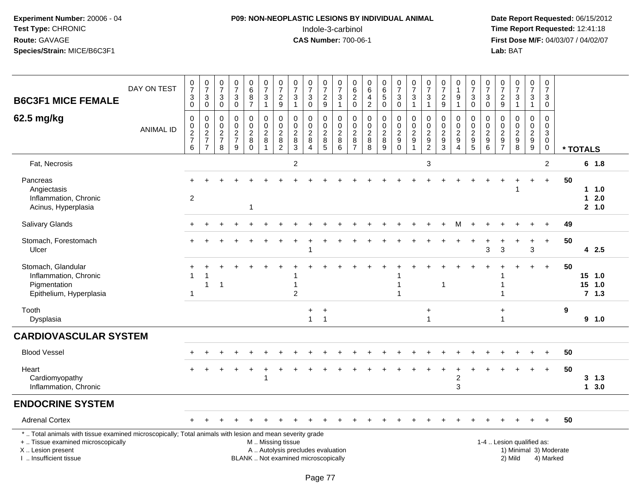# **P09: NON-NEOPLASTIC LESIONS BY INDIVIDUAL ANIMAL**Indole-3-carbinol **Time Report Requested:** 12:41:18

| <b>B6C3F1 MICE FEMALE</b>                                                                                                                                                                     | DAY ON TEST      | $\frac{0}{7}$<br>$\ensuremath{\mathsf{3}}$<br>$\mathbf 0$                   | $\frac{0}{7}$<br>$\ensuremath{\mathsf{3}}$<br>$\mathbf 0$                   | $\frac{0}{7}$<br>3<br>$\mathbf 0$                                     | $\frac{0}{7}$<br>$\ensuremath{\mathsf{3}}$<br>$\mathsf 0$ | $_{6}^{\rm 0}$<br>$\overline{8}$<br>$\overline{7}$               | $\begin{array}{c} 0 \\ 7 \end{array}$<br>3<br>$\mathbf{1}$ | $\frac{0}{7}$<br>$\sqrt{2}$<br>$9\,$                                   | $\frac{0}{7}$<br>3<br>$\mathbf{1}$                                       | $\frac{0}{7}$<br>$\ensuremath{\mathsf{3}}$<br>$\mathbf 0$       | $\frac{0}{7}$<br>$\overline{c}$<br>9                       | $\frac{0}{7}$<br>$\ensuremath{\mathsf{3}}$<br>$\mathbf{1}$   | $\begin{array}{c} 0 \\ 6 \end{array}$<br>$\overline{2}$<br>$\mathbf 0$  | $\begin{array}{c} 0 \\ 6 \end{array}$<br>$\overline{4}$<br>$\overline{2}$ | $\begin{array}{c} 0 \\ 6 \end{array}$<br>$\sqrt{5}$<br>$\mathbf 0$ | $\frac{0}{7}$<br>3<br>$\mathbf 0$                                     | $\frac{0}{7}$<br>$\ensuremath{\mathsf{3}}$<br>$\mathbf{1}$     | $\frac{0}{7}$<br>$\ensuremath{\mathsf{3}}$<br>$\mathbf{1}$    | 0<br>$\overline{7}$<br>$\sqrt{2}$<br>9                       | $\mathbf 0$<br>$\mathbf{1}$<br>$\boldsymbol{9}$<br>$\overline{1}$                        | $\frac{0}{7}$<br>3<br>$\mathbf 0$                                    | $\begin{array}{c} 0 \\ 7 \end{array}$<br>$\ensuremath{\mathsf{3}}$<br>$\mathbf 0$ | $\frac{0}{7}$<br>$\overline{c}$<br>9                                            | 0<br>$\overline{7}$<br>$\ensuremath{\mathsf{3}}$<br>$\mathbf{1}$   | $\begin{array}{c} 0 \\ 7 \end{array}$<br>3<br>$\mathbf{1}$                         | $\mathbf 0$<br>$\overline{7}$<br>3<br>$\mathbf 0$                                     |    |             |                         |  |
|-----------------------------------------------------------------------------------------------------------------------------------------------------------------------------------------------|------------------|-----------------------------------------------------------------------------|-----------------------------------------------------------------------------|-----------------------------------------------------------------------|-----------------------------------------------------------|------------------------------------------------------------------|------------------------------------------------------------|------------------------------------------------------------------------|--------------------------------------------------------------------------|-----------------------------------------------------------------|------------------------------------------------------------|--------------------------------------------------------------|-------------------------------------------------------------------------|---------------------------------------------------------------------------|--------------------------------------------------------------------|-----------------------------------------------------------------------|----------------------------------------------------------------|---------------------------------------------------------------|--------------------------------------------------------------|------------------------------------------------------------------------------------------|----------------------------------------------------------------------|-----------------------------------------------------------------------------------|---------------------------------------------------------------------------------|--------------------------------------------------------------------|------------------------------------------------------------------------------------|---------------------------------------------------------------------------------------|----|-------------|-------------------------|--|
| 62.5 mg/kg                                                                                                                                                                                    | <b>ANIMAL ID</b> | $\mathbf 0$<br>$\begin{array}{c} 0 \\ 2 \\ 7 \end{array}$<br>$6\phantom{1}$ | $\mathbf 0$<br>$\begin{array}{c} 0 \\ 2 \\ 7 \end{array}$<br>$\overline{7}$ | $\mathbf 0$<br>$\mathbf 0$<br>$\boldsymbol{2}$<br>$\overline{7}$<br>8 | $\mathbf 0$<br>$\mathsf{O}\xspace$<br>$\frac{2}{7}$<br>9  | $\mathsf 0$<br>$\mathbf 0$<br>$\overline{c}$<br>8<br>$\mathbf 0$ | 0<br>$\mathbf 0$<br>$\overline{2}$<br>8                    | $\mathbf 0$<br>$\pmb{0}$<br>$\begin{array}{c} 2 \\ 8 \\ 2 \end{array}$ | 0<br>$\mathbf 0$<br>$\boldsymbol{2}$<br>$\,8\,$<br>3                     | $\Omega$<br>$\boldsymbol{0}$<br>$\overline{c}$<br>8<br>$\Delta$ | 0<br>$\mathsf{O}\xspace$<br>$\overline{c}$<br>$\bf 8$<br>5 | $\mathbf 0$<br>$\mathbf 0$<br>$\overline{2}$<br>8<br>$\,6\,$ | $\mathbf 0$<br>$\pmb{0}$<br>$\overline{2}$<br>$\bf 8$<br>$\overline{7}$ | $\mathbf 0$<br>$\pmb{0}$<br>$\frac{2}{8}$<br>8                            | $\mathbf 0$<br>$\mathbf 0$<br>$\overline{c}$<br>$\bf8$<br>9        | 0<br>$\mathbf 0$<br>$\overline{2}$<br>$\boldsymbol{9}$<br>$\mathbf 0$ | $\pmb{0}$<br>$\frac{0}{2}$<br>$\boldsymbol{9}$<br>$\mathbf{1}$ | $\mathbf 0$<br>$\mathbf 0$<br>$\overline{2}$<br>$\frac{9}{2}$ | 0<br>0<br>$\overline{c}$<br>$\boldsymbol{9}$<br>$\mathbf{3}$ | $\mathbf 0$<br>$\mathbf 0$<br>$\sqrt{2}$<br>$\boldsymbol{9}$<br>$\boldsymbol{\varDelta}$ | 0<br>$\mathbf 0$<br>$\overline{c}$<br>$\boldsymbol{9}$<br>$\sqrt{5}$ | $\mathbf 0$<br>$\mathbf 0$<br>$\overline{2}$<br>$\boldsymbol{9}$<br>$\,6\,$       | $\Omega$<br>$\mathbf 0$<br>$\overline{c}$<br>$\boldsymbol{9}$<br>$\overline{7}$ | $\Omega$<br>$\mathbf 0$<br>$\overline{2}$<br>$\boldsymbol{9}$<br>8 | $\mathbf 0$<br>$\pmb{0}$<br>$\overline{2}$<br>$\boldsymbol{9}$<br>$\boldsymbol{9}$ | $\mathbf 0$<br>$\mathbf 0$<br>$\ensuremath{\mathsf{3}}$<br>$\mathbf 0$<br>$\mathbf 0$ |    | * TOTALS    |                         |  |
| Fat, Necrosis                                                                                                                                                                                 |                  |                                                                             |                                                                             |                                                                       |                                                           |                                                                  |                                                            |                                                                        | $\overline{c}$                                                           |                                                                 |                                                            |                                                              |                                                                         |                                                                           |                                                                    |                                                                       |                                                                | 3                                                             |                                                              |                                                                                          |                                                                      |                                                                                   |                                                                                 |                                                                    |                                                                                    | 2                                                                                     |    |             | 6 1.8                   |  |
| Pancreas<br>Angiectasis<br>Inflammation, Chronic<br>Acinus, Hyperplasia                                                                                                                       |                  | $\overline{2}$                                                              |                                                                             |                                                                       |                                                           | -1                                                               |                                                            |                                                                        |                                                                          |                                                                 |                                                            |                                                              |                                                                         |                                                                           |                                                                    |                                                                       |                                                                |                                                               |                                                              |                                                                                          |                                                                      |                                                                                   |                                                                                 |                                                                    |                                                                                    | $+$                                                                                   | 50 | $\mathbf 1$ | 11.0<br>2.0<br>2 1.0    |  |
| Salivary Glands                                                                                                                                                                               |                  |                                                                             |                                                                             |                                                                       |                                                           |                                                                  |                                                            |                                                                        |                                                                          |                                                                 |                                                            |                                                              |                                                                         |                                                                           |                                                                    |                                                                       |                                                                |                                                               |                                                              |                                                                                          |                                                                      |                                                                                   |                                                                                 |                                                                    |                                                                                    |                                                                                       | 49 |             |                         |  |
| Stomach, Forestomach<br>Ulcer                                                                                                                                                                 |                  |                                                                             |                                                                             |                                                                       |                                                           |                                                                  |                                                            |                                                                        |                                                                          |                                                                 |                                                            |                                                              |                                                                         |                                                                           |                                                                    |                                                                       |                                                                |                                                               |                                                              |                                                                                          |                                                                      | 3                                                                                 | $\mathbf{3}$                                                                    |                                                                    | 3                                                                                  | $\ddot{}$                                                                             | 50 |             | 42.5                    |  |
| Stomach, Glandular<br>Inflammation, Chronic<br>Pigmentation<br>Epithelium, Hyperplasia                                                                                                        |                  | -1                                                                          | 1                                                                           | 1                                                                     |                                                           |                                                                  |                                                            |                                                                        | 1<br>$\overline{2}$                                                      |                                                                 |                                                            |                                                              |                                                                         |                                                                           |                                                                    | 1<br>1                                                                |                                                                |                                                               |                                                              |                                                                                          |                                                                      |                                                                                   | 1<br>1                                                                          |                                                                    |                                                                                    | $+$                                                                                   | 50 | 15<br>15    | 1.0<br>1.0<br>$7 \t1.3$ |  |
| Tooth<br>Dysplasia                                                                                                                                                                            |                  |                                                                             |                                                                             |                                                                       |                                                           |                                                                  |                                                            |                                                                        |                                                                          | $\ddot{}$<br>$\mathbf{1}$                                       | $\ddot{}$<br>$\overline{1}$                                |                                                              |                                                                         |                                                                           |                                                                    |                                                                       |                                                                | $\ddot{}$<br>$\mathbf{1}$                                     |                                                              |                                                                                          |                                                                      |                                                                                   | $\ddot{}$<br>$\mathbf{1}$                                                       |                                                                    |                                                                                    |                                                                                       | 9  |             | $9 \t1.0$               |  |
| <b>CARDIOVASCULAR SYSTEM</b>                                                                                                                                                                  |                  |                                                                             |                                                                             |                                                                       |                                                           |                                                                  |                                                            |                                                                        |                                                                          |                                                                 |                                                            |                                                              |                                                                         |                                                                           |                                                                    |                                                                       |                                                                |                                                               |                                                              |                                                                                          |                                                                      |                                                                                   |                                                                                 |                                                                    |                                                                                    |                                                                                       |    |             |                         |  |
| <b>Blood Vessel</b>                                                                                                                                                                           |                  |                                                                             |                                                                             |                                                                       |                                                           |                                                                  |                                                            |                                                                        |                                                                          |                                                                 |                                                            |                                                              |                                                                         |                                                                           |                                                                    |                                                                       |                                                                |                                                               |                                                              |                                                                                          |                                                                      |                                                                                   |                                                                                 |                                                                    |                                                                                    | $\ddot{}$                                                                             | 50 |             |                         |  |
| Heart<br>Cardiomyopathy<br>Inflammation, Chronic                                                                                                                                              |                  |                                                                             |                                                                             |                                                                       |                                                           |                                                                  |                                                            |                                                                        |                                                                          |                                                                 |                                                            |                                                              |                                                                         |                                                                           |                                                                    |                                                                       |                                                                |                                                               |                                                              | $\overline{2}$<br>3                                                                      |                                                                      |                                                                                   |                                                                                 |                                                                    |                                                                                    | $\ddot{}$                                                                             | 50 |             | $3 \t1.3$<br>13.0       |  |
| <b>ENDOCRINE SYSTEM</b>                                                                                                                                                                       |                  |                                                                             |                                                                             |                                                                       |                                                           |                                                                  |                                                            |                                                                        |                                                                          |                                                                 |                                                            |                                                              |                                                                         |                                                                           |                                                                    |                                                                       |                                                                |                                                               |                                                              |                                                                                          |                                                                      |                                                                                   |                                                                                 |                                                                    |                                                                                    |                                                                                       |    |             |                         |  |
| <b>Adrenal Cortex</b>                                                                                                                                                                         |                  |                                                                             |                                                                             |                                                                       |                                                           |                                                                  |                                                            |                                                                        |                                                                          |                                                                 |                                                            |                                                              |                                                                         |                                                                           |                                                                    |                                                                       |                                                                |                                                               |                                                              |                                                                                          |                                                                      |                                                                                   |                                                                                 |                                                                    |                                                                                    |                                                                                       | 50 |             |                         |  |
| *  Total animals with tissue examined microscopically; Total animals with lesion and mean severity grade<br>+  Tissue examined microscopically<br>X  Lesion present<br>I. Insufficient tissue |                  |                                                                             |                                                                             |                                                                       |                                                           |                                                                  | M  Missing tissue                                          |                                                                        | A  Autolysis precludes evaluation<br>BLANK  Not examined microscopically |                                                                 |                                                            |                                                              |                                                                         |                                                                           |                                                                    |                                                                       |                                                                |                                                               |                                                              |                                                                                          |                                                                      |                                                                                   |                                                                                 | 1-4  Lesion qualified as:<br>1) Minimal 3) Moderate<br>2) Mild     |                                                                                    | 4) Marked                                                                             |    |             |                         |  |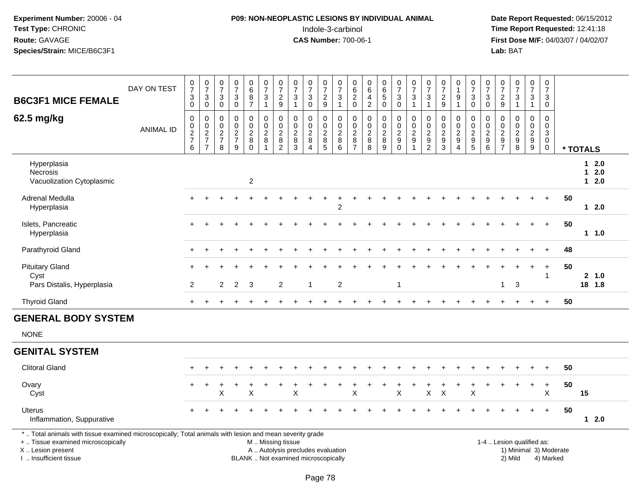# **P09: NON-NEOPLASTIC LESIONS BY INDIVIDUAL ANIMAL**Indole-3-carbinol **Time Report Requested:** 12:41:18

 **Date Report Requested:** 06/15/2012 **First Dose M/F:** 04/03/07 / 04/02/07<br>Lab: BAT **Lab:** BAT

| <b>B6C3F1 MICE FEMALE</b>                                                                                                                                                                  | DAY ON TEST      | $\frac{0}{7}$<br>3<br>0                           | $\frac{0}{7}$<br>$\mathsf 3$<br>$\mathbf 0$                              | 0<br>$\overline{7}$<br>3<br>$\mathbf 0$                     | 0<br>$\overline{7}$<br>$\ensuremath{\mathsf{3}}$<br>$\overline{0}$       | $_{6}^{\rm 0}$<br>$\frac{8}{7}$                         | $\frac{0}{7}$<br>$\mathbf{3}$<br>$\mathbf{1}$                                                 | $\frac{0}{7}$<br>$\frac{2}{9}$                                                                    | $\frac{0}{7}$<br>3<br>$\overline{1}$            | 0<br>$\overline{7}$<br>$\sqrt{3}$<br>$\mathbf 0$            | 0<br>$\overline{7}$<br>$\overline{a}$<br>$\overline{9}$ | 0<br>$\overline{7}$<br>$\ensuremath{\mathsf{3}}$<br>$\mathbf{1}$ | $\pmb{0}$<br>$6\phantom{a}$<br>$^2_{\rm 0}$                 | 0<br>$\,6\,$<br>$\frac{4}{2}$          | $_{6}^{\rm 0}$<br>$\sqrt{5}$<br>$\mathsf{O}\xspace$                                 | $\frac{0}{7}$<br>3<br>0                                               | $\frac{0}{7}$<br>$\sqrt{3}$<br>$\mathbf{1}$                                   | $\begin{array}{c} 0 \\ 7 \end{array}$<br>3<br>$\mathbf{1}$                      | $\frac{0}{7}$<br>$\overline{c}$<br>$\overline{9}$                    | $\mathbf 0$<br>$\mathbf{1}$<br>9<br>$\mathbf{1}$               | $\frac{0}{7}$<br>$_0^3$                                           | $\frac{0}{7}$<br>$\sqrt{3}$<br>$\mathbf 0$                              | 0<br>$\overline{7}$<br>$\frac{2}{9}$                                        | $\begin{array}{c} 0 \\ 7 \end{array}$<br>$\mathbf{3}$<br>$\mathbf{1}$ | $\mathbf{1}$                                         | $\frac{0}{7}$<br>3         | 0<br>$\overline{7}$<br>$\mathbf{3}$<br>$\mathbf 0$                               |    |             |                         |
|--------------------------------------------------------------------------------------------------------------------------------------------------------------------------------------------|------------------|---------------------------------------------------|--------------------------------------------------------------------------|-------------------------------------------------------------|--------------------------------------------------------------------------|---------------------------------------------------------|-----------------------------------------------------------------------------------------------|---------------------------------------------------------------------------------------------------|-------------------------------------------------|-------------------------------------------------------------|---------------------------------------------------------|------------------------------------------------------------------|-------------------------------------------------------------|----------------------------------------|-------------------------------------------------------------------------------------|-----------------------------------------------------------------------|-------------------------------------------------------------------------------|---------------------------------------------------------------------------------|----------------------------------------------------------------------|----------------------------------------------------------------|-------------------------------------------------------------------|-------------------------------------------------------------------------|-----------------------------------------------------------------------------|-----------------------------------------------------------------------|------------------------------------------------------|----------------------------|----------------------------------------------------------------------------------|----|-------------|-------------------------|
| 62.5 mg/kg                                                                                                                                                                                 | <b>ANIMAL ID</b> | 0<br>0<br>$\boldsymbol{2}$<br>$\overline{7}$<br>6 | $\mathbf 0$<br>$\,0\,$<br>$\sqrt{2}$<br>$\overline{7}$<br>$\overline{7}$ | 0<br>$\mathbf 0$<br>$\boldsymbol{2}$<br>$\overline{7}$<br>8 | 0<br>$\mathbf 0$<br>$\boldsymbol{2}$<br>$\overline{7}$<br>$\overline{9}$ | 0<br>$\mathsf{O}$<br>$\overline{c}$<br>8<br>$\mathbf 0$ | 0<br>0<br>$\overline{2}$<br>$\bf 8$                                                           | $\mathbf 0$<br>$\overline{0}$<br>$\overline{2}$<br>$\begin{smallmatrix} 8 \\ 2 \end{smallmatrix}$ | $\mathbf 0$<br>$\Omega$<br>$\sqrt{2}$<br>8<br>3 | $\mathbf 0$<br>$\mathbf 0$<br>$\overline{2}$<br>$\, 8$<br>4 | 0<br>$\Omega$<br>$\overline{c}$<br>$\bf 8$<br>5         | 0<br>$\pmb{0}$<br>$\overline{c}$<br>8<br>$\overline{6}$          | 0<br>$\mathbf 0$<br>$\boldsymbol{2}$<br>8<br>$\overline{7}$ | 0<br>0<br>$\boldsymbol{2}$<br>$_{8}^8$ | $\mathbf 0$<br>$\ddot{\mathbf{0}}$<br>$\boldsymbol{2}$<br>$\bf 8$<br>$\overline{9}$ | 0<br>$\mathbf 0$<br>$\overline{c}$<br>$\boldsymbol{9}$<br>$\mathbf 0$ | $\mathbf 0$<br>$\ddot{\mathbf{0}}$<br>$\boldsymbol{2}$<br>9<br>$\overline{1}$ | $\mathbf 0$<br>$\Omega$<br>$\overline{c}$<br>$\boldsymbol{9}$<br>$\overline{2}$ | 0<br>$\mathbf 0$<br>$\sqrt{2}$<br>$\boldsymbol{9}$<br>$\overline{3}$ | 0<br>$\Omega$<br>$\overline{2}$<br>9<br>$\boldsymbol{\Lambda}$ | 0<br>0<br>$\overline{c}$<br>$\begin{array}{c} 9 \\ 5 \end{array}$ | 0<br>$\mathbf 0$<br>$\sqrt{2}$<br>$\begin{array}{c} 9 \\ 6 \end{array}$ | 0<br>$\mathbf{0}$<br>$\boldsymbol{2}$<br>$\boldsymbol{9}$<br>$\overline{7}$ | $\mathbf 0$<br>$\mathbf 0$<br>$\boldsymbol{2}$<br>9<br>$\overline{8}$ | $\overline{2}$<br>$\boldsymbol{9}$<br>$\overline{9}$ | $\mathbf 0$<br>$\mathbf 0$ | 0<br>$\mathbf 0$<br>$\ensuremath{\mathsf{3}}$<br>$\boldsymbol{0}$<br>$\mathbf 0$ |    | * TOTALS    |                         |
| Hyperplasia<br>Necrosis<br>Vacuolization Cytoplasmic                                                                                                                                       |                  |                                                   |                                                                          |                                                             |                                                                          | $\overline{c}$                                          |                                                                                               |                                                                                                   |                                                 |                                                             |                                                         |                                                                  |                                                             |                                        |                                                                                     |                                                                       |                                                                               |                                                                                 |                                                                      |                                                                |                                                                   |                                                                         |                                                                             |                                                                       |                                                      |                            |                                                                                  |    | $\mathbf 1$ | $12.0$<br>2.0<br>$12.0$ |
| Adrenal Medulla<br>Hyperplasia                                                                                                                                                             |                  |                                                   |                                                                          |                                                             |                                                                          |                                                         |                                                                                               |                                                                                                   |                                                 |                                                             |                                                         | $\overline{2}$                                                   |                                                             |                                        |                                                                                     |                                                                       |                                                                               |                                                                                 |                                                                      |                                                                |                                                                   |                                                                         |                                                                             |                                                                       |                                                      |                            |                                                                                  | 50 |             | 12.0                    |
| Islets, Pancreatic<br>Hyperplasia                                                                                                                                                          |                  |                                                   |                                                                          |                                                             |                                                                          |                                                         |                                                                                               |                                                                                                   |                                                 |                                                             |                                                         |                                                                  |                                                             |                                        |                                                                                     |                                                                       |                                                                               |                                                                                 |                                                                      |                                                                |                                                                   |                                                                         |                                                                             |                                                                       |                                                      |                            |                                                                                  | 50 |             | 11.0                    |
| Parathyroid Gland                                                                                                                                                                          |                  |                                                   |                                                                          |                                                             |                                                                          |                                                         |                                                                                               |                                                                                                   |                                                 |                                                             |                                                         |                                                                  |                                                             |                                        |                                                                                     |                                                                       |                                                                               |                                                                                 |                                                                      |                                                                |                                                                   |                                                                         |                                                                             |                                                                       |                                                      |                            |                                                                                  | 48 |             |                         |
| <b>Pituitary Gland</b><br>Cyst                                                                                                                                                             |                  |                                                   |                                                                          |                                                             |                                                                          |                                                         |                                                                                               |                                                                                                   |                                                 |                                                             |                                                         |                                                                  |                                                             |                                        |                                                                                     |                                                                       |                                                                               |                                                                                 |                                                                      |                                                                |                                                                   |                                                                         |                                                                             |                                                                       |                                                      |                            | $\overline{1}$                                                                   | 50 |             | 2, 1.0                  |
| Pars Distalis, Hyperplasia                                                                                                                                                                 |                  | 2                                                 |                                                                          | 2                                                           | 2                                                                        | 3                                                       |                                                                                               | 2                                                                                                 |                                                 | 1                                                           |                                                         | 2                                                                |                                                             |                                        |                                                                                     | $\overline{1}$                                                        |                                                                               |                                                                                 |                                                                      |                                                                |                                                                   |                                                                         | $\mathbf{1}$                                                                | 3                                                                     |                                                      |                            |                                                                                  |    |             | 18 1.8                  |
| <b>Thyroid Gland</b>                                                                                                                                                                       |                  | $\ddot{}$                                         |                                                                          |                                                             |                                                                          |                                                         |                                                                                               |                                                                                                   |                                                 |                                                             |                                                         |                                                                  |                                                             |                                        |                                                                                     |                                                                       |                                                                               |                                                                                 |                                                                      |                                                                |                                                                   |                                                                         |                                                                             |                                                                       |                                                      |                            |                                                                                  | 50 |             |                         |
| <b>GENERAL BODY SYSTEM</b><br><b>NONE</b>                                                                                                                                                  |                  |                                                   |                                                                          |                                                             |                                                                          |                                                         |                                                                                               |                                                                                                   |                                                 |                                                             |                                                         |                                                                  |                                                             |                                        |                                                                                     |                                                                       |                                                                               |                                                                                 |                                                                      |                                                                |                                                                   |                                                                         |                                                                             |                                                                       |                                                      |                            |                                                                                  |    |             |                         |
| <b>GENITAL SYSTEM</b>                                                                                                                                                                      |                  |                                                   |                                                                          |                                                             |                                                                          |                                                         |                                                                                               |                                                                                                   |                                                 |                                                             |                                                         |                                                                  |                                                             |                                        |                                                                                     |                                                                       |                                                                               |                                                                                 |                                                                      |                                                                |                                                                   |                                                                         |                                                                             |                                                                       |                                                      |                            |                                                                                  |    |             |                         |
| <b>Clitoral Gland</b>                                                                                                                                                                      |                  |                                                   |                                                                          |                                                             |                                                                          |                                                         |                                                                                               |                                                                                                   |                                                 |                                                             |                                                         |                                                                  |                                                             |                                        |                                                                                     |                                                                       |                                                                               |                                                                                 |                                                                      |                                                                |                                                                   |                                                                         |                                                                             |                                                                       |                                                      |                            |                                                                                  | 50 |             |                         |
| Ovary<br>Cyst                                                                                                                                                                              |                  | +                                                 |                                                                          | X                                                           |                                                                          | X                                                       |                                                                                               |                                                                                                   | $\sf X$                                         |                                                             |                                                         |                                                                  | $\sf X$                                                     |                                        |                                                                                     | $\mathsf X$                                                           |                                                                               | X                                                                               | $\times$                                                             |                                                                | X                                                                 |                                                                         |                                                                             |                                                                       | $\ddot{}$                                            |                            | $\ddot{}$<br>$\sf X$                                                             | 50 | 15          |                         |
| Uterus<br>Inflammation, Suppurative                                                                                                                                                        |                  |                                                   |                                                                          |                                                             |                                                                          |                                                         |                                                                                               |                                                                                                   |                                                 |                                                             |                                                         |                                                                  |                                                             |                                        |                                                                                     |                                                                       |                                                                               |                                                                                 |                                                                      |                                                                |                                                                   |                                                                         |                                                                             |                                                                       |                                                      |                            | $+$                                                                              | 50 |             | $12.0$                  |
| *  Total animals with tissue examined microscopically; Total animals with lesion and mean severity grade<br>+  Tissue examined microscopically<br>X  Lesion present<br>Insufficient tissue |                  |                                                   |                                                                          |                                                             |                                                                          |                                                         | M  Missing tissue<br>A  Autolysis precludes evaluation<br>BLANK  Not examined microscopically |                                                                                                   |                                                 |                                                             |                                                         |                                                                  |                                                             |                                        |                                                                                     |                                                                       |                                                                               |                                                                                 |                                                                      |                                                                |                                                                   |                                                                         |                                                                             | 1-4  Lesion qualified as:<br>1) Minimal 3) Moderate<br>2) Mild        |                                                      |                            | 4) Marked                                                                        |    |             |                         |

I .. Insufficient tissue

Page 78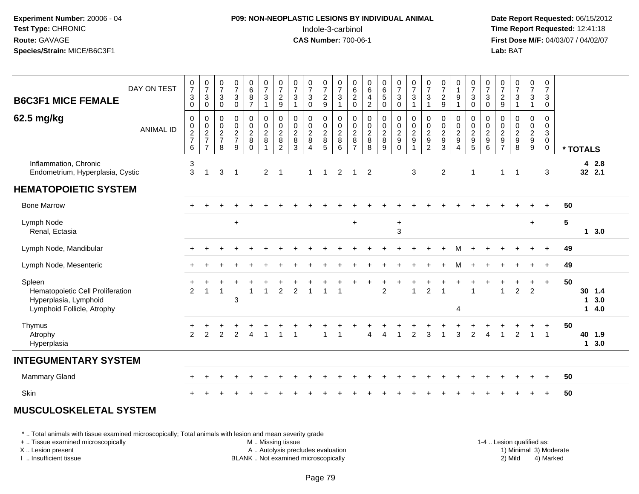### **P09: NON-NEOPLASTIC LESIONS BY INDIVIDUAL ANIMAL**Indole-3-carbinol **Time Report Requested:** 12:41:18

 **Date Report Requested:** 06/15/2012 **First Dose M/F:** 04/03/07 / 04/02/07<br>**Lab:** BAT **Lab:** BAT

| DAY ON TEST<br><b>B6C3F1 MICE FEMALE</b>                                                          | $\ensuremath{\mathsf{3}}$<br>$\mathbf 0$                       | $\frac{0}{7}$<br>$\frac{0}{7}$<br>$\frac{3}{0}$ | $\frac{0}{7}$<br>$\mathbf{3}$<br>$\mathbf 0$                  | $\begin{array}{c} 0 \\ 7 \end{array}$<br>$\mathfrak{Z}$<br>$\mathbf 0$ | $_6^0$<br>$\frac{8}{7}$                                 | $\begin{smallmatrix}0\\7\end{smallmatrix}$<br>$\sqrt{3}$<br>$\overline{1}$ | $\frac{0}{7}$<br>$\frac{2}{9}$                                      | $\frac{0}{7}$<br>$\sqrt{3}$<br>$\overline{1}$            | $\frac{0}{7}$<br>$\mathbf 3$<br>$\mathbf 0$                           | $\frac{0}{7}$<br>$\frac{2}{9}$       | $\frac{0}{7}$<br>$\mathbf{3}$<br>$\mathbf{1}$                 | $\begin{array}{c} 0 \\ 6 \end{array}$<br>$\frac{2}{0}$                  | $\begin{array}{c} 0 \\ 6 \\ 4 \end{array}$<br>$\overline{2}$ | 0<br>6<br>5<br>0                                                    | $\frac{0}{7}$<br>$_{0}^{3}$                                                        | $\frac{0}{7}$<br>$\frac{3}{1}$ | $\frac{0}{7}$<br>$\sqrt{3}$<br>$\overline{1}$                                    | $\frac{0}{7}$<br>$\frac{2}{9}$                                      | 0<br>$\mathbf{1}$<br>9<br>1                                                       | $\frac{0}{7}$<br>$\frac{3}{0}$  | $\frac{0}{7}$<br>$\mathbf{3}$<br>$\mathbf 0$                                | $\frac{0}{7}$<br>$\frac{2}{9}$            | $\begin{smallmatrix}0\\7\end{smallmatrix}$<br>$\frac{3}{1}$ | $\frac{0}{7}$<br>$\ensuremath{\mathsf{3}}$<br>$\overline{1}$    | 0<br>$\overline{7}$<br>$\mathbf{3}$<br>$\mathbf 0$                                       |    |                                               |            |
|---------------------------------------------------------------------------------------------------|----------------------------------------------------------------|-------------------------------------------------|---------------------------------------------------------------|------------------------------------------------------------------------|---------------------------------------------------------|----------------------------------------------------------------------------|---------------------------------------------------------------------|----------------------------------------------------------|-----------------------------------------------------------------------|--------------------------------------|---------------------------------------------------------------|-------------------------------------------------------------------------|--------------------------------------------------------------|---------------------------------------------------------------------|------------------------------------------------------------------------------------|--------------------------------|----------------------------------------------------------------------------------|---------------------------------------------------------------------|-----------------------------------------------------------------------------------|---------------------------------|-----------------------------------------------------------------------------|-------------------------------------------|-------------------------------------------------------------|-----------------------------------------------------------------|------------------------------------------------------------------------------------------|----|-----------------------------------------------|------------|
| 62.5 mg/kg<br><b>ANIMAL ID</b>                                                                    | $\mathbf 0$<br>$\begin{array}{c} 0 \\ 2 \\ 7 \end{array}$<br>6 | $\pmb{0}$<br>$\frac{0}{2}$<br>$\overline{7}$    | $\mathbf 0$<br>$\pmb{0}$<br>$\sqrt{2}$<br>$\overline{7}$<br>8 | $\mathbf 0$<br>$\pmb{0}$<br>$\overline{2}$<br>$\overline{7}$<br>9      | 0<br>$\pmb{0}$<br>$\overline{c}$<br>$\bf 8$<br>$\Omega$ | $\pmb{0}$<br>$\frac{0}{2}$<br>8                                            | $\pmb{0}$<br>$\ddot{\mathbf{0}}$<br>$\frac{2}{8}$<br>$\overline{c}$ | $\mathbf 0$<br>$\mathbf 0$<br>$\sqrt{2}$<br>$\bf 8$<br>3 | $\boldsymbol{0}$<br>$\frac{0}{2}$<br>$\, 8$<br>$\boldsymbol{\Lambda}$ | 0<br>0<br>$\sqrt{2}$<br>$\bf 8$<br>5 | $\pmb{0}$<br>$\overline{0}$<br>$\overline{c}$<br>$\,8\,$<br>6 | $\mathbf 0$<br>$\pmb{0}$<br>$\overline{2}$<br>$\bf 8$<br>$\overline{7}$ | $\pmb{0}$<br>$\frac{0}{2}$<br>$\bf 8$<br>8                   | $\boldsymbol{0}$<br>$\begin{array}{c} 0 \\ 2 \\ 8 \end{array}$<br>9 | $\overline{0}$<br>$\mathbf 0$<br>$\overline{c}$<br>$\boldsymbol{9}$<br>$\mathbf 0$ | 00029<br>$\overline{1}$        | $\mathbf 0$<br>$\pmb{0}$<br>$\overline{2}$<br>$\boldsymbol{9}$<br>$\overline{2}$ | $\mathbf 0$<br>$\pmb{0}$<br>$\overline{2}$<br>$\boldsymbol{9}$<br>3 | 0<br>$\mathbf 0$<br>$\overline{2}$<br>$\boldsymbol{9}$<br>$\overline{\mathbf{4}}$ | $\pmb{0}$<br>$\frac{0}{2}$<br>5 | $\pmb{0}$<br>$\ddot{\mathbf{0}}$<br>$\overline{c}$<br>$\boldsymbol{9}$<br>6 | 0<br>0<br>$\frac{2}{9}$<br>$\overline{7}$ | $\mathbf 0$<br>$\frac{0}{2}$<br>$\bf8$                      | $\mathbf 0$<br>$\mathbf 0$<br>$\frac{2}{9}$<br>$\boldsymbol{9}$ | $\mathbf 0$<br>$\mathbf 0$<br>$\ensuremath{\mathsf{3}}$<br>$\overline{0}$<br>$\mathbf 0$ |    | * TOTALS                                      |            |
| Inflammation, Chronic<br>Endometrium, Hyperplasia, Cystic                                         | 3                                                              | $\mathbf{3}$<br>$\overline{1}$                  | 3                                                             | $\overline{1}$                                                         |                                                         | $2^{\circ}$                                                                | $\overline{1}$                                                      |                                                          | $\overline{1}$                                                        | $\overline{1}$                       | $\overline{2}$                                                | $\mathbf{1}$                                                            | $\overline{2}$                                               |                                                                     |                                                                                    | 3                              |                                                                                  | $\overline{2}$                                                      |                                                                                   | -1                              |                                                                             | $\mathbf{1}$                              | $\overline{\phantom{0}}$                                    |                                                                 | 3                                                                                        |    | 4 2.8<br>32 2.1                               |            |
| <b>HEMATOPOIETIC SYSTEM</b>                                                                       |                                                                |                                                 |                                                               |                                                                        |                                                         |                                                                            |                                                                     |                                                          |                                                                       |                                      |                                                               |                                                                         |                                                              |                                                                     |                                                                                    |                                |                                                                                  |                                                                     |                                                                                   |                                 |                                                                             |                                           |                                                             |                                                                 |                                                                                          |    |                                               |            |
| <b>Bone Marrow</b>                                                                                |                                                                |                                                 |                                                               |                                                                        |                                                         |                                                                            |                                                                     |                                                          |                                                                       |                                      |                                                               |                                                                         |                                                              |                                                                     |                                                                                    |                                |                                                                                  |                                                                     |                                                                                   |                                 |                                                                             |                                           |                                                             |                                                                 |                                                                                          | 50 |                                               |            |
| Lymph Node<br>Renal, Ectasia                                                                      |                                                                |                                                 |                                                               | $+$                                                                    |                                                         |                                                                            |                                                                     |                                                          |                                                                       |                                      |                                                               | $\ddot{}$                                                               |                                                              |                                                                     | $\ddot{}$<br>3                                                                     |                                |                                                                                  |                                                                     |                                                                                   |                                 |                                                                             |                                           |                                                             | $+$                                                             |                                                                                          | 5  | 13.0                                          |            |
| Lymph Node, Mandibular                                                                            |                                                                |                                                 |                                                               |                                                                        |                                                         |                                                                            |                                                                     |                                                          |                                                                       |                                      |                                                               |                                                                         |                                                              |                                                                     |                                                                                    |                                |                                                                                  |                                                                     | м                                                                                 |                                 |                                                                             |                                           |                                                             |                                                                 |                                                                                          | 49 |                                               |            |
| Lymph Node, Mesenteric                                                                            |                                                                |                                                 |                                                               |                                                                        |                                                         |                                                                            |                                                                     |                                                          |                                                                       |                                      |                                                               |                                                                         |                                                              |                                                                     |                                                                                    |                                |                                                                                  |                                                                     | M                                                                                 |                                 |                                                                             |                                           |                                                             |                                                                 |                                                                                          | 49 |                                               |            |
| Spleen<br>Hematopoietic Cell Proliferation<br>Hyperplasia, Lymphoid<br>Lymphoid Follicle, Atrophy | 2                                                              | $\overline{1}$                                  | 1                                                             | 3                                                                      | $\overline{1}$                                          |                                                                            | $\overline{2}$                                                      | $\overline{2}$                                           | 1                                                                     |                                      |                                                               |                                                                         |                                                              | $\overline{2}$                                                      |                                                                                    | $\overline{1}$                 | $\overline{c}$                                                                   |                                                                     | 4                                                                                 |                                 |                                                                             |                                           | $\overline{2}$                                              | +<br>$\overline{2}$                                             | $+$                                                                                      | 50 | 30 1.4<br>$\blacktriangleleft$<br>$\mathbf 1$ | 3.0<br>4.0 |
| Thymus<br>Atrophy<br>Hyperplasia                                                                  | $\mathfrak{p}$                                                 | 2                                               | $\overline{2}$                                                | $\mathfrak{p}$                                                         | $\boldsymbol{\Lambda}$                                  |                                                                            |                                                                     |                                                          |                                                                       |                                      |                                                               |                                                                         |                                                              | $\boldsymbol{\Lambda}$                                              |                                                                                    | 2                              | 3                                                                                |                                                                     | 3                                                                                 | 2                               | $\boldsymbol{\varDelta}$                                                    |                                           | $\mathcal{P}$                                               | -1                                                              | $\overline{1}$                                                                           | 50 | 40 1.9<br>$\overline{1}$                      | 3.0        |
| <b>INTEGUMENTARY SYSTEM</b>                                                                       |                                                                |                                                 |                                                               |                                                                        |                                                         |                                                                            |                                                                     |                                                          |                                                                       |                                      |                                                               |                                                                         |                                                              |                                                                     |                                                                                    |                                |                                                                                  |                                                                     |                                                                                   |                                 |                                                                             |                                           |                                                             |                                                                 |                                                                                          |    |                                               |            |
| <b>Mammary Gland</b>                                                                              |                                                                |                                                 |                                                               |                                                                        |                                                         |                                                                            |                                                                     |                                                          |                                                                       |                                      |                                                               |                                                                         |                                                              |                                                                     |                                                                                    |                                |                                                                                  |                                                                     |                                                                                   |                                 |                                                                             |                                           |                                                             |                                                                 | $\ddot{}$                                                                                | 50 |                                               |            |
| Skin                                                                                              |                                                                |                                                 |                                                               |                                                                        |                                                         |                                                                            |                                                                     |                                                          |                                                                       |                                      |                                                               |                                                                         |                                                              |                                                                     |                                                                                    |                                |                                                                                  |                                                                     |                                                                                   |                                 |                                                                             |                                           |                                                             |                                                                 |                                                                                          | 50 |                                               |            |

#### **MUSCULOSKELETAL SYSTEM**

\* .. Total animals with tissue examined microscopically; Total animals with lesion and mean severity grade

+ .. Tissue examined microscopically

X .. Lesion present

I .. Insufficient tissue

M .. Missing tissue

A .. Autolysis precludes evaluation

BLANK .. Not examined microscopically 2) Mild 4) Marked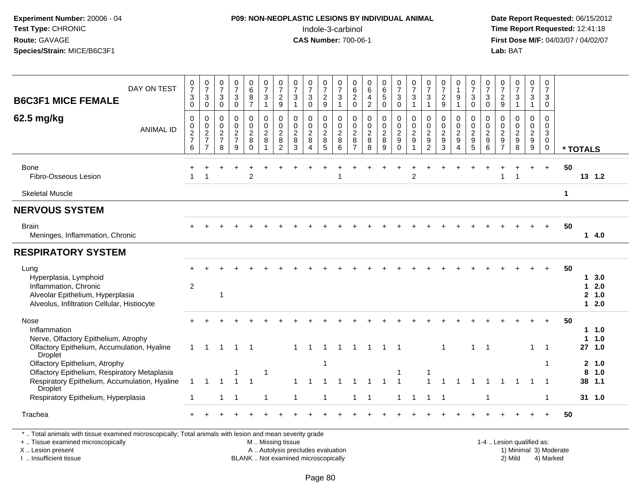# **P09: NON-NEOPLASTIC LESIONS BY INDIVIDUAL ANIMAL**Indole-3-carbinol **Time Report Requested:** 12:41:18

 **Date Report Requested:** 06/15/2012 **First Dose M/F:** 04/03/07 / 04/02/07<br>Lab: BAT **Lab:** BAT

| DAY ON TEST<br><b>B6C3F1 MICE FEMALE</b>                                                                                                  | 0<br>$\overline{7}$<br>$\ensuremath{\mathsf{3}}$              | $\frac{0}{7}$<br>$\ensuremath{\mathsf{3}}$               | $\frac{0}{7}$<br>$\sqrt{3}$                             | $\frac{0}{7}$<br>$\ensuremath{\mathsf{3}}$                  | 0<br>$6\overline{6}$<br>$\, 8$                          | 0<br>$\overline{7}$<br>$\ensuremath{\mathsf{3}}$                      | 0<br>$\overline{7}$<br>$\sqrt{2}$                               | $\frac{0}{7}$<br>$\ensuremath{\mathsf{3}}$     | $\frac{0}{7}$<br>$\mathbf{3}$                   | 0<br>$\boldsymbol{7}$                      | 0<br>$\overline{7}$<br>$\sqrt{3}$                           | 0<br>$\,6\,$<br>$\sqrt{2}$                                  | 0<br>$\,6\,$<br>$\overline{\mathbf{4}}$                     | 0<br>$6\overline{6}$<br>$\sqrt{5}$                   | $\frac{0}{7}$<br>$\mathbf{3}$                                         | 0<br>$\overline{7}$<br>$\sqrt{3}$                            | $\frac{0}{7}$<br>$\ensuremath{\mathsf{3}}$                                 | $\frac{0}{7}$<br>$\sqrt{2}$                              | 0<br>$\mathbf{1}$<br>9                                      | 0<br>$\overline{7}$<br>$\ensuremath{\mathsf{3}}$  | $\frac{0}{7}$<br>$\mathbf{3}$                              | 0<br>$\overline{7}$<br>$\sqrt{2}$                                              | $\frac{0}{7}$<br>$\ensuremath{\mathsf{3}}$                      | 0<br>$\overline{7}$<br>$\ensuremath{\mathsf{3}}$                | 0<br>$\overline{7}$<br>$\mathbf{3}$                      |          |               |                            |
|-------------------------------------------------------------------------------------------------------------------------------------------|---------------------------------------------------------------|----------------------------------------------------------|---------------------------------------------------------|-------------------------------------------------------------|---------------------------------------------------------|-----------------------------------------------------------------------|-----------------------------------------------------------------|------------------------------------------------|-------------------------------------------------|--------------------------------------------|-------------------------------------------------------------|-------------------------------------------------------------|-------------------------------------------------------------|------------------------------------------------------|-----------------------------------------------------------------------|--------------------------------------------------------------|----------------------------------------------------------------------------|----------------------------------------------------------|-------------------------------------------------------------|---------------------------------------------------|------------------------------------------------------------|--------------------------------------------------------------------------------|-----------------------------------------------------------------|-----------------------------------------------------------------|----------------------------------------------------------|----------|---------------|----------------------------|
|                                                                                                                                           | $\mathbf 0$                                                   | $\mathbf 0$                                              | $\mathbf 0$                                             | $\pmb{0}$                                                   | $\overline{7}$                                          | $\mathbf{1}$                                                          | $9\,$                                                           | $\mathbf{1}$                                   | $\mathbf 0$                                     | $\frac{2}{9}$                              | $\mathbf{1}$                                                | $\pmb{0}$                                                   | $\overline{2}$                                              | $\mathsf 0$                                          | $\mathsf 0$                                                           | $\mathbf{1}$                                                 | $\mathbf{1}$                                                               | 9                                                        | $\mathbf{1}$                                                | $\mathsf{O}\xspace$                               | $\mathbf 0$                                                | 9                                                                              | $\mathbf{1}$                                                    | $\mathbf{1}$                                                    | 0                                                        |          |               |                            |
| 62.5 mg/kg<br><b>ANIMAL ID</b>                                                                                                            | $\mathbf 0$<br>$\pmb{0}$<br>$\sqrt{2}$<br>$\overline{7}$<br>6 | $\mathbf 0$<br>$\pmb{0}$<br>$\sqrt{2}$<br>$\overline{7}$ | 0<br>$\pmb{0}$<br>$\overline{c}$<br>$\overline{7}$<br>8 | $\pmb{0}$<br>$\pmb{0}$<br>$\sqrt{2}$<br>$\overline{7}$<br>9 | $\mathbf 0$<br>$\pmb{0}$<br>$\sqrt{2}$<br>8<br>$\Omega$ | $\pmb{0}$<br>$\pmb{0}$<br>$\overline{c}$<br>$\,8\,$<br>$\overline{1}$ | $\mathbf 0$<br>$\mathbf 0$<br>$\sqrt{2}$<br>8<br>$\overline{2}$ | $\mathsf{O}\xspace$<br>$\frac{0}{2}$<br>8<br>3 | $\mathbf 0$<br>$\pmb{0}$<br>$\overline{c}$<br>8 | 0<br>$\pmb{0}$<br>$\overline{c}$<br>8<br>5 | $\boldsymbol{0}$<br>$\mathbf 0$<br>$\overline{c}$<br>8<br>6 | 0<br>$\mathsf 0$<br>$\boldsymbol{2}$<br>8<br>$\overline{7}$ | $\mathbf 0$<br>$\pmb{0}$<br>$\boldsymbol{2}$<br>$\, 8$<br>8 | $\mathbf 0$<br>$\pmb{0}$<br>$\overline{c}$<br>8<br>9 | $\mathsf 0$<br>$\mathsf{O}\xspace$<br>$\overline{c}$<br>9<br>$\Omega$ | $\pmb{0}$<br>$\pmb{0}$<br>$\overline{c}$<br>$\boldsymbol{9}$ | $\pmb{0}$<br>$\pmb{0}$<br>$\sqrt{2}$<br>$\boldsymbol{9}$<br>$\overline{2}$ | $\mathbf 0$<br>$\mathbf 0$<br>$\boldsymbol{2}$<br>9<br>3 | 0<br>$\mathbf 0$<br>$\overline{c}$<br>$\boldsymbol{9}$<br>Δ | $\,0\,$<br>$\frac{0}{2}$<br>$\boldsymbol{9}$<br>5 | $\mathbf 0$<br>$\mathbf 0$<br>$\overline{c}$<br>$9\,$<br>6 | $\mathbf 0$<br>$\mathbf 0$<br>$\sqrt{2}$<br>$\boldsymbol{9}$<br>$\overline{7}$ | $\mathbf 0$<br>$\pmb{0}$<br>$\sqrt{2}$<br>$\boldsymbol{9}$<br>8 | 0<br>$\mathsf{O}\xspace$<br>$\sqrt{2}$<br>$\boldsymbol{9}$<br>9 | $\Omega$<br>$\pmb{0}$<br>3<br>$\mathbf 0$<br>$\mathbf 0$ | * TOTALS |               |                            |
| Bone<br>Fibro-Osseous Lesion                                                                                                              |                                                               |                                                          |                                                         | $\ddot{}$                                                   | $\overline{2}$                                          |                                                                       |                                                                 |                                                |                                                 |                                            |                                                             |                                                             |                                                             |                                                      | ÷                                                                     | $\overline{1}$<br>$\overline{2}$                             |                                                                            |                                                          |                                                             |                                                   | $\div$                                                     |                                                                                | $\overline{1}$                                                  | $\ddot{}$                                                       | $+$                                                      | 50       |               | 13 1.2                     |
| <b>Skeletal Muscle</b>                                                                                                                    |                                                               |                                                          |                                                         |                                                             |                                                         |                                                                       |                                                                 |                                                |                                                 |                                            |                                                             |                                                             |                                                             |                                                      |                                                                       |                                                              |                                                                            |                                                          |                                                             |                                                   |                                                            |                                                                                |                                                                 |                                                                 |                                                          | 1        |               |                            |
| <b>NERVOUS SYSTEM</b>                                                                                                                     |                                                               |                                                          |                                                         |                                                             |                                                         |                                                                       |                                                                 |                                                |                                                 |                                            |                                                             |                                                             |                                                             |                                                      |                                                                       |                                                              |                                                                            |                                                          |                                                             |                                                   |                                                            |                                                                                |                                                                 |                                                                 |                                                          |          |               |                            |
| <b>Brain</b><br>Meninges, Inflammation, Chronic                                                                                           |                                                               |                                                          |                                                         |                                                             |                                                         |                                                                       |                                                                 |                                                |                                                 |                                            |                                                             |                                                             |                                                             |                                                      |                                                                       |                                                              |                                                                            |                                                          |                                                             |                                                   |                                                            |                                                                                |                                                                 |                                                                 | $\ddot{}$                                                | 50       |               | 14.0                       |
| <b>RESPIRATORY SYSTEM</b>                                                                                                                 |                                                               |                                                          |                                                         |                                                             |                                                         |                                                                       |                                                                 |                                                |                                                 |                                            |                                                             |                                                             |                                                             |                                                      |                                                                       |                                                              |                                                                            |                                                          |                                                             |                                                   |                                                            |                                                                                |                                                                 |                                                                 |                                                          |          |               |                            |
| Lung<br>Hyperplasia, Lymphoid<br>Inflammation, Chronic<br>Alveolar Epithelium, Hyperplasia<br>Alveolus, Infiltration Cellular, Histiocyte | $\overline{c}$                                                |                                                          | $\mathbf 1$                                             |                                                             |                                                         |                                                                       |                                                                 |                                                |                                                 |                                            |                                                             |                                                             |                                                             |                                                      |                                                                       |                                                              |                                                                            |                                                          |                                                             |                                                   |                                                            |                                                                                |                                                                 |                                                                 |                                                          | 50       | 1.<br>1<br>1. | 3.0<br>2.0<br>2 1.0<br>2.0 |
| Nose<br>Inflammation<br>Nerve, Olfactory Epithelium, Atrophy<br>Olfactory Epithelium, Accumulation, Hyaline                               | $\mathbf{1}$                                                  | $1 \quad$                                                | $\mathbf{1}$                                            | $\overline{1}$                                              | $\overline{\phantom{0}}$ 1                              |                                                                       |                                                                 | $\mathbf{1}$                                   | $\overline{1}$                                  | $\blacktriangleleft$                       | $\overline{1}$                                              |                                                             | $1 \quad 1$                                                 | $1 \quad 1$                                          |                                                                       |                                                              |                                                                            | $\overline{1}$                                           |                                                             | 1                                                 | $\overline{1}$                                             |                                                                                |                                                                 | $\mathbf{1}$                                                    | $\overline{1}$                                           | 50       | 1             | 11.0<br>1.0<br>27, 1.0     |
| Droplet<br>Olfactory Epithelium, Atrophy<br>Olfactory Epithelium, Respiratory Metaplasia<br>Respiratory Epithelium, Accumulation, Hyaline | 1                                                             | $\mathbf{1}$                                             |                                                         |                                                             |                                                         |                                                                       |                                                                 | 1                                              |                                                 |                                            |                                                             |                                                             | -1                                                          | $\mathbf 1$                                          |                                                                       |                                                              |                                                                            |                                                          |                                                             |                                                   |                                                            |                                                                                |                                                                 |                                                                 | -1                                                       |          | 8             | 2, 1.0<br>1.0<br>38 1.1    |
| <b>Droplet</b><br>Respiratory Epithelium, Hyperplasia                                                                                     | $\blacktriangleleft$                                          |                                                          | 1                                                       |                                                             |                                                         | $\overline{1}$                                                        |                                                                 | 1                                              |                                                 |                                            |                                                             | 1                                                           | -1                                                          |                                                      | $\mathbf{1}$                                                          |                                                              |                                                                            | -1                                                       |                                                             |                                                   | -1                                                         |                                                                                |                                                                 |                                                                 | -1                                                       |          |               | 31, 1.0                    |
| Trachea                                                                                                                                   |                                                               |                                                          |                                                         |                                                             |                                                         |                                                                       |                                                                 |                                                |                                                 |                                            |                                                             |                                                             |                                                             |                                                      |                                                                       |                                                              |                                                                            |                                                          |                                                             |                                                   |                                                            |                                                                                |                                                                 |                                                                 |                                                          | 50       |               |                            |

+ .. Tissue examined microscopically

X .. Lesion present

I .. Insufficient tissue

 M .. Missing tissueA .. Autolysis precludes evaluation 1999 (1999) 1999 (1999) 1999 (1999) 1999 (1999) Minimal 3) Minimal 3) Minimal 3) Minimal 3) Mild

BLANK .. Not examined microscopically 2) Mild 4) Marked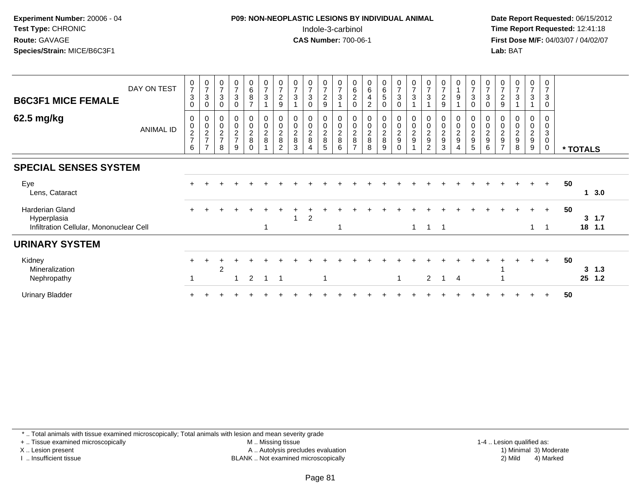### **P09: NON-NEOPLASTIC LESIONS BY INDIVIDUAL ANIMAL**Indole-3-carbinol **Time Report Requested:** 12:41:18

 **Date Report Requested:** 06/15/2012 **First Dose M/F:** 04/03/07 / 04/02/07<br>Lab: BAT **Lab:** BAT

| <b>B6C3F1 MICE FEMALE</b><br>62.5 mg/kg                                   | DAY ON TEST      | $\frac{0}{7}$<br>$\ensuremath{\mathsf{3}}$<br>0<br>0 | $\frac{0}{7}$<br>$\sqrt{3}$<br>$\boldsymbol{0}$<br>0 | $\frac{0}{7}$<br>$\mathbf{3}$<br>0<br>0 | $\frac{0}{7}$<br>3<br>$\mathbf 0$<br>0 | $_6^0$<br>$\overline{8}$<br>$\overline{ }$<br>0 | $\frac{0}{7}$<br>$\mathsf 3$<br>$\pmb{0}$ | $\frac{0}{7}$<br>$\overline{c}$<br>$\boldsymbol{9}$<br>0     | $\frac{0}{7}$<br>$\mathbf{3}$ | $\frac{0}{7}$<br>$\sqrt{3}$<br>$\mathbf 0$<br>0 | $\frac{0}{7}$<br>$\overline{a}$<br>9<br>0 | $\frac{0}{7}$<br>$\mathbf{3}$<br>$\boldsymbol{0}$ | $\begin{array}{c} 0 \\ 6 \\ 2 \end{array}$<br>$\mathsf{O}\xspace$<br>0 | $\begin{matrix} 0 \\ 6 \end{matrix}$<br>$\overline{\mathbf{4}}$<br>$\boldsymbol{2}$ | $\begin{array}{c} 0 \\ 6 \\ 5 \end{array}$<br>$\mathbf 0$<br>0 | $\begin{smallmatrix}0\\7\end{smallmatrix}$<br>3<br>0<br>0 | $\begin{smallmatrix}0\\7\end{smallmatrix}$<br>3<br>$\boldsymbol{0}$ | $\frac{0}{7}$<br>$\mathbf{3}$   | $\frac{0}{7}$<br>$\boldsymbol{2}$<br>9 | 0<br>$\boldsymbol{9}$<br>0 | $\frac{0}{7}$<br>$\sqrt{3}$<br>$\mathbf 0$<br>0 | $\frac{0}{7}$<br>$\sqrt{3}$<br>$\mathbf 0$<br>0 | $\frac{0}{7}$<br>$\overline{c}$<br>9<br>0                           | $\frac{0}{7}$<br>3                              | $\frac{0}{7}$<br>$\mathbf{3}$<br>0 | 0<br>$\overline{7}$<br>3<br>0<br>0 |    |          |                  |  |
|---------------------------------------------------------------------------|------------------|------------------------------------------------------|------------------------------------------------------|-----------------------------------------|----------------------------------------|-------------------------------------------------|-------------------------------------------|--------------------------------------------------------------|-------------------------------|-------------------------------------------------|-------------------------------------------|---------------------------------------------------|------------------------------------------------------------------------|-------------------------------------------------------------------------------------|----------------------------------------------------------------|-----------------------------------------------------------|---------------------------------------------------------------------|---------------------------------|----------------------------------------|----------------------------|-------------------------------------------------|-------------------------------------------------|---------------------------------------------------------------------|-------------------------------------------------|------------------------------------|------------------------------------|----|----------|------------------|--|
|                                                                           | <b>ANIMAL ID</b> | $\begin{array}{c} 0 \\ 2 \\ 7 \end{array}$<br>6      | $\frac{0}{2}$<br>$\overline{ }$                      | $\frac{0}{2}$<br>8                      | $\frac{0}{2}$<br>$\overline{7}$<br>9   | $\frac{0}{2}$                                   | $\frac{0}{2}$                             | $\begin{array}{c} 0 \\ 2 \\ 8 \end{array}$<br>$\mathfrak{p}$ | 00028<br>3                    | $\frac{0}{2}$<br>$\boldsymbol{\Lambda}$         | $\frac{0}{2}$<br>5                        | $\frac{0}{2}$<br>6                                | $\frac{0}{2}$<br>$\overline{ }$                                        | $\frac{0}{2}$<br>8                                                                  | $\frac{0}{2}$<br>9                                             | $\frac{0}{2}$<br>0                                        | $\frac{0}{2}$<br>$\boldsymbol{9}$                                   | $\frac{0}{2}$<br>$\overline{2}$ | $\frac{0}{2}$<br>3                     | $\frac{0}{2}$              | $\frac{0}{2}$<br>5                              | $\frac{0}{2}$<br>6                              | $\mathbf 0$<br>$\overline{c}$<br>$\boldsymbol{9}$<br>$\overline{ }$ | $\begin{array}{c} 0 \\ 2 \\ 9 \end{array}$<br>8 | $\frac{0}{2}$<br>9                 | 0<br>3<br>0<br>$\mathbf 0$         |    | * TOTALS |                  |  |
| <b>SPECIAL SENSES SYSTEM</b>                                              |                  |                                                      |                                                      |                                         |                                        |                                                 |                                           |                                                              |                               |                                                 |                                           |                                                   |                                                                        |                                                                                     |                                                                |                                                           |                                                                     |                                 |                                        |                            |                                                 |                                                 |                                                                     |                                                 |                                    |                                    |    |          |                  |  |
| Eye<br>Lens, Cataract                                                     |                  |                                                      |                                                      |                                         |                                        |                                                 |                                           |                                                              |                               |                                                 |                                           |                                                   |                                                                        |                                                                                     |                                                                |                                                           |                                                                     |                                 |                                        |                            |                                                 |                                                 |                                                                     |                                                 | $+$                                | $+$                                | 50 |          | 13.0             |  |
| Harderian Gland<br>Hyperplasia<br>Infiltration Cellular, Mononuclear Cell |                  | $+$                                                  |                                                      |                                         |                                        |                                                 |                                           |                                                              |                               | $\overline{2}$                                  |                                           |                                                   |                                                                        |                                                                                     |                                                                |                                                           | $\mathbf{1}$                                                        | $\overline{1}$                  | $\overline{1}$                         |                            |                                                 |                                                 |                                                                     |                                                 | $\div$<br>$\mathbf{1}$             | $+$                                | 50 | 3        | 1.7<br>18 1.1    |  |
| <b>URINARY SYSTEM</b>                                                     |                  |                                                      |                                                      |                                         |                                        |                                                 |                                           |                                                              |                               |                                                 |                                           |                                                   |                                                                        |                                                                                     |                                                                |                                                           |                                                                     |                                 |                                        |                            |                                                 |                                                 |                                                                     |                                                 |                                    |                                    |    |          |                  |  |
| Kidney<br>Mineralization<br>Nephropathy                                   |                  |                                                      |                                                      | 2                                       | 1                                      | 2                                               |                                           |                                                              |                               |                                                 |                                           |                                                   |                                                                        |                                                                                     |                                                                | 1                                                         |                                                                     | 2                               |                                        | $\overline{4}$             |                                                 |                                                 |                                                                     |                                                 |                                    | $+$                                | 50 | 25       | $3 \t1.3$<br>1.2 |  |
| <b>Urinary Bladder</b>                                                    |                  |                                                      |                                                      |                                         |                                        |                                                 |                                           |                                                              |                               |                                                 |                                           |                                                   |                                                                        |                                                                                     |                                                                |                                                           |                                                                     |                                 |                                        |                            |                                                 |                                                 |                                                                     |                                                 |                                    |                                    | 50 |          |                  |  |

\* .. Total animals with tissue examined microscopically; Total animals with lesion and mean severity grade

+ .. Tissue examined microscopically

X .. Lesion present

I .. Insufficient tissue

 M .. Missing tissueA .. Autolysis precludes evaluation

 1-4 .. Lesion qualified as: BLANK .. Not examined microscopically 2) Mild 4) Marked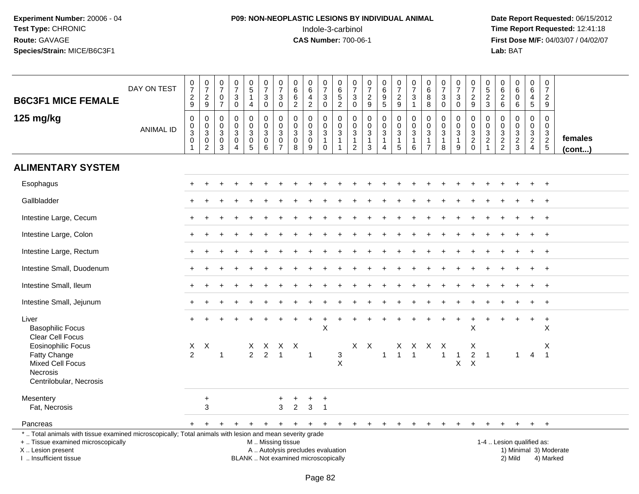# **P09: NON-NEOPLASTIC LESIONS BY INDIVIDUAL ANIMAL**Indole-3-carbinol **Time Report Requested:** 12:41:18

 **Date Report Requested:** 06/15/2012 **First Dose M/F:** 04/03/07 / 04/02/07<br>Lab: BAT **Lab:** BAT

| <b>B6C3F1 MICE FEMALE</b>                                                                                                                                                                     | DAY ON TEST      | $\begin{smallmatrix}0\\7\end{smallmatrix}$<br>$\boldsymbol{2}$<br>9 | $\frac{0}{7}$<br>$\frac{2}{9}$                            | $\frac{0}{7}$<br>$\mathbf 0$<br>$\overline{7}$ | $\frac{0}{7}$<br>$\ensuremath{\mathsf{3}}$<br>$\mathbf 0$ | $\begin{array}{c} 0 \\ 5 \end{array}$<br>4                           | $\frac{0}{7}$<br>$\sqrt{3}$<br>$\mathbf 0$                               | 0<br>$\overline{7}$<br>3<br>$\mathbf 0$             | $\mathsf 0$<br>6<br>$6\phantom{1}6$<br>$\overline{2}$                    | $\pmb{0}$<br>6<br>4<br>$\overline{2}$     | $\frac{0}{7}$<br>$\mathbf{3}$<br>$\mathbf 0$                    | $\boldsymbol{0}$<br>$6\phantom{a}$<br>$\overline{5}$<br>$\overline{2}$ | 0<br>$\overline{7}$<br>$\mathbf{3}$<br>$\mathsf{O}\xspace$                  | $\frac{0}{7}$<br>$\sqrt{2}$<br>9                                         | $\begin{array}{c} 0 \\ 6 \end{array}$<br>$\boldsymbol{9}$<br>$\sqrt{5}$ | $\begin{array}{c} 0 \\ 7 \end{array}$<br>$\overline{c}$<br>9       | $\frac{0}{7}$<br>3<br>$\mathbf{1}$                       | $\pmb{0}$<br>6<br>8<br>8                                                     | $\frac{0}{7}$<br>3<br>$\mathbf 0$ | $\begin{array}{c} 0 \\ 7 \end{array}$<br>3<br>0 | $\frac{0}{7}$<br>$\sqrt{2}$<br>$9\,$                              | $\pmb{0}$<br>$\sqrt{5}$<br>$\overline{2}$<br>3   | $\pmb{0}$<br>$\,6\,$<br>$\overline{c}$<br>$\,6\,$ | 0<br>$6\phantom{1}6$<br>$\mathsf 0$<br>6 | $\boldsymbol{0}$<br>6<br>$\overline{a}$<br>$\sqrt{5}$              | 0<br>$\overline{7}$<br>$\overline{c}$<br>9    |                        |
|-----------------------------------------------------------------------------------------------------------------------------------------------------------------------------------------------|------------------|---------------------------------------------------------------------|-----------------------------------------------------------|------------------------------------------------|-----------------------------------------------------------|----------------------------------------------------------------------|--------------------------------------------------------------------------|-----------------------------------------------------|--------------------------------------------------------------------------|-------------------------------------------|-----------------------------------------------------------------|------------------------------------------------------------------------|-----------------------------------------------------------------------------|--------------------------------------------------------------------------|-------------------------------------------------------------------------|--------------------------------------------------------------------|----------------------------------------------------------|------------------------------------------------------------------------------|-----------------------------------|-------------------------------------------------|-------------------------------------------------------------------|--------------------------------------------------|---------------------------------------------------|------------------------------------------|--------------------------------------------------------------------|-----------------------------------------------|------------------------|
| 125 mg/kg                                                                                                                                                                                     | <b>ANIMAL ID</b> | 0<br>0<br>3<br>0<br>$\overline{1}$                                  | 0<br>$\pmb{0}$<br>$\mathbf{3}$<br>$\pmb{0}$<br>$\sqrt{2}$ | 0<br>$\mathbf 0$<br>3<br>0<br>$\mathbf{3}$     | 0<br>$\mathbf 0$<br>3<br>$\pmb{0}$<br>$\overline{4}$      | $\mathbf 0$<br>$\overline{0}$<br>3<br>$\mathbf 0$<br>$5\phantom{.0}$ | $\mathbf 0$<br>$\mathbf 0$<br>$\sqrt{3}$<br>$\pmb{0}$<br>$6\phantom{1}6$ | $\Omega$<br>$\mathbf 0$<br>3<br>0<br>$\overline{7}$ | $\Omega$<br>$\mathbf 0$<br>3<br>$\mathbf 0$<br>8                         | 0<br>$\mathbf 0$<br>3<br>$\mathbf 0$<br>9 | 0<br>$\mathbf 0$<br>$\mathbf{3}$<br>$\mathbf{1}$<br>$\mathbf 0$ | 0<br>0<br>3<br>$\mathbf{1}$<br>1                                       | $\mathbf 0$<br>$\mathbf 0$<br>$\mathbf{3}$<br>$\mathbf 1$<br>$\overline{c}$ | $\mathbf 0$<br>$\mathbf 0$<br>$\sqrt{3}$<br>$\mathbf{1}$<br>$\mathbf{3}$ | 0<br>$\mathbf 0$<br>3<br>$\mathbf{1}$<br>$\overline{4}$                 | 0<br>$\mathbf 0$<br>$\mathbf{3}$<br>$\mathbf{1}$<br>$\overline{5}$ | $\mathbf 0$<br>$\mathbf 0$<br>$\mathbf{3}$<br>1<br>$\,6$ | $\mathbf 0$<br>$\mathbf 0$<br>$\mathbf{3}$<br>$\mathbf{1}$<br>$\overline{7}$ | 0<br>0<br>3<br>$\mathbf{1}$<br>8  | 0<br>$\mathbf 0$<br>3<br>$\mathbf{1}$<br>9      | 0<br>$\mathbf 0$<br>$\mathbf{3}$<br>$\overline{c}$<br>$\mathbf 0$ | $\Omega$<br>$\mathbf 0$<br>3<br>$\boldsymbol{2}$ | $\mathbf 0$<br>$\Omega$<br>3<br>$\frac{2}{2}$     | 0<br>$\mathbf 0$<br>3<br>$\frac{2}{3}$   | $\Omega$<br>$\mathbf 0$<br>3<br>$\boldsymbol{2}$<br>$\overline{4}$ | $\Omega$<br>$\mathbf 0$<br>3<br>$\frac{2}{5}$ | females<br>(cont)      |
| <b>ALIMENTARY SYSTEM</b>                                                                                                                                                                      |                  |                                                                     |                                                           |                                                |                                                           |                                                                      |                                                                          |                                                     |                                                                          |                                           |                                                                 |                                                                        |                                                                             |                                                                          |                                                                         |                                                                    |                                                          |                                                                              |                                   |                                                 |                                                                   |                                                  |                                                   |                                          |                                                                    |                                               |                        |
| Esophagus                                                                                                                                                                                     |                  |                                                                     |                                                           |                                                |                                                           |                                                                      |                                                                          |                                                     |                                                                          |                                           |                                                                 |                                                                        |                                                                             |                                                                          |                                                                         |                                                                    |                                                          |                                                                              |                                   |                                                 |                                                                   |                                                  |                                                   |                                          |                                                                    | $\ddot{}$                                     |                        |
| Gallbladder                                                                                                                                                                                   |                  |                                                                     |                                                           |                                                |                                                           |                                                                      |                                                                          |                                                     |                                                                          |                                           |                                                                 |                                                                        |                                                                             |                                                                          |                                                                         |                                                                    |                                                          |                                                                              |                                   |                                                 |                                                                   |                                                  |                                                   |                                          |                                                                    | $\overline{ }$                                |                        |
| Intestine Large, Cecum                                                                                                                                                                        |                  |                                                                     |                                                           |                                                |                                                           |                                                                      |                                                                          |                                                     |                                                                          |                                           |                                                                 |                                                                        |                                                                             |                                                                          |                                                                         |                                                                    |                                                          |                                                                              |                                   |                                                 |                                                                   |                                                  |                                                   |                                          |                                                                    | $\overline{+}$                                |                        |
| Intestine Large, Colon                                                                                                                                                                        |                  |                                                                     |                                                           |                                                |                                                           |                                                                      |                                                                          |                                                     |                                                                          |                                           |                                                                 |                                                                        |                                                                             |                                                                          |                                                                         |                                                                    |                                                          |                                                                              |                                   |                                                 |                                                                   |                                                  |                                                   |                                          |                                                                    | $+$                                           |                        |
| Intestine Large, Rectum                                                                                                                                                                       |                  |                                                                     |                                                           |                                                |                                                           |                                                                      |                                                                          |                                                     |                                                                          |                                           |                                                                 |                                                                        |                                                                             |                                                                          |                                                                         |                                                                    |                                                          |                                                                              |                                   |                                                 |                                                                   |                                                  |                                                   |                                          |                                                                    | $\overline{+}$                                |                        |
| Intestine Small, Duodenum                                                                                                                                                                     |                  |                                                                     |                                                           |                                                |                                                           |                                                                      |                                                                          |                                                     |                                                                          |                                           |                                                                 |                                                                        |                                                                             |                                                                          |                                                                         |                                                                    |                                                          |                                                                              |                                   |                                                 |                                                                   |                                                  |                                                   |                                          |                                                                    | $\overline{+}$                                |                        |
| Intestine Small, Ileum                                                                                                                                                                        |                  |                                                                     |                                                           |                                                |                                                           |                                                                      |                                                                          |                                                     |                                                                          |                                           |                                                                 |                                                                        |                                                                             |                                                                          |                                                                         |                                                                    |                                                          |                                                                              |                                   |                                                 |                                                                   |                                                  |                                                   |                                          |                                                                    | $\overline{+}$                                |                        |
| Intestine Small, Jejunum                                                                                                                                                                      |                  |                                                                     |                                                           |                                                |                                                           |                                                                      |                                                                          |                                                     |                                                                          |                                           |                                                                 |                                                                        |                                                                             |                                                                          |                                                                         |                                                                    |                                                          |                                                                              |                                   |                                                 |                                                                   |                                                  |                                                   |                                          |                                                                    | $\ddot{}$                                     |                        |
| Liver<br><b>Basophilic Focus</b><br>Clear Cell Focus                                                                                                                                          |                  |                                                                     |                                                           |                                                |                                                           |                                                                      |                                                                          |                                                     |                                                                          | $\div$                                    | $\ddot{}$<br>X                                                  |                                                                        |                                                                             |                                                                          |                                                                         |                                                                    |                                                          |                                                                              |                                   | $\pm$                                           | $\ddot{}$<br>X                                                    |                                                  |                                                   |                                          | $\pm$                                                              | $+$<br>X                                      |                        |
| <b>Eosinophilic Focus</b><br>Fatty Change<br><b>Mixed Cell Focus</b><br>Necrosis<br>Centrilobular, Necrosis                                                                                   |                  | $\mathsf{X}$<br>2                                                   | $\boldsymbol{X}$                                          | $\mathbf{1}$                                   |                                                           | X.<br>$\overline{2}$                                                 | 2                                                                        | X X X<br>$\overline{1}$                             |                                                                          | $\mathbf{1}$                              |                                                                 | 3<br>$\mathsf{X}$                                                      |                                                                             | $X$ $X$                                                                  | $\overline{1}$                                                          | $\overline{1}$                                                     | X X X X<br>$\mathbf{1}$                                  |                                                                              | $\mathbf{1}$                      | $\mathbf{1}$<br>X                               | х<br>$\overline{c}$<br>$\boldsymbol{\mathsf{X}}$                  | $\overline{1}$                                   |                                                   | $\mathbf{1}$                             | $\overline{4}$                                                     | X<br>$\overline{\phantom{a}}$                 |                        |
| Mesentery<br>Fat, Necrosis                                                                                                                                                                    |                  |                                                                     | $\ddot{}$<br>3                                            |                                                |                                                           |                                                                      |                                                                          | 3                                                   | $\overline{2}$                                                           | $\ddot{}$<br>$\mathbf{3}$                 | $\ddot{}$<br>$\overline{1}$                                     |                                                                        |                                                                             |                                                                          |                                                                         |                                                                    |                                                          |                                                                              |                                   |                                                 |                                                                   |                                                  |                                                   |                                          |                                                                    |                                               |                        |
| Pancreas                                                                                                                                                                                      |                  |                                                                     | $\ddot{}$                                                 | $+$                                            | $\ddot{}$                                                 | $\ddot{}$                                                            | $\pm$                                                                    | $\ddot{}$                                           | $+$                                                                      | $\ddot{}$                                 | $+$                                                             | $+$                                                                    | $+$                                                                         | $+$                                                                      | $+$                                                                     | $+$                                                                | +                                                        | ÷                                                                            | +                                 | $\pm$                                           | +                                                                 | +                                                | ÷                                                 | $\ddot{}$                                | $+$                                                                | $\ddot{}$                                     |                        |
| *  Total animals with tissue examined microscopically; Total animals with lesion and mean severity grade<br>+  Tissue examined microscopically<br>X  Lesion present<br>I  Insufficient tissue |                  |                                                                     |                                                           |                                                |                                                           |                                                                      | M  Missing tissue                                                        |                                                     | A  Autolysis precludes evaluation<br>BLANK  Not examined microscopically |                                           |                                                                 |                                                                        |                                                                             |                                                                          |                                                                         |                                                                    |                                                          |                                                                              |                                   |                                                 |                                                                   |                                                  | 1-4  Lesion qualified as:                         | 2) Mild                                  |                                                                    | 4) Marked                                     | 1) Minimal 3) Moderate |

I .. Insufficient tissue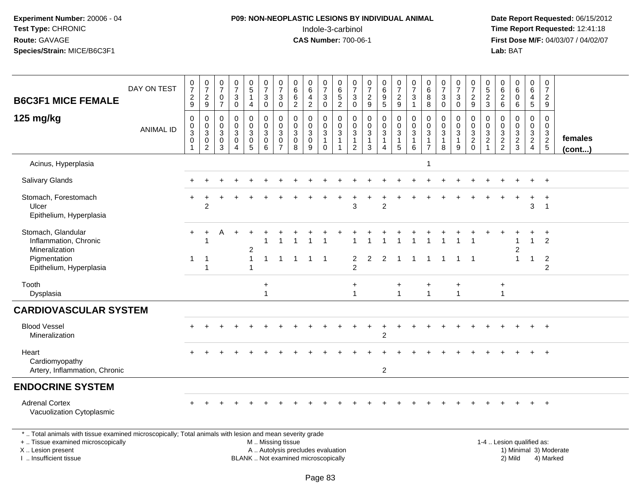# **P09: NON-NEOPLASTIC LESIONS BY INDIVIDUAL ANIMAL**Indole-3-carbinol **Time Report Requested:** 12:41:18

 **Date Report Requested:** 06/15/2012 **First Dose M/F:** 04/03/07 / 04/02/07<br>**Lab:** BAT **Lab:** BAT

| <b>B6C3F1 MICE FEMALE</b>                                                                                | DAY ON TEST      | $\begin{array}{c} 0 \\ 7 \end{array}$<br>$\frac{2}{9}$  | $\frac{0}{7}$<br>$\frac{2}{9}$                                 | $\begin{matrix} 0 \\ 7 \end{matrix}$<br>$\mathbf 0$<br>$\overline{7}$ | $\frac{0}{7}$<br>3<br>$\mathbf 0$                   | $^{\rm 0}_{\rm 5}$<br>$\mathbf{1}$<br>4                 | $\begin{smallmatrix}0\\7\end{smallmatrix}$<br>$\mathbf{3}$<br>$\mathbf 0$ | $\begin{array}{c} 0 \\ 7 \end{array}$<br>$\sqrt{3}$<br>0                            | $\begin{array}{c} 0 \\ 6 \end{array}$<br>$\,6\,$<br>$\overline{2}$ | 0<br>6<br>$\overline{a}$<br>$\overline{2}$                     | $\begin{array}{c} 0 \\ 7 \end{array}$<br>$\mathbf{3}$<br>$\mathbf 0$ | 0<br>6<br>5<br>$\overline{a}$                                              | $\begin{smallmatrix}0\\7\end{smallmatrix}$<br>3<br>$\mathbf 0$             | $\frac{0}{7}$<br>$\frac{2}{9}$                        | $\begin{array}{c} 0 \\ 6 \end{array}$<br>$\boldsymbol{9}$<br>$\sqrt{5}$ | $\begin{array}{c} 0 \\ 7 \end{array}$<br>$\frac{2}{9}$                  | $\frac{0}{7}$<br>$\sqrt{3}$<br>$\mathbf{1}$                   | $\begin{array}{c} 0 \\ 6 \end{array}$<br>8<br>8                 | $\frac{0}{7}$<br>$\mathbf{3}$<br>$\mathbf 0$                | $\frac{0}{7}$<br>3<br>$\Omega$             | $\frac{0}{7}$<br>$\frac{2}{9}$                                     | $\begin{array}{c} 0 \\ 5 \\ 2 \\ 3 \end{array}$                            | $\begin{smallmatrix}0\0\0\end{smallmatrix}$<br>$\frac{2}{6}$ | $\begin{array}{c} 0 \\ 6 \end{array}$<br>$\mathbf 0$<br>6                  | $\begin{array}{c} 0 \\ 6 \end{array}$<br>4<br>5         | $\frac{0}{7}$<br>$\frac{2}{9}$                         |                         |
|----------------------------------------------------------------------------------------------------------|------------------|---------------------------------------------------------|----------------------------------------------------------------|-----------------------------------------------------------------------|-----------------------------------------------------|---------------------------------------------------------|---------------------------------------------------------------------------|-------------------------------------------------------------------------------------|--------------------------------------------------------------------|----------------------------------------------------------------|----------------------------------------------------------------------|----------------------------------------------------------------------------|----------------------------------------------------------------------------|-------------------------------------------------------|-------------------------------------------------------------------------|-------------------------------------------------------------------------|---------------------------------------------------------------|-----------------------------------------------------------------|-------------------------------------------------------------|--------------------------------------------|--------------------------------------------------------------------|----------------------------------------------------------------------------|--------------------------------------------------------------|----------------------------------------------------------------------------|---------------------------------------------------------|--------------------------------------------------------|-------------------------|
| 125 mg/kg                                                                                                | <b>ANIMAL ID</b> | $\mathbf 0$<br>$\mathbf 0$<br>$\sqrt{3}$<br>$\mathbf 0$ | $\mathbf 0$<br>$_{3}^{\rm 0}$<br>$\mathbf 0$<br>$\overline{2}$ | $\mathbf 0$<br>$\mathbf 0$<br>3<br>$\mathbf 0$<br>3                   | $\mathbf 0$<br>$\mathbf 0$<br>3<br>$\mathbf 0$<br>4 | 0<br>$\pmb{0}$<br>$\mathbf{3}$<br>$\mathbf 0$<br>5      | $\mathbf 0$<br>$\mathbf 0$<br>$\mathbf{3}$<br>$\mathsf{O}$<br>6           | $\mathbf 0$<br>$\pmb{0}$<br>$\mathfrak{Z}$<br>$\mathsf{O}\xspace$<br>$\overline{7}$ | $\mathbf 0$<br>$\mathbf 0$<br>$\mathbf{3}$<br>$\mathbf 0$<br>8     | $\mathbf 0$<br>$\mathbf 0$<br>$\mathbf{3}$<br>$\mathbf 0$<br>9 | 0<br>$\pmb{0}$<br>$\mathsf 3$<br>$\mathbf{1}$<br>$\Omega$            | $\mathbf 0$<br>$\mathbf 0$<br>$\mathbf{3}$<br>$\mathbf{1}$<br>$\mathbf{1}$ | $\mathbf 0$<br>$\pmb{0}$<br>$\mathbf{3}$<br>$\mathbf{1}$<br>$\overline{2}$ | $\mathbf 0$<br>0<br>$\mathbf{3}$<br>$\mathbf{1}$<br>3 | 0<br>$\pmb{0}$<br>$\sqrt{3}$<br>$\mathbf{1}$<br>$\overline{\mathbf{4}}$ | $\mathbf 0$<br>$\pmb{0}$<br>$\mathsf 3$<br>$\overline{1}$<br>$\sqrt{5}$ | $\mathbf 0$<br>$\mathsf 0$<br>$\sqrt{3}$<br>$\mathbf{1}$<br>6 | $\mathbf 0$<br>$\pmb{0}$<br>$\mathbf{3}$<br>1<br>$\overline{7}$ | $\mathbf 0$<br>$\pmb{0}$<br>$\sqrt{3}$<br>$\mathbf{1}$<br>8 | 0<br>$\mathbf 0$<br>3<br>$\mathbf{1}$<br>9 | 0<br>$\mathsf{O}$<br>$\mathbf{3}$<br>$\overline{c}$<br>$\mathbf 0$ | $\mathbf 0$<br>$\mathsf 0$<br>$\sqrt{3}$<br>$\overline{c}$<br>$\mathbf{1}$ | 0<br>$\boldsymbol{0}$<br>$\overline{3}$<br>$\frac{2}{2}$     | $\mathbf 0$<br>$\mathbf 0$<br>$\sqrt{3}$<br>$\overline{c}$<br>$\mathbf{3}$ | 0<br>$\mathbf 0$<br>$\mathbf{3}$<br>$\overline{2}$<br>4 | 0<br>$\boldsymbol{0}$<br>$\mathbf{3}$<br>$\frac{2}{5}$ | females<br>$($ cont $)$ |
| Acinus, Hyperplasia                                                                                      |                  |                                                         |                                                                |                                                                       |                                                     |                                                         |                                                                           |                                                                                     |                                                                    |                                                                |                                                                      |                                                                            |                                                                            |                                                       |                                                                         |                                                                         |                                                               | $\mathbf{1}$                                                    |                                                             |                                            |                                                                    |                                                                            |                                                              |                                                                            |                                                         |                                                        |                         |
| Salivary Glands                                                                                          |                  |                                                         |                                                                |                                                                       |                                                     |                                                         |                                                                           |                                                                                     |                                                                    |                                                                |                                                                      |                                                                            |                                                                            |                                                       |                                                                         |                                                                         |                                                               |                                                                 |                                                             |                                            |                                                                    |                                                                            |                                                              |                                                                            |                                                         | $\overline{ }$                                         |                         |
| Stomach, Forestomach<br>Ulcer<br>Epithelium, Hyperplasia                                                 |                  |                                                         | $\overline{2}$                                                 |                                                                       |                                                     |                                                         |                                                                           |                                                                                     |                                                                    |                                                                |                                                                      |                                                                            | 3                                                                          |                                                       | $\overline{2}$                                                          |                                                                         |                                                               |                                                                 |                                                             |                                            |                                                                    |                                                                            |                                                              |                                                                            | $\div$<br>3                                             | $\ddot{}$<br>$\overline{1}$                            |                         |
| Stomach, Glandular<br>Inflammation, Chronic<br>Mineralization<br>Pigmentation<br>Epithelium, Hyperplasia |                  | 1                                                       | -1<br>-1<br>$\overline{1}$                                     | Α                                                                     |                                                     | $\overline{\mathbf{c}}$<br>$\mathbf{1}$<br>$\mathbf{1}$ | $\mathbf{1}$                                                              | $\overline{1}$                                                                      | $\mathbf{1}$                                                       | $\overline{1}$                                                 | $\overline{1}$                                                       |                                                                            | 2<br>2                                                                     | $\overline{2}$                                        | $\overline{2}$                                                          | $\overline{1}$                                                          | $\overline{1}$                                                | $\mathbf{1}$                                                    | $\mathbf{1}$                                                | $\overline{1}$                             | $\overline{1}$                                                     |                                                                            |                                                              | 1<br>2<br>$\overline{1}$                                                   | $\mathbf{1}$<br>$\mathbf{1}$                            | $\overline{2}$<br>$\overline{2}$<br>$\overline{2}$     |                         |
| Tooth<br>Dysplasia                                                                                       |                  |                                                         |                                                                |                                                                       |                                                     |                                                         | $\ddot{}$<br>1                                                            |                                                                                     |                                                                    |                                                                |                                                                      |                                                                            | $\ddot{}$<br>$\overline{1}$                                                |                                                       |                                                                         | $\overline{1}$                                                          |                                                               | +<br>$\mathbf{1}$                                               |                                                             | $\ddot{}$<br>$\mathbf{1}$                  |                                                                    |                                                                            | $\ddot{}$<br>$\overline{1}$                                  |                                                                            |                                                         |                                                        |                         |
| <b>CARDIOVASCULAR SYSTEM</b>                                                                             |                  |                                                         |                                                                |                                                                       |                                                     |                                                         |                                                                           |                                                                                     |                                                                    |                                                                |                                                                      |                                                                            |                                                                            |                                                       |                                                                         |                                                                         |                                                               |                                                                 |                                                             |                                            |                                                                    |                                                                            |                                                              |                                                                            |                                                         |                                                        |                         |
| <b>Blood Vessel</b><br>Mineralization                                                                    |                  |                                                         |                                                                |                                                                       |                                                     |                                                         |                                                                           |                                                                                     |                                                                    |                                                                |                                                                      |                                                                            |                                                                            |                                                       | $\overline{2}$                                                          |                                                                         |                                                               |                                                                 |                                                             |                                            |                                                                    |                                                                            |                                                              |                                                                            |                                                         | $\ddot{}$                                              |                         |
| Heart<br>Cardiomyopathy<br>Artery, Inflammation, Chronic                                                 |                  |                                                         |                                                                |                                                                       |                                                     |                                                         |                                                                           |                                                                                     |                                                                    |                                                                |                                                                      |                                                                            |                                                                            |                                                       | $\overline{2}$                                                          |                                                                         |                                                               |                                                                 |                                                             |                                            |                                                                    |                                                                            |                                                              |                                                                            |                                                         |                                                        |                         |
| <b>ENDOCRINE SYSTEM</b>                                                                                  |                  |                                                         |                                                                |                                                                       |                                                     |                                                         |                                                                           |                                                                                     |                                                                    |                                                                |                                                                      |                                                                            |                                                                            |                                                       |                                                                         |                                                                         |                                                               |                                                                 |                                                             |                                            |                                                                    |                                                                            |                                                              |                                                                            |                                                         |                                                        |                         |
| <b>Adrenal Cortex</b><br>Vacuolization Cytoplasmic                                                       |                  |                                                         |                                                                |                                                                       |                                                     |                                                         |                                                                           |                                                                                     |                                                                    |                                                                |                                                                      |                                                                            |                                                                            |                                                       |                                                                         |                                                                         |                                                               |                                                                 |                                                             |                                            |                                                                    |                                                                            |                                                              |                                                                            |                                                         |                                                        |                         |
| * Total opimals with tipous avamined microscopically: Total opimals with logics and moon coverity arode  |                  |                                                         |                                                                |                                                                       |                                                     |                                                         |                                                                           |                                                                                     |                                                                    |                                                                |                                                                      |                                                                            |                                                                            |                                                       |                                                                         |                                                                         |                                                               |                                                                 |                                                             |                                            |                                                                    |                                                                            |                                                              |                                                                            |                                                         |                                                        |                         |

\* .. Total animals with tissue examined microscopically; Total animals with lesion and mean severity grade

+ .. Tissue examined microscopically

X .. Lesion present

I .. Insufficient tissue

 M .. Missing tissueA .. Autolysis precludes evaluation

BLANK .. Not examined microscopically 2) Mild 4) Marked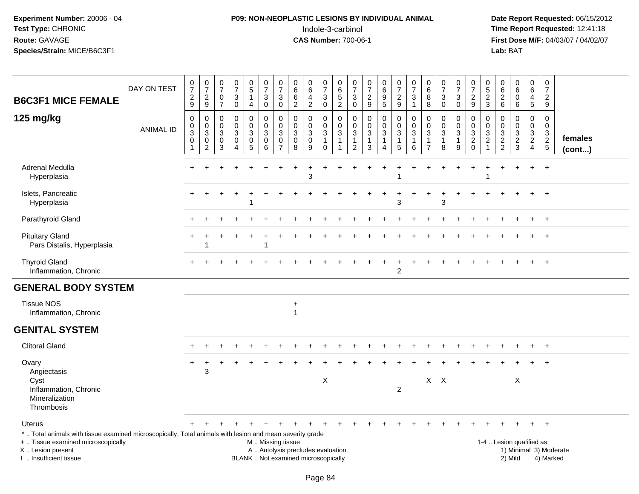# **P09: NON-NEOPLASTIC LESIONS BY INDIVIDUAL ANIMAL**Indole-3-carbinol **Time Report Requested:** 12:41:18

| <b>B6C3F1 MICE FEMALE</b>                                                                                                                                                                    | DAY ON TEST      | $\frac{0}{7}$<br>$\boldsymbol{2}$<br>9                  | $\begin{array}{c} 0 \\ 7 \end{array}$<br>$\frac{2}{9}$                                | $\frac{0}{7}$<br>$\mathbf 0$<br>$\overline{7}$ | $\begin{smallmatrix}0\\7\end{smallmatrix}$<br>$\ensuremath{\mathsf{3}}$<br>$\mathbf 0$ | 0<br>$\overline{5}$<br>$\mathbf 1$<br>4                           | $\begin{array}{c} 0 \\ 7 \end{array}$<br>3<br>$\mathbf 0$ | 0<br>$\overline{7}$<br>$\mathbf{3}$<br>$\mathbf 0$   | 0<br>$6\phantom{a}$<br>$\,6$<br>$\overline{2}$   | $\mathbf 0$<br>$\overline{6}$<br>$\overline{a}$<br>$\overline{2}$ | $\begin{array}{c} 0 \\ 7 \end{array}$<br>$\ensuremath{\mathsf{3}}$<br>$\mathbf 0$ | $\mathbf 0$<br>$\,6\,$<br>$\sqrt{5}$<br>$\overline{2}$ | $\mathbf 0$<br>$\overline{7}$<br>$\mathbf{3}$<br>$\mathbf 0$ | $\frac{0}{7}$<br>$\frac{2}{9}$              | $\begin{array}{c} 0 \\ 6 \end{array}$<br>$\boldsymbol{9}$<br>$\overline{5}$ | $\frac{0}{7}$<br>$\boldsymbol{2}$<br>9                        | $\mathbf 0$<br>$\overline{7}$<br>$\sqrt{3}$<br>$\overline{1}$ | $\mathbf 0$<br>$\overline{6}$<br>8<br>8                                    | $\pmb{0}$<br>$\overline{7}$<br>$\ensuremath{\mathsf{3}}$<br>$\mathbf 0$ | 0<br>$\overline{7}$<br>$\ensuremath{\mathsf{3}}$<br>$\mathbf 0$ | 0<br>$\overline{7}$<br>$\overline{\mathbf{c}}$<br>9          | 0<br>$\overline{5}$<br>$\boldsymbol{2}$<br>3              | $_{6}^{\rm 0}$<br>$\overline{c}$<br>6                                    | 0<br>6<br>$\mathbf 0$<br>6                           | $\mathbf 0$<br>$\overline{6}$<br>$\overline{4}$<br>$\overline{5}$            | $\mathbf 0$<br>$\overline{7}$<br>$\overline{2}$<br>9 |                        |
|----------------------------------------------------------------------------------------------------------------------------------------------------------------------------------------------|------------------|---------------------------------------------------------|---------------------------------------------------------------------------------------|------------------------------------------------|----------------------------------------------------------------------------------------|-------------------------------------------------------------------|-----------------------------------------------------------|------------------------------------------------------|--------------------------------------------------|-------------------------------------------------------------------|-----------------------------------------------------------------------------------|--------------------------------------------------------|--------------------------------------------------------------|---------------------------------------------|-----------------------------------------------------------------------------|---------------------------------------------------------------|---------------------------------------------------------------|----------------------------------------------------------------------------|-------------------------------------------------------------------------|-----------------------------------------------------------------|--------------------------------------------------------------|-----------------------------------------------------------|--------------------------------------------------------------------------|------------------------------------------------------|------------------------------------------------------------------------------|------------------------------------------------------|------------------------|
| 125 mg/kg                                                                                                                                                                                    | <b>ANIMAL ID</b> | $\mathbf 0$<br>$\,0\,$<br>$\overline{3}$<br>$\mathbf 0$ | $\mathbf 0$<br>$\mathbf 0$<br>$\overline{3}$<br>$\mathsf{O}\xspace$<br>$\overline{2}$ | $\Omega$<br>$\mathbf 0$<br>3<br>0<br>3         | 0<br>$\mathbf 0$<br>$\sqrt{3}$<br>$\mathbf 0$<br>$\overline{4}$                        | $\pmb{0}$<br>0<br>$\mathfrak{S}$<br>$\mathbf 0$<br>$\overline{5}$ | $\pmb{0}$<br>$\mathbf 0$<br>3<br>$\pmb{0}$<br>6           | 0<br>$\mathbf 0$<br>3<br>$\pmb{0}$<br>$\overline{7}$ | $\mathbf 0$<br>0<br>$\sqrt{3}$<br>$\pmb{0}$<br>8 | 0<br>$\mathbf 0$<br>$\mathbf{3}$<br>$\mathbf 0$<br>9              | $\mathbf 0$<br>$\mathbf 0$<br>$\mathbf{3}$<br>$\mathbf{1}$<br>$\Omega$            | $\mathbf 0$<br>$\mathbf 0$<br>3<br>1<br>$\mathbf{1}$   | 0<br>$\Omega$<br>3<br>1<br>$\overline{2}$                    | 0<br>0<br>$\mathbf{3}$<br>$\mathbf{1}$<br>3 | 0<br>0<br>$\mathfrak{Z}$<br>$\mathbf{1}$<br>$\boldsymbol{\Lambda}$          | $\mathbf 0$<br>$\mathbf 0$<br>$\sqrt{3}$<br>$\mathbf{1}$<br>5 | $\mathbf 0$<br>$\mathbf 0$<br>3<br>$\mathbf{1}$<br>6          | $\mathbf 0$<br>$\mathbf 0$<br>$\sqrt{3}$<br>$\mathbf{1}$<br>$\overline{7}$ | 0<br>$\mathbf 0$<br>$\sqrt{3}$<br>$\mathbf{1}$<br>8                     | 0<br>$\mathbf 0$<br>$\mathbf{3}$<br>$\mathbf{1}$<br>$9\,$       | 0<br>0<br>$\mathbf{3}$<br>$\boldsymbol{2}$<br>$\overline{0}$ | 0<br>$\mathbf 0$<br>3<br>$\overline{c}$<br>$\overline{1}$ | $\mathbf 0$<br>$\mathbf 0$<br>$\ensuremath{\mathsf{3}}$<br>$\frac{2}{2}$ | 0<br>$\overline{0}$<br>$\mathbf{3}$<br>$\frac{2}{3}$ | $\mathbf 0$<br>$\mathbf 0$<br>$\sqrt{3}$<br>$\overline{c}$<br>$\overline{4}$ | $\Omega$<br>$\Omega$<br>3<br>$\frac{2}{5}$           | females<br>(cont)      |
| Adrenal Medulla<br>Hyperplasia                                                                                                                                                               |                  |                                                         |                                                                                       |                                                |                                                                                        |                                                                   |                                                           |                                                      |                                                  | 3                                                                 |                                                                                   |                                                        |                                                              |                                             |                                                                             |                                                               |                                                               |                                                                            |                                                                         |                                                                 |                                                              |                                                           |                                                                          |                                                      |                                                                              |                                                      |                        |
| Islets, Pancreatic<br>Hyperplasia                                                                                                                                                            |                  |                                                         |                                                                                       |                                                |                                                                                        | -1                                                                |                                                           |                                                      |                                                  |                                                                   |                                                                                   |                                                        |                                                              |                                             |                                                                             | 3                                                             |                                                               |                                                                            | 3                                                                       |                                                                 |                                                              |                                                           |                                                                          |                                                      |                                                                              | $\overline{+}$                                       |                        |
| Parathyroid Gland                                                                                                                                                                            |                  |                                                         |                                                                                       |                                                |                                                                                        |                                                                   |                                                           |                                                      |                                                  |                                                                   |                                                                                   |                                                        |                                                              |                                             |                                                                             |                                                               |                                                               |                                                                            |                                                                         |                                                                 |                                                              |                                                           |                                                                          |                                                      |                                                                              | $+$                                                  |                        |
| <b>Pituitary Gland</b><br>Pars Distalis, Hyperplasia                                                                                                                                         |                  |                                                         |                                                                                       |                                                |                                                                                        |                                                                   | -1                                                        |                                                      |                                                  |                                                                   |                                                                                   |                                                        |                                                              |                                             |                                                                             |                                                               |                                                               |                                                                            |                                                                         |                                                                 |                                                              |                                                           |                                                                          |                                                      |                                                                              | $\overline{+}$                                       |                        |
| <b>Thyroid Gland</b><br>Inflammation, Chronic                                                                                                                                                |                  |                                                         |                                                                                       |                                                |                                                                                        |                                                                   |                                                           |                                                      |                                                  |                                                                   |                                                                                   |                                                        |                                                              |                                             |                                                                             | $\overline{c}$                                                |                                                               |                                                                            |                                                                         |                                                                 |                                                              |                                                           |                                                                          |                                                      |                                                                              |                                                      |                        |
| <b>GENERAL BODY SYSTEM</b>                                                                                                                                                                   |                  |                                                         |                                                                                       |                                                |                                                                                        |                                                                   |                                                           |                                                      |                                                  |                                                                   |                                                                                   |                                                        |                                                              |                                             |                                                                             |                                                               |                                                               |                                                                            |                                                                         |                                                                 |                                                              |                                                           |                                                                          |                                                      |                                                                              |                                                      |                        |
| <b>Tissue NOS</b><br>Inflammation, Chronic                                                                                                                                                   |                  |                                                         |                                                                                       |                                                |                                                                                        |                                                                   |                                                           |                                                      | $\ddot{}$<br>$\mathbf{1}$                        |                                                                   |                                                                                   |                                                        |                                                              |                                             |                                                                             |                                                               |                                                               |                                                                            |                                                                         |                                                                 |                                                              |                                                           |                                                                          |                                                      |                                                                              |                                                      |                        |
| <b>GENITAL SYSTEM</b>                                                                                                                                                                        |                  |                                                         |                                                                                       |                                                |                                                                                        |                                                                   |                                                           |                                                      |                                                  |                                                                   |                                                                                   |                                                        |                                                              |                                             |                                                                             |                                                               |                                                               |                                                                            |                                                                         |                                                                 |                                                              |                                                           |                                                                          |                                                      |                                                                              |                                                      |                        |
| <b>Clitoral Gland</b>                                                                                                                                                                        |                  |                                                         |                                                                                       |                                                |                                                                                        |                                                                   |                                                           |                                                      |                                                  |                                                                   |                                                                                   |                                                        |                                                              |                                             |                                                                             |                                                               |                                                               |                                                                            |                                                                         |                                                                 |                                                              |                                                           |                                                                          |                                                      |                                                                              |                                                      |                        |
| Ovary<br>Angiectasis<br>Cyst                                                                                                                                                                 |                  | $\ddot{}$                                               | 3                                                                                     |                                                |                                                                                        |                                                                   |                                                           |                                                      |                                                  |                                                                   | $\mathsf X$                                                                       |                                                        |                                                              |                                             |                                                                             |                                                               |                                                               | $X$ $X$                                                                    |                                                                         |                                                                 |                                                              |                                                           |                                                                          | X                                                    |                                                                              |                                                      |                        |
| Inflammation, Chronic<br>Mineralization<br>Thrombosis                                                                                                                                        |                  |                                                         |                                                                                       |                                                |                                                                                        |                                                                   |                                                           |                                                      |                                                  |                                                                   |                                                                                   |                                                        |                                                              |                                             |                                                                             | $\overline{c}$                                                |                                                               |                                                                            |                                                                         |                                                                 |                                                              |                                                           |                                                                          |                                                      |                                                                              |                                                      |                        |
| <b>Uterus</b>                                                                                                                                                                                |                  | $+$                                                     | $\ddot{}$                                                                             |                                                | $\div$                                                                                 |                                                                   |                                                           | $+$                                                  | $_{+}$                                           | $\pm$                                                             | $^{+}$                                                                            | $\ddot{}$                                              | $\ddot{}$                                                    | $\ddot{}$                                   | $+$                                                                         | $\ddot{}$                                                     | $\ddot{}$                                                     |                                                                            | $\ddot{}$                                                               |                                                                 |                                                              |                                                           |                                                                          | $\ddot{}$                                            | $+$                                                                          | $+$                                                  |                        |
| *  Total animals with tissue examined microscopically; Total animals with lesion and mean severity grade<br>+  Tissue examined microscopically<br>X Lesion present<br>I  Insufficient tissue |                  |                                                         |                                                                                       |                                                |                                                                                        | BLANK  Not examined microscopically                               | M  Missing tissue                                         |                                                      | A  Autolysis precludes evaluation                |                                                                   |                                                                                   |                                                        |                                                              |                                             |                                                                             |                                                               |                                                               |                                                                            |                                                                         |                                                                 |                                                              |                                                           | 1-4  Lesion qualified as:                                                | 2) Mild                                              |                                                                              | 4) Marked                                            | 1) Minimal 3) Moderate |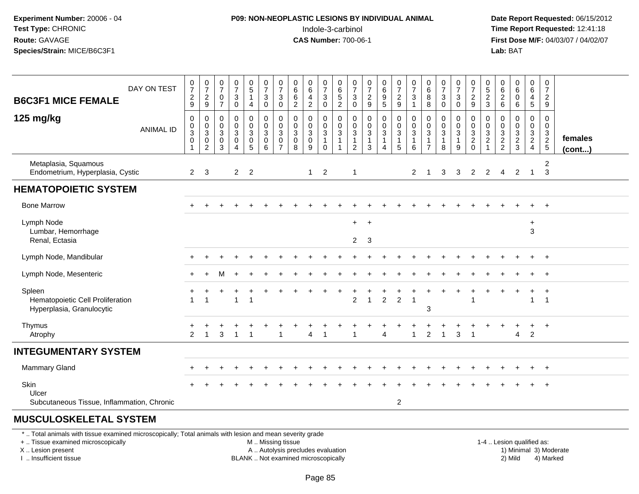### **P09: NON-NEOPLASTIC LESIONS BY INDIVIDUAL ANIMAL**Indole-3-carbinol **Time Report Requested:** 12:41:18

 **Date Report Requested:** 06/15/2012 **First Dose M/F:** 04/03/07 / 04/02/07<br>**Lab:** BAT **Lab:** BAT

| <b>B6C3F1 MICE FEMALE</b>                                               | DAY ON TEST      | $\frac{0}{7}$<br>$\frac{2}{9}$                              | $\frac{0}{7}$<br>$\frac{2}{9}$                                                       | $\mathbf 0$<br>$\overline{7}$<br>$\mathbf 0$<br>$\overline{7}$       | $\begin{array}{c} 0 \\ 7 \end{array}$<br>$\mathbf{3}$<br>0 | $\begin{array}{c} 0 \\ 5 \end{array}$<br>$\mathbf{1}$<br>4     | $\frac{0}{7}$<br>$\mathbf{3}$<br>$\mathbf 0$                        | $\frac{0}{7}$<br>$\ensuremath{\mathsf{3}}$<br>$\pmb{0}$ | 0<br>$\,6\,$<br>$\,6\,$<br>$\boldsymbol{2}$ | $\pmb{0}$<br>$\,6$<br>$\overline{4}$<br>$\overline{c}$ | $\frac{0}{7}$<br>$\mathbf{3}$<br>0   | $065$<br>$52$                                                      | 0<br>$\overline{7}$<br>$\mathbf{3}$<br>$\mathbf 0$ | $\pmb{0}$<br>$\overline{7}$<br>$\frac{2}{9}$ | 0<br>6<br>9<br>5           | $\begin{smallmatrix}0\\7\end{smallmatrix}$<br>$\frac{2}{9}$ | $\pmb{0}$<br>$\overline{7}$<br>$\mathbf{3}$<br>$\mathbf{1}$ | 0<br>6<br>$\bf 8$<br>$\,8\,$                 | $\frac{0}{7}$<br>$\mathsf 3$<br>$\pmb{0}$ | $\mathbf 0$<br>$\overline{7}$<br>$\sqrt{3}$<br>$\mathbf 0$  | 0<br>$\overline{7}$<br>$\frac{2}{9}$                              | 0<br>$\sqrt{5}$<br>$\frac{2}{3}$                         | 0<br>6<br>$\boldsymbol{2}$<br>6                      | $\begin{matrix} 0 \\ 6 \end{matrix}$<br>$\mathbf 0$<br>6 | $\mathbf 0$<br>$\,6\,$<br>$\overline{4}$<br>$\overline{5}$ | 0<br>$\overline{7}$<br>$\overline{c}$<br>9 |                   |
|-------------------------------------------------------------------------|------------------|-------------------------------------------------------------|--------------------------------------------------------------------------------------|----------------------------------------------------------------------|------------------------------------------------------------|----------------------------------------------------------------|---------------------------------------------------------------------|---------------------------------------------------------|---------------------------------------------|--------------------------------------------------------|--------------------------------------|--------------------------------------------------------------------|----------------------------------------------------|----------------------------------------------|----------------------------|-------------------------------------------------------------|-------------------------------------------------------------|----------------------------------------------|-------------------------------------------|-------------------------------------------------------------|-------------------------------------------------------------------|----------------------------------------------------------|------------------------------------------------------|----------------------------------------------------------|------------------------------------------------------------|--------------------------------------------|-------------------|
| 125 mg/kg                                                               | <b>ANIMAL ID</b> | $\pmb{0}$<br>0<br>$\mathbf{3}$<br>$\pmb{0}$<br>$\mathbf{1}$ | $\mathbf 0$<br>$\pmb{0}$<br>$\ensuremath{\mathsf{3}}$<br>$\pmb{0}$<br>$\overline{c}$ | 0<br>$\boldsymbol{0}$<br>$\mathbf{3}$<br>$\mathbf 0$<br>$\mathbf{3}$ | 0<br>$\mathbf 0$<br>$\mathbf{3}$<br>0<br>$\overline{4}$    | 0<br>$\mathbf 0$<br>$\mathsf 3$<br>$\pmb{0}$<br>$\overline{5}$ | $\boldsymbol{0}$<br>$\mathbf 0$<br>$\mathbf{3}$<br>$\mathbf 0$<br>6 | 0<br>$\pmb{0}$<br>$\sqrt{3}$<br>0<br>$\overline{7}$     | 0<br>0<br>$\mathbf{3}$<br>0<br>8            | 0<br>$\pmb{0}$<br>$\sqrt{3}$<br>$\pmb{0}$<br>9         | $\mathbf 0$<br>0<br>3<br>$\mathbf 0$ | 0<br>$\pmb{0}$<br>$\mathbf{3}$<br>$\overline{1}$<br>$\overline{1}$ | 0<br>0<br>$\mathbf{3}$<br>1<br>$\overline{2}$      | 0<br>0<br>$\mathbf{3}$<br>$\mathbf{1}$<br>3  | 0<br>$\mathbf 0$<br>3<br>4 | $_{\rm 0}^{\rm 0}$<br>$\mathbf{3}$<br>$\mathbf{1}$<br>5     | 0<br>0<br>3<br>$\mathbf{1}$<br>6                            | 0<br>0<br>$\sqrt{3}$<br>-1<br>$\overline{7}$ | 0<br>$\pmb{0}$<br>$\sqrt{3}$<br>8         | 0<br>$\boldsymbol{0}$<br>$\mathbf 3$<br>$\overline{1}$<br>9 | 0<br>$\mathbf 0$<br>$\mathbf{3}$<br>$\overline{2}$<br>$\mathbf 0$ | 0<br>0<br>$\sqrt{3}$<br>$\boldsymbol{2}$<br>$\mathbf{1}$ | 0<br>0<br>$\ensuremath{\mathsf{3}}$<br>$\frac{2}{2}$ | 0<br>$\mathbf 0$<br>$\mathbf{3}$<br>$\frac{2}{3}$        | 0<br>0<br>3<br>$\overline{2}$<br>$\overline{4}$            | 0<br>0<br>$\frac{3}{2}$                    | females<br>(cont) |
| Metaplasia, Squamous<br>Endometrium, Hyperplasia, Cystic                |                  | $\overline{2}$                                              | 3                                                                                    |                                                                      | $2^{\circ}$                                                | $\overline{2}$                                                 |                                                                     |                                                         |                                             | $\mathbf{1}$                                           | 2                                    |                                                                    | $\overline{1}$                                     |                                              |                            |                                                             | 2                                                           |                                              | 3                                         | 3                                                           | $\overline{2}$                                                    | $\overline{2}$                                           | $\overline{4}$                                       | $\overline{2}$                                           | $\mathbf 1$                                                | 2<br>$\mathbf{3}$                          |                   |
| <b>HEMATOPOIETIC SYSTEM</b>                                             |                  |                                                             |                                                                                      |                                                                      |                                                            |                                                                |                                                                     |                                                         |                                             |                                                        |                                      |                                                                    |                                                    |                                              |                            |                                                             |                                                             |                                              |                                           |                                                             |                                                                   |                                                          |                                                      |                                                          |                                                            |                                            |                   |
| <b>Bone Marrow</b>                                                      |                  |                                                             |                                                                                      |                                                                      |                                                            |                                                                |                                                                     |                                                         |                                             |                                                        |                                      |                                                                    |                                                    |                                              |                            |                                                             |                                                             |                                              |                                           |                                                             |                                                                   |                                                          |                                                      |                                                          |                                                            | $+$                                        |                   |
| Lymph Node<br>Lumbar, Hemorrhage<br>Renal, Ectasia                      |                  |                                                             |                                                                                      |                                                                      |                                                            |                                                                |                                                                     |                                                         |                                             |                                                        |                                      |                                                                    | $+$<br>$\overline{2}$                              | $+$<br>3                                     |                            |                                                             |                                                             |                                              |                                           |                                                             |                                                                   |                                                          |                                                      |                                                          | $\ddot{}$<br>3                                             |                                            |                   |
| Lymph Node, Mandibular                                                  |                  |                                                             |                                                                                      |                                                                      |                                                            |                                                                |                                                                     |                                                         |                                             |                                                        |                                      |                                                                    |                                                    |                                              |                            |                                                             |                                                             |                                              |                                           |                                                             |                                                                   |                                                          |                                                      |                                                          |                                                            | $\overline{+}$                             |                   |
| Lymph Node, Mesenteric                                                  |                  |                                                             |                                                                                      | м                                                                    |                                                            |                                                                |                                                                     |                                                         |                                             |                                                        |                                      |                                                                    |                                                    |                                              |                            |                                                             |                                                             |                                              |                                           |                                                             |                                                                   |                                                          |                                                      |                                                          |                                                            | $\overline{1}$                             |                   |
| Spleen<br>Hematopoietic Cell Proliferation<br>Hyperplasia, Granulocytic |                  |                                                             |                                                                                      |                                                                      | $\overline{1}$                                             | $\overline{1}$                                                 |                                                                     |                                                         |                                             |                                                        |                                      |                                                                    | $\overline{2}$                                     | $\mathbf{1}$                                 | $\overline{c}$             | $\overline{2}$                                              | $\overline{1}$                                              | 3                                            |                                           |                                                             |                                                                   |                                                          |                                                      |                                                          | $\ddot{}$                                                  | $^{+}$<br>$\overline{1}$                   |                   |
| Thymus<br>Atrophy                                                       |                  | 2                                                           | $\overline{1}$                                                                       | 3                                                                    | $\overline{1}$                                             |                                                                |                                                                     | -1                                                      |                                             | $\boldsymbol{\Lambda}$                                 |                                      |                                                                    |                                                    |                                              | $\overline{4}$             |                                                             | $\overline{\mathbf{1}}$                                     | 2                                            |                                           | 3                                                           | $\overline{1}$                                                    |                                                          |                                                      | $\overline{4}$                                           | $\overline{2}$                                             | $+$                                        |                   |
| <b>INTEGUMENTARY SYSTEM</b>                                             |                  |                                                             |                                                                                      |                                                                      |                                                            |                                                                |                                                                     |                                                         |                                             |                                                        |                                      |                                                                    |                                                    |                                              |                            |                                                             |                                                             |                                              |                                           |                                                             |                                                                   |                                                          |                                                      |                                                          |                                                            |                                            |                   |
| <b>Mammary Gland</b>                                                    |                  |                                                             |                                                                                      |                                                                      |                                                            |                                                                |                                                                     |                                                         |                                             |                                                        |                                      |                                                                    |                                                    |                                              |                            |                                                             |                                                             |                                              |                                           |                                                             |                                                                   |                                                          |                                                      |                                                          |                                                            | $+$                                        |                   |
| Skin<br>Ulcer<br>Subcutaneous Tissue, Inflammation, Chronic             |                  |                                                             |                                                                                      |                                                                      |                                                            |                                                                |                                                                     |                                                         |                                             |                                                        |                                      |                                                                    |                                                    |                                              |                            | $\overline{2}$                                              |                                                             |                                              |                                           |                                                             |                                                                   |                                                          |                                                      |                                                          |                                                            | $\overline{1}$                             |                   |

#### **MUSCULOSKELETAL SYSTEM**

\* .. Total animals with tissue examined microscopically; Total animals with lesion and mean severity grade

+ .. Tissue examined microscopically

X .. Lesion present

I .. Insufficient tissue

M .. Missing tissue

A .. Autolysis precludes evaluation

BLANK .. Not examined microscopically 2) Mild 4) Marked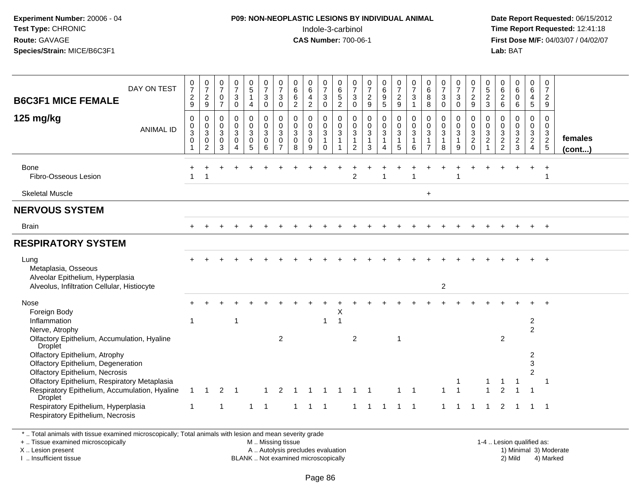### **P09: NON-NEOPLASTIC LESIONS BY INDIVIDUAL ANIMAL**Indole-3-carbinol **Time Report Requested:** 12:41:18

 **Date Report Requested:** 06/15/2012 **First Dose M/F:** 04/03/07 / 04/02/07<br>Lab: BAT **Lab:** BAT

| DAY ON TEST<br><b>B6C3F1 MICE FEMALE</b>                                                                                                                                                                                                                                                                                                                                                                                | $\frac{0}{7}$<br>$\frac{2}{9}$                                             | $\frac{0}{7}$<br>$\frac{2}{9}$                                      | $\frac{0}{7}$<br>$\pmb{0}$<br>$\overline{7}$ | $\frac{0}{7}$<br>3<br>$\pmb{0}$           | $\frac{0}{5}$<br>$\mathbf{1}$<br>$\overline{4}$          | $\frac{0}{7}$<br>$\mathbf{3}$<br>$\pmb{0}$                     | 0<br>$\overline{7}$<br>$\mathbf{3}$<br>$\mathbf 0$               | 0<br>$\,6$<br>$\,6\,$<br>$\overline{2}$             | 0<br>$\,6\,$<br>$\overline{4}$<br>$\overline{2}$     | 0<br>$\overline{7}$<br>$\sqrt{3}$<br>$\mathbf 0$                          | 0<br>$\,6$<br>$\frac{5}{2}$                     | 0<br>$\overline{7}$<br>$\ensuremath{\mathsf{3}}$<br>$\overline{0}$         | $\frac{0}{7}$<br>$\frac{2}{9}$                                  | 0<br>$\,6\,$<br>$\frac{9}{5}$            | $\frac{0}{7}$<br>$\frac{2}{9}$                                  | 0<br>$\overline{7}$<br>$\mathbf{3}$<br>$\mathbf{1}$ | 0<br>$\,6$<br>$\, 8$<br>$\,8\,$                                                 | $\frac{0}{7}$<br>$\mathbf{3}$<br>$\mathbf 0$ | 0<br>$\overline{7}$<br>$_{0}^{3}$                    | 0<br>$\overline{7}$<br>$\frac{2}{9}$                                     | $\begin{array}{c} 0 \\ 5 \end{array}$<br>$\frac{2}{3}$ | 0<br>$\begin{array}{c} 6 \\ 2 \\ 6 \end{array}$ | $\begin{matrix} 0 \\ 6 \end{matrix}$<br>$\bar{0}$<br>$6\overline{6}$ | 0<br>6<br>4<br>5                                             | $\mathbf 0$<br>$\overline{7}$<br>$\frac{2}{9}$ |                         |
|-------------------------------------------------------------------------------------------------------------------------------------------------------------------------------------------------------------------------------------------------------------------------------------------------------------------------------------------------------------------------------------------------------------------------|----------------------------------------------------------------------------|---------------------------------------------------------------------|----------------------------------------------|-------------------------------------------|----------------------------------------------------------|----------------------------------------------------------------|------------------------------------------------------------------|-----------------------------------------------------|------------------------------------------------------|---------------------------------------------------------------------------|-------------------------------------------------|----------------------------------------------------------------------------|-----------------------------------------------------------------|------------------------------------------|-----------------------------------------------------------------|-----------------------------------------------------|---------------------------------------------------------------------------------|----------------------------------------------|------------------------------------------------------|--------------------------------------------------------------------------|--------------------------------------------------------|-------------------------------------------------|----------------------------------------------------------------------|--------------------------------------------------------------|------------------------------------------------|-------------------------|
| 125 $mg/kg$<br><b>ANIMAL ID</b>                                                                                                                                                                                                                                                                                                                                                                                         | $\mathbf 0$<br>$\pmb{0}$<br>$\ensuremath{\mathsf{3}}$<br>$\mathbf 0$<br>-1 | $\boldsymbol{0}$<br>$\mathbf 0$<br>$\overline{3}$<br>$\overline{2}$ | 0<br>$\mathbf 0$<br>$\mathbf{3}$<br>0<br>3   | 0<br>$\mathbf 0$<br>3<br>$\mathbf 0$<br>4 | $\pmb{0}$<br>$\pmb{0}$<br>$\mathbf{3}$<br>$\pmb{0}$<br>5 | $\mathbf 0$<br>$\mathbf 0$<br>$\mathbf{3}$<br>$\mathbf 0$<br>6 | $\mathbf 0$<br>$\mathbf 0$<br>3<br>$\mathbf 0$<br>$\overline{7}$ | $\mathbf 0$<br>$\mathbf 0$<br>3<br>$\mathbf 0$<br>8 | 0<br>$\mathbf 0$<br>$\mathbf{3}$<br>$\mathbf 0$<br>9 | $\mathbf 0$<br>$\mathbf 0$<br>$\mathbf{3}$<br>$\mathbf{1}$<br>$\mathbf 0$ | $\mathbf 0$<br>$\mathbf 0$<br>3<br>$\mathbf{1}$ | 0<br>$\mathsf{O}\xspace$<br>$\mathbf{3}$<br>$\mathbf{1}$<br>$\overline{2}$ | $\mathbf 0$<br>$\pmb{0}$<br>$\mathfrak{S}$<br>$\mathbf{1}$<br>3 | 0<br>$\pmb{0}$<br>$\mathbf{3}$<br>1<br>4 | $\mathbf 0$<br>$\mathbf 0$<br>$\mathbf{3}$<br>$\mathbf{1}$<br>5 | $\mathbf 0$<br>$\mathbf 0$<br>3<br>6                | $\mathbf{0}$<br>$\mathbf 0$<br>$\ensuremath{\mathsf{3}}$<br>1<br>$\overline{7}$ | $\mathbf 0$<br>$\mathsf{O}\xspace$<br>3<br>8 | 0<br>$\mathbf 0$<br>$\mathbf 3$<br>$\mathbf{1}$<br>9 | $\mathbf 0$<br>$\mathbf 0$<br>$\mathbf{3}$<br>$\overline{2}$<br>$\Omega$ | 0<br>$\mathbf 0$<br>$\sqrt{3}$<br>$\sqrt{2}$           | $\mathbf 0$<br>$\mathbf 0$<br>$\frac{3}{2}$     | $\mathbf 0$<br>$\mathsf{O}\xspace$<br>$\frac{3}{2}$                  | 0<br>0<br>$\frac{3}{2}$                                      | $\mathbf 0$<br>$\mathbf 0$<br>$\frac{3}{2}$    | females<br>$($ cont $)$ |
| Bone<br>Fibro-Osseous Lesion                                                                                                                                                                                                                                                                                                                                                                                            |                                                                            |                                                                     |                                              |                                           |                                                          |                                                                |                                                                  |                                                     |                                                      |                                                                           |                                                 | $\overline{2}$                                                             |                                                                 |                                          |                                                                 |                                                     |                                                                                 |                                              |                                                      |                                                                          |                                                        |                                                 |                                                                      |                                                              | -1                                             |                         |
| <b>Skeletal Muscle</b>                                                                                                                                                                                                                                                                                                                                                                                                  |                                                                            |                                                                     |                                              |                                           |                                                          |                                                                |                                                                  |                                                     |                                                      |                                                                           |                                                 |                                                                            |                                                                 |                                          |                                                                 |                                                     | $+$                                                                             |                                              |                                                      |                                                                          |                                                        |                                                 |                                                                      |                                                              |                                                |                         |
| <b>NERVOUS SYSTEM</b>                                                                                                                                                                                                                                                                                                                                                                                                   |                                                                            |                                                                     |                                              |                                           |                                                          |                                                                |                                                                  |                                                     |                                                      |                                                                           |                                                 |                                                                            |                                                                 |                                          |                                                                 |                                                     |                                                                                 |                                              |                                                      |                                                                          |                                                        |                                                 |                                                                      |                                                              |                                                |                         |
| <b>Brain</b>                                                                                                                                                                                                                                                                                                                                                                                                            |                                                                            |                                                                     |                                              |                                           |                                                          |                                                                |                                                                  |                                                     |                                                      |                                                                           |                                                 |                                                                            |                                                                 |                                          |                                                                 |                                                     |                                                                                 |                                              |                                                      |                                                                          |                                                        |                                                 |                                                                      | $\ddot{}$                                                    | $+$                                            |                         |
| <b>RESPIRATORY SYSTEM</b>                                                                                                                                                                                                                                                                                                                                                                                               |                                                                            |                                                                     |                                              |                                           |                                                          |                                                                |                                                                  |                                                     |                                                      |                                                                           |                                                 |                                                                            |                                                                 |                                          |                                                                 |                                                     |                                                                                 |                                              |                                                      |                                                                          |                                                        |                                                 |                                                                      |                                                              |                                                |                         |
| Lung<br>Metaplasia, Osseous<br>Alveolar Epithelium, Hyperplasia<br>Alveolus, Infiltration Cellular, Histiocyte                                                                                                                                                                                                                                                                                                          |                                                                            |                                                                     |                                              |                                           |                                                          |                                                                |                                                                  |                                                     |                                                      |                                                                           |                                                 |                                                                            |                                                                 |                                          |                                                                 |                                                     |                                                                                 | $\overline{2}$                               |                                                      |                                                                          |                                                        |                                                 |                                                                      |                                                              |                                                |                         |
| Nose<br>Foreign Body<br>Inflammation<br>Nerve, Atrophy<br>Olfactory Epithelium, Accumulation, Hyaline<br>Droplet<br>Olfactory Epithelium, Atrophy<br>Olfactory Epithelium, Degeneration<br>Olfactory Epithelium, Necrosis<br>Olfactory Epithelium, Respiratory Metaplasia<br>Respiratory Epithelium, Accumulation, Hyaline<br><b>Droplet</b><br>Respiratory Epithelium, Hyperplasia<br>Respiratory Epithelium, Necrosis | $\mathbf 1$<br>$\mathbf{1}$<br>$\mathbf 1$                                 | $\overline{1}$                                                      | $\overline{2}$<br>$\mathbf{1}$               | 1<br>-1                                   | 1                                                        | $\overline{1}$                                                 | 2<br>2                                                           | -1                                                  | $\mathbf{1}$                                         | 1<br>$\overline{1}$                                                       | Χ<br>$\mathbf 1$                                | 2<br>$\mathbf{1}$                                                          | $\overline{1}$                                                  | - 1                                      | $\overline{1}$<br>$\mathbf 1$<br>$\mathbf{1}$                   | $\overline{1}$<br>$\overline{1}$                    |                                                                                 | $\mathbf{1}$<br>$\mathbf{1}$                 | $\overline{1}$                                       | -1                                                                       |                                                        | $\overline{2}$<br>$\overline{2}$                |                                                                      | $\overline{2}$<br>$\overline{c}$<br>2<br>3<br>$\overline{2}$ | -1<br>-1                                       |                         |

\* .. Total animals with tissue examined microscopically; Total animals with lesion and mean severity grade

+ .. Tissue examined microscopically

X .. Lesion present

I .. Insufficient tissue

 M .. Missing tissueA .. Autolysis precludes evaluation

 1-4 .. Lesion qualified as: BLANK .. Not examined microscopically 2) Mild 4) Marked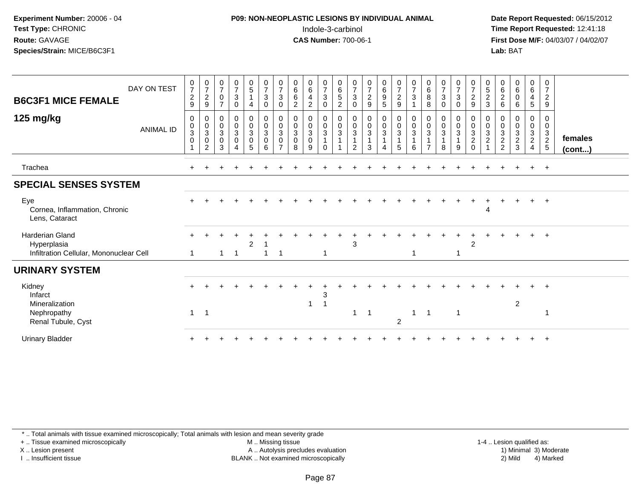## **P09: NON-NEOPLASTIC LESIONS BY INDIVIDUAL ANIMAL**Indole-3-carbinol **Time Report Requested:** 12:41:18

 **Date Report Requested:** 06/15/2012 **First Dose M/F:** 04/03/07 / 04/02/07<br>**Lab:** BAT **Lab:** BAT

| <b>B6C3F1 MICE FEMALE</b><br>125 mg/kg                                           | DAY ON TEST<br><b>ANIMAL ID</b> | $\frac{0}{7}$<br>$\overline{c}$<br>9<br>$\mathbf 0$<br>$\mathbf 0$ | $\frac{0}{7}$<br>$\overline{c}$<br>9<br>0<br>$\mathbf 0$ | $\frac{0}{7}$<br>$\pmb{0}$<br>$\overline{7}$<br>$\pmb{0}$<br>$\mathbf 0$ | $\frac{0}{7}$<br>3<br>0<br>0<br>$\mathbf 0$ | $\begin{array}{c} 0 \\ 5 \end{array}$<br>$\mathbf{1}$<br>$\overline{4}$<br>$\boldsymbol{0}$<br>$\overline{0}$<br>3 | $\begin{smallmatrix}0\\7\end{smallmatrix}$<br>$\sqrt{3}$<br>$\mathbf 0$<br>$\begin{smallmatrix}0\\0\\3\end{smallmatrix}$ | $\frac{0}{7}$<br>$\mathbf 3$<br>0<br>$\mathbf 0$<br>$\mathsf 0$ | $\begin{array}{c} 0 \\ 6 \end{array}$<br>$\,6\,$<br>$\overline{2}$<br>$\pmb{0}$<br>$\pmb{0}$ | $_6^0$<br>$\overline{4}$<br>$\overline{c}$<br>0<br>$\mathbf 0$ | $\begin{array}{c} 0 \\ 7 \end{array}$<br>$\mathbf{3}$<br>$\mathbf 0$<br>$\pmb{0}$ | $\begin{array}{c} 0 \\ 6 \end{array}$<br>$5\,$<br>$\overline{2}$<br>$\pmb{0}$<br>$\ddot{\mathbf{0}}$ | 0<br>$\boldsymbol{7}$<br>$\sqrt{3}$<br>0<br>0<br>$\mathbf 0$ | $\begin{smallmatrix}0\\7\end{smallmatrix}$<br>$\overline{c}$<br>$\boldsymbol{9}$<br>$\begin{smallmatrix}0\\0\\3\end{smallmatrix}$ | $\begin{matrix} 0 \\ 6 \\ 9 \end{matrix}$<br>5<br>$_0^0$ | $\frac{0}{7}$<br>$\overline{c}$<br>$9\,$<br>$\pmb{0}$<br>$\ddot{\mathbf{0}}$ | $\frac{0}{7}$<br>$\mathbf{3}$<br>0<br>$\mathsf 0$ | $_{6}^{\rm 0}$<br>8<br>8<br>0<br>0 | $\frac{0}{7}$<br>$\mathfrak{Z}$<br>$\mathbf 0$<br>0<br>$\pmb{0}$ | $\frac{0}{7}$<br>$\mathbf{3}$<br>$\mathbf 0$<br>0<br>$\mathbf 0$ | $\frac{0}{7}$<br>$\frac{2}{9}$<br>$\mathbf 0$  | $\begin{array}{c} 0 \\ 5 \end{array}$<br>$\overline{c}$<br>$\mathbf{3}$<br>0<br>$\mathbf 0$ | 0<br>6<br>$\overline{c}$<br>6<br>0<br>0        | $0\over 6$<br>$\boldsymbol{0}$<br>6<br>0<br>$\mathsf{O}$ | $\begin{array}{c} 0 \\ 6 \end{array}$<br>$\overline{4}$<br>5<br>0<br>$\mathsf{O}\xspace$ | 0<br>$\overline{7}$<br>$\boldsymbol{2}$<br>9<br>0<br>0 |                   |
|----------------------------------------------------------------------------------|---------------------------------|--------------------------------------------------------------------|----------------------------------------------------------|--------------------------------------------------------------------------|---------------------------------------------|--------------------------------------------------------------------------------------------------------------------|--------------------------------------------------------------------------------------------------------------------------|-----------------------------------------------------------------|----------------------------------------------------------------------------------------------|----------------------------------------------------------------|-----------------------------------------------------------------------------------|------------------------------------------------------------------------------------------------------|--------------------------------------------------------------|-----------------------------------------------------------------------------------------------------------------------------------|----------------------------------------------------------|------------------------------------------------------------------------------|---------------------------------------------------|------------------------------------|------------------------------------------------------------------|------------------------------------------------------------------|------------------------------------------------|---------------------------------------------------------------------------------------------|------------------------------------------------|----------------------------------------------------------|------------------------------------------------------------------------------------------|--------------------------------------------------------|-------------------|
|                                                                                  |                                 | $\overline{3}$<br>$\overline{0}$                                   | $\mathbf{3}$<br>$\mathbf 0$<br>2                         | $\sqrt{3}$<br>$\mathbf 0$<br>3                                           | 3<br>$\mathbf 0$<br>4                       | $\boldsymbol{0}$<br>$\overline{5}$                                                                                 | $\overline{0}$<br>6                                                                                                      | $\overline{3}$<br>$\mathsf{O}\xspace$<br>$\overline{ }$         | $\overline{3}$<br>$\mathbf 0$<br>8                                                           | 3<br>$\mathbf 0$<br>9                                          | $\frac{0}{3}$<br>$\Omega$                                                         | $\overline{3}$<br>$\mathbf{1}$                                                                       | $\mathbf{3}$<br>2                                            | $\mathbf{1}$<br>3                                                                                                                 | $\overline{3}$<br>$\mathbf{1}$<br>4                      | $\overline{3}$<br>$\overline{1}$<br>5                                        | $\mathbf{3}$<br>6                                 | $\mathbf{3}$<br>$\overline{7}$     | $\mathfrak{Z}$<br>8                                              | $\overline{3}$<br>9                                              | $\begin{matrix} 0 \\ 3 \\ 2 \\ 0 \end{matrix}$ | $\sqrt{3}$<br>$\sqrt{2}$<br>$\overline{1}$                                                  | $\sqrt{3}$<br>$\overline{c}$<br>$\overline{2}$ | 3<br>$\frac{2}{3}$                                       | $\mathbf{3}$<br>$\frac{2}{4}$                                                            | $\frac{3}{2}$                                          | females<br>(cont) |
| Trachea                                                                          |                                 |                                                                    |                                                          |                                                                          |                                             |                                                                                                                    |                                                                                                                          |                                                                 |                                                                                              |                                                                |                                                                                   |                                                                                                      |                                                              |                                                                                                                                   |                                                          |                                                                              |                                                   |                                    |                                                                  |                                                                  |                                                |                                                                                             |                                                |                                                          | $+$                                                                                      | $+$                                                    |                   |
| <b>SPECIAL SENSES SYSTEM</b>                                                     |                                 |                                                                    |                                                          |                                                                          |                                             |                                                                                                                    |                                                                                                                          |                                                                 |                                                                                              |                                                                |                                                                                   |                                                                                                      |                                                              |                                                                                                                                   |                                                          |                                                                              |                                                   |                                    |                                                                  |                                                                  |                                                |                                                                                             |                                                |                                                          |                                                                                          |                                                        |                   |
| Eye<br>Cornea, Inflammation, Chronic<br>Lens, Cataract                           |                                 |                                                                    |                                                          |                                                                          |                                             |                                                                                                                    |                                                                                                                          |                                                                 |                                                                                              |                                                                |                                                                                   |                                                                                                      |                                                              |                                                                                                                                   |                                                          |                                                                              |                                                   |                                    |                                                                  |                                                                  |                                                | 4                                                                                           |                                                |                                                          |                                                                                          | $^{+}$                                                 |                   |
| <b>Harderian Gland</b><br>Hyperplasia<br>Infiltration Cellular, Mononuclear Cell |                                 | ÷                                                                  |                                                          | 1                                                                        | $\overline{\phantom{0}}$                    | $\overline{2}$                                                                                                     |                                                                                                                          | -1                                                              |                                                                                              |                                                                |                                                                                   |                                                                                                      | 3                                                            |                                                                                                                                   |                                                          |                                                                              | 1                                                 |                                    |                                                                  |                                                                  | $\overline{2}$                                 |                                                                                             |                                                |                                                          | $+$                                                                                      | $+$                                                    |                   |
| <b>URINARY SYSTEM</b>                                                            |                                 |                                                                    |                                                          |                                                                          |                                             |                                                                                                                    |                                                                                                                          |                                                                 |                                                                                              |                                                                |                                                                                   |                                                                                                      |                                                              |                                                                                                                                   |                                                          |                                                                              |                                                   |                                    |                                                                  |                                                                  |                                                |                                                                                             |                                                |                                                          |                                                                                          |                                                        |                   |
| Kidney<br>Infarct<br>Mineralization                                              |                                 |                                                                    |                                                          |                                                                          |                                             |                                                                                                                    |                                                                                                                          |                                                                 |                                                                                              | 1                                                              | 3                                                                                 |                                                                                                      |                                                              |                                                                                                                                   |                                                          |                                                                              |                                                   |                                    |                                                                  |                                                                  |                                                |                                                                                             |                                                | $\overline{c}$                                           |                                                                                          | $+$                                                    |                   |
| Nephropathy<br>Renal Tubule, Cyst                                                |                                 | $\overline{1}$                                                     | $\overline{1}$                                           |                                                                          |                                             |                                                                                                                    |                                                                                                                          |                                                                 |                                                                                              |                                                                |                                                                                   |                                                                                                      |                                                              | $\overline{1}$                                                                                                                    |                                                          | 2                                                                            | 1                                                 | -1                                 |                                                                  | $\overline{1}$                                                   |                                                |                                                                                             |                                                |                                                          |                                                                                          |                                                        |                   |
| <b>Urinary Bladder</b>                                                           |                                 |                                                                    |                                                          |                                                                          |                                             |                                                                                                                    |                                                                                                                          |                                                                 |                                                                                              |                                                                |                                                                                   |                                                                                                      |                                                              |                                                                                                                                   |                                                          |                                                                              |                                                   |                                    |                                                                  |                                                                  |                                                |                                                                                             |                                                |                                                          |                                                                                          |                                                        |                   |

\* .. Total animals with tissue examined microscopically; Total animals with lesion and mean severity grade

+ .. Tissue examined microscopically

X .. Lesion present

I .. Insufficient tissue

 M .. Missing tissueA .. Autolysis precludes evaluation

 1-4 .. Lesion qualified as: BLANK .. Not examined microscopically 2) Mild 4) Marked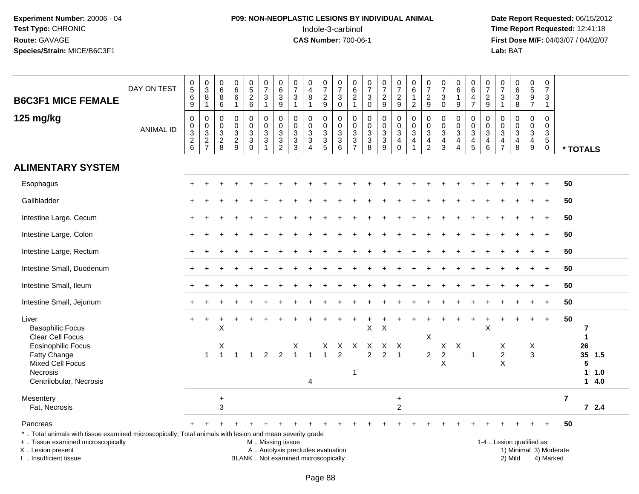# **P09: NON-NEOPLASTIC LESIONS BY INDIVIDUAL ANIMAL**Indole-3-carbinol **Time Report Requested:** 12:41:18

 **Date Report Requested:** 06/15/2012 **First Dose M/F:** 04/03/07 / 04/02/07<br>Lab: BAT **Lab:** BAT

|                                                                                                                                                                                               | DAY ON TEST      | $\begin{array}{c} 0 \\ 5 \end{array}$<br>6  | $_{3}^{\rm 0}$<br>$\bf 8$                    | 0<br>$\,6\,$<br>$\bf 8$                | $\mathbf 0$<br>$\overline{6}$<br>$\,6\,$                                 | 0<br>$\overline{5}$<br>$\overline{c}$                         | $\frac{0}{7}$<br>$\ensuremath{\mathsf{3}}$                               | 0<br>$\,6$<br>3                                                             | $\frac{0}{7}$<br>$\sqrt{3}$                                | 0<br>$\overline{4}$<br>8                                                 | $\frac{0}{7}$<br>$\overline{c}$                     | $\pmb{0}$<br>$\overline{7}$<br>$\ensuremath{\mathsf{3}}$       | 0<br>$\,6\,$<br>$\sqrt{2}$                                     | $\frac{0}{7}$<br>$\sqrt{3}$                             | $\frac{0}{7}$<br>$\overline{\mathbf{c}}$ | $\frac{0}{7}$<br>$\overline{2}$                           | $\pmb{0}$<br>$\overline{6}$<br>$\mathbf{1}$ | 0<br>$\overline{7}$<br>$\overline{c}$                                             | $\begin{array}{c} 0 \\ 7 \end{array}$<br>$\ensuremath{\mathsf{3}}$                      | $\pmb{0}$<br>$\overline{6}$<br>$\overline{1}$                          | 0<br>$\,6\,$<br>4                                                     | 0<br>$\overline{7}$<br>$\overline{c}$        | 0<br>$\overline{7}$<br>$\ensuremath{\mathsf{3}}$                   | $_6^0$<br>3                                                    | $\begin{array}{c} 0 \\ 5 \end{array}$                     |            | 0<br>$\overline{7}$<br>3                                                |                         |                                  |             |  |
|-----------------------------------------------------------------------------------------------------------------------------------------------------------------------------------------------|------------------|---------------------------------------------|----------------------------------------------|----------------------------------------|--------------------------------------------------------------------------|---------------------------------------------------------------|--------------------------------------------------------------------------|-----------------------------------------------------------------------------|------------------------------------------------------------|--------------------------------------------------------------------------|-----------------------------------------------------|----------------------------------------------------------------|----------------------------------------------------------------|---------------------------------------------------------|------------------------------------------|-----------------------------------------------------------|---------------------------------------------|-----------------------------------------------------------------------------------|-----------------------------------------------------------------------------------------|------------------------------------------------------------------------|-----------------------------------------------------------------------|----------------------------------------------|--------------------------------------------------------------------|----------------------------------------------------------------|-----------------------------------------------------------|------------|-------------------------------------------------------------------------|-------------------------|----------------------------------|-------------|--|
| <b>B6C3F1 MICE FEMALE</b>                                                                                                                                                                     |                  | $\boldsymbol{9}$                            | $\mathbf{1}$                                 | 6                                      | $\mathbf{1}$                                                             | $\,6\,$                                                       | $\mathbf{1}$                                                             | 9                                                                           | $\mathbf{1}$                                               | $\mathbf{1}$                                                             | 9                                                   | $\mathsf 0$                                                    | $\mathbf{1}$                                                   | $\mathbf 0$                                             | $\boldsymbol{9}$                         | $\boldsymbol{9}$                                          | $\overline{2}$                              | $9\,$                                                                             | $\pmb{0}$                                                                               | 9                                                                      | $\overline{7}$                                                        | $9\,$                                        | $\mathbf{1}$                                                       | 8                                                              | $\frac{9}{7}$                                             |            | $\mathbf{1}$                                                            |                         |                                  |             |  |
| 125 mg/kg                                                                                                                                                                                     | <b>ANIMAL ID</b> | $\pmb{0}$<br>$\frac{0}{3}$<br>$\frac{2}{6}$ | $\pmb{0}$<br>$_{3}^{\rm 0}$<br>$\frac{2}{7}$ | 0<br>0<br>$\mathbf{3}$<br>$_{\rm 8}^2$ | $\mathbf 0$<br>$\mathbf 0$<br>$\ensuremath{\mathsf{3}}$<br>$\frac{2}{9}$ | 0<br>$\mathbf 0$<br>$\sqrt{3}$<br>$\mathbf{3}$<br>$\mathbf 0$ | $\mathbf 0$<br>$\mathbf 0$<br>$\sqrt{3}$<br>$\sqrt{3}$<br>$\overline{1}$ | $\Omega$<br>$\mathbf 0$<br>3<br>$\ensuremath{\mathsf{3}}$<br>$\overline{2}$ | $\Omega$<br>$\mathbf 0$<br>$\overline{3}$<br>$\frac{3}{3}$ | $\Omega$<br>$\mathbf 0$<br>$\sqrt{3}$<br>$\mathbf{3}$<br>$\Delta$        | 0<br>$\mathsf 0$<br>$\overline{3}$<br>$\frac{3}{5}$ | 0<br>$\mathsf 0$<br>$\ensuremath{\mathsf{3}}$<br>$\frac{3}{6}$ | 0<br>$\mathbf 0$<br>$\ensuremath{\mathsf{3}}$<br>$\frac{3}{7}$ | $\pmb{0}$<br>$\mathbf 0$<br>$\sqrt{3}$<br>$\frac{3}{8}$ | 0<br>$\mathbf 0$<br>3<br>$\frac{3}{9}$   | $\pmb{0}$<br>$\frac{0}{3}$<br>$\overline{4}$<br>$\pmb{0}$ | $\mathsf 0$<br>0<br>$\mathbf{3}$<br>4<br>1  | $\mathbf 0$<br>0<br>$\ensuremath{\mathsf{3}}$<br>$\overline{4}$<br>$\overline{c}$ | $\mathbf 0$<br>$\pmb{0}$<br>$\ensuremath{\mathsf{3}}$<br>$\overline{4}$<br>$\mathbf{3}$ | 0<br>$\mathbf 0$<br>$\overline{3}$<br>$\overline{4}$<br>$\overline{4}$ | $\Omega$<br>$\mathbf 0$<br>$\sqrt{3}$<br>$\overline{4}$<br>$\sqrt{5}$ | $\Omega$<br>$\mathbf 0$<br>3<br>4<br>$\,6\,$ | 0<br>$\mathbf 0$<br>$\sqrt{3}$<br>$\overline{4}$<br>$\overline{7}$ | 0<br>0<br>$\overline{3}$<br>$\overline{4}$<br>8                | 0<br>$\mathbf 0$<br>$\overline{3}$<br>$\overline{4}$<br>9 |            | $\Omega$<br>$\mathbf 0$<br>$\mathbf{3}$<br>$5\phantom{.0}$<br>$\pmb{0}$ |                         | * TOTALS                         |             |  |
| <b>ALIMENTARY SYSTEM</b>                                                                                                                                                                      |                  |                                             |                                              |                                        |                                                                          |                                                               |                                                                          |                                                                             |                                                            |                                                                          |                                                     |                                                                |                                                                |                                                         |                                          |                                                           |                                             |                                                                                   |                                                                                         |                                                                        |                                                                       |                                              |                                                                    |                                                                |                                                           |            |                                                                         |                         |                                  |             |  |
| Esophagus                                                                                                                                                                                     |                  |                                             |                                              |                                        |                                                                          |                                                               |                                                                          |                                                                             |                                                            |                                                                          |                                                     |                                                                |                                                                |                                                         |                                          |                                                           |                                             |                                                                                   |                                                                                         |                                                                        |                                                                       |                                              |                                                                    |                                                                |                                                           |            |                                                                         | 50                      |                                  |             |  |
| Gallbladder                                                                                                                                                                                   |                  |                                             |                                              |                                        |                                                                          |                                                               |                                                                          |                                                                             |                                                            |                                                                          |                                                     |                                                                |                                                                |                                                         |                                          |                                                           |                                             |                                                                                   |                                                                                         |                                                                        |                                                                       |                                              |                                                                    |                                                                |                                                           | $\ddot{}$  |                                                                         | 50                      |                                  |             |  |
| Intestine Large, Cecum                                                                                                                                                                        |                  |                                             |                                              |                                        |                                                                          |                                                               |                                                                          |                                                                             |                                                            |                                                                          |                                                     |                                                                |                                                                |                                                         |                                          |                                                           |                                             |                                                                                   |                                                                                         |                                                                        |                                                                       |                                              |                                                                    |                                                                |                                                           | $\ddot{}$  |                                                                         | 50                      |                                  |             |  |
| Intestine Large, Colon                                                                                                                                                                        |                  |                                             |                                              |                                        |                                                                          |                                                               |                                                                          |                                                                             |                                                            |                                                                          |                                                     |                                                                |                                                                |                                                         |                                          |                                                           |                                             |                                                                                   |                                                                                         |                                                                        |                                                                       |                                              |                                                                    |                                                                |                                                           |            |                                                                         | 50                      |                                  |             |  |
| Intestine Large, Rectum                                                                                                                                                                       |                  |                                             |                                              |                                        |                                                                          |                                                               |                                                                          |                                                                             |                                                            |                                                                          |                                                     |                                                                |                                                                |                                                         |                                          |                                                           |                                             |                                                                                   |                                                                                         |                                                                        |                                                                       |                                              |                                                                    |                                                                |                                                           | $\ddot{}$  |                                                                         | 50                      |                                  |             |  |
| Intestine Small, Duodenum                                                                                                                                                                     |                  |                                             |                                              |                                        |                                                                          |                                                               |                                                                          |                                                                             |                                                            |                                                                          |                                                     |                                                                |                                                                |                                                         |                                          |                                                           |                                             |                                                                                   |                                                                                         |                                                                        |                                                                       |                                              |                                                                    |                                                                |                                                           | $\ddot{+}$ |                                                                         | 50                      |                                  |             |  |
| Intestine Small, Ileum                                                                                                                                                                        |                  |                                             |                                              |                                        |                                                                          |                                                               |                                                                          |                                                                             |                                                            |                                                                          |                                                     |                                                                |                                                                |                                                         |                                          |                                                           |                                             |                                                                                   |                                                                                         |                                                                        |                                                                       |                                              |                                                                    |                                                                |                                                           | $\ddot{}$  |                                                                         | 50                      |                                  |             |  |
| Intestine Small, Jejunum                                                                                                                                                                      |                  |                                             |                                              |                                        |                                                                          |                                                               |                                                                          |                                                                             |                                                            |                                                                          |                                                     |                                                                |                                                                |                                                         |                                          |                                                           |                                             |                                                                                   |                                                                                         |                                                                        |                                                                       |                                              |                                                                    |                                                                |                                                           | $\ddot{}$  |                                                                         | 50                      |                                  |             |  |
| Liver<br><b>Basophilic Focus</b><br>Clear Cell Focus                                                                                                                                          |                  | $+$                                         | $\ddot{}$                                    | X                                      |                                                                          |                                                               |                                                                          |                                                                             |                                                            |                                                                          |                                                     |                                                                |                                                                | X                                                       | X                                        |                                                           |                                             | $\mathsf X$                                                                       |                                                                                         |                                                                        |                                                                       | X                                            |                                                                    |                                                                | $\ddot{}$                                                 | $\ddot{}$  |                                                                         | 50                      | 7<br>$\mathbf{1}$                |             |  |
| Eosinophilic Focus<br>Fatty Change<br><b>Mixed Cell Focus</b><br>Necrosis<br>Centrilobular, Necrosis                                                                                          |                  |                                             | $\overline{1}$                               | X                                      | $\overline{1}$                                                           |                                                               | 2                                                                        | 2                                                                           | X<br>$\mathbf{1}$                                          | $\mathbf{1}$<br>4                                                        | X<br>$\mathbf{1}$                                   | X<br>2                                                         | $\mathsf{X}$<br>$\overline{1}$                                 | X<br>$\overline{2}$                                     | $\overline{2}$                           | $X$ X<br>$\overline{1}$                                   |                                             | $\overline{2}$                                                                    | $\mathsf X$<br>$\sqrt{2}$<br>X                                                          | $\boldsymbol{\mathsf{X}}$                                              | $\overline{1}$                                                        |                                              | X<br>$\overline{2}$<br>X                                           |                                                                | X<br>3                                                    |            |                                                                         |                         | 26<br>35 1.5<br>5<br>$\mathbf 1$ | 1.0<br>14.0 |  |
| Mesentery<br>Fat, Necrosis                                                                                                                                                                    |                  |                                             |                                              | $\ddot{}$<br>3                         |                                                                          |                                                               |                                                                          |                                                                             |                                                            |                                                                          |                                                     |                                                                |                                                                |                                                         |                                          | $\ddot{}$<br>$\overline{c}$                               |                                             |                                                                                   |                                                                                         |                                                                        |                                                                       |                                              |                                                                    |                                                                |                                                           |            |                                                                         | $\overline{\mathbf{r}}$ |                                  | $72.4$      |  |
| Pancreas                                                                                                                                                                                      |                  |                                             |                                              |                                        |                                                                          | +                                                             | +                                                                        | $\ddot{}$                                                                   | $+$                                                        | $\ddot{}$                                                                | $+$                                                 | $\ddot{}$                                                      | $\ddot{}$                                                      | $+$                                                     | $\ddot{}$                                | $\ddot{}$                                                 | $\ddot{}$                                   |                                                                                   |                                                                                         |                                                                        |                                                                       |                                              |                                                                    |                                                                | $\ddot{}$                                                 | $\ddot{}$  |                                                                         | 50                      |                                  |             |  |
| *  Total animals with tissue examined microscopically; Total animals with lesion and mean severity grade<br>+  Tissue examined microscopically<br>X  Lesion present<br>I  Insufficient tissue |                  |                                             |                                              |                                        |                                                                          |                                                               | M  Missing tissue                                                        |                                                                             |                                                            | A  Autolysis precludes evaluation<br>BLANK  Not examined microscopically |                                                     |                                                                |                                                                |                                                         |                                          |                                                           |                                             |                                                                                   |                                                                                         |                                                                        |                                                                       |                                              |                                                                    | 1-4  Lesion qualified as:<br>1) Minimal 3) Moderate<br>2) Mild |                                                           |            | 4) Marked                                                               |                         |                                  |             |  |

I .. Insufficient tissue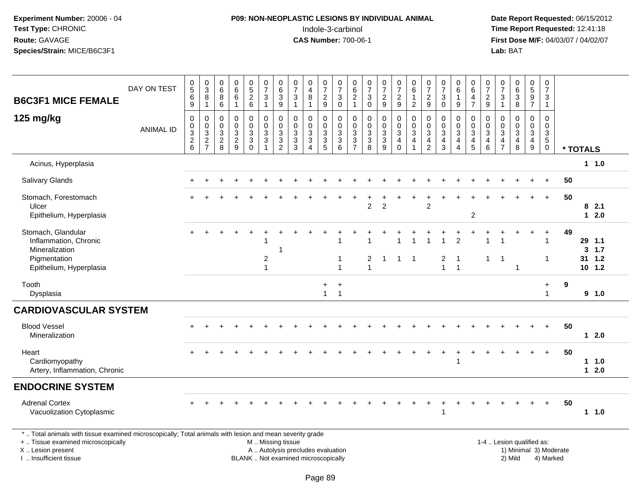# **P09: NON-NEOPLASTIC LESIONS BY INDIVIDUAL ANIMAL**Indole-3-carbinol **Time Report Requested:** 12:41:18

 **Date Report Requested:** 06/15/2012 **First Dose M/F:** 04/03/07 / 04/02/07<br>Lab: BAT **Lab:** BAT

| <b>B6C3F1 MICE FEMALE</b>                                                                                                                      | DAY ON TEST      | $\begin{array}{c} 0 \\ 5 \end{array}$<br>$\,6\,$                            | $\begin{array}{c} 0 \\ 3 \\ 8 \end{array}$                                 | $\begin{array}{c} 0 \\ 6 \end{array}$<br>8 | $\begin{array}{c} 0 \\ 6 \\ 6 \end{array}$          | $\begin{array}{c} 0 \\ 5 \\ 2 \end{array}$                                                 | $\begin{array}{c} 0 \\ 7 \end{array}$<br>$\mathbf{3}$                        | $\begin{array}{c} 0 \\ 6 \end{array}$<br>$\mathbf{3}$                                        | $\begin{array}{c} 0 \\ 7 \end{array}$<br>$\ensuremath{\mathsf{3}}$           | $\pmb{0}$<br>$\overline{4}$<br>$\overline{8}$                                | $\begin{smallmatrix}0\\7\end{smallmatrix}$<br>$\frac{2}{9}$ | $\frac{0}{7}$<br>$\ensuremath{\mathsf{3}}$             | $062$<br>$1$                                   | $\frac{0}{7}$<br>$\sqrt{3}$                                            | $\begin{smallmatrix}0\\7\end{smallmatrix}$<br>$\frac{2}{9}$ | $\frac{0}{7}$<br>$\frac{2}{9}$                                               | $\begin{array}{c} 0 \\ 6 \end{array}$<br>$\mathbf{1}$              | 0729                                                                                               | $\frac{0}{7}$<br>$\ensuremath{\mathsf{3}}$                                                  | $\begin{array}{c} 0 \\ 6 \end{array}$<br>$\mathbf{1}$                     | $\begin{array}{c} 0 \\ 6 \end{array}$<br>$\overline{4}$        | $\frac{0}{7}$<br>$\frac{2}{9}$                                          | $\begin{array}{c} 0 \\ 7 \end{array}$<br>$\overline{3}$                       | $\begin{matrix} 0 \\ 6 \\ 3 \end{matrix}$                                                     | $\begin{array}{c} 0 \\ 5 \\ 9 \end{array}$                    | $\pmb{0}$<br>$\overline{7}$<br>3                            |    |          |                                           |
|------------------------------------------------------------------------------------------------------------------------------------------------|------------------|-----------------------------------------------------------------------------|----------------------------------------------------------------------------|--------------------------------------------|-----------------------------------------------------|--------------------------------------------------------------------------------------------|------------------------------------------------------------------------------|----------------------------------------------------------------------------------------------|------------------------------------------------------------------------------|------------------------------------------------------------------------------|-------------------------------------------------------------|--------------------------------------------------------|------------------------------------------------|------------------------------------------------------------------------|-------------------------------------------------------------|------------------------------------------------------------------------------|--------------------------------------------------------------------|----------------------------------------------------------------------------------------------------|---------------------------------------------------------------------------------------------|---------------------------------------------------------------------------|----------------------------------------------------------------|-------------------------------------------------------------------------|-------------------------------------------------------------------------------|-----------------------------------------------------------------------------------------------|---------------------------------------------------------------|-------------------------------------------------------------|----|----------|-------------------------------------------|
| 125 mg/kg                                                                                                                                      | <b>ANIMAL ID</b> | 9<br>$\mathbf 0$<br>$\pmb{0}$<br>$\begin{array}{c} 3 \\ 2 \\ 6 \end{array}$ | $\mathbf{1}$<br>$\,0\,$<br>$\begin{array}{c} 0 \\ 3 \\ 2 \\ 7 \end{array}$ | 6<br>0<br>$\mathbf 0$<br>$\frac{3}{2}$     | $\overline{1}$<br>$\mathsf 0$<br>$\frac{0}{2}$<br>9 | $6\phantom{a}$<br>0<br>$\pmb{0}$<br>$\ensuremath{\mathsf{3}}$<br>$\sqrt{3}$<br>$\mathbf 0$ | $\mathbf{1}$<br>$\pmb{0}$<br>$\begin{array}{c} 0 \\ 3 \\ 3 \\ 1 \end{array}$ | 9<br>$\mathbf 0$<br>$\pmb{0}$<br>$\ensuremath{\mathsf{3}}$<br>$\mathbf{3}$<br>$\overline{2}$ | $\mathbf{1}$<br>$\pmb{0}$<br>$\begin{array}{c} 0 \\ 3 \\ 3 \\ 3 \end{array}$ | $\mathbf 1$<br>$\mathbf 0$<br>$\mathbf 0$<br>$\frac{3}{3}$<br>$\overline{4}$ | $\pmb{0}$<br>$\begin{array}{c}\n0 \\ 3 \\ 5\n\end{array}$   | $\mathbf 0$<br>$\pmb{0}$<br>$\pmb{0}$<br>$\frac{3}{6}$ | $\boldsymbol{0}$<br>$\pmb{0}$<br>$\frac{3}{3}$ | $\mathbf 0$<br>$\pmb{0}$<br>$\begin{array}{c} 0 \\ 3 \\ 8 \end{array}$ | 0<br>$\pmb{0}$<br>$\frac{3}{9}$                             | 0<br>$\pmb{0}$<br>$\ensuremath{\mathsf{3}}$<br>$\overline{4}$<br>$\mathbf 0$ | $\overline{2}$<br>0<br>$\pmb{0}$<br>$\mathbf{3}$<br>$\overline{4}$ | $\mathbf 0$<br>$\pmb{0}$<br>$\ensuremath{\mathsf{3}}$<br>$\overline{\mathbf{4}}$<br>$\overline{2}$ | $\Omega$<br>0<br>$\pmb{0}$<br>$\ensuremath{\mathsf{3}}$<br>$\overline{4}$<br>$\overline{3}$ | 9<br>0<br>$\mathbf 0$<br>$\mathbf{3}$<br>$\overline{a}$<br>$\overline{4}$ | $\overline{7}$<br>$\pmb{0}$<br>$\frac{0}{3}$<br>$\overline{5}$ | 0<br>$\mathbf 0$<br>$\sqrt{3}$<br>$\begin{array}{c} 4 \\ 6 \end{array}$ | $\overline{1}$<br>$\pmb{0}$<br>$\begin{matrix} 0 \\ 3 \\ 4 \\ 7 \end{matrix}$ | 8<br>$\mathsf{O}$<br>$\mathbf 0$<br>$\mathbf{3}$<br>$\overline{\mathbf{4}}$<br>$\overline{8}$ | $\overline{7}$<br>$\pmb{0}$<br>$\frac{0}{3}$<br>$\frac{4}{9}$ | $\mathbf 1$<br>0<br>0<br>3<br>$\overline{5}$<br>$\mathbf 0$ |    | * TOTALS |                                           |
| Acinus, Hyperplasia                                                                                                                            |                  |                                                                             |                                                                            |                                            |                                                     |                                                                                            |                                                                              |                                                                                              |                                                                              |                                                                              |                                                             |                                                        |                                                |                                                                        |                                                             |                                                                              |                                                                    |                                                                                                    |                                                                                             |                                                                           |                                                                |                                                                         |                                                                               |                                                                                               |                                                               |                                                             |    |          | 11.0                                      |
| Salivary Glands                                                                                                                                |                  |                                                                             |                                                                            |                                            |                                                     |                                                                                            |                                                                              |                                                                                              |                                                                              |                                                                              |                                                             |                                                        |                                                |                                                                        |                                                             |                                                                              |                                                                    |                                                                                                    |                                                                                             |                                                                           |                                                                |                                                                         |                                                                               |                                                                                               |                                                               | $\ddot{}$                                                   | 50 |          |                                           |
| Stomach, Forestomach<br>Ulcer<br>Epithelium, Hyperplasia                                                                                       |                  |                                                                             |                                                                            |                                            |                                                     |                                                                                            |                                                                              |                                                                                              |                                                                              |                                                                              |                                                             |                                                        |                                                | $\overline{2}$                                                         | $\overline{2}$                                              |                                                                              |                                                                    | 2                                                                                                  |                                                                                             |                                                                           | $\overline{2}$                                                 |                                                                         |                                                                               |                                                                                               |                                                               | $\ddot{}$                                                   | 50 |          | 82.1<br>$12.0$                            |
| Stomach, Glandular<br>Inflammation, Chronic<br>Mineralization<br>Pigmentation<br>Epithelium, Hyperplasia                                       |                  |                                                                             |                                                                            |                                            |                                                     |                                                                                            | $\overline{c}$<br>$\mathbf{1}$                                               | -1                                                                                           |                                                                              |                                                                              |                                                             | $\overline{1}$<br>$\overline{1}$                       |                                                | $\overline{\mathbf{c}}$<br>$\overline{1}$                              | $\mathbf{1}$                                                | $\mathbf{1}$                                                                 | $\overline{1}$                                                     |                                                                                                    | $\overline{c}$<br>$\mathbf{1}$                                                              | $\overline{2}$<br>$\overline{1}$<br>$\overline{1}$                        |                                                                | $\mathbf{1}$                                                            | $\overline{1}$                                                                | 1                                                                                             |                                                               | $\ddot{}$<br>1<br>$\mathbf{1}$                              | 49 |          | 29 1.1<br>$3 \t1.7$<br>31 1.2<br>$10$ 1.2 |
| Tooth<br>Dysplasia                                                                                                                             |                  |                                                                             |                                                                            |                                            |                                                     |                                                                                            |                                                                              |                                                                                              |                                                                              |                                                                              | $+$<br>$\mathbf{1}$                                         | $^{+}$<br>$\overline{1}$                               |                                                |                                                                        |                                                             |                                                                              |                                                                    |                                                                                                    |                                                                                             |                                                                           |                                                                |                                                                         |                                                                               |                                                                                               |                                                               | $\ddot{}$<br>$\mathbf{1}$                                   | 9  |          | 9 1.0                                     |
| <b>CARDIOVASCULAR SYSTEM</b>                                                                                                                   |                  |                                                                             |                                                                            |                                            |                                                     |                                                                                            |                                                                              |                                                                                              |                                                                              |                                                                              |                                                             |                                                        |                                                |                                                                        |                                                             |                                                                              |                                                                    |                                                                                                    |                                                                                             |                                                                           |                                                                |                                                                         |                                                                               |                                                                                               |                                                               |                                                             |    |          |                                           |
| <b>Blood Vessel</b><br>Mineralization                                                                                                          |                  |                                                                             |                                                                            |                                            |                                                     |                                                                                            |                                                                              |                                                                                              |                                                                              |                                                                              |                                                             |                                                        |                                                |                                                                        |                                                             |                                                                              |                                                                    |                                                                                                    |                                                                                             |                                                                           |                                                                |                                                                         |                                                                               |                                                                                               |                                                               | $\ddot{}$                                                   | 50 |          | 12.0                                      |
| Heart<br>Cardiomyopathy<br>Artery, Inflammation, Chronic                                                                                       |                  |                                                                             |                                                                            |                                            |                                                     |                                                                                            |                                                                              |                                                                                              |                                                                              |                                                                              |                                                             |                                                        |                                                |                                                                        |                                                             |                                                                              |                                                                    |                                                                                                    |                                                                                             |                                                                           |                                                                |                                                                         |                                                                               |                                                                                               |                                                               | $+$                                                         | 50 |          | 11.0<br>$12.0$                            |
| <b>ENDOCRINE SYSTEM</b>                                                                                                                        |                  |                                                                             |                                                                            |                                            |                                                     |                                                                                            |                                                                              |                                                                                              |                                                                              |                                                                              |                                                             |                                                        |                                                |                                                                        |                                                             |                                                                              |                                                                    |                                                                                                    |                                                                                             |                                                                           |                                                                |                                                                         |                                                                               |                                                                                               |                                                               |                                                             |    |          |                                           |
| <b>Adrenal Cortex</b><br>Vacuolization Cytoplasmic                                                                                             |                  |                                                                             |                                                                            |                                            |                                                     |                                                                                            |                                                                              |                                                                                              |                                                                              |                                                                              |                                                             |                                                        |                                                |                                                                        |                                                             |                                                                              |                                                                    |                                                                                                    | $\mathbf{1}$                                                                                |                                                                           |                                                                |                                                                         |                                                                               |                                                                                               |                                                               |                                                             | 50 |          | 11.0                                      |
| *  Total animals with tissue examined microscopically; Total animals with lesion and mean severity grade<br>+  Tissue examined microscopically |                  |                                                                             |                                                                            |                                            |                                                     |                                                                                            |                                                                              |                                                                                              | M  Missing tissue                                                            |                                                                              |                                                             |                                                        |                                                |                                                                        |                                                             |                                                                              |                                                                    |                                                                                                    |                                                                                             |                                                                           |                                                                |                                                                         |                                                                               | 1-4  Lesion qualified as:                                                                     |                                                               |                                                             |    |          |                                           |

X .. Lesion present

I .. Insufficient tissue

A .. Autolysis precludes evaluation and the series of the series of the series of the series of the series of the series of the series of the series of the series of the series of the series of the series of the series of BLANK .. Not examined microscopically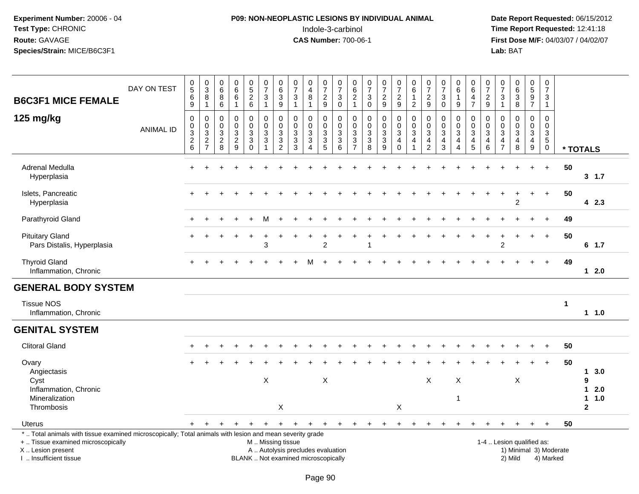# **P09: NON-NEOPLASTIC LESIONS BY INDIVIDUAL ANIMAL**Indole-3-carbinol **Time Report Requested:** 12:41:18

| <b>B6C3F1 MICE FEMALE</b>                                                                                                                                                                     | DAY ON TEST      | $\begin{array}{c} 0 \\ 5 \end{array}$<br>$\,6\,$<br>9        | $\begin{array}{c} 0 \\ 3 \\ 8 \\ 1 \end{array}$  | $\begin{array}{c} 0 \\ 6 \end{array}$<br>$\, 8$<br>6                   | $\begin{matrix} 0 \\ 6 \end{matrix}$<br>$6\phantom{a}$<br>$\mathbf{1}$ | $0$<br>5<br>2<br>6                                       | $\frac{0}{7}$<br>$\mathbf{3}$<br>$\mathbf{1}$ | $\begin{array}{c} 0 \\ 6 \end{array}$<br>$\overline{3}$<br>$9\,$         | $\frac{0}{7}$<br>$\ensuremath{\mathsf{3}}$<br>$\overline{1}$                                  | $\boldsymbol{0}$<br>$\overline{4}$<br>$\bf 8$<br>$\overline{1}$   | $\frac{0}{7}$<br>$\sqrt{2}$<br>9             | $\frac{0}{7}$<br>$\sqrt{3}$<br>$\mathbf 0$        | $\begin{matrix} 0 \\ 6 \end{matrix}$<br>$\sqrt{2}$<br>$\mathbf{1}$ | $\frac{0}{7}$<br>$\mathbf{3}$<br>$\mathbf 0$                  | $\frac{0}{7}$<br>$\frac{2}{9}$               | $\frac{0}{7}$<br>$\sqrt{2}$<br>$\overline{9}$      | $\begin{array}{c} 0 \\ 6 \end{array}$<br>$\frac{1}{2}$       | $\frac{0}{7}$<br>$\sqrt{2}$<br>9                             | $\frac{0}{7}$<br>$\ensuremath{\mathsf{3}}$<br>$\mathbf 0$      | 0<br>6<br>$\mathbf{1}$<br>9                                                 | 0<br>$\,6$<br>4<br>$\overline{7}$                       | $\frac{0}{7}$<br>$\sqrt{2}$<br>$\mathsf g$ | $\frac{0}{7}$<br>$\ensuremath{\mathsf{3}}$<br>$\mathbf{1}$      | $\begin{array}{c} 0 \\ 6 \end{array}$<br>$\ensuremath{\mathsf{3}}$<br>8 | $\begin{array}{c} 0 \\ 5 \end{array}$<br>$\boldsymbol{9}$<br>$\overline{7}$      | 0<br>$\overline{7}$<br>3<br>$\overline{1}$                     |                        |                           |
|-----------------------------------------------------------------------------------------------------------------------------------------------------------------------------------------------|------------------|--------------------------------------------------------------|--------------------------------------------------|------------------------------------------------------------------------|------------------------------------------------------------------------|----------------------------------------------------------|-----------------------------------------------|--------------------------------------------------------------------------|-----------------------------------------------------------------------------------------------|-------------------------------------------------------------------|----------------------------------------------|---------------------------------------------------|--------------------------------------------------------------------|---------------------------------------------------------------|----------------------------------------------|----------------------------------------------------|--------------------------------------------------------------|--------------------------------------------------------------|----------------------------------------------------------------|-----------------------------------------------------------------------------|---------------------------------------------------------|--------------------------------------------|-----------------------------------------------------------------|-------------------------------------------------------------------------|----------------------------------------------------------------------------------|----------------------------------------------------------------|------------------------|---------------------------|
| 125 mg/kg                                                                                                                                                                                     | <b>ANIMAL ID</b> | $\mathsf 0$<br>$\mathbf 0$<br>$\sqrt{3}$<br>$^2\phantom{1}6$ | $\boldsymbol{0}$<br>$\mathbf 0$<br>$\frac{3}{2}$ | $\pmb{0}$<br>$\mathbf 0$<br>$\ensuremath{\mathsf{3}}$<br>$\frac{2}{8}$ | 0<br>$\mathbf 0$<br>3<br>$\frac{2}{9}$                                 | $\pmb{0}$<br>$\mathbf 0$<br>$\frac{3}{3}$<br>$\mathbf 0$ | $\mathbf 0$<br>$\Omega$<br>3<br>$\mathbf{3}$  | $\mathbf 0$<br>$\mathbf 0$<br>$\ensuremath{\mathsf{3}}$<br>$\frac{3}{2}$ | $\mathbf 0$<br>$\mathbf 0$<br>$\ensuremath{\mathsf{3}}$<br>$\frac{3}{3}$                      | 0<br>$\mathbf 0$<br>$\mathbf{3}$<br>$\mathbf 3$<br>$\overline{4}$ | 0<br>$\Omega$<br>$\sqrt{3}$<br>$\frac{3}{5}$ | $\mathbf 0$<br>$\Omega$<br>3<br>$\mathbf{3}$<br>6 | 0<br>$\mathbf 0$<br>$\ensuremath{\mathsf{3}}$<br>$\frac{3}{7}$     | 0<br>$\mathsf{O}\xspace$<br>$\mathbf{3}$<br>$\mathbf{3}$<br>8 | 0<br>$\mathbf 0$<br>$\overline{3}$<br>$_9^3$ | 0<br>$\mathbf 0$<br>$\sqrt{3}$<br>4<br>$\mathbf 0$ | $\mathbf 0$<br>$\mathbf 0$<br>$\mathbf{3}$<br>$\overline{4}$ | $\mathbf 0$<br>$\Omega$<br>$\sqrt{3}$<br>4<br>$\overline{2}$ | 0<br>$\pmb{0}$<br>$\sqrt{3}$<br>$\overline{4}$<br>$\mathbf{3}$ | 0<br>$\mathbf 0$<br>$\sqrt{3}$<br>$\overline{\mathbf{4}}$<br>$\overline{4}$ | 0<br>$\mathbf 0$<br>$\mathbf{3}$<br>$\overline{4}$<br>5 | $\mathbf 0$<br>$\Omega$<br>3<br>4<br>$\,6$ | $\mathbf 0$<br>$\mathbf 0$<br>$\sqrt{3}$<br>4<br>$\overline{7}$ | $\mathbf 0$<br>$\mathbf{0}$<br>$\mathbf{3}$<br>$\overline{a}$<br>$\bf8$ | $\mathbf 0$<br>$\mathbf 0$<br>$\mathbf{3}$<br>$\overline{4}$<br>$\boldsymbol{9}$ | $\mathbf 0$<br>$\Omega$<br>3<br>$5\phantom{.0}$<br>$\mathbf 0$ |                        | * TOTALS                  |
| Adrenal Medulla<br>Hyperplasia                                                                                                                                                                |                  |                                                              |                                                  |                                                                        |                                                                        |                                                          |                                               |                                                                          |                                                                                               |                                                                   |                                              |                                                   |                                                                    |                                                               |                                              |                                                    |                                                              |                                                              |                                                                |                                                                             |                                                         |                                            |                                                                 |                                                                         |                                                                                  | $\ddot{}$                                                      | 50                     | 3, 1.7                    |
| Islets, Pancreatic<br>Hyperplasia                                                                                                                                                             |                  |                                                              |                                                  |                                                                        |                                                                        |                                                          |                                               |                                                                          |                                                                                               |                                                                   |                                              |                                                   |                                                                    |                                                               |                                              |                                                    |                                                              |                                                              |                                                                |                                                                             |                                                         |                                            |                                                                 | $\overline{2}$                                                          |                                                                                  |                                                                | 50                     | 42.3                      |
| Parathyroid Gland                                                                                                                                                                             |                  |                                                              |                                                  |                                                                        |                                                                        |                                                          |                                               |                                                                          |                                                                                               |                                                                   |                                              |                                                   |                                                                    |                                                               |                                              |                                                    |                                                              |                                                              |                                                                |                                                                             |                                                         |                                            |                                                                 |                                                                         |                                                                                  |                                                                | 49                     |                           |
| <b>Pituitary Gland</b><br>Pars Distalis, Hyperplasia                                                                                                                                          |                  |                                                              |                                                  |                                                                        |                                                                        |                                                          | 3                                             |                                                                          |                                                                                               |                                                                   | $\overline{2}$                               |                                                   |                                                                    |                                                               |                                              |                                                    |                                                              |                                                              |                                                                |                                                                             |                                                         |                                            | ÷<br>$\overline{2}$                                             |                                                                         |                                                                                  | $\ddot{}$                                                      | 50                     | $6$ 1.7                   |
| <b>Thyroid Gland</b><br>Inflammation, Chronic                                                                                                                                                 |                  |                                                              |                                                  |                                                                        |                                                                        |                                                          |                                               |                                                                          |                                                                                               |                                                                   |                                              |                                                   |                                                                    |                                                               |                                              |                                                    |                                                              |                                                              |                                                                |                                                                             |                                                         |                                            |                                                                 |                                                                         |                                                                                  |                                                                | 49                     | $12.0$                    |
| <b>GENERAL BODY SYSTEM</b>                                                                                                                                                                    |                  |                                                              |                                                  |                                                                        |                                                                        |                                                          |                                               |                                                                          |                                                                                               |                                                                   |                                              |                                                   |                                                                    |                                                               |                                              |                                                    |                                                              |                                                              |                                                                |                                                                             |                                                         |                                            |                                                                 |                                                                         |                                                                                  |                                                                |                        |                           |
| <b>Tissue NOS</b><br>Inflammation, Chronic                                                                                                                                                    |                  |                                                              |                                                  |                                                                        |                                                                        |                                                          |                                               |                                                                          |                                                                                               |                                                                   |                                              |                                                   |                                                                    |                                                               |                                              |                                                    |                                                              |                                                              |                                                                |                                                                             |                                                         |                                            |                                                                 |                                                                         |                                                                                  |                                                                | 1                      | 11.0                      |
| <b>GENITAL SYSTEM</b>                                                                                                                                                                         |                  |                                                              |                                                  |                                                                        |                                                                        |                                                          |                                               |                                                                          |                                                                                               |                                                                   |                                              |                                                   |                                                                    |                                                               |                                              |                                                    |                                                              |                                                              |                                                                |                                                                             |                                                         |                                            |                                                                 |                                                                         |                                                                                  |                                                                |                        |                           |
| <b>Clitoral Gland</b>                                                                                                                                                                         |                  |                                                              |                                                  |                                                                        |                                                                        |                                                          |                                               |                                                                          |                                                                                               |                                                                   |                                              |                                                   |                                                                    |                                                               |                                              |                                                    |                                                              |                                                              |                                                                |                                                                             |                                                         |                                            |                                                                 |                                                                         |                                                                                  |                                                                | 50                     |                           |
| Ovary<br>Angiectasis                                                                                                                                                                          |                  |                                                              |                                                  |                                                                        |                                                                        |                                                          |                                               |                                                                          |                                                                                               |                                                                   |                                              |                                                   |                                                                    |                                                               |                                              |                                                    |                                                              |                                                              |                                                                |                                                                             |                                                         |                                            |                                                                 |                                                                         |                                                                                  |                                                                | 50                     | 3.0<br>$\mathbf 1$        |
| Cyst<br>Inflammation, Chronic<br>Mineralization                                                                                                                                               |                  |                                                              |                                                  |                                                                        |                                                                        |                                                          | X                                             |                                                                          |                                                                                               |                                                                   | $\boldsymbol{\mathsf{X}}$                    |                                                   |                                                                    |                                                               |                                              |                                                    |                                                              | X                                                            |                                                                | $\pmb{\times}$<br>1                                                         |                                                         |                                            |                                                                 | X                                                                       |                                                                                  |                                                                |                        | 9<br>2.0<br>1<br>1.0<br>1 |
| Thrombosis                                                                                                                                                                                    |                  |                                                              |                                                  |                                                                        |                                                                        |                                                          |                                               | X                                                                        |                                                                                               |                                                                   |                                              |                                                   |                                                                    |                                                               |                                              | X                                                  |                                                              |                                                              |                                                                |                                                                             |                                                         |                                            |                                                                 |                                                                         |                                                                                  |                                                                |                        | $\overline{\mathbf{2}}$   |
| Uterus                                                                                                                                                                                        |                  |                                                              |                                                  |                                                                        |                                                                        |                                                          |                                               | $+$                                                                      | $+$                                                                                           | $\ddot{}$                                                         | $\pm$                                        |                                                   |                                                                    |                                                               | ÷                                            |                                                    |                                                              |                                                              |                                                                |                                                                             |                                                         |                                            |                                                                 |                                                                         |                                                                                  | $\ddot{}$                                                      | 50                     |                           |
| *  Total animals with tissue examined microscopically; Total animals with lesion and mean severity grade<br>+  Tissue examined microscopically<br>X  Lesion present<br>I  Insufficient tissue |                  |                                                              |                                                  |                                                                        |                                                                        |                                                          |                                               |                                                                          | M  Missing tissue<br>A  Autolysis precludes evaluation<br>BLANK  Not examined microscopically |                                                                   |                                              |                                                   |                                                                    |                                                               |                                              |                                                    |                                                              |                                                              |                                                                |                                                                             |                                                         |                                            |                                                                 | 1-4  Lesion qualified as:<br>2) Mild                                    |                                                                                  | 4) Marked                                                      | 1) Minimal 3) Moderate |                           |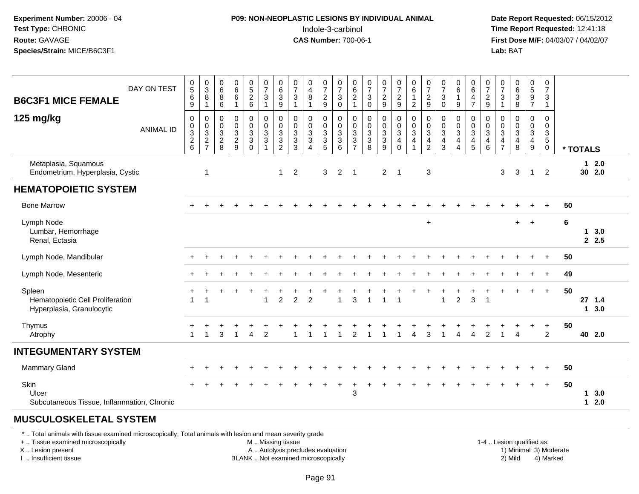### **P09: NON-NEOPLASTIC LESIONS BY INDIVIDUAL ANIMAL**Indole-3-carbinol **Time Report Requested:** 12:41:18

 **Date Report Requested:** 06/15/2012 **First Dose M/F:** 04/03/07 / 04/02/07<br>**Lab:** BAT **Lab:** BAT

| DAY ON TEST<br><b>B6C3F1 MICE FEMALE</b>                                | $\begin{array}{c} 0 \\ 5 \end{array}$<br>$\,6$<br>$\boldsymbol{9}$ | $_{3}^{\rm 0}$<br>8<br>$\mathbf{1}$  | $\pmb{0}$<br>$6\phantom{1}6$<br>$\, 8$<br>$\,6\,$     | $\begin{array}{c} 0 \\ 6 \end{array}$<br>$\,6$<br>$\mathbf{1}$ | $0$<br>52<br>6                                                        | $\begin{smallmatrix}0\\7\end{smallmatrix}$<br>$\mathbf{3}$<br>$\overline{1}$ | $_{6}^{\rm 0}$<br>$\ensuremath{\mathsf{3}}$<br>$\boldsymbol{9}$             | $\frac{0}{7}$<br>$\sqrt{3}$<br>$\overline{1}$           | $\pmb{0}$<br>$\overline{4}$<br>$\, 8$<br>$\mathbf{1}$                  | 0<br>$\overline{7}$<br>$\overline{c}$<br>9 | $\frac{0}{7}$<br>$\mathbf{3}$<br>$\mathbf 0$ | $_{6}^{\rm 0}$<br>$\overline{c}$<br>$\mathbf{1}$        | $\begin{smallmatrix}0\\7\end{smallmatrix}$<br>3<br>$\pmb{0}$ | $\frac{0}{7}$<br>$\frac{2}{9}$              | $\begin{smallmatrix}0\\7\end{smallmatrix}$<br>$\sqrt{2}$<br>$\boldsymbol{9}$ | $\begin{array}{c} 0 \\ 6 \end{array}$<br>$\mathbf{1}$<br>$\overline{c}$ | $\begin{smallmatrix}0\\7\end{smallmatrix}$<br>$\overline{c}$<br>$\boldsymbol{9}$ | $\frac{0}{7}$<br>$\mathsf 3$<br>$\mathbf 0$   | $_{6}^{\rm 0}$<br>$\boldsymbol{9}$                                       | $\begin{array}{c} 0 \\ 6 \end{array}$<br>$\overline{4}$<br>$\overline{7}$ | $\frac{0}{7}$<br>9                                               | $\frac{0}{7}$<br>$\ensuremath{\mathsf{3}}$<br>$\mathbf{1}$                     | $_{6}^{\rm 0}$<br>$\ensuremath{\mathsf{3}}$<br>8                  | $0$<br>$5$<br>$9$<br>$7$                   | $\begin{smallmatrix}0\\7\end{smallmatrix}$<br>$\sqrt{3}$<br>$\mathbf{1}$ |    |                  |     |
|-------------------------------------------------------------------------|--------------------------------------------------------------------|--------------------------------------|-------------------------------------------------------|----------------------------------------------------------------|-----------------------------------------------------------------------|------------------------------------------------------------------------------|-----------------------------------------------------------------------------|---------------------------------------------------------|------------------------------------------------------------------------|--------------------------------------------|----------------------------------------------|---------------------------------------------------------|--------------------------------------------------------------|---------------------------------------------|------------------------------------------------------------------------------|-------------------------------------------------------------------------|----------------------------------------------------------------------------------|-----------------------------------------------|--------------------------------------------------------------------------|---------------------------------------------------------------------------|------------------------------------------------------------------|--------------------------------------------------------------------------------|-------------------------------------------------------------------|--------------------------------------------|--------------------------------------------------------------------------|----|------------------|-----|
| 125 mg/kg<br><b>ANIMAL ID</b>                                           | $\mathbf 0$<br>$\frac{0}{2}$ 6                                     | 0<br>$_{3}^{\rm 0}$<br>$\frac{2}{7}$ | 0<br>$\mathbf 0$<br>$\sqrt{3}$<br>$\overline{c}$<br>8 | $\mathbf 0$<br>$\pmb{0}$<br>$\mathsf 3$<br>$\overline{2}$<br>9 | $\mathsf{O}$<br>$\pmb{0}$<br>$\mathbf{3}$<br>$\mathbf{3}$<br>$\Omega$ | 0<br>$\pmb{0}$<br>$\sqrt{3}$<br>$\sqrt{3}$                                   | $\begin{smallmatrix} 0\\0 \end{smallmatrix}$<br>$\sqrt{3}$<br>$\frac{3}{2}$ | 0<br>$\mathbf 0$<br>3<br>$\ensuremath{\mathsf{3}}$<br>3 | $\mathbf 0$<br>$\pmb{0}$<br>$\sqrt{3}$<br>$\sqrt{3}$<br>$\overline{4}$ | 0<br>0<br>3<br>3<br>5                      | 0<br>$\frac{0}{3}$<br>$\overline{3}$<br>6    | $\pmb{0}$<br>$\pmb{0}$<br>$\mathbf{3}$<br>$\frac{3}{7}$ | 0<br>0<br>3<br>$\ensuremath{\mathsf{3}}$<br>8                | $\begin{matrix}0\\0\\3\\3\end{matrix}$<br>9 | 0<br>$\pmb{0}$<br>$\mathbf{3}$<br>$\overline{\mathbf{r}}$<br>$\Omega$        | 0<br>$\pmb{0}$<br>$\sqrt{3}$<br>4<br>$\overline{1}$                     | 0<br>$\pmb{0}$<br>$\sqrt{3}$<br>4<br>$\overline{2}$                              | 0<br>0<br>$\mathbf{3}$<br>$\overline{4}$<br>3 | 0<br>$\pmb{0}$<br>$\sqrt{3}$<br>$\overline{4}$<br>$\boldsymbol{\Lambda}$ | 0<br>$\pmb{0}$<br>$\mathsf 3$<br>$\overline{4}$<br>$\sqrt{5}$             | 0<br>$\mathbf 0$<br>$\mathbf{3}$<br>$\overline{\mathbf{4}}$<br>6 | $\mathbf 0$<br>$\mathbf 0$<br>$\mathbf{3}$<br>$\overline{a}$<br>$\overline{7}$ | $\mathbf 0$<br>$\mathbf 0$<br>$\mathbf{3}$<br>$\overline{4}$<br>8 | $\mathbf 0$<br>0<br>$\mathbf{3}$<br>4<br>9 | 0<br>$\mathbf 0$<br>$\frac{3}{5}$<br>0                                   |    | * TOTALS         |     |
| Metaplasia, Squamous<br>Endometrium, Hyperplasia, Cystic                |                                                                    | $\overline{1}$                       |                                                       |                                                                |                                                                       |                                                                              | $\mathbf{1}$                                                                | 2                                                       |                                                                        | 3                                          | $\overline{2}$                               | $\overline{1}$                                          |                                                              | $\overline{2}$                              | $\overline{1}$                                                               |                                                                         | 3                                                                                |                                               |                                                                          |                                                                           |                                                                  | 3                                                                              | 3                                                                 | $\mathbf{1}$                               | 2                                                                        |    | $12.0$<br>30 2.0 |     |
| <b>HEMATOPOIETIC SYSTEM</b>                                             |                                                                    |                                      |                                                       |                                                                |                                                                       |                                                                              |                                                                             |                                                         |                                                                        |                                            |                                              |                                                         |                                                              |                                             |                                                                              |                                                                         |                                                                                  |                                               |                                                                          |                                                                           |                                                                  |                                                                                |                                                                   |                                            |                                                                          |    |                  |     |
| <b>Bone Marrow</b>                                                      |                                                                    |                                      |                                                       |                                                                |                                                                       |                                                                              |                                                                             |                                                         |                                                                        |                                            |                                              |                                                         |                                                              |                                             |                                                                              |                                                                         |                                                                                  |                                               |                                                                          |                                                                           |                                                                  |                                                                                |                                                                   |                                            |                                                                          | 50 |                  |     |
| Lymph Node<br>Lumbar, Hemorrhage<br>Renal, Ectasia                      |                                                                    |                                      |                                                       |                                                                |                                                                       |                                                                              |                                                                             |                                                         |                                                                        |                                            |                                              |                                                         |                                                              |                                             |                                                                              |                                                                         | $\ddot{}$                                                                        |                                               |                                                                          |                                                                           |                                                                  |                                                                                | $+$                                                               | $\ddot{}$                                  |                                                                          | 6  | 13.0<br>2.5      |     |
| Lymph Node, Mandibular                                                  |                                                                    |                                      |                                                       |                                                                |                                                                       |                                                                              |                                                                             |                                                         |                                                                        |                                            |                                              |                                                         |                                                              |                                             |                                                                              |                                                                         |                                                                                  |                                               |                                                                          |                                                                           |                                                                  |                                                                                |                                                                   |                                            | $\ddot{}$                                                                | 50 |                  |     |
| Lymph Node, Mesenteric                                                  |                                                                    |                                      |                                                       |                                                                |                                                                       |                                                                              |                                                                             |                                                         |                                                                        |                                            |                                              |                                                         |                                                              |                                             |                                                                              |                                                                         |                                                                                  |                                               |                                                                          |                                                                           |                                                                  |                                                                                |                                                                   |                                            |                                                                          | 49 |                  |     |
| Spleen<br>Hematopoietic Cell Proliferation<br>Hyperplasia, Granulocytic | $\mathbf{1}$                                                       | -1                                   |                                                       |                                                                |                                                                       | $\overline{\mathbf{1}}$                                                      | $\overline{c}$                                                              | $\overline{c}$                                          | $\overline{2}$                                                         |                                            |                                              | 3                                                       |                                                              | $\overline{\mathbf{1}}$                     | 1                                                                            |                                                                         |                                                                                  |                                               | $\overline{c}$                                                           | $\mathfrak{Z}$                                                            | $\overline{1}$                                                   |                                                                                |                                                                   |                                            | $+$                                                                      | 50 | 27 1.4<br>13.0   |     |
| Thymus<br>Atrophy                                                       | $\overline{1}$                                                     | $\mathbf{1}$                         | 3                                                     |                                                                | $\overline{4}$                                                        | $\overline{c}$                                                               |                                                                             |                                                         |                                                                        |                                            |                                              | $\overline{2}$                                          |                                                              |                                             |                                                                              | 4                                                                       | 3                                                                                |                                               | Δ                                                                        | Δ                                                                         | $\overline{2}$                                                   |                                                                                |                                                                   |                                            | $\ddot{}$<br>$\overline{2}$                                              | 50 | 40 2.0           |     |
| <b>INTEGUMENTARY SYSTEM</b>                                             |                                                                    |                                      |                                                       |                                                                |                                                                       |                                                                              |                                                                             |                                                         |                                                                        |                                            |                                              |                                                         |                                                              |                                             |                                                                              |                                                                         |                                                                                  |                                               |                                                                          |                                                                           |                                                                  |                                                                                |                                                                   |                                            |                                                                          |    |                  |     |
| <b>Mammary Gland</b>                                                    |                                                                    |                                      |                                                       |                                                                |                                                                       |                                                                              |                                                                             |                                                         |                                                                        |                                            |                                              |                                                         |                                                              |                                             |                                                                              |                                                                         |                                                                                  |                                               |                                                                          |                                                                           |                                                                  |                                                                                |                                                                   |                                            | $\ddot{}$                                                                | 50 |                  |     |
| Skin<br>Ulcer<br>Subcutaneous Tissue, Inflammation, Chronic             |                                                                    |                                      |                                                       |                                                                |                                                                       |                                                                              |                                                                             |                                                         |                                                                        |                                            |                                              | 3                                                       |                                                              |                                             |                                                                              |                                                                         |                                                                                  |                                               |                                                                          |                                                                           |                                                                  |                                                                                |                                                                   | $\ddot{}$                                  | $+$                                                                      | 50 | 1<br>$12.0$      | 3.0 |

#### **MUSCULOSKELETAL SYSTEM**

\* .. Total animals with tissue examined microscopically; Total animals with lesion and mean severity grade

+ .. Tissue examined microscopically

X .. Lesion present

I .. Insufficient tissue

M .. Missing tissue

A .. Autolysis precludes evaluation

BLANK .. Not examined microscopically 2) Mild 4) Marked

1-4 .. Lesion qualified as:<br>1) Minimal 3) Moderate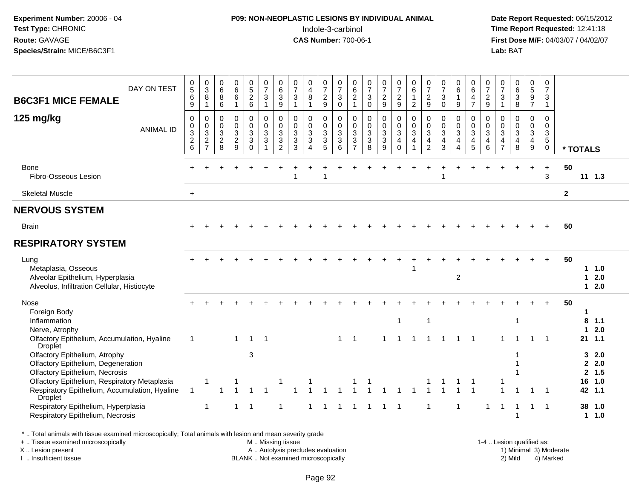### **P09: NON-NEOPLASTIC LESIONS BY INDIVIDUAL ANIMAL**Indole-3-carbinol **Time Report Requested:** 12:41:18

 **Date Report Requested:** 06/15/2012 **First Dose M/F:** 04/03/07 / 04/02/07<br>Lab: BAT **Lab:** BAT

| DAY ON TEST<br><b>B6C3F1 MICE FEMALE</b>                                                                                                                                                                                                                                                                | 0<br>$\overline{5}$<br>$\,6$<br>9 | $\frac{0}{3}$<br>8<br>$\overline{1}$                                   | 0<br>6<br>8<br>6                                                         | 0<br>$\overline{6}$<br>6<br>$\mathbf{1}$                          | 0<br>$\overline{5}$<br>$\frac{2}{6}$                             | 0<br>$\overline{7}$<br>$\sqrt{3}$<br>$\mathbf{1}$       | $\begin{array}{c} 0 \\ 6 \end{array}$<br>$\overline{3}$<br>9                          | $\frac{0}{7}$<br>$\frac{3}{1}$                                  | 0<br>$\overline{4}$<br>8<br>1                           | 0<br>$\overline{7}$<br>$\frac{2}{9}$                                               | $\frac{0}{7}$<br>$\ensuremath{\mathsf{3}}$<br>$\mathbf 0$       | 0<br>$6\overline{6}$<br>$\frac{2}{1}$                                 | $\frac{0}{7}$<br>$\sqrt{3}$<br>$\mathbf 0$                    | $\frac{0}{7}$<br>$\frac{2}{9}$               | 0<br>$\overline{7}$<br>$\frac{2}{9}$                           | 0<br>$\overline{6}$<br>$\mathbf{1}$<br>$\overline{a}$           | 0<br>$\overline{7}$<br>$\frac{2}{9}$                  | $\frac{0}{7}$<br>$\ensuremath{\mathsf{3}}$<br>$\mathbf 0$         | 0<br>$6\phantom{a}$<br>$\mathbf{1}$<br>9                     | 0<br>6<br>$\overline{a}$<br>$\overline{7}$                          | 0<br>$\overline{7}$<br>$\frac{2}{9}$         | $\frac{0}{7}$<br>$\frac{3}{1}$                        | 0<br>6<br>3<br>8                           | 0<br>$\frac{5}{9}$                                                               | $\mathbf 0$<br>$\overline{7}$<br>$\mathbf{3}$<br>$\mathbf{1}$           |              |                                                            |  |
|---------------------------------------------------------------------------------------------------------------------------------------------------------------------------------------------------------------------------------------------------------------------------------------------------------|-----------------------------------|------------------------------------------------------------------------|--------------------------------------------------------------------------|-------------------------------------------------------------------|------------------------------------------------------------------|---------------------------------------------------------|---------------------------------------------------------------------------------------|-----------------------------------------------------------------|---------------------------------------------------------|------------------------------------------------------------------------------------|-----------------------------------------------------------------|-----------------------------------------------------------------------|---------------------------------------------------------------|----------------------------------------------|----------------------------------------------------------------|-----------------------------------------------------------------|-------------------------------------------------------|-------------------------------------------------------------------|--------------------------------------------------------------|---------------------------------------------------------------------|----------------------------------------------|-------------------------------------------------------|--------------------------------------------|----------------------------------------------------------------------------------|-------------------------------------------------------------------------|--------------|------------------------------------------------------------|--|
| 125 mg/kg<br><b>ANIMAL ID</b>                                                                                                                                                                                                                                                                           | 0<br>0<br>$\frac{3}{2}$ 6         | 0<br>$\mathbf 0$<br>$\overline{3}$<br>$\overline{c}$<br>$\overline{7}$ | $\mathbf 0$<br>$\boldsymbol{0}$<br>$\overline{3}$<br>$\overline{c}$<br>8 | $\mathbf 0$<br>$\mathsf 0$<br>$\mathbf{3}$<br>$\overline{c}$<br>9 | $\mathsf 0$<br>$\mathbf 0$<br>$\overline{3}$<br>3<br>$\mathbf 0$ | $\pmb{0}$<br>$\ddot{\mathbf{0}}$<br>$\overline{3}$<br>3 | $\mathbf 0$<br>$\pmb{0}$<br>$\sqrt{3}$<br>$\ensuremath{\mathsf{3}}$<br>$\overline{2}$ | $\mathbf 0$<br>$\mathbf 0$<br>$\overline{3}$<br>$\sqrt{3}$<br>3 | 0<br>$\mathbf 0$<br>$\mathbf{3}$<br>3<br>$\overline{4}$ | 0<br>$\mathbf 0$<br>$\overline{3}$<br>$\ensuremath{\mathsf{3}}$<br>$5\phantom{.0}$ | $\mathbf 0$<br>$\pmb{0}$<br>$\overline{3}$<br>$\mathbf{3}$<br>6 | 0<br>0<br>$\mathbf{3}$<br>$\ensuremath{\mathsf{3}}$<br>$\overline{7}$ | $\mathbf 0$<br>$\pmb{0}$<br>$\overline{3}$<br>$\sqrt{3}$<br>8 | 0<br>$\mathbf 0$<br>$\overline{3}$<br>3<br>9 | 0<br>$\mathsf{O}\xspace$<br>$\overline{3}$<br>4<br>$\mathsf 0$ | 0<br>$\mathsf{O}\xspace$<br>$\overline{3}$<br>4<br>$\mathbf{1}$ | $\mathbf 0$<br>0<br>$\sqrt{3}$<br>4<br>$\overline{2}$ | $\mathbf 0$<br>$\pmb{0}$<br>$\overline{3}$<br>$\overline{4}$<br>3 | 0<br>0<br>$\overline{3}$<br>$\overline{4}$<br>$\overline{4}$ | $\mathbf 0$<br>$\mathbf 0$<br>$\overline{3}$<br>$\overline{4}$<br>5 | 0<br>$\mathbf 0$<br>3<br>$\overline{4}$<br>6 | $\mathbf 0$<br>0<br>$\sqrt{3}$<br>4<br>$\overline{7}$ | 0<br>$\pmb{0}$<br>$\overline{3}$<br>4<br>8 | 0<br>$\mathsf{O}\xspace$<br>$\overline{3}$<br>$\overline{4}$<br>$\boldsymbol{9}$ | $\mathbf 0$<br>$\mathbf 0$<br>$\mathbf{3}$<br>$\sqrt{5}$<br>$\mathbf 0$ |              | * TOTALS                                                   |  |
| Bone<br>Fibro-Osseous Lesion                                                                                                                                                                                                                                                                            |                                   |                                                                        |                                                                          |                                                                   |                                                                  |                                                         |                                                                                       |                                                                 |                                                         |                                                                                    |                                                                 |                                                                       |                                                               |                                              |                                                                |                                                                 |                                                       |                                                                   |                                                              |                                                                     |                                              |                                                       |                                            | $+$                                                                              | $\ddot{}$<br>3                                                          | 50           | $11 \t1.3$                                                 |  |
| <b>Skeletal Muscle</b>                                                                                                                                                                                                                                                                                  | $+$                               |                                                                        |                                                                          |                                                                   |                                                                  |                                                         |                                                                                       |                                                                 |                                                         |                                                                                    |                                                                 |                                                                       |                                                               |                                              |                                                                |                                                                 |                                                       |                                                                   |                                                              |                                                                     |                                              |                                                       |                                            |                                                                                  |                                                                         | $\mathbf{2}$ |                                                            |  |
| <b>NERVOUS SYSTEM</b>                                                                                                                                                                                                                                                                                   |                                   |                                                                        |                                                                          |                                                                   |                                                                  |                                                         |                                                                                       |                                                                 |                                                         |                                                                                    |                                                                 |                                                                       |                                                               |                                              |                                                                |                                                                 |                                                       |                                                                   |                                                              |                                                                     |                                              |                                                       |                                            |                                                                                  |                                                                         |              |                                                            |  |
| <b>Brain</b>                                                                                                                                                                                                                                                                                            |                                   |                                                                        |                                                                          |                                                                   |                                                                  |                                                         |                                                                                       |                                                                 |                                                         |                                                                                    |                                                                 |                                                                       |                                                               |                                              |                                                                |                                                                 |                                                       |                                                                   |                                                              |                                                                     |                                              |                                                       |                                            |                                                                                  | $\ddot{}$                                                               | 50           |                                                            |  |
| <b>RESPIRATORY SYSTEM</b>                                                                                                                                                                                                                                                                               |                                   |                                                                        |                                                                          |                                                                   |                                                                  |                                                         |                                                                                       |                                                                 |                                                         |                                                                                    |                                                                 |                                                                       |                                                               |                                              |                                                                |                                                                 |                                                       |                                                                   |                                                              |                                                                     |                                              |                                                       |                                            |                                                                                  |                                                                         |              |                                                            |  |
| Lung<br>Metaplasia, Osseous<br>Alveolar Epithelium, Hyperplasia<br>Alveolus, Infiltration Cellular, Histiocyte                                                                                                                                                                                          |                                   |                                                                        |                                                                          |                                                                   |                                                                  |                                                         |                                                                                       |                                                                 |                                                         |                                                                                    |                                                                 |                                                                       |                                                               |                                              |                                                                |                                                                 |                                                       |                                                                   | 2                                                            |                                                                     |                                              |                                                       |                                            |                                                                                  |                                                                         | 50           | 11.0<br>2.0<br>1<br>2.0<br>1                               |  |
| Nose<br>Foreign Body<br>Inflammation<br>Nerve, Atrophy<br>Olfactory Epithelium, Accumulation, Hyaline                                                                                                                                                                                                   | $\overline{1}$                    |                                                                        |                                                                          | $\mathbf{1}$                                                      | $\mathbf{1}$                                                     | $\overline{1}$                                          |                                                                                       |                                                                 |                                                         |                                                                                    | $\mathbf 1$                                                     | $\mathbf 1$                                                           |                                                               | 1                                            | $\mathbf{1}$                                                   |                                                                 | $\overline{1}$                                        |                                                                   | -1                                                           | -1                                                                  |                                              |                                                       | $\overline{1}$                             | -1                                                                               | $\overline{1}$                                                          | 50           | 1<br>$8$ 1.1<br>2.0<br>1<br>$21$ 1.1                       |  |
| Droplet<br>Olfactory Epithelium, Atrophy<br>Olfactory Epithelium, Degeneration<br>Olfactory Epithelium, Necrosis<br>Olfactory Epithelium, Respiratory Metaplasia<br>Respiratory Epithelium, Accumulation, Hyaline<br>Droplet<br>Respiratory Epithelium, Hyperplasia<br>Respiratory Epithelium, Necrosis | $\overline{1}$                    | -1<br>$\overline{1}$                                                   |                                                                          | 1                                                                 | 3<br>$\overline{1}$                                              |                                                         | -1<br>$\overline{1}$                                                                  |                                                                 |                                                         |                                                                                    | -1                                                              |                                                                       | -1                                                            | $\mathbf 1$                                  | - 1                                                            |                                                                 | -1                                                    |                                                                   |                                                              |                                                                     | 1                                            |                                                       |                                            | $\mathbf 1$                                                                      | $\overline{1}$                                                          |              | 32.0<br>2.0<br>2, 1.5<br>16 1.0<br>42 1.1<br>38 1.0<br>1.0 |  |

\* .. Total animals with tissue examined microscopically; Total animals with lesion and mean severity grade

+ .. Tissue examined microscopically

X .. Lesion present

I .. Insufficient tissue

 M .. Missing tissueA .. Autolysis precludes evaluation

BLANK .. Not examined microscopically 2) Mild 4) Marked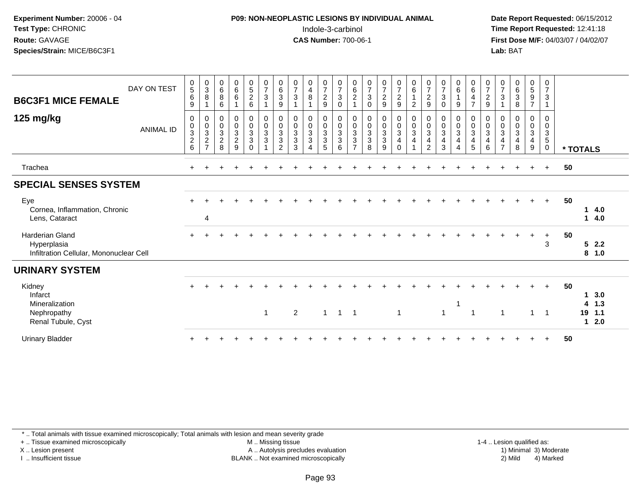### **P09: NON-NEOPLASTIC LESIONS BY INDIVIDUAL ANIMAL**Indole-3-carbinol **Time Report Requested:** 12:41:18

 **Date Report Requested:** 06/15/2012 **First Dose M/F:** 04/03/07 / 04/02/07<br>Lab: BAT **Lab:** BAT

| <b>B6C3F1 MICE FEMALE</b><br>125 mg/kg                                           | DAY ON TEST<br><b>ANIMAL ID</b> | $\begin{matrix} 0 \\ 5 \end{matrix}$<br>$\,6\,$<br>9<br>$\mathbf 0$ | $_{3}^{\rm 0}$<br>$\bf 8$<br>0<br>$\pmb{0}$ | $\begin{array}{c} 0 \\ 6 \end{array}$<br>$\, 8$<br>6<br>$\mathbf 0$<br>$\pmb{0}$ | $_6^0$<br>6<br>0<br>$\mathbf 0$ | $\begin{array}{c} 0 \\ 5 \\ 2 \end{array}$<br>6<br>$\begin{smallmatrix}0\0\0\end{smallmatrix}$ | $\frac{0}{7}$<br>$\sqrt{3}$<br>$\begin{matrix} 0 \\ 0 \\ 3 \\ 3 \end{matrix}$ | $\begin{matrix} 0 \\ 6 \\ 3 \end{matrix}$<br>$\boldsymbol{9}$<br>0 | $\frac{0}{7}$<br>$\sqrt{3}$<br>$\mathbf 0$<br>$\mathbf 0$ | $\begin{array}{c} 0 \\ 4 \\ 8 \end{array}$<br>0<br>$\mathbf 0$ | $\frac{0}{7}$<br>9<br>$\begin{matrix} 0 \\ 0 \\ 3 \\ 3 \end{matrix}$ | $\frac{0}{7}$<br>3<br>$\mathbf 0$<br>0<br>$\mathbf 0$ | 0<br>$\,6\,$<br>$\overline{c}$<br>0 | $\frac{0}{7}$<br>$\sqrt{3}$<br>$\mathbf 0$<br>$\begin{matrix} 0 \\ 0 \\ 3 \\ 3 \end{matrix}$ | $\frac{0}{7}$<br>$\sqrt{2}$<br>$\boldsymbol{9}$<br>$\begin{matrix} 0 \\ 0 \\ 3 \\ 3 \end{matrix}$ | $\begin{matrix} 0 \\ 7 \\ 2 \end{matrix}$<br>$9\,$<br>$\begin{smallmatrix}0\\0\\3\end{smallmatrix}$ | 0<br>6<br>$\overline{c}$<br>0<br>$\mathbf 0$ | $\frac{0}{7}$<br>$\sqrt{2}$<br>$\boldsymbol{9}$<br>0<br>$\pmb{0}$ | $\frac{0}{7}$<br>$\sqrt{3}$<br>$\mathbf 0$<br>0<br>$_{3}^{\rm 0}$ | $\begin{array}{c} 0 \\ 6 \end{array}$<br>$\overline{1}$<br>9<br>0<br>$\mathbf 0$ | $\begin{array}{c} 0 \\ 6 \end{array}$<br>$\overline{4}$<br>$\overline{7}$<br>$\mathbf 0$<br>$\pmb{0}$ | $\frac{0}{7}$<br>$\sqrt{2}$<br>9<br>0<br>$\pmb{0}$ | $\frac{0}{7}$<br>$\ensuremath{\mathsf{3}}$<br>$\mathbf{1}$<br>0<br>$\mathbf 0$ | 0<br>6<br>3<br>8<br>0<br>$\mathbf 0$ | $\begin{matrix} 0 \\ 5 \end{matrix}$<br>$\boldsymbol{9}$<br>$\overline{7}$<br>0 | 0<br>$\overline{7}$<br>$\sqrt{3}$<br>0<br>$\mathbf 0$ |    |                   |                   |  |
|----------------------------------------------------------------------------------|---------------------------------|---------------------------------------------------------------------|---------------------------------------------|----------------------------------------------------------------------------------|---------------------------------|------------------------------------------------------------------------------------------------|-------------------------------------------------------------------------------|--------------------------------------------------------------------|-----------------------------------------------------------|----------------------------------------------------------------|----------------------------------------------------------------------|-------------------------------------------------------|-------------------------------------|----------------------------------------------------------------------------------------------|---------------------------------------------------------------------------------------------------|-----------------------------------------------------------------------------------------------------|----------------------------------------------|-------------------------------------------------------------------|-------------------------------------------------------------------|----------------------------------------------------------------------------------|-------------------------------------------------------------------------------------------------------|----------------------------------------------------|--------------------------------------------------------------------------------|--------------------------------------|---------------------------------------------------------------------------------|-------------------------------------------------------|----|-------------------|-------------------|--|
|                                                                                  |                                 | $\frac{0}{2}$ 6                                                     | $\overline{3}$<br>$\frac{2}{7}$             | $\overline{3}$<br>$\sqrt{2}$<br>8                                                | 3<br>$\overline{c}$<br>9        | $\overline{3}$<br>$\mathfrak{Z}$<br>$\Omega$                                                   |                                                                               | $\begin{array}{c} 0 \\ 3 \\ 2 \end{array}$                         | $\overline{3}$<br>$\overline{3}$<br>3                     | $\overline{3}$<br>3<br>$\overline{\mathbf{4}}$                 | 5                                                                    | $\overline{3}$<br>3<br>6                              | $\frac{0}{3}$<br>$\overline{7}$     | 8                                                                                            | 9                                                                                                 | $\overline{4}$<br>$\Omega$                                                                          | $\overline{3}$<br>4                          | $\overline{3}$<br>$\overline{4}$<br>$\overline{2}$                | 4<br>3                                                            | $\overline{3}$<br>$\overline{\mathbf{4}}$<br>$\overline{4}$                      | $\overline{3}$<br>$\overline{4}$<br>5                                                                 | $\mathbf{3}$<br>$\overline{4}$<br>6                | $\overline{3}$<br>$\overline{4}$<br>$\overline{7}$                             | 3<br>4<br>8                          | $\frac{0}{3}$<br>9                                                              | $\frac{3}{5}$<br>$\mathbf 0$                          |    | * TOTALS          |                   |  |
| Trachea                                                                          |                                 | $+$                                                                 |                                             |                                                                                  |                                 |                                                                                                |                                                                               |                                                                    |                                                           |                                                                |                                                                      |                                                       |                                     |                                                                                              |                                                                                                   |                                                                                                     |                                              |                                                                   |                                                                   |                                                                                  |                                                                                                       |                                                    |                                                                                |                                      | $\ddot{}$                                                                       | $\pm$                                                 | 50 |                   |                   |  |
| <b>SPECIAL SENSES SYSTEM</b>                                                     |                                 |                                                                     |                                             |                                                                                  |                                 |                                                                                                |                                                                               |                                                                    |                                                           |                                                                |                                                                      |                                                       |                                     |                                                                                              |                                                                                                   |                                                                                                     |                                              |                                                                   |                                                                   |                                                                                  |                                                                                                       |                                                    |                                                                                |                                      |                                                                                 |                                                       |    |                   |                   |  |
| Eye<br>Cornea, Inflammation, Chronic<br>Lens, Cataract                           |                                 |                                                                     | $\overline{4}$                              |                                                                                  |                                 |                                                                                                |                                                                               |                                                                    |                                                           |                                                                |                                                                      |                                                       |                                     |                                                                                              |                                                                                                   |                                                                                                     |                                              |                                                                   |                                                                   |                                                                                  |                                                                                                       |                                                    |                                                                                |                                      |                                                                                 | $+$                                                   | 50 | 1.<br>$\mathbf 1$ | 4.0<br>4.0        |  |
| <b>Harderian Gland</b><br>Hyperplasia<br>Infiltration Cellular, Mononuclear Cell |                                 |                                                                     |                                             |                                                                                  |                                 |                                                                                                |                                                                               |                                                                    |                                                           |                                                                |                                                                      |                                                       |                                     |                                                                                              |                                                                                                   |                                                                                                     |                                              |                                                                   |                                                                   |                                                                                  |                                                                                                       |                                                    |                                                                                |                                      |                                                                                 | $+$<br>3                                              | 50 |                   | 52.2<br>8 1.0     |  |
| <b>URINARY SYSTEM</b>                                                            |                                 |                                                                     |                                             |                                                                                  |                                 |                                                                                                |                                                                               |                                                                    |                                                           |                                                                |                                                                      |                                                       |                                     |                                                                                              |                                                                                                   |                                                                                                     |                                              |                                                                   |                                                                   |                                                                                  |                                                                                                       |                                                    |                                                                                |                                      |                                                                                 |                                                       |    |                   |                   |  |
| Kidney<br>Infarct<br>Mineralization<br>Nephropathy                               |                                 |                                                                     |                                             |                                                                                  |                                 |                                                                                                | $\overline{1}$                                                                |                                                                    | $\overline{2}$                                            |                                                                | $\mathbf 1$                                                          | $\overline{1}$                                        | -1                                  |                                                                                              |                                                                                                   | 1                                                                                                   |                                              |                                                                   | 1                                                                 |                                                                                  | -1                                                                                                    |                                                    | 1                                                                              |                                      | $\mathbf 1$                                                                     | $+$<br>$\overline{\phantom{0}}$                       | 50 | 4<br>19           | 3.0<br>1.3<br>1.1 |  |
| Renal Tubule, Cyst<br><b>Urinary Bladder</b>                                     |                                 |                                                                     |                                             |                                                                                  |                                 |                                                                                                |                                                                               |                                                                    |                                                           |                                                                |                                                                      |                                                       |                                     |                                                                                              |                                                                                                   |                                                                                                     |                                              |                                                                   |                                                                   |                                                                                  |                                                                                                       |                                                    |                                                                                |                                      |                                                                                 | $\ddot{}$                                             | 50 | 1                 | 2.0               |  |

\* .. Total animals with tissue examined microscopically; Total animals with lesion and mean severity grade

+ .. Tissue examined microscopically

X .. Lesion present

I .. Insufficient tissue

 M .. Missing tissueA .. Autolysis precludes evaluation

 1-4 .. Lesion qualified as: BLANK .. Not examined microscopically 2) Mild 4) Marked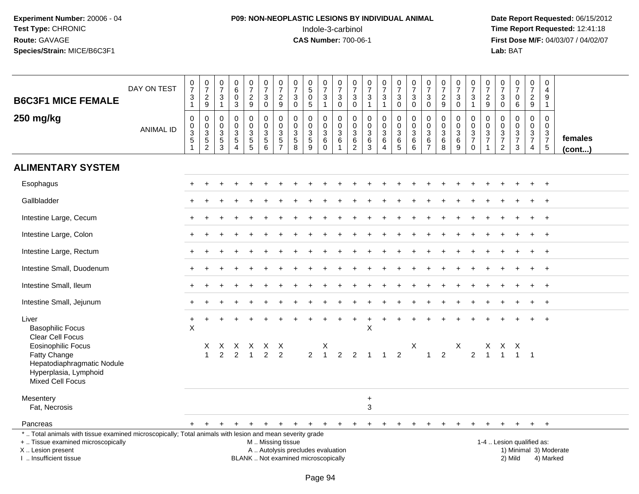# **P09: NON-NEOPLASTIC LESIONS BY INDIVIDUAL ANIMAL**Indole-3-carbinol **Time Report Requested:** 12:41:18

 **Date Report Requested:** 06/15/2012 **First Dose M/F:** 04/03/07 / 04/02/07<br>Lab: BAT **Lab:** BAT

| <b>B6C3F1 MICE FEMALE</b>                                                                                                                                                                     | DAY ON TEST      | $\frac{0}{7}$<br>$\mathsf 3$<br>$\mathbf{1}$       | $\frac{0}{7}$<br>$\overline{c}$<br>9       | $\begin{smallmatrix}0\\7\end{smallmatrix}$<br>$\mathbf{3}$<br>$\mathbf{1}$ | $\pmb{0}$<br>6<br>$\mathbf 0$<br>3                       | $\begin{array}{c} 0 \\ 7 \end{array}$<br>$\overline{a}$<br>9 | $\frac{0}{7}$<br>$\mathsf 3$<br>$\mathbf 0$                    | $\begin{array}{c} 0 \\ 7 \end{array}$<br>$\boldsymbol{2}$<br>$\boldsymbol{9}$ | $\begin{array}{c} 0 \\ 7 \end{array}$<br>$\sqrt{3}$<br>$\mathbf 0$ | $\begin{smallmatrix}0\0\0\end{smallmatrix}$<br>$\overline{0}$<br>$\overline{5}$ | $\begin{array}{c} 0 \\ 7 \end{array}$<br>$\sqrt{3}$<br>$\mathbf{1}$ | 0<br>$\overline{7}$<br>$\mathbf{3}$<br>$\mathbf 0$ | $\frac{0}{7}$<br>$\sqrt{3}$<br>$\mathbf 0$     | $\frac{0}{7}$<br>$\mathbf{3}$<br>$\mathbf{1}$     | $\frac{0}{7}$<br>3<br>$\mathbf{1}$              | $\frac{0}{7}$<br>$\sqrt{3}$<br>$\mathbf 0$                                        | 0<br>$\overline{7}$<br>3<br>$\mathbf 0$          | $\frac{0}{7}$<br>$\mathbf{3}$<br>$\mathbf 0$                             | $\frac{0}{7}$<br>$\overline{c}$<br>$9\,$ | $\begin{array}{c} 0 \\ 7 \end{array}$<br>$\overline{3}$<br>$\mathbf 0$ | 0<br>$\overline{7}$<br>3<br>$\mathbf{1}$               | $\pmb{0}$<br>$\overline{7}$<br>$\overline{c}$<br>9             | $\begin{array}{c} 0 \\ 7 \end{array}$<br>$\mathbf{3}$<br>$\mathsf 0$ | $\pmb{0}$<br>$\overline{7}$<br>0<br>$6\phantom{1}6$    | $\pmb{0}$<br>$\overline{7}$<br>$\sqrt{2}$<br>9                              | $\mathbf 0$<br>4<br>9<br>$\overline{1}$                   |                                     |
|-----------------------------------------------------------------------------------------------------------------------------------------------------------------------------------------------|------------------|----------------------------------------------------|--------------------------------------------|----------------------------------------------------------------------------|----------------------------------------------------------|--------------------------------------------------------------|----------------------------------------------------------------|-------------------------------------------------------------------------------|--------------------------------------------------------------------|---------------------------------------------------------------------------------|---------------------------------------------------------------------|----------------------------------------------------|------------------------------------------------|---------------------------------------------------|-------------------------------------------------|-----------------------------------------------------------------------------------|--------------------------------------------------|--------------------------------------------------------------------------|------------------------------------------|------------------------------------------------------------------------|--------------------------------------------------------|----------------------------------------------------------------|----------------------------------------------------------------------|--------------------------------------------------------|-----------------------------------------------------------------------------|-----------------------------------------------------------|-------------------------------------|
| 250 mg/kg                                                                                                                                                                                     | <b>ANIMAL ID</b> | $\mathbf 0$<br>$\pmb{0}$<br>3<br>5<br>$\mathbf{1}$ | 0<br>$\pmb{0}$<br>3<br>5<br>$\overline{c}$ | $\Omega$<br>$\Omega$<br>$\sqrt{3}$<br>$\frac{5}{3}$                        | $\mathbf 0$<br>$\Omega$<br>$\mathbf{3}$<br>5<br>$\Delta$ | $\mathbf 0$<br>$\mathbf 0$<br>$\sqrt{3}$<br>$\frac{5}{5}$    | $\mathbf 0$<br>$\mathbf 0$<br>$\mathbf{3}$<br>$\overline{5}$ 6 | $\mathbf 0$<br>$\pmb{0}$<br>$\frac{3}{5}$                                     | $\mathbf 0$<br>$\mathbf{0}$<br>$\mathbf{3}$<br>$\sqrt{5}$<br>8     | 0<br>$\mathbf 0$<br>$\sqrt{3}$<br>$\overline{5}$<br>9                           | $\Omega$<br>$\mathbf 0$<br>$\mathbf{3}$<br>$\,6$<br>$\mathbf 0$     | 0<br>$\mathbf 0$<br>3<br>6<br>$\mathbf{1}$         | 0<br>$\Omega$<br>$\mathbf{3}$<br>$\frac{6}{2}$ | 0<br>$\mathbf 0$<br>$\mathbf{3}$<br>$\frac{6}{3}$ | 0<br>$\overline{0}$<br>3<br>6<br>$\overline{4}$ | $\mathbf 0$<br>$\mathbf 0$<br>$\sqrt{3}$<br>$\begin{array}{c} 6 \\ 5 \end{array}$ | $\Omega$<br>$\Omega$<br>3<br>6<br>$6\phantom{1}$ | $\mathbf 0$<br>$\mathbf{0}$<br>$\mathbf{3}$<br>$\,6\,$<br>$\overline{7}$ | 0<br>$\mathbf 0$<br>3<br>6<br>8          | 0<br>$\mathsf{O}\xspace$<br>$\frac{3}{6}$                              | 0<br>$\mathbf 0$<br>3<br>$\overline{7}$<br>$\mathbf 0$ | $\mathbf 0$<br>$\Omega$<br>3<br>$\overline{7}$<br>$\mathbf{1}$ | $\mathbf 0$<br>$\mathbf 0$<br>$\frac{3}{7}$<br>$\overline{2}$        | $\mathbf 0$<br>$\mathbf 0$<br>3<br>$\overline{7}$<br>3 | $\Omega$<br>$\mathbf 0$<br>$\mathbf{3}$<br>$\overline{7}$<br>$\overline{4}$ | $\Omega$<br>$\Omega$<br>3<br>$\overline{7}$<br>$\sqrt{5}$ | females<br>$($ cont $)$             |
| <b>ALIMENTARY SYSTEM</b>                                                                                                                                                                      |                  |                                                    |                                            |                                                                            |                                                          |                                                              |                                                                |                                                                               |                                                                    |                                                                                 |                                                                     |                                                    |                                                |                                                   |                                                 |                                                                                   |                                                  |                                                                          |                                          |                                                                        |                                                        |                                                                |                                                                      |                                                        |                                                                             |                                                           |                                     |
| Esophagus                                                                                                                                                                                     |                  |                                                    |                                            |                                                                            |                                                          |                                                              |                                                                |                                                                               |                                                                    |                                                                                 |                                                                     |                                                    |                                                |                                                   |                                                 |                                                                                   |                                                  |                                                                          |                                          |                                                                        |                                                        |                                                                |                                                                      |                                                        |                                                                             |                                                           |                                     |
| Gallbladder                                                                                                                                                                                   |                  |                                                    |                                            |                                                                            |                                                          |                                                              |                                                                |                                                                               |                                                                    |                                                                                 |                                                                     |                                                    |                                                |                                                   |                                                 |                                                                                   |                                                  |                                                                          |                                          |                                                                        |                                                        |                                                                |                                                                      |                                                        |                                                                             | $+$                                                       |                                     |
| Intestine Large, Cecum                                                                                                                                                                        |                  |                                                    |                                            |                                                                            |                                                          |                                                              |                                                                |                                                                               |                                                                    |                                                                                 |                                                                     |                                                    |                                                |                                                   |                                                 |                                                                                   |                                                  |                                                                          |                                          |                                                                        |                                                        |                                                                |                                                                      |                                                        |                                                                             | $+$                                                       |                                     |
| Intestine Large, Colon                                                                                                                                                                        |                  |                                                    |                                            |                                                                            |                                                          |                                                              |                                                                |                                                                               |                                                                    |                                                                                 |                                                                     |                                                    |                                                |                                                   |                                                 |                                                                                   |                                                  |                                                                          |                                          |                                                                        |                                                        |                                                                |                                                                      |                                                        |                                                                             | $+$                                                       |                                     |
| Intestine Large, Rectum                                                                                                                                                                       |                  |                                                    |                                            |                                                                            |                                                          |                                                              |                                                                |                                                                               |                                                                    |                                                                                 |                                                                     |                                                    |                                                |                                                   |                                                 |                                                                                   |                                                  |                                                                          |                                          |                                                                        |                                                        |                                                                |                                                                      |                                                        |                                                                             | $\overline{+}$                                            |                                     |
| Intestine Small, Duodenum                                                                                                                                                                     |                  |                                                    |                                            |                                                                            |                                                          |                                                              |                                                                |                                                                               |                                                                    |                                                                                 |                                                                     |                                                    |                                                |                                                   |                                                 |                                                                                   |                                                  |                                                                          |                                          |                                                                        |                                                        |                                                                |                                                                      |                                                        |                                                                             | $^{+}$                                                    |                                     |
| Intestine Small, Ileum                                                                                                                                                                        |                  |                                                    |                                            |                                                                            |                                                          |                                                              |                                                                |                                                                               |                                                                    |                                                                                 |                                                                     |                                                    |                                                |                                                   |                                                 |                                                                                   |                                                  |                                                                          |                                          |                                                                        |                                                        |                                                                |                                                                      |                                                        |                                                                             | $+$                                                       |                                     |
| Intestine Small, Jejunum                                                                                                                                                                      |                  |                                                    |                                            |                                                                            |                                                          |                                                              |                                                                |                                                                               |                                                                    |                                                                                 |                                                                     |                                                    |                                                |                                                   |                                                 |                                                                                   |                                                  |                                                                          |                                          |                                                                        |                                                        |                                                                |                                                                      |                                                        |                                                                             | $+$                                                       |                                     |
| Liver<br><b>Basophilic Focus</b><br>Clear Cell Focus                                                                                                                                          |                  | $\ddot{}$<br>$\overline{\mathsf{X}}$               |                                            |                                                                            |                                                          |                                                              |                                                                |                                                                               |                                                                    |                                                                                 |                                                                     |                                                    | $\pm$                                          | $\ddot{}$<br>X                                    |                                                 |                                                                                   |                                                  |                                                                          |                                          |                                                                        |                                                        |                                                                |                                                                      |                                                        |                                                                             |                                                           |                                     |
| <b>Eosinophilic Focus</b><br>Fatty Change<br>Hepatodiaphragmatic Nodule<br>Hyperplasia, Lymphoid<br><b>Mixed Cell Focus</b>                                                                   |                  |                                                    | X<br>$\mathbf{1}$                          | X<br>$\mathcal{P}$                                                         | $\mathfrak{p}$                                           | X X<br>$\overline{1}$                                        | X X<br>$\overline{2}$                                          | $\mathcal{P}$                                                                 |                                                                    | $\overline{2}$                                                                  | $\overline{1}$                                                      | $\mathfrak{p}$                                     | $\mathcal{P}$                                  | $\mathbf{1}$                                      |                                                 | $\mathcal{P}$                                                                     | X                                                | $\overline{1}$                                                           | $\overline{2}$                           | X                                                                      | 2                                                      | $\mathbf{1}$                                                   | X X X<br>$\overline{1}$                                              | $\overline{1}$                                         | $\overline{\phantom{0}}$ 1                                                  |                                                           |                                     |
| Mesentery<br>Fat, Necrosis                                                                                                                                                                    |                  |                                                    |                                            |                                                                            |                                                          |                                                              |                                                                |                                                                               |                                                                    |                                                                                 |                                                                     |                                                    |                                                | $\ddot{}$<br>$\mathbf{3}$                         |                                                 |                                                                                   |                                                  |                                                                          |                                          |                                                                        |                                                        |                                                                |                                                                      |                                                        |                                                                             |                                                           |                                     |
| Pancreas                                                                                                                                                                                      |                  |                                                    | $\ddot{}$                                  |                                                                            | $\ddot{}$                                                | $\ddot{}$                                                    | $\ddot{}$                                                      | $\ddot{}$                                                                     | $+$                                                                | $+$                                                                             | $+$                                                                 | $+$                                                | $+$                                            | $+$                                               | $+$                                             | $+$                                                                               | $\ddot{}$                                        | $\ddot{}$                                                                | $\ddot{}$                                |                                                                        | $\div$                                                 | +                                                              | $\overline{ }$                                                       | $_{+}$                                                 | $+$                                                                         | $+$                                                       |                                     |
| *  Total animals with tissue examined microscopically; Total animals with lesion and mean severity grade<br>+  Tissue examined microscopically<br>X  Lesion present<br>I  Insufficient tissue |                  |                                                    |                                            |                                                                            |                                                          |                                                              | M  Missing tissue                                              |                                                                               |                                                                    | A  Autolysis precludes evaluation<br>BLANK  Not examined microscopically        |                                                                     |                                                    |                                                |                                                   |                                                 |                                                                                   |                                                  |                                                                          |                                          |                                                                        |                                                        |                                                                | 1-4  Lesion qualified as:                                            | 2) Mild                                                |                                                                             |                                                           | 1) Minimal 3) Moderate<br>4) Marked |

I .. Insufficient tissue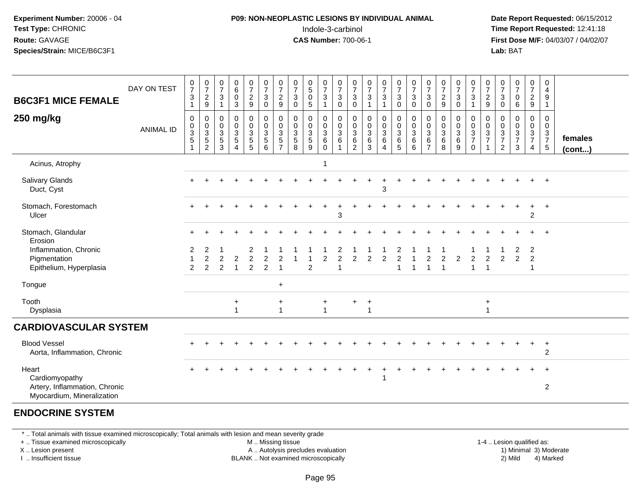### **P09: NON-NEOPLASTIC LESIONS BY INDIVIDUAL ANIMAL**Indole-3-carbinol **Time Report Requested:** 12:41:18

 **Date Report Requested:** 06/15/2012 **First Dose M/F:** 04/03/07 / 04/02/07<br>**Lab:** BAT **Lab:** BAT

| <b>B6C3F1 MICE FEMALE</b>                                                              | DAY ON TEST      | $\frac{0}{7}$<br>$\ensuremath{\mathsf{3}}$<br>$\mathbf{1}$ | $\frac{0}{7}$<br>$\sqrt{2}$<br>$\boldsymbol{9}$      | $\frac{0}{7}$<br>$\mathbf{3}$<br>$\overline{1}$ | $\begin{array}{c} 0 \\ 6 \end{array}$<br>$\pmb{0}$<br>$\mathbf{3}$                 | $\frac{0}{7}$<br>$\overline{c}$<br>9  | $\frac{0}{7}$<br>$\sqrt{3}$<br>$\mathsf{O}\xspace$               | $\frac{0}{7}$<br>$\overline{\mathbf{c}}$<br>9                 | 0<br>$\overline{7}$<br>$\ensuremath{\mathsf{3}}$<br>0 | $\begin{smallmatrix}0\\5\\0\end{smallmatrix}$<br>$\overline{5}$        | $\frac{0}{7}$<br>$\sqrt{3}$<br>$\mathbf{1}$ | $\boldsymbol{0}$<br>$\overline{7}$<br>$\mathbf{3}$<br>$\mathbf 0$ | 0<br>$\overline{7}$<br>$\ensuremath{\mathsf{3}}$<br>0 | $\frac{0}{7}$<br>$\ensuremath{\mathsf{3}}$<br>$\mathbf{1}$    | $\frac{0}{7}$<br>$\ensuremath{\mathsf{3}}$<br>1             | $\frac{0}{7}$<br>$\sqrt{3}$<br>$\pmb{0}$    | $\frac{0}{7}$<br>$\sqrt{3}$<br>$\mathbf 0$                                     | $\frac{0}{7}$<br>3<br>0            | $\frac{0}{7}$<br>$\sqrt{2}$<br>$\boldsymbol{9}$ | $\frac{0}{7}$<br>$\sqrt{3}$<br>$\mathbf 0$            | 0<br>$\overline{7}$<br>$\mathsf 3$<br>$\overline{1}$ | $\frac{0}{7}$<br>$\frac{2}{9}$                            | $\frac{0}{7}$<br>$\sqrt{3}$<br>0                                        | 0<br>$\overline{7}$<br>$\mathbf 0$<br>6                           | 0<br>$\overline{7}$<br>$\overline{\mathbf{c}}$<br>$\boldsymbol{9}$ | 0<br>4<br>$\boldsymbol{9}$<br>$\mathbf{1}$       |                         |
|----------------------------------------------------------------------------------------|------------------|------------------------------------------------------------|------------------------------------------------------|-------------------------------------------------|------------------------------------------------------------------------------------|---------------------------------------|------------------------------------------------------------------|---------------------------------------------------------------|-------------------------------------------------------|------------------------------------------------------------------------|---------------------------------------------|-------------------------------------------------------------------|-------------------------------------------------------|---------------------------------------------------------------|-------------------------------------------------------------|---------------------------------------------|--------------------------------------------------------------------------------|------------------------------------|-------------------------------------------------|-------------------------------------------------------|------------------------------------------------------|-----------------------------------------------------------|-------------------------------------------------------------------------|-------------------------------------------------------------------|--------------------------------------------------------------------|--------------------------------------------------|-------------------------|
| 250 mg/kg                                                                              | <b>ANIMAL ID</b> | $\pmb{0}$<br>$\pmb{0}$<br>$\frac{3}{5}$<br>$\overline{ }$  | 0<br>$\begin{array}{c} 0 \\ 3 \\ 5 \\ 2 \end{array}$ | 0<br>$_{3}^{\rm 0}$<br>$\frac{5}{3}$            | $\mathbf 0$<br>$\mathbf 0$<br>$\mathbf{3}$<br>$\sqrt{5}$<br>$\boldsymbol{\Lambda}$ | 0<br>$\mathbf 0$<br>3<br>5<br>5       | $\pmb{0}$<br>$\boldsymbol{0}$<br>$\frac{3}{5}$<br>$6\phantom{1}$ | $\mathbf 0$<br>$\mathsf 0$<br>$\frac{3}{5}$<br>$\overline{7}$ | 0<br>0<br>$\mathbf{3}$<br>$\sqrt{5}$<br>8             | $\boldsymbol{0}$<br>$\boldsymbol{0}$<br>$\mathbf 3$<br>$\sqrt{5}$<br>9 | 0<br>0<br>$\sqrt{3}$<br>$\,6\,$<br>$\Omega$ | $\mathbf 0$<br>$\mathbf 0$<br>$\mathbf{3}$<br>6<br>1              | 0<br>$\pmb{0}$<br>$\sqrt{3}$<br>6<br>$\overline{2}$   | $\mathbf 0$<br>0<br>$\mathfrak{S}$<br>$\,6\,$<br>$\mathbf{3}$ | $\pmb{0}$<br>$\mathbf 0$<br>$\overline{3}$<br>6<br>$\Delta$ | $\mathbf 0$<br>$_{3}^{\rm 0}$<br>$6\over 5$ | $\begin{smallmatrix} 0\\0 \end{smallmatrix}$<br>$\overline{3}$<br>$\,6\,$<br>6 | 0<br>0<br>3<br>6<br>$\overline{7}$ | 0<br>$\pmb{0}$<br>$\mathbf 3$<br>6<br>8         | 0<br>$\begin{smallmatrix}0\3\6\end{smallmatrix}$<br>9 | 0<br>$\mathbf 0$<br>$\frac{3}{7}$<br>$\mathbf 0$     | $\mathbf 0$<br>$\begin{array}{c} 0 \\ 3 \\ 7 \end{array}$ | 0<br>0<br>$\ensuremath{\mathsf{3}}$<br>$\overline{7}$<br>$\overline{c}$ | $\mathbf 0$<br>$\mathbf 0$<br>$\mathbf{3}$<br>$\overline{7}$<br>3 | 0<br>$\mathbf 0$<br>$\frac{3}{7}$<br>4                             | 0<br>$\mathbf 0$<br>$\frac{3}{7}$<br>$\,$ 5 $\,$ | females<br>$($ cont $)$ |
| Acinus, Atrophy                                                                        |                  |                                                            |                                                      |                                                 |                                                                                    |                                       |                                                                  |                                                               |                                                       |                                                                        | 1                                           |                                                                   |                                                       |                                                               |                                                             |                                             |                                                                                |                                    |                                                 |                                                       |                                                      |                                                           |                                                                         |                                                                   |                                                                    |                                                  |                         |
| Salivary Glands<br>Duct, Cyst                                                          |                  |                                                            |                                                      |                                                 |                                                                                    |                                       |                                                                  |                                                               |                                                       |                                                                        |                                             |                                                                   |                                                       |                                                               | 3                                                           |                                             |                                                                                |                                    |                                                 |                                                       |                                                      |                                                           |                                                                         |                                                                   |                                                                    |                                                  |                         |
| Stomach, Forestomach<br>Ulcer                                                          |                  |                                                            |                                                      |                                                 |                                                                                    |                                       |                                                                  |                                                               |                                                       |                                                                        |                                             | 3                                                                 |                                                       |                                                               |                                                             |                                             |                                                                                |                                    |                                                 |                                                       |                                                      |                                                           |                                                                         |                                                                   | $\ddot{}$<br>$\overline{c}$                                        | $\ddot{}$                                        |                         |
| Stomach, Glandular<br>Erosion                                                          |                  |                                                            |                                                      |                                                 |                                                                                    |                                       |                                                                  |                                                               |                                                       |                                                                        |                                             |                                                                   |                                                       |                                                               |                                                             |                                             |                                                                                |                                    |                                                 |                                                       |                                                      |                                                           |                                                                         |                                                                   |                                                                    |                                                  |                         |
| Inflammation, Chronic<br>Pigmentation<br>Epithelium, Hyperplasia                       |                  | 2<br>$\overline{c}$                                        | 2<br>$\overline{c}$<br>2                             | $\overline{c}$<br>$\overline{2}$                | $\overline{2}$                                                                     | 2<br>$\overline{c}$<br>$\overline{c}$ | $\overline{c}$<br>$\overline{c}$                                 | $\overline{2}$<br>$\overline{1}$                              |                                                       | $\overline{c}$                                                         | $\overline{2}$                              | $\overline{2}$                                                    | $\overline{2}$                                        | $\overline{2}$                                                | $\overline{c}$                                              | 2<br>$\overline{c}$<br>1                    |                                                                                | $\overline{c}$<br>1                | $\overline{2}$                                  | $\overline{2}$                                        | $\overline{c}$<br>1                                  | $\overline{2}$<br>$\overline{1}$                          | $\overline{c}$                                                          | $\overline{2}$<br>$\overline{2}$                                  | $\overline{c}$<br>$\overline{c}$<br>-1                             |                                                  |                         |
| Tongue                                                                                 |                  |                                                            |                                                      |                                                 |                                                                                    |                                       |                                                                  | $\ddot{}$                                                     |                                                       |                                                                        |                                             |                                                                   |                                                       |                                                               |                                                             |                                             |                                                                                |                                    |                                                 |                                                       |                                                      |                                                           |                                                                         |                                                                   |                                                                    |                                                  |                         |
| Tooth<br>Dysplasia                                                                     |                  |                                                            |                                                      |                                                 | $\ddot{}$<br>1                                                                     |                                       |                                                                  | $\ddot{}$<br>$\mathbf{1}$                                     |                                                       |                                                                        | +<br>$\blacktriangleleft$                   |                                                                   | $\ddot{}$                                             | $\ddot{}$                                                     |                                                             |                                             |                                                                                |                                    |                                                 |                                                       |                                                      | $\ddot{}$                                                 |                                                                         |                                                                   |                                                                    |                                                  |                         |
| <b>CARDIOVASCULAR SYSTEM</b>                                                           |                  |                                                            |                                                      |                                                 |                                                                                    |                                       |                                                                  |                                                               |                                                       |                                                                        |                                             |                                                                   |                                                       |                                                               |                                                             |                                             |                                                                                |                                    |                                                 |                                                       |                                                      |                                                           |                                                                         |                                                                   |                                                                    |                                                  |                         |
| <b>Blood Vessel</b><br>Aorta, Inflammation, Chronic                                    |                  |                                                            |                                                      |                                                 |                                                                                    |                                       |                                                                  |                                                               |                                                       |                                                                        |                                             |                                                                   |                                                       |                                                               |                                                             |                                             |                                                                                |                                    |                                                 |                                                       |                                                      |                                                           |                                                                         |                                                                   | $\ddot{}$                                                          | $\ddot{}$<br>2                                   |                         |
| Heart<br>Cardiomyopathy<br>Artery, Inflammation, Chronic<br>Myocardium, Mineralization |                  |                                                            |                                                      |                                                 |                                                                                    |                                       |                                                                  |                                                               |                                                       |                                                                        |                                             |                                                                   |                                                       |                                                               |                                                             |                                             |                                                                                |                                    |                                                 |                                                       |                                                      |                                                           |                                                                         |                                                                   |                                                                    | $\overline{2}$                                   |                         |

#### **ENDOCRINE SYSTEM**

\* .. Total animals with tissue examined microscopically; Total animals with lesion and mean severity grade

+ .. Tissue examined microscopically

X .. Lesion present

I .. Insufficient tissue

M .. Missing tissue

A .. Autolysis precludes evaluation

1-4 .. Lesion qualified as:<br>1) Minimal 3) Moderate BLANK .. Not examined microscopically 2) Mild 4) Marked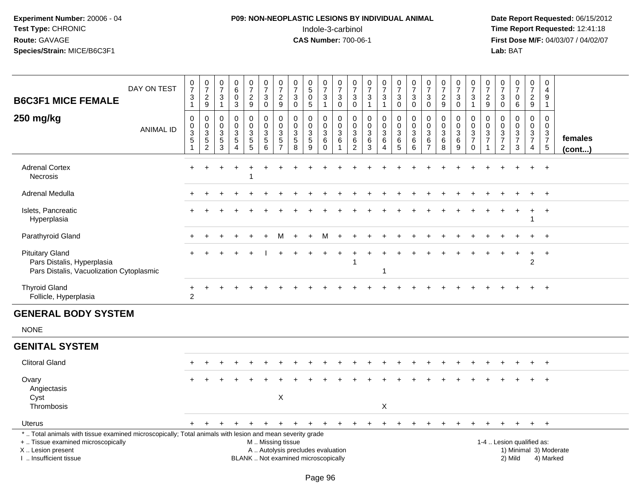# **P09: NON-NEOPLASTIC LESIONS BY INDIVIDUAL ANIMAL**Indole-3-carbinol **Time Report Requested:** 12:41:18

| <b>B6C3F1 MICE FEMALE</b>                                                                                                                                                                     | DAY ON TEST      | $\frac{0}{7}$<br>$\ensuremath{\mathsf{3}}$<br>$\mathbf{1}$               | $\frac{0}{7}$<br>$\sqrt{2}$<br>9     | $\pmb{0}$<br>$\overline{7}$<br>$\sqrt{3}$<br>$\overline{1}$ | $\begin{array}{c} 0 \\ 6 \end{array}$<br>$\mathbf 0$<br>3 | $\frac{0}{7}$<br>$\sqrt{2}$<br>$9\,$             | $\frac{0}{7}$<br>$\ensuremath{\mathsf{3}}$<br>$\mathbf 0$ | $\frac{0}{7}$<br>$\overline{c}$<br>$\boldsymbol{9}$                                           | $\frac{0}{7}$<br>$\ensuremath{\mathsf{3}}$<br>$\mathbf 0$ | $\begin{smallmatrix}0\0\5\end{smallmatrix}$<br>$\pmb{0}$<br>$\sqrt{5}$    | $\begin{array}{c} 0 \\ 7 \end{array}$<br>$\ensuremath{\mathsf{3}}$<br>$\mathbf{1}$ | $\frac{0}{7}$<br>$\ensuremath{\mathsf{3}}$<br>$\mathbf 0$      | $\pmb{0}$<br>$\overline{7}$<br>$\ensuremath{\mathsf{3}}$<br>$\mathbf 0$ | $\begin{array}{c} 0 \\ 7 \end{array}$<br>$\ensuremath{\mathsf{3}}$<br>$\overline{1}$ | $\frac{0}{7}$<br>3<br>$\mathbf{1}$                   | $\begin{smallmatrix}0\\7\end{smallmatrix}$<br>$\ensuremath{\mathsf{3}}$<br>$\mathbf 0$ | $\frac{0}{7}$<br>$\ensuremath{\mathsf{3}}$<br>$\mathbf 0$       | $\frac{0}{7}$<br>$\ensuremath{\mathsf{3}}$<br>$\mathbf 0$                  | $\frac{0}{7}$<br>$\sqrt{2}$<br>9      | $\frac{0}{7}$<br>3<br>$\pmb{0}$     | $\frac{0}{7}$<br>$\ensuremath{\mathsf{3}}$<br>$\mathbf{1}$                             | $\frac{0}{7}$<br>$\overline{c}$<br>9 | 0<br>$\overline{7}$<br>$\ensuremath{\mathsf{3}}$<br>$\mathbf 0$                   | $\begin{array}{c} 0 \\ 7 \end{array}$<br>$\pmb{0}$<br>$\,6\,$ | $\begin{array}{c} 0 \\ 7 \end{array}$<br>$\frac{2}{9}$ | $\mathbf 0$<br>$\overline{a}$<br>$9\,$<br>$\mathbf{1}$         |                        |
|-----------------------------------------------------------------------------------------------------------------------------------------------------------------------------------------------|------------------|--------------------------------------------------------------------------|--------------------------------------|-------------------------------------------------------------|-----------------------------------------------------------|--------------------------------------------------|-----------------------------------------------------------|-----------------------------------------------------------------------------------------------|-----------------------------------------------------------|---------------------------------------------------------------------------|------------------------------------------------------------------------------------|----------------------------------------------------------------|-------------------------------------------------------------------------|--------------------------------------------------------------------------------------|------------------------------------------------------|----------------------------------------------------------------------------------------|-----------------------------------------------------------------|----------------------------------------------------------------------------|---------------------------------------|-------------------------------------|----------------------------------------------------------------------------------------|--------------------------------------|-----------------------------------------------------------------------------------|---------------------------------------------------------------|--------------------------------------------------------|----------------------------------------------------------------|------------------------|
| 250 mg/kg                                                                                                                                                                                     | <b>ANIMAL ID</b> | $\mathbf 0$<br>$\boldsymbol{0}$<br>$\overline{3}$<br>5<br>$\overline{1}$ | 0<br>$\frac{0}{3}$<br>$\overline{2}$ | $\mathbf 0$<br>$\mathbf 0$<br>$\sqrt{3}$<br>$\sqrt{5}$<br>3 | $\mathbf 0$<br>$\mathbf 0$<br>3<br>$\sqrt{5}$<br>$\Delta$ | 0<br>$\mathbf 0$<br>$\mathsf 3$<br>$\frac{5}{5}$ | 0<br>$\mathbf 0$<br>3<br>$\,$ 5 $\,$<br>6                 | 0<br>$\pmb{0}$<br>$\ensuremath{\mathsf{3}}$<br>$\sqrt{5}$<br>$\overline{7}$                   | 0<br>$\mathbf 0$<br>3<br>$\sqrt{5}$<br>8                  | $\mathbf 0$<br>$\pmb{0}$<br>$\ensuremath{\mathsf{3}}$<br>$\mathbf 5$<br>9 | 0<br>$\mathbf 0$<br>$\ensuremath{\mathsf{3}}$<br>$\,6\,$<br>$\mathbf 0$            | $\mathbf 0$<br>$\mathsf{O}\xspace$<br>3<br>6<br>$\overline{1}$ | 0<br>0<br>3<br>$6\phantom{1}6$<br>$\overline{2}$                        | $\mathbf 0$<br>$\mathbf 0$<br>3<br>6<br>3                                            | 0<br>$\mathbf 0$<br>3<br>6<br>$\boldsymbol{\Lambda}$ | 0<br>$\mathsf{O}\xspace$<br>3<br>$\,6$<br>5                                            | 0<br>$\pmb{0}$<br>$\ensuremath{\mathsf{3}}$<br>$\,6$<br>$\,6\,$ | 0<br>$\mathbf 0$<br>$\ensuremath{\mathsf{3}}$<br>$\,6\,$<br>$\overline{7}$ | 0<br>$\mathbf 0$<br>3<br>$\,6\,$<br>8 | 0<br>$\pmb{0}$<br>3<br>$\,6\,$<br>9 | 0<br>$\mathsf{O}\xspace$<br>$\ensuremath{\mathsf{3}}$<br>$\overline{7}$<br>$\mathbf 0$ | 0<br>0<br>3<br>$\overline{7}$<br>1   | $\mathbf 0$<br>0<br>$\ensuremath{\mathsf{3}}$<br>$\overline{7}$<br>$\overline{2}$ | $\mathbf 0$<br>$\mathsf{O}\xspace$<br>$\frac{3}{7}$<br>3      | 0<br>$\mathbf 0$<br>$\frac{3}{7}$<br>4                 | $\mathbf 0$<br>$\mathbf 0$<br>$\frac{3}{7}$<br>$5\phantom{.0}$ | females<br>(cont)      |
| <b>Adrenal Cortex</b><br><b>Necrosis</b>                                                                                                                                                      |                  |                                                                          |                                      |                                                             |                                                           |                                                  |                                                           |                                                                                               |                                                           |                                                                           |                                                                                    |                                                                |                                                                         |                                                                                      |                                                      |                                                                                        |                                                                 |                                                                            |                                       |                                     |                                                                                        |                                      |                                                                                   |                                                               |                                                        | $\overline{+}$                                                 |                        |
| <b>Adrenal Medulla</b>                                                                                                                                                                        |                  |                                                                          |                                      |                                                             |                                                           |                                                  |                                                           |                                                                                               |                                                           |                                                                           |                                                                                    |                                                                |                                                                         |                                                                                      |                                                      |                                                                                        |                                                                 |                                                                            |                                       |                                     |                                                                                        |                                      |                                                                                   |                                                               |                                                        | $\ddot{}$                                                      |                        |
| Islets, Pancreatic<br>Hyperplasia                                                                                                                                                             |                  |                                                                          |                                      |                                                             |                                                           |                                                  |                                                           |                                                                                               |                                                           |                                                                           |                                                                                    |                                                                |                                                                         |                                                                                      |                                                      |                                                                                        |                                                                 |                                                                            |                                       |                                     |                                                                                        |                                      |                                                                                   |                                                               |                                                        | $^{+}$                                                         |                        |
| Parathyroid Gland                                                                                                                                                                             |                  |                                                                          |                                      |                                                             |                                                           |                                                  |                                                           |                                                                                               |                                                           |                                                                           |                                                                                    |                                                                |                                                                         |                                                                                      |                                                      |                                                                                        |                                                                 |                                                                            |                                       |                                     |                                                                                        |                                      |                                                                                   |                                                               |                                                        | $+$                                                            |                        |
| <b>Pituitary Gland</b><br>Pars Distalis, Hyperplasia<br>Pars Distalis, Vacuolization Cytoplasmic                                                                                              |                  |                                                                          |                                      |                                                             |                                                           |                                                  |                                                           |                                                                                               |                                                           |                                                                           |                                                                                    |                                                                | 1                                                                       |                                                                                      | -1                                                   |                                                                                        |                                                                 |                                                                            |                                       |                                     |                                                                                        |                                      |                                                                                   |                                                               | $\ddot{}$<br>$\overline{c}$                            | $+$                                                            |                        |
| <b>Thyroid Gland</b><br>Follicle, Hyperplasia                                                                                                                                                 |                  | +<br>$\overline{2}$                                                      | $\ddot{}$                            |                                                             |                                                           |                                                  |                                                           |                                                                                               |                                                           |                                                                           |                                                                                    |                                                                |                                                                         |                                                                                      |                                                      |                                                                                        |                                                                 |                                                                            |                                       |                                     |                                                                                        |                                      |                                                                                   |                                                               |                                                        | $+$                                                            |                        |
| <b>GENERAL BODY SYSTEM</b>                                                                                                                                                                    |                  |                                                                          |                                      |                                                             |                                                           |                                                  |                                                           |                                                                                               |                                                           |                                                                           |                                                                                    |                                                                |                                                                         |                                                                                      |                                                      |                                                                                        |                                                                 |                                                                            |                                       |                                     |                                                                                        |                                      |                                                                                   |                                                               |                                                        |                                                                |                        |
| <b>NONE</b>                                                                                                                                                                                   |                  |                                                                          |                                      |                                                             |                                                           |                                                  |                                                           |                                                                                               |                                                           |                                                                           |                                                                                    |                                                                |                                                                         |                                                                                      |                                                      |                                                                                        |                                                                 |                                                                            |                                       |                                     |                                                                                        |                                      |                                                                                   |                                                               |                                                        |                                                                |                        |
| <b>GENITAL SYSTEM</b>                                                                                                                                                                         |                  |                                                                          |                                      |                                                             |                                                           |                                                  |                                                           |                                                                                               |                                                           |                                                                           |                                                                                    |                                                                |                                                                         |                                                                                      |                                                      |                                                                                        |                                                                 |                                                                            |                                       |                                     |                                                                                        |                                      |                                                                                   |                                                               |                                                        |                                                                |                        |
| <b>Clitoral Gland</b>                                                                                                                                                                         |                  |                                                                          |                                      |                                                             |                                                           |                                                  |                                                           |                                                                                               |                                                           |                                                                           |                                                                                    |                                                                |                                                                         |                                                                                      |                                                      |                                                                                        |                                                                 |                                                                            |                                       |                                     |                                                                                        |                                      |                                                                                   |                                                               |                                                        | $+$                                                            |                        |
| Ovary<br>Angiectasis<br>Cyst<br>Thrombosis                                                                                                                                                    |                  |                                                                          |                                      |                                                             |                                                           |                                                  |                                                           | $\boldsymbol{\mathsf{X}}$                                                                     |                                                           |                                                                           |                                                                                    |                                                                |                                                                         |                                                                                      | Χ                                                    |                                                                                        |                                                                 |                                                                            |                                       |                                     |                                                                                        |                                      |                                                                                   |                                                               |                                                        |                                                                |                        |
| Uterus                                                                                                                                                                                        |                  | $+$                                                                      | +                                    |                                                             |                                                           |                                                  |                                                           |                                                                                               | ÷                                                         |                                                                           |                                                                                    |                                                                |                                                                         |                                                                                      | $\pm$                                                | $\div$                                                                                 |                                                                 |                                                                            |                                       |                                     |                                                                                        |                                      |                                                                                   |                                                               | $+$                                                    | $+$                                                            |                        |
| *  Total animals with tissue examined microscopically; Total animals with lesion and mean severity grade<br>+  Tissue examined microscopically<br>X  Lesion present<br>I  Insufficient tissue |                  |                                                                          |                                      |                                                             |                                                           |                                                  |                                                           | M  Missing tissue<br>A  Autolysis precludes evaluation<br>BLANK  Not examined microscopically |                                                           |                                                                           |                                                                                    |                                                                |                                                                         |                                                                                      |                                                      |                                                                                        |                                                                 |                                                                            |                                       |                                     |                                                                                        |                                      |                                                                                   | 1-4  Lesion qualified as:<br>2) Mild                          |                                                        | 4) Marked                                                      | 1) Minimal 3) Moderate |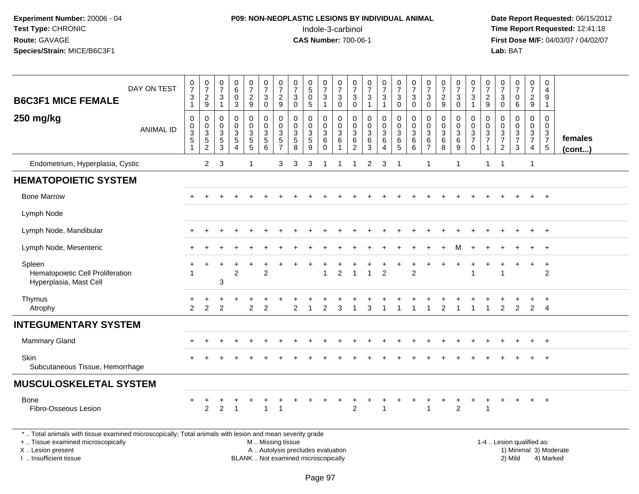# **P09: NON-NEOPLASTIC LESIONS BY INDIVIDUAL ANIMAL**Indole-3-carbinol **Time Report Requested:** 12:41:18

 **Date Report Requested:** 06/15/2012 **First Dose M/F:** 04/03/07 / 04/02/07<br>Lab: BAT **Lab:** BAT

| <b>B6C3F1 MICE FEMALE</b>                                                                                | DAY ON TEST      | $\frac{0}{7}$<br>$\mathbf{3}$<br>$\mathbf{1}$        | $\begin{smallmatrix}0\\7\end{smallmatrix}$<br>$\frac{2}{9}$    | $\frac{0}{7}$<br>3                      | $\begin{array}{c} 0 \\ 6 \end{array}$<br>$\pmb{0}$<br>3 | $\frac{0}{7}$<br>$\sqrt{2}$<br>$\overline{9}$ | $\frac{0}{7}$<br>$\sqrt{3}$<br>$\Omega$                                             | $\frac{0}{7}$<br>$\frac{2}{9}$               | $\frac{0}{7}$<br>$\ensuremath{\mathsf{3}}$<br>$\Omega$ | $^{\rm 0}_{\rm 5}$<br>$\mathsf 0$<br>$\overline{5}$ | $\frac{0}{7}$<br>$\mathbf{3}$<br>$\mathbf{1}$         | $\frac{0}{7}$<br>$\ensuremath{\mathsf{3}}$<br>$\mathbf 0$ | $\frac{0}{7}$<br>3<br>$\mathbf 0$                           | $\frac{0}{7}$<br>$\sqrt{3}$<br>$\overline{1}$                   | $\frac{0}{7}$<br>$\mathbf{3}$                             | $\frac{0}{7}$<br>3<br>$\Omega$                               | $\frac{0}{7}$<br>$\mathbf{3}$<br>$\mathbf 0$         | $\frac{0}{7}$<br>$\mathbf{3}$<br>$\mathbf 0$ | $\frac{0}{7}$<br>$\frac{2}{9}$                                              | $\frac{0}{7}$<br>$\ensuremath{\mathsf{3}}$<br>$\Omega$ | $\frac{0}{7}$<br>$\sqrt{3}$<br>$\overline{1}$                            | $\frac{0}{7}$<br>$\frac{2}{9}$          | $\frac{0}{7}$<br>3<br>$\Omega$                           | $\frac{0}{7}$<br>$\mathsf 0$<br>6                    | $\frac{0}{7}$<br>$\frac{2}{9}$                      | 0<br>4<br>9<br>$\overline{1}$                   |                         |
|----------------------------------------------------------------------------------------------------------|------------------|------------------------------------------------------|----------------------------------------------------------------|-----------------------------------------|---------------------------------------------------------|-----------------------------------------------|-------------------------------------------------------------------------------------|----------------------------------------------|--------------------------------------------------------|-----------------------------------------------------|-------------------------------------------------------|-----------------------------------------------------------|-------------------------------------------------------------|-----------------------------------------------------------------|-----------------------------------------------------------|--------------------------------------------------------------|------------------------------------------------------|----------------------------------------------|-----------------------------------------------------------------------------|--------------------------------------------------------|--------------------------------------------------------------------------|-----------------------------------------|----------------------------------------------------------|------------------------------------------------------|-----------------------------------------------------|-------------------------------------------------|-------------------------|
| 250 mg/kg                                                                                                | <b>ANIMAL ID</b> | 0<br>$\begin{array}{c} 0 \\ 3 \\ 5 \end{array}$<br>1 | $\mathbf 0$<br>$\begin{array}{c} 0 \\ 3 \\ 5 \\ 2 \end{array}$ | 0<br>0<br>$\mathbf{3}$<br>$\frac{5}{3}$ | $\mathbf 0$<br>$\frac{0}{3}$<br>$\overline{4}$          | 0<br>$\mathbf 0$<br>$\frac{3}{5}$             | $\mathbf 0$<br>$\pmb{0}$<br>$\overline{3}$<br>$\begin{array}{c} 5 \\ 6 \end{array}$ | 0<br>$\mathbf 0$<br>3<br>5<br>$\overline{7}$ | $\pmb{0}$<br>0<br>$\frac{3}{5}$                        | 0<br>$\mathbf 0$<br>$\frac{3}{5}$<br>$\overline{9}$ | 0<br>$\begin{smallmatrix}0\3\6\end{smallmatrix}$<br>0 | $\mathbf 0$<br>$\mathbf 0$<br>$\overline{3}$<br>$\,6\,$   | 0<br>$\mathbf 0$<br>$\mathbf{3}$<br>$\,6$<br>$\overline{2}$ | 0<br>$\mathbf 0$<br>$\overline{3}$<br>$\,6\,$<br>$\overline{3}$ | 0<br>$\mathbf 0$<br>$\overline{3}$<br>6<br>$\overline{4}$ | $\pmb{0}$<br>$\begin{array}{c} 0 \\ 3 \\ 6 \\ 5 \end{array}$ | $\pmb{0}$<br>$\mathbf 0$<br>$\overline{3}$<br>$^6_6$ | 0<br>0<br>3<br>6<br>$\overline{7}$           | $\mathbf 0$<br>$\begin{array}{c} 0 \\ 3 \\ 6 \end{array}$<br>$\overline{8}$ | 0<br>$\mathbf 0$<br>$\frac{3}{6}$<br>$\boldsymbol{9}$  | $\mathbf 0$<br>$\begin{array}{c} 0 \\ 3 \\ 7 \end{array}$<br>$\mathsf 0$ | 0<br>$\mathbf 0$<br>3<br>$\overline{7}$ | 0<br>$\boldsymbol{0}$<br>$\frac{3}{7}$<br>$\overline{2}$ | 0<br>$\begin{array}{c} 0 \\ 3 \\ 7 \end{array}$<br>3 | 0<br>$\mathbf 0$<br>$\frac{3}{7}$<br>$\overline{4}$ | 0<br>$\mathbf 0$<br>$\frac{3}{7}$<br>$\sqrt{5}$ | females<br>$($ cont $)$ |
| Endometrium, Hyperplasia, Cystic                                                                         |                  |                                                      | $\overline{2}$                                                 | $\mathbf{3}$                            |                                                         | 1                                             |                                                                                     | 3                                            | 3                                                      | 3                                                   | -1                                                    | -1                                                        | 1                                                           | 2                                                               | 3                                                         | -1                                                           |                                                      | $\mathbf{1}$                                 |                                                                             | 1                                                      |                                                                          | 1                                       | $\overline{1}$                                           |                                                      | $\mathbf{1}$                                        |                                                 |                         |
| <b>HEMATOPOIETIC SYSTEM</b>                                                                              |                  |                                                      |                                                                |                                         |                                                         |                                               |                                                                                     |                                              |                                                        |                                                     |                                                       |                                                           |                                                             |                                                                 |                                                           |                                                              |                                                      |                                              |                                                                             |                                                        |                                                                          |                                         |                                                          |                                                      |                                                     |                                                 |                         |
| <b>Bone Marrow</b>                                                                                       |                  |                                                      |                                                                |                                         |                                                         |                                               |                                                                                     |                                              |                                                        |                                                     |                                                       |                                                           |                                                             |                                                                 |                                                           |                                                              |                                                      |                                              |                                                                             |                                                        |                                                                          |                                         |                                                          |                                                      | $+$                                                 | $+$                                             |                         |
| Lymph Node                                                                                               |                  |                                                      |                                                                |                                         |                                                         |                                               |                                                                                     |                                              |                                                        |                                                     |                                                       |                                                           |                                                             |                                                                 |                                                           |                                                              |                                                      |                                              |                                                                             |                                                        |                                                                          |                                         |                                                          |                                                      |                                                     |                                                 |                         |
| Lymph Node, Mandibular                                                                                   |                  |                                                      |                                                                |                                         |                                                         |                                               |                                                                                     |                                              |                                                        |                                                     |                                                       |                                                           |                                                             |                                                                 |                                                           |                                                              |                                                      |                                              |                                                                             |                                                        |                                                                          |                                         |                                                          |                                                      |                                                     | $^{+}$                                          |                         |
| Lymph Node, Mesenteric                                                                                   |                  |                                                      |                                                                |                                         |                                                         |                                               |                                                                                     |                                              |                                                        |                                                     |                                                       |                                                           |                                                             |                                                                 |                                                           |                                                              |                                                      |                                              |                                                                             |                                                        |                                                                          |                                         |                                                          |                                                      |                                                     | $+$                                             |                         |
| Spleen<br>Hematopoietic Cell Proliferation<br>Hyperplasia, Mast Cell                                     |                  | +                                                    | +                                                              | +<br>3                                  | $\overline{2}$                                          | $\ddot{}$                                     | $\overline{c}$                                                                      |                                              |                                                        | $\ddot{}$                                           | $\overline{1}$                                        | $\overline{2}$                                            | $\overline{1}$                                              | $\overline{1}$                                                  | $\overline{2}$                                            |                                                              | $\ddot{}$<br>$\overline{2}$                          | +                                            |                                                                             | $\ddot{}$                                              | 1                                                                        | +                                       |                                                          | $\ddot{}$                                            | $\ddot{}$                                           | $+$<br>$\overline{2}$                           |                         |
| Thymus<br>Atrophy                                                                                        |                  | $\overline{2}$                                       | $\overline{2}$                                                 | 2                                       |                                                         | $\overline{c}$                                | 2                                                                                   |                                              |                                                        |                                                     | 2                                                     | 3                                                         |                                                             |                                                                 |                                                           |                                                              |                                                      |                                              |                                                                             |                                                        |                                                                          |                                         | 2                                                        | 2                                                    | 2                                                   | $\overline{4}$                                  |                         |
| <b>INTEGUMENTARY SYSTEM</b>                                                                              |                  |                                                      |                                                                |                                         |                                                         |                                               |                                                                                     |                                              |                                                        |                                                     |                                                       |                                                           |                                                             |                                                                 |                                                           |                                                              |                                                      |                                              |                                                                             |                                                        |                                                                          |                                         |                                                          |                                                      |                                                     |                                                 |                         |
| <b>Mammary Gland</b>                                                                                     |                  |                                                      |                                                                |                                         |                                                         |                                               |                                                                                     |                                              |                                                        |                                                     |                                                       |                                                           |                                                             |                                                                 |                                                           |                                                              |                                                      |                                              |                                                                             |                                                        |                                                                          |                                         |                                                          |                                                      |                                                     | $+$                                             |                         |
| Skin<br>Subcutaneous Tissue, Hemorrhage                                                                  |                  |                                                      |                                                                |                                         |                                                         |                                               |                                                                                     |                                              |                                                        |                                                     |                                                       |                                                           |                                                             |                                                                 |                                                           |                                                              |                                                      |                                              |                                                                             |                                                        |                                                                          |                                         |                                                          |                                                      |                                                     |                                                 |                         |
| <b>MUSCULOSKELETAL SYSTEM</b>                                                                            |                  |                                                      |                                                                |                                         |                                                         |                                               |                                                                                     |                                              |                                                        |                                                     |                                                       |                                                           |                                                             |                                                                 |                                                           |                                                              |                                                      |                                              |                                                                             |                                                        |                                                                          |                                         |                                                          |                                                      |                                                     |                                                 |                         |
| Bone<br>Fibro-Osseous Lesion                                                                             |                  |                                                      | 2                                                              | 2                                       |                                                         |                                               | $\mathbf{1}$                                                                        | 1                                            |                                                        |                                                     |                                                       |                                                           | $\overline{2}$                                              |                                                                 |                                                           |                                                              |                                                      | -1                                           |                                                                             | $\overline{2}$                                         |                                                                          | 1                                       |                                                          | $\ddot{}$                                            | $\ddot{}$                                           | $+$                                             |                         |
| *  Total animals with tissue examined microscopically; Total animals with lesion and mean severity grade |                  |                                                      |                                                                |                                         |                                                         |                                               |                                                                                     |                                              |                                                        |                                                     |                                                       |                                                           |                                                             |                                                                 |                                                           |                                                              |                                                      |                                              |                                                                             |                                                        |                                                                          |                                         |                                                          |                                                      |                                                     |                                                 |                         |

+ .. Tissue examined microscopically

X .. Lesion present

I .. Insufficient tissue

 M .. Missing tissueA .. Autolysis precludes evaluation 1) Minimal 30 (1) Minimal 30 (1) Minimal 3) Minimal 3) Minimal 3) Minimal 3<br>1) Minimal 30 (1) Minimal 3) Mild

BLANK .. Not examined microscopically 2) Mild 4) Marked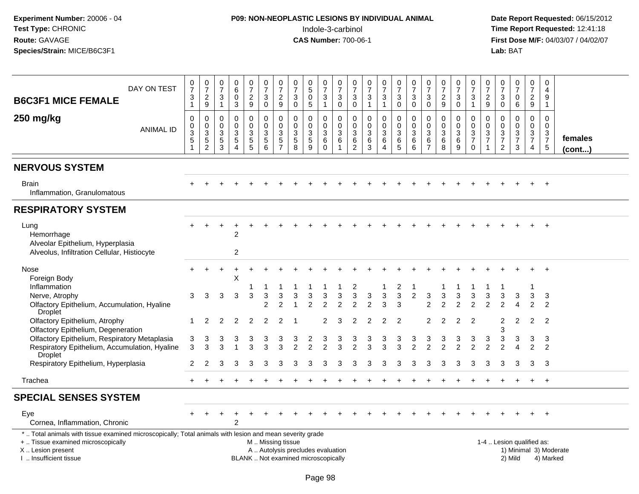# **P09: NON-NEOPLASTIC LESIONS BY INDIVIDUAL ANIMAL**Indole-3-carbinol **Time Report Requested:** 12:41:18

| DAY ON TEST<br><b>B6C3F1 MICE FEMALE</b><br>250 mg/kg<br><b>ANIMAL ID</b>                                                                                                                     | 0<br>$\overline{7}$<br>$\ensuremath{\mathsf{3}}$<br>$\mathbf{1}$<br>$\mathbf 0$<br>0<br>$\frac{3}{5}$<br>1 | $\frac{0}{7}$<br>$\sqrt{2}$<br>9<br>$\mathbf 0$<br>$\mathbf 0$<br>$\sqrt{3}$<br>$\frac{5}{2}$ | $\mathbf 0$<br>$\overline{7}$<br>3<br>$\overline{1}$<br>$\mathbf 0$<br>0<br>3<br>5<br>$\mathbf{3}$ | 0<br>6<br>$\mathbf 0$<br>3<br>$\mathbf 0$<br>$\mathbf 0$<br>$\mathbf{3}$<br>$\mathbf 5$<br>$\overline{4}$ | $\frac{0}{7}$<br>$\overline{a}$<br>$\boldsymbol{9}$<br>$\mathbf 0$<br>$\Omega$<br>3<br>$\overline{5}$<br>5 | 0<br>$\overline{7}$<br>$\sqrt{3}$<br>$\mathbf 0$<br>$\pmb{0}$<br>$\mathbf 0$<br>$\mathbf{3}$<br>$\frac{5}{6}$ | $\frac{0}{7}$<br>$\boldsymbol{2}$<br>$\boldsymbol{9}$<br>$\mathbf 0$<br>$\mathsf{O}\xspace$<br>$\mathfrak{Z}$<br>$\frac{5}{7}$ | 0<br>$\overline{7}$<br>$\ensuremath{\mathsf{3}}$<br>$\mathbf 0$<br>$\pmb{0}$<br>0<br>$\frac{3}{5}$<br>$\overline{8}$ | 0<br>$\overline{5}$<br>$\mathbf 0$<br>5<br>$\mathbf 0$<br>$\mathbf{0}$<br>$\mathbf{3}$<br>$\sqrt{5}$<br>9 | $\frac{0}{7}$<br>$\ensuremath{\mathsf{3}}$<br>$\mathbf{1}$<br>0<br>$\mathbf 0$<br>$\mathsf 3$<br>$\,6\,$<br>$\mathbf 0$ | 0<br>$\overline{7}$<br>$\ensuremath{\mathsf{3}}$<br>$\mathbf 0$<br>$\mathbf 0$<br>$\mathbf 0$<br>$\mathbf{3}$<br>6<br>$\overline{1}$ | 0<br>$\overline{7}$<br>3<br>$\mathbf 0$<br>$\mathbf 0$<br>$\mathbf 0$<br>$\mathbf{3}$<br>6<br>$\overline{2}$ | 0<br>$\overline{7}$<br>$\mathbf{3}$<br>$\mathbf{1}$<br>$\mathbf 0$<br>$\Omega$<br>$\mathbf{3}$<br>6<br>3 | $\frac{0}{7}$<br>$\sqrt{3}$<br>$\mathbf{1}$<br>$\mathbf 0$<br>$\mathbf 0$<br>$\sqrt{3}$<br>$\,6$<br>$\overline{4}$ | 0<br>$\overline{7}$<br>$\mathbf{3}$<br>$\mathbf 0$<br>$\mathbf 0$<br>$\mathbf 0$<br>3<br>6<br>5 | $\frac{0}{7}$<br>$\mathbf{3}$<br>$\mathbf 0$<br>$\mathbf 0$<br>$\mathbf 0$<br>$\mathfrak{Z}$<br>$\,6$<br>$6\phantom{1}6$ | 0<br>$\overline{7}$<br>$\mathbf{3}$<br>$\mathbf 0$<br>$\mathbf 0$<br>$\mathbf 0$<br>$\mathbf{3}$<br>6<br>$\overline{7}$ | 0<br>$\overline{7}$<br>$\sqrt{2}$<br>9<br>$\mathbf 0$<br>$\Omega$<br>$\mathbf{3}$<br>6<br>8 | $\frac{0}{7}$<br>3<br>$\mathbf 0$<br>$\mathbf 0$<br>$\mathbf 0$<br>$\mathbf{3}$<br>6<br>9 | 0<br>$\overline{7}$<br>$\sqrt{3}$<br>$\mathbf{1}$<br>$\mathbf 0$<br>$\mathbf 0$<br>$\frac{3}{7}$<br>$\mathbf 0$ | 0<br>$\overline{7}$<br>$\overline{c}$<br>9<br>$\pmb{0}$<br>0<br>$\mathbf{3}$<br>$\overline{7}$<br>$\mathbf{1}$ | 0<br>7<br>$\mathbf{3}$<br>0<br>$\mathbf 0$<br>$\mathbf{0}$<br>3<br>$\overline{7}$<br>$\overline{c}$ | $\frac{0}{7}$<br>$\mathbf 0$<br>6<br>$\mathbf 0$<br>0<br>$\frac{3}{7}$<br>3 | 0<br>$\overline{7}$<br>$\boldsymbol{2}$<br>9<br>0<br>$\mathbf 0$<br>$\mathbf{3}$<br>$\overline{7}$<br>4 | $\mathbf 0$<br>$\overline{4}$<br>$\overline{9}$<br>$\mathbf{1}$<br>$\mathbf 0$<br>$\Omega$<br>$\frac{3}{7}$<br>$\overline{5}$ | females<br>$($ cont $)$ |
|-----------------------------------------------------------------------------------------------------------------------------------------------------------------------------------------------|------------------------------------------------------------------------------------------------------------|-----------------------------------------------------------------------------------------------|----------------------------------------------------------------------------------------------------|-----------------------------------------------------------------------------------------------------------|------------------------------------------------------------------------------------------------------------|---------------------------------------------------------------------------------------------------------------|--------------------------------------------------------------------------------------------------------------------------------|----------------------------------------------------------------------------------------------------------------------|-----------------------------------------------------------------------------------------------------------|-------------------------------------------------------------------------------------------------------------------------|--------------------------------------------------------------------------------------------------------------------------------------|--------------------------------------------------------------------------------------------------------------|----------------------------------------------------------------------------------------------------------|--------------------------------------------------------------------------------------------------------------------|-------------------------------------------------------------------------------------------------|--------------------------------------------------------------------------------------------------------------------------|-------------------------------------------------------------------------------------------------------------------------|---------------------------------------------------------------------------------------------|-------------------------------------------------------------------------------------------|-----------------------------------------------------------------------------------------------------------------|----------------------------------------------------------------------------------------------------------------|-----------------------------------------------------------------------------------------------------|-----------------------------------------------------------------------------|---------------------------------------------------------------------------------------------------------|-------------------------------------------------------------------------------------------------------------------------------|-------------------------|
| <b>NERVOUS SYSTEM</b>                                                                                                                                                                         |                                                                                                            |                                                                                               |                                                                                                    |                                                                                                           |                                                                                                            |                                                                                                               |                                                                                                                                |                                                                                                                      |                                                                                                           |                                                                                                                         |                                                                                                                                      |                                                                                                              |                                                                                                          |                                                                                                                    |                                                                                                 |                                                                                                                          |                                                                                                                         |                                                                                             |                                                                                           |                                                                                                                 |                                                                                                                |                                                                                                     |                                                                             |                                                                                                         |                                                                                                                               |                         |
| <b>Brain</b><br>Inflammation, Granulomatous                                                                                                                                                   |                                                                                                            |                                                                                               |                                                                                                    |                                                                                                           |                                                                                                            |                                                                                                               |                                                                                                                                |                                                                                                                      |                                                                                                           |                                                                                                                         |                                                                                                                                      |                                                                                                              |                                                                                                          |                                                                                                                    |                                                                                                 |                                                                                                                          |                                                                                                                         |                                                                                             |                                                                                           |                                                                                                                 |                                                                                                                |                                                                                                     |                                                                             |                                                                                                         | $\div$                                                                                                                        |                         |
| <b>RESPIRATORY SYSTEM</b>                                                                                                                                                                     |                                                                                                            |                                                                                               |                                                                                                    |                                                                                                           |                                                                                                            |                                                                                                               |                                                                                                                                |                                                                                                                      |                                                                                                           |                                                                                                                         |                                                                                                                                      |                                                                                                              |                                                                                                          |                                                                                                                    |                                                                                                 |                                                                                                                          |                                                                                                                         |                                                                                             |                                                                                           |                                                                                                                 |                                                                                                                |                                                                                                     |                                                                             |                                                                                                         |                                                                                                                               |                         |
| Lung<br>Hemorrhage<br>Alveolar Epithelium, Hyperplasia<br>Alveolus, Infiltration Cellular, Histiocyte                                                                                         |                                                                                                            |                                                                                               |                                                                                                    | $\overline{c}$<br>2                                                                                       |                                                                                                            |                                                                                                               |                                                                                                                                |                                                                                                                      |                                                                                                           |                                                                                                                         |                                                                                                                                      |                                                                                                              |                                                                                                          |                                                                                                                    |                                                                                                 |                                                                                                                          |                                                                                                                         |                                                                                             |                                                                                           |                                                                                                                 |                                                                                                                |                                                                                                     |                                                                             |                                                                                                         | $\overline{+}$                                                                                                                |                         |
| Nose<br>Foreign Body<br>Inflammation                                                                                                                                                          |                                                                                                            |                                                                                               |                                                                                                    | X                                                                                                         |                                                                                                            |                                                                                                               |                                                                                                                                |                                                                                                                      |                                                                                                           |                                                                                                                         |                                                                                                                                      | 2                                                                                                            |                                                                                                          |                                                                                                                    | 2                                                                                               |                                                                                                                          |                                                                                                                         |                                                                                             |                                                                                           |                                                                                                                 |                                                                                                                |                                                                                                     |                                                                             |                                                                                                         |                                                                                                                               |                         |
| Nerve, Atrophy<br>Olfactory Epithelium, Accumulation, Hyaline<br>Droplet                                                                                                                      | 3                                                                                                          | 3                                                                                             | 3                                                                                                  | 3                                                                                                         | 3                                                                                                          | 3<br>2                                                                                                        | 3<br>2                                                                                                                         | 3                                                                                                                    |                                                                                                           | 3                                                                                                                       |                                                                                                                                      | 3<br>2                                                                                                       | 3                                                                                                        | 3<br>3                                                                                                             | $\mathbf{3}$<br>3                                                                               | $\overline{2}$                                                                                                           | 3<br>2                                                                                                                  | 3                                                                                           | 3<br>2                                                                                    | 3                                                                                                               | 3<br>2                                                                                                         | 3                                                                                                   | 3                                                                           | 3<br>$\mathcal{P}$                                                                                      | 3<br>$\overline{2}$                                                                                                           |                         |
| Olfactory Epithelium, Atrophy<br>Olfactory Epithelium, Degeneration                                                                                                                           | 1                                                                                                          | 2                                                                                             | 2                                                                                                  | 2                                                                                                         | $\overline{2}$                                                                                             | 2                                                                                                             | 2                                                                                                                              |                                                                                                                      |                                                                                                           | 2                                                                                                                       | З                                                                                                                                    | 2                                                                                                            |                                                                                                          | $\overline{2}$                                                                                                     | $\overline{2}$                                                                                  |                                                                                                                          | 2                                                                                                                       |                                                                                             | 2                                                                                         | 2                                                                                                               |                                                                                                                | 2<br>3                                                                                              | 2                                                                           | $\overline{2}$                                                                                          | $\overline{2}$                                                                                                                |                         |
| Olfactory Epithelium, Respiratory Metaplasia<br>Respiratory Epithelium, Accumulation, Hyaline<br>Droplet                                                                                      | 3<br>3                                                                                                     | 3<br>3                                                                                        | 3                                                                                                  |                                                                                                           | 3<br>3                                                                                                     | 3<br>3                                                                                                        | 3<br>3                                                                                                                         | 3<br>2                                                                                                               | 2                                                                                                         | 3<br>$\overline{2}$                                                                                                     | 3                                                                                                                                    | 3<br>$\mathcal{P}$                                                                                           | 3                                                                                                        | 3<br>3                                                                                                             | 3<br>3                                                                                          | 3                                                                                                                        | 3<br>$\mathfrak{p}$                                                                                                     |                                                                                             | 3                                                                                         | 3                                                                                                               | 3                                                                                                              | 3                                                                                                   | 3                                                                           | 3<br>$\overline{2}$                                                                                     | 3<br>$\overline{2}$                                                                                                           |                         |
| Respiratory Epithelium, Hyperplasia                                                                                                                                                           | 2                                                                                                          |                                                                                               | З                                                                                                  |                                                                                                           | 3                                                                                                          | 3                                                                                                             | 3                                                                                                                              |                                                                                                                      |                                                                                                           | з                                                                                                                       |                                                                                                                                      |                                                                                                              |                                                                                                          | З                                                                                                                  | з                                                                                               | з                                                                                                                        | з                                                                                                                       |                                                                                             | З                                                                                         | З                                                                                                               | З                                                                                                              | 3                                                                                                   | 3                                                                           | 3                                                                                                       | 3                                                                                                                             |                         |
| Trachea                                                                                                                                                                                       |                                                                                                            |                                                                                               |                                                                                                    |                                                                                                           |                                                                                                            |                                                                                                               |                                                                                                                                |                                                                                                                      |                                                                                                           |                                                                                                                         |                                                                                                                                      |                                                                                                              |                                                                                                          |                                                                                                                    |                                                                                                 |                                                                                                                          |                                                                                                                         |                                                                                             |                                                                                           |                                                                                                                 |                                                                                                                |                                                                                                     |                                                                             |                                                                                                         | $\overline{+}$                                                                                                                |                         |
| <b>SPECIAL SENSES SYSTEM</b>                                                                                                                                                                  |                                                                                                            |                                                                                               |                                                                                                    |                                                                                                           |                                                                                                            |                                                                                                               |                                                                                                                                |                                                                                                                      |                                                                                                           |                                                                                                                         |                                                                                                                                      |                                                                                                              |                                                                                                          |                                                                                                                    |                                                                                                 |                                                                                                                          |                                                                                                                         |                                                                                             |                                                                                           |                                                                                                                 |                                                                                                                |                                                                                                     |                                                                             |                                                                                                         |                                                                                                                               |                         |
| Eye<br>Cornea, Inflammation, Chronic                                                                                                                                                          |                                                                                                            |                                                                                               |                                                                                                    | $\overline{2}$                                                                                            |                                                                                                            |                                                                                                               |                                                                                                                                |                                                                                                                      |                                                                                                           |                                                                                                                         |                                                                                                                                      |                                                                                                              |                                                                                                          |                                                                                                                    |                                                                                                 |                                                                                                                          |                                                                                                                         |                                                                                             |                                                                                           |                                                                                                                 |                                                                                                                |                                                                                                     |                                                                             |                                                                                                         |                                                                                                                               |                         |
| *  Total animals with tissue examined microscopically; Total animals with lesion and mean severity grade<br>+  Tissue examined microscopically<br>X  Lesion present<br>I  Insufficient tissue |                                                                                                            |                                                                                               |                                                                                                    |                                                                                                           |                                                                                                            | M  Missing tissue                                                                                             |                                                                                                                                |                                                                                                                      | A  Autolysis precludes evaluation<br>BLANK  Not examined microscopically                                  |                                                                                                                         |                                                                                                                                      |                                                                                                              |                                                                                                          |                                                                                                                    |                                                                                                 |                                                                                                                          |                                                                                                                         |                                                                                             |                                                                                           |                                                                                                                 |                                                                                                                |                                                                                                     | 1-4  Lesion qualified as:<br>2) Mild                                        |                                                                                                         | 1) Minimal 3) Moderate<br>4) Marked                                                                                           |                         |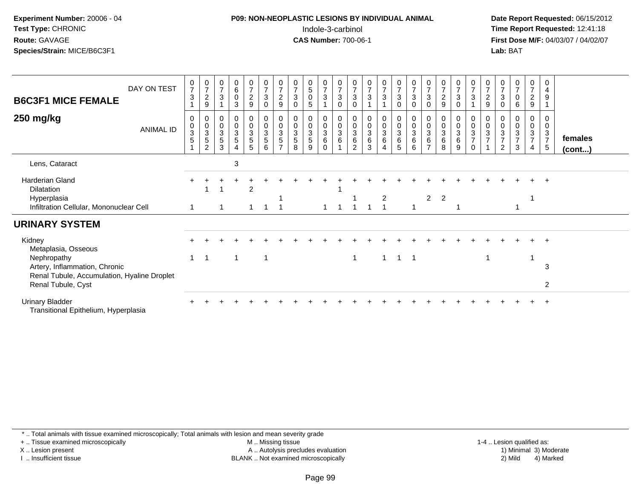# **P09: NON-NEOPLASTIC LESIONS BY INDIVIDUAL ANIMAL**Indole-3-carbinol **Time Report Requested:** 12:41:18

 **Date Report Requested:** 06/15/2012 **First Dose M/F:** 04/03/07 / 04/02/07<br>**Lab:** BAT **Lab:** BAT

| <b>B6C3F1 MICE FEMALE</b><br>250 mg/kg                         | DAY ON TEST<br>ANIMAL ID | $\frac{0}{7}$<br>$\mathfrak{S}$<br>0<br>$\pmb{0}$<br>$\overline{3}$<br>$\overline{5}$<br>$\blacktriangleleft$ | $\frac{0}{7}$<br>$\boldsymbol{2}$<br>9<br>$\begin{array}{c} 0 \\ 0 \\ 3 \\ 5 \end{array}$<br>2 | $\begin{array}{c} 0 \\ 7 \end{array}$<br>$\mathbf{3}$<br>$\begin{array}{c} 0 \\ 0 \\ 3 \\ 5 \end{array}$<br>$\mathbf{3}$ | $\begin{smallmatrix}0\0\0\end{smallmatrix}$<br>3<br>$\begin{array}{c} 0 \\ 0 \\ 3 \\ 5 \end{array}$<br>$\overline{4}$ | $\frac{0}{7}$<br>$\overline{a}$<br>9<br>0<br>$\frac{0}{3}$<br>$\overline{5}$<br>5 | $\begin{array}{c} 0 \\ 7 \\ 3 \end{array}$<br>$\pmb{0}$<br>0<br>$\frac{0}{3}$<br>6 | $\frac{0}{7}$<br>$\overline{c}$<br>9<br>$\begin{array}{c} 0 \\ 0 \\ 3 \\ 5 \end{array}$<br>$\overline{ }$ | $\frac{0}{7}$<br>$\mathbf{3}$<br>$\Omega$<br>$\pmb{0}$<br>$\ensuremath{\mathsf{3}}$<br>5<br>8 | $\begin{array}{c} 0 \\ 5 \\ 0 \end{array}$<br>5<br>0<br>$\frac{0}{3}$<br>$\sqrt{5}$<br>9 | $\frac{0}{7}$<br>3<br>0<br>$_{3}^{\rm 0}$<br>6<br>$\Omega$ | $\frac{0}{7}$<br>3<br>$\mathbf 0$<br>0<br>$\pmb{0}$<br>$\overline{3}$<br>$6\phantom{1}6$ | $\frac{0}{7}$<br>$\mathbf{3}$<br>$\Omega$<br>$\boldsymbol{0}$<br>$\mathbf{3}$<br>6<br>2 | $\frac{0}{7}$<br>$\mathfrak{S}$<br>$_{3}^{\rm 0}$<br>$6\phantom{a}$<br>3 | $\frac{0}{7}$<br>$\mathbf{3}$<br>$\begin{matrix} 0 \\ 0 \\ 3 \\ 6 \end{matrix}$<br>4 | $\frac{0}{7}$<br>$\sqrt{3}$<br>$\mathbf 0$<br>$\begin{array}{c} 0 \\ 0 \\ 3 \\ 6 \end{array}$<br>5 | $\frac{0}{7}$<br>$\sqrt{3}$<br>$\mathbf 0$<br>$\begin{smallmatrix}0\\0\\3\end{smallmatrix}$<br>$6\overline{6}$<br>$\,6\,$ | $\frac{0}{7}$<br>3<br>$\Omega$<br>0<br>$\pmb{0}$<br>3<br>6<br>$\overline{ }$ | $\begin{array}{c} 0 \\ 7 \\ 2 \end{array}$<br>9<br>$_{3}^{\rm 0}$<br>6<br>8 | $\frac{0}{7}$<br>$\mathbf{3}$<br>$\Omega$<br>0<br>$\frac{0}{3}$<br>6<br>9 | $\frac{0}{7}$<br>3<br>0<br>$\frac{0}{3}$<br>$\boldsymbol{7}$<br>$\mathbf 0$ | $\frac{0}{7}$<br>$\frac{2}{9}$<br>0<br>$\frac{0}{3}$<br>$\overline{7}$ | $\frac{0}{7}$<br>$\mathbf{3}$<br>$\Omega$<br>0<br>0<br>3<br>$\overline{7}$<br>$\overline{2}$ | $\frac{0}{7}$<br>$\mathbf 0$<br>6<br>0<br>3<br>$\overline{7}$<br>3 | $\frac{0}{7}$<br>$\overline{c}$<br>9<br>0<br>0<br>$\mathbf{3}$<br>$\overline{7}$<br>4 | 0<br>$\overline{4}$<br>9<br>0<br>0<br>$\mathsf 3$<br>$\overline{7}$<br>$\sqrt{5}$ | females      |
|----------------------------------------------------------------|--------------------------|---------------------------------------------------------------------------------------------------------------|------------------------------------------------------------------------------------------------|--------------------------------------------------------------------------------------------------------------------------|-----------------------------------------------------------------------------------------------------------------------|-----------------------------------------------------------------------------------|------------------------------------------------------------------------------------|-----------------------------------------------------------------------------------------------------------|-----------------------------------------------------------------------------------------------|------------------------------------------------------------------------------------------|------------------------------------------------------------|------------------------------------------------------------------------------------------|-----------------------------------------------------------------------------------------|--------------------------------------------------------------------------|--------------------------------------------------------------------------------------|----------------------------------------------------------------------------------------------------|---------------------------------------------------------------------------------------------------------------------------|------------------------------------------------------------------------------|-----------------------------------------------------------------------------|---------------------------------------------------------------------------|-----------------------------------------------------------------------------|------------------------------------------------------------------------|----------------------------------------------------------------------------------------------|--------------------------------------------------------------------|---------------------------------------------------------------------------------------|-----------------------------------------------------------------------------------|--------------|
| Lens, Cataract                                                 |                          |                                                                                                               |                                                                                                |                                                                                                                          | 3                                                                                                                     |                                                                                   |                                                                                    |                                                                                                           |                                                                                               |                                                                                          |                                                            |                                                                                          |                                                                                         |                                                                          |                                                                                      |                                                                                                    |                                                                                                                           |                                                                              |                                                                             |                                                                           |                                                                             |                                                                        |                                                                                              |                                                                    |                                                                                       |                                                                                   | $($ cont $)$ |
|                                                                |                          |                                                                                                               |                                                                                                |                                                                                                                          |                                                                                                                       |                                                                                   |                                                                                    |                                                                                                           |                                                                                               |                                                                                          |                                                            |                                                                                          |                                                                                         |                                                                          |                                                                                      |                                                                                                    |                                                                                                                           |                                                                              |                                                                             |                                                                           |                                                                             |                                                                        |                                                                                              |                                                                    |                                                                                       |                                                                                   |              |
| <b>Harderian Gland</b>                                         |                          |                                                                                                               |                                                                                                |                                                                                                                          |                                                                                                                       |                                                                                   |                                                                                    |                                                                                                           |                                                                                               |                                                                                          |                                                            |                                                                                          |                                                                                         |                                                                          |                                                                                      |                                                                                                    |                                                                                                                           |                                                                              |                                                                             |                                                                           |                                                                             |                                                                        |                                                                                              |                                                                    |                                                                                       | $\div$                                                                            |              |
| Dilatation                                                     |                          |                                                                                                               |                                                                                                |                                                                                                                          |                                                                                                                       | 2                                                                                 |                                                                                    |                                                                                                           |                                                                                               |                                                                                          |                                                            |                                                                                          |                                                                                         |                                                                          |                                                                                      |                                                                                                    |                                                                                                                           |                                                                              |                                                                             |                                                                           |                                                                             |                                                                        |                                                                                              |                                                                    |                                                                                       |                                                                                   |              |
| Hyperplasia                                                    |                          |                                                                                                               |                                                                                                |                                                                                                                          |                                                                                                                       |                                                                                   |                                                                                    |                                                                                                           |                                                                                               |                                                                                          |                                                            |                                                                                          |                                                                                         |                                                                          | $\overline{c}$                                                                       |                                                                                                    |                                                                                                                           | $2^{\circ}$                                                                  | $\overline{2}$                                                              |                                                                           |                                                                             |                                                                        |                                                                                              |                                                                    |                                                                                       |                                                                                   |              |
| Infiltration Cellular, Mononuclear Cell                        |                          |                                                                                                               |                                                                                                |                                                                                                                          |                                                                                                                       |                                                                                   |                                                                                    |                                                                                                           |                                                                                               |                                                                                          |                                                            |                                                                                          |                                                                                         |                                                                          |                                                                                      |                                                                                                    | -1                                                                                                                        |                                                                              |                                                                             |                                                                           |                                                                             |                                                                        |                                                                                              |                                                                    |                                                                                       |                                                                                   |              |
| <b>URINARY SYSTEM</b>                                          |                          |                                                                                                               |                                                                                                |                                                                                                                          |                                                                                                                       |                                                                                   |                                                                                    |                                                                                                           |                                                                                               |                                                                                          |                                                            |                                                                                          |                                                                                         |                                                                          |                                                                                      |                                                                                                    |                                                                                                                           |                                                                              |                                                                             |                                                                           |                                                                             |                                                                        |                                                                                              |                                                                    |                                                                                       |                                                                                   |              |
| Kidney                                                         |                          |                                                                                                               |                                                                                                |                                                                                                                          |                                                                                                                       |                                                                                   |                                                                                    |                                                                                                           |                                                                                               |                                                                                          |                                                            |                                                                                          |                                                                                         |                                                                          |                                                                                      |                                                                                                    |                                                                                                                           |                                                                              |                                                                             |                                                                           |                                                                             |                                                                        |                                                                                              |                                                                    |                                                                                       |                                                                                   |              |
| Metaplasia, Osseous                                            |                          | 1                                                                                                             |                                                                                                |                                                                                                                          | 1                                                                                                                     |                                                                                   |                                                                                    |                                                                                                           |                                                                                               |                                                                                          |                                                            |                                                                                          |                                                                                         |                                                                          | $\mathbf{1}$                                                                         | $\overline{\mathbf{1}}$                                                                            | $\overline{\phantom{0}}$ 1                                                                                                |                                                                              |                                                                             |                                                                           |                                                                             | -1                                                                     |                                                                                              |                                                                    |                                                                                       |                                                                                   |              |
| Nephropathy<br>Artery, Inflammation, Chronic                   |                          |                                                                                                               |                                                                                                |                                                                                                                          |                                                                                                                       |                                                                                   |                                                                                    |                                                                                                           |                                                                                               |                                                                                          |                                                            |                                                                                          | $\mathbf 1$                                                                             |                                                                          |                                                                                      |                                                                                                    |                                                                                                                           |                                                                              |                                                                             |                                                                           |                                                                             |                                                                        |                                                                                              |                                                                    |                                                                                       | 3                                                                                 |              |
| Renal Tubule, Accumulation, Hyaline Droplet                    |                          |                                                                                                               |                                                                                                |                                                                                                                          |                                                                                                                       |                                                                                   |                                                                                    |                                                                                                           |                                                                                               |                                                                                          |                                                            |                                                                                          |                                                                                         |                                                                          |                                                                                      |                                                                                                    |                                                                                                                           |                                                                              |                                                                             |                                                                           |                                                                             |                                                                        |                                                                                              |                                                                    |                                                                                       |                                                                                   |              |
| Renal Tubule, Cyst                                             |                          |                                                                                                               |                                                                                                |                                                                                                                          |                                                                                                                       |                                                                                   |                                                                                    |                                                                                                           |                                                                                               |                                                                                          |                                                            |                                                                                          |                                                                                         |                                                                          |                                                                                      |                                                                                                    |                                                                                                                           |                                                                              |                                                                             |                                                                           |                                                                             |                                                                        |                                                                                              |                                                                    |                                                                                       | 2                                                                                 |              |
| <b>Urinary Bladder</b><br>Transitional Epithelium, Hyperplasia |                          |                                                                                                               |                                                                                                |                                                                                                                          |                                                                                                                       |                                                                                   |                                                                                    |                                                                                                           |                                                                                               |                                                                                          |                                                            |                                                                                          |                                                                                         |                                                                          |                                                                                      |                                                                                                    |                                                                                                                           |                                                                              |                                                                             |                                                                           |                                                                             |                                                                        |                                                                                              |                                                                    |                                                                                       |                                                                                   |              |

\* .. Total animals with tissue examined microscopically; Total animals with lesion and mean severity grade

+ .. Tissue examined microscopically

X .. Lesion present

I .. Insufficient tissue

 M .. Missing tissueA .. Autolysis precludes evaluation

BLANK .. Not examined microscopically 2) Mild 4) Marked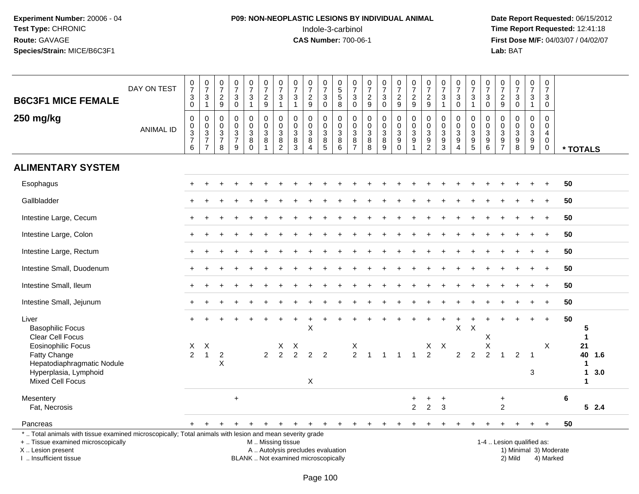# **P09: NON-NEOPLASTIC LESIONS BY INDIVIDUAL ANIMAL**Indole-3-carbinol **Time Report Requested:** 12:41:18

 **Date Report Requested:** 06/15/2012 **First Dose M/F:** 04/03/07 / 04/02/07<br>Lab: BAT **Lab:** BAT

| <b>B6C3F1 MICE FEMALE</b>                                                                                                                                                                     | DAY ON TEST      | $\frac{0}{7}$<br>$_{0}^{3}$                                                       | $\frac{0}{7}$<br>$\mathbf{3}$<br>$\mathbf{1}$                                    | $\begin{smallmatrix}0\\7\end{smallmatrix}$<br>$\frac{2}{9}$ | $\frac{0}{7}$<br>$\sqrt{3}$<br>$\pmb{0}$                            | $\begin{array}{c} 0 \\ 7 \end{array}$<br>$\sqrt{3}$<br>$\mathbf{1}$ | $\frac{0}{7}$<br>$\frac{2}{9}$                                    | 0<br>$\overline{7}$<br>3<br>$\mathbf{1}$                          | $\frac{0}{7}$<br>$\sqrt{3}$<br>$\mathbf{1}$                      | $\frac{0}{7}$<br>$\frac{2}{9}$                                                    | $\begin{array}{c} 0 \\ 7 \end{array}$<br>$\mathbf{3}$<br>$\mathbf 0$      | $\begin{array}{c} 0 \\ 5 \\ 5 \end{array}$<br>$\overline{8}$         | 0<br>$\overline{7}$<br>3<br>$\pmb{0}$                  | $\begin{array}{c} 0 \\ 7 \end{array}$<br>$\frac{2}{9}$ | $\frac{0}{7}$<br>3<br>$\mathsf 0$        | $\begin{array}{c} 0 \\ 7 \end{array}$<br>$\frac{2}{9}$ | $\begin{array}{c} 0 \\ 7 \end{array}$<br>$\frac{2}{9}$ | $\begin{array}{c} 0 \\ 7 \end{array}$<br>$\frac{2}{9}$         | $\frac{0}{7}$<br>$\ensuremath{\mathsf{3}}$<br>$\overline{1}$                    | $\begin{array}{c} 0 \\ 7 \end{array}$<br>3<br>$\overline{0}$ | $\frac{0}{7}$<br>3<br>$\mathbf{1}$                                                  | $\frac{0}{7}$<br>3<br>$\mathbf 0$                      | $\frac{0}{7}$<br>$\frac{2}{9}$                    | $\frac{0}{7}$<br>$_0^3$                                         | $\begin{array}{c} 0 \\ 7 \end{array}$<br>$\frac{3}{1}$ | $\boldsymbol{0}$<br>$\overline{7}$<br>3<br>$\Omega$                     |                        |                                            |            |  |
|-----------------------------------------------------------------------------------------------------------------------------------------------------------------------------------------------|------------------|-----------------------------------------------------------------------------------|----------------------------------------------------------------------------------|-------------------------------------------------------------|---------------------------------------------------------------------|---------------------------------------------------------------------|-------------------------------------------------------------------|-------------------------------------------------------------------|------------------------------------------------------------------|-----------------------------------------------------------------------------------|---------------------------------------------------------------------------|----------------------------------------------------------------------|--------------------------------------------------------|--------------------------------------------------------|------------------------------------------|--------------------------------------------------------|--------------------------------------------------------|----------------------------------------------------------------|---------------------------------------------------------------------------------|--------------------------------------------------------------|-------------------------------------------------------------------------------------|--------------------------------------------------------|---------------------------------------------------|-----------------------------------------------------------------|--------------------------------------------------------|-------------------------------------------------------------------------|------------------------|--------------------------------------------|------------|--|
| 250 mg/kg                                                                                                                                                                                     | <b>ANIMAL ID</b> | $\pmb{0}$<br>$\pmb{0}$<br>$\overline{3}$<br>$\begin{array}{c} 7 \\ 6 \end{array}$ | $\mathbf 0$<br>$\mathbf 0$<br>$\overline{3}$<br>$\overline{7}$<br>$\overline{7}$ | $\mathbf{0}$<br>0<br>$\mathbf{3}$<br>$\overline{7}$<br>8    | $\mathbf 0$<br>$\mathbf 0$<br>$\overline{3}$<br>$\overline{7}$<br>9 | 0<br>0<br>$\ensuremath{\mathsf{3}}$<br>8<br>$\Omega$                | $\mathbf 0$<br>$\mathbf 0$<br>$\mathbf{3}$<br>8<br>$\overline{1}$ | $\mathbf 0$<br>$\mathbf 0$<br>$\mathbf{3}$<br>8<br>$\overline{2}$ | $\Omega$<br>$\mathbf 0$<br>$\mathfrak{Z}$<br>8<br>$\overline{3}$ | $\mathbf 0$<br>0<br>$\ensuremath{\mathsf{3}}$<br>$\bf8$<br>$\boldsymbol{\Lambda}$ | $\mathbf 0$<br>0<br>$\mathbf{3}$<br>$\begin{array}{c} 8 \\ 5 \end{array}$ | $\mathbf 0$<br>$\mathbf 0$<br>$\sqrt{3}$<br>$\, 8$<br>$\overline{6}$ | $\mathbf 0$<br>$\mathbf 0$<br>3<br>8<br>$\overline{7}$ | $\mathbf 0$<br>$\mathbf 0$<br>$\mathfrak{Z}$<br>8<br>8 | $\mathbf 0$<br>0<br>$\sqrt{3}$<br>$^8_9$ | $\mathbf 0$<br>0<br>$\sqrt{3}$<br>9<br>$\mathbf 0$     | $\mathbf 0$<br>$\pmb{0}$<br>$\overline{3}$<br>9        | $\mathbf 0$<br>0<br>$\ensuremath{\mathsf{3}}$<br>$\frac{9}{2}$ | $\Omega$<br>$\mathbf 0$<br>$\ensuremath{\mathsf{3}}$<br>$9\,$<br>$\overline{3}$ | 0<br>0<br>$\ensuremath{\mathsf{3}}$<br>9<br>$\overline{4}$   | $\mathbf 0$<br>$\mathbf 0$<br>$\mathbf{3}$<br>$\begin{array}{c} 9 \\ 5 \end{array}$ | $\mathbf 0$<br>$\mathbf 0$<br>3<br>9<br>$\overline{6}$ | $\mathbf 0$<br>0<br>$\mathbf{3}$<br>$\frac{9}{7}$ | $\mathbf 0$<br>0<br>$\ensuremath{\mathsf{3}}$<br>$_{8}^{\rm 9}$ | $\mathbf 0$<br>$\mathbf 0$<br>$\overline{3}$<br>$^9_9$ | $\Omega$<br>$\mathbf 0$<br>$\overline{4}$<br>$\mathbf 0$<br>$\mathbf 0$ |                        | * TOTALS                                   |            |  |
| <b>ALIMENTARY SYSTEM</b>                                                                                                                                                                      |                  |                                                                                   |                                                                                  |                                                             |                                                                     |                                                                     |                                                                   |                                                                   |                                                                  |                                                                                   |                                                                           |                                                                      |                                                        |                                                        |                                          |                                                        |                                                        |                                                                |                                                                                 |                                                              |                                                                                     |                                                        |                                                   |                                                                 |                                                        |                                                                         |                        |                                            |            |  |
| Esophagus                                                                                                                                                                                     |                  |                                                                                   |                                                                                  |                                                             |                                                                     |                                                                     |                                                                   |                                                                   |                                                                  |                                                                                   |                                                                           |                                                                      |                                                        |                                                        |                                          |                                                        |                                                        |                                                                |                                                                                 |                                                              |                                                                                     |                                                        |                                                   |                                                                 |                                                        |                                                                         |                        | 50                                         |            |  |
| Gallbladder                                                                                                                                                                                   |                  |                                                                                   |                                                                                  |                                                             |                                                                     |                                                                     |                                                                   |                                                                   |                                                                  |                                                                                   |                                                                           |                                                                      |                                                        |                                                        |                                          |                                                        |                                                        |                                                                |                                                                                 |                                                              |                                                                                     |                                                        |                                                   |                                                                 |                                                        | $\overline{+}$                                                          |                        | 50                                         |            |  |
| Intestine Large, Cecum                                                                                                                                                                        |                  |                                                                                   |                                                                                  |                                                             |                                                                     |                                                                     |                                                                   |                                                                   |                                                                  |                                                                                   |                                                                           |                                                                      |                                                        |                                                        |                                          |                                                        |                                                        |                                                                |                                                                                 |                                                              |                                                                                     |                                                        |                                                   |                                                                 |                                                        | $\overline{+}$                                                          |                        | 50                                         |            |  |
| Intestine Large, Colon                                                                                                                                                                        |                  |                                                                                   |                                                                                  |                                                             |                                                                     |                                                                     |                                                                   |                                                                   |                                                                  |                                                                                   |                                                                           |                                                                      |                                                        |                                                        |                                          |                                                        |                                                        |                                                                |                                                                                 |                                                              |                                                                                     |                                                        |                                                   |                                                                 |                                                        | $\ddot{}$                                                               |                        | 50                                         |            |  |
| Intestine Large, Rectum                                                                                                                                                                       |                  |                                                                                   |                                                                                  |                                                             |                                                                     |                                                                     |                                                                   |                                                                   |                                                                  |                                                                                   |                                                                           |                                                                      |                                                        |                                                        |                                          |                                                        |                                                        |                                                                |                                                                                 |                                                              |                                                                                     |                                                        |                                                   |                                                                 |                                                        | $\overline{+}$                                                          |                        | 50                                         |            |  |
| Intestine Small, Duodenum                                                                                                                                                                     |                  |                                                                                   |                                                                                  |                                                             |                                                                     |                                                                     |                                                                   |                                                                   |                                                                  |                                                                                   |                                                                           |                                                                      |                                                        |                                                        |                                          |                                                        |                                                        |                                                                |                                                                                 |                                                              |                                                                                     |                                                        |                                                   |                                                                 |                                                        | $+$                                                                     |                        | 50                                         |            |  |
| Intestine Small, Ileum                                                                                                                                                                        |                  |                                                                                   |                                                                                  |                                                             |                                                                     |                                                                     |                                                                   |                                                                   |                                                                  |                                                                                   |                                                                           |                                                                      |                                                        |                                                        |                                          |                                                        |                                                        |                                                                |                                                                                 |                                                              |                                                                                     |                                                        |                                                   |                                                                 |                                                        | $\ddot{+}$                                                              |                        | 50                                         |            |  |
| Intestine Small, Jejunum                                                                                                                                                                      |                  |                                                                                   |                                                                                  |                                                             |                                                                     |                                                                     |                                                                   |                                                                   |                                                                  |                                                                                   |                                                                           |                                                                      |                                                        |                                                        |                                          |                                                        |                                                        |                                                                |                                                                                 |                                                              |                                                                                     |                                                        |                                                   |                                                                 |                                                        | $\overline{+}$                                                          |                        | 50                                         |            |  |
| Liver<br><b>Basophilic Focus</b><br>Clear Cell Focus                                                                                                                                          |                  |                                                                                   |                                                                                  |                                                             |                                                                     |                                                                     |                                                                   |                                                                   |                                                                  | $\ddot{}$<br>X                                                                    |                                                                           |                                                                      |                                                        |                                                        |                                          |                                                        |                                                        |                                                                |                                                                                 | X                                                            | $\times$                                                                            | Χ                                                      |                                                   |                                                                 |                                                        | $+$                                                                     |                        | 50<br>5<br>1                               |            |  |
| <b>Eosinophilic Focus</b><br>Fatty Change<br>Hepatodiaphragmatic Nodule<br>Hyperplasia, Lymphoid<br><b>Mixed Cell Focus</b>                                                                   |                  | X<br>$\overline{2}$                                                               | Χ<br>$\mathbf{1}$                                                                | $\sqrt{2}$<br>$\sf X$                                       |                                                                     |                                                                     | $\overline{2}$                                                    | X<br>$\overline{2}$                                               | X<br>$\overline{2}$                                              | 2<br>X                                                                            | $\overline{2}$                                                            |                                                                      | X<br>$\overline{2}$                                    |                                                        |                                          |                                                        |                                                        | X.<br>$\overline{2}$                                           | X                                                                               | $\overline{c}$                                               | $\overline{c}$                                                                      | Χ<br>$\overline{2}$                                    |                                                   | $\overline{2}$                                                  | 3                                                      | X                                                                       |                        | 21<br>40<br>1<br>$\blacktriangleleft$<br>1 | 1.6<br>3.0 |  |
| Mesentery<br>Fat, Necrosis                                                                                                                                                                    |                  |                                                                                   |                                                                                  |                                                             | $\ddot{}$                                                           |                                                                     |                                                                   |                                                                   |                                                                  |                                                                                   |                                                                           |                                                                      |                                                        |                                                        |                                          |                                                        | $\ddot{}$<br>$\overline{2}$                            | +<br>$\overline{2}$                                            | $\ddot{}$<br>3                                                                  |                                                              |                                                                                     |                                                        | $\ddot{}$<br>$\overline{2}$                       |                                                                 |                                                        |                                                                         | 6                      |                                            | 52.4       |  |
| Pancreas                                                                                                                                                                                      |                  |                                                                                   |                                                                                  |                                                             |                                                                     | $\div$                                                              |                                                                   | $\ddot{}$                                                         | $+$                                                              | $\ddot{}$                                                                         | $+$                                                                       | $+$                                                                  | $\ddot{}$                                              | $+$                                                    | $\ddot{}$                                | +                                                      |                                                        |                                                                |                                                                                 |                                                              |                                                                                     |                                                        |                                                   |                                                                 | $\ddot{}$                                              | $\ddot{}$                                                               |                        | 50                                         |            |  |
| *  Total animals with tissue examined microscopically; Total animals with lesion and mean severity grade<br>+  Tissue examined microscopically<br>X  Lesion present<br>I  Insufficient tissue |                  |                                                                                   |                                                                                  |                                                             |                                                                     |                                                                     | M  Missing tissue                                                 |                                                                   |                                                                  | A  Autolysis precludes evaluation<br>BLANK  Not examined microscopically          |                                                                           |                                                                      |                                                        |                                                        |                                          |                                                        |                                                        |                                                                |                                                                                 |                                                              |                                                                                     |                                                        |                                                   | 1-4  Lesion qualified as:<br>2) Mild                            |                                                        | 4) Marked                                                               | 1) Minimal 3) Moderate |                                            |            |  |

I .. Insufficient tissue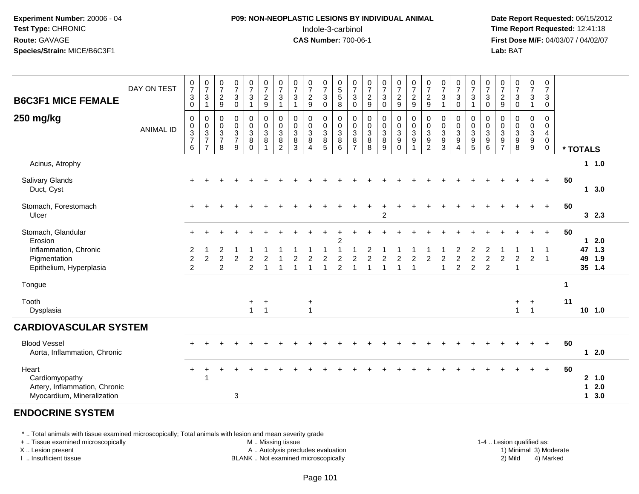### **P09: NON-NEOPLASTIC LESIONS BY INDIVIDUAL ANIMAL**Indole-3-carbinol **Time Report Requested:** 12:41:18

 **Date Report Requested:** 06/15/2012 **First Dose M/F:** 04/03/07 / 04/02/07<br>**Lab:** BAT **Lab:** BAT

| DAY ON TEST<br><b>B6C3F1 MICE FEMALE</b>                                               | $\begin{smallmatrix}0\\7\end{smallmatrix}$<br>$\ensuremath{\mathsf{3}}$<br>$\overline{0}$ | $\frac{0}{7}$<br>$\mathbf{3}$<br>$\mathbf{1}$                             | $\frac{0}{7}$<br>$\overline{2}$<br>$9\,$                                       | $\frac{0}{7}$<br>$\sqrt{3}$<br>$\overline{0}$    | $\begin{smallmatrix}0\\7\end{smallmatrix}$<br>$\mathbf{3}$<br>$\mathbf{1}$ | $\begin{array}{c} 0 \\ 7 \end{array}$<br>$\boldsymbol{2}$<br>$\overline{9}$ | $\frac{0}{7}$<br>3<br>$\mathbf{1}$                   | $\frac{0}{7}$<br>$\sqrt{3}$<br>$\mathbf{1}$                | $\frac{0}{7}$<br>$\overline{c}$<br>9                          | $\frac{0}{7}$<br>$\mathbf{3}$<br>$\mathbf 0$              | 0<br>$\frac{5}{8}$                                         | 0<br>$\overline{7}$<br>$\mathbf{3}$<br>$\mathbf 0$                       | $\frac{0}{7}$<br>$\sqrt{2}$<br>9                         | $\frac{0}{7}$<br>$\mathbf{3}$<br>$\mathbf 0$     | $\begin{smallmatrix}0\\7\end{smallmatrix}$<br>$\overline{2}$<br>9 | $\frac{0}{7}$<br>$\boldsymbol{2}$<br>$\overline{9}$ | $\frac{0}{7}$<br>$\sqrt{2}$<br>9                                        | $\begin{array}{c} 0 \\ 7 \end{array}$<br>$\mathbf{3}$<br>$\overline{\mathbf{1}}$ | 0<br>$\overline{7}$<br>$\sqrt{3}$<br>$\mathbf 0$                                  | $\frac{0}{7}$<br>$\sqrt{3}$<br>$\mathbf{1}$                                | 0<br>$\overline{7}$<br>$\mathbf{3}$<br>$\mathbf 0$                   | $\frac{0}{7}$<br>$\overline{c}$<br>$\mathsf g$               | $\frac{0}{7}$<br>$_0^3$                                      | 0<br>$\overline{7}$<br>$\mathsf 3$<br>$\mathbf{1}$            | $\mathbf 0$<br>$\overline{7}$<br>3<br>$\mathbf 0$                          |              |                   |                         |
|----------------------------------------------------------------------------------------|-------------------------------------------------------------------------------------------|---------------------------------------------------------------------------|--------------------------------------------------------------------------------|--------------------------------------------------|----------------------------------------------------------------------------|-----------------------------------------------------------------------------|------------------------------------------------------|------------------------------------------------------------|---------------------------------------------------------------|-----------------------------------------------------------|------------------------------------------------------------|--------------------------------------------------------------------------|----------------------------------------------------------|--------------------------------------------------|-------------------------------------------------------------------|-----------------------------------------------------|-------------------------------------------------------------------------|----------------------------------------------------------------------------------|-----------------------------------------------------------------------------------|----------------------------------------------------------------------------|----------------------------------------------------------------------|--------------------------------------------------------------|--------------------------------------------------------------|---------------------------------------------------------------|----------------------------------------------------------------------------|--------------|-------------------|-------------------------|
| 250 mg/kg<br><b>ANIMAL ID</b>                                                          | $\pmb{0}$<br>$\begin{array}{c} 0 \\ 3 \\ 7 \end{array}$<br>6                              | $\pmb{0}$<br>$\begin{array}{c} 0 \\ 3 \\ 7 \end{array}$<br>$\overline{7}$ | $\mathbf 0$<br>$\mathbf 0$<br>$\ensuremath{\mathsf{3}}$<br>$\overline{7}$<br>8 | $\mathsf 0$<br>$\mathsf 0$<br>$\frac{3}{7}$<br>9 | 0<br>$\mathbf 0$<br>$\overline{3}$<br>8<br>$\Omega$                        | $\pmb{0}$<br>$\mathbf 0$<br>$\overline{3}$<br>8<br>$\overline{1}$           | $\mathbf 0$<br>$\mathbf 0$<br>$\mathbf{3}$<br>8<br>2 | $\mathsf{O}\xspace$<br>0<br>$\overline{3}$<br>$\bf 8$<br>3 | 0<br>$\pmb{0}$<br>$\overline{3}$<br>$\bf 8$<br>$\overline{A}$ | 0<br>$\mathbf 0$<br>$\overline{3}$<br>8<br>$\overline{5}$ | $\pmb{0}$<br>$\mathbf 0$<br>$\overline{3}$<br>$\bf 8$<br>6 | 0<br>$\pmb{0}$<br>$\ensuremath{\mathsf{3}}$<br>$\bf 8$<br>$\overline{7}$ | $\pmb{0}$<br>$\pmb{0}$<br>$\overline{3}$<br>$\bf 8$<br>8 | $\pmb{0}$<br>$\pmb{0}$<br>$\mathbf{3}$<br>8<br>9 | $\mathsf 0$<br>$\mathbf 0$<br>$\overline{3}$<br>$9\,$<br>$\Omega$ | $\pmb{0}$<br>$_{3}^{\rm 0}$<br>$\boldsymbol{9}$     | $\mathbf 0$<br>$\mathbf 0$<br>$\overline{3}$<br>$9\,$<br>$\overline{2}$ | $\mathbf 0$<br>$\mathbf 0$<br>$\sqrt{3}$<br>$\frac{9}{3}$                        | 0<br>$\pmb{0}$<br>$\ensuremath{\mathsf{3}}$<br>$\boldsymbol{9}$<br>$\overline{4}$ | $\boldsymbol{0}$<br>$\mathbf 0$<br>$\overline{3}$<br>$\boldsymbol{9}$<br>5 | 0<br>$\mathbf 0$<br>$\sqrt{3}$<br>$\boldsymbol{9}$<br>$6\phantom{1}$ | $\pmb{0}$<br>0<br>$\ensuremath{\mathsf{3}}$<br>$\frac{9}{7}$ | $\pmb{0}$<br>$\begin{array}{c} 0 \\ 3 \\ 9 \\ 8 \end{array}$ | $\mathbf 0$<br>$\mathbf 0$<br>$\frac{3}{9}$<br>$\overline{9}$ | $\mathbf 0$<br>$\mathbf 0$<br>$\overline{4}$<br>$\mathbf 0$<br>$\mathbf 0$ |              | * TOTALS          |                         |
| Acinus, Atrophy                                                                        |                                                                                           |                                                                           |                                                                                |                                                  |                                                                            |                                                                             |                                                      |                                                            |                                                               |                                                           |                                                            |                                                                          |                                                          |                                                  |                                                                   |                                                     |                                                                         |                                                                                  |                                                                                   |                                                                            |                                                                      |                                                              |                                                              |                                                               |                                                                            |              |                   | 1 1.0                   |
| Salivary Glands<br>Duct, Cyst                                                          |                                                                                           |                                                                           |                                                                                |                                                  |                                                                            |                                                                             |                                                      |                                                            |                                                               |                                                           |                                                            |                                                                          |                                                          |                                                  |                                                                   |                                                     |                                                                         |                                                                                  |                                                                                   |                                                                            |                                                                      |                                                              |                                                              |                                                               | $+$                                                                        | 50           |                   | 13.0                    |
| Stomach, Forestomach<br>Ulcer                                                          |                                                                                           |                                                                           |                                                                                |                                                  |                                                                            |                                                                             |                                                      |                                                            |                                                               |                                                           |                                                            |                                                                          |                                                          | $\overline{2}$                                   |                                                                   |                                                     |                                                                         |                                                                                  |                                                                                   |                                                                            |                                                                      |                                                              |                                                              |                                                               | $+$                                                                        | 50           |                   | 32.3                    |
| Stomach, Glandular<br>Erosion                                                          | $+$                                                                                       |                                                                           |                                                                                |                                                  |                                                                            |                                                                             |                                                      |                                                            |                                                               |                                                           | $\overline{2}$                                             |                                                                          |                                                          |                                                  |                                                                   |                                                     |                                                                         |                                                                                  |                                                                                   |                                                                            |                                                                      |                                                              |                                                              |                                                               | $\ddot{}$                                                                  | 50           | $\mathbf{1}$      | 2.0                     |
| Inflammation, Chronic<br>Pigmentation<br>Epithelium, Hyperplasia                       | $\overline{\mathbf{c}}$<br>$\overline{c}$<br>$\overline{c}$                               | $\overline{c}$                                                            | 2<br>$\overline{2}$<br>2                                                       | $\overline{2}$                                   | $\overline{c}$<br>$\overline{2}$                                           |                                                                             |                                                      |                                                            | $\overline{2}$                                                | $\overline{c}$                                            | $\overline{2}$                                             | 2                                                                        |                                                          | 2                                                | $\overline{2}$                                                    | $\overline{2}$<br>$\overline{1}$                    | 2                                                                       | $\overline{c}$<br>$\overline{1}$                                                 | $\overline{2}$<br>$\overline{c}$                                                  | $\overline{c}$<br>$\overline{c}$                                           | 2<br>$\overline{c}$<br>$\overline{2}$                                | $\overline{c}$                                               | $\overline{a}$<br>-1                                         | $\overline{c}$                                                | -1<br>$\overline{1}$                                                       |              | 49                | 47 1.3<br>1.9<br>35 1.4 |
| Tongue                                                                                 |                                                                                           |                                                                           |                                                                                |                                                  |                                                                            |                                                                             |                                                      |                                                            |                                                               |                                                           |                                                            |                                                                          |                                                          |                                                  |                                                                   |                                                     |                                                                         |                                                                                  |                                                                                   |                                                                            |                                                                      |                                                              |                                                              |                                                               |                                                                            | $\mathbf{1}$ |                   |                         |
| Tooth<br>Dysplasia                                                                     |                                                                                           |                                                                           |                                                                                |                                                  | $\ddot{}$<br>$\mathbf{1}$                                                  | $\ddot{}$<br>$\overline{1}$                                                 |                                                      |                                                            | $\ddot{}$<br>$\overline{1}$                                   |                                                           |                                                            |                                                                          |                                                          |                                                  |                                                                   |                                                     |                                                                         |                                                                                  |                                                                                   |                                                                            |                                                                      |                                                              | $+$<br>$\mathbf{1}$                                          | $\ddot{}$<br>$\overline{1}$                                   |                                                                            | 11           |                   | 10, 1.0                 |
| <b>CARDIOVASCULAR SYSTEM</b>                                                           |                                                                                           |                                                                           |                                                                                |                                                  |                                                                            |                                                                             |                                                      |                                                            |                                                               |                                                           |                                                            |                                                                          |                                                          |                                                  |                                                                   |                                                     |                                                                         |                                                                                  |                                                                                   |                                                                            |                                                                      |                                                              |                                                              |                                                               |                                                                            |              |                   |                         |
| <b>Blood Vessel</b><br>Aorta, Inflammation, Chronic                                    |                                                                                           |                                                                           |                                                                                |                                                  |                                                                            |                                                                             |                                                      |                                                            |                                                               |                                                           |                                                            |                                                                          |                                                          |                                                  |                                                                   |                                                     |                                                                         |                                                                                  |                                                                                   |                                                                            |                                                                      |                                                              |                                                              | $\div$                                                        | $+$                                                                        | 50           |                   | $12.0$                  |
| Heart<br>Cardiomyopathy<br>Artery, Inflammation, Chronic<br>Myocardium, Mineralization |                                                                                           | $\overline{1}$                                                            |                                                                                | $\mathbf{3}$                                     |                                                                            |                                                                             |                                                      |                                                            |                                                               |                                                           |                                                            |                                                                          |                                                          |                                                  |                                                                   |                                                     |                                                                         |                                                                                  |                                                                                   |                                                                            |                                                                      |                                                              |                                                              |                                                               | $+$                                                                        | 50           | $\mathbf{1}$<br>1 | 2, 1.0<br>2.0<br>3.0    |

#### **ENDOCRINE SYSTEM**

\* .. Total animals with tissue examined microscopically; Total animals with lesion and mean severity grade

+ .. Tissue examined microscopically

X .. Lesion present

I .. Insufficient tissue

 M .. Missing tissueA .. Autolysis precludes evaluation

1-4 .. Lesion qualified as:<br>1) Minimal 3) Moderate BLANK .. Not examined microscopically 2) Mild 4) Marked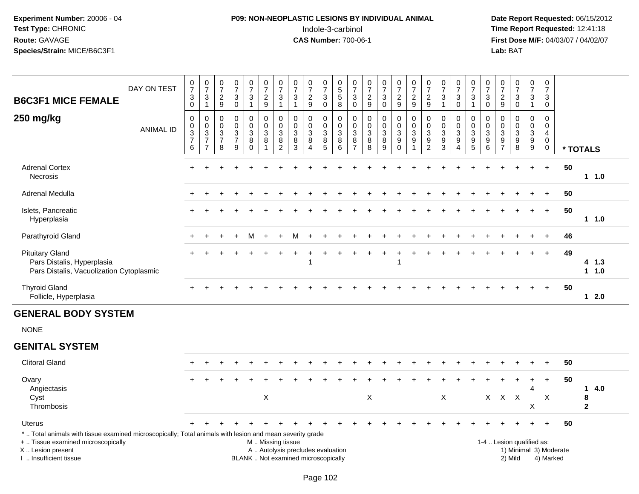# **P09: NON-NEOPLASTIC LESIONS BY INDIVIDUAL ANIMAL**Indole-3-carbinol **Time Report Requested:** 12:41:18

| <b>B6C3F1 MICE FEMALE</b>                                                                                                                                                                     | DAY ON TEST      | $\frac{0}{7}$<br>$\mathsf 3$<br>$\overline{0}$ | $\frac{0}{7}$<br>$\frac{3}{1}$               | $\frac{0}{7}$<br>$\frac{2}{9}$                                       | 0<br>$\overline{7}$<br>3<br>$\mathbf 0$                         | $\frac{0}{7}$<br>$\mathbf{3}$<br>$\mathbf{1}$             | $\begin{smallmatrix}0\\7\end{smallmatrix}$<br>$\frac{2}{9}$ | $\begin{array}{c} 0 \\ 7 \end{array}$<br>$\sqrt{3}$<br>$\mathbf{1}$ | $\frac{0}{7}$<br>$\sqrt{3}$<br>$\mathbf{1}$                              | $\frac{0}{7}$<br>$\sqrt{2}$<br>9                                 | $\frac{0}{7}$<br>$\ensuremath{\mathsf{3}}$<br>$\mathbf 0$            | 0<br>5<br>5<br>$\overline{8}$                           | $\frac{0}{7}$<br>$\ensuremath{\mathsf{3}}$<br>$\overline{0}$ | $\pmb{0}$<br>$\overline{7}$<br>$\frac{2}{9}$                          | $\begin{array}{c} 0 \\ 7 \end{array}$<br>$\ensuremath{\mathsf{3}}$<br>$\overline{0}$ | $\frac{0}{7}$<br>$\frac{2}{9}$                                                           | $\frac{0}{7}$<br>$\frac{2}{9}$                                                           | $\begin{array}{c} 0 \\ 7 \end{array}$<br>$\frac{2}{9}$      | $\frac{0}{7}$<br>$\sqrt{3}$<br>$\mathbf{1}$                                  | $\frac{0}{7}$<br>3<br>$\overline{0}$              | $\frac{0}{7}$<br>$\sqrt{3}$<br>$\mathbf{1}$ | $\mathbf 0$<br>$\overline{7}$<br>$\sqrt{3}$<br>$\overline{0}$               | 0<br>$\overline{7}$<br>$\frac{2}{9}$          | $\pmb{0}$<br>$\overline{7}$<br>$\ensuremath{\mathsf{3}}$<br>$\overline{0}$ | $\frac{0}{7}$<br>$\mathbf{3}$<br>$\mathbf{1}$             | 0<br>$\overline{7}$<br>3<br>$\mathbf 0$      |                        |                                           |
|-----------------------------------------------------------------------------------------------------------------------------------------------------------------------------------------------|------------------|------------------------------------------------|----------------------------------------------|----------------------------------------------------------------------|-----------------------------------------------------------------|-----------------------------------------------------------|-------------------------------------------------------------|---------------------------------------------------------------------|--------------------------------------------------------------------------|------------------------------------------------------------------|----------------------------------------------------------------------|---------------------------------------------------------|--------------------------------------------------------------|-----------------------------------------------------------------------|--------------------------------------------------------------------------------------|------------------------------------------------------------------------------------------|------------------------------------------------------------------------------------------|-------------------------------------------------------------|------------------------------------------------------------------------------|---------------------------------------------------|---------------------------------------------|-----------------------------------------------------------------------------|-----------------------------------------------|----------------------------------------------------------------------------|-----------------------------------------------------------|----------------------------------------------|------------------------|-------------------------------------------|
| 250 mg/kg                                                                                                                                                                                     | <b>ANIMAL ID</b> | 0<br>0<br>$\frac{3}{7}$<br>$\,6\,$             | $\pmb{0}$<br>$\frac{0}{3}$<br>$\overline{7}$ | 0<br>$\mathbf 0$<br>$\ensuremath{\mathsf{3}}$<br>$\overline{7}$<br>8 | $\mathbf 0$<br>$\mathbf 0$<br>$\sqrt{3}$<br>$\overline{7}$<br>9 | $\pmb{0}$<br>$\mathbf 0$<br>$\mathbf{3}$<br>8<br>$\Omega$ | $\pmb{0}$<br>$\mathbf 0$<br>$\mathfrak{S}$<br>8             | $\pmb{0}$<br>$\pmb{0}$<br>$\sqrt{3}$<br>$\,8\,$<br>$\overline{2}$   | $\mathbf 0$<br>$\mathbf 0$<br>$\sqrt{3}$<br>$\,8\,$<br>3                 | $\mathbf 0$<br>$\mathbf 0$<br>$\mathsf 3$<br>8<br>$\overline{A}$ | 0<br>$\mathsf{O}\xspace$<br>$\ensuremath{\mathsf{3}}$<br>$\, 8$<br>5 | 0<br>$\mathbf 0$<br>$\ensuremath{\mathsf{3}}$<br>8<br>6 | 0<br>$\mathbf 0$<br>$\sqrt{3}$<br>$\,8\,$<br>$\overline{7}$  | $\pmb{0}$<br>$\mathbf 0$<br>$\ensuremath{\mathsf{3}}$<br>$\bf 8$<br>8 | $\mathbf 0$<br>$\mathbf 0$<br>$\sqrt{3}$<br>$\bf 8$<br>9                             | $\pmb{0}$<br>$\mathbf 0$<br>$\ensuremath{\mathsf{3}}$<br>$\boldsymbol{9}$<br>$\mathbf 0$ | $\pmb{0}$<br>$\ddot{\mathbf{0}}$<br>$\overline{3}$<br>$\boldsymbol{9}$<br>$\overline{1}$ | 0<br>$\mathbf 0$<br>3<br>$\boldsymbol{9}$<br>$\overline{2}$ | $\mathbf 0$<br>$\mathbf 0$<br>$\sqrt{3}$<br>$\boldsymbol{9}$<br>$\mathbf{3}$ | 0<br>$\Omega$<br>3<br>9<br>$\boldsymbol{\Lambda}$ | 0<br>$\mathsf{O}$<br>$\frac{3}{9}$          | $\mathbf 0$<br>$\mathbf 0$<br>$\overline{3}$<br>$\boldsymbol{9}$<br>$\,6\,$ | 0<br>$\mathbf{0}$<br>3<br>9<br>$\overline{7}$ | $\mathbf 0$<br>$\mathbf{0}$<br>$\mathbf{3}$<br>9<br>8                      | 0<br>$\mathbf 0$<br>$\mathbf{3}$<br>9<br>$\boldsymbol{9}$ | 0<br>$\mathbf 0$<br>$\overline{4}$<br>0<br>0 |                        | * TOTALS                                  |
| <b>Adrenal Cortex</b><br>Necrosis                                                                                                                                                             |                  |                                                |                                              |                                                                      |                                                                 |                                                           |                                                             |                                                                     |                                                                          |                                                                  |                                                                      |                                                         |                                                              |                                                                       |                                                                                      |                                                                                          |                                                                                          |                                                             |                                                                              |                                                   |                                             |                                                                             |                                               |                                                                            |                                                           | $\ddot{}$                                    | 50                     | 11.0                                      |
| Adrenal Medulla                                                                                                                                                                               |                  |                                                |                                              |                                                                      |                                                                 |                                                           |                                                             |                                                                     |                                                                          |                                                                  |                                                                      |                                                         |                                                              |                                                                       |                                                                                      |                                                                                          |                                                                                          |                                                             |                                                                              |                                                   |                                             |                                                                             |                                               |                                                                            |                                                           | $\ddot{}$                                    | 50                     |                                           |
| Islets, Pancreatic<br>Hyperplasia                                                                                                                                                             |                  |                                                |                                              |                                                                      |                                                                 |                                                           |                                                             |                                                                     |                                                                          |                                                                  |                                                                      |                                                         |                                                              |                                                                       |                                                                                      |                                                                                          |                                                                                          |                                                             |                                                                              |                                                   |                                             |                                                                             |                                               |                                                                            |                                                           | $+$                                          | 50                     | $1 1.0$                                   |
| Parathyroid Gland                                                                                                                                                                             |                  |                                                |                                              |                                                                      |                                                                 | м                                                         | $\div$                                                      |                                                                     | м                                                                        |                                                                  |                                                                      |                                                         |                                                              |                                                                       |                                                                                      |                                                                                          |                                                                                          |                                                             |                                                                              |                                                   |                                             |                                                                             |                                               |                                                                            |                                                           |                                              | 46                     |                                           |
| <b>Pituitary Gland</b><br>Pars Distalis, Hyperplasia<br>Pars Distalis, Vacuolization Cytoplasmic                                                                                              |                  |                                                |                                              |                                                                      |                                                                 |                                                           |                                                             |                                                                     |                                                                          |                                                                  |                                                                      |                                                         |                                                              |                                                                       |                                                                                      |                                                                                          |                                                                                          |                                                             |                                                                              |                                                   |                                             |                                                                             |                                               |                                                                            |                                                           | $+$                                          | 49                     | $4 \t1.3$<br>11.0                         |
| <b>Thyroid Gland</b><br>Follicle, Hyperplasia                                                                                                                                                 |                  |                                                |                                              |                                                                      |                                                                 |                                                           |                                                             |                                                                     |                                                                          |                                                                  |                                                                      |                                                         |                                                              |                                                                       |                                                                                      |                                                                                          |                                                                                          |                                                             |                                                                              |                                                   |                                             |                                                                             |                                               |                                                                            |                                                           |                                              | 50                     | $12.0$                                    |
| <b>GENERAL BODY SYSTEM</b>                                                                                                                                                                    |                  |                                                |                                              |                                                                      |                                                                 |                                                           |                                                             |                                                                     |                                                                          |                                                                  |                                                                      |                                                         |                                                              |                                                                       |                                                                                      |                                                                                          |                                                                                          |                                                             |                                                                              |                                                   |                                             |                                                                             |                                               |                                                                            |                                                           |                                              |                        |                                           |
| <b>NONE</b>                                                                                                                                                                                   |                  |                                                |                                              |                                                                      |                                                                 |                                                           |                                                             |                                                                     |                                                                          |                                                                  |                                                                      |                                                         |                                                              |                                                                       |                                                                                      |                                                                                          |                                                                                          |                                                             |                                                                              |                                                   |                                             |                                                                             |                                               |                                                                            |                                                           |                                              |                        |                                           |
| <b>GENITAL SYSTEM</b>                                                                                                                                                                         |                  |                                                |                                              |                                                                      |                                                                 |                                                           |                                                             |                                                                     |                                                                          |                                                                  |                                                                      |                                                         |                                                              |                                                                       |                                                                                      |                                                                                          |                                                                                          |                                                             |                                                                              |                                                   |                                             |                                                                             |                                               |                                                                            |                                                           |                                              |                        |                                           |
| <b>Clitoral Gland</b>                                                                                                                                                                         |                  |                                                |                                              |                                                                      |                                                                 |                                                           |                                                             |                                                                     |                                                                          |                                                                  |                                                                      |                                                         |                                                              |                                                                       |                                                                                      |                                                                                          |                                                                                          |                                                             |                                                                              |                                                   |                                             |                                                                             |                                               |                                                                            |                                                           |                                              | 50                     |                                           |
| Ovary<br>Angiectasis<br>Cyst<br>Thrombosis                                                                                                                                                    |                  |                                                |                                              |                                                                      |                                                                 |                                                           | X                                                           |                                                                     |                                                                          |                                                                  |                                                                      |                                                         |                                                              | X                                                                     |                                                                                      |                                                                                          |                                                                                          |                                                             | X                                                                            |                                                   |                                             | $X -$                                                                       |                                               | $X$ $X$                                                                    | 4<br>X                                                    | $\ddot{}$<br>X                               | 50                     | 4.0<br>$\mathbf 1$<br>8<br>$\overline{2}$ |
| Uterus                                                                                                                                                                                        |                  | $+$                                            |                                              |                                                                      |                                                                 |                                                           |                                                             | $\div$                                                              | $\ddot{}$                                                                |                                                                  | $\div$                                                               |                                                         | +                                                            | ÷                                                                     | $\div$                                                                               | ÷                                                                                        |                                                                                          |                                                             |                                                                              |                                                   |                                             |                                                                             |                                               |                                                                            | $\pm$                                                     | $+$                                          | 50                     |                                           |
| *  Total animals with tissue examined microscopically; Total animals with lesion and mean severity grade<br>+  Tissue examined microscopically<br>X  Lesion present<br>I. Insufficient tissue |                  |                                                |                                              |                                                                      |                                                                 |                                                           | M  Missing tissue                                           |                                                                     | A  Autolysis precludes evaluation<br>BLANK  Not examined microscopically |                                                                  |                                                                      |                                                         |                                                              |                                                                       |                                                                                      |                                                                                          |                                                                                          |                                                             |                                                                              |                                                   |                                             |                                                                             |                                               | 1-4  Lesion qualified as:<br>2) Mild                                       |                                                           | 4) Marked                                    | 1) Minimal 3) Moderate |                                           |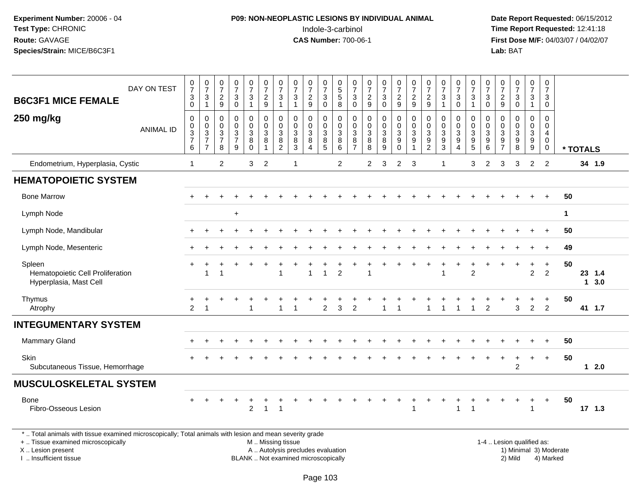# **P09: NON-NEOPLASTIC LESIONS BY INDIVIDUAL ANIMAL**Indole-3-carbinol **Time Report Requested:** 12:41:18

 **Date Report Requested:** 06/15/2012 **First Dose M/F:** 04/03/07 / 04/02/07<br>Lab: BAT **Lab:** BAT

| <b>B6C3F1 MICE FEMALE</b>                                                                                | DAY ON TEST      | $\frac{0}{7}$<br>$\ensuremath{\mathsf{3}}$                                        | $\frac{0}{7}$<br>$\sqrt{3}$                                                                       | $\frac{0}{7}$<br>$\overline{c}$                                           | $\frac{0}{7}$<br>$\ensuremath{\mathsf{3}}$                                        | $\frac{0}{7}$<br>$\mathsf 3$                                         | $\frac{0}{7}$<br>$\overline{c}$                                              | $\frac{0}{7}$<br>$\sqrt{3}$                                           | $\frac{0}{7}$<br>$\mathsf 3$                                                | $\frac{0}{7}$<br>$\overline{c}$         | $\frac{0}{7}$<br>$_{0}^{3}$                      | $\begin{array}{c} 0 \\ 5 \\ 5 \end{array}$                             | $\frac{0}{7}$<br>3                                                             | $\frac{0}{7}$<br>$\boldsymbol{2}$                          | $\frac{0}{7}$<br>3                                      | $\frac{0}{7}$<br>$\frac{2}{9}$                                            | $\begin{smallmatrix}0\\7\end{smallmatrix}$<br>$\overline{c}$                           | $\frac{0}{7}$<br>$\overline{c}$                                       | $\frac{0}{7}$<br>$\mathbf{3}$                                                                        | $\frac{0}{7}$<br>3                                                                    | $\frac{0}{7}$<br>$\sqrt{3}$                                                         | $\frac{0}{7}$<br>3                | $\frac{0}{7}$<br>$\overline{c}$                        | $\frac{0}{7}$<br>$\mathbf{3}$                                        | $\frac{0}{7}$<br>$\mathsf 3$                                                             | 0<br>$\overline{7}$<br>3                                           |    |          |        |
|----------------------------------------------------------------------------------------------------------|------------------|-----------------------------------------------------------------------------------|---------------------------------------------------------------------------------------------------|---------------------------------------------------------------------------|-----------------------------------------------------------------------------------|----------------------------------------------------------------------|------------------------------------------------------------------------------|-----------------------------------------------------------------------|-----------------------------------------------------------------------------|-----------------------------------------|--------------------------------------------------|------------------------------------------------------------------------|--------------------------------------------------------------------------------|------------------------------------------------------------|---------------------------------------------------------|---------------------------------------------------------------------------|----------------------------------------------------------------------------------------|-----------------------------------------------------------------------|------------------------------------------------------------------------------------------------------|---------------------------------------------------------------------------------------|-------------------------------------------------------------------------------------|-----------------------------------|--------------------------------------------------------|----------------------------------------------------------------------|------------------------------------------------------------------------------------------|--------------------------------------------------------------------|----|----------|--------|
| 250 mg/kg                                                                                                | <b>ANIMAL ID</b> | $\mathbf 0$<br>0<br>$\pmb{0}$<br>$\ensuremath{\mathsf{3}}$<br>$\overline{7}$<br>6 | $\mathbf{1}$<br>0<br>$\mathbf 0$<br>$\ensuremath{\mathsf{3}}$<br>$\overline{7}$<br>$\overline{7}$ | $\boldsymbol{9}$<br>0<br>$\mathbf 0$<br>$\sqrt{3}$<br>$\overline{7}$<br>8 | $\mathbf 0$<br>0<br>$\pmb{0}$<br>$\ensuremath{\mathsf{3}}$<br>$\overline{7}$<br>9 | $\overline{1}$<br>0<br>$\mathsf 0$<br>$\sqrt{3}$<br>8<br>$\mathbf 0$ | $9\,$<br>$\mathbf 0$<br>$\pmb{0}$<br>$\sqrt{3}$<br>$\bf 8$<br>$\overline{1}$ | $\mathbf{1}$<br>$\mathbf 0$<br>0<br>$\sqrt{3}$<br>8<br>$\overline{2}$ | $\mathbf{1}$<br>$\mathbf 0$<br>$\pmb{0}$<br>$\sqrt{3}$<br>8<br>$\mathbf{3}$ | 9<br>0<br>0<br>3<br>8<br>$\overline{A}$ | 0<br>$\mathbf 0$<br>$\mathbf{3}$<br>$\bf 8$<br>5 | $\,8\,$<br>$\mathbf 0$<br>0<br>$\sqrt{3}$<br>$\bf 8$<br>$6\phantom{1}$ | $\mathbf 0$<br>0<br>$\boldsymbol{0}$<br>$\sqrt{3}$<br>$\, 8$<br>$\overline{7}$ | $9\,$<br>$\mathbf 0$<br>$\pmb{0}$<br>$\mathsf 3$<br>8<br>8 | $\mathbf 0$<br>0<br>$\pmb{0}$<br>$\mathbf{3}$<br>8<br>9 | 0<br>$\mathsf{O}\xspace$<br>$\sqrt{3}$<br>$\boldsymbol{9}$<br>$\mathbf 0$ | 9<br>0<br>$\pmb{0}$<br>$\ensuremath{\mathsf{3}}$<br>$\boldsymbol{9}$<br>$\overline{1}$ | $9\,$<br>0<br>0<br>$\mathbf{3}$<br>$\boldsymbol{9}$<br>$\overline{2}$ | $\overline{\mathbf{1}}$<br>0<br>$\boldsymbol{0}$<br>$\mathbf{3}$<br>$\boldsymbol{9}$<br>$\mathbf{3}$ | $\mathbf 0$<br>0<br>$\mathbf 0$<br>$\ensuremath{\mathsf{3}}$<br>$\boldsymbol{9}$<br>4 | $\overline{1}$<br>$\mathbf 0$<br>$\pmb{0}$<br>$\mathbf{3}$<br>$\boldsymbol{9}$<br>5 | $\Omega$<br>0<br>0<br>3<br>9<br>6 | $\boldsymbol{9}$<br>0<br>0<br>3<br>9<br>$\overline{7}$ | $\mathsf 0$<br>0<br>$\pmb{0}$<br>$\sqrt{3}$<br>$\boldsymbol{9}$<br>8 | $\overline{1}$<br>0<br>$\mathbf 0$<br>$\ensuremath{\mathsf{3}}$<br>$\boldsymbol{9}$<br>9 | $\mathbf 0$<br>$\mathbf 0$<br>0<br>4<br>$\mathbf 0$<br>$\mathbf 0$ |    | * TOTALS |        |
| Endometrium, Hyperplasia, Cystic                                                                         |                  | $\mathbf{1}$                                                                      |                                                                                                   | $\overline{c}$                                                            |                                                                                   | 3                                                                    | $\overline{2}$                                                               |                                                                       | $\mathbf{1}$                                                                |                                         |                                                  | $\overline{2}$                                                         |                                                                                | $\overline{2}$                                             | 3                                                       | 2                                                                         | 3                                                                                      |                                                                       | -1                                                                                                   |                                                                                       | 3                                                                                   | $\overline{2}$                    | 3                                                      | 3                                                                    | $\overline{2}$                                                                           | $\overline{2}$                                                     |    | 34 1.9   |        |
| <b>HEMATOPOIETIC SYSTEM</b>                                                                              |                  |                                                                                   |                                                                                                   |                                                                           |                                                                                   |                                                                      |                                                                              |                                                                       |                                                                             |                                         |                                                  |                                                                        |                                                                                |                                                            |                                                         |                                                                           |                                                                                        |                                                                       |                                                                                                      |                                                                                       |                                                                                     |                                   |                                                        |                                                                      |                                                                                          |                                                                    |    |          |        |
| <b>Bone Marrow</b>                                                                                       |                  |                                                                                   |                                                                                                   |                                                                           |                                                                                   |                                                                      |                                                                              |                                                                       |                                                                             |                                         |                                                  |                                                                        |                                                                                |                                                            |                                                         |                                                                           |                                                                                        |                                                                       |                                                                                                      |                                                                                       |                                                                                     |                                   |                                                        |                                                                      |                                                                                          | $+$                                                                | 50 |          |        |
| Lymph Node                                                                                               |                  |                                                                                   |                                                                                                   |                                                                           | $\ddot{}$                                                                         |                                                                      |                                                                              |                                                                       |                                                                             |                                         |                                                  |                                                                        |                                                                                |                                                            |                                                         |                                                                           |                                                                                        |                                                                       |                                                                                                      |                                                                                       |                                                                                     |                                   |                                                        |                                                                      |                                                                                          |                                                                    | 1  |          |        |
| Lymph Node, Mandibular                                                                                   |                  |                                                                                   |                                                                                                   |                                                                           |                                                                                   |                                                                      |                                                                              |                                                                       |                                                                             |                                         |                                                  |                                                                        |                                                                                |                                                            |                                                         |                                                                           |                                                                                        |                                                                       |                                                                                                      |                                                                                       |                                                                                     |                                   |                                                        |                                                                      |                                                                                          | $\ddot{}$                                                          | 50 |          |        |
| Lymph Node, Mesenteric                                                                                   |                  |                                                                                   |                                                                                                   |                                                                           |                                                                                   |                                                                      |                                                                              |                                                                       |                                                                             |                                         |                                                  |                                                                        |                                                                                |                                                            |                                                         |                                                                           |                                                                                        |                                                                       |                                                                                                      |                                                                                       |                                                                                     |                                   |                                                        |                                                                      |                                                                                          | $\div$                                                             | 49 |          |        |
| Spleen<br>Hematopoietic Cell Proliferation<br>Hyperplasia, Mast Cell                                     |                  | $+$                                                                               | $\ddot{}$<br>$\overline{1}$                                                                       |                                                                           | $\ddot{}$                                                                         | $\ddot{}$                                                            |                                                                              | 1                                                                     |                                                                             | $\overline{1}$                          | $\mathbf{1}$                                     | $\overline{2}$                                                         |                                                                                |                                                            |                                                         |                                                                           | $\ddot{}$                                                                              | $\pm$                                                                 |                                                                                                      | $\ddot{}$                                                                             | +<br>$\overline{2}$                                                                 | $\ddot{}$                         | $\pm$                                                  | $\ddot{}$                                                            | $+$<br>$\overline{2}$                                                                    | $+$<br>$\overline{2}$                                              | 50 | 23 1.4   | 13.0   |
| Thymus<br>Atrophy                                                                                        |                  | $\overline{2}$                                                                    | $\overline{1}$                                                                                    |                                                                           |                                                                                   | 1                                                                    |                                                                              | 1                                                                     | -1                                                                          |                                         | $\overline{2}$                                   | 3                                                                      | $\overline{2}$                                                                 |                                                            |                                                         |                                                                           |                                                                                        |                                                                       | -1                                                                                                   | $\overline{1}$                                                                        | $\mathbf{1}$                                                                        | $\overline{2}$                    |                                                        | 3                                                                    | +<br>$\overline{2}$                                                                      | $+$<br>$\overline{2}$                                              | 50 | 41 1.7   |        |
| <b>INTEGUMENTARY SYSTEM</b>                                                                              |                  |                                                                                   |                                                                                                   |                                                                           |                                                                                   |                                                                      |                                                                              |                                                                       |                                                                             |                                         |                                                  |                                                                        |                                                                                |                                                            |                                                         |                                                                           |                                                                                        |                                                                       |                                                                                                      |                                                                                       |                                                                                     |                                   |                                                        |                                                                      |                                                                                          |                                                                    |    |          |        |
| <b>Mammary Gland</b>                                                                                     |                  |                                                                                   |                                                                                                   |                                                                           |                                                                                   |                                                                      |                                                                              |                                                                       |                                                                             |                                         |                                                  |                                                                        |                                                                                |                                                            |                                                         |                                                                           |                                                                                        |                                                                       |                                                                                                      |                                                                                       |                                                                                     |                                   |                                                        |                                                                      |                                                                                          |                                                                    | 50 |          |        |
| Skin<br>Subcutaneous Tissue, Hemorrhage                                                                  |                  |                                                                                   |                                                                                                   |                                                                           |                                                                                   |                                                                      |                                                                              |                                                                       |                                                                             |                                         |                                                  |                                                                        |                                                                                |                                                            |                                                         |                                                                           |                                                                                        |                                                                       |                                                                                                      |                                                                                       |                                                                                     |                                   |                                                        | $\ddot{}$<br>$\overline{2}$                                          | $\ddot{}$                                                                                | $+$                                                                | 50 |          | $12.0$ |
| <b>MUSCULOSKELETAL SYSTEM</b>                                                                            |                  |                                                                                   |                                                                                                   |                                                                           |                                                                                   |                                                                      |                                                                              |                                                                       |                                                                             |                                         |                                                  |                                                                        |                                                                                |                                                            |                                                         |                                                                           |                                                                                        |                                                                       |                                                                                                      |                                                                                       |                                                                                     |                                   |                                                        |                                                                      |                                                                                          |                                                                    |    |          |        |
| <b>Bone</b><br>Fibro-Osseous Lesion                                                                      |                  |                                                                                   |                                                                                                   |                                                                           | $\ddot{}$                                                                         | +<br>$\overline{2}$                                                  | $\overline{1}$                                                               | $\overline{1}$                                                        |                                                                             |                                         |                                                  |                                                                        |                                                                                |                                                            |                                                         |                                                                           | $\overline{1}$                                                                         |                                                                       |                                                                                                      | $\mathbf{1}$                                                                          |                                                                                     | +                                 |                                                        | $\overline{1}$                                                       | +                                                                                        | $\ddot{}$                                                          | 50 | 17, 1.3  |        |
| *  Total animals with tissue examined microscopically; Total animals with lesion and mean severity grade |                  |                                                                                   |                                                                                                   |                                                                           |                                                                                   |                                                                      |                                                                              |                                                                       |                                                                             |                                         |                                                  |                                                                        |                                                                                |                                                            |                                                         |                                                                           |                                                                                        |                                                                       |                                                                                                      |                                                                                       |                                                                                     |                                   |                                                        |                                                                      |                                                                                          |                                                                    |    |          |        |

+ .. Tissue examined microscopically

X .. Lesion present

I .. Insufficient tissue

 M .. Missing tissueLesion present A .. Autolysis precludes evaluation 1) Minimal 3) Moderate

BLANK .. Not examined microscopically 2) Mild 4) Marked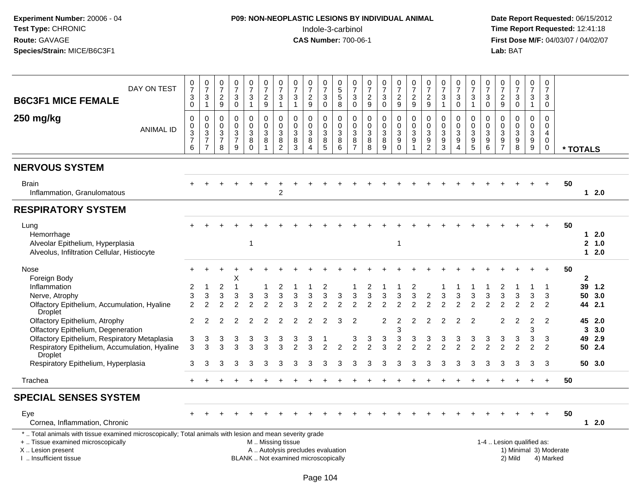# **P09: NON-NEOPLASTIC LESIONS BY INDIVIDUAL ANIMAL**Indole-3-carbinol **Time Report Requested:** 12:41:18

| DAY ON TEST<br><b>B6C3F1 MICE FEMALE</b>                                                                                                       | $\frac{0}{7}$<br>$\ensuremath{\mathsf{3}}$<br>$\overline{0}$ | $\begin{array}{c} 0 \\ 7 \end{array}$<br>$\sqrt{3}$<br>$\mathbf{1}$ | $\frac{0}{7}$<br>$\sqrt{2}$<br>$9\,$                              | 0<br>$\overline{7}$<br>$\sqrt{3}$<br>$\mathbf 0$                | 0<br>$\overline{7}$<br>$\mathbf{3}$<br>$\mathbf{1}$   | 0<br>$\overline{7}$<br>$\boldsymbol{2}$<br>$\overline{9}$ | $\begin{array}{c} 0 \\ 7 \end{array}$<br>$\ensuremath{\mathsf{3}}$<br>$\mathbf{1}$ | 0<br>$\overline{7}$<br>$\sqrt{3}$<br>$\overline{1}$ | $\frac{0}{7}$<br>$\overline{2}$<br>9                   | $\frac{0}{7}$<br>$\sqrt{3}$<br>$\mathsf{O}\xspace$    | $\begin{array}{c} 0 \\ 5 \end{array}$<br>$\sqrt{5}$<br>$\overline{8}$ | $\frac{0}{7}$<br>$\mathsf 3$<br>$\overline{0}$                          | 0<br>$\overline{7}$<br>$\boldsymbol{2}$<br>$\boldsymbol{9}$ | $\frac{0}{7}$<br>3<br>$\pmb{0}$    | 0<br>$\overline{7}$<br>$\overline{c}$<br>$\mathsf g$     | $\frac{0}{7}$<br>$\overline{c}$<br>$\boldsymbol{9}$ | 0<br>$\overline{7}$<br>$\sqrt{2}$<br>$\mathsf g$                      | $\frac{0}{7}$<br>$\sqrt{3}$<br>$\mathbf{1}$                       | $\pmb{0}$<br>$\overline{7}$<br>$\mathbf{3}$<br>$\mathbf 0$        | $\frac{0}{7}$<br>$\sqrt{3}$<br>$\overline{1}$                    | 0<br>$\overline{7}$<br>3<br>0               | 0<br>$\overline{7}$<br>$\overline{2}$<br>$9\,$              | $\frac{0}{7}$<br>3<br>$\pmb{0}$ | 0<br>$\overline{7}$<br>$\mathbf{3}$<br>$\mathbf{1}$       | $\pmb{0}$<br>$\overline{7}$<br>3<br>$\mathbf 0$ |    |                            |                      |
|------------------------------------------------------------------------------------------------------------------------------------------------|--------------------------------------------------------------|---------------------------------------------------------------------|-------------------------------------------------------------------|-----------------------------------------------------------------|-------------------------------------------------------|-----------------------------------------------------------|------------------------------------------------------------------------------------|-----------------------------------------------------|--------------------------------------------------------|-------------------------------------------------------|-----------------------------------------------------------------------|-------------------------------------------------------------------------|-------------------------------------------------------------|------------------------------------|----------------------------------------------------------|-----------------------------------------------------|-----------------------------------------------------------------------|-------------------------------------------------------------------|-------------------------------------------------------------------|------------------------------------------------------------------|---------------------------------------------|-------------------------------------------------------------|---------------------------------|-----------------------------------------------------------|-------------------------------------------------|----|----------------------------|----------------------|
| 250 mg/kg<br><b>ANIMAL ID</b>                                                                                                                  | 0<br>$_{3}^{\rm 0}$<br>$\overline{7}$<br>6                   | $\mathbf 0$<br>$_{3}^{\rm 0}$<br>$\overline{7}$<br>$\overline{7}$   | $\mathbf 0$<br>$\mathbf 0$<br>$\mathbf{3}$<br>$\overline{7}$<br>8 | $\mathbf 0$<br>$\mathbf 0$<br>$\sqrt{3}$<br>$\overline{7}$<br>9 | $\mathbf 0$<br>$\mathbf 0$<br>3<br>$\, 8$<br>$\Omega$ | $\Omega$<br>$\mathbf 0$<br>3<br>8<br>$\overline{1}$       | 0<br>$\mathbf 0$<br>3<br>8<br>$\overline{2}$                                       | $\mathbf 0$<br>$\mathbf 0$<br>3<br>$\bf 8$<br>3     | $\mathbf 0$<br>$\mathbf 0$<br>3<br>8<br>$\overline{4}$ | 0<br>$\pmb{0}$<br>$\mathbf{3}$<br>$\overline{8}$<br>5 | 0<br>$\mathbf 0$<br>$\sqrt{3}$<br>$\overline{8}$<br>$\,6\,$           | $\mathbf 0$<br>$\mathbf 0$<br>$\mathbf{3}$<br>$\bf 8$<br>$\overline{7}$ | $\mathbf 0$<br>$\mathbf 0$<br>3<br>$\bf 8$<br>8             | 0<br>$\pmb{0}$<br>3<br>$\, 8$<br>9 | 0<br>$\mathbf 0$<br>3<br>$\boldsymbol{9}$<br>$\mathbf 0$ | $\mathbf 0$<br>$\mathbf 0$<br>3<br>9<br>1           | $\mathbf 0$<br>$\mathbf 0$<br>3<br>$\boldsymbol{9}$<br>$\overline{c}$ | $\mathbf 0$<br>$\mathbf 0$<br>$\mathbf{3}$<br>$\overline{9}$<br>3 | $\mathbf 0$<br>$\mathbf 0$<br>$\mathbf{3}$<br>9<br>$\overline{4}$ | $\mathbf 0$<br>$\boldsymbol{0}$<br>$\mathbf{3}$<br>$\frac{9}{5}$ | 0<br>$\Omega$<br>3<br>$\boldsymbol{9}$<br>6 | $\mathbf 0$<br>$\mathbf 0$<br>$\mathbf{3}$<br>$\frac{9}{7}$ | 0<br>$\mathbf 0$<br>3<br>9<br>8 | 0<br>$\mathsf 0$<br>$\overline{3}$<br>$\overline{9}$<br>9 | $\Omega$<br>$\Omega$<br>4<br>$\mathbf 0$<br>0   |    | * TOTALS                   |                      |
| <b>NERVOUS SYSTEM</b>                                                                                                                          |                                                              |                                                                     |                                                                   |                                                                 |                                                       |                                                           |                                                                                    |                                                     |                                                        |                                                       |                                                                       |                                                                         |                                                             |                                    |                                                          |                                                     |                                                                       |                                                                   |                                                                   |                                                                  |                                             |                                                             |                                 |                                                           |                                                 |    |                            |                      |
| <b>Brain</b><br>Inflammation, Granulomatous                                                                                                    |                                                              |                                                                     |                                                                   |                                                                 |                                                       |                                                           | $\overline{2}$                                                                     |                                                     |                                                        |                                                       |                                                                       |                                                                         |                                                             |                                    |                                                          |                                                     |                                                                       |                                                                   |                                                                   |                                                                  |                                             |                                                             |                                 |                                                           |                                                 | 50 |                            | $12.0$               |
| <b>RESPIRATORY SYSTEM</b>                                                                                                                      |                                                              |                                                                     |                                                                   |                                                                 |                                                       |                                                           |                                                                                    |                                                     |                                                        |                                                       |                                                                       |                                                                         |                                                             |                                    |                                                          |                                                     |                                                                       |                                                                   |                                                                   |                                                                  |                                             |                                                             |                                 |                                                           |                                                 |    |                            |                      |
| Lung<br>Hemorrhage<br>Alveolar Epithelium, Hyperplasia<br>Alveolus, Infiltration Cellular, Histiocyte                                          |                                                              |                                                                     |                                                                   |                                                                 | 1                                                     |                                                           |                                                                                    |                                                     |                                                        |                                                       |                                                                       |                                                                         |                                                             |                                    | -1                                                       |                                                     |                                                                       |                                                                   |                                                                   |                                                                  |                                             |                                                             |                                 |                                                           |                                                 | 50 | $\mathbf 1$<br>$\mathbf 1$ | 2.0<br>2, 1.0<br>2.0 |
| Nose<br>Foreign Body                                                                                                                           |                                                              |                                                                     |                                                                   | X                                                               |                                                       |                                                           |                                                                                    |                                                     |                                                        |                                                       |                                                                       |                                                                         |                                                             |                                    |                                                          |                                                     |                                                                       |                                                                   |                                                                   |                                                                  |                                             |                                                             |                                 |                                                           | $\overline{ }$                                  | 50 | $\mathbf{2}$               |                      |
| Inflammation                                                                                                                                   | $\overline{c}$                                               | -1                                                                  | $\overline{2}$                                                    |                                                                 |                                                       |                                                           | 2                                                                                  |                                                     |                                                        | 2                                                     |                                                                       |                                                                         |                                                             |                                    |                                                          | 2                                                   |                                                                       |                                                                   |                                                                   |                                                                  |                                             | 2                                                           |                                 |                                                           | -1                                              |    |                            | 39 1.2               |
| Nerve, Atrophy                                                                                                                                 | 3                                                            | 3                                                                   | 3                                                                 | 3                                                               | 3                                                     | 3                                                         | 3                                                                                  | 3                                                   | 3                                                      | 3                                                     | 3                                                                     | 3                                                                       | 3                                                           | 3                                  | 3                                                        | 3                                                   | $\overline{c}$                                                        | 3                                                                 | 3                                                                 | 3                                                                | 3                                           | 3                                                           | 3                               | 3                                                         | 3                                               |    | 50                         | 3.0                  |
| Olfactory Epithelium, Accumulation, Hyaline<br><b>Droplet</b>                                                                                  | $\overline{2}$                                               | 2                                                                   | $\mathfrak{p}$                                                    | っ                                                               | $\mathfrak{p}$                                        | 2                                                         |                                                                                    |                                                     | 2                                                      | っ                                                     | 2                                                                     | $\mathcal{P}$                                                           | $\mathcal{P}$                                               | 2                                  |                                                          | $\mathcal{P}$                                       |                                                                       | 2                                                                 | 2                                                                 | 2                                                                | $\mathfrak{p}$                              | っ                                                           | $\mathfrak{p}$                  | $\mathcal{P}$                                             | $\mathcal{P}$                                   |    |                            | 44 2.1               |
| Olfactory Epithelium, Atrophy                                                                                                                  | $\overline{2}$                                               | 2                                                                   |                                                                   |                                                                 | 2                                                     |                                                           |                                                                                    |                                                     | 2                                                      | 2                                                     | 3                                                                     | $\overline{2}$                                                          |                                                             | 2                                  | 2                                                        | $\overline{2}$                                      |                                                                       | 2                                                                 | 2                                                                 | 2                                                                |                                             | 2                                                           | $\overline{2}$                  | $\overline{2}$                                            | $\overline{2}$                                  |    |                            | 45 2.0               |
| Olfactory Epithelium, Degeneration                                                                                                             |                                                              |                                                                     |                                                                   |                                                                 |                                                       |                                                           |                                                                                    |                                                     |                                                        |                                                       |                                                                       |                                                                         |                                                             |                                    | 3                                                        |                                                     |                                                                       |                                                                   |                                                                   |                                                                  |                                             |                                                             |                                 | 3                                                         |                                                 |    |                            | 3, 3.0               |
| Olfactory Epithelium, Respiratory Metaplasia                                                                                                   | 3                                                            | 3                                                                   | 3                                                                 | 3                                                               | 3                                                     | 3                                                         | 3                                                                                  | 3                                                   | 3                                                      |                                                       |                                                                       | 3                                                                       | 3                                                           | 3                                  | 3                                                        | 3                                                   | 3                                                                     | 3                                                                 | 3                                                                 | 3                                                                | 3                                           | 3                                                           | 3                               | 3                                                         | 3                                               |    |                            | 49 2.9               |
| Respiratory Epithelium, Accumulation, Hyaline<br>Droplet                                                                                       | 3                                                            | 3                                                                   | 3                                                                 | 3                                                               | 3                                                     | 3                                                         | 3                                                                                  |                                                     | 3                                                      | $\mathfrak{p}$                                        | 2                                                                     | $\overline{2}$                                                          | $\mathfrak{p}$                                              | 3                                  | $\mathcal{P}$                                            | 2                                                   |                                                                       | 2                                                                 | $\overline{2}$                                                    | $\mathfrak{p}$                                                   | $\mathfrak{p}$                              | $\mathfrak{p}$                                              | $\overline{2}$                  | $\overline{2}$                                            | $\overline{2}$                                  |    |                            | 50 2.4               |
| Respiratory Epithelium, Hyperplasia                                                                                                            | 3                                                            | 3                                                                   | 3                                                                 | 3                                                               | 3                                                     |                                                           |                                                                                    |                                                     | З                                                      | 3                                                     |                                                                       | 3                                                                       |                                                             | 3                                  |                                                          | З                                                   |                                                                       | 3                                                                 | 3                                                                 |                                                                  | 3                                           |                                                             | з                               | 3                                                         | 3                                               |    |                            | 50 3.0               |
| Trachea                                                                                                                                        | $+$                                                          |                                                                     |                                                                   |                                                                 |                                                       |                                                           |                                                                                    |                                                     |                                                        |                                                       |                                                                       |                                                                         |                                                             |                                    |                                                          |                                                     |                                                                       |                                                                   |                                                                   |                                                                  |                                             |                                                             |                                 |                                                           | $+$                                             | 50 |                            |                      |
| <b>SPECIAL SENSES SYSTEM</b>                                                                                                                   |                                                              |                                                                     |                                                                   |                                                                 |                                                       |                                                           |                                                                                    |                                                     |                                                        |                                                       |                                                                       |                                                                         |                                                             |                                    |                                                          |                                                     |                                                                       |                                                                   |                                                                   |                                                                  |                                             |                                                             |                                 |                                                           |                                                 |    |                            |                      |
| Eye<br>Cornea, Inflammation, Chronic                                                                                                           |                                                              |                                                                     |                                                                   |                                                                 |                                                       |                                                           |                                                                                    |                                                     |                                                        |                                                       |                                                                       |                                                                         |                                                             |                                    |                                                          |                                                     |                                                                       |                                                                   |                                                                   |                                                                  |                                             |                                                             |                                 |                                                           |                                                 | 50 |                            | $12.0$               |
| *  Total animals with tissue examined microscopically; Total animals with lesion and mean severity grade<br>+  Tissue examined microscopically |                                                              |                                                                     |                                                                   |                                                                 |                                                       | M. Missing tissue                                         |                                                                                    |                                                     |                                                        |                                                       |                                                                       |                                                                         |                                                             |                                    |                                                          |                                                     |                                                                       |                                                                   |                                                                   |                                                                  |                                             |                                                             | 1-4  Lesion qualified as:       |                                                           |                                                 |    |                            |                      |
| X  Lesion present                                                                                                                              |                                                              |                                                                     |                                                                   |                                                                 |                                                       |                                                           |                                                                                    |                                                     | A  Autolysis precludes evaluation                      |                                                       |                                                                       |                                                                         |                                                             |                                    |                                                          |                                                     |                                                                       |                                                                   |                                                                   |                                                                  |                                             |                                                             | 1) Minimal 3) Moderate          |                                                           |                                                 |    |                            |                      |
| I. Insufficient tissue                                                                                                                         |                                                              |                                                                     |                                                                   |                                                                 |                                                       |                                                           |                                                                                    |                                                     | BLANK  Not examined microscopically                    |                                                       |                                                                       |                                                                         |                                                             |                                    |                                                          |                                                     |                                                                       |                                                                   |                                                                   |                                                                  |                                             |                                                             | 2) Mild                         |                                                           | 4) Marked                                       |    |                            |                      |